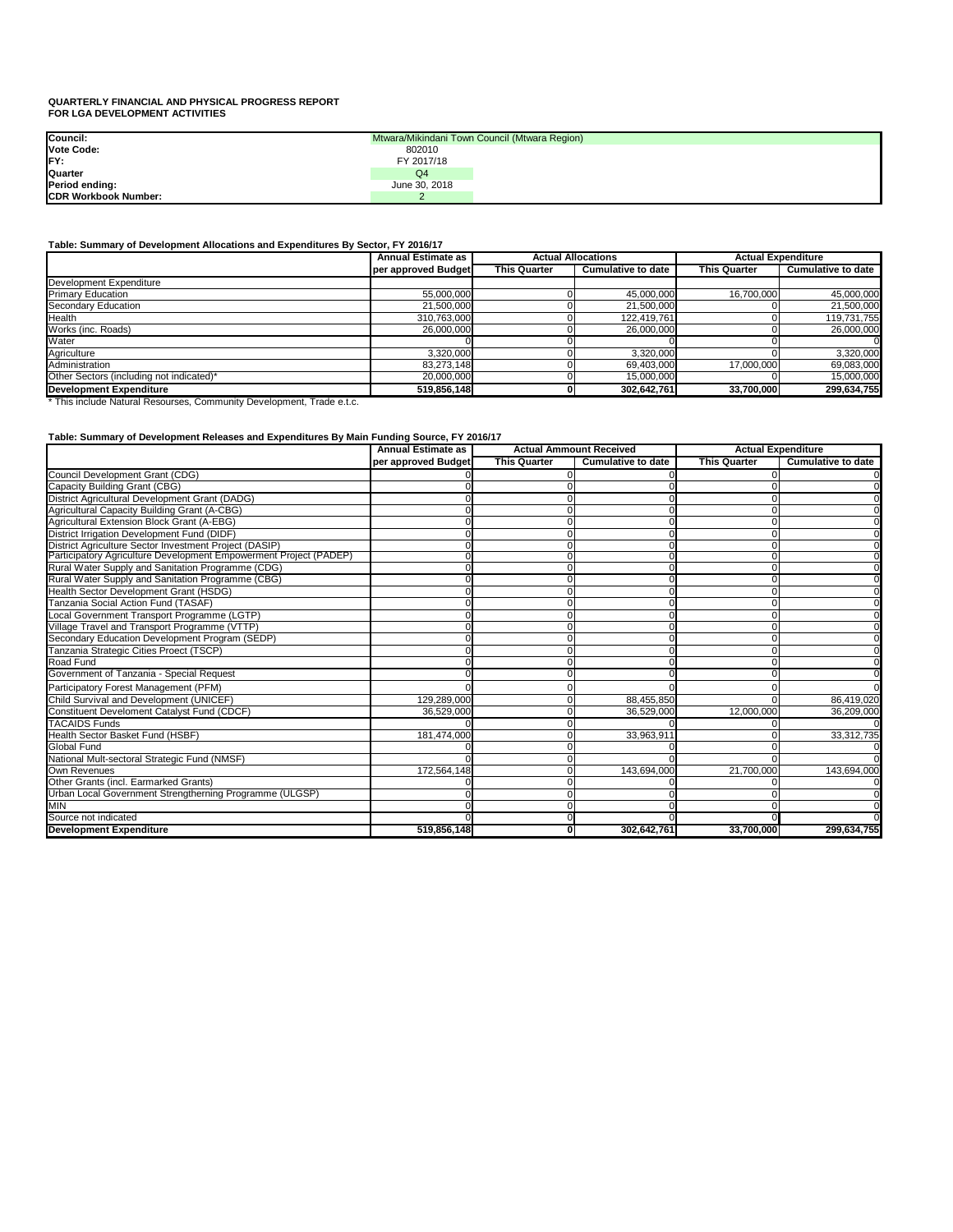### **QUARTERLY FINANCIAL AND PHYSICAL PROGRESS REPORT FOR LGA DEVELOPMENT ACTIVITIES**

### **Table: Summary of Development Allocations and Expenditures By Sector, FY 2016/17**

\* This include Natural Resourses, Community Development, Trade e.t.c.

### **Table: Summary of Development Releases and Expenditures By Main Funding Source, FY 2016/17**

| Council:                    |               | Mtwara/Mikindani Town Council (Mtwara Region) |
|-----------------------------|---------------|-----------------------------------------------|
| <b>Vote Code:</b>           | 802010        |                                               |
| <b>IFY:</b>                 | FY 2017/18    |                                               |
| <b>Quarter</b>              | Q4            |                                               |
| Period ending:              | June 30, 2018 |                                               |
| <b>CDR Workbook Number:</b> |               |                                               |

|                                          | <b>Annual Estimate as</b> | <b>Actual Allocations</b> |                           | <b>Actual Expenditure</b> |                           |  |
|------------------------------------------|---------------------------|---------------------------|---------------------------|---------------------------|---------------------------|--|
|                                          | per approved Budget       | <b>This Quarter</b>       | <b>Cumulative to date</b> | <b>This Quarter</b>       | <b>Cumulative to date</b> |  |
| Development Expenditure                  |                           |                           |                           |                           |                           |  |
| <b>Primary Education</b>                 | 55,000,000                |                           | 45,000,000                | 16,700,000                | 45,000,000                |  |
| <b>Secondary Education</b>               | 21,500,000                |                           | 21,500,000                |                           | 21,500,000                |  |
| Health                                   | 310,763,000               |                           | 122,419,761               |                           | 119,731,755               |  |
| Works (inc. Roads)                       | 26,000,000                |                           | 26,000,000                |                           | 26,000,000                |  |
| Water                                    |                           |                           |                           |                           |                           |  |
| Agriculture                              | 3,320,000                 |                           | 3,320,000                 |                           | 3,320,000                 |  |
| Administration                           | 83,273,148                |                           | 69,403,000                | 17,000,000                | 69,083,000                |  |
| Other Sectors (including not indicated)* | 20,000,000                |                           | 15,000,000                |                           | 15,000,000                |  |
| <b>Development Expenditure</b>           | 519,856,148               |                           | 302,642,761               | 33,700,000                | 299,634,755               |  |

|                                                                   | <b>Annual Estimate as</b> | <b>Actual Ammount Received</b> |                           | <b>Actual Expenditure</b> |                           |
|-------------------------------------------------------------------|---------------------------|--------------------------------|---------------------------|---------------------------|---------------------------|
|                                                                   | per approved Budget       | <b>This Quarter</b>            | <b>Cumulative to date</b> | <b>This Quarter</b>       | <b>Cumulative to date</b> |
| <b>Council Development Grant (CDG)</b>                            |                           |                                |                           |                           | 0                         |
| <b>Capacity Building Grant (CBG)</b>                              |                           |                                |                           |                           | $\Omega$                  |
| District Agricultural Development Grant (DADG)                    |                           |                                |                           |                           | $\Omega$                  |
| Agricultural Capacity Building Grant (A-CBG)                      |                           |                                |                           |                           | $\Omega$                  |
| Agricultural Extension Block Grant (A-EBG)                        |                           |                                |                           |                           | $\Omega$                  |
| District Irrigation Development Fund (DIDF)                       |                           |                                |                           |                           | $\overline{0}$            |
| District Agriculture Sector Investment Project (DASIP)            |                           |                                |                           |                           | $\Omega$                  |
| Participatory Agriculture Development Empowerment Project (PADEP) |                           |                                |                           |                           | $\overline{0}$            |
| Rural Water Supply and Sanitation Programme (CDG)                 |                           |                                |                           | O                         | $\Omega$                  |
| Rural Water Supply and Sanitation Programme (CBG)                 |                           |                                |                           |                           | $\Omega$                  |
| Health Sector Development Grant (HSDG)                            |                           |                                |                           |                           | $\Omega$                  |
| Tanzania Social Action Fund (TASAF)                               |                           |                                |                           |                           | $\Omega$                  |
| Local Government Transport Programme (LGTP)                       |                           |                                |                           |                           | $\Omega$                  |
| Village Travel and Transport Programme (VTTP)                     |                           |                                |                           | ∩                         | $\Omega$                  |
| Secondary Education Development Program (SEDP)                    |                           |                                |                           |                           | $\Omega$                  |
| Tanzania Strategic Cities Proect (TSCP)                           |                           |                                |                           |                           | $\overline{0}$            |
| Road Fund                                                         |                           |                                |                           |                           | $\Omega$                  |
| Government of Tanzania - Special Request                          |                           |                                |                           |                           | $\Omega$                  |
| Participatory Forest Management (PFM)                             |                           |                                |                           |                           |                           |
| Child Survival and Development (UNICEF)                           | 129,289,000               |                                | 88,455,850                |                           | 86,419,020                |
| <b>Constituent Develoment Catalyst Fund (CDCF)</b>                | 36,529,000                |                                | 36,529,000                | 12,000,000                | 36,209,000                |
| <b>TACAIDS Funds</b>                                              |                           |                                |                           |                           | 0l                        |
| Health Sector Basket Fund (HSBF)                                  | 181,474,000               |                                | 33,963,911                |                           | 33,312,735                |
| Global Fund                                                       |                           |                                |                           |                           |                           |
| National Mult-sectoral Strategic Fund (NMSF)                      |                           |                                |                           |                           | <sup>0</sup>              |
| Own Revenues                                                      | 172,564,148               |                                | 143,694,000               | 21,700,000                | 143,694,000               |
| Other Grants (incl. Earmarked Grants)                             |                           |                                |                           |                           |                           |
| Urban Local Government Strengtherning Programme (ULGSP)           |                           |                                |                           |                           | $\Omega$                  |
| MIN                                                               |                           |                                |                           |                           | $\Omega$                  |
| Source not indicated                                              |                           |                                |                           |                           |                           |
| <b>Development Expenditure</b>                                    | 519,856,148               |                                | 302,642,761               | 33,700,000                | 299,634,755               |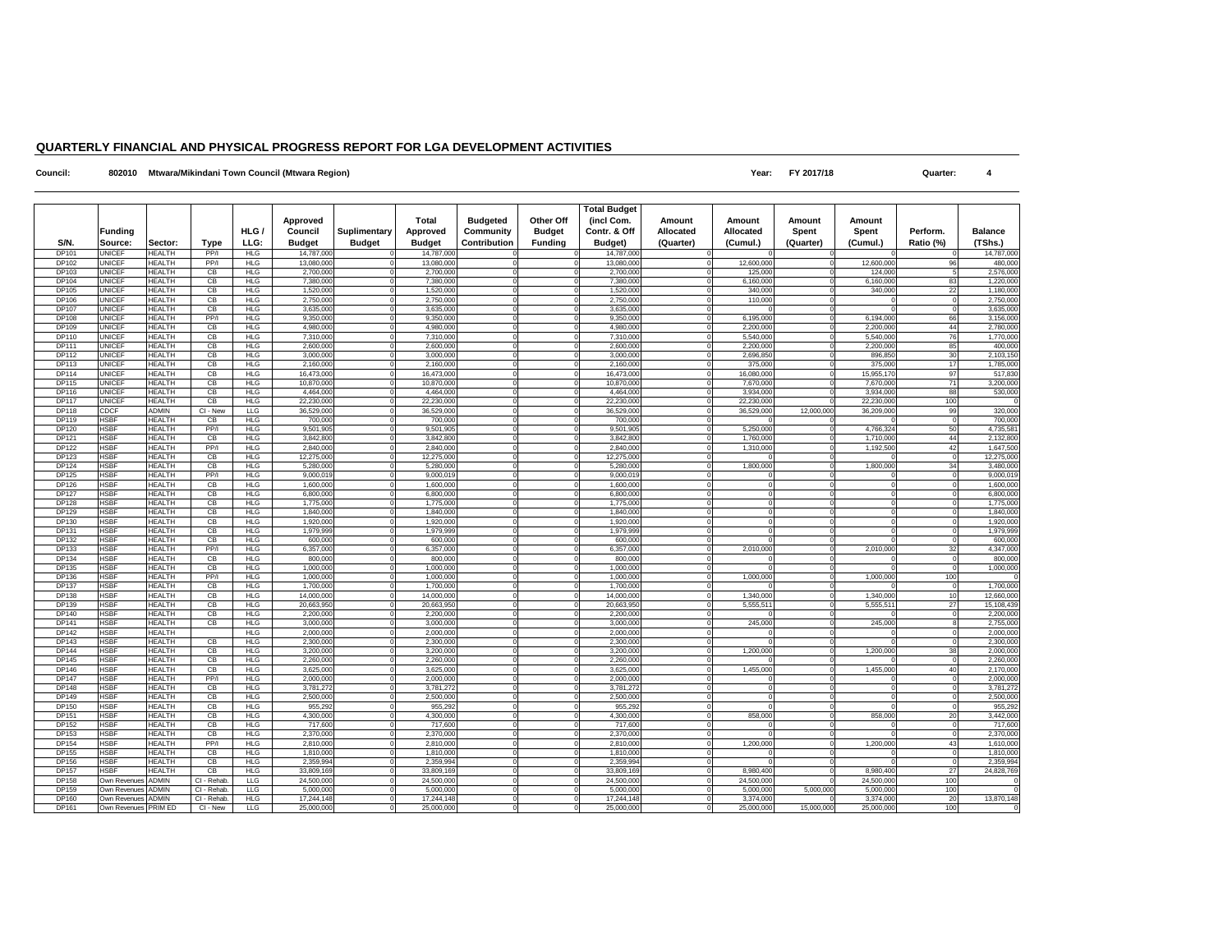### **QUARTERLY FINANCIAL AND PHYSICAL PROGRESS REPORT FOR LGA DEVELOPMENT ACTIVITIES**

**Council: 802010** Mtwara/Mikindani Town Council (Mtwara Region) **Accouncil (Mtwara Region) Pear: PY 2017/18 Propiled a Souncil (Mtwara Region) Propiled a Souncil example of the Council (Mtwara Region) Propiled** 

|                              |                                      |                                |                         |                          | <b>Approved</b>          |                               | <b>Total</b>                     | <b>Budgeted</b>                         | <b>Other Off</b>                | <b>Total Budget</b><br>(incl Com. | Amount                        | Amount                       | <b>Amount</b>             | Amount                   |                             |                           |
|------------------------------|--------------------------------------|--------------------------------|-------------------------|--------------------------|--------------------------|-------------------------------|----------------------------------|-----------------------------------------|---------------------------------|-----------------------------------|-------------------------------|------------------------------|---------------------------|--------------------------|-----------------------------|---------------------------|
| S/N.                         | Funding<br>Source:                   | Sector:                        | <b>Type</b>             | HLG /<br>LLG:            | Council<br><b>Budget</b> | Suplimentary<br><b>Budget</b> | <b>Approved</b><br><b>Budget</b> | <b>Community</b><br><b>Contribution</b> | <b>Budget</b><br><b>Funding</b> | Contr. & Off<br><b>Budget</b> )   | <b>Allocated</b><br>(Quarter) | <b>Allocated</b><br>(Cumul.) | <b>Spent</b><br>(Quarter) | <b>Spent</b><br>(Cumul.) | Perform.<br>Ratio (%)       | <b>Balance</b><br>(TShs.) |
| <b>DP101</b>                 | <b>UNICEF</b>                        | <b>HEALTH</b>                  | PP/I                    | <b>HLG</b>               | 14,787,000               |                               | 14,787,000                       |                                         |                                 | 14,787,000                        |                               |                              |                           |                          |                             | 14,787,000                |
| <b>DP102</b>                 | <b>UNICEF</b>                        | <b>HEALTH</b>                  | PP/I                    | <b>HLG</b>               | 13,080,000               |                               | 13,080,000                       |                                         |                                 | 13,080,000                        |                               | 12,600,000                   |                           | 12,600,000               | 96I                         | 480,000                   |
| DP103                        | <b>UNICEF</b>                        | <b>HEALTH</b>                  | СB                      | <b>HLG</b>               | 2,700,000                |                               | 2,700,000                        |                                         |                                 | 2,700,000                         |                               | 125,000                      |                           | 124,00                   |                             | 2,576,000                 |
| DP104                        | <b>UNICEF</b>                        | <b>HEALTH</b>                  | CB                      | <b>HLG</b>               | 7,380,000                |                               | 7,380,000                        |                                         |                                 | 7,380,000                         |                               | 6,160,000                    |                           | 6,160,000                | 83I                         | 1,220,000                 |
| DP105                        | <b>UNICEF</b><br><b>UNICEF</b>       | <b>HEALTH</b>                  | CB                      | <b>HLG</b>               | 1,520,000                |                               | 1,520,000                        |                                         |                                 | 1,520,000                         |                               | 340,000                      |                           | 340,000                  | 22                          | 1,180,000                 |
| <b>DP106</b><br><b>DP107</b> | <b>UNICEF</b>                        | <b>HEALTH</b><br><b>HEALTH</b> | CB<br>CB                | <b>HLG</b><br><b>HLG</b> | 2,750,000<br>3,635,000   |                               | 2,750,000<br>3,635,000           |                                         |                                 | 2,750,000<br>3,635,000            |                               | 110,000                      |                           |                          |                             | 2,750,000<br>3,635,000    |
| DP108                        | <b>UNICEF</b>                        | <b>HEALTH</b>                  | PP/I                    | <b>HLG</b>               | 9,350,000                |                               | 9,350,000                        |                                         |                                 | 9,350,000                         |                               | 6,195,000                    |                           | 6,194,000                | 66                          | 3,156,000                 |
| DP109                        | <b>UNICEF</b>                        | <b>HEALTH</b>                  | CB                      | <b>HLG</b>               | 4,980,000                |                               | 4,980,000                        |                                         |                                 | 4,980,000                         |                               | 2,200,000                    |                           | 2,200,000                | 44                          | 2,780,000                 |
| DP110                        | <b>UNICEF</b>                        | <b>HEALTH</b>                  | CB                      | <b>HLG</b>               | 7,310,000                |                               | 7,310,000                        |                                         |                                 | 7,310,000                         |                               | 5,540,000                    |                           | 5,540,000                | 76I                         | 1,770,000                 |
| DP111                        | <b>UNICEF</b>                        | <b>HEALTH</b>                  | CB                      | <b>HLG</b>               | 2,600,000                |                               | 2,600,000                        |                                         |                                 | 2,600,000                         |                               | 2,200,000                    |                           | 2,200,000                | 85                          | 400,000                   |
| DP112                        | <b>UNICEF</b>                        | <b>HEALTH</b>                  | CB                      | <b>HLG</b>               | 3,000,000                |                               | 3,000,000                        |                                         |                                 | 3,000,000                         |                               | 2,696,850                    |                           | 896,850                  | 30 <sup>l</sup>             | 2,103,150                 |
| DP113                        | <b>UNICEF</b>                        | <b>HEALTH</b>                  | СB                      | <b>HLG</b>               | 2,160,000                |                               | 2,160,000                        |                                         |                                 | 2,160,00                          |                               | 375,000                      |                           | 375,00                   | 17 <sup>1</sup>             | 1,785,000                 |
| <b>DP114</b>                 | <b>UNICEF</b>                        | <b>HEALTH</b>                  | CB                      | <b>HLG</b>               | 16,473,000               |                               | 16,473,000                       |                                         |                                 | 16,473,000                        |                               | 16,080,000                   |                           | 15,955,170               | 97                          | 517,830                   |
| <b>DP115</b>                 | <b>UNICEF</b>                        | <b>HEALTH</b>                  | CB                      | <b>HLG</b>               | 10,870,000               |                               | 10,870,000                       |                                         |                                 | 10,870,000                        |                               | 7,670,000                    |                           | 7,670,000                | <b>71</b>                   | 3,200,000                 |
| DP116<br><b>DP117</b>        | <b>UNICEF</b><br><b>UNICEF</b>       | <b>HEALTH</b><br><b>HEALTH</b> | CB<br>CB                | HLG<br><b>HLG</b>        | 4,464,000<br>22,230,000  |                               | 4,464,000<br>22,230,000          |                                         |                                 | 4,464,000<br>22,230,000           |                               | 3,934,000<br>22,230,000      |                           | 3,934,00<br>22,230,00    | 88<br>100                   | 530,000                   |
| DP118                        | <b>CDCF</b>                          | <b>ADMIN</b>                   | CI - New                | <b>LLG</b>               | 36,529,00                |                               | 36,529,000                       |                                         |                                 | 36,529,000                        |                               | 36,529,000                   | 12,000,000                | 36,209,00                | 99                          | 320,000                   |
| DP119                        | <b>HSBF</b>                          | <b>HEALTH</b>                  | CB                      | <b>HLG</b>               | 700,000                  |                               | 700,000                          |                                         |                                 | 700,000                           |                               |                              |                           |                          |                             | 700,000                   |
| DP120                        | <b>HSBF</b>                          | <b>HEALTH</b>                  | PP/                     | <b>HLG</b>               | 9,501,905                |                               | 9,501,905                        |                                         |                                 | 9,501,905                         |                               | 5,250,000                    |                           | 4,766,324                | 50 <sup>1</sup>             | 4,735,581                 |
| <b>DP121</b>                 | <b>HSBF</b>                          | <b>HEALTH</b>                  | CB                      | <b>HLG</b>               | 3,842,800                |                               | 3,842,800                        |                                         |                                 | 3,842,800                         |                               | 1,760,000                    |                           | 1,710,00                 | 44                          | 2,132,800                 |
| <b>DP122</b>                 | <b>HSBF</b>                          | <b>HEALTH</b>                  | PP/                     | <b>HLG</b>               | 2,840,000                |                               | 2,840,000                        |                                         |                                 | 2,840,000                         |                               | 1,310,000                    |                           | 1,192,50                 | 42 <sup>1</sup>             | 1,647,500                 |
| <b>DP123</b>                 | <b>HSBF</b>                          | <b>HEALTH</b>                  | CB                      | <b>HLG</b>               | 12,275,000               |                               | 12,275,000                       |                                         |                                 | 12,275,000                        |                               |                              |                           |                          |                             | 12,275,000                |
| <b>DP124</b>                 | <b>HSBF</b>                          | <b>HEALTH</b>                  | CB                      | <b>HLG</b>               | 5,280,000                |                               | 5,280,000                        |                                         |                                 | 5,280,000                         |                               | 1,800,000                    |                           | 1,800,00                 | 34                          | 3,480,000                 |
| <b>DP125</b>                 | <b>HSBF</b>                          | <b>HEALTH</b>                  | PP/                     | <b>HLG</b>               | 9,000,01                 |                               | 9,000,019                        |                                         |                                 | 9,000,01                          |                               |                              |                           |                          |                             | 9,000,019                 |
| <b>DP126</b>                 | <b>HSBF</b>                          | <b>HEALTH</b><br><b>HEALTH</b> | CB                      | <b>HLG</b>               | 1,600,000                |                               | 1,600,000                        |                                         |                                 | 1,600,000                         |                               |                              |                           |                          |                             | 1,600,000                 |
| <b>DP127</b><br>DP128        | <b>HSBF</b><br><b>HSBF</b>           | <b>HEALTH</b>                  | CB<br>CB                | <b>HLG</b><br><b>HLG</b> | 6,800,000<br>1,775,000   |                               | 6,800,000<br>1,775,000           |                                         |                                 | 6,800,000<br>1,775,000            |                               |                              |                           |                          |                             | 6,800,000<br>1,775,000    |
| DP129                        | <b>HSBF</b>                          | <b>HEALTH</b>                  | CB                      | <b>HLG</b>               | 1,840,000                |                               | 1,840,000                        |                                         |                                 | 1,840,000                         |                               |                              |                           |                          |                             | 1,840,000                 |
| DP130                        | <b>HSBF</b>                          | <b>HEALTH</b>                  | CB                      | <b>HLG</b>               | 1,920,000                |                               | 1,920,000                        |                                         |                                 | 1,920,000                         |                               |                              |                           |                          |                             | 1,920,000                 |
| <b>DP131</b>                 | <b>HSBF</b>                          | <b>HEALTH</b>                  | CB                      | <b>HLG</b>               | 1,979,999                |                               | 1,979,999                        |                                         |                                 | 1,979,999                         |                               |                              |                           |                          |                             | 1,979,999                 |
| DP132                        | <b>HSBF</b>                          | <b>HEALTH</b>                  | CB                      | <b>HLG</b>               | 600,000                  |                               | 600,000                          |                                         |                                 | 600,000                           |                               |                              |                           |                          |                             | 600,000                   |
| DP133                        | <b>HSBF</b>                          | <b>HEALTH</b>                  | PP/                     | <b>HLG</b>               | 6,357,000                |                               | 6,357,000                        |                                         |                                 | 6,357,000                         |                               | 2,010,000                    |                           | 2,010,00                 | 32 <sup>l</sup>             | 4,347,000                 |
| <b>DP134</b>                 | <b>HSBF</b>                          | <b>HEALTH</b>                  | СB                      | <b>HLG</b>               | 800,000                  |                               | 800,000                          |                                         |                                 | 800,000                           |                               |                              |                           |                          |                             | 800,000                   |
| DP135                        | <b>HSBF</b>                          | <b>HEALTH</b>                  | CB                      | <b>HLG</b>               | 1,000,000                |                               | 1,000,000                        |                                         |                                 | 1,000,000                         |                               |                              |                           |                          |                             | 1,000,000                 |
| <b>DP136</b>                 | <b>HSBF</b>                          | <b>HEALTH</b>                  | PP/                     | <b>HLG</b>               | 1,000,000                |                               | 1,000,000                        |                                         |                                 | 1,000,000                         |                               | 1,000,000                    |                           | 1,000,000                | 100                         |                           |
| <b>DP137</b><br><b>DP138</b> | <b>HSBF</b><br><b>HSBF</b>           | <b>HEALTH</b><br><b>HEALTH</b> | CВ                      | <b>HLG</b><br><b>HLG</b> | 1,700,000<br>14,000,000  | $\Omega$                      | 1,700,000<br>14,000,000          |                                         |                                 | 1,700,000<br>14,000,000           |                               | 1,340,000                    |                           | 1,340,000                | $\Omega$<br>10 <sup>1</sup> | 1,700,000<br>12,660,000   |
| DP139                        | <b>HSBF</b>                          | <b>HEALTH</b>                  | CB<br>СB                | <b>HLG</b>               | 20,663,950               |                               | 20,663,950                       |                                         |                                 | 20,663,950                        |                               | 5,555,511                    |                           | 5,555,511                | 27                          | 15,108,439                |
| DP140                        | <b>HSBF</b>                          | <b>HEALTH</b>                  | СB                      | <b>HLG</b>               | 2,200,000                |                               | 2,200,000                        |                                         |                                 | 2,200,000                         |                               |                              |                           |                          |                             | 2,200,000                 |
| <b>DP141</b>                 | <b>HSBF</b>                          | <b>HEALTH</b>                  | CB                      | <b>HLG</b>               | 3,000,000                |                               | 3,000,000                        |                                         |                                 | 3,000,000                         |                               | 245,000                      |                           | 245,000                  |                             | 2,755,000                 |
| DP142                        | <b>HSBF</b>                          | <b>HEALTH</b>                  |                         | <b>HLG</b>               | 2,000,000                |                               | 2,000,000                        |                                         |                                 | 2,000,000                         |                               |                              |                           |                          | $\Omega$                    | 2,000,000                 |
| DP143                        | <b>HSBF</b>                          | <b>HEALTH</b>                  | СB                      | <b>HLG</b>               | 2,300,000                |                               | 2,300,000                        |                                         |                                 | 2,300,000                         |                               |                              |                           |                          |                             | 2,300,000                 |
| DP144                        | <b>HSBF</b>                          | <b>HEALTH</b>                  | СB                      | <b>HLG</b>               | 3,200,000                |                               | 3,200,000                        |                                         |                                 | 3,200,000                         |                               | 1,200,000                    |                           | 1,200,000                | 38                          | 2,000,000                 |
| DP145                        | <b>HSBF</b>                          | <b>HEALTH</b>                  | СB                      | <b>HLG</b>               | 2,260,000                |                               | 2,260,000                        |                                         |                                 | 2,260,000                         |                               |                              |                           |                          |                             | 2,260,000                 |
| <b>DP146</b>                 | <b>HSBF</b>                          | <b>HEALTH</b>                  | СB                      | <b>HLG</b>               | 3,625,000                |                               | 3,625,000                        |                                         |                                 | 3,625,000                         |                               | 1,455,000                    |                           | 1,455,000                | 40 <sup>1</sup>             | 2,170,000                 |
| <b>DP147</b>                 | <b>HSBF</b>                          | <b>HEALTH</b><br><b>HEALTH</b> | PP/I                    | <b>HLG</b>               | 2,000,000                |                               | 2,000,000                        |                                         |                                 | 2,000,000                         |                               |                              |                           |                          |                             | 2,000,000                 |
| DP148<br>DP149               | <b>HSBF</b><br><b>HSBF</b>           | <b>HEALTH</b>                  | СB<br>СB                | <b>HLG</b><br><b>HLG</b> | 3,781,272<br>2,500,000   |                               | 3,781,272<br>2,500,000           |                                         |                                 | 3,781,272<br>2,500,000            |                               |                              |                           |                          |                             | 3,781,272<br>2,500,000    |
| DP150                        | <b>HSBF</b>                          | <b>HEALTH</b>                  | CB                      | <b>HLG</b>               | 955,292                  |                               | 955,292                          |                                         |                                 | 955,292                           |                               |                              |                           |                          |                             | 955,292                   |
| DP151                        | <b>HSBF</b>                          | <b>HEALTH</b>                  | СB                      | <b>HLG</b>               | 4,300,000                |                               | 4,300,000                        |                                         |                                 | 4,300,000                         |                               | 858,000                      |                           | 858,000                  | 20 <sup>1</sup>             | 3,442,000                 |
| <b>DP152</b>                 | <b>HSBF</b>                          | <b>HEALTH</b>                  | СB                      | <b>HLG</b>               | 717,600                  |                               | 717,600                          |                                         |                                 | 717,600                           |                               |                              |                           |                          |                             | 717,600                   |
| DP153                        | <b>HSBF</b>                          | <b>HEALTH</b>                  | СB                      | <b>HLG</b>               | 2,370,000                |                               | 2,370,000                        |                                         |                                 | 2,370,000                         |                               |                              |                           |                          |                             | 2,370,000                 |
| DP154                        | <b>HSBF</b>                          | <b>HEALTH</b>                  | PP/I                    | <b>HLG</b>               | 2,810,000                |                               | 2,810,000                        |                                         |                                 | 2,810,000                         |                               | 1,200,000                    |                           | 1,200,000                | 43 <sup>l</sup>             | 1,610,000                 |
| <b>DP155</b>                 | <b>HSBF</b>                          | <b>HEALTH</b>                  | СB                      | <b>HLG</b>               | 1,810,000                |                               | 1,810,000                        |                                         |                                 | 1,810,000                         |                               |                              |                           |                          | . OI                        | 1,810,000                 |
| DP156                        | <b>HSBF</b>                          | <b>HEALTH</b>                  | СB                      | <b>HLG</b>               | 2,359,994                |                               | 2,359,994                        |                                         |                                 | 2,359,994                         |                               |                              |                           |                          |                             | 2,359,994                 |
| <b>DP157</b>                 | <b>HSBF</b>                          | <b>HEALTH</b>                  | СB                      | <b>HLG</b>               | 33,809,169               |                               | 33,809,169                       |                                         |                                 | 33,809,169                        |                               | 8,980,400                    |                           | 8,980,400                | 27                          | 24,828,769                |
| DP158                        | Own Revenues                         | <b>ADMIN</b>                   | CI - Rehab.             | <b>LLG</b>               | 24,500,000               |                               | 24,500,000                       |                                         |                                 | 24,500,000                        |                               | 24,500,000                   |                           | 24,500,000               | 100                         |                           |
| DP159                        | Own Revenues                         | <b>ADMIN</b>                   | CI - Rehab.             | <b>LLG</b><br><b>HLG</b> | 5,000,000<br>17,244,148  |                               | 5,000,000<br>17,244,148          |                                         |                                 | 5,000,000<br>17,244,148           |                               | 5,000,000                    | 5,000,000                 | 5,000,000<br>3,374,000   | 100                         | 13,870,148                |
| DP160<br>DP161               | Own Revenues<br>Own Revenues PRIM ED | <b>ADMIN</b>                   | CI - Rehab.<br>CI - New | LLG                      | 25,000,000               |                               | 25,000,000                       |                                         |                                 | 25,000,000                        |                               | 3,374,000<br>25,000,000      | 15,000,000                | 25,000,000               | 20<br>100                   |                           |
|                              |                                      |                                |                         |                          |                          |                               |                                  |                                         |                                 |                                   |                               |                              |                           |                          |                             |                           |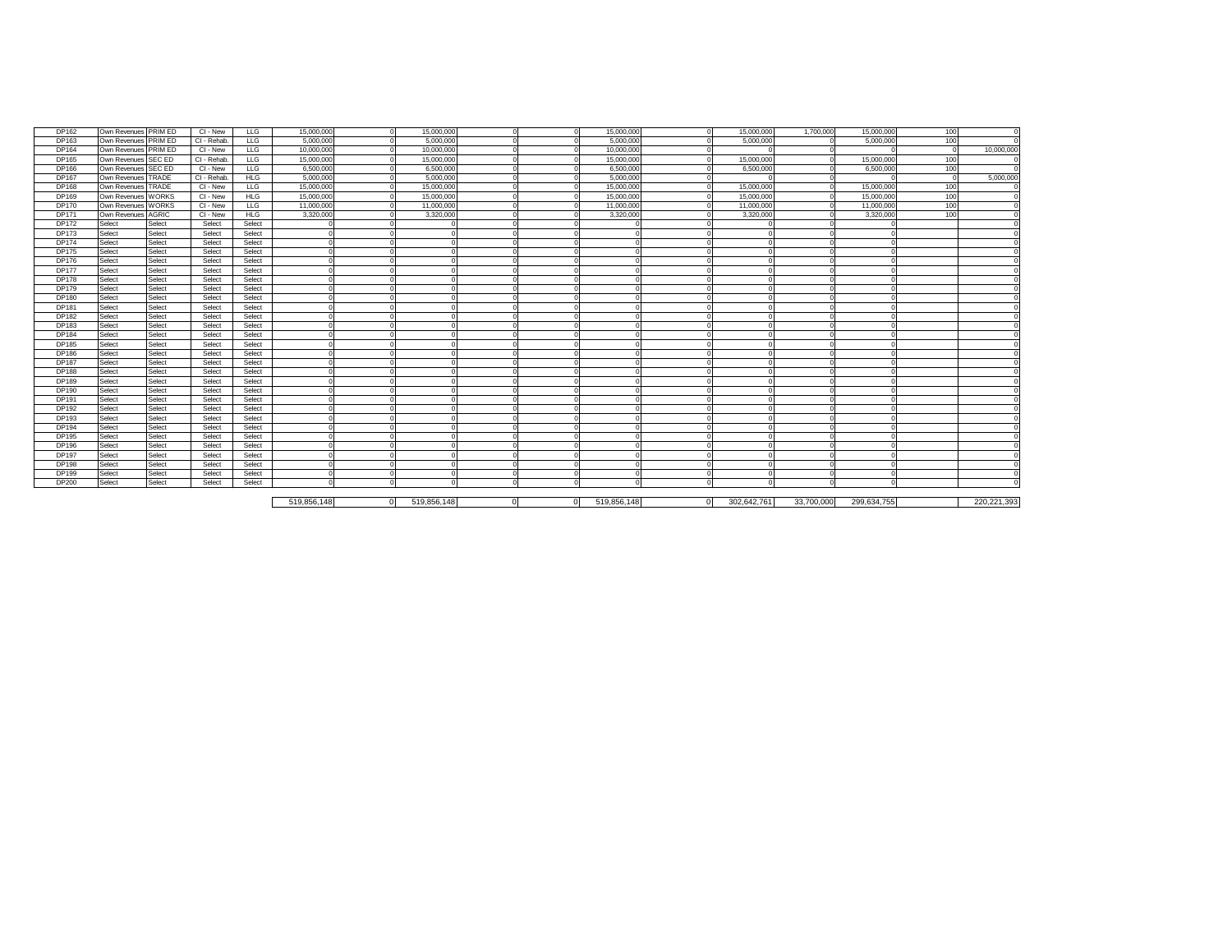| DP162        | Own Revenues PRIM ED |        | CI - New    | <b>LLG</b> | 15,000,000  | 15,000,000        |           |    | 15,000,000        |                | 15,000,000  | 1,700,000  | 15,000,000  | 100              |               |
|--------------|----------------------|--------|-------------|------------|-------------|-------------------|-----------|----|-------------------|----------------|-------------|------------|-------------|------------------|---------------|
| DP163        | Own Revenues PRIM ED |        | CI - Rehab. | LLG        | 5,000,000   | 5,000,000         |           |    | 5,000,000         |                | 5,000,000   |            | 5,000,000   | 100              |               |
| <b>DP164</b> | Own Revenues PRIM ED |        | CI - New    | <b>LLG</b> | 10,000,000  | 10,000,000        |           |    | 10,000,000        |                |             |            |             | $\Omega$         | 10,000,000    |
| <b>DP165</b> | Own Revenues SEC ED  |        | CI - Rehab. | <b>LLG</b> | 15,000,000  | 15,000,000        |           |    | 15,000,000        |                | 15,000,000  |            | 15,000,000  | 100              |               |
| <b>DP166</b> | Own Revenues SEC ED  |        | CI - New    | <b>LLG</b> | 6,500,000   |                   | 6,500,000 |    | 6,500,000         |                | 6,500,000   |            | 6,500,00    | $\overline{100}$ |               |
| <b>DP167</b> | Own Revenues TRADE   |        | CI - Rehab. | HLG        | 5,000,000   | 5,000,000         |           |    | 5,000,000         |                |             |            |             | 0                | 5,000,000     |
| <b>DP168</b> | Own Revenues TRADE   |        | CI - New    | <b>LLG</b> | 15,000,000  | 15,000,000        |           |    | 15,000,000        |                | 15,000,000  |            | 15,000,000  | 100              |               |
| DP169        | Own Revenues WORKS   |        | CI - New    | <b>HLG</b> | 15,000,000  | 15,000,000        |           |    | 15,000,000        |                | 15,000,000  |            | 15,000,000  | 100              |               |
| <b>DP170</b> | Own Revenues WORKS   |        | CI - New    | <b>LLG</b> | 11,000,000  | 11,000,000        |           |    | 11,000,000        |                | 11,000,000  |            | 11,000,00   | 100              |               |
| <b>DP171</b> | Own Revenues AGRIC   |        | CI - New    | HLG        | 3,320,000   |                   | 3,320,000 |    | 3,320,000         |                | 3,320,000   |            | 3,320,00    | 100              |               |
| <b>DP172</b> | Select               | Select | Select      | Select     |             |                   |           |    |                   |                |             |            |             |                  |               |
| <b>DP173</b> | Select               | Select | Select      | Select     |             |                   |           |    |                   |                |             |            |             |                  |               |
| <b>DP174</b> | Select               | Select | Select      | Select     | $\Omega$    |                   |           |    | $\Omega$          |                |             |            |             |                  |               |
| <b>DP175</b> | Select               | Select | Select      | Select     |             |                   |           |    |                   |                |             |            |             |                  |               |
| <b>DP176</b> | Select               | Select | Select      | Select     |             |                   |           |    |                   |                |             |            |             |                  |               |
| <b>DP177</b> | Select               | Select | Select      | Select     |             |                   |           |    |                   |                |             |            |             |                  |               |
| <b>DP178</b> | Select               | Select | Select      | Select     |             |                   |           |    |                   |                |             |            |             |                  |               |
| <b>DP179</b> | Select               | Select | Select      | Select     |             |                   |           |    |                   |                |             |            |             |                  |               |
| <b>DP180</b> | Select               | Select | Select      | Select     |             |                   |           |    |                   |                |             |            |             |                  |               |
| <b>DP181</b> | Select               | Select | Select      | Select     |             |                   |           |    |                   |                |             |            |             |                  |               |
| <b>DP182</b> | Select               | Select | Select      | Select     |             |                   |           |    |                   |                |             |            |             |                  |               |
| DP183        | Select               | Select | Select      | Select     |             |                   |           |    |                   |                |             |            |             |                  |               |
| <b>DP184</b> | Select               | Select | Select      | Select     |             |                   |           |    | $\Omega$          |                |             |            |             |                  |               |
| DP185        | Select               | Select | Select      | Select     |             |                   |           |    |                   |                |             |            |             |                  |               |
| DP186        | Select               | Select | Select      | Select     |             |                   |           |    |                   |                |             |            |             |                  |               |
| <b>DP187</b> | Select               | Select | Select      | Select     |             |                   |           |    |                   |                |             |            |             |                  |               |
| <b>DP188</b> | Select               | Select | Select      | Select     |             |                   |           |    |                   |                |             |            |             |                  |               |
| <b>DP189</b> | Select               | Select | Select      | Select     |             |                   |           |    |                   |                |             |            |             |                  |               |
| <b>DP190</b> | Select               | Select | Select      | Select     |             |                   |           |    | $\Omega$          |                |             |            |             |                  |               |
| DP191        | Select               | Select | Select      | Select     |             |                   |           |    |                   |                |             |            |             |                  |               |
| DP192        | Select               | Select | Select      | Select     |             |                   |           |    |                   |                |             |            |             |                  |               |
| <b>DP193</b> | Select               | Select | Select      | Select     |             |                   |           |    |                   |                |             |            |             |                  |               |
| <b>DP194</b> | Select               | Select | Select      | Select     |             |                   |           |    | $\Omega$          |                |             |            |             |                  |               |
| <b>DP195</b> | Select               | Select | Select      | Select     |             |                   |           |    |                   |                |             |            |             |                  |               |
| <b>DP196</b> | Select               | Select | Select      | Select     |             |                   |           |    |                   |                |             |            |             |                  |               |
| <b>DP197</b> | Select               | Select | Select      | Select     |             |                   |           |    |                   |                |             |            |             |                  |               |
| <b>DP198</b> | Select               | Select | Select      | Select     |             |                   |           |    |                   |                |             |            |             |                  |               |
| <b>DP199</b> | Select               | Select | Select      | Select     |             |                   |           |    |                   |                |             |            |             |                  |               |
| <b>DP200</b> | Select               | Select | Select      | Select     | $\Omega$    |                   |           |    | $\Omega$          |                | ſ           |            |             |                  |               |
|              |                      |        |             |            |             |                   |           |    |                   |                |             |            |             |                  |               |
|              |                      |        |             |            | 519,856,148 | 519,856,148<br> 0 |           | 01 | 519,856,148<br> 0 | $\overline{0}$ | 302,642,761 | 33,700,000 | 299,634,755 |                  | 220, 221, 393 |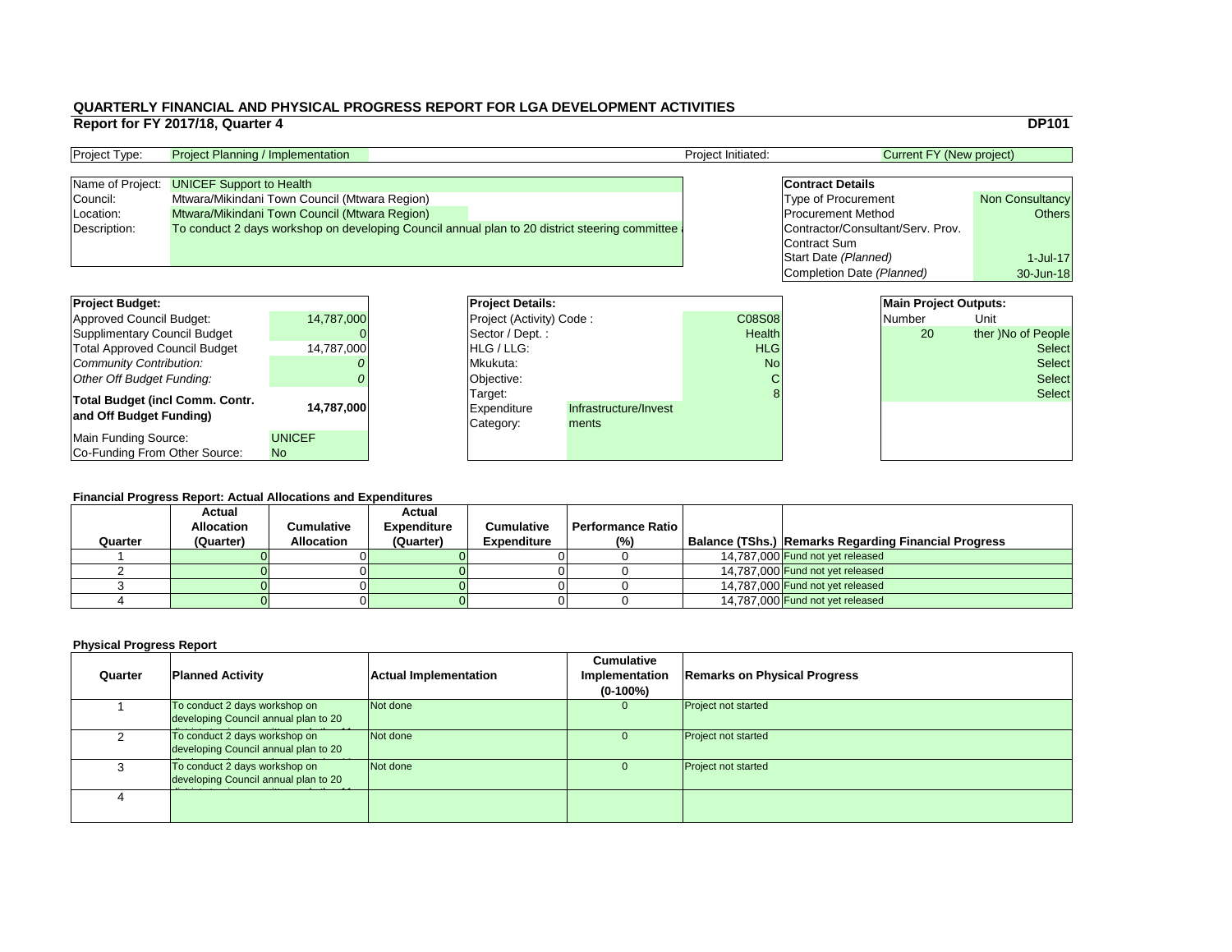|                          |                                   |                                 | <b>DP101</b>           |
|--------------------------|-----------------------------------|---------------------------------|------------------------|
|                          |                                   | <b>Current FY (New project)</b> |                        |
|                          |                                   |                                 |                        |
|                          | <b>Contract Details</b>           |                                 |                        |
|                          | <b>Type of Procurement</b>        |                                 | <b>Non Consultancy</b> |
|                          | <b>Procurement Method</b>         |                                 | Others                 |
|                          | Contractor/Consultant/Serv. Prov. |                                 |                        |
|                          | <b>Contract Sum</b>               |                                 |                        |
|                          | Start Date (Planned)              |                                 | $1$ -Jul-17            |
|                          | Completion Date (Planned)         |                                 | 30-Jun-18              |
|                          |                                   |                                 |                        |
|                          |                                   | <b>Main Project Outputs:</b>    |                        |
| $\overline{\mathrm{)}8}$ |                                   | <b>Number</b>                   | Unit                   |
| th                       |                                   | 20                              | ther )No of People     |
| G                        |                                   |                                 | <b>Select</b>          |
| ΛÓ                       |                                   |                                 | <b>Select</b>          |
| $\cap$                   |                                   |                                 | tممام                  |

| <b>Project Type:</b> | <b>Project Planning / Implementation</b>                                                       | <b>Project Initiated:</b> | Current FY (New project)          |                        |
|----------------------|------------------------------------------------------------------------------------------------|---------------------------|-----------------------------------|------------------------|
|                      |                                                                                                |                           |                                   |                        |
|                      | Name of Project: UNICEF Support to Health                                                      |                           | <b>Contract Details</b>           |                        |
| Council:             | Mtwara/Mikindani Town Council (Mtwara Region)                                                  |                           | <b>Type of Procurement</b>        | <b>Non Consultancy</b> |
| Location:            | Mtwara/Mikindani Town Council (Mtwara Region)                                                  |                           | <b>Procurement Method</b>         | Others                 |
| Description:         | To conduct 2 days workshop on developing Council annual plan to 20 district steering committee |                           | Contractor/Consultant/Serv. Prov. |                        |
|                      |                                                                                                |                           | Contract Sum                      |                        |

### **Financial Progress Report: Actual Allocations and Expenditures**

| <b>Project Budget:</b>                                            |                            |                 | <b>Project Details:</b>                    |                                | <b>Main Project Outputs:</b> |               |                    |               |
|-------------------------------------------------------------------|----------------------------|-----------------|--------------------------------------------|--------------------------------|------------------------------|---------------|--------------------|---------------|
| Approved Council Budget:                                          | 14,787,000                 |                 | <b>Project (Activity) Code:</b>            |                                |                              | <b>C08S08</b> | Number             | Unit          |
| Supplimentary Council Budget                                      |                            | Sector / Dept.: |                                            | <b>Health</b>                  |                              | <b>20</b>     | ther )No of People |               |
| <b>Total Approved Council Budget</b>                              | 14,787,000                 |                 | <b>HLG/LLG:</b>                            |                                | <b>HLG</b>                   |               |                    | <b>Select</b> |
| Community Contribution:                                           |                            |                 | Mkukuta:                                   |                                | <b>No</b>                    |               |                    | <b>Select</b> |
| Other Off Budget Funding:                                         |                            |                 | Objective:                                 |                                |                              |               |                    | <b>Select</b> |
| <b>Total Budget (incl Comm. Contr.</b><br>and Off Budget Funding) | 14,787,000                 |                 | Target:<br><b>Expenditure</b><br>Category: | Infrastructure/Invest<br>ments |                              |               |                    | <b>Select</b> |
| Main Funding Source:<br>Co-Funding From Other Source:             | <b>UNICEF</b><br><b>No</b> |                 |                                            |                                |                              |               |                    |               |

### **Physical Progress Report**

| <b>Project Details:</b>  |                       |               |  | <b>Main Project Outputs:</b> |                    |
|--------------------------|-----------------------|---------------|--|------------------------------|--------------------|
| Project (Activity) Code: |                       | <b>C08S08</b> |  | <b>Number</b>                | Unit               |
| Sector / Dept.:          |                       | <b>Health</b> |  | <b>20</b>                    | ther )No of People |
| HLG / LLG:               |                       | <b>HLG</b>    |  |                              | <b>Select</b>      |
| Mkukuta:                 |                       | No            |  |                              | <b>Select</b>      |
| Objective:               |                       | $\mathsf C$   |  |                              | <b>Select</b>      |
| Target:                  |                       | 8             |  |                              | <b>Select</b>      |
| Expenditure              | Infrastructure/Invest |               |  |                              |                    |
| Category:                | ments                 |               |  |                              |                    |
|                          |                       |               |  |                              |                    |
|                          |                       |               |  |                              |                    |

|         | I Mancial FTOGLESS REPORT. ACLUAI ANOCALIONS ANU LADENUILUI ES |                   |                    |                    |                          |                                                             |
|---------|----------------------------------------------------------------|-------------------|--------------------|--------------------|--------------------------|-------------------------------------------------------------|
|         | <b>Actual</b>                                                  |                   | <b>Actual</b>      |                    |                          |                                                             |
|         | <b>Allocation</b>                                              | Cumulative        | <b>Expenditure</b> | <b>Cumulative</b>  | <b>Performance Ratio</b> |                                                             |
| Quarter | (Quarter)                                                      | <b>Allocation</b> | (Quarter)          | <b>Expenditure</b> | $(\%)$                   | <b>Balance (TShs.) Remarks Regarding Financial Progress</b> |
|         |                                                                |                   |                    |                    |                          | 14,787,000 Fund not yet released                            |
|         |                                                                |                   |                    |                    |                          | 14,787,000 Fund not yet released                            |
|         |                                                                |                   |                    |                    |                          | 14,787,000 Fund not yet released                            |
|         |                                                                |                   |                    |                    |                          | 14,787,000 Fund not yet released                            |

| <b>Quarter</b> | <b>Planned Activity</b>                                               | <b>Actual Implementation</b> | <b>Cumulative</b><br>Implementation<br>$(0-100\%)$ | <b>Remarks on Ph</b>       |
|----------------|-----------------------------------------------------------------------|------------------------------|----------------------------------------------------|----------------------------|
|                | To conduct 2 days workshop on<br>developing Council annual plan to 20 | Not done                     | $\Omega$                                           | <b>Project not started</b> |
| $\mathcal{P}$  | To conduct 2 days workshop on<br>developing Council annual plan to 20 | Not done                     | $\overline{0}$                                     | <b>Project not started</b> |
| 3              | To conduct 2 days workshop on<br>developing Council annual plan to 20 | Not done                     | $\Omega$                                           | <b>Project not started</b> |
| 4              |                                                                       |                              |                                                    |                            |

# **Planned Activity Remarks on Physical Progress**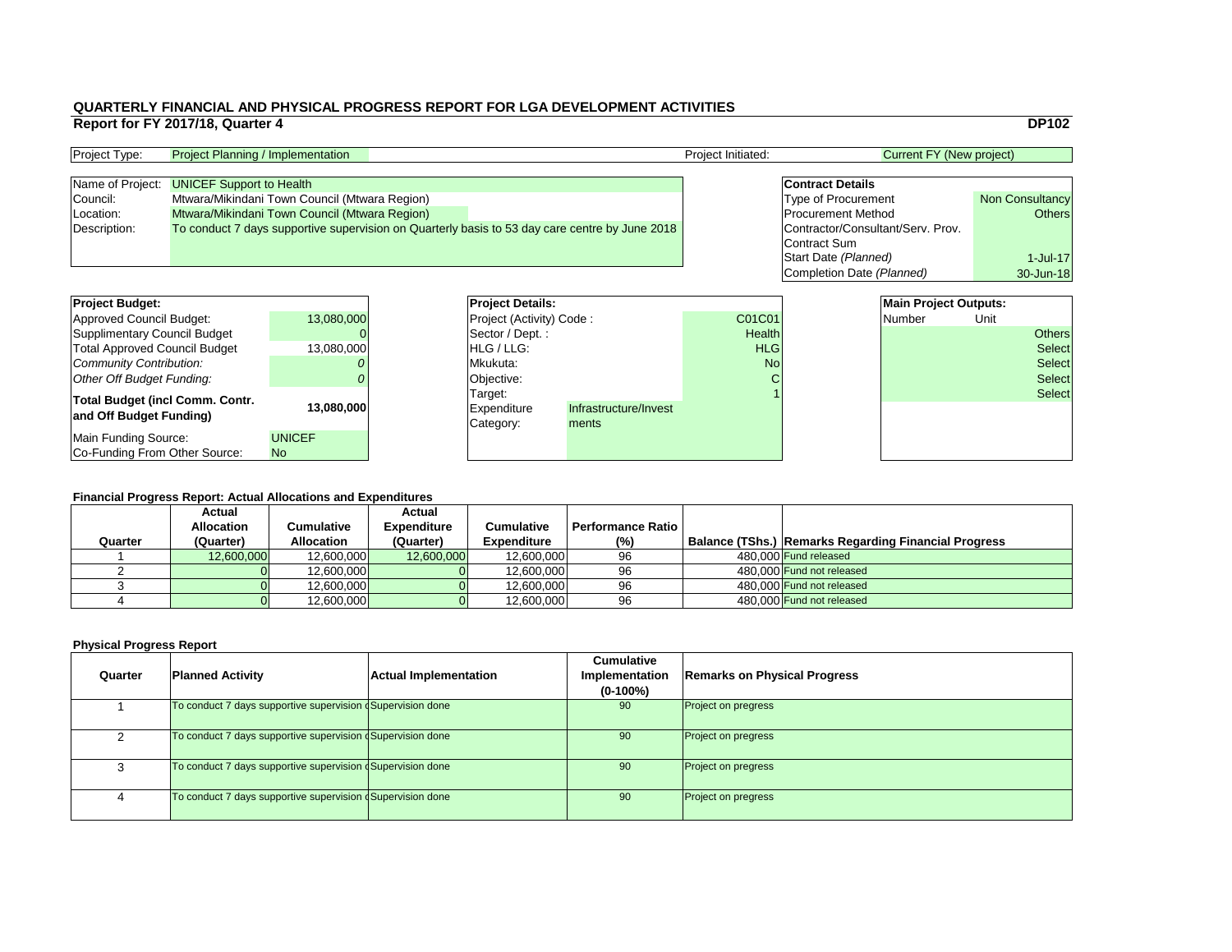|                                   | <b>DP102</b>           |
|-----------------------------------|------------------------|
| <b>Current FY (New project)</b>   |                        |
|                                   |                        |
| <b>Contract Details</b>           |                        |
| <b>Type of Procurement</b>        | <b>Non Consultancy</b> |
| <b>Procurement Method</b>         | <b>Others</b>          |
| Contractor/Consultant/Serv. Prov. |                        |
| <b>Contract Sum</b>               |                        |
| Start Date (Planned)              | $1$ -Jul-17            |
| Completion Date (Planned)         | 30-Jun-18              |
|                                   |                        |
| <b>Main Project Outputs:</b>      |                        |
|                                   |                        |

### **Financial Progress Report: Actual Allocations and Expenditures**

| <b>Project Budget:</b>                 |               |  | <b>Project Details:</b>         |                       |               | <b>Main Project Outputs:</b> |        |      |               |
|----------------------------------------|---------------|--|---------------------------------|-----------------------|---------------|------------------------------|--------|------|---------------|
| <b>Approved Council Budget:</b>        | 13,080,000    |  | <b>Project (Activity) Code:</b> |                       | C01C01        |                              | Number | Unit |               |
| <b>Supplimentary Council Budget</b>    |               |  | Sector / Dept.:                 |                       | <b>Health</b> |                              |        |      | <b>Others</b> |
| <b>Total Approved Council Budget</b>   | 13,080,000    |  | <b>HLG</b> / LLG:               |                       | <b>HLG</b>    |                              |        |      | <b>Select</b> |
| <b>Community Contribution:</b>         |               |  | Mkukuta:                        |                       | <b>No</b>     |                              |        |      | Select        |
| <b>Other Off Budget Funding:</b>       |               |  | Objective:                      |                       |               |                              |        |      | <b>Select</b> |
| <b>Total Budget (incl Comm. Contr.</b> |               |  | Target:                         |                       |               |                              |        |      | Select        |
| and Off Budget Funding)                | 13,080,000    |  | <b>Expenditure</b>              | Infrastructure/Invest |               |                              |        |      |               |
|                                        |               |  | Category:                       | ments                 |               |                              |        |      |               |
| <b>Main Funding Source:</b>            | <b>UNICEF</b> |  |                                 |                       |               |                              |        |      |               |
| Co-Funding From Other Source:          | <b>No</b>     |  |                                 |                       |               |                              |        |      |               |

| <b>Project Type:</b> | <b>Project Planning / Implementation</b>                                                       | <b>Project Initiated:</b> | Current FY (New project)          |                        |
|----------------------|------------------------------------------------------------------------------------------------|---------------------------|-----------------------------------|------------------------|
|                      |                                                                                                |                           |                                   |                        |
| Name of Project:     | <b>UNICEF Support to Health</b>                                                                |                           | <b>Contract Details</b>           |                        |
| Council:             | Mtwara/Mikindani Town Council (Mtwara Region)                                                  |                           | <b>Type of Procurement</b>        | <b>Non Consultancy</b> |
| Location:            | Mtwara/Mikindani Town Council (Mtwara Region)                                                  |                           | <b>Procurement Method</b>         | Others                 |
| Description:         | To conduct 7 days supportive supervision on Quarterly basis to 53 day care centre by June 2018 |                           | Contractor/Consultant/Serv. Prov. |                        |
|                      |                                                                                                |                           | Contract Sum                      |                        |

| <b>Project Budget:</b>                                     |               | <b>Project Deta</b>                 |
|------------------------------------------------------------|---------------|-------------------------------------|
| <b>Approved Council Budget:</b>                            | 13,080,000    | <b>Project (Activ</b>               |
| <b>Supplimentary Council Budget</b>                        |               | Sector / Dep                        |
| <b>Total Approved Council Budget</b>                       | 13,080,000    | HLG / LLG:                          |
| <b>Community Contribution:</b>                             |               | Mkukuta:                            |
| <b>Other Off Budget Funding:</b>                           |               | Objective:                          |
| Total Budget (incl Comm. Contr.<br>and Off Budget Funding) | 13,080,000    | Target:<br>Expenditure<br>Category: |
| <b>Main Funding Source:</b>                                | <b>UNICEF</b> |                                     |
| Co-Funding From Other Source:                              | <b>No</b>     |                                     |

|         | <b>Actual</b>     |                   | <b>Actual</b>      |                    |                   |                                                             |
|---------|-------------------|-------------------|--------------------|--------------------|-------------------|-------------------------------------------------------------|
|         | <b>Allocation</b> | Cumulative        | <b>Expenditure</b> | <b>Cumulative</b>  | Performance Ratio |                                                             |
| Quarter | (Quarter)         | <b>Allocation</b> | (Quarter)          | <b>Expenditure</b> | $(\%)$            | <b>Balance (TShs.) Remarks Regarding Financial Progress</b> |
|         | 12,600,000        | 12,600,000        | 12,600,000         | 12,600,000         | 96                | 480,000 Fund released                                       |
|         |                   | 12,600,000        |                    | 12,600,000         | 96                | 480,000 Fund not released                                   |
|         |                   | 12,600,000        |                    | 12,600,000         | 96                | 480,000 Fund not released                                   |
|         |                   | 12,600,000        |                    | 12,600,000         | 96                | 480,000 Fund not released                                   |

| Quarter | <b>Planned Activity</b>                                                 | <b>Actual Implementation</b> | <b>Cumulative</b><br>Implementation<br>$(0-100\%)$ | <b>Remarks on Physical Progress</b> |
|---------|-------------------------------------------------------------------------|------------------------------|----------------------------------------------------|-------------------------------------|
|         | To conduct 7 days supportive supervision $\frac{1}{2}$ Supervision done |                              | 90                                                 | <b>Project on pregress</b>          |
|         | To conduct 7 days supportive supervision $\frac{1}{2}$ Supervision done |                              | 90                                                 | <b>Project on pregress</b>          |
|         | To conduct 7 days supportive supervision (Supervision done              |                              | 90                                                 | <b>Project on pregress</b>          |
|         | To conduct 7 days supportive supervision dSupervision done              |                              | 90                                                 | <b>Project on pregress</b>          |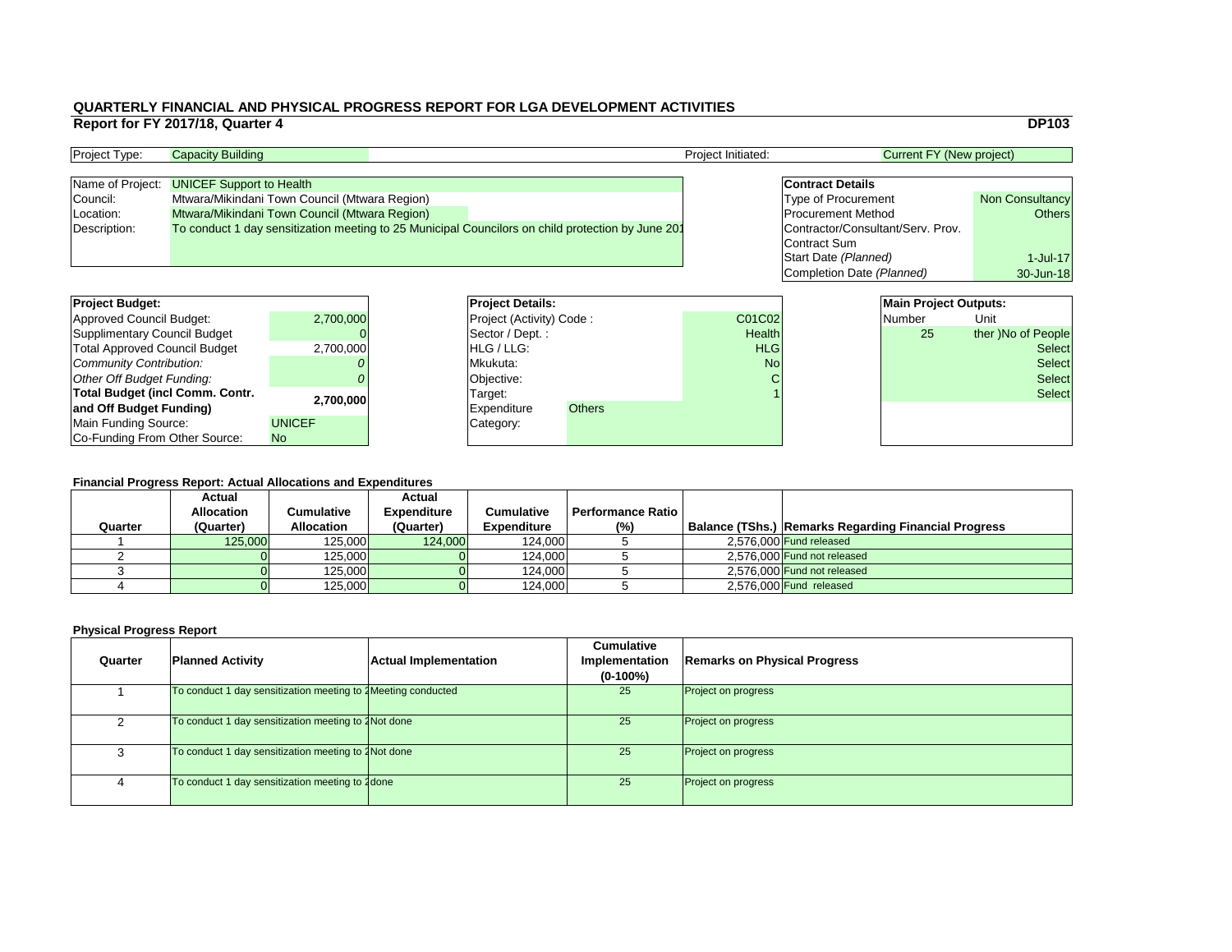|                                   | <b>DP103</b>           |  |  |  |  |  |  |
|-----------------------------------|------------------------|--|--|--|--|--|--|
| <b>Current FY (New project)</b>   |                        |  |  |  |  |  |  |
|                                   |                        |  |  |  |  |  |  |
| <b>Contract Details</b>           |                        |  |  |  |  |  |  |
| <b>Type of Procurement</b>        | <b>Non Consultancy</b> |  |  |  |  |  |  |
| <b>Procurement Method</b>         | <b>Others</b>          |  |  |  |  |  |  |
| Contractor/Consultant/Serv. Prov. |                        |  |  |  |  |  |  |
| <b>Contract Sum</b>               |                        |  |  |  |  |  |  |
| Start Date (Planned)              | $1$ -Jul-17            |  |  |  |  |  |  |
| Completion Date (Planned)         | 30-Jun-18              |  |  |  |  |  |  |
|                                   |                        |  |  |  |  |  |  |
| <b>Main Project Outputs:</b>      |                        |  |  |  |  |  |  |

### **Financial Progress Report: Actual Allocations and Expenditures**

| <b>Project Budget:</b>                 |               |                                 | <b>Project Details:</b> |               |               | <b>Main Project Outputs:</b> |      |                    |
|----------------------------------------|---------------|---------------------------------|-------------------------|---------------|---------------|------------------------------|------|--------------------|
| <b>Approved Council Budget:</b>        | 2,700,000     | <b>Project (Activity) Code:</b> |                         | <b>C01C02</b> |               | <b>Number</b>                | Unit |                    |
| <b>Supplimentary Council Budget</b>    |               |                                 | Sector / Dept.:         |               | <b>Health</b> |                              | 25   | ther )No of People |
| <b>Total Approved Council Budget</b>   | 2,700,000     |                                 | <b>HLG/LLG:</b>         |               | <b>HLG</b>    |                              |      | <b>Select</b>      |
| <b>Community Contribution:</b>         |               | Mkukuta:                        |                         | <b>No</b>     |               | <b>Select</b>                |      |                    |
| <b>Other Off Budget Funding:</b>       |               |                                 | Objective:              |               |               |                              |      | <b>Select</b>      |
| <b>Total Budget (incl Comm. Contr.</b> |               |                                 | Target:                 |               |               |                              |      | <b>Select</b>      |
| and Off Budget Funding)                | 2,700,000     |                                 | Expenditure             | <b>Others</b> |               |                              |      |                    |
| <b>Main Funding Source:</b>            | <b>UNICEF</b> |                                 | Category:               |               |               |                              |      |                    |
| Co-Funding From Other Source:          | No            |                                 |                         |               |               |                              |      |                    |

| <b>Project Type:</b> | <b>Capacity Building</b>                                                                          | <b>Project Initiated:</b> | Current FY (New project)          |                        |
|----------------------|---------------------------------------------------------------------------------------------------|---------------------------|-----------------------------------|------------------------|
|                      |                                                                                                   |                           |                                   |                        |
|                      | Name of Project: UNICEF Support to Health                                                         |                           | <b>Contract Details</b>           |                        |
| Council:             | Mtwara/Mikindani Town Council (Mtwara Region)                                                     |                           | <b>Type of Procurement</b>        | <b>Non Consultancy</b> |
| Location:            | Mtwara/Mikindani Town Council (Mtwara Region)                                                     |                           | <b>Procurement Method</b>         | Others                 |
| Description:         | To conduct 1 day sensitization meeting to 25 Municipal Councilors on child protection by June 201 |                           | Contractor/Consultant/Serv. Prov. |                        |
|                      |                                                                                                   |                           | Contract Sum                      |                        |

| <b>Project Budget:</b>                 |               | <b>Project Deta</b>   |  |
|----------------------------------------|---------------|-----------------------|--|
| <b>Approved Council Budget:</b>        | 2,700,000     | <b>Project (Activ</b> |  |
| <b>Supplimentary Council Budget</b>    |               | Sector / Dep          |  |
| <b>Total Approved Council Budget</b>   | 2,700,000     | HLG / LLG:            |  |
| Community Contribution:                |               | Mkukuta:              |  |
| Other Off Budget Funding:              |               | Objective:            |  |
| <b>Total Budget (incl Comm. Contr.</b> | 2,700,000     | Target:               |  |
| and Off Budget Funding)                |               | <b>Expenditure</b>    |  |
| Main Funding Source:                   | <b>UNICEF</b> | Category:             |  |
| Co-Funding From Other Source:          | <b>No</b>     |                       |  |

| Quarter | <b>Actual</b><br><b>Allocation</b><br>(Quarter) | Cumulative<br><b>Allocation</b> | <b>Actual</b><br><b>Expenditure</b><br>(Quarter) | <b>Cumulative</b><br><b>Expenditure</b> | <b>Performance Ratio</b><br>(%) | <b>Balance (TShs.) Remarks Regarding Financial Progress</b> |
|---------|-------------------------------------------------|---------------------------------|--------------------------------------------------|-----------------------------------------|---------------------------------|-------------------------------------------------------------|
|         | 125,000                                         | 125,000                         | 124,000                                          | 124,000                                 |                                 | 2,576,000 Fund released                                     |
|         |                                                 | 125,000                         |                                                  | 124,000                                 |                                 | 2,576,000 Fund not released                                 |
|         |                                                 | 125,000                         |                                                  | 124,000                                 |                                 | 2,576,000 Fund not released                                 |
|         |                                                 | 125,000                         |                                                  | 124,000                                 |                                 | 2,576,000 Fund released                                     |

| Quarter | <b>Planned Activity</b>                                       | <b>Actual Implementation</b> | <b>Cumulative</b><br>Implementation<br>$(0-100\%)$ | <b>Remarks on Physical Progress</b> |
|---------|---------------------------------------------------------------|------------------------------|----------------------------------------------------|-------------------------------------|
|         | To conduct 1 day sensitization meeting to 1 Meeting conducted |                              | 25                                                 | <b>Project on progress</b>          |
|         | To conduct 1 day sensitization meeting to 4Not done           |                              | 25                                                 | <b>Project on progress</b>          |
|         | To conduct 1 day sensitization meeting to 2Not done           |                              | 25                                                 | <b>Project on progress</b>          |
|         | To conduct 1 day sensitization meeting to 1done               |                              | 25                                                 | <b>Project on progress</b>          |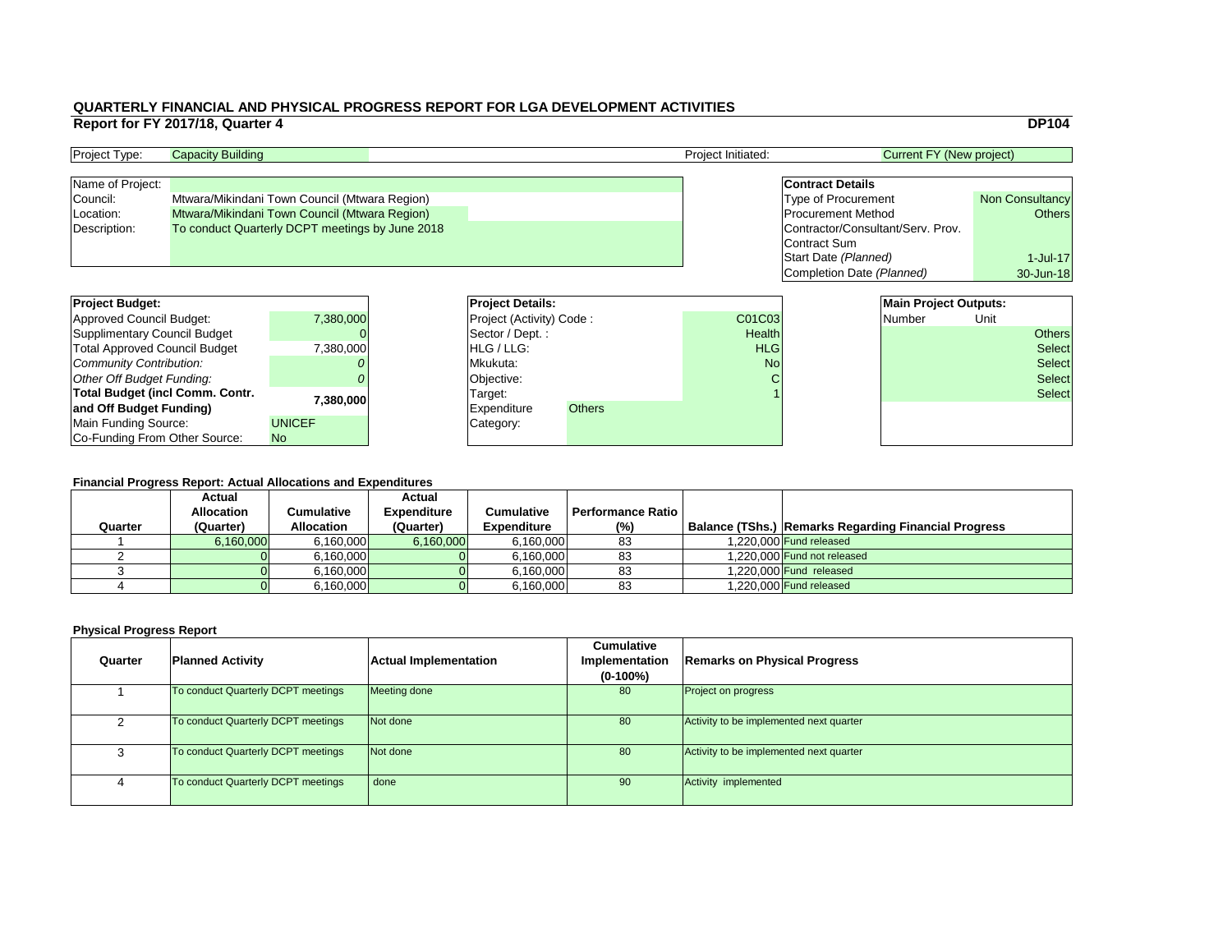|                                             | <b>DP104</b>           |
|---------------------------------------------|------------------------|
| <b>Current FY (New project)</b>             |                        |
| <b>Contract Details</b>                     |                        |
| <b>Type of Procurement</b>                  | <b>Non Consultancy</b> |
| <b>Procurement Method</b>                   | <b>Others</b>          |
| Contractor/Consultant/Serv. Prov.           |                        |
| <b>Contract Sum</b><br>Start Date (Planned) | $1$ -Jul-17            |
| Completion Date (Planned)                   | 30-Jun-18              |
|                                             |                        |

### **Financial Progress Report: Actual Allocations and Expenditures**

| <b>Project Type:</b> | <b>Capacity Building</b>                        |  |  | <b>Project Initiated:</b> | Current FY (New project)          |                        |
|----------------------|-------------------------------------------------|--|--|---------------------------|-----------------------------------|------------------------|
|                      |                                                 |  |  |                           |                                   |                        |
| Name of Project:     |                                                 |  |  |                           | <b>Contract Details</b>           |                        |
| Council:             | Mtwara/Mikindani Town Council (Mtwara Region)   |  |  |                           | <b>Type of Procurement</b>        | <b>Non Consultancy</b> |
| Location:            | Mtwara/Mikindani Town Council (Mtwara Region)   |  |  |                           | <b>Procurement Method</b>         | Others                 |
| Description:         | To conduct Quarterly DCPT meetings by June 2018 |  |  |                           | Contractor/Consultant/Serv. Prov. |                        |
|                      |                                                 |  |  |                           | Contract Sum                      |                        |

| <b>Project Budget:</b>                 |               | <b>Project Details:</b>         |                                       |               | <b>Main Project Outputs:</b> |  |        |               |               |
|----------------------------------------|---------------|---------------------------------|---------------------------------------|---------------|------------------------------|--|--------|---------------|---------------|
| <b>Approved Council Budget:</b>        | 7,380,000     | <b>Project (Activity) Code:</b> |                                       |               | <b>C01C03</b>                |  | Number | Unit          |               |
| <b>Supplimentary Council Budget</b>    |               |                                 | $\sqrt{\text{Sector}/\text{Depth}}$ : |               | <b>Health</b>                |  |        |               | <b>Others</b> |
| <b>Total Approved Council Budget</b>   | 7.380.000     | <b>HLG/LLG:</b>                 |                                       |               | <b>HLG</b>                   |  |        |               | <b>Select</b> |
| <b>Community Contribution:</b>         |               | Mkukuta:                        |                                       | <b>No</b>     |                              |  |        | <b>Select</b> |               |
| <b>Other Off Budget Funding:</b>       |               |                                 | Objective:                            |               |                              |  |        |               | <b>Select</b> |
| <b>Total Budget (incl Comm. Contr.</b> |               |                                 | Target:                               |               |                              |  |        |               | <b>Select</b> |
| and Off Budget Funding)                | 7,380,000     |                                 | <b>Expenditure</b>                    | <b>Others</b> |                              |  |        |               |               |
| <b>Main Funding Source:</b>            | <b>UNICEF</b> |                                 | Category:                             |               |                              |  |        |               |               |
| Co-Funding From Other Source:          | <b>No</b>     |                                 |                                       |               |                              |  |        |               |               |

| <b>Project Budget:</b>                 |               | <b>Project Deta</b>   |
|----------------------------------------|---------------|-----------------------|
| <b>Approved Council Budget:</b>        | 7,380,000     | <b>Project (Activ</b> |
| <b>Supplimentary Council Budget</b>    |               | Sector / Dep          |
| <b>Total Approved Council Budget</b>   | 7,380,000     | HLG / LLG:            |
| <b>Community Contribution:</b>         |               | Mkukuta:              |
| Other Off Budget Funding:              |               | Objective:            |
| <b>Total Budget (incl Comm. Contr.</b> | 7,380,000     | Target:               |
| and Off Budget Funding)                |               | <b>Expenditure</b>    |
| Main Funding Source:                   | <b>UNICEF</b> | Category:             |
| Co-Funding From Other Source:          | <b>No</b>     |                       |

| Quarter | <b>Actual</b><br><b>Allocation</b><br>(Quarter) | Cumulative<br><b>Allocation</b> | <b>Actual</b><br><b>Expenditure</b><br>(Quarter) | <b>Cumulative</b><br><b>Expenditure</b> | <b>Performance Ratio</b> I<br>$(\% )$ | <b>Balance (TShs.) Remarks Regarding Financial Progress</b> |
|---------|-------------------------------------------------|---------------------------------|--------------------------------------------------|-----------------------------------------|---------------------------------------|-------------------------------------------------------------|
|         | 6,160,000                                       | 6,160,000                       | 6,160,000                                        | 6,160,000                               | 83                                    | 1.220.000 Fund released                                     |
|         |                                                 | 6,160,000                       |                                                  | 6,160,000                               | 83                                    | 1,220,000 Fund not released                                 |
|         |                                                 | 6,160,000                       |                                                  | 6,160,000                               | 83                                    | 1.220.000 Fund released                                     |
|         |                                                 | 6,160,000                       |                                                  | 6,160,000                               | 83                                    | 1,220,000 <b>Fund released</b>                              |

| Quarter | <b>Planned Activity</b>            | <b>Actual Implementation</b> | <b>Cumulative</b><br><b>Implementation</b><br>$(0-100\%)$ | <b>Remarks on Physical Progress</b>     |
|---------|------------------------------------|------------------------------|-----------------------------------------------------------|-----------------------------------------|
|         | To conduct Quarterly DCPT meetings | Meeting done                 | 80                                                        | <b>Project on progress</b>              |
|         | To conduct Quarterly DCPT meetings | Not done                     | 80                                                        | Activity to be implemented next quarter |
|         | To conduct Quarterly DCPT meetings | Not done                     | 80                                                        | Activity to be implemented next quarter |
|         | To conduct Quarterly DCPT meetings | done                         | 90                                                        | Activity implemented                    |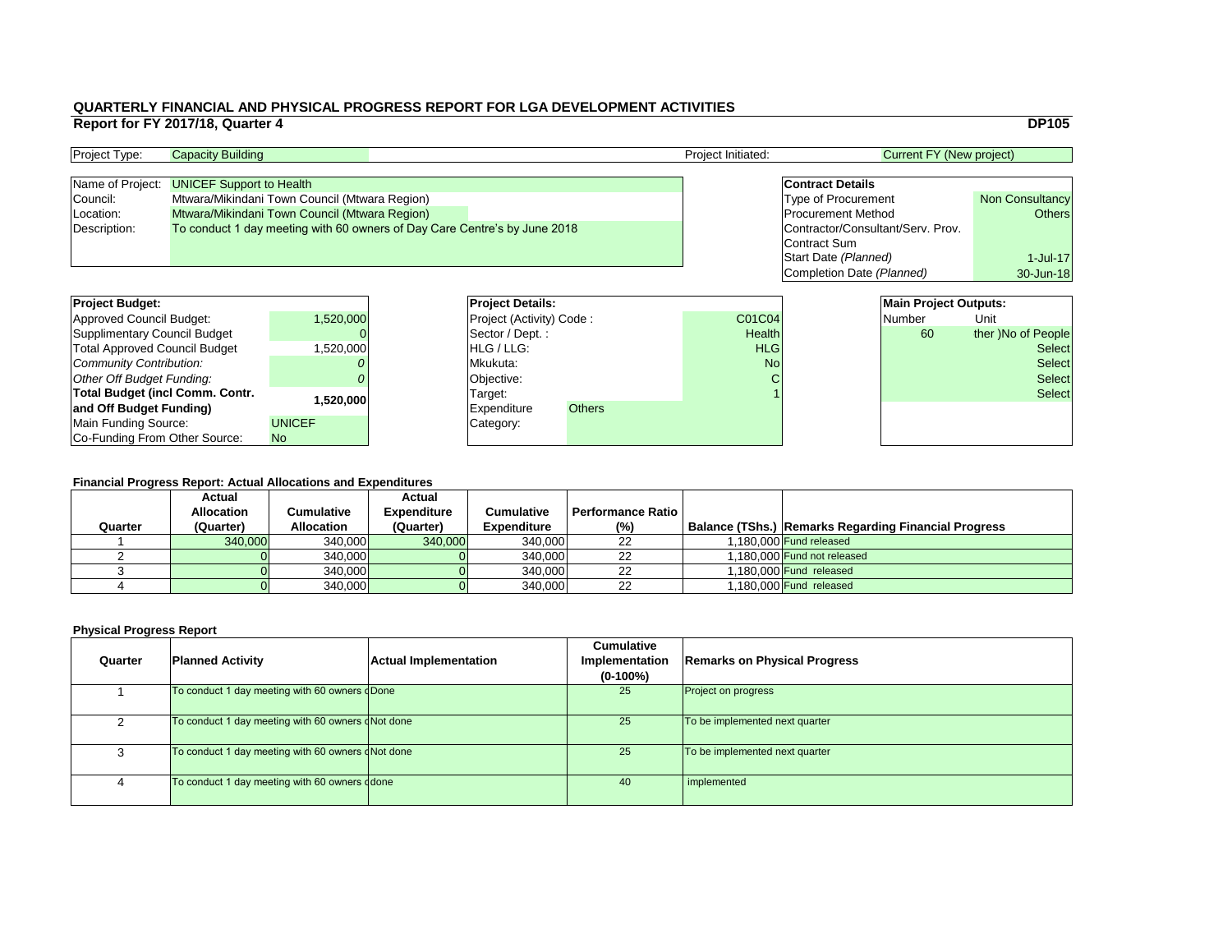|                                   | <b>DP105</b>           |
|-----------------------------------|------------------------|
| <b>Current FY (New project)</b>   |                        |
|                                   |                        |
| <b>Contract Details</b>           |                        |
| <b>Type of Procurement</b>        | <b>Non Consultancy</b> |
| <b>Procurement Method</b>         | <b>Others</b>          |
| Contractor/Consultant/Serv. Prov. |                        |
| <b>Contract Sum</b>               |                        |
| Start Date (Planned)              | $1$ -Jul-17            |
| Completion Date (Planned)         | 30-Jun-18              |
|                                   |                        |
| <b>Main Project Outputs:</b>      |                        |
| <b>Number</b>                     | Unit                   |

### **Financial Progress Report: Actual Allocations and Expenditures**

| <b>Project Budget:</b>                 |               | <b>Project Details:</b> |                                 |               | <b>Main Project Outputs:</b> |  |               |                    |
|----------------------------------------|---------------|-------------------------|---------------------------------|---------------|------------------------------|--|---------------|--------------------|
| <b>Approved Council Budget:</b>        | 1,520,000     |                         | <b>Project (Activity) Code:</b> |               | <b>C01C04</b>                |  | <b>Number</b> | Unit               |
| <b>Supplimentary Council Budget</b>    |               |                         | Sector / Dept.:                 |               | <b>Health</b>                |  | 60            | ther )No of People |
| <b>Total Approved Council Budget</b>   | 1,520,000     |                         | <b>HLG</b> / LLG:               |               | <b>HLG</b>                   |  |               | <b>Select</b>      |
| <b>Community Contribution:</b>         |               | Mkukuta:                |                                 | <b>No</b>     |                              |  | <b>Select</b> |                    |
| <b>Other Off Budget Funding:</b>       |               |                         | Objective:                      |               | C                            |  |               | <b>Select</b>      |
| <b>Total Budget (incl Comm. Contr.</b> |               |                         | Target:                         |               |                              |  |               | <b>Select</b>      |
| and Off Budget Funding)                | 1,520,000     |                         | <b>Expenditure</b>              | <b>Others</b> |                              |  |               |                    |
| <b>Main Funding Source:</b>            | <b>UNICEF</b> |                         | Category:                       |               |                              |  |               |                    |
| Co-Funding From Other Source:          | No            |                         |                                 |               |                              |  |               |                    |

| <b>Project Type:</b> | <b>Capacity Building</b>                                                  |  | Project Initiated: | <b>Current FY (New project)</b>   |                        |
|----------------------|---------------------------------------------------------------------------|--|--------------------|-----------------------------------|------------------------|
|                      |                                                                           |  |                    |                                   |                        |
|                      | Name of Project: UNICEF Support to Health                                 |  |                    | <b>Contract Details</b>           |                        |
| Council:             | Mtwara/Mikindani Town Council (Mtwara Region)                             |  |                    | <b>Type of Procurement</b>        | <b>Non Consultancy</b> |
| Location:            | Mtwara/Mikindani Town Council (Mtwara Region)                             |  |                    | <b>Procurement Method</b>         | Others                 |
| Description:         | To conduct 1 day meeting with 60 owners of Day Care Centre's by June 2018 |  |                    | Contractor/Consultant/Serv. Prov. |                        |
|                      |                                                                           |  |                    | Contract Sum                      |                        |

| <b>Project Budget:</b>                 |               | <b>Project Deta</b>   |
|----------------------------------------|---------------|-----------------------|
| <b>Approved Council Budget:</b>        | 1,520,000     | <b>Project (Activ</b> |
| <b>Supplimentary Council Budget</b>    |               | Sector / Dep          |
| <b>Total Approved Council Budget</b>   | 1,520,000     | HLG / LLG:            |
| <b>Community Contribution:</b>         |               | Mkukuta:              |
| Other Off Budget Funding:              |               | Objective:            |
| <b>Total Budget (incl Comm. Contr.</b> | 1,520,000     | Target:               |
| and Off Budget Funding)                |               | <b>Expenditure</b>    |
| <b>Main Funding Source:</b>            | <b>UNICEF</b> | Category:             |
| Co-Funding From Other Source:          | <b>No</b>     |                       |

| Quarter | <b>Actual</b><br><b>Allocation</b><br>(Quarter) | Cumulative<br><b>Allocation</b> | <b>Actual</b><br><b>Expenditure</b><br>(Quarter) | <b>Cumulative</b><br><b>Expenditure</b> | <b>Performance Ratio</b><br>$(\%)$ | <b>Balance (TShs.) Remarks Regarding Financial Progress</b> |
|---------|-------------------------------------------------|---------------------------------|--------------------------------------------------|-----------------------------------------|------------------------------------|-------------------------------------------------------------|
|         | 340,000                                         | 340,000                         | 340,000                                          | 340,000                                 | 22                                 | 1.180.000 Fund released                                     |
|         |                                                 | 340,000                         |                                                  | 340,000                                 | 22                                 | 1.180.000 Fund not released                                 |
|         |                                                 | 340,000                         |                                                  | 340,000                                 | 22                                 | 1.180.000 Fund released                                     |
|         |                                                 | 340,000                         |                                                  | 340,000                                 | 22                                 | 1,180,000 Fund released                                     |

| Quarter | <b>Planned Activity</b>                           | <b>Actual Implementation</b> | <b>Cumulative</b><br><b>Implementation</b><br>$(0-100\%)$ | <b>Remarks on Physical Progress</b> |
|---------|---------------------------------------------------|------------------------------|-----------------------------------------------------------|-------------------------------------|
|         | To conduct 1 day meeting with 60 owners dDone     |                              | 25                                                        | <b>Project on progress</b>          |
|         | To conduct 1 day meeting with 60 owners dNot done |                              | 25                                                        | To be implemented next quarter      |
|         | To conduct 1 day meeting with 60 owners dNot done |                              | 25                                                        | To be implemented next quarter      |
|         | To conduct 1 day meeting with 60 owners ddone     |                              | 40                                                        | implemented                         |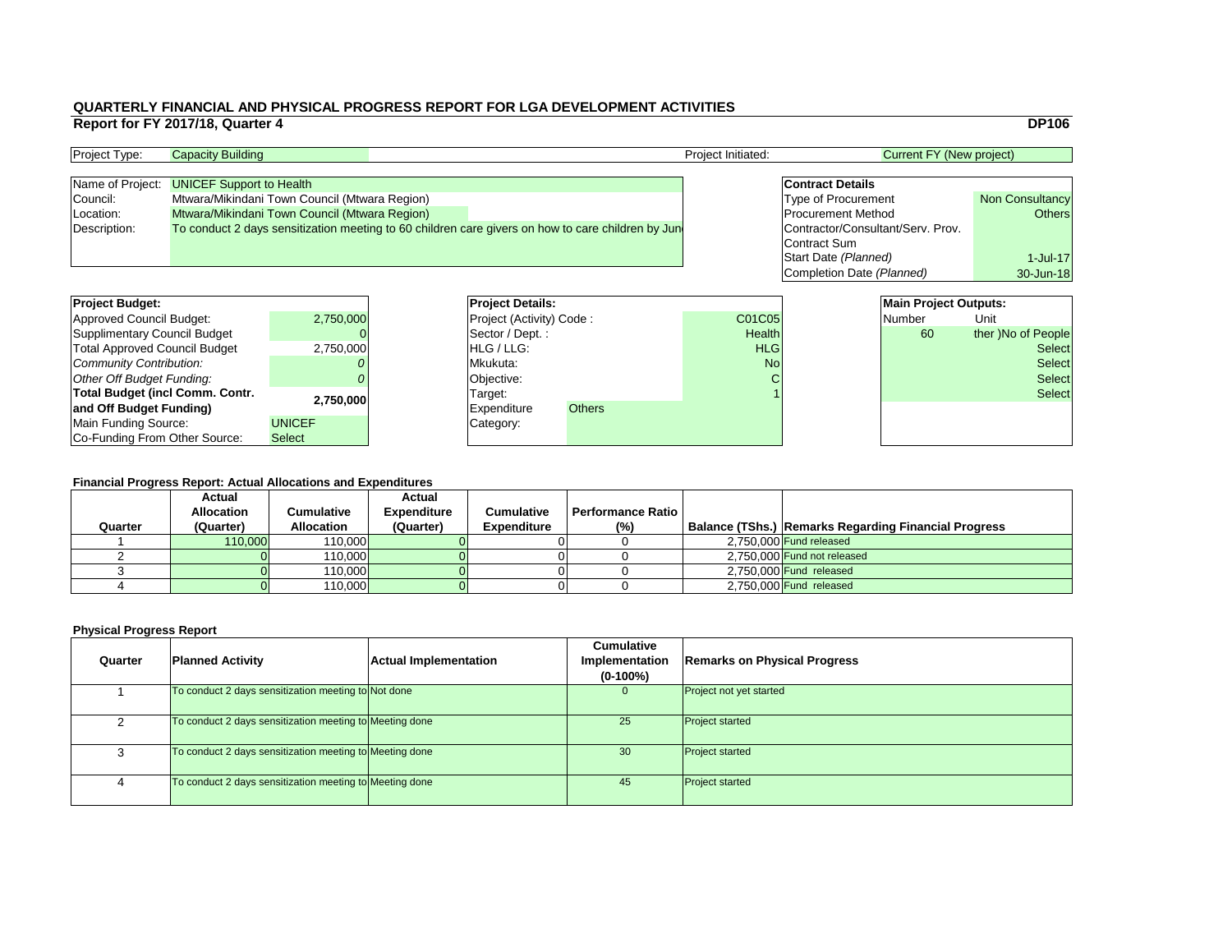|   |                                   | <b>DP106</b>           |
|---|-----------------------------------|------------------------|
|   | <b>Current FY (New project)</b>   |                        |
|   |                                   |                        |
|   | <b>Contract Details</b>           |                        |
|   | <b>Type of Procurement</b>        | <b>Non Consultancy</b> |
|   | <b>Procurement Method</b>         | <b>Others</b>          |
|   | Contractor/Consultant/Serv. Prov. |                        |
|   | <b>Contract Sum</b>               |                        |
|   | Start Date (Planned)              | $1$ -Jul-17            |
|   | Completion Date (Planned)         | 30-Jun-18              |
|   |                                   |                        |
|   | <b>Main Project Outputs:</b>      |                        |
| 5 | Number                            | Jnit                   |

### **Financial Progress Report: Actual Allocations and Expenditures**

| <b>Project Budget:</b>                 |               |          | <b>Project Details:</b>         |               |               | <b>Main Project Outputs:</b> |               |                    |
|----------------------------------------|---------------|----------|---------------------------------|---------------|---------------|------------------------------|---------------|--------------------|
| <b>Approved Council Budget:</b>        | 2,750,000     |          | <b>Project (Activity) Code:</b> |               | <b>C01C05</b> |                              | <b>Number</b> | Unit               |
| <b>Supplimentary Council Budget</b>    |               |          | Sector / Dept.:                 |               | <b>Health</b> |                              | 60            | ther )No of People |
| <b>Total Approved Council Budget</b>   | 2,750,000     |          | <b>HLG/LLG:</b>                 |               | <b>HLG</b>    |                              |               | <b>Select</b>      |
| <b>Community Contribution:</b>         |               | Mkukuta: |                                 | <b>No</b>     |               |                              | <b>Select</b> |                    |
| <b>Other Off Budget Funding:</b>       |               |          | Objective:                      |               |               |                              |               | <b>Select</b>      |
| <b>Total Budget (incl Comm. Contr.</b> |               |          | Target:                         |               |               |                              |               | <b>Select</b>      |
| and Off Budget Funding)                | 2,750,000     |          | <b>IExpenditure</b>             | <b>Others</b> |               |                              |               |                    |
| <b>Main Funding Source:</b>            | <b>UNICEF</b> |          | Category:                       |               |               |                              |               |                    |
| Co-Funding From Other Source:          | <b>Select</b> |          |                                 |               |               |                              |               |                    |

| <b>Project Type:</b> | <b>Capacity Building</b>                                                                          | <b>Project Initiated:</b> | Current FY (New project)          |                        |
|----------------------|---------------------------------------------------------------------------------------------------|---------------------------|-----------------------------------|------------------------|
|                      |                                                                                                   |                           |                                   |                        |
|                      | Name of Project: UNICEF Support to Health                                                         |                           | <b>Contract Details</b>           |                        |
| Council:             | Mtwara/Mikindani Town Council (Mtwara Region)                                                     |                           | <b>Type of Procurement</b>        | <b>Non Consultancy</b> |
| Location:            | Mtwara/Mikindani Town Council (Mtwara Region)                                                     |                           | <b>Procurement Method</b>         | Others                 |
| Description:         | To conduct 2 days sensitization meeting to 60 children care givers on how to care children by Jun |                           | Contractor/Consultant/Serv. Prov. |                        |
|                      |                                                                                                   |                           | Contract Sum                      |                        |

| Quarter | <b>Planned Activity</b>                                 | <b>Actual Implementation</b> | <b>Cumulative</b><br>Implementation<br>$(0-100\%)$ | <b>Remarks on Physical Progress</b> |
|---------|---------------------------------------------------------|------------------------------|----------------------------------------------------|-------------------------------------|
|         | To conduct 2 days sensitization meeting to Not done     |                              | Ü                                                  | Project not yet started             |
|         | To conduct 2 days sensitization meeting to Meeting done |                              | 25                                                 | <b>Project started</b>              |
|         | To conduct 2 days sensitization meeting to Meeting done |                              | 30                                                 | <b>Project started</b>              |
|         | To conduct 2 days sensitization meeting to Meeting done |                              | 45                                                 | <b>Project started</b>              |

| <b>Project Budget:</b>                 |               | <b>Project Deta</b>   |
|----------------------------------------|---------------|-----------------------|
| <b>Approved Council Budget:</b>        | 2,750,000     | <b>Project (Activ</b> |
| <b>Supplimentary Council Budget</b>    |               | Sector / Dep          |
| <b>Total Approved Council Budget</b>   | 2,750,000     | HLG / LLG:            |
| Community Contribution:                |               | Mkukuta:              |
| Other Off Budget Funding:              |               | Objective:            |
| <b>Total Budget (incl Comm. Contr.</b> | 2,750,000     | Target:               |
| and Off Budget Funding)                |               | <b>Expenditure</b>    |
| Main Funding Source:                   | <b>UNICEF</b> | Category:             |
| Co-Funding From Other Source:          | <b>Select</b> |                       |

| Quarter | <b>Actual</b><br><b>Allocation</b><br>(Quarter) | Cumulative<br><b>Allocation</b> | <b>Actual</b><br><b>Expenditure</b><br>(Quarter) | <b>Cumulative</b><br><b>Expenditure</b> | <b>Performance Ratio</b><br>$(\% )$ | Balance (TShs.) Remarks Regarding Financial Progress |
|---------|-------------------------------------------------|---------------------------------|--------------------------------------------------|-----------------------------------------|-------------------------------------|------------------------------------------------------|
|         | 110,000                                         | 110,000                         |                                                  |                                         |                                     | $2,750,000$ Fund released                            |
|         |                                                 | 110,000                         |                                                  |                                         |                                     | 2,750,000 Fund not released                          |
|         |                                                 | 110,000                         |                                                  |                                         |                                     | $2,750,000$ Fund released                            |
|         |                                                 | 110,000                         |                                                  |                                         |                                     | 2,750,000 Fund released                              |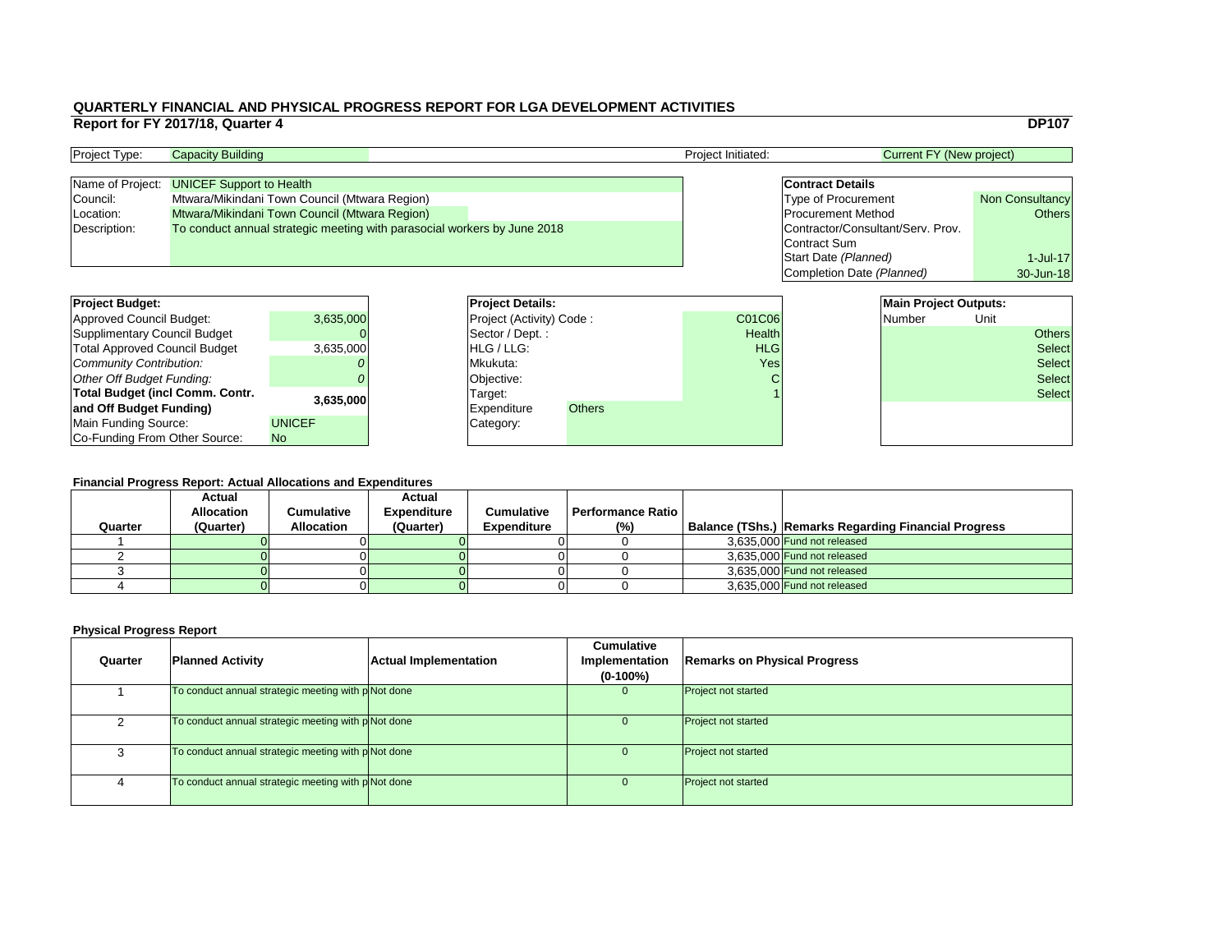|                                                                                                                     | <b>DP107</b>                            |
|---------------------------------------------------------------------------------------------------------------------|-----------------------------------------|
| <b>Current FY (New project)</b>                                                                                     |                                         |
| <b>Contract Details</b>                                                                                             |                                         |
| <b>Type of Procurement</b><br><b>Procurement Method</b><br>Contractor/Consultant/Serv. Prov.<br><b>Contract Sum</b> | <b>Non Consultancy</b><br><b>Others</b> |
| Start Date (Planned)<br>Completion Date (Planned)                                                                   | $1$ -Jul-17<br>30-Jun-18                |
| <b>Main Project Outputs:</b>                                                                                        |                                         |

### **Financial Progress Report: Actual Allocations and Expenditures**

| <b>Project Budget:</b>                 |               |          | <b>Project Details:</b>         |               |               | <b>Main Project Outputs:</b> |      |               |
|----------------------------------------|---------------|----------|---------------------------------|---------------|---------------|------------------------------|------|---------------|
| <b>Approved Council Budget:</b>        | 3,635,000     |          | <b>Project (Activity) Code:</b> |               | <b>C01C06</b> | Number                       | Unit |               |
| <b>Supplimentary Council Budget</b>    |               |          | Sector / Dept.:                 |               | <b>Health</b> |                              |      | <b>Others</b> |
| <b>Total Approved Council Budget</b>   | 3,635,000     |          | <b>HLG/LLG:</b>                 |               | <b>HLG</b>    |                              |      | <b>Select</b> |
| <b>Community Contribution:</b>         |               | Mkukuta: |                                 |               | Yes           |                              |      | <b>Select</b> |
| <b>Other Off Budget Funding:</b>       |               |          | Objective:                      |               |               |                              |      | <b>Select</b> |
| <b>Total Budget (incl Comm. Contr.</b> |               |          | Target:                         |               |               |                              |      | <b>Select</b> |
| and Off Budget Funding)                | 3.635,000     |          | <b>Expenditure</b>              | <b>Others</b> |               |                              |      |               |
| <b>Main Funding Source:</b>            | <b>UNICEF</b> |          | Category:                       |               |               |                              |      |               |
| Co-Funding From Other Source:          | <b>No</b>     |          |                                 |               |               |                              |      |               |

| <b>Project Type:</b> | <b>Capacity Building</b>                                                 |  | <b>Project Initiated:</b> | Current FY (New project)          |                        |
|----------------------|--------------------------------------------------------------------------|--|---------------------------|-----------------------------------|------------------------|
|                      |                                                                          |  |                           |                                   |                        |
|                      | Name of Project: UNICEF Support to Health                                |  |                           | <b>Contract Details</b>           |                        |
| Council:             | Mtwara/Mikindani Town Council (Mtwara Region)                            |  |                           | <b>Type of Procurement</b>        | <b>Non Consultancy</b> |
| Location:            | Mtwara/Mikindani Town Council (Mtwara Region)                            |  |                           | <b>Procurement Method</b>         | <b>Others</b>          |
| Description:         | To conduct annual strategic meeting with parasocial workers by June 2018 |  |                           | Contractor/Consultant/Serv. Prov. |                        |
|                      |                                                                          |  |                           | Contract Sum                      |                        |

| <b>Project Budget:</b>                 |               | <b>Project Deta</b>   |  |
|----------------------------------------|---------------|-----------------------|--|
| <b>Approved Council Budget:</b>        | 3,635,000     | <b>Project (Activ</b> |  |
| <b>Supplimentary Council Budget</b>    |               | Sector / Dep          |  |
| <b>Total Approved Council Budget</b>   | 3,635,000     | HLG / LLG:            |  |
| Community Contribution:                |               | Mkukuta:              |  |
| Other Off Budget Funding:              |               | Objective:            |  |
| <b>Total Budget (incl Comm. Contr.</b> | 3,635,000     | Target:               |  |
| and Off Budget Funding)                |               | <b>Expenditure</b>    |  |
| Main Funding Source:                   | <b>UNICEF</b> | Category:             |  |
| Co-Funding From Other Source:          | <b>No</b>     |                       |  |

| Quarter | <b>Actual</b><br><b>Allocation</b><br>(Quarter) | Cumulative<br><b>Allocation</b> | <b>Actual</b><br><b>Expenditure</b><br>(Quarter) | <b>Cumulative</b><br><b>Expenditure</b> | <b>Performance Ratio</b><br>$(\%)$ | <b>Balance (TShs.) Remarks Regarding Financial Progress</b> |
|---------|-------------------------------------------------|---------------------------------|--------------------------------------------------|-----------------------------------------|------------------------------------|-------------------------------------------------------------|
|         |                                                 |                                 |                                                  |                                         |                                    | 3,635,000 Fund not released                                 |
|         |                                                 |                                 |                                                  |                                         |                                    | 3.635,000 Fund not released                                 |
|         |                                                 |                                 |                                                  |                                         |                                    | 3,635,000 Fund not released                                 |
|         |                                                 |                                 |                                                  |                                         |                                    | 3.635,000 Fund not released                                 |

| Quarter | <b>Planned Activity</b>                                         | <b>Actual Implementation</b> | <b>Cumulative</b><br><b>Implementation</b><br>$(0-100\%)$ | <b>Remarks on Physical Progress</b> |
|---------|-----------------------------------------------------------------|------------------------------|-----------------------------------------------------------|-------------------------------------|
|         | To conduct annual strategic meeting with pNot done              |                              | $\overline{0}$                                            | <b>Project not started</b>          |
|         | To conduct annual strategic meeting with pNot done              |                              |                                                           | <b>Project not started</b>          |
|         | $\sqrt{10}$ conduct annual strategic meeting with p $\sqrt{10}$ |                              | 0                                                         | <b>Project not started</b>          |
|         | To conduct annual strategic meeting with pNot done              |                              | $\cup$                                                    | <b>Project not started</b>          |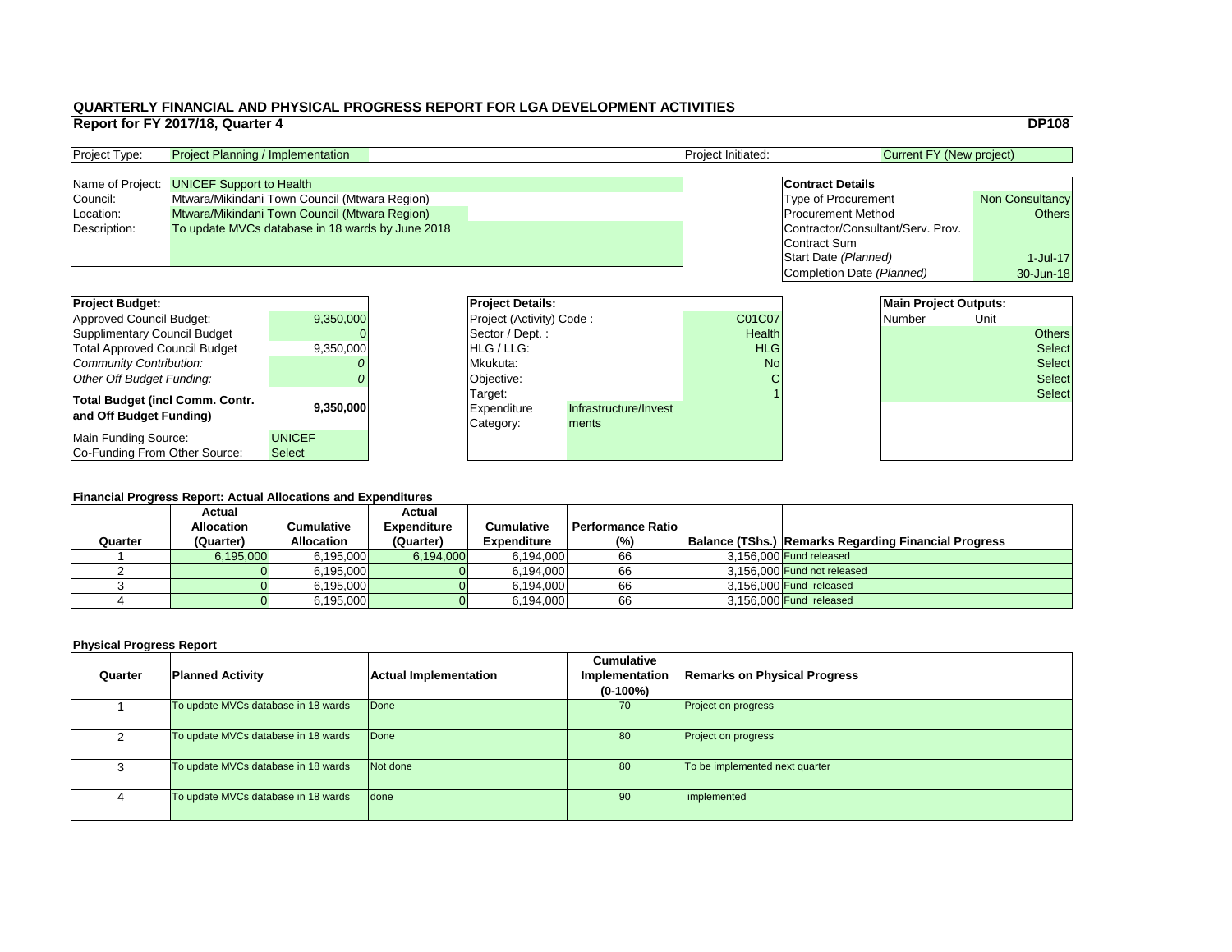|                                   | <b>DP108</b>           |
|-----------------------------------|------------------------|
| <b>Current FY (New project)</b>   |                        |
|                                   |                        |
| <b>Contract Details</b>           |                        |
| <b>Type of Procurement</b>        | <b>Non Consultancy</b> |
| <b>Procurement Method</b>         | <b>Others</b>          |
| Contractor/Consultant/Serv. Prov. |                        |
| <b>Contract Sum</b>               |                        |
| Start Date (Planned)              | $1$ -Jul-17            |
| Completion Date (Planned)         | 30-Jun-18              |
|                                   |                        |
| <b>Main Project Outputs:</b>      |                        |

### **Financial Progress Report: Actual Allocations and Expenditures**

| <b>Project Budget:</b>                                            |                                | <b>Project Details:</b>             |                                |               | <b>Main Project Outputs:</b> |        |      |               |
|-------------------------------------------------------------------|--------------------------------|-------------------------------------|--------------------------------|---------------|------------------------------|--------|------|---------------|
| Approved Council Budget:                                          | 9,350,000                      | <b>Project (Activity) Code:</b>     |                                | <b>C01C07</b> |                              | Number | Unit |               |
| Supplimentary Council Budget                                      |                                | Sector / Dept.:                     |                                | <b>Health</b> |                              |        |      | <b>Others</b> |
| <b>Total Approved Council Budget</b>                              | 9,350,000                      | <b>IHLG/LLG:</b>                    |                                | <b>HLG</b>    |                              |        |      | Select        |
| Community Contribution:                                           |                                | Mkukuta:                            |                                | <b>No</b>     |                              |        |      | <b>Select</b> |
| Other Off Budget Funding:                                         |                                | Objective:                          |                                |               |                              |        |      | Select        |
| <b>Total Budget (incl Comm. Contr.</b><br>and Off Budget Funding) | 9,350,000                      | Target:<br>Expenditure<br>Category: | Infrastructure/Invest<br>ments |               |                              |        |      | Select        |
| Main Funding Source:<br>Co-Funding From Other Source:             | <b>UNICEF</b><br><b>Select</b> |                                     |                                |               |                              |        |      |               |

| <b>Project Type:</b> | <b>Project Planning / Implementation</b>         | <b>Project Initiated:</b> | Current FY (New project)          |                        |
|----------------------|--------------------------------------------------|---------------------------|-----------------------------------|------------------------|
|                      |                                                  |                           |                                   |                        |
|                      | Name of Project: <b>UNICEF Support to Health</b> |                           | <b>Contract Details</b>           |                        |
| Council:             | Mtwara/Mikindani Town Council (Mtwara Region)    |                           | <b>Type of Procurement</b>        | <b>Non Consultancy</b> |
| Location:            | Mtwara/Mikindani Town Council (Mtwara Region)    |                           | <b>Procurement Method</b>         | Others                 |
| Description:         | To update MVCs database in 18 wards by June 2018 |                           | Contractor/Consultant/Serv. Prov. |                        |
|                      |                                                  |                           | Contract Sum                      |                        |

|         | <b>Actual</b><br><b>Allocation</b> | <b>Cumulative</b> | <b>Actual</b><br><b>Expenditure</b> | <b>Cumulative</b>  | <b>Performance Ratio</b> |                                                       |
|---------|------------------------------------|-------------------|-------------------------------------|--------------------|--------------------------|-------------------------------------------------------|
| Quarter | (Quarter)                          | <b>Allocation</b> | (Quarter)                           | <b>Expenditure</b> | $(\%)$                   | Balance (TShs.)  Remarks Regarding Financial Progress |
|         |                                    |                   |                                     |                    |                          |                                                       |
|         | 6,195,000                          | 6,195,000         | 6,194,000                           | 6,194,000          | 66                       | 3,156,000 Fund released                               |
|         |                                    | 6,195,000         |                                     | 6,194,000          | 66                       | 3,156,000 Fund not released                           |
|         |                                    | 6,195,000         |                                     | 6,194,000          | 66                       | $3,156,000$ Fund released                             |
|         |                                    | 6,195,000         |                                     | 6,194,000          | 66                       | 3,156,000 Fund released                               |

| Quarter | <b>Planned Activity</b>             | <b>Actual Implementation</b> | <b>Cumulative</b><br>Implementation<br>$(0-100\%)$ | <b>Remarks on Physical Progress</b> |
|---------|-------------------------------------|------------------------------|----------------------------------------------------|-------------------------------------|
|         | To update MVCs database in 18 wards | Done                         | 70                                                 | <b>Project on progress</b>          |
| റ       | To update MVCs database in 18 wards | Done                         | 80                                                 | <b>Project on progress</b>          |
| 3       | To update MVCs database in 18 wards | Not done                     | 80                                                 | To be implemented next quarter      |
| 4       | To update MVCs database in 18 wards | done                         | 90                                                 | implemented                         |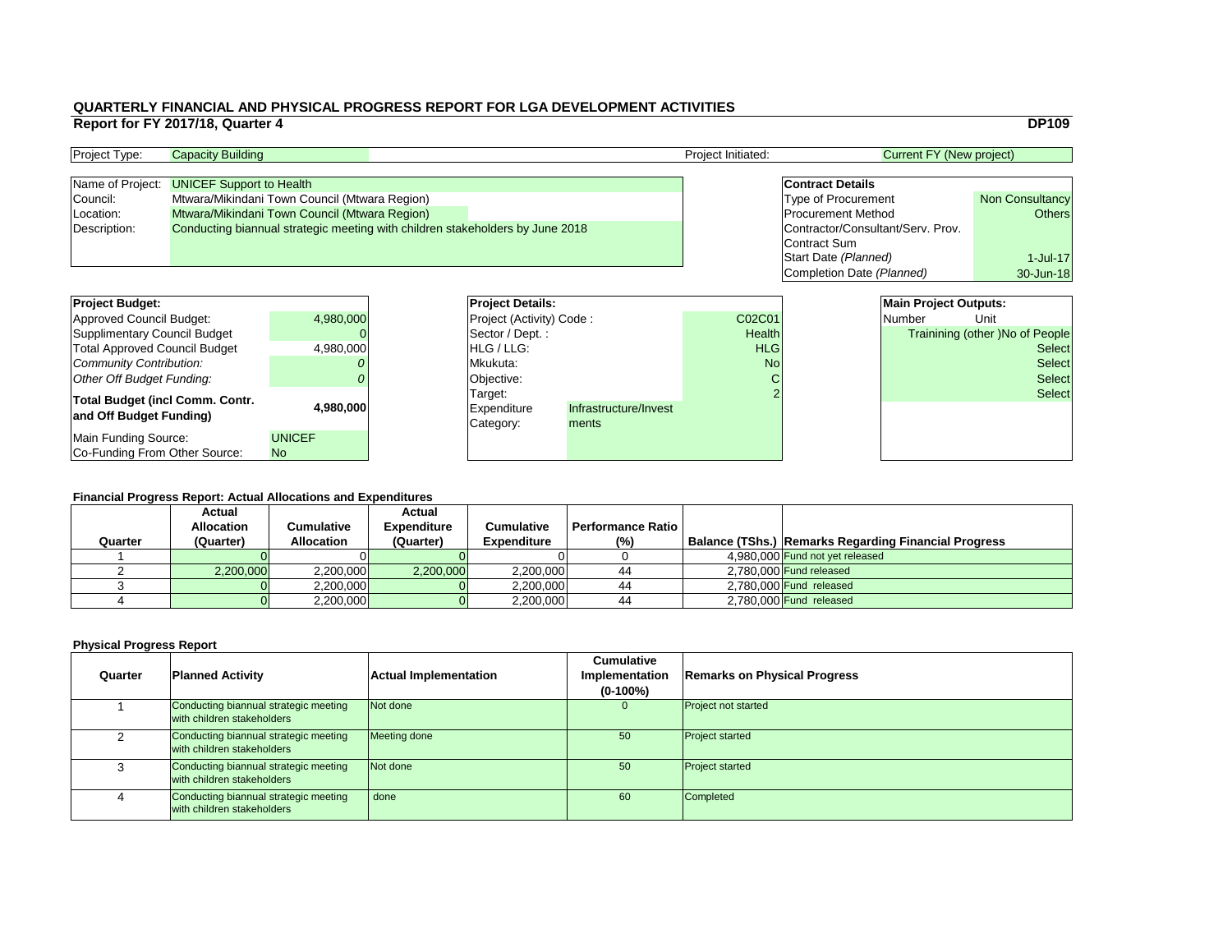### **Financial Progress Report: Actual Allocations and Expenditures**

|                                                                                               | Report for FY 2017/18, Quarter 4 |                                               |  |                          |                       |                                   |                                                      |                                 | <b>DP109</b>                    |
|-----------------------------------------------------------------------------------------------|----------------------------------|-----------------------------------------------|--|--------------------------|-----------------------|-----------------------------------|------------------------------------------------------|---------------------------------|---------------------------------|
| Project Type:                                                                                 | <b>Capacity Building</b>         |                                               |  |                          |                       | Project Initiated:                |                                                      | <b>Current FY (New project)</b> |                                 |
| Name of Project:                                                                              | <b>UNICEF Support to Health</b>  |                                               |  |                          |                       |                                   | <b>Contract Details</b>                              |                                 |                                 |
| Council:                                                                                      |                                  | Mtwara/Mikindani Town Council (Mtwara Region) |  |                          |                       |                                   | <b>Non Consultancy</b><br><b>Type of Procurement</b> |                                 |                                 |
| Location:                                                                                     |                                  | Mtwara/Mikindani Town Council (Mtwara Region) |  |                          |                       |                                   | <b>Procurement Method</b><br><b>Others</b>           |                                 |                                 |
| Conducting biannual strategic meeting with children stakeholders by June 2018<br>Description: |                                  |                                               |  |                          |                       | Contractor/Consultant/Serv. Prov. |                                                      |                                 |                                 |
|                                                                                               |                                  |                                               |  |                          |                       |                                   | Contract Sum                                         |                                 |                                 |
|                                                                                               |                                  |                                               |  |                          |                       |                                   | Start Date (Planned)                                 |                                 | 1-Jul-17                        |
|                                                                                               |                                  |                                               |  |                          |                       |                                   | Completion Date (Planned)                            |                                 | 30-Jun-18                       |
|                                                                                               |                                  |                                               |  |                          |                       |                                   |                                                      |                                 |                                 |
| <b>Project Budget:</b>                                                                        |                                  |                                               |  | <b>Project Details:</b>  |                       |                                   |                                                      | <b>Main Project Outputs:</b>    |                                 |
| <b>Approved Council Budget:</b>                                                               |                                  | 4,980,000                                     |  | Project (Activity) Code: |                       | C02C01                            |                                                      | <b>Number</b>                   | Unit                            |
| <b>Supplimentary Council Budget</b>                                                           |                                  |                                               |  | Sector / Dept.:          |                       | Health                            |                                                      |                                 | Trainining (other )No of People |
| <b>Total Approved Council Budget</b>                                                          |                                  | 4,980,000                                     |  | HLG / LLG:               |                       | <b>HLG</b>                        |                                                      |                                 | <b>Select</b>                   |
| <b>Community Contribution:</b>                                                                |                                  |                                               |  | Mkukuta:                 |                       | <b>No</b>                         |                                                      |                                 | <b>Select</b>                   |
| <b>Other Off Budget Funding:</b>                                                              |                                  |                                               |  | <b>Objective:</b>        |                       |                                   |                                                      |                                 | <b>Select</b>                   |
| <b>Total Budget (incl Comm. Contr.</b>                                                        |                                  |                                               |  | Target:                  |                       |                                   |                                                      |                                 | <b>Select</b>                   |
| and Off Budget Funding)                                                                       |                                  | 4,980,000                                     |  | Expenditure              | Infrastructure/Invest |                                   |                                                      |                                 |                                 |
|                                                                                               |                                  |                                               |  | Category:                | ments                 |                                   |                                                      |                                 |                                 |
| <b>Main Funding Source:</b>                                                                   |                                  | <b>UNICEF</b>                                 |  |                          |                       |                                   |                                                      |                                 |                                 |
| Co-Funding From Other Source:                                                                 |                                  | <b>No</b>                                     |  |                          |                       |                                   |                                                      |                                 |                                 |

| <b>Project Type:</b> | <b>Capacity Building</b>                                                      |  | <b>Project Initiated:</b> | Current FY (New project)          |                        |
|----------------------|-------------------------------------------------------------------------------|--|---------------------------|-----------------------------------|------------------------|
|                      |                                                                               |  |                           |                                   |                        |
|                      | Name of Project: UNICEF Support to Health                                     |  |                           | <b>Contract Details</b>           |                        |
| Council:             | Mtwara/Mikindani Town Council (Mtwara Region)                                 |  |                           | <b>Type of Procurement</b>        | <b>Non Consultancy</b> |
| Location:            | <b>Mtwara/Mikindani Town Council (Mtwara Region)</b>                          |  |                           | <b>Procurement Method</b>         | Others                 |
| Description:         | Conducting biannual strategic meeting with children stakeholders by June 2018 |  |                           | Contractor/Consultant/Serv. Prov. |                        |
|                      |                                                                               |  |                           | Contract Sum                      |                        |

### **Physical Progress Report**

| <b>Project Budget:</b>                                            |               | <b>Project Deta</b>                        |
|-------------------------------------------------------------------|---------------|--------------------------------------------|
| <b>Approved Council Budget:</b>                                   | 4,980,000     | <b>Project (Activ</b>                      |
| <b>Supplimentary Council Budget</b>                               |               | Sector / Dep                               |
| <b>Total Approved Council Budget</b>                              | 4,980,000     | HLG / LLG:                                 |
| <b>Community Contribution:</b>                                    |               | Mkukuta:                                   |
| <b>Other Off Budget Funding:</b>                                  |               | Objective:                                 |
| <b>Total Budget (incl Comm. Contr.</b><br>and Off Budget Funding) | 4,980,000     | Target:<br><b>Expenditure</b><br>Category: |
| <b>Main Funding Source:</b>                                       | <b>UNICEF</b> |                                            |
| Co-Funding From Other Source:                                     | <b>No</b>     |                                            |

|         | <b>Actual</b><br><b>Allocation</b> | Cumulative        | <b>Actual</b><br><b>Expenditure</b> | <b>Cumulative</b>  | <b>Performance Ratio</b> |                                                      |
|---------|------------------------------------|-------------------|-------------------------------------|--------------------|--------------------------|------------------------------------------------------|
| Quarter | (Quarter)                          | <b>Allocation</b> | (Quarter)                           | <b>Expenditure</b> | (%)                      | Balance (TShs.) Remarks Regarding Financial Progress |
|         |                                    |                   |                                     |                    |                          | 4,980,000 Fund not yet released                      |
|         | 2,200,000                          | 2,200,000         | 2,200,000                           | 2,200,000          | 44                       | $2,780,000$ Fund released                            |
|         |                                    | 2,200,000         |                                     | 2,200,000          | 44                       | 2,780,000 Fund released                              |
|         |                                    | 2,200,000         |                                     | 2,200,000          | 44                       | 2,780,000 Fund released                              |

| Quarter | <b>Planned Activity</b>                                             | <b>Actual Implementation</b> | <b>Cumulative</b><br>Implementation<br>$(0-100\%)$ | <b>Remarks on Ph</b>   |
|---------|---------------------------------------------------------------------|------------------------------|----------------------------------------------------|------------------------|
|         | Conducting biannual strategic meeting<br>with children stakeholders | <b>Not done</b>              | $\overline{0}$                                     | Project not started    |
|         | Conducting biannual strategic meeting<br>with children stakeholders | Meeting done                 | 50                                                 | <b>Project started</b> |
| 3       | Conducting biannual strategic meeting<br>with children stakeholders | Not done                     | 50                                                 | <b>Project started</b> |
| 4       | Conducting biannual strategic meeting<br>with children stakeholders | done                         | 60                                                 | <b>Completed</b>       |

### **Planned Activity Remarks on Physical Progress**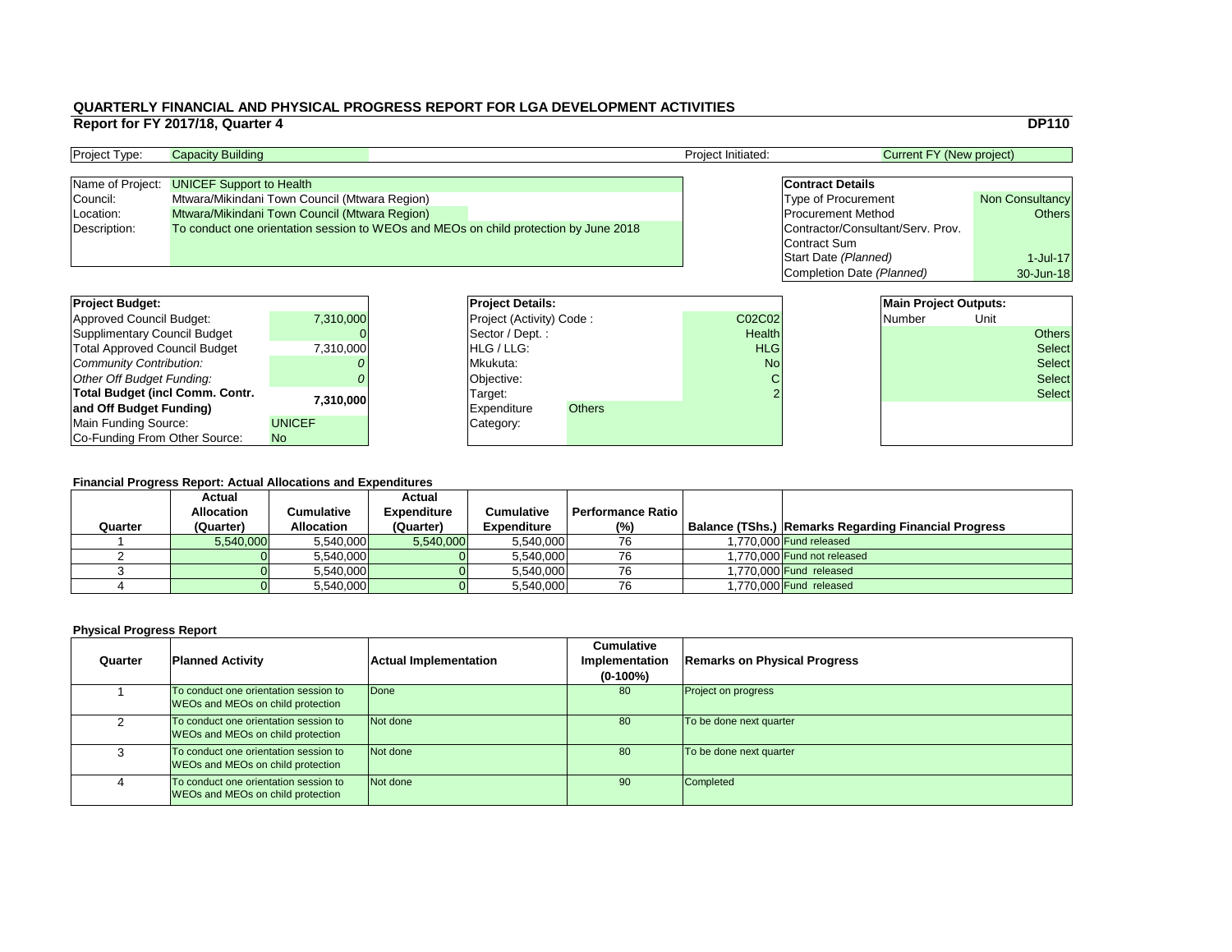|                                   | <b>DP110</b>           |  |  |
|-----------------------------------|------------------------|--|--|
| <b>Current FY (New project)</b>   |                        |  |  |
| <b>Contract Details</b>           |                        |  |  |
| Type of Procurement               | <b>Non Consultancy</b> |  |  |
| <b>Procurement Method</b>         | <b>Others</b>          |  |  |
| Contractor/Consultant/Serv. Prov. |                        |  |  |
| <b>Contract Sum</b>               |                        |  |  |
| Start Date (Planned)              | $1$ -Jul-17            |  |  |
| Completion Date (Planned)         | 30-Jun-18              |  |  |

| <b>Project Budget:</b>                 |                | <b>Project Details:</b> |                                 |               | <b>Main Project Outputs:</b> |  |               |      |               |
|----------------------------------------|----------------|-------------------------|---------------------------------|---------------|------------------------------|--|---------------|------|---------------|
| <b>Approved Council Budget:</b>        | 7,310,000      |                         | <b>Project (Activity) Code:</b> |               | C02C02                       |  | <b>Number</b> | Unit |               |
| <b>Supplimentary Council Budget</b>    |                |                         | Sector / Dept.:                 |               | <b>Health</b>                |  |               |      | <b>Others</b> |
| <b>Total Approved Council Budget</b>   | 7,310,000      |                         | <b>HLG/LLG:</b>                 |               | <b>HLG</b>                   |  |               |      | <b>Select</b> |
| <b>Community Contribution:</b>         |                |                         | Mkukuta:                        |               | <b>No</b>                    |  |               |      | <b>Select</b> |
| <b>Other Off Budget Funding:</b>       |                |                         | Objective:                      |               |                              |  |               |      | <b>Select</b> |
| <b>Total Budget (incl Comm. Contr.</b> | 7,310,000      |                         | Target:                         |               |                              |  |               |      | <b>Select</b> |
| and Off Budget Funding)                |                |                         | <b>Expenditure</b>              | <b>Others</b> |                              |  |               |      |               |
| <b>Main Funding Source:</b>            | <b>UNICEF</b>  |                         | Category:                       |               |                              |  |               |      |               |
| Co-Funding From Other Source:          | N <sub>o</sub> |                         |                                 |               |                              |  |               |      |               |

### **QUARTERLY FINANCIAL AND PHYSICAL PROGRESS REPORT FOR LGA DEVELOPMENT ACTIVITIES Report for FY 2017/18, Quarter 4** DP110

| <b>Project Type:</b> | <b>Capacity Building</b>                                                             |  | Project Initiated: | <b>Current FY (New project)</b>   |                        |
|----------------------|--------------------------------------------------------------------------------------|--|--------------------|-----------------------------------|------------------------|
|                      |                                                                                      |  |                    |                                   |                        |
|                      | Name of Project: UNICEF Support to Health                                            |  |                    | <b>Contract Details</b>           |                        |
| Council:             | Mtwara/Mikindani Town Council (Mtwara Region)                                        |  |                    | <b>Type of Procurement</b>        | <b>Non Consultancy</b> |
| Location:            | Mtwara/Mikindani Town Council (Mtwara Region)                                        |  |                    | <b>Procurement Method</b>         | Others                 |
| Description:         | To conduct one orientation session to WEOs and MEOs on child protection by June 2018 |  |                    | Contractor/Consultant/Serv. Prov. |                        |
|                      |                                                                                      |  |                    | Contract Sum                      |                        |

| <b>Project Budget:</b>                 |               | <b>Project Deta</b>   |
|----------------------------------------|---------------|-----------------------|
| <b>Approved Council Budget:</b>        | 7,310,000     | <b>Project (Activ</b> |
| <b>Supplimentary Council Budget</b>    |               | Sector / Dep          |
| <b>Total Approved Council Budget</b>   | 7,310,000     | HLG / LLG:            |
| Community Contribution:                |               | Mkukuta:              |
| Other Off Budget Funding:              |               | Objective:            |
| <b>Total Budget (incl Comm. Contr.</b> | 7,310,000     | Target:               |
| and Off Budget Funding)                |               | Expenditure           |
| <b>Main Funding Source:</b>            | <b>UNICEF</b> | Category:             |
| Co-Funding From Other Source:          | <b>No</b>     |                       |

|         | <b>Actual</b>     |                   | <b>Actual</b>      |                    |                            |                                                             |
|---------|-------------------|-------------------|--------------------|--------------------|----------------------------|-------------------------------------------------------------|
|         | <b>Allocation</b> | Cumulative        | <b>Expenditure</b> | <b>Cumulative</b>  | <b>Performance Ratio</b> I |                                                             |
| Quarter | (Quarter)         | <b>Allocation</b> | (Quarter)          | <b>Expenditure</b> | $(\%)$                     | <b>Balance (TShs.) Remarks Regarding Financial Progress</b> |
|         | 5,540,000         | 5,540,000         | 5,540,000          | 5,540,000          | 76                         | 1,770,000 Fund released                                     |
|         |                   | 5,540,000         |                    | 5,540,000          | 76                         | 1,770,000 Fund not released                                 |
|         |                   | 5,540,000         |                    | 5,540,000          | 76                         | 1,770,000 Fund released                                     |
|         |                   | 5,540,000         |                    | 5,540,000          | 76                         | 1,770,000 Fund released                                     |

| Quarter | <b>Planned Activity</b>                                                           | <b>Actual Implementation</b> | <b>Cumulative</b><br><b>Implementation</b><br>$(0-100\%)$ | <b>Remarks on Physical Progress</b> |
|---------|-----------------------------------------------------------------------------------|------------------------------|-----------------------------------------------------------|-------------------------------------|
|         | To conduct one orientation session to<br><b>WEOs and MEOs on child protection</b> | Done                         | 80                                                        | <b>Project on progress</b>          |
|         | To conduct one orientation session to<br><b>WEOs and MEOs on child protection</b> | Not done                     | 80                                                        | To be done next quarter             |
|         | To conduct one orientation session to<br><b>WEOs and MEOs on child protection</b> | Not done                     | 80                                                        | To be done next quarter             |
|         | To conduct one orientation session to<br><b>WEOs and MEOs on child protection</b> | Not done                     | 90                                                        | Completed                           |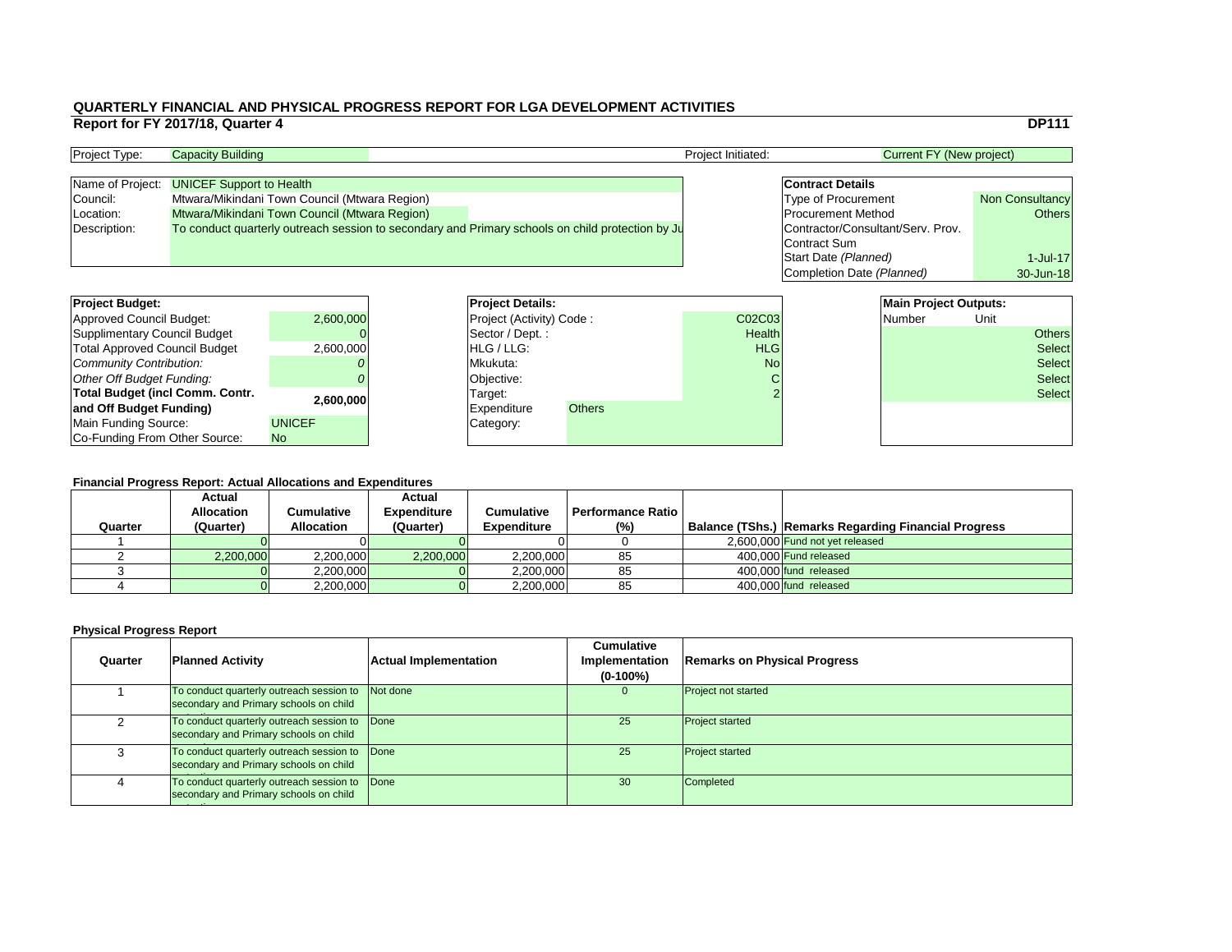|                                   | <b>DP111</b>           |
|-----------------------------------|------------------------|
| <b>Current FY (New project)</b>   |                        |
|                                   |                        |
| <b>Contract Details</b>           |                        |
| <b>Type of Procurement</b>        | <b>Non Consultancy</b> |
| <b>Procurement Method</b>         | <b>Others</b>          |
| Contractor/Consultant/Serv. Prov. |                        |
| <b>Contract Sum</b>               |                        |
| Start Date (Planned)              | $1$ -Jul-17            |
| Completion Date (Planned)         | 30-Jun-18              |
|                                   |                        |
| <b>Main Project Outputs:</b>      |                        |
| الأحرا المستحمل والممرار          |                        |

| <b>Project Budget:</b>                 |               | <b>Project Details:</b>         |               |               | <b>Main Project Outputs:</b> |        |      |               |
|----------------------------------------|---------------|---------------------------------|---------------|---------------|------------------------------|--------|------|---------------|
| <b>Approved Council Budget:</b>        | 2,600,000     | <b>Project (Activity) Code:</b> |               | C02C03        |                              | Number | Unit |               |
| <b>Supplimentary Council Budget</b>    |               | Sector / Dept.:                 |               | <b>Health</b> |                              |        |      | <b>Others</b> |
| <b>Total Approved Council Budget</b>   | 2,600,000     | <b>HLG/LLG:</b>                 |               | <b>HLG</b>    |                              |        |      | <b>Select</b> |
| <b>Community Contribution:</b>         |               | Mkukuta:                        |               | <b>No</b>     |                              |        |      | <b>Select</b> |
| <b>Other Off Budget Funding:</b>       |               | Objective:                      |               |               |                              |        |      | <b>Select</b> |
| <b>Total Budget (incl Comm. Contr.</b> | 2,600,000     | Target:                         |               |               |                              |        |      | <b>Select</b> |
| and Off Budget Funding)                |               | <b>Expenditure</b>              | <b>Others</b> |               |                              |        |      |               |
| <b>Main Funding Source:</b>            | <b>UNICEF</b> | Category:                       |               |               |                              |        |      |               |
| Co-Funding From Other Source:          | No            |                                 |               |               |                              |        |      |               |

### **QUARTERLY FINANCIAL AND PHYSICAL PROGRESS REPORT FOR LGA DEVELOPMENT ACTIVITIES Report for FY 2017/18, Quarter 4** DP111

| <b>Project Type:</b> | <b>Capacity Building</b>                                                                         |  | <b>Project Initiated:</b> |                                   | Current FY (New project) |  |
|----------------------|--------------------------------------------------------------------------------------------------|--|---------------------------|-----------------------------------|--------------------------|--|
|                      |                                                                                                  |  |                           |                                   |                          |  |
|                      | Name of Project: UNICEF Support to Health                                                        |  |                           | <b>Contract Details</b>           |                          |  |
| Council:             | Mtwara/Mikindani Town Council (Mtwara Region)                                                    |  |                           | <b>Type of Procurement</b>        | <b>Non Consultancy</b>   |  |
| Location:            | Mtwara/Mikindani Town Council (Mtwara Region)                                                    |  |                           | <b>Procurement Method</b>         | Others                   |  |
| Description:         | To conduct quarterly outreach session to secondary and Primary schools on child protection by Ju |  |                           | Contractor/Consultant/Serv. Prov. |                          |  |
|                      |                                                                                                  |  |                           | Contract Sum                      |                          |  |

| <b>Project Budget:</b>                 |               | <b>Project Deta</b>   |  |
|----------------------------------------|---------------|-----------------------|--|
| <b>Approved Council Budget:</b>        | 2,600,000     | <b>Project (Activ</b> |  |
| <b>Supplimentary Council Budget</b>    |               | Sector / Dep          |  |
| Total Approved Council Budget          | 2,600,000     | HLG / LLG:            |  |
| Community Contribution:                |               | Mkukuta:              |  |
| Other Off Budget Funding:              |               | Objective:            |  |
| <b>Total Budget (incl Comm. Contr.</b> | 2,600,000     | Target:               |  |
| and Off Budget Funding)                |               | <b>Expenditure</b>    |  |
| Main Funding Source:                   | <b>UNICEF</b> | Category:             |  |
| Co-Funding From Other Source:          | <b>No</b>     |                       |  |

| Quarter | <b>Actual</b><br><b>Allocation</b><br>(Quarter) | Cumulative<br><b>Allocation</b> | <b>Actual</b><br><b>Expenditure</b><br>(Quarter) | <b>Cumulative</b><br><b>Expenditure</b> | <b>Performance Ratio</b><br>$(\%)$ | <b>Balance (TShs.) Remarks Regarding Financial Progress</b> |
|---------|-------------------------------------------------|---------------------------------|--------------------------------------------------|-----------------------------------------|------------------------------------|-------------------------------------------------------------|
|         |                                                 |                                 |                                                  |                                         |                                    | 2,600,000 Fund not yet released                             |
|         | 2,200,000                                       | 2,200,000                       | 2,200,000                                        | 2,200,000                               | 85                                 | 400.000 Fund released                                       |
|         |                                                 | 2,200,000                       |                                                  | 2,200,000                               | 85                                 | 400.000 fund released                                       |
|         |                                                 | 2,200,000                       |                                                  | 2,200,000                               | 85                                 | 400,000 fund released                                       |

| Quarter | <b>Planned Activity</b>                                                                  | <b>Actual Implementation</b> | <b>Cumulative</b><br><b>Implementation</b><br>$(0-100\%)$ | <b>Remarks on Physical Progress</b> |
|---------|------------------------------------------------------------------------------------------|------------------------------|-----------------------------------------------------------|-------------------------------------|
|         | To conduct quarterly outreach session to<br>secondary and Primary schools on child       | Not done                     | 0                                                         | <b>Project not started</b>          |
|         | To conduct quarterly outreach session to  Done<br>secondary and Primary schools on child |                              | 25                                                        | <b>Project started</b>              |
|         | To conduct quarterly outreach session to Done<br>secondary and Primary schools on child  |                              | 25                                                        | <b>Project started</b>              |
|         | To conduct quarterly outreach session to Done<br>secondary and Primary schools on child  |                              | 30                                                        | <b>Completed</b>                    |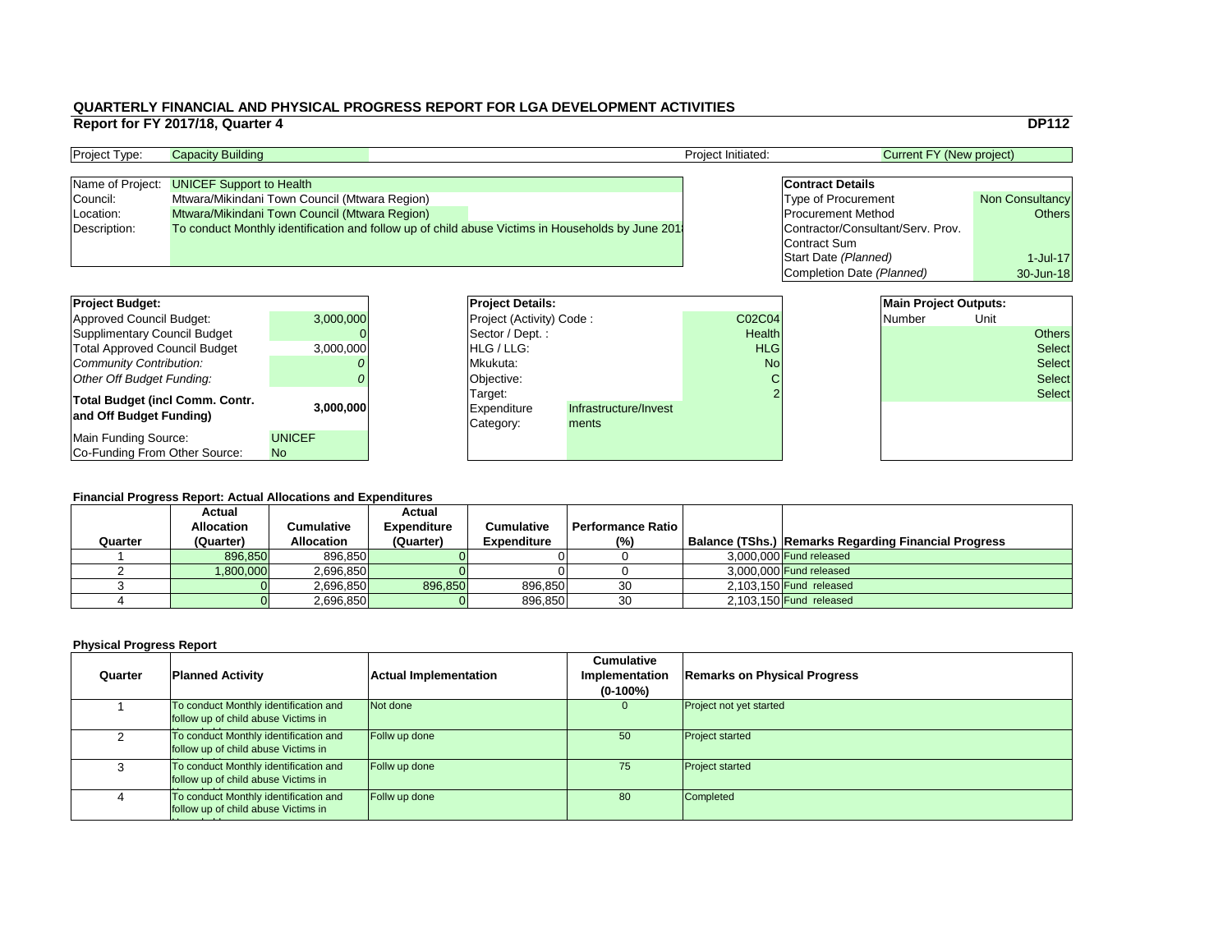|   |                                   |                              | <b>DP112</b>           |  |  |  |  |  |  |  |  |
|---|-----------------------------------|------------------------------|------------------------|--|--|--|--|--|--|--|--|
|   |                                   |                              |                        |  |  |  |  |  |  |  |  |
|   | <b>Current FY (New project)</b>   |                              |                        |  |  |  |  |  |  |  |  |
|   | <b>Contract Details</b>           |                              |                        |  |  |  |  |  |  |  |  |
|   | <b>Type of Procurement</b>        |                              | <b>Non Consultancy</b> |  |  |  |  |  |  |  |  |
|   | <b>Procurement Method</b>         |                              | <b>Others</b>          |  |  |  |  |  |  |  |  |
|   | Contractor/Consultant/Serv. Prov. |                              |                        |  |  |  |  |  |  |  |  |
|   | <b>Contract Sum</b>               |                              |                        |  |  |  |  |  |  |  |  |
|   | Start Date (Planned)              |                              | $1$ -Jul-17            |  |  |  |  |  |  |  |  |
|   | Completion Date (Planned)         | 30-Jun-18                    |                        |  |  |  |  |  |  |  |  |
|   |                                   |                              |                        |  |  |  |  |  |  |  |  |
|   |                                   | <b>Main Project Outputs:</b> |                        |  |  |  |  |  |  |  |  |
| 4 |                                   | <b>Number</b>                | Unit                   |  |  |  |  |  |  |  |  |
|   |                                   |                              |                        |  |  |  |  |  |  |  |  |

### **Financial Progress Report: Actual Allocations and Expenditures**

| <b>Project Budget:</b>                 |               | <b>Project Details:</b>         |                       |               | <b>Main Project Outputs:</b> |               |      |               |
|----------------------------------------|---------------|---------------------------------|-----------------------|---------------|------------------------------|---------------|------|---------------|
| <b>Approved Council Budget:</b>        | 3,000,000     | <b>Project (Activity) Code:</b> |                       | C02C04        |                              | <b>Number</b> | Unit |               |
| <b>Supplimentary Council Budget</b>    |               | Sector / Dept.:                 |                       | <b>Health</b> |                              |               |      | <b>Others</b> |
| <b>Total Approved Council Budget</b>   | 3,000,000     | <b>HLG</b> / LLG:               |                       | <b>HLG</b>    |                              |               |      | <b>Select</b> |
| <b>Community Contribution:</b>         |               | Mkukuta:                        |                       | <b>No</b>     |                              |               |      | <b>Select</b> |
| <b>Other Off Budget Funding:</b>       |               | Objective:                      |                       |               |                              |               |      | <b>Select</b> |
| <b>Total Budget (incl Comm. Contr.</b> |               | Target:                         |                       |               |                              |               |      | <b>Select</b> |
|                                        | 3,000,000     | <b>Expenditure</b>              | Infrastructure/Invest |               |                              |               |      |               |
| and Off Budget Funding)                |               | Category:                       | ments                 |               |                              |               |      |               |
| <b>Main Funding Source:</b>            | <b>UNICEF</b> |                                 |                       |               |                              |               |      |               |
| Co-Funding From Other Source:          | <b>No</b>     |                                 |                       |               |                              |               |      |               |

| <b>Project Type:</b> | <b>Capacity Building</b>                      |                                                                                                  | <b>Project Initiated:</b> | Current FY (New project)          |                        |
|----------------------|-----------------------------------------------|--------------------------------------------------------------------------------------------------|---------------------------|-----------------------------------|------------------------|
|                      |                                               |                                                                                                  |                           |                                   |                        |
|                      | Name of Project: UNICEF Support to Health     |                                                                                                  |                           | <b>Contract Details</b>           |                        |
| Council:             | Mtwara/Mikindani Town Council (Mtwara Region) |                                                                                                  |                           | <b>Type of Procurement</b>        | <b>Non Consultancy</b> |
| Location:            | Mtwara/Mikindani Town Council (Mtwara Region) |                                                                                                  |                           | <b>Procurement Method</b>         | Others                 |
| Description:         |                                               | To conduct Monthly identification and follow up of child abuse Victims in Households by June 201 |                           | Contractor/Consultant/Serv. Prov. |                        |
|                      |                                               |                                                                                                  |                           | Contract Sum                      |                        |

| <b>Project Budget:</b>                                            |               | <b>Project Deta</b>                 |
|-------------------------------------------------------------------|---------------|-------------------------------------|
| <b>Approved Council Budget:</b>                                   | 3,000,000     | <b>Project (Activ</b>               |
| <b>Supplimentary Council Budget</b>                               |               | Sector / Dep                        |
| <b>Total Approved Council Budget</b>                              | 3,000,000     | HLG / LLG:                          |
| Community Contribution:                                           |               | Mkukuta:                            |
| <b>Other Off Budget Funding:</b>                                  |               | Objective:                          |
| <b>Total Budget (incl Comm. Contr.</b><br>and Off Budget Funding) | 3,000,000     | Target:<br>Expenditure<br>Category: |
| Main Funding Source:                                              | <b>UNICEF</b> |                                     |
| Co-Funding From Other Source:                                     | <b>No</b>     |                                     |

|         | <b>Actual</b><br><b>Allocation</b> | Cumulative        | <b>Actual</b><br><b>Expenditure</b> | <b>Cumulative</b>  | <b>Performance Ratio</b> I |                                                             |
|---------|------------------------------------|-------------------|-------------------------------------|--------------------|----------------------------|-------------------------------------------------------------|
| Quarter | (Quarter)                          | <b>Allocation</b> | (Quarter)                           | <b>Expenditure</b> | (% )                       | <b>Balance (TShs.) Remarks Regarding Financial Progress</b> |
|         | 896,850                            | 896,850           |                                     |                    |                            | $3,000,000$ Fund released                                   |
|         | 1,800,000                          | 2,696,850         |                                     |                    |                            | 3,000,000 Fund released                                     |
|         |                                    | 2,696,850L        | 896,850                             | 896,850            | 30                         | 2,103,150 Fund released                                     |
|         |                                    | 2,696,850         |                                     | 896,850            | 30                         | $2,103,150$ Fund released                                   |

| Quarter | <b>Planned Activity</b>                                                      | <b>Actual Implementation</b> | <b>Cumulative</b><br>Implementation<br>$(0-100\%)$ | <b>Remarks on Physical Progress</b> |
|---------|------------------------------------------------------------------------------|------------------------------|----------------------------------------------------|-------------------------------------|
|         | To conduct Monthly identification and<br>follow up of child abuse Victims in | Not done                     | $\overline{0}$                                     | <b>Project not yet started</b>      |
|         | To conduct Monthly identification and<br>follow up of child abuse Victims in | Follw up done                | 50                                                 | <b>Project started</b>              |
|         | To conduct Monthly identification and<br>follow up of child abuse Victims in | Follw up done                | 75                                                 | <b>Project started</b>              |
|         | To conduct Monthly identification and<br>follow up of child abuse Victims in | Follw up done                | 80                                                 | Completed                           |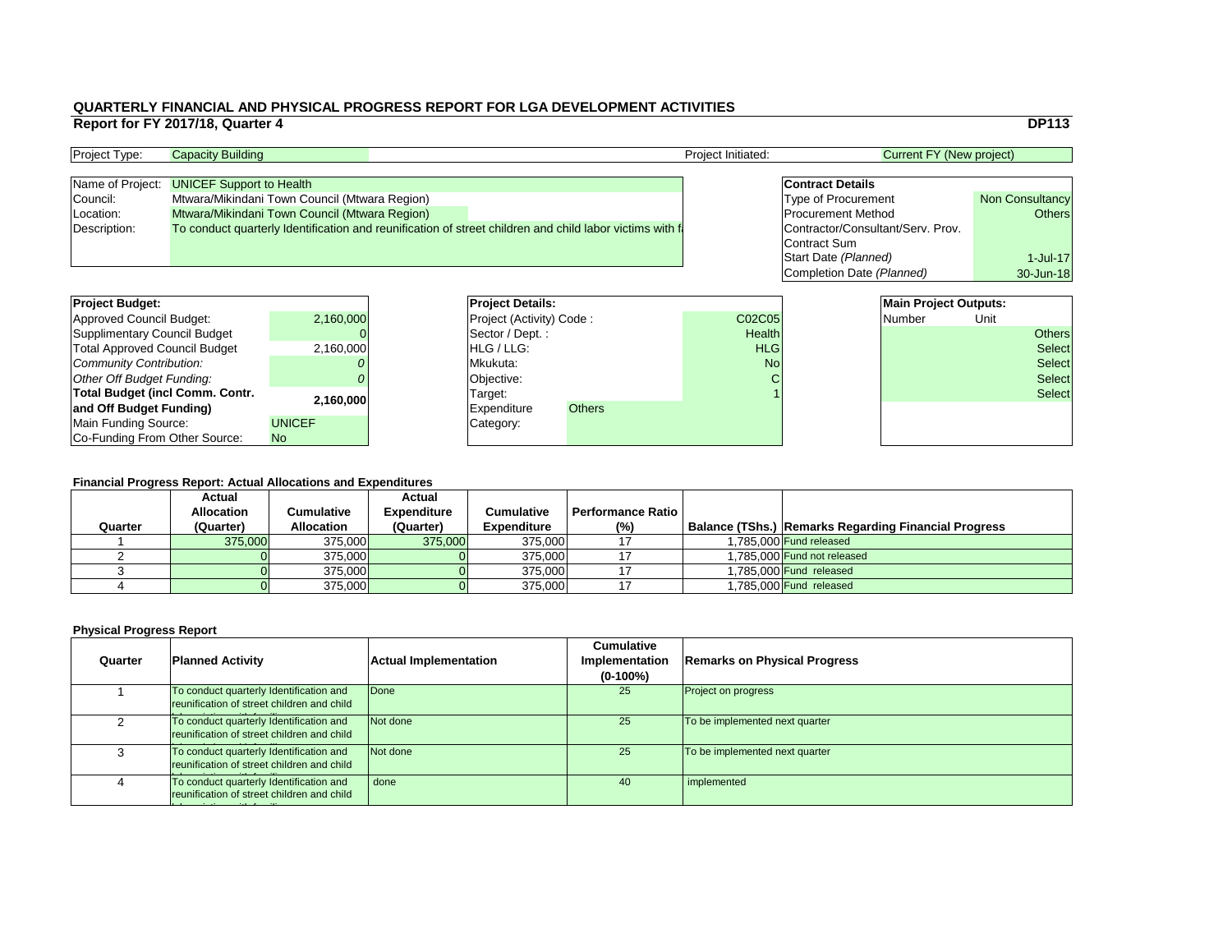|                                                                                              | <b>DP113</b>                            |
|----------------------------------------------------------------------------------------------|-----------------------------------------|
| <b>Current FY (New project)</b>                                                              |                                         |
| <b>Contract Details</b>                                                                      |                                         |
| <b>Type of Procurement</b><br><b>Procurement Method</b><br>Contractor/Consultant/Serv. Prov. | <b>Non Consultancy</b><br><b>Others</b> |
| <b>Contract Sum</b><br>Start Date (Planned)<br>Completion Date (Planned)                     | $1$ -Jul-17<br>30-Jun-18                |

### **Physical Progress Report**

| <b>Project Budget:</b>                 |               | <b>Project Details:</b> |                                 |               | <b>Main Project Outputs:</b> |  |        |      |               |
|----------------------------------------|---------------|-------------------------|---------------------------------|---------------|------------------------------|--|--------|------|---------------|
| <b>Approved Council Budget:</b>        | 2,160,000     |                         | <b>Project (Activity) Code:</b> |               | <b>C02C05</b>                |  | Number | Unit |               |
| <b>Supplimentary Council Budget</b>    |               |                         | Sector / Dept.:                 |               | <b>Health</b>                |  |        |      | <b>Others</b> |
| <b>Total Approved Council Budget</b>   | 2,160,000     |                         | <b>HLG</b> / LLG:               |               | <b>HLG</b>                   |  |        |      | <b>Select</b> |
| <b>Community Contribution:</b>         |               | Mkukuta:                |                                 |               | <b>No</b>                    |  |        |      | <b>Select</b> |
| <b>Other Off Budget Funding:</b>       |               |                         | Objective:                      |               |                              |  |        |      | <b>Select</b> |
| <b>Total Budget (incl Comm. Contr.</b> | 2,160,000     |                         | Target:                         |               |                              |  |        |      | <b>Select</b> |
| and Off Budget Funding)                |               |                         | <b>Expenditure</b>              | <b>Others</b> |                              |  |        |      |               |
| <b>Main Funding Source:</b>            | <b>UNICEF</b> |                         | Category:                       |               |                              |  |        |      |               |
| Co-Funding From Other Source:          | <b>No</b>     |                         |                                 |               |                              |  |        |      |               |

### **QUARTERLY FINANCIAL AND PHYSICAL PROGRESS REPORT FOR LGA DEVELOPMENT ACTIVITIES Report for FY 2017/18, Quarter 4** DP113

| <b>Project Type:</b> | <b>Capacity Building</b>                                                                                | <b>Project Initiated:</b> | <b>Current FY (New project)</b>   |                        |
|----------------------|---------------------------------------------------------------------------------------------------------|---------------------------|-----------------------------------|------------------------|
|                      |                                                                                                         |                           |                                   |                        |
|                      | Name of Project: <b>UNICEF Support to Health</b>                                                        |                           | <b>Contract Details</b>           |                        |
| Council:             | Mtwara/Mikindani Town Council (Mtwara Region)                                                           |                           | <b>Type of Procurement</b>        | <b>Non Consultancy</b> |
| Location:            | Mtwara/Mikindani Town Council (Mtwara Region)                                                           |                           | <b>Procurement Method</b>         | Others                 |
| Description:         | To conduct quarterly Identification and reunification of street children and child labor victims with f |                           | Contractor/Consultant/Serv. Prov. |                        |
|                      |                                                                                                         |                           | Contract Sum                      |                        |

| <b>Project Budget:</b>                 |               | <b>Project Deta</b>   |  |
|----------------------------------------|---------------|-----------------------|--|
| <b>Approved Council Budget:</b>        | 2,160,000     | <b>Project (Activ</b> |  |
| <b>Supplimentary Council Budget</b>    |               | Sector / Dep          |  |
| <b>Total Approved Council Budget</b>   | 2,160,000     | HLG / LLG:            |  |
| Community Contribution:                |               | Mkukuta:              |  |
| Other Off Budget Funding:              |               | Objective:            |  |
| <b>Total Budget (incl Comm. Contr.</b> | 2,160,000     | Target:               |  |
| and Off Budget Funding)                |               | Expenditure           |  |
| <b>Main Funding Source:</b>            | <b>UNICEF</b> | Category:             |  |
| Co-Funding From Other Source:          | <b>No</b>     |                       |  |

|         | <b>Actual</b>     |                   | <b>Actual</b>      |                    |                          |                                                             |
|---------|-------------------|-------------------|--------------------|--------------------|--------------------------|-------------------------------------------------------------|
|         | <b>Allocation</b> | Cumulative        | <b>Expenditure</b> | <b>Cumulative</b>  | <b>Performance Ratio</b> |                                                             |
| Quarter | (Quarter)         | <b>Allocation</b> | (Quarter)          | <b>Expenditure</b> | $(\%)$                   | <b>Balance (TShs.) Remarks Regarding Financial Progress</b> |
|         | 375,000           | 375,000           | 375,000            | 375,000            |                          | 1.785.000 Fund released                                     |
|         |                   | 375,000           |                    | 375,000            |                          | 1.785.000 Fund not released                                 |
|         |                   | 375,000           |                    | 375,000            |                          | 1.785.000 Fund released                                     |
|         |                   | 375,000           |                    | 375,000            |                          | 1,785,000 Fund released                                     |

| Quarter | <b>Planned Activity</b>                                                               | <b>Actual Implementation</b> | <b>Cumulative</b><br><b>Implementation</b><br>$(0-100\%)$ | <b>Remarks on Physical Progress</b> |
|---------|---------------------------------------------------------------------------------------|------------------------------|-----------------------------------------------------------|-------------------------------------|
|         | To conduct quarterly Identification and<br>reunification of street children and child | Done                         | 25                                                        | <b>Project on progress</b>          |
|         | To conduct quarterly Identification and<br>reunification of street children and child | Not done                     | 25                                                        | To be implemented next quarter      |
|         | To conduct quarterly Identification and<br>reunification of street children and child | Not done                     | 25                                                        | To be implemented next quarter      |
|         | To conduct quarterly Identification and<br>reunification of street children and child | done                         | 40                                                        | implemented                         |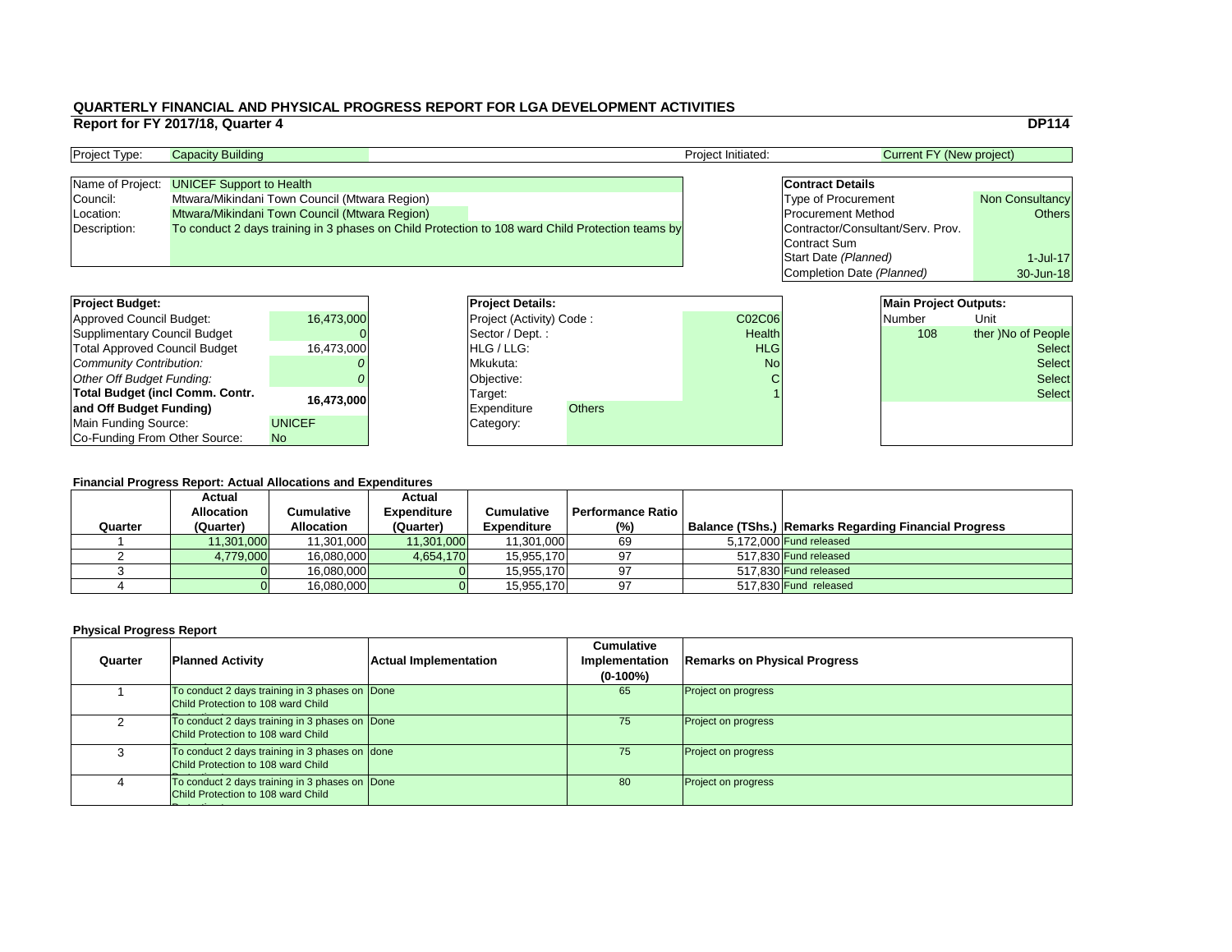|                                   | <b>DP114</b>           |
|-----------------------------------|------------------------|
| <b>Current FY (New project)</b>   |                        |
|                                   |                        |
| <b>Contract Details</b>           |                        |
| <b>Type of Procurement</b>        | <b>Non Consultancy</b> |
| <b>Procurement Method</b>         | <b>Others</b>          |
| Contractor/Consultant/Serv. Prov. |                        |
| <b>Contract Sum</b>               |                        |
| Start Date (Planned)              | $1$ -Jul-17            |
| <b>Completion Date (Planned)</b>  | 30-Jun-18              |
|                                   |                        |
| <b>Main Project Outputs:</b>      |                        |
|                                   |                        |

| <b>Project Budget:</b>                 |               | <b>Project Details:</b> |                                 |               | <b>Main Project Outputs:</b> |  |        |                    |
|----------------------------------------|---------------|-------------------------|---------------------------------|---------------|------------------------------|--|--------|--------------------|
| <b>Approved Council Budget:</b>        | 16,473,000    |                         | <b>Project (Activity) Code:</b> |               | <b>C02C06</b>                |  | Number | Unit               |
| <b>Supplimentary Council Budget</b>    |               |                         | Sector / Dept.:                 |               | <b>Health</b>                |  | 108    | ther )No of People |
| <b>Total Approved Council Budget</b>   | 16,473,000    | <b>HLG</b> / LLG:       |                                 |               | <b>HLG</b>                   |  |        | <b>Select</b>      |
| <b>Community Contribution:</b>         |               | Mkukuta:                |                                 |               | <b>No</b>                    |  |        | <b>Select</b>      |
| <b>Other Off Budget Funding:</b>       |               | Objective:              |                                 |               |                              |  |        | <b>Select</b>      |
| <b>Total Budget (incl Comm. Contr.</b> | 16,473,000    | Target:                 |                                 |               |                              |  |        | <b>Select</b>      |
| and Off Budget Funding)                |               | <b>Expenditure</b>      |                                 | <b>Others</b> |                              |  |        |                    |
| <b>Main Funding Source:</b>            | <b>UNICEF</b> | Category:               |                                 |               |                              |  |        |                    |
| Co-Funding From Other Source:          | <b>No</b>     |                         |                                 |               |                              |  |        |                    |

### **QUARTERLY FINANCIAL AND PHYSICAL PROGRESS REPORT FOR LGA DEVELOPMENT ACTIVITIES Report for FY 2017/18, Quarter 4** DP114

| <b>Project Type:</b> | <b>Capacity Building</b>                                                                         |  | <b>Project Initiated:</b> | Current FY (New project)          |                        |  |
|----------------------|--------------------------------------------------------------------------------------------------|--|---------------------------|-----------------------------------|------------------------|--|
|                      |                                                                                                  |  |                           |                                   |                        |  |
|                      | Name of Project: UNICEF Support to Health                                                        |  |                           | <b>Contract Details</b>           |                        |  |
| Council:             | Mtwara/Mikindani Town Council (Mtwara Region)                                                    |  |                           | <b>Type of Procurement</b>        | <b>Non Consultancy</b> |  |
| Location:            | Mtwara/Mikindani Town Council (Mtwara Region)                                                    |  |                           | <b>Procurement Method</b>         | Others                 |  |
| Description:         | To conduct 2 days training in 3 phases on Child Protection to 108 ward Child Protection teams by |  |                           | Contractor/Consultant/Serv. Prov. |                        |  |
|                      |                                                                                                  |  |                           | Contract Sum                      |                        |  |

| <b>Project Budget:</b>                 |               | <b>Project Deta</b>   |
|----------------------------------------|---------------|-----------------------|
| <b>Approved Council Budget:</b>        | 16,473,000    | <b>Project (Activ</b> |
| <b>Supplimentary Council Budget</b>    |               | Sector / Dep          |
| <b>Total Approved Council Budget</b>   | 16,473,000    | HLG / LLG:            |
| Community Contribution:                |               | Mkukuta:              |
| Other Off Budget Funding:              |               | Objective:            |
| <b>Total Budget (incl Comm. Contr.</b> | 16,473,000    | Target:               |
| and Off Budget Funding)                |               | <b>Expenditure</b>    |
| <b>Main Funding Source:</b>            | <b>UNICEF</b> | Category:             |
| Co-Funding From Other Source:          | <b>No</b>     |                       |

|         | <b>Actual</b>     |                   | <b>Actual</b>      |                    |                          |                                                      |
|---------|-------------------|-------------------|--------------------|--------------------|--------------------------|------------------------------------------------------|
|         | <b>Allocation</b> | Cumulative        | <b>Expenditure</b> | <b>Cumulative</b>  | <b>Performance Ratio</b> |                                                      |
| Quarter | (Quarter)         | <b>Allocation</b> | (Quarter)          | <b>Expenditure</b> | $(\%)$                   | Balance (TShs.) Remarks Regarding Financial Progress |
|         | 11,301,000        | 11,301,000        | 11,301,000         | 11,301,000         | 69                       | $5.172.000$ Fund released                            |
|         | 4,779,000         | 16,080,000        | 4,654,170          | 15,955,170         | 97                       | 517,830 Fund released                                |
|         |                   | 16,080,000        |                    | 15,955,170         | 97                       | 517.830 Fund released                                |
|         |                   | 16,080,000        |                    | 15,955,170         | 97                       | 517,830 Fund released                                |

| Quarter | <b>Planned Activity</b>                                                                     | <b>Actual Implementation</b> | <b>Cumulative</b><br><b>Implementation</b><br>$(0-100\%)$ | <b>Remarks on Physical Progress</b> |
|---------|---------------------------------------------------------------------------------------------|------------------------------|-----------------------------------------------------------|-------------------------------------|
|         | To conduct 2 days training in 3 phases on Done<br>Child Protection to 108 ward Child        |                              | 65                                                        | <b>Project on progress</b>          |
|         | To conduct 2 days training in 3 phases on Done<br><b>Child Protection to 108 ward Child</b> |                              | 75                                                        | <b>Project on progress</b>          |
|         | To conduct 2 days training in 3 phases on done<br>Child Protection to 108 ward Child        |                              | 75                                                        | <b>Project on progress</b>          |
|         | To conduct 2 days training in 3 phases on Done<br>Child Protection to 108 ward Child        |                              | 80                                                        | <b>Project on progress</b>          |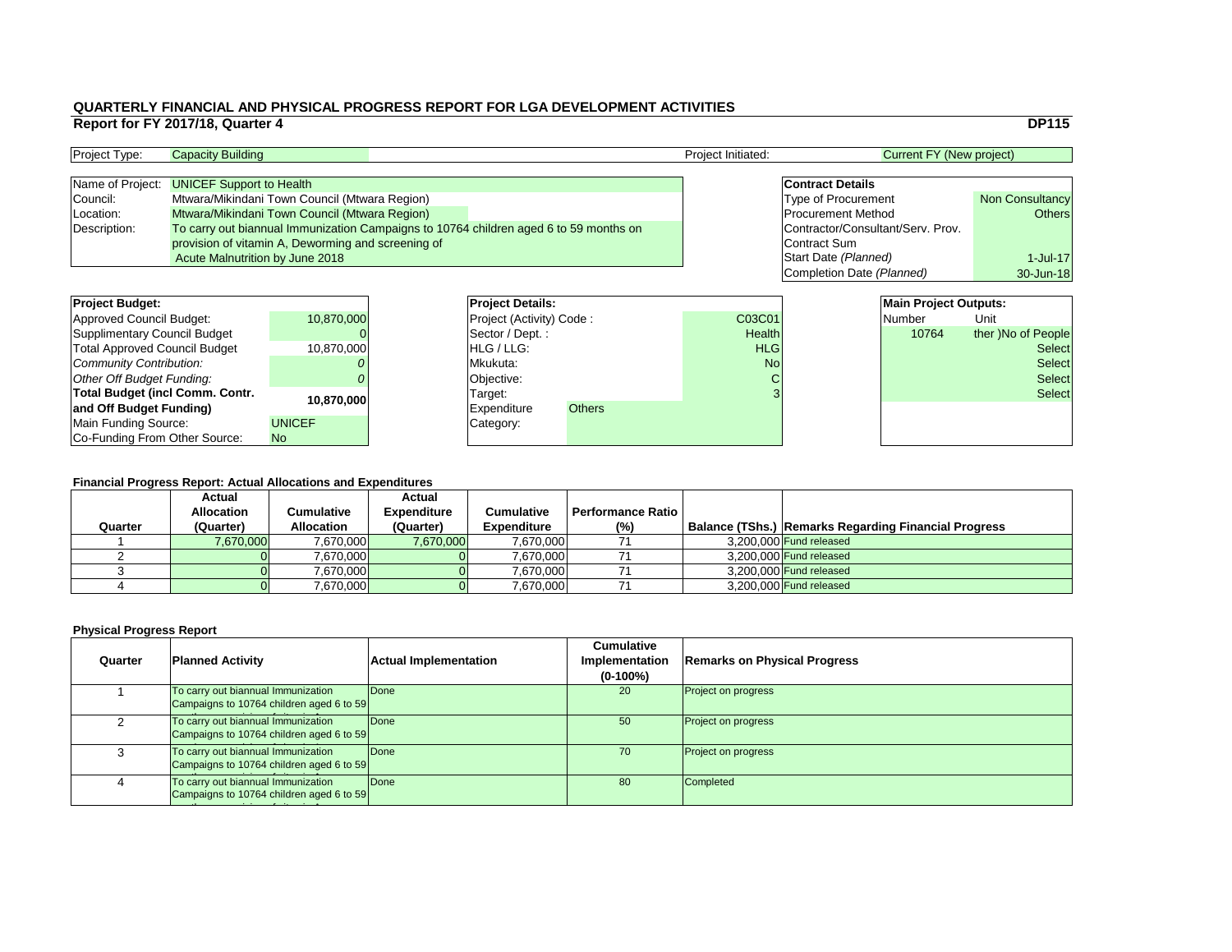|                         |                                   |                              | <b>DP115</b>           |  |  |  |  |  |  |  |
|-------------------------|-----------------------------------|------------------------------|------------------------|--|--|--|--|--|--|--|
|                         | <b>Current FY (New project)</b>   |                              |                        |  |  |  |  |  |  |  |
|                         |                                   |                              |                        |  |  |  |  |  |  |  |
|                         | <b>Contract Details</b>           |                              |                        |  |  |  |  |  |  |  |
|                         | <b>Type of Procurement</b>        |                              | <b>Non Consultancy</b> |  |  |  |  |  |  |  |
|                         | <b>Procurement Method</b>         |                              | <b>Others</b>          |  |  |  |  |  |  |  |
|                         | Contractor/Consultant/Serv. Prov. |                              |                        |  |  |  |  |  |  |  |
|                         | <b>Contract Sum</b>               |                              |                        |  |  |  |  |  |  |  |
|                         | Start Date (Planned)              |                              | $1$ -Jul-17            |  |  |  |  |  |  |  |
|                         | Completion Date (Planned)         | 30-Jun-18                    |                        |  |  |  |  |  |  |  |
|                         |                                   |                              |                        |  |  |  |  |  |  |  |
|                         |                                   | <b>Main Project Outputs:</b> |                        |  |  |  |  |  |  |  |
| $\overline{\mathbf{1}}$ |                                   | <b>Number</b>                | Unit                   |  |  |  |  |  |  |  |
| ۰h                      |                                   | 10761                        | thor Mo of Dooplo      |  |  |  |  |  |  |  |

### **Financial Progress Report: Actual Allocations and Expenditures**

| <b>Project Budget:</b>                 |               | <b>Project Details:</b>         |               |               | <b>Main Project Outputs:</b> |                    |
|----------------------------------------|---------------|---------------------------------|---------------|---------------|------------------------------|--------------------|
| Approved Council Budget:               | 10,870,000    | <b>Project (Activity) Code:</b> |               | C03C01        | <b>Number</b>                | Unit               |
| Supplimentary Council Budget           |               | Sector / Dept.:                 |               | <b>Health</b> | 10764                        | ther )No of People |
| <b>Total Approved Council Budget</b>   | 10,870,000    | <b>HLG</b> / LLG:               |               | <b>HLG</b>    |                              | <b>Select</b>      |
| Community Contribution:                |               | Mkukuta:                        |               | <b>No</b>     | <b>Select</b>                |                    |
| Other Off Budget Funding:              |               | Objective:                      |               |               |                              | <b>Select</b>      |
| <b>Total Budget (incl Comm. Contr.</b> |               | Target:                         |               |               |                              | <b>Select</b>      |
| and Off Budget Funding)                | 10,870,000    | <b>Expenditure</b>              | <b>Others</b> |               |                              |                    |
| Main Funding Source:                   | <b>UNICEF</b> | Category:                       |               |               |                              |                    |
| Co-Funding From Other Source:          | No            |                                 |               |               |                              |                    |
|                                        |               |                                 |               |               |                              |                    |
|                                        |               |                                 |               |               |                              |                    |

| <b>Project Type:</b> | <b>Capacity Building</b>                           | Project Initiated:                                                                    |  |                                   | Current FY (New project) |  |
|----------------------|----------------------------------------------------|---------------------------------------------------------------------------------------|--|-----------------------------------|--------------------------|--|
|                      | Name of Project: <b>UNICEF Support to Health</b>   |                                                                                       |  | <b>Contract Details</b>           |                          |  |
| Council:             | Mtwara/Mikindani Town Council (Mtwara Region)      |                                                                                       |  | <b>Type of Procurement</b>        | Non Consultancy          |  |
| Location:            | Mtwara/Mikindani Town Council (Mtwara Region)      |                                                                                       |  | <b>Procurement Method</b>         | Others                   |  |
| Description:         |                                                    | To carry out biannual Immunization Campaigns to 10764 children aged 6 to 59 months on |  | Contractor/Consultant/Serv. Prov. |                          |  |
|                      | provision of vitamin A, Deworming and screening of |                                                                                       |  | Contract Sum                      |                          |  |
|                      | <b>Acute Malnutrition by June 2018</b>             |                                                                                       |  | Start Date (Planned)              | 1-Jul-17                 |  |

| Quarter | <b>Actual</b><br><b>Allocation</b><br>(Quarter) | Cumulative<br><b>Allocation</b> | <b>Actual</b><br><b>Expenditure</b><br>(Quarter) | <b>Cumulative</b><br><b>Expenditure</b> | <b>Performance Ratio</b> I<br>(%) | <b>Balance (TShs.) Remarks Regarding Financial Progress</b> |
|---------|-------------------------------------------------|---------------------------------|--------------------------------------------------|-----------------------------------------|-----------------------------------|-------------------------------------------------------------|
|         | 7,670,000                                       | 7,670,000                       | 7,670,000                                        | 7,670,000                               |                                   | $3.200.000$ Fund released                                   |
|         |                                                 | 7.670.000                       |                                                  | 7,670,000                               |                                   | $3.200.000$ Fund released                                   |
|         |                                                 | 7,670,000                       |                                                  | 7,670,000                               |                                   | $3,200,000$ Fund released                                   |
|         |                                                 | 7,670,000                       |                                                  | 7,670,000                               |                                   | $3,200,000$ Fund released                                   |

| Quarter | <b>Planned Activity</b>                                                        | <b>Actual Implementation</b> | <b>Cumulative</b><br>Implementation<br>$(0-100\%)$ | <b>Remarks on Physical Progress</b> |
|---------|--------------------------------------------------------------------------------|------------------------------|----------------------------------------------------|-------------------------------------|
|         | To carry out biannual Immunization<br>Campaigns to 10764 children aged 6 to 59 | <b>Done</b>                  | 20                                                 | <b>Project on progress</b>          |
|         | To carry out biannual Immunization<br>Campaigns to 10764 children aged 6 to 59 | Done                         | 50                                                 | <b>Project on progress</b>          |
|         | To carry out biannual Immunization<br>Campaigns to 10764 children aged 6 to 59 | Done                         | 70                                                 | <b>Project on progress</b>          |
|         | To carry out biannual Immunization<br>Campaigns to 10764 children aged 6 to 59 | Done                         | 80                                                 | <b>Completed</b>                    |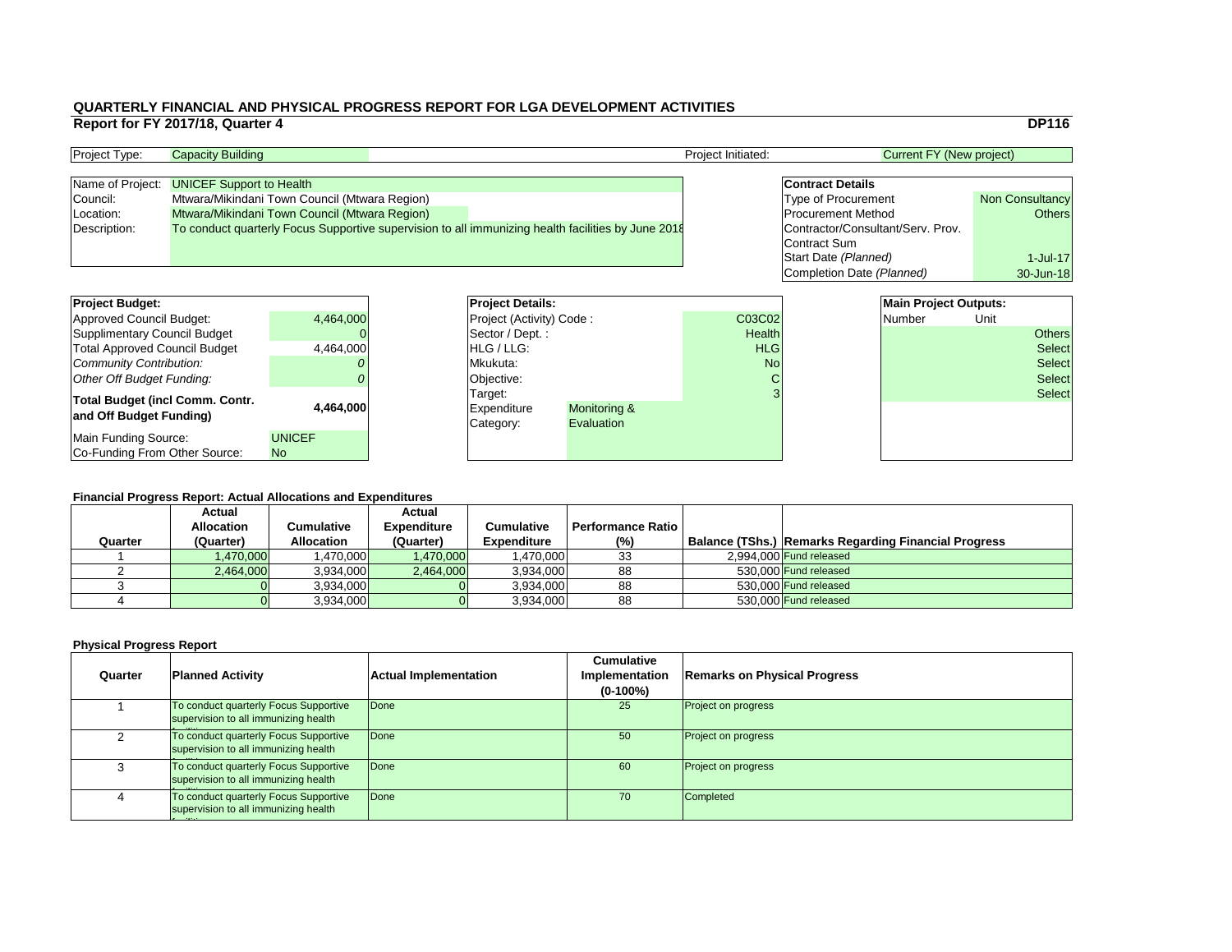|                            |                                   | <b>DP116</b>           |
|----------------------------|-----------------------------------|------------------------|
|                            |                                   |                        |
|                            | <b>Current FY (New project)</b>   |                        |
|                            |                                   |                        |
| <b>Contract Details</b>    |                                   |                        |
| <b>Type of Procurement</b> |                                   | <b>Non Consultancy</b> |
| <b>Procurement Method</b>  |                                   | <b>Others</b>          |
|                            | Contractor/Consultant/Serv. Prov. |                        |
| <b>Contract Sum</b>        |                                   |                        |
| Start Date (Planned)       |                                   | $1$ -Jul-17            |
|                            | Completion Date (Planned)         | 30-Jun-18              |
|                            |                                   |                        |
|                            | <b>Main Project Outputs:</b>      |                        |
|                            | Numbor                            |                        |

### **Financial Progress Report: Actual Allocations and Expenditures**

| <b>Project Budget:</b>                 |               | <b>Project Details:</b> |                                         |            |               | <b>Main Project Outputs:</b> |        |               |               |
|----------------------------------------|---------------|-------------------------|-----------------------------------------|------------|---------------|------------------------------|--------|---------------|---------------|
| <b>Approved Council Budget:</b>        | 4,464,000     |                         | <b>Project (Activity) Code:</b>         |            | C03C02        |                              | Number | Unit          |               |
| <b>Supplimentary Council Budget</b>    |               |                         | Sector / Dept.:                         |            | <b>Health</b> |                              |        |               | <b>Others</b> |
| <b>Total Approved Council Budget</b>   | 4,464,000     |                         | <b>HLG/LLG:</b>                         |            | <b>HLG</b>    |                              |        |               | <b>Select</b> |
| <b>Community Contribution:</b>         |               | Mkukuta:                |                                         | <b>No</b>  |               |                              |        | <b>Select</b> |               |
| <b>Other Off Budget Funding:</b>       |               | Objective:              |                                         | U          |               |                              |        | <b>Select</b> |               |
| <b>Total Budget (incl Comm. Contr.</b> |               |                         | Target:                                 |            |               |                              |        |               | <b>Select</b> |
| and Off Budget Funding)                | 4,464,000     |                         | <b>Monitoring &amp;</b><br> Expenditure |            |               |                              |        |               |               |
|                                        |               |                         | Category:                               | Evaluation |               |                              |        |               |               |
| <b>Main Funding Source:</b>            | <b>UNICEF</b> |                         |                                         |            |               |                              |        |               |               |
| Co-Funding From Other Source:          | <b>No</b>     |                         |                                         |            |               |                              |        |               |               |

| <b>Project Type:</b> | <b>Capacity Building</b>                                                                           |  | <b>Project Initiated:</b>         | Current FY (New project)   |                        |
|----------------------|----------------------------------------------------------------------------------------------------|--|-----------------------------------|----------------------------|------------------------|
|                      |                                                                                                    |  |                                   |                            |                        |
| Name of Project:     | <b>UNICEF Support to Health</b>                                                                    |  |                                   | <b>Contract Details</b>    |                        |
| Council:             | Mtwara/Mikindani Town Council (Mtwara Region)                                                      |  |                                   | <b>Type of Procurement</b> | <b>Non Consultancy</b> |
| Location:            | Mtwara/Mikindani Town Council (Mtwara Region)                                                      |  |                                   | <b>Procurement Method</b>  | <b>Others</b>          |
| Description:         | To conduct quarterly Focus Supportive supervision to all immunizing health facilities by June 2018 |  | Contractor/Consultant/Serv. Prov. |                            |                        |
|                      |                                                                                                    |  |                                   | <b>Contract Sum</b>        |                        |

| <b>Project Budget:</b>                                            |               | <b>Project Deta</b>                 |
|-------------------------------------------------------------------|---------------|-------------------------------------|
| <b>Approved Council Budget:</b>                                   | 4,464,000     | <b>Project (Activ</b>               |
| <b>Supplimentary Council Budget</b>                               |               | Sector / Dep                        |
| <b>Total Approved Council Budget</b>                              | 4,464,000     | HLG / LLG:                          |
| <b>Community Contribution:</b>                                    |               | Mkukuta:                            |
| <b>Other Off Budget Funding:</b>                                  |               | Objective:                          |
| <b>Total Budget (incl Comm. Contr.</b><br>and Off Budget Funding) | 4,464,000     | Target:<br>Expenditure<br>Category: |
| Main Funding Source:                                              | <b>UNICEF</b> |                                     |
| Co-Funding From Other Source:                                     | <b>No</b>     |                                     |

|         | <b>Actual</b>     |                   | <b>Actual</b>      |                    |                          |                                                             |
|---------|-------------------|-------------------|--------------------|--------------------|--------------------------|-------------------------------------------------------------|
|         | <b>Allocation</b> | Cumulative        | <b>Expenditure</b> | <b>Cumulative</b>  | <b>Performance Ratio</b> |                                                             |
| Quarter | (Quarter)         | <b>Allocation</b> | (Quarter)          | <b>Expenditure</b> | (%)                      | <b>Balance (TShs.) Remarks Regarding Financial Progress</b> |
|         | 1,470,000         | ,470,000          | 1,470,000          | 1,470,000          | 33                       | $2,994,000$ Fund released                                   |
|         | 2,464,000         | 3,934,000         | 2,464,000          | 3,934,000          | 88                       | 530,000 Fund released                                       |
|         |                   | 3,934,000         |                    | 3,934,000          | 88                       | 530,000 Fund released                                       |
|         |                   | 3,934,000         |                    | 3,934,000          | 88                       | 530,000 Fund released                                       |

| Quarter | <b>Planned Activity</b>                                                       | <b>Actual Implementation</b> | <b>Cumulative</b><br>Implementation<br>$(0-100\%)$ | <b>Remarks on Physical Progress</b> |
|---------|-------------------------------------------------------------------------------|------------------------------|----------------------------------------------------|-------------------------------------|
|         | To conduct quarterly Focus Supportive<br>supervision to all immunizing health | Done                         | 25                                                 | <b>Project on progress</b>          |
|         | To conduct quarterly Focus Supportive<br>supervision to all immunizing health | Done                         | 50                                                 | <b>Project on progress</b>          |
|         | To conduct quarterly Focus Supportive<br>supervision to all immunizing health | Done                         | 60                                                 | Project on progress                 |
|         | To conduct quarterly Focus Supportive<br>supervision to all immunizing health | Done                         | 70                                                 | Completed                           |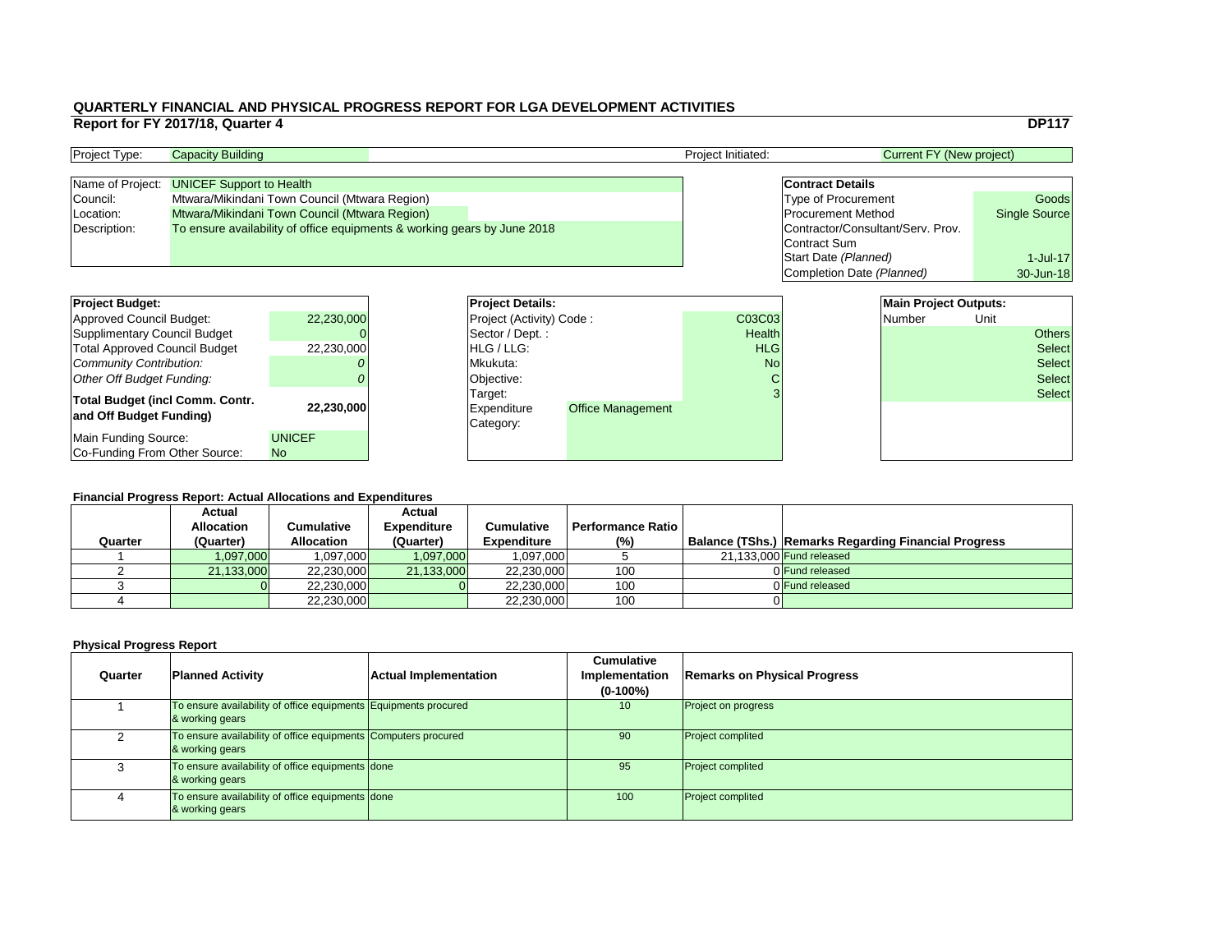|    |                                   | <b>DP117</b>         |
|----|-----------------------------------|----------------------|
|    | <b>Current FY (New project)</b>   |                      |
|    |                                   |                      |
|    | <b>Contract Details</b>           |                      |
|    | <b>Type of Procurement</b>        | Goods                |
|    | <b>Procurement Method</b>         | <b>Single Source</b> |
|    | Contractor/Consultant/Serv. Prov. |                      |
|    | Contract Sum                      |                      |
|    | Start Date (Planned)              | $1$ -Jul-17          |
|    | Completion Date (Planned)         | 30-Jun-18            |
|    |                                   |                      |
|    | <b>Main Project Outputs:</b>      |                      |
| )3 | <b>Number</b>                     | Unit                 |
| th |                                   | thers                |
|    |                                   |                      |

|   | J Damarka Degarding Eineneigl Drearces |
|---|----------------------------------------|
|   |                                        |
|   |                                        |
| 3 | <b>Select</b>                          |

### **Financial Progress Report: Actual Allocations and Expenditures**

| <b>Project Budget:</b>                                            |                            | <b>Project Details:</b>         |                                                |               | <b>Main Project Outputs:</b> |        |      |               |
|-------------------------------------------------------------------|----------------------------|---------------------------------|------------------------------------------------|---------------|------------------------------|--------|------|---------------|
| Approved Council Budget:                                          | 22,230,000                 | <b>Project (Activity) Code:</b> |                                                | C03C03        |                              | Number | Unit |               |
| Supplimentary Council Budget                                      |                            | Sector / Dept. :                |                                                | <b>Health</b> |                              |        |      | <b>Others</b> |
| <b>Total Approved Council Budget</b>                              | 22,230,000                 | <b>HLG/LLG:</b>                 |                                                | <b>HLG</b>    |                              |        |      | <b>Select</b> |
| Community Contribution:                                           |                            | Mkukuta:                        |                                                | <b>No</b>     |                              |        |      | <b>Select</b> |
| Other Off Budget Funding:                                         |                            | Objective:                      |                                                |               |                              |        |      | <b>Select</b> |
| <b>Total Budget (incl Comm. Contr.</b><br>and Off Budget Funding) | 22,230,000                 | Target:<br>Category:            | <b>Office Management</b><br><b>Expenditure</b> |               |                              |        |      | <b>Select</b> |
| Main Funding Source:<br>Co-Funding From Other Source:             | <b>UNICEF</b><br><b>No</b> |                                 |                                                |               |                              |        |      |               |

| <b>Project Type:</b> | <b>Capacity Building</b>                                                 |  | <b>Project Initiated:</b>         | Current FY (New project)   |                      |
|----------------------|--------------------------------------------------------------------------|--|-----------------------------------|----------------------------|----------------------|
|                      |                                                                          |  |                                   |                            |                      |
|                      | Name of Project: <b>UNICEF Support to Health</b>                         |  |                                   | <b>Contract Details</b>    |                      |
| Council:             | Mtwara/Mikindani Town Council (Mtwara Region)                            |  |                                   | <b>Type of Procurement</b> | Goods                |
| Location:            | Mtwara/Mikindani Town Council (Mtwara Region)                            |  |                                   | <b>Procurement Method</b>  | <b>Single Source</b> |
| Description:         | To ensure availability of office equipments & working gears by June 2018 |  | Contractor/Consultant/Serv. Prov. |                            |                      |
|                      |                                                                          |  |                                   | Contract Sum               |                      |

|         | <b>Actual</b>     |                   | <b>Actual</b>      |                    |                   |                                                             |
|---------|-------------------|-------------------|--------------------|--------------------|-------------------|-------------------------------------------------------------|
|         | <b>Allocation</b> | <b>Cumulative</b> | <b>Expenditure</b> | Cumulative         | Performance Ratio |                                                             |
| Quarter | (Quarter)         | <b>Allocation</b> | (Quarter)          | <b>Expenditure</b> | (% )              | <b>Balance (TShs.) Remarks Regarding Financial Progress</b> |
|         | 1,097,000         | 097,000           | 1,097,000          | 1,097,000          |                   | 21,133,000 Fund released                                    |
|         | 21,133,000        | 22,230,000        | 21,133,000         | 22,230,000         | 100               | 0 Fund released                                             |
|         |                   | 22,230,000        |                    | 22,230,000         | 100               | 0 Fund released                                             |
|         |                   | 22,230,000        |                    | 22,230,000         | 100               |                                                             |

| Quarter | <b>Planned Activity</b>                                                            | <b>Actual Implementation</b> | <b>Cumulative</b><br>Implementation<br>$(0-100\%)$ | <b>Remarks on Physical Progress</b> |
|---------|------------------------------------------------------------------------------------|------------------------------|----------------------------------------------------|-------------------------------------|
|         | To ensure availability of office equipments Equipments procured<br>& working gears |                              | 10 <sup>°</sup>                                    | <b>Project on progress</b>          |
|         | To ensure availability of office equipments Computers procured<br>& working gears  |                              | 90                                                 | <b>Project complited</b>            |
|         | To ensure availability of office equipments done<br>& working gears                |                              | 95                                                 | <b>Project complited</b>            |
|         | To ensure availability of office equipments done<br>& working gears                |                              | 100                                                | <b>Project complited</b>            |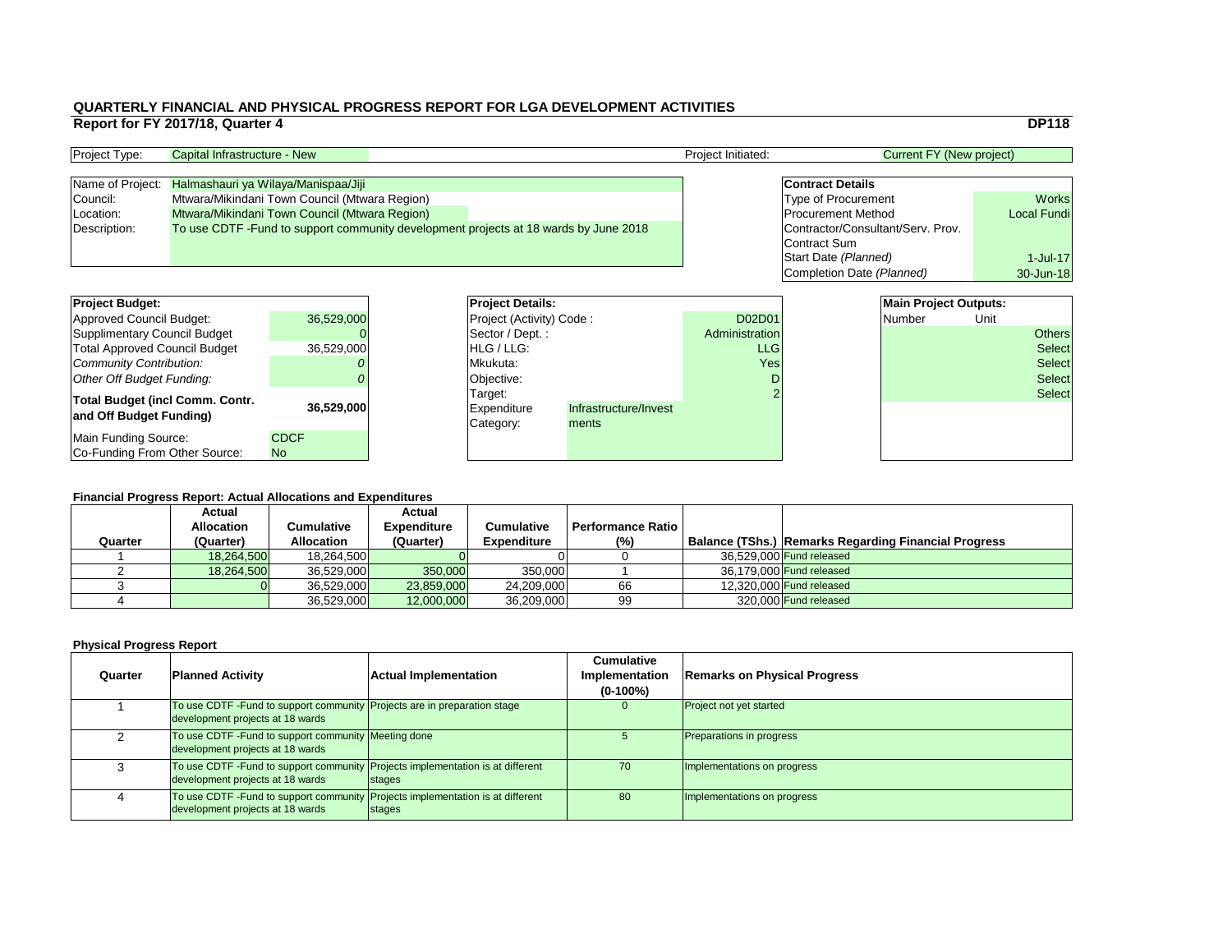|                |                                   | <b>DP118</b>        |
|----------------|-----------------------------------|---------------------|
|                | <b>Current FY (New project)</b>   |                     |
|                |                                   |                     |
|                | <b>Contract Details</b>           |                     |
|                | <b>Type of Procurement</b>        | <b>Works</b>        |
|                | <b>Procurement Method</b>         | <b>Local Fundi</b>  |
|                | Contractor/Consultant/Serv. Prov. |                     |
|                | <b>Contract Sum</b>               |                     |
|                | Start Date (Planned)              | $1$ -Jul-17         |
|                | Completion Date (Planned)         | 30-Jun-18           |
|                |                                   |                     |
|                | <b>Main Project Outputs:</b>      |                     |
| $\overline{1}$ | <b>Number</b>                     | Unit                |
|                |                                   | $\bigcap_{i=1}^{n}$ |

### **Financial Progress Report: Actual Allocations and Expenditures**

| <b>Project Budget:</b>                 |             | <b>Project Details:</b>         |                       |                | <b>Main Project Outputs:</b> |               |      |               |
|----------------------------------------|-------------|---------------------------------|-----------------------|----------------|------------------------------|---------------|------|---------------|
| <b>Approved Council Budget:</b>        | 36,529,000  | <b>Project (Activity) Code:</b> |                       | D02D01         |                              | <b>Number</b> | Unit |               |
| <b>Supplimentary Council Budget</b>    |             | Sector / Dept.:                 |                       | Administration |                              |               |      | <b>Others</b> |
| <b>Total Approved Council Budget</b>   | 36,529,000  | <b>HLG/LLG:</b>                 |                       | <b>LLG</b>     |                              |               |      | <b>Select</b> |
| <b>Community Contribution:</b>         |             | Mkukuta:                        |                       | Yes            |                              |               |      | <b>Select</b> |
| <b>Other Off Budget Funding:</b>       |             | Objective:                      |                       |                |                              |               |      | <b>Select</b> |
| <b>Total Budget (incl Comm. Contr.</b> |             | Target:                         |                       |                |                              |               |      | <b>Select</b> |
| and Off Budget Funding)                | 36,529,000  | Expenditure                     | Infrastructure/Invest |                |                              |               |      |               |
|                                        |             | Category:                       | ments                 |                |                              |               |      |               |
| <b>Main Funding Source:</b>            | <b>CDCF</b> |                                 |                       |                |                              |               |      |               |
| Co-Funding From Other Source:          | <b>No</b>   |                                 |                       |                |                              |               |      |               |

| <b>Project Type:</b> | Capital Infrastructure - New                                                        |  |  | <b>Project Initiated:</b> | Current FY (New project)          |                    |
|----------------------|-------------------------------------------------------------------------------------|--|--|---------------------------|-----------------------------------|--------------------|
|                      |                                                                                     |  |  |                           |                                   |                    |
|                      | Name of Project: Halmashauri ya Wilaya/Manispaa/Jiji                                |  |  |                           | <b>Contract Details</b>           |                    |
| Council:             | Mtwara/Mikindani Town Council (Mtwara Region)                                       |  |  |                           | <b>Type of Procurement</b>        | <b>Works</b>       |
| Location:            | Mtwara/Mikindani Town Council (Mtwara Region)                                       |  |  |                           | <b>Procurement Method</b>         | <b>Local Fundi</b> |
| Description:         | To use CDTF-Fund to support community development projects at 18 wards by June 2018 |  |  |                           | Contractor/Consultant/Serv. Prov. |                    |
|                      |                                                                                     |  |  |                           | Contract Sum                      |                    |

| <b>Project Budget:</b>                                            |             | <b>Project Deta</b>                 |
|-------------------------------------------------------------------|-------------|-------------------------------------|
| <b>Approved Council Budget:</b>                                   | 36,529,000  | Project (Activ                      |
| <b>Supplimentary Council Budget</b>                               |             | Sector / Dep                        |
| <b>Total Approved Council Budget</b>                              | 36,529,000  | HLG / LLG:                          |
| <b>Community Contribution:</b>                                    |             | Mkukuta:                            |
| <b>Other Off Budget Funding:</b>                                  |             | Objective:                          |
| <b>Total Budget (incl Comm. Contr.</b><br>and Off Budget Funding) | 36,529,000  | Target:<br>Expenditure<br>Category: |
| Main Funding Source:                                              | <b>CDCF</b> |                                     |
| Co-Funding From Other Source:                                     | <b>No</b>   |                                     |

|         | <b>Actual</b>     |                   | <b>Actual</b>      |                    |                          |                                                             |
|---------|-------------------|-------------------|--------------------|--------------------|--------------------------|-------------------------------------------------------------|
|         | <b>Allocation</b> | Cumulative        | <b>Expenditure</b> | <b>Cumulative</b>  | <b>Performance Ratio</b> |                                                             |
| Quarter | (Quarter)         | <b>Allocation</b> | (Quarter)          | <b>Expenditure</b> | $(\%)$                   | <b>Balance (TShs.) Remarks Regarding Financial Progress</b> |
|         | 18,264,500        | 18,264,500        |                    |                    |                          | 36,529,000 Fund released                                    |
|         | 18,264,500        | 36,529,000        | 350,000            | 350,000            |                          | 36,179,000 Fund released                                    |
|         |                   | 36,529,000        | 23,859,000         | 24,209,000         | 66                       | $12,320,000$ Fund released                                  |
|         |                   | 36,529,000        | 12,000,000         | 36,209,000         | 99                       | 320,000 Fund released                                       |

| Quarter | <b>Planned Activity</b>                                                                                             | <b>Actual Implementation</b> | <b>Cumulative</b><br>Implementation<br>$(0-100\%)$ | <b>Remarks on Physical Progress</b> |
|---------|---------------------------------------------------------------------------------------------------------------------|------------------------------|----------------------------------------------------|-------------------------------------|
|         | To use CDTF - Fund to support community Projects are in preparation stage<br>development projects at 18 wards       |                              |                                                    | <b>Project not yet started</b>      |
|         | To use CDTF - Fund to support community Meeting done<br>development projects at 18 wards                            |                              |                                                    | <b>Preparations in progress</b>     |
|         | To use CDTF -Fund to support community Projects implementation is at different<br>development projects at 18 wards  | <b>Stages</b>                | 70                                                 | Implementations on progress         |
|         | To use CDTF - Fund to support community Projects implementation is at different<br>development projects at 18 wards | <b>Stages</b>                | 80                                                 | Implementations on progress         |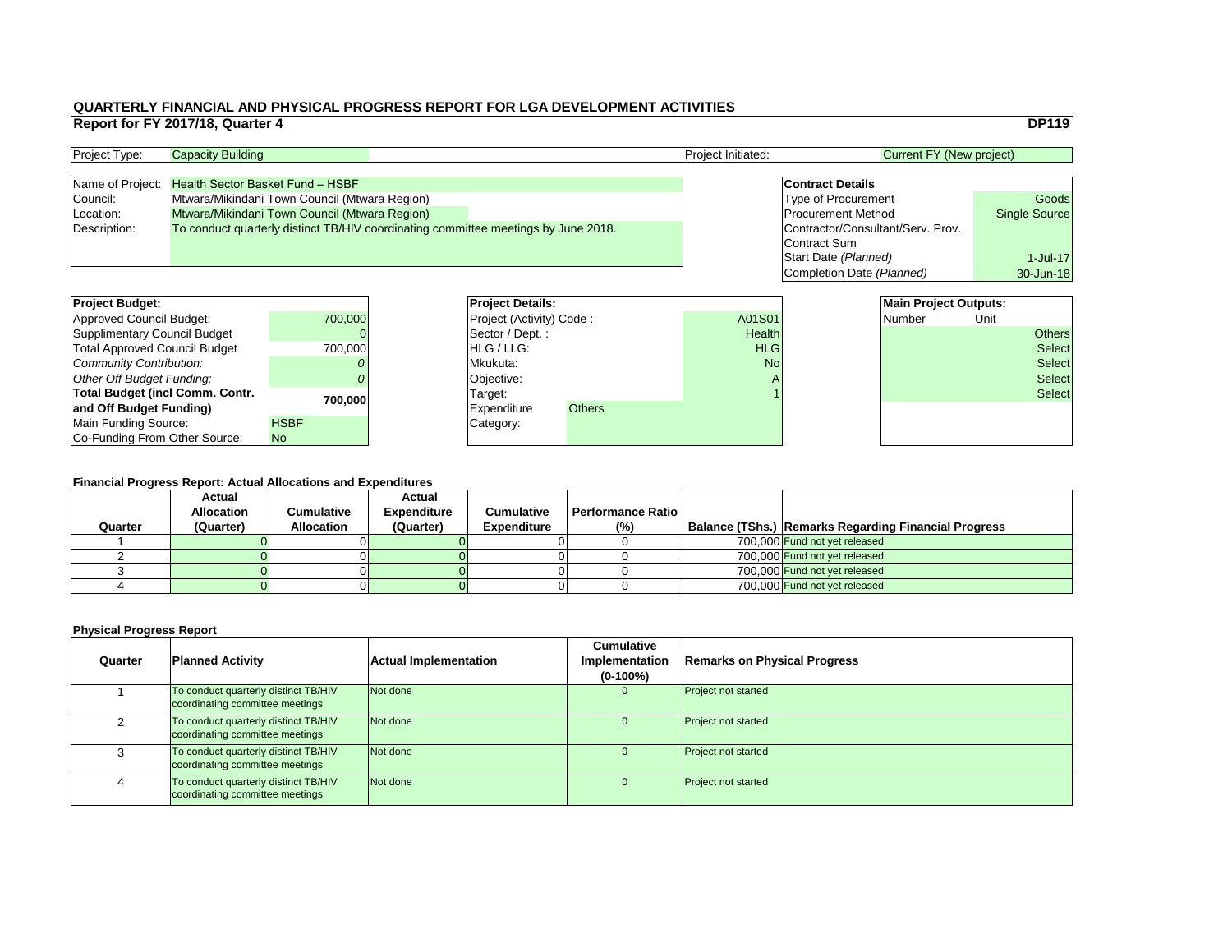|                                   | <b>DP119</b>         |
|-----------------------------------|----------------------|
| <b>Current FY (New project)</b>   |                      |
| <b>Contract Details</b>           |                      |
| <b>Type of Procurement</b>        | Goods                |
| <b>Procurement Method</b>         | <b>Single Source</b> |
| Contractor/Consultant/Serv. Prov. |                      |
| <b>Contract Sum</b>               |                      |
| Start Date (Planned)              | $1$ -Jul-17          |
| Completion Date (Planned)         | 30-Jun-18            |
|                                   |                      |
|                                   |                      |

| <b>Project Budget:</b>                 |             |                 | <b>Project Details:</b>           |               |               | <b>Main Project Outputs:</b> |               |               |
|----------------------------------------|-------------|-----------------|-----------------------------------|---------------|---------------|------------------------------|---------------|---------------|
| <b>Approved Council Budget:</b>        | 700,000     |                 | <b>Project (Activity) Code:</b>   |               | A01S01        | Number                       | Unit          |               |
| <b>Supplimentary Council Budget</b>    |             |                 | $\sqrt{\sqrt{2}}$ Sector / Dept.: |               | <b>Health</b> |                              |               | <b>Others</b> |
| <b>Total Approved Council Budget</b>   | 700,000     | <b>HLG/LLG:</b> |                                   | <b>HLG</b>    |               |                              | <b>Select</b> |               |
| <b>Community Contribution:</b>         |             | Mkukuta:        |                                   | <b>No</b>     |               |                              | <b>Select</b> |               |
| <b>Other Off Budget Funding:</b>       |             | Objective:      |                                   |               |               |                              | <b>Select</b> |               |
| <b>Total Budget (incl Comm. Contr.</b> | 700,000     |                 | Target:                           |               |               |                              |               | <b>Select</b> |
| and Off Budget Funding)                |             |                 | <b>Expenditure</b>                | <b>Others</b> |               |                              |               |               |
| <b>Main Funding Source:</b>            | <b>HSBF</b> |                 | Category:                         |               |               |                              |               |               |
| Co-Funding From Other Source:          | <b>No</b>   |                 |                                   |               |               |                              |               |               |

### **QUARTERLY FINANCIAL AND PHYSICAL PROGRESS REPORT FOR LGA DEVELOPMENT ACTIVITIES Report for FY 2017/18, Quarter 4** DP119

| <b>Project Type:</b> | <b>Capacity Building</b>                                                           |  | <b>Project Initiated:</b> | Current FY (New project)          |                      |
|----------------------|------------------------------------------------------------------------------------|--|---------------------------|-----------------------------------|----------------------|
|                      |                                                                                    |  |                           |                                   |                      |
|                      | Name of Project: Health Sector Basket Fund - HSBF                                  |  |                           | <b>Contract Details</b>           |                      |
| Council:             | Mtwara/Mikindani Town Council (Mtwara Region)                                      |  |                           | <b>Type of Procurement</b>        | Goods                |
| Location:            | Mtwara/Mikindani Town Council (Mtwara Region)                                      |  |                           | <b>Procurement Method</b>         | <b>Single Source</b> |
| Description:         | To conduct quarterly distinct TB/HIV coordinating committee meetings by June 2018. |  |                           | Contractor/Consultant/Serv. Prov. |                      |
|                      |                                                                                    |  |                           | Contract Sum                      |                      |

| <b>Project Budget:</b>                 |             | <b>Project Deta</b>   |
|----------------------------------------|-------------|-----------------------|
| <b>Approved Council Budget:</b>        | 700,000     | <b>Project (Activ</b> |
| <b>Supplimentary Council Budget</b>    |             | Sector / Dep          |
| <b>Total Approved Council Budget</b>   | 700,000     | HLG / LLG:            |
| Community Contribution:                |             | Mkukuta:              |
| Other Off Budget Funding:              |             | Objective:            |
| <b>Total Budget (incl Comm. Contr.</b> | 700,000     | Target:               |
| and Off Budget Funding)                |             | <b>Expenditure</b>    |
| Main Funding Source:                   | <b>HSBF</b> | Category:             |
| Co-Funding From Other Source:          | <b>No</b>   |                       |

| Quarter | <b>Actual</b><br><b>Allocation</b><br>(Quarter) | Cumulative<br><b>Allocation</b> | <b>Actual</b><br><b>Expenditure</b><br>(Quarter) | <b>Cumulative</b><br><b>Expenditure</b> | <b>Performance Ratio</b><br>(%) | <b>Balance (TShs.) Remarks Regarding Financial Progress</b> |
|---------|-------------------------------------------------|---------------------------------|--------------------------------------------------|-----------------------------------------|---------------------------------|-------------------------------------------------------------|
|         |                                                 |                                 |                                                  |                                         |                                 | 700.000 Fund not yet released                               |
|         |                                                 |                                 |                                                  |                                         |                                 | 700,000 Fund not yet released                               |
|         |                                                 |                                 |                                                  |                                         |                                 | 700,000 Fund not yet released                               |
|         |                                                 |                                 |                                                  |                                         |                                 | 700,000 Fund not yet released                               |

| Quarter | <b>Planned Activity</b>                                                 | <b>Actual Implementation</b> | <b>Cumulative</b><br><b>Implementation</b><br>$(0-100\%)$ | <b>Remarks on Physical Progress</b> |
|---------|-------------------------------------------------------------------------|------------------------------|-----------------------------------------------------------|-------------------------------------|
|         | To conduct quarterly distinct TB/HIV<br>coordinating committee meetings | Not done                     | $\overline{0}$                                            | <b>Project not started</b>          |
|         | To conduct quarterly distinct TB/HIV<br>coordinating committee meetings | Not done                     | U                                                         | <b>Project not started</b>          |
|         | To conduct quarterly distinct TB/HIV<br>coordinating committee meetings | Not done                     | 0                                                         | <b>Project not started</b>          |
|         | To conduct quarterly distinct TB/HIV<br>coordinating committee meetings | Not done                     | $\overline{0}$                                            | <b>Project not started</b>          |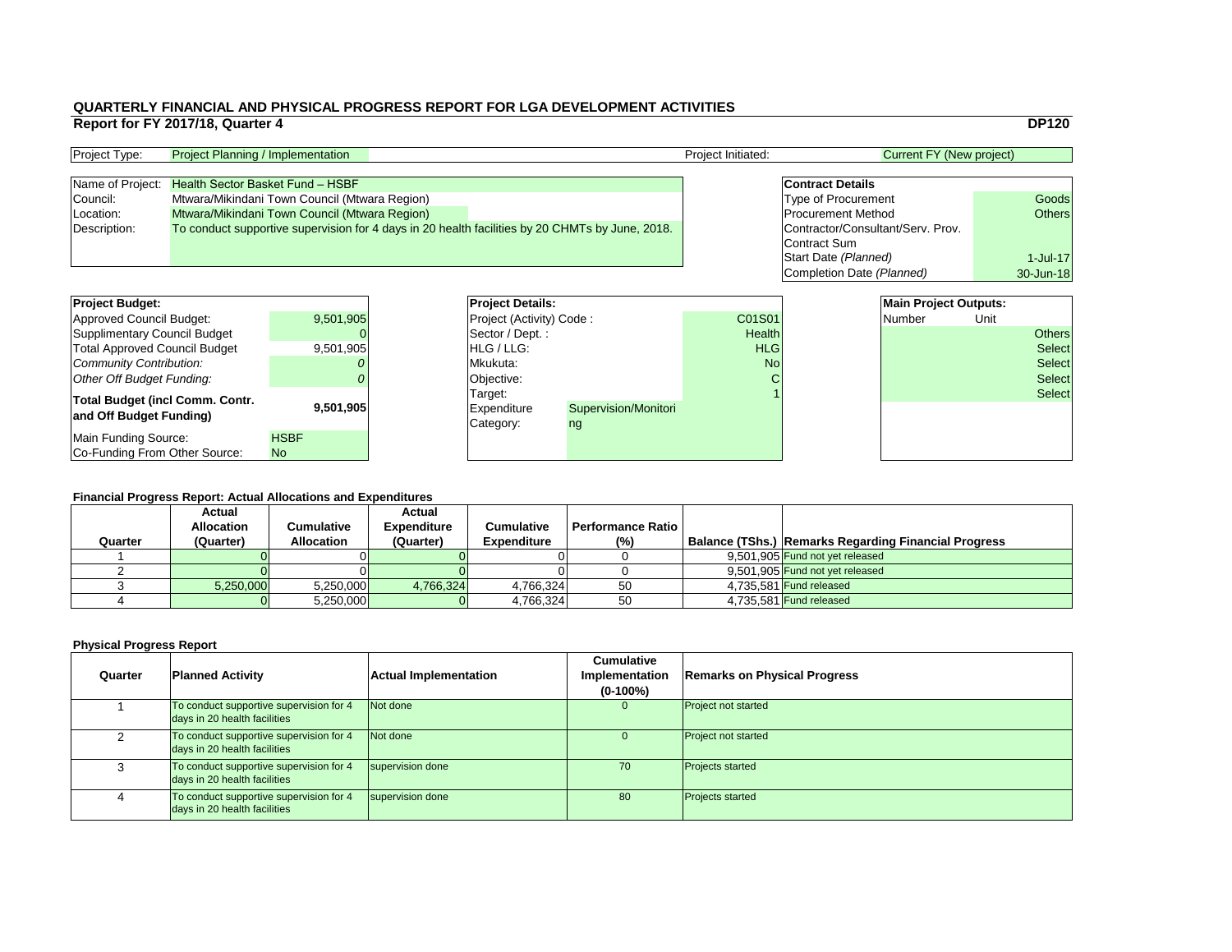|                |                                   | <b>DP120</b>  |
|----------------|-----------------------------------|---------------|
|                | <b>Current FY (New project)</b>   |               |
|                |                                   |               |
|                | <b>Contract Details</b>           |               |
|                | <b>Type of Procurement</b>        | Goods         |
|                | <b>Procurement Method</b>         | <b>Others</b> |
|                | Contractor/Consultant/Serv. Prov. |               |
|                | <b>Contract Sum</b>               |               |
|                | Start Date (Planned)              | $1$ -Jul-17   |
|                | Completion Date (Planned)         | 30-Jun-18     |
|                |                                   |               |
|                | <b>Main Project Outputs:</b>      |               |
| $\overline{1}$ | <b>Number</b>                     | Unit          |
| th             |                                   | ∩th∆re        |

### **Financial Progress Report: Actual Allocations and Expenditures**

| <b>Project Budget:</b>                                            |                          |          | <b>Project Details:</b>                    |                      |               | <b>Main Project Outputs:</b> |        |               |               |
|-------------------------------------------------------------------|--------------------------|----------|--------------------------------------------|----------------------|---------------|------------------------------|--------|---------------|---------------|
| <b>Approved Council Budget:</b>                                   | 9,501,905                |          | <b>Project (Activity) Code:</b>            |                      | C01S01        |                              | Number | Unit          |               |
| <b>Supplimentary Council Budget</b>                               |                          |          | Sector / Dept.:                            |                      | <b>Health</b> |                              |        |               | <b>Others</b> |
| <b>Total Approved Council Budget</b>                              | 9,501,905                |          | <b>HLG/LLG:</b>                            |                      | <b>HLG</b>    |                              |        |               | <b>Select</b> |
| <b>Community Contribution:</b>                                    |                          | Mkukuta: |                                            | <b>No</b>            |               |                              |        | <b>Select</b> |               |
| <b>Other Off Budget Funding:</b>                                  |                          |          | Objective:                                 |                      |               |                              |        |               | <b>Select</b> |
| <b>Total Budget (incl Comm. Contr.</b><br>and Off Budget Funding) | 9,501,905                |          | Target:<br><b>Expenditure</b><br>Category: | Supervision/Monitori |               |                              |        |               | <b>Select</b> |
| <b>Main Funding Source:</b><br>Co-Funding From Other Source:      | <b>HSBF</b><br><b>No</b> |          |                                            | ng                   |               |                              |        |               |               |

| <b>Project Type:</b> | <b>Project Planning / Implementation</b>                                                        |  | <b>Project Initiated:</b>         | Current FY (New project)   |               |
|----------------------|-------------------------------------------------------------------------------------------------|--|-----------------------------------|----------------------------|---------------|
|                      |                                                                                                 |  |                                   |                            |               |
| Name of Project:     | <b>Health Sector Basket Fund - HSBF</b>                                                         |  |                                   | <b>Contract Details</b>    |               |
| Council:             | Mtwara/Mikindani Town Council (Mtwara Region)                                                   |  |                                   | <b>Type of Procurement</b> | Goods         |
| Location:            | Mtwara/Mikindani Town Council (Mtwara Region)                                                   |  |                                   | <b>Procurement Method</b>  | <b>Others</b> |
| Description:         | To conduct supportive supervision for 4 days in 20 health facilities by 20 CHMTs by June, 2018. |  | Contractor/Consultant/Serv. Prov. |                            |               |
|                      |                                                                                                 |  |                                   | Contract Sum               |               |

| <b>Project Budget:</b>                                            |                          | <b>Project Deta</b>                        |
|-------------------------------------------------------------------|--------------------------|--------------------------------------------|
| <b>Approved Council Budget:</b>                                   | 9,501,905                | Project (Activ                             |
| <b>Supplimentary Council Budget</b>                               |                          | Sector / Dep                               |
| <b>Total Approved Council Budget</b>                              | 9,501,905                | HLG / LLG:                                 |
| <b>Community Contribution:</b>                                    |                          | Mkukuta:                                   |
| <b>Other Off Budget Funding:</b>                                  |                          | Objective:                                 |
| <b>Total Budget (incl Comm. Contr.</b><br>and Off Budget Funding) | 9,501,905                | Target:<br><b>Expenditure</b><br>Category: |
| Main Funding Source:<br>Co-Funding From Other Source:             | <b>HSBF</b><br><b>No</b> |                                            |

|         | <b>Actual</b><br><b>Allocation</b> | Cumulative        | <b>Actual</b><br><b>Expenditure</b> | <b>Cumulative</b>  | <b>Performance Ratio  </b> |                                                      |
|---------|------------------------------------|-------------------|-------------------------------------|--------------------|----------------------------|------------------------------------------------------|
| Quarter | (Quarter)                          | <b>Allocation</b> | (Quarter)                           | <b>Expenditure</b> | (% )                       | Balance (TShs.) Remarks Regarding Financial Progress |
|         |                                    |                   |                                     |                    |                            | 9,501,905 Fund not yet released                      |
|         |                                    |                   |                                     |                    |                            | 9,501,905 Fund not yet released                      |
|         | 5,250,000                          | 5,250,000         | 4,766,324                           | 4,766,324          | 50                         | 4.735.581 Fund released                              |
|         |                                    | 5,250,000         |                                     | 4,766,324          | 50                         | 4,735,581 <b>Fund released</b>                       |

| <b>Quarter</b> | <b>Planned Activity</b>                                                 | <b>Actual Implementation</b> | <b>Cumulative</b><br><b>Implementation</b><br>$(0-100\%)$ | <b>Remarks on Physical Progress</b> |
|----------------|-------------------------------------------------------------------------|------------------------------|-----------------------------------------------------------|-------------------------------------|
|                | To conduct supportive supervision for 4<br>days in 20 health facilities | Not done                     | $\mathbf{0}$                                              | <b>Project not started</b>          |
|                | To conduct supportive supervision for 4<br>days in 20 health facilities | Not done                     |                                                           | <b>Project not started</b>          |
| 3              | To conduct supportive supervision for 4<br>days in 20 health facilities | supervision done             | 70                                                        | <b>Projects started</b>             |
| 4              | To conduct supportive supervision for 4<br>days in 20 health facilities | supervision done             | 80                                                        | <b>Projects started</b>             |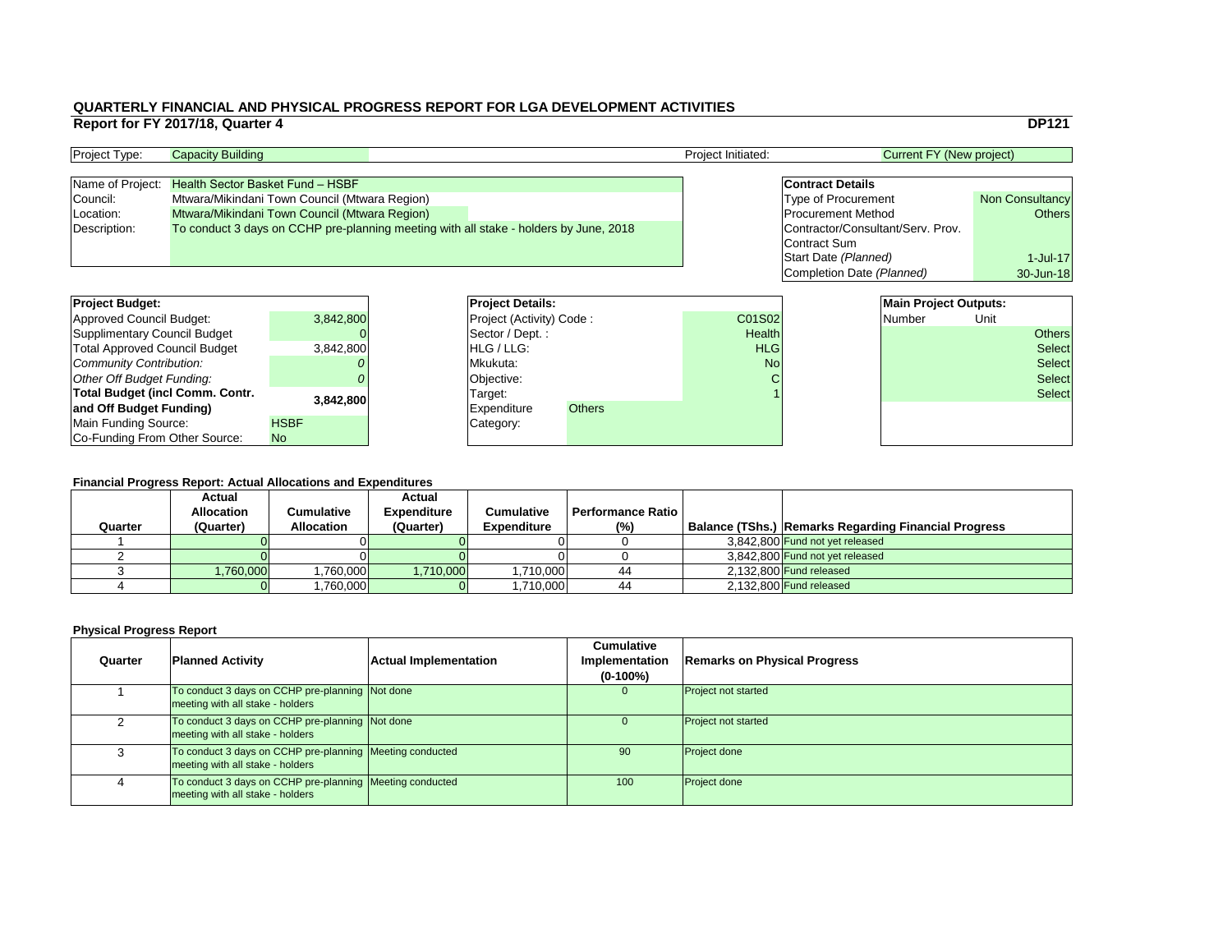|                                   | <b>DP121</b>           |
|-----------------------------------|------------------------|
|                                   |                        |
| <b>Current FY (New project)</b>   |                        |
|                                   |                        |
| <b>Contract Details</b>           |                        |
| <b>Type of Procurement</b>        | <b>Non Consultancy</b> |
| <b>Procurement Method</b>         | <b>Others</b>          |
| Contractor/Consultant/Serv. Prov. |                        |
| <b>Contract Sum</b>               |                        |
| Start Date (Planned)              | 1-Jul-17               |
| Completion Date (Planned)         | 30-Jun-18              |
|                                   |                        |
| <b>Main Project Outputs:</b>      |                        |
| Numhar                            | l Init                 |

| <b>Project Budget:</b>                 |             | <b>Project Details:</b>         |               |               | <b>Main Project Outputs:</b> |      |               |
|----------------------------------------|-------------|---------------------------------|---------------|---------------|------------------------------|------|---------------|
| <b>Approved Council Budget:</b>        | 3,842,800   | <b>Project (Activity) Code:</b> |               | C01S02        | Number                       | Unit |               |
| <b>Supplimentary Council Budget</b>    |             | Sector / Dept.:                 |               | <b>Health</b> |                              |      | <b>Others</b> |
| <b>Total Approved Council Budget</b>   | 3,842,800   | <b>HLG/LLG:</b>                 |               | <b>HLG</b>    |                              |      | <b>Select</b> |
| <b>Community Contribution:</b>         |             | Mkukuta:                        |               | <b>No</b>     |                              |      | <b>Select</b> |
| <b>Other Off Budget Funding:</b>       |             | Objective:                      |               |               |                              |      | <b>Select</b> |
| <b>Total Budget (incl Comm. Contr.</b> |             | Target:                         |               |               |                              |      | <b>Select</b> |
| and Off Budget Funding)                | 3,842,800   | <b>Expenditure</b>              | <b>Others</b> |               |                              |      |               |
| <b>Main Funding Source:</b>            | <b>HSBF</b> | Category:                       |               |               |                              |      |               |
| Co-Funding From Other Source:          | <b>No</b>   |                                 |               |               |                              |      |               |

### **QUARTERLY FINANCIAL AND PHYSICAL PROGRESS REPORT FOR LGA DEVELOPMENT ACTIVITIES Report for FY 2017/18, Quarter 4** DP121

| <b>Project Type:</b> | <b>Capacity Building</b>                                                              |  |  | <b>Project Initiated:</b> | Current FY (New project)          |                        |
|----------------------|---------------------------------------------------------------------------------------|--|--|---------------------------|-----------------------------------|------------------------|
|                      |                                                                                       |  |  |                           |                                   |                        |
|                      | Name of Project: Health Sector Basket Fund - HSBF                                     |  |  |                           | <b>Contract Details</b>           |                        |
| Council:             | Mtwara/Mikindani Town Council (Mtwara Region)                                         |  |  |                           | <b>Type of Procurement</b>        | <b>Non Consultancy</b> |
| Location:            | Mtwara/Mikindani Town Council (Mtwara Region)                                         |  |  |                           | <b>Procurement Method</b>         | Others                 |
| Description:         | To conduct 3 days on CCHP pre-planning meeting with all stake - holders by June, 2018 |  |  |                           | Contractor/Consultant/Serv. Prov. |                        |
|                      |                                                                                       |  |  |                           | Contract Sum                      |                        |

| <b>Project Budget:</b>               |             | <b>Project Deta</b>   |
|--------------------------------------|-------------|-----------------------|
| <b>Approved Council Budget:</b>      | 3,842,800   | <b>Project (Activ</b> |
| <b>Supplimentary Council Budget</b>  |             | Sector / Dep          |
| <b>Total Approved Council Budget</b> | 3,842,800   | HLG / LLG:            |
| Community Contribution:              |             | Mkukuta:              |
| Other Off Budget Funding:            |             | Objective:            |
| Total Budget (incl Comm. Contr.      | 3,842,800   | Target:               |
| and Off Budget Funding)              |             | <b>Expenditure</b>    |
| <b>Main Funding Source:</b>          | <b>HSBF</b> | Category:             |
| Co-Funding From Other Source:        | <b>No</b>   |                       |

|         | <b>Actual</b><br><b>Allocation</b> | Cumulative        | <b>Actual</b><br><b>Expenditure</b> | <b>Cumulative</b>  | <b>Performance Ratio</b> |                                                             |
|---------|------------------------------------|-------------------|-------------------------------------|--------------------|--------------------------|-------------------------------------------------------------|
| Quarter | (Quarter)                          | <b>Allocation</b> | (Quarter)                           | <b>Expenditure</b> | (%)                      | <b>Balance (TShs.) Remarks Regarding Financial Progress</b> |
|         |                                    |                   |                                     |                    |                          | 3,842,800 Fund not yet released                             |
|         |                                    |                   |                                     |                    |                          | 3,842,800 Fund not yet released                             |
|         | 1,760,000                          | ,760,000          | ,710,000                            | ,710,000           | 44                       | 2,132,800 Fund released                                     |
|         |                                    | ,760,000          |                                     | ,710,000           | 44                       | 2,132,800 Fund released                                     |

| Quarter | <b>Planned Activity</b>                                                                        | <b>Actual Implementation</b> | <b>Cumulative</b><br><b>Implementation</b><br>$(0-100\%)$ | <b>Remarks on Physical Progress</b> |
|---------|------------------------------------------------------------------------------------------------|------------------------------|-----------------------------------------------------------|-------------------------------------|
|         | To conduct 3 days on CCHP pre-planning Not done<br>meeting with all stake - holders            |                              | $\overline{0}$                                            | <b>Project not started</b>          |
|         | To conduct 3 days on CCHP pre-planning Not done<br>meeting with all stake - holders            |                              | $\Omega$                                                  | <b>Project not started</b>          |
|         | To conduct 3 days on CCHP pre-planning   Meeting conducted<br>meeting with all stake - holders |                              | 90                                                        | <b>Project done</b>                 |
|         | To conduct 3 days on CCHP pre-planning Meeting conducted<br>meeting with all stake - holders   |                              | 100                                                       | <b>Project done</b>                 |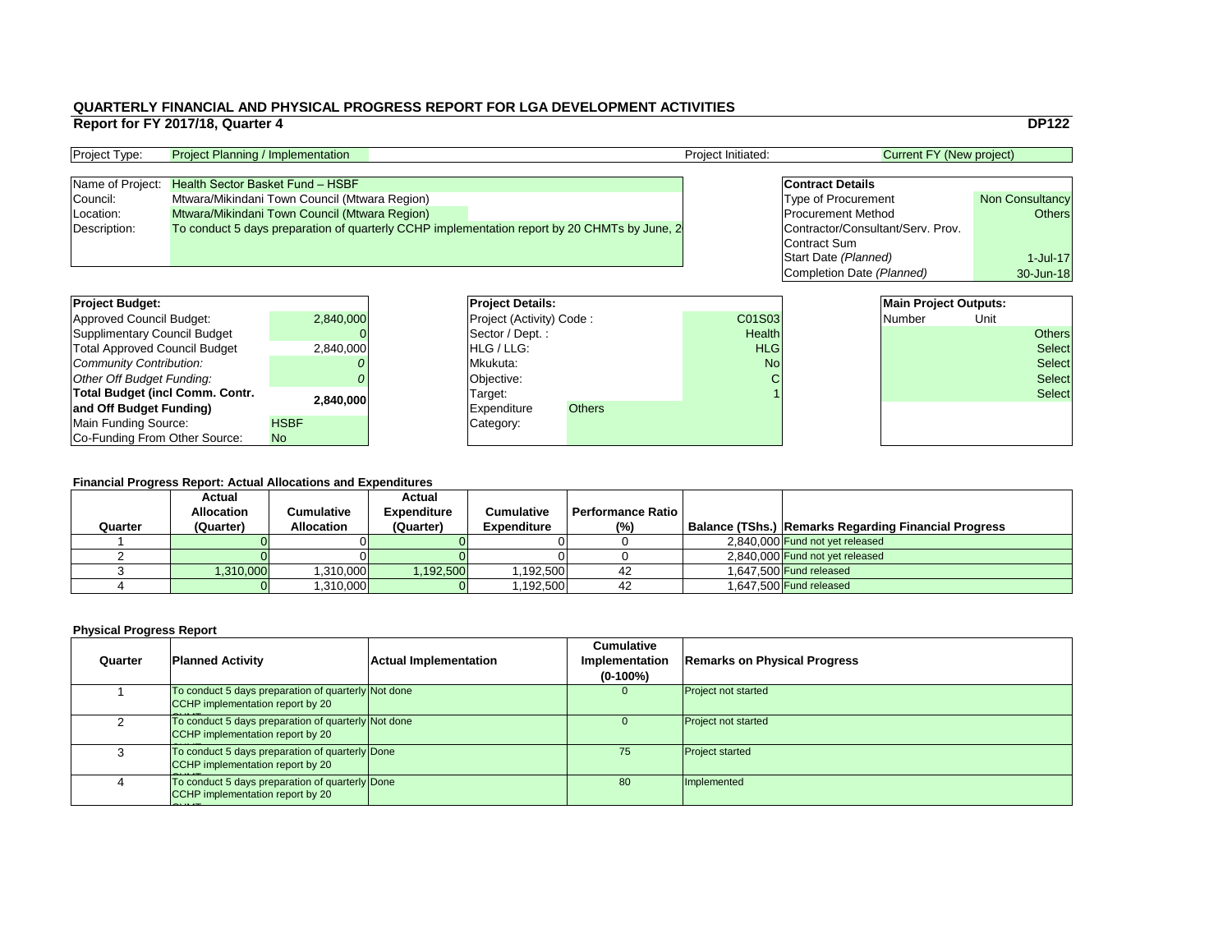|                                   | <b>DP122</b>           |
|-----------------------------------|------------------------|
| <b>Current FY (New project)</b>   |                        |
|                                   |                        |
| <b>Contract Details</b>           |                        |
| <b>Type of Procurement</b>        | <b>Non Consultancy</b> |
| <b>Procurement Method</b>         | <b>Others</b>          |
| Contractor/Consultant/Serv. Prov. |                        |
| <b>Contract Sum</b>               |                        |
| Start Date (Planned)              | $1$ -Jul-17            |
| <b>Completion Date (Planned)</b>  | 30-Jun-18              |
|                                   |                        |
| <b>Main Project Outputs:</b>      |                        |

| <b>Project Budget:</b>                 |             | <b>Project Details:</b>         |  |               |               | <b>Main Project Outputs:</b> |               |               |
|----------------------------------------|-------------|---------------------------------|--|---------------|---------------|------------------------------|---------------|---------------|
| <b>Approved Council Budget:</b>        | 2,840,000   | <b>Project (Activity) Code:</b> |  |               | C01S03        | Number                       | Unit          |               |
| <b>Supplimentary Council Budget</b>    |             | Sector / Dept.:                 |  |               | <b>Health</b> |                              |               | <b>Others</b> |
| <b>Total Approved Council Budget</b>   | 2,840,000   | <b>HLG/LLG:</b>                 |  |               | <b>HLG</b>    |                              |               | <b>Select</b> |
| <b>Community Contribution:</b>         |             | Mkukuta:                        |  | <b>No</b>     |               |                              | <b>Select</b> |               |
| <b>Other Off Budget Funding:</b>       |             | Objective:                      |  |               |               |                              |               | <b>Select</b> |
| <b>Total Budget (incl Comm. Contr.</b> | 2,840,000   | Target:                         |  |               |               |                              |               | <b>Select</b> |
| and Off Budget Funding)                |             | <b>Expenditure</b>              |  | <b>Others</b> |               |                              |               |               |
| <b>Main Funding Source:</b>            | <b>HSBF</b> | Category:                       |  |               |               |                              |               |               |
| Co-Funding From Other Source:          | <b>No</b>   |                                 |  |               |               |                              |               |               |

## **QUARTERLY FINANCIAL AND PHYSICAL PROGRESS REPORT FOR LGA DEVELOPMENT ACTIVITIES Report for FY 2017/18, Quarter 4** DP122

| <b>Project Type:</b> | <b>Project Planning / Implementation</b>                                                     |  | <b>Project Initiated:</b> | Current FY (New project)          |                        |
|----------------------|----------------------------------------------------------------------------------------------|--|---------------------------|-----------------------------------|------------------------|
|                      |                                                                                              |  |                           |                                   |                        |
| Name of Project:     | <b>Health Sector Basket Fund - HSBF</b>                                                      |  |                           | <b>Contract Details</b>           |                        |
| Council:             | Mtwara/Mikindani Town Council (Mtwara Region)                                                |  |                           | <b>Type of Procurement</b>        | <b>Non Consultancy</b> |
| Location:            | Mtwara/Mikindani Town Council (Mtwara Region)                                                |  |                           | <b>Procurement Method</b>         | Others                 |
| Description:         | To conduct 5 days preparation of quarterly CCHP implementation report by 20 CHMTs by June, 2 |  |                           | Contractor/Consultant/Serv. Prov. |                        |
|                      |                                                                                              |  |                           | Contract Sum                      |                        |

| <b>Project Budget:</b>                 |             | <b>Project Deta</b>   |
|----------------------------------------|-------------|-----------------------|
| <b>Approved Council Budget:</b>        | 2,840,000   | <b>Project (Activ</b> |
| <b>Supplimentary Council Budget</b>    |             | Sector / Dep          |
| <b>Total Approved Council Budget</b>   | 2,840,000   | HLG / LLG:            |
| Community Contribution:                |             | Mkukuta:              |
| Other Off Budget Funding:              |             | Objective:            |
| <b>Total Budget (incl Comm. Contr.</b> | 2,840,000   | Target:               |
| and Off Budget Funding)                |             | <b>Expenditure</b>    |
| <b>Main Funding Source:</b>            | <b>HSBF</b> | Category:             |
| Co-Funding From Other Source:          | <b>No</b>   |                       |

| Quarter | <b>Actual</b><br><b>Allocation</b><br>(Quarter) | Cumulative<br><b>Allocation</b> | <b>Actual</b><br><b>Expenditure</b><br>(Quarter) | <b>Cumulative</b><br><b>Expenditure</b> | <b>Performance Ratio</b><br>(%) | <b>Balance (TShs.) Remarks Regarding Financial Progress</b> |
|---------|-------------------------------------------------|---------------------------------|--------------------------------------------------|-----------------------------------------|---------------------------------|-------------------------------------------------------------|
|         |                                                 |                                 |                                                  |                                         |                                 | 2,840,000 Fund not yet released                             |
|         |                                                 |                                 |                                                  |                                         |                                 | 2,840,000 Fund not yet released                             |
|         | 1,310,000                                       | 1,310,000                       | ,192,500                                         | ,192,500                                | 42                              | 1.647.500 Fund released                                     |
|         |                                                 | ,310,000                        |                                                  | ,192,500                                | 42                              | 1.647.500 Fund released                                     |

| Quarter | <b>Planned Activity</b>                                                                        | <b>Actual Implementation</b> | <b>Cumulative</b><br><b>Implementation</b><br>$(0-100\%)$ | <b>Remarks on Physical Progress</b> |
|---------|------------------------------------------------------------------------------------------------|------------------------------|-----------------------------------------------------------|-------------------------------------|
|         | To conduct 5 days preparation of quarterly Not done<br><b>CCHP</b> implementation report by 20 |                              | $\Omega$                                                  | <b>Project not started</b>          |
|         | To conduct 5 days preparation of quarterly Not done<br><b>CCHP</b> implementation report by 20 |                              | U                                                         | <b>Project not started</b>          |
|         | To conduct 5 days preparation of quarterly Done<br>CCHP implementation report by 20            |                              | 75                                                        | <b>Project started</b>              |
|         | To conduct 5 days preparation of quarterly Done<br>CCHP implementation report by 20            |                              | 80                                                        | Implemented                         |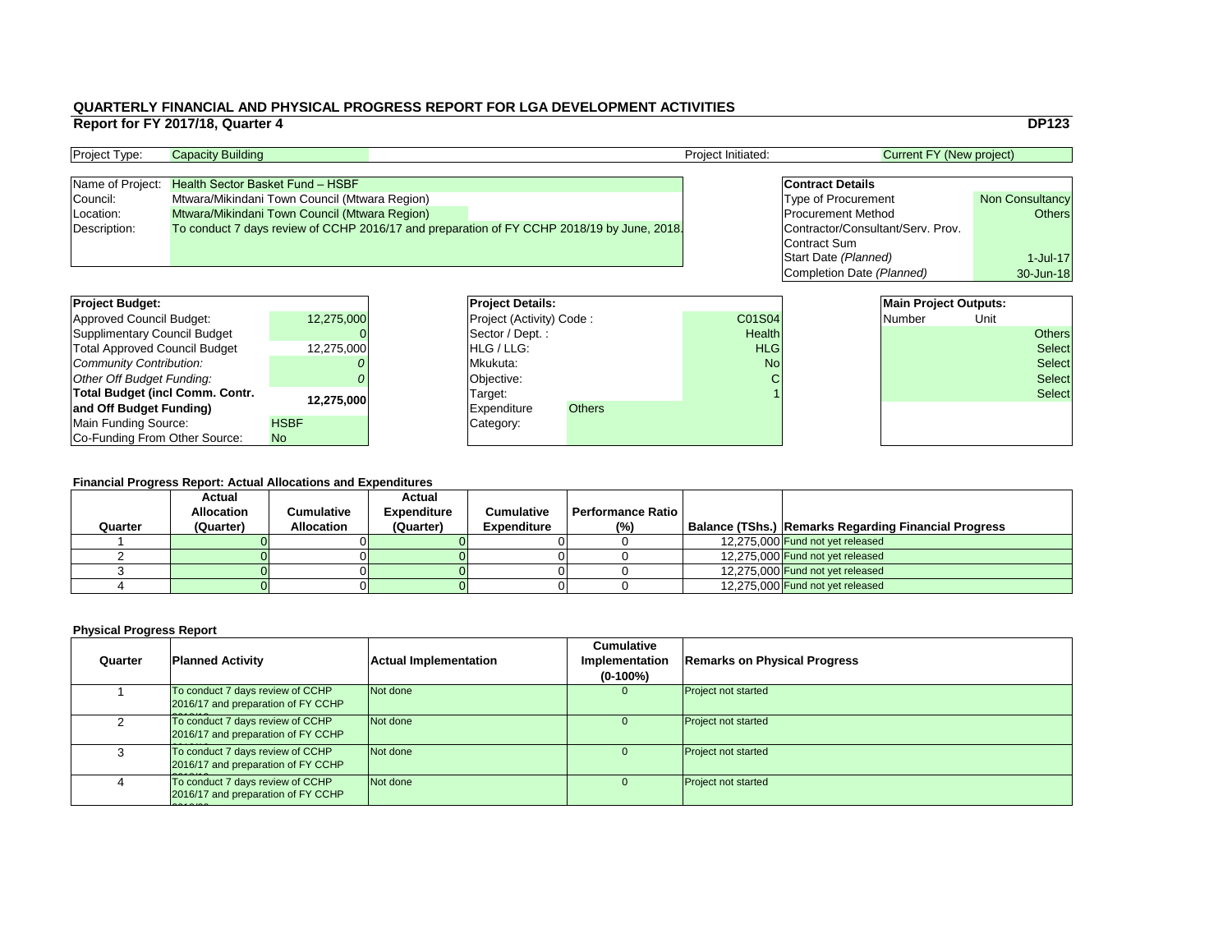|                                   | <b>DP123</b>           |
|-----------------------------------|------------------------|
| <b>Current FY (New project)</b>   |                        |
|                                   |                        |
| <b>Contract Details</b>           |                        |
| <b>Type of Procurement</b>        | <b>Non Consultancy</b> |
| <b>Procurement Method</b>         | <b>Others</b>          |
| Contractor/Consultant/Serv. Prov. |                        |
| <b>Contract Sum</b>               |                        |
| Start Date (Planned)              | $1$ -Jul-17            |
| <b>Completion Date (Planned)</b>  | 30-Jun-18              |
|                                   |                        |
| <b>Main Project Outputs:</b>      |                        |

| <b>Project Budget:</b>                 |             |                    | <b>Project Details:</b>         |               |               | <b>Main Project Outputs:</b> |               |               |
|----------------------------------------|-------------|--------------------|---------------------------------|---------------|---------------|------------------------------|---------------|---------------|
| <b>Approved Council Budget:</b>        | 12,275,000  |                    | <b>Project (Activity) Code:</b> |               | C01S04        | Number                       | Unit          |               |
| <b>Supplimentary Council Budget</b>    |             |                    | Sector / Dept.:                 |               | <b>Health</b> |                              |               | <b>Others</b> |
| <b>Total Approved Council Budget</b>   | 12,275,000  | <b>HLG/LLG:</b>    |                                 | <b>HLG</b>    |               |                              | <b>Select</b> |               |
| <b>Community Contribution:</b>         |             | Mkukuta:           |                                 | <b>No</b>     |               |                              | <b>Select</b> |               |
| <b>Other Off Budget Funding:</b>       |             | Objective:         |                                 |               |               |                              |               | <b>Select</b> |
| <b>Total Budget (incl Comm. Contr.</b> | 12,275,000  | Target:            |                                 |               |               |                              |               | <b>Select</b> |
| and Off Budget Funding)                |             | <b>Expenditure</b> |                                 | <b>Others</b> |               |                              |               |               |
| <b>Main Funding Source:</b>            | <b>HSBF</b> | Category:          |                                 |               |               |                              |               |               |
| Co-Funding From Other Source:          | <b>No</b>   |                    |                                 |               |               |                              |               |               |

### **Physical Progress Report**

### **QUARTERLY FINANCIAL AND PHYSICAL PROGRESS REPORT FOR LGA DEVELOPMENT ACTIVITIES Report for FY 2017/18, Quarter 4** DP123

| <b>Project Type:</b> | <b>Capacity Building</b>                                                                   |  | <b>Project Initiated:</b>         | <b>Current FY (New project)</b> |                        |
|----------------------|--------------------------------------------------------------------------------------------|--|-----------------------------------|---------------------------------|------------------------|
|                      |                                                                                            |  |                                   |                                 |                        |
|                      | Name of Project: Health Sector Basket Fund - HSBF                                          |  |                                   | <b>Contract Details</b>         |                        |
| Council:             | Mtwara/Mikindani Town Council (Mtwara Region)                                              |  |                                   | <b>Type of Procurement</b>      | <b>Non Consultancy</b> |
| Location:            | Mtwara/Mikindani Town Council (Mtwara Region)                                              |  |                                   | <b>Procurement Method</b>       | Others                 |
| Description:         | To conduct 7 days review of CCHP 2016/17 and preparation of FY CCHP 2018/19 by June, 2018. |  | Contractor/Consultant/Serv. Prov. |                                 |                        |
|                      |                                                                                            |  |                                   | Contract Sum                    |                        |

| <b>Project Budget:</b>                 |             | <b>Project Deta</b>   |
|----------------------------------------|-------------|-----------------------|
| <b>Approved Council Budget:</b>        | 12,275,000  | <b>Project (Activ</b> |
| <b>Supplimentary Council Budget</b>    |             | Sector / Dep          |
| <b>Total Approved Council Budget</b>   | 12,275,000  | HLG / LLG:            |
| Community Contribution:                |             | Mkukuta:              |
| Other Off Budget Funding:              |             | Objective:            |
| <b>Total Budget (incl Comm. Contr.</b> | 12,275,000  | Target:               |
| and Off Budget Funding)                |             | <b>Expenditure</b>    |
| Main Funding Source:                   | <b>HSBF</b> | Category:             |
| Co-Funding From Other Source:          | <b>No</b>   |                       |

| Quarter | <b>Actual</b><br><b>Allocation</b><br>(Quarter) | Cumulative<br><b>Allocation</b> | <b>Actual</b><br><b>Expenditure</b><br>(Quarter) | <b>Cumulative</b><br><b>Expenditure</b> | <b>Performance Ratio I</b><br>$(\%)$ | <b>Balance (TShs.) Remarks Regarding Financial Progress</b> |
|---------|-------------------------------------------------|---------------------------------|--------------------------------------------------|-----------------------------------------|--------------------------------------|-------------------------------------------------------------|
|         |                                                 |                                 |                                                  |                                         |                                      | 12,275,000 Fund not yet released                            |
|         |                                                 |                                 |                                                  |                                         |                                      | 12,275,000 Fund not yet released                            |
|         |                                                 |                                 |                                                  |                                         |                                      | 12,275,000 Fund not yet released                            |
|         |                                                 |                                 |                                                  |                                         |                                      | 12,275,000 Fund not yet released                            |

| Quarter | <b>Planned Activity</b>                                                | <b>Actual Implementation</b> | <b>Cumulative</b><br><b>Implementation</b><br>$(0-100\%)$ | <b>Remarks on Physical Progress</b> |
|---------|------------------------------------------------------------------------|------------------------------|-----------------------------------------------------------|-------------------------------------|
|         | To conduct 7 days review of CCHP<br>2016/17 and preparation of FY CCHP | Not done                     | $\cup$                                                    | <b>Project not started</b>          |
|         | To conduct 7 days review of CCHP<br>2016/17 and preparation of FY CCHP | Not done                     | O                                                         | <b>Project not started</b>          |
|         | To conduct 7 days review of CCHP<br>2016/17 and preparation of FY CCHP | Not done                     |                                                           | <b>Project not started</b>          |
|         | To conduct 7 days review of CCHP<br>2016/17 and preparation of FY CCHP | Not done                     | $\Omega$                                                  | <b>Project not started</b>          |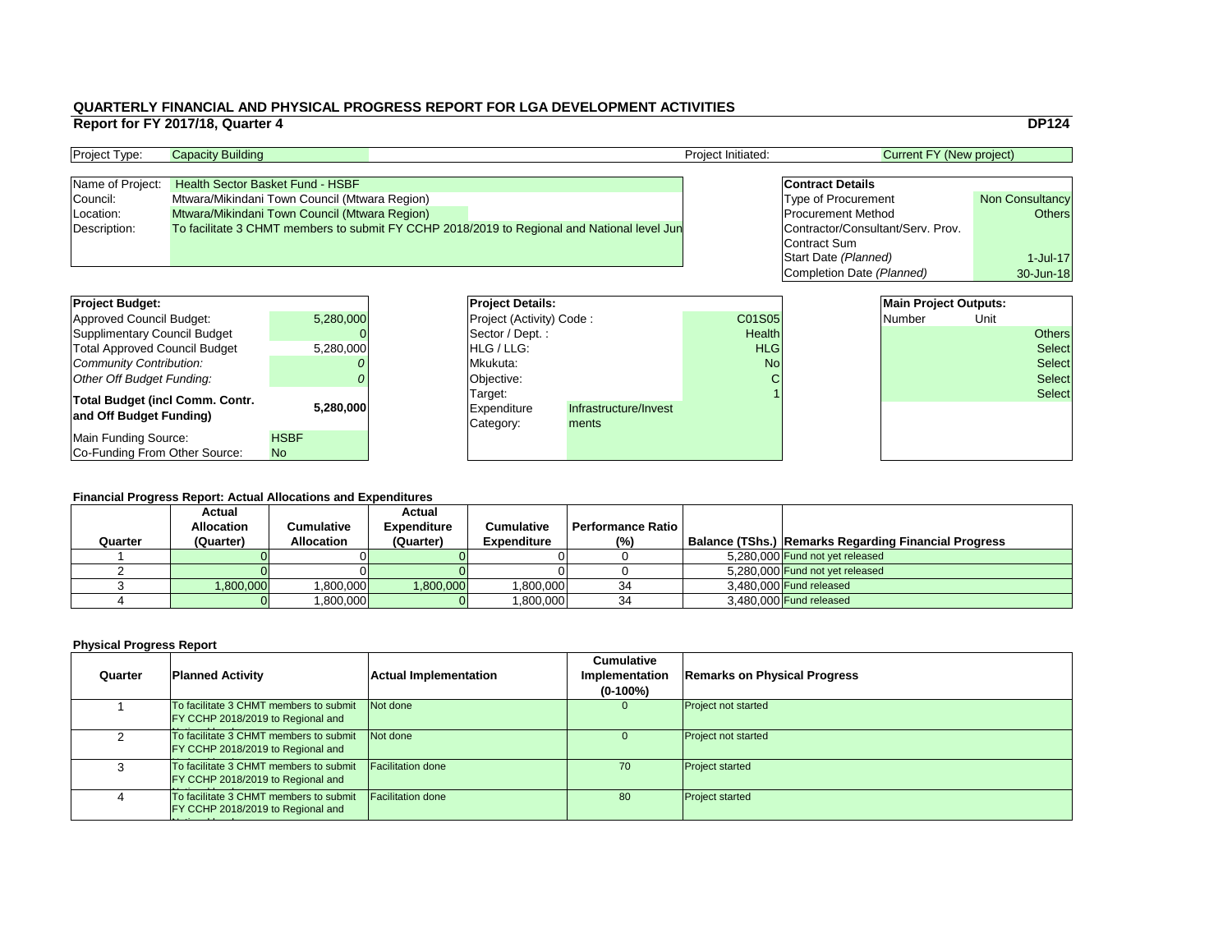|    |                                   | <b>DP124</b>           |
|----|-----------------------------------|------------------------|
|    | <b>Current FY (New project)</b>   |                        |
|    |                                   |                        |
|    | <b>Contract Details</b>           |                        |
|    | <b>Type of Procurement</b>        | <b>Non Consultancy</b> |
|    | <b>Procurement Method</b>         | <b>Others</b>          |
|    | Contractor/Consultant/Serv. Prov. |                        |
|    | <b>Contract Sum</b>               |                        |
|    | Start Date (Planned)              | $1 -$ Jul $-17$        |
|    | Completion Date (Planned)         | 30-Jun-18              |
|    |                                   |                        |
|    | <b>Main Project Outputs:</b>      |                        |
| 15 | <b>Number</b>                     | nit                    |

### **Financial Progress Report: Actual Allocations and Expenditures**

| <b>Project Budget:</b>                 |             |  | <b>Project Details:</b>                     |       |               | <b>Main Project Outputs:</b> |        |      |               |
|----------------------------------------|-------------|--|---------------------------------------------|-------|---------------|------------------------------|--------|------|---------------|
| <b>Approved Council Budget:</b>        | 5,280,000   |  | <b>Project (Activity) Code:</b>             |       | C01S05        |                              | Number | Unit |               |
| <b>Supplimentary Council Budget</b>    |             |  | $\sqrt{\text{Sector}/\text{Dept}}$ :        |       | <b>Health</b> |                              |        |      | <b>Others</b> |
| <b>Total Approved Council Budget</b>   | 5,280,000   |  | <b>HLG</b> / LLG:                           |       | <b>HLG</b>    |                              |        |      | Select        |
| <b>Community Contribution:</b>         |             |  | Mkukuta:                                    |       | <b>No</b>     |                              |        |      | <b>Select</b> |
| <b>Other Off Budget Funding:</b>       |             |  | Objective:                                  |       |               |                              |        |      | <b>Select</b> |
| <b>Total Budget (incl Comm. Contr.</b> |             |  | Target:                                     |       |               |                              |        |      | Select        |
|                                        | 5,280,000   |  | Infrastructure/Invest<br><b>Expenditure</b> |       |               |                              |        |      |               |
| and Off Budget Funding)                |             |  | Category:                                   | ments |               |                              |        |      |               |
| <b>Main Funding Source:</b>            | <b>HSBF</b> |  |                                             |       |               |                              |        |      |               |
| Co-Funding From Other Source:          | <b>No</b>   |  |                                             |       |               |                              |        |      |               |

| <b>Project Type:</b> | <b>Capacity Building</b>                                                                    |  | <b>Project Initiated:</b> | Current FY (New project)          |                        |
|----------------------|---------------------------------------------------------------------------------------------|--|---------------------------|-----------------------------------|------------------------|
|                      |                                                                                             |  |                           |                                   |                        |
| Name of Project:     | <b>Health Sector Basket Fund - HSBF</b>                                                     |  |                           | <b>Contract Details</b>           |                        |
| Council:             | Mtwara/Mikindani Town Council (Mtwara Region)                                               |  |                           | <b>Type of Procurement</b>        | <b>Non Consultancy</b> |
| Location:            | Mtwara/Mikindani Town Council (Mtwara Region)                                               |  |                           | <b>Procurement Method</b>         | Others                 |
| Description:         | To facilitate 3 CHMT members to submit FY CCHP 2018/2019 to Regional and National level Jun |  |                           | Contractor/Consultant/Serv. Prov. |                        |
|                      |                                                                                             |  |                           | Contract Sum                      |                        |

### **Physical Progress Report**

| <b>Project Budget:</b>                                            |                          | <b>Project Deta</b>                 |
|-------------------------------------------------------------------|--------------------------|-------------------------------------|
| Approved Council Budget:                                          | 5,280,000                | <b>Project (Activ</b>               |
| <b>Supplimentary Council Budget</b>                               |                          | Sector / Dep                        |
| <b>Total Approved Council Budget</b>                              | 5,280,000                | HLG / LLG:                          |
| <b>Community Contribution:</b>                                    |                          | Mkukuta:                            |
| <b>Other Off Budget Funding:</b>                                  |                          | Objective:                          |
| <b>Total Budget (incl Comm. Contr.</b><br>and Off Budget Funding) | 5,280,000                | Target:<br>Expenditure<br>Category: |
| <b>Main Funding Source:</b><br>Co-Funding From Other Source:      | <b>HSBF</b><br><b>No</b> |                                     |

|         | <b>Actual</b>     |                   | <b>Actual</b>      |                    |                          |                                                             |
|---------|-------------------|-------------------|--------------------|--------------------|--------------------------|-------------------------------------------------------------|
|         | <b>Allocation</b> | Cumulative        | <b>Expenditure</b> | <b>Cumulative</b>  | <b>Performance Ratio</b> |                                                             |
| Quarter | (Quarter)         | <b>Allocation</b> | (Quarter)          | <b>Expenditure</b> | (%)                      | <b>Balance (TShs.) Remarks Regarding Financial Progress</b> |
|         |                   |                   |                    |                    |                          | 5,280,000 Fund not yet released                             |
|         |                   |                   |                    |                    |                          | 5,280,000 Fund not yet released                             |
|         | 000,000           | 000,000           | ,800,000           | 800,000,           | 34                       | $3,480,000$ Fund released                                   |
|         |                   | 000,000           |                    | 800,000,           | 34                       | $3,480,000$ Fund released                                   |
|         |                   |                   |                    |                    |                          |                                                             |

| Quarter        | <b>Planned Activity</b>                                                     | <b>Actual Implementation</b> | <b>Cumulative</b><br>Implementation<br>$(0-100\%)$ | Remarks on Ph              |
|----------------|-----------------------------------------------------------------------------|------------------------------|----------------------------------------------------|----------------------------|
|                | To facilitate 3 CHMT members to submit<br>FY CCHP 2018/2019 to Regional and | Not done                     |                                                    | <b>Project not started</b> |
| $\overline{2}$ | To facilitate 3 CHMT members to submit<br>FY CCHP 2018/2019 to Regional and | Not done                     |                                                    | <b>Project not started</b> |
| 3              | To facilitate 3 CHMT members to submit<br>FY CCHP 2018/2019 to Regional and | <b>Facilitation done</b>     | 70                                                 | <b>Project started</b>     |
| 4              | To facilitate 3 CHMT members to submit<br>FY CCHP 2018/2019 to Regional and | <b>Facilitation done</b>     | 80                                                 | <b>Project started</b>     |

### **Planned Activity Remarks on Physical Progress**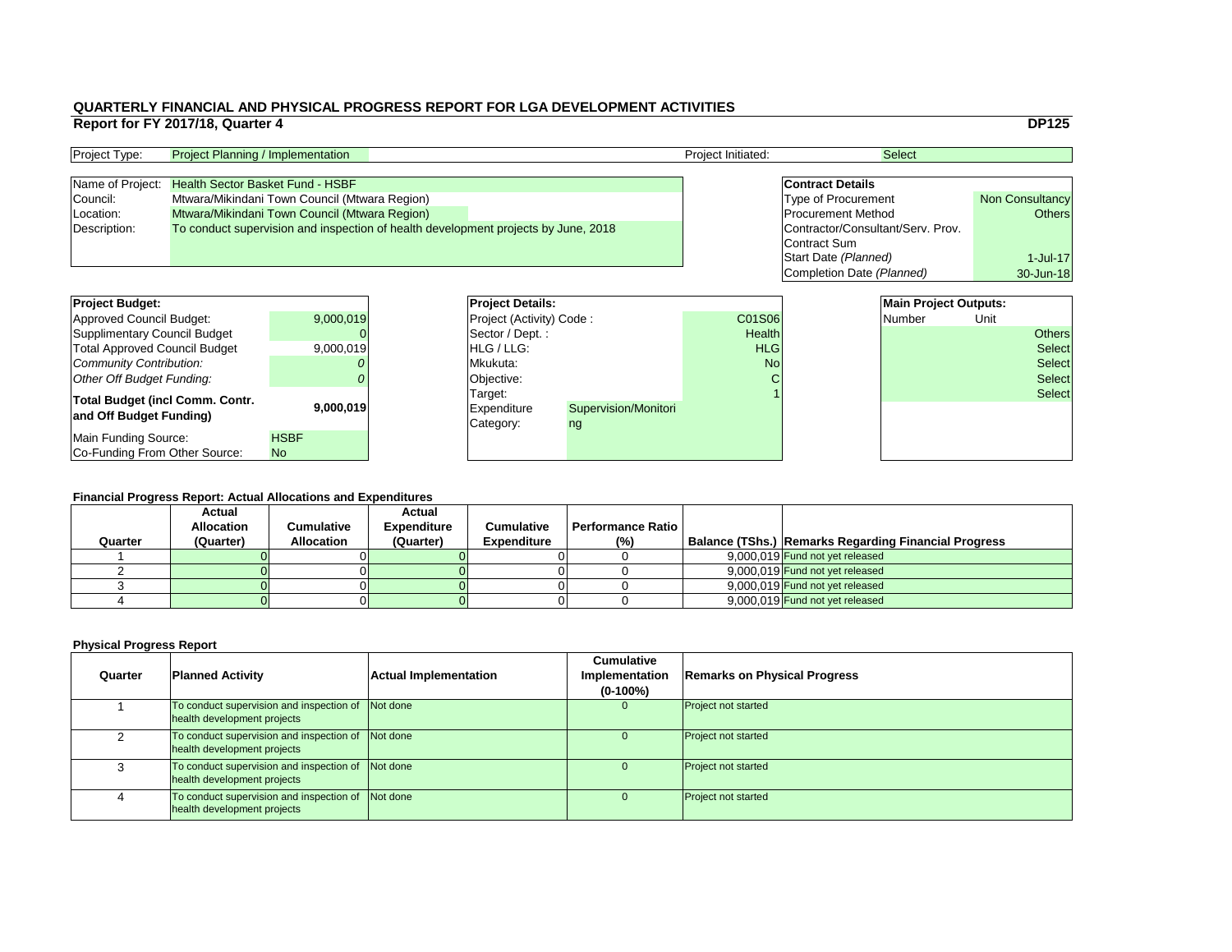|                                   | <b>DP125</b>           |
|-----------------------------------|------------------------|
|                                   |                        |
| <b>Select</b>                     |                        |
|                                   |                        |
| <b>Contract Details</b>           |                        |
| <b>Type of Procurement</b>        | <b>Non Consultancy</b> |
| <b>Procurement Method</b>         | Others                 |
| Contractor/Consultant/Serv. Prov. |                        |
| <b>Contract Sum</b>               |                        |
| Start Date (Planned)              | $1$ -Jul-17            |
| Completion Date (Planned)         | 30-Jun-18              |
|                                   |                        |

### **Financial Progress Report: Actual Allocations and Expenditures**

| <b>Project Budget:</b>                                            |             | <b>Project Details:</b> |                                            |                                   |               | <b>Main Project Outputs:</b> |        |        |               |
|-------------------------------------------------------------------|-------------|-------------------------|--------------------------------------------|-----------------------------------|---------------|------------------------------|--------|--------|---------------|
| <b>Approved Council Budget:</b>                                   | 9,000,019   |                         | <b>Project (Activity) Code:</b>            |                                   | <b>C01S06</b> |                              | Number | Unit   |               |
| <b>Supplimentary Council Budget</b>                               |             |                         | $\sqrt{\text{Sector}/\text{Dept}}$ :       |                                   | <b>Health</b> |                              |        |        | <b>Others</b> |
| <b>Total Approved Council Budget</b>                              | 9,000,019   |                         | <b>HLG/LLG:</b>                            |                                   | <b>HLG</b>    |                              |        |        | <b>Select</b> |
| <b>Community Contribution:</b>                                    |             | Mkukuta:                |                                            | <b>No</b>                         |               |                              |        | Select |               |
| <b>Other Off Budget Funding:</b>                                  |             |                         | Objective:                                 |                                   |               |                              |        |        | <b>Select</b> |
| <b>Total Budget (incl Comm. Contr.</b><br>and Off Budget Funding) | 9,000,019   |                         | Target:<br><b>Expenditure</b><br>Category: | <b>Supervision/Monitori</b><br>ng |               |                              |        |        | Select        |
| <b>Main Funding Source:</b>                                       | <b>HSBF</b> |                         |                                            |                                   |               |                              |        |        |               |
| Co-Funding From Other Source:                                     | <b>No</b>   |                         |                                            |                                   |               |                              |        |        |               |

| <b>Project Type:</b> | <b>Project Planning / Implementation</b>                                           |  | <b>Project Initiated:</b>         | <b>Select</b>              |                        |
|----------------------|------------------------------------------------------------------------------------|--|-----------------------------------|----------------------------|------------------------|
|                      |                                                                                    |  |                                   |                            |                        |
|                      | Name of Project: Health Sector Basket Fund - HSBF                                  |  |                                   | <b>Contract Details</b>    |                        |
| Council:             | Mtwara/Mikindani Town Council (Mtwara Region)                                      |  |                                   | <b>Type of Procurement</b> | <b>Non Consultancy</b> |
| Location:            | Mtwara/Mikindani Town Council (Mtwara Region)                                      |  |                                   | <b>Procurement Method</b>  | Others                 |
| Description:         | To conduct supervision and inspection of health development projects by June, 2018 |  | Contractor/Consultant/Serv. Prov. |                            |                        |
|                      |                                                                                    |  |                                   | Contract Sum               |                        |

| <b>Project Budget:</b>                                     |                          | <b>Project Deta</b>                 |
|------------------------------------------------------------|--------------------------|-------------------------------------|
| <b>Approved Council Budget:</b>                            | 9,000,019                | <b>Project (Activ</b>               |
| <b>Supplimentary Council Budget</b>                        |                          | Sector / Dep                        |
| <b>Total Approved Council Budget</b>                       | 9,000,019                | HLG / LLG:                          |
| <b>Community Contribution:</b>                             |                          | Mkukuta:                            |
| <b>Other Off Budget Funding:</b>                           |                          | Objective:                          |
| Total Budget (incl Comm. Contr.<br>and Off Budget Funding) | 9,000,019                | Target:<br>Expenditure<br>Category: |
| Main Funding Source:<br>Co-Funding From Other Source:      | <b>HSBF</b><br><b>No</b> |                                     |
|                                                            |                          |                                     |

| Quarter | <b>Actual</b><br><b>Allocation</b><br>(Quarter) | Cumulative<br><b>Allocation</b> | <b>Actual</b><br><b>Expenditure</b><br>(Quarter) | <b>Cumulative</b><br><b>Expenditure</b> | Performance Ratio<br>(% ) | <b>Balance (TShs.) Remarks Regarding Financial Progress</b> |
|---------|-------------------------------------------------|---------------------------------|--------------------------------------------------|-----------------------------------------|---------------------------|-------------------------------------------------------------|
|         |                                                 |                                 |                                                  |                                         |                           | 9,000,019 Fund not yet released                             |
|         |                                                 |                                 |                                                  |                                         |                           | 9,000,019 Fund not yet released                             |
|         |                                                 |                                 |                                                  |                                         |                           | 9,000,019 Fund not yet released                             |
|         |                                                 |                                 |                                                  |                                         |                           | 9,000,019 Fund not yet released                             |

| Quarter | <b>Planned Activity</b>                                                 | <b>Actual Implementation</b> | <b>Cumulative</b><br><b>Implementation</b><br>$(0-100\%)$ | <b>Remarks on Physical Progress</b> |
|---------|-------------------------------------------------------------------------|------------------------------|-----------------------------------------------------------|-------------------------------------|
|         | To conduct supervision and inspection of<br>health development projects | Not done                     | $\overline{0}$                                            | <b>Project not started</b>          |
| 2       | To conduct supervision and inspection of<br>health development projects | Not done                     |                                                           | <b>Project not started</b>          |
|         | To conduct supervision and inspection of<br>health development projects | Not done                     |                                                           | <b>Project not started</b>          |
| 4       | To conduct supervision and inspection of<br>health development projects | Not done                     | O                                                         | <b>Project not started</b>          |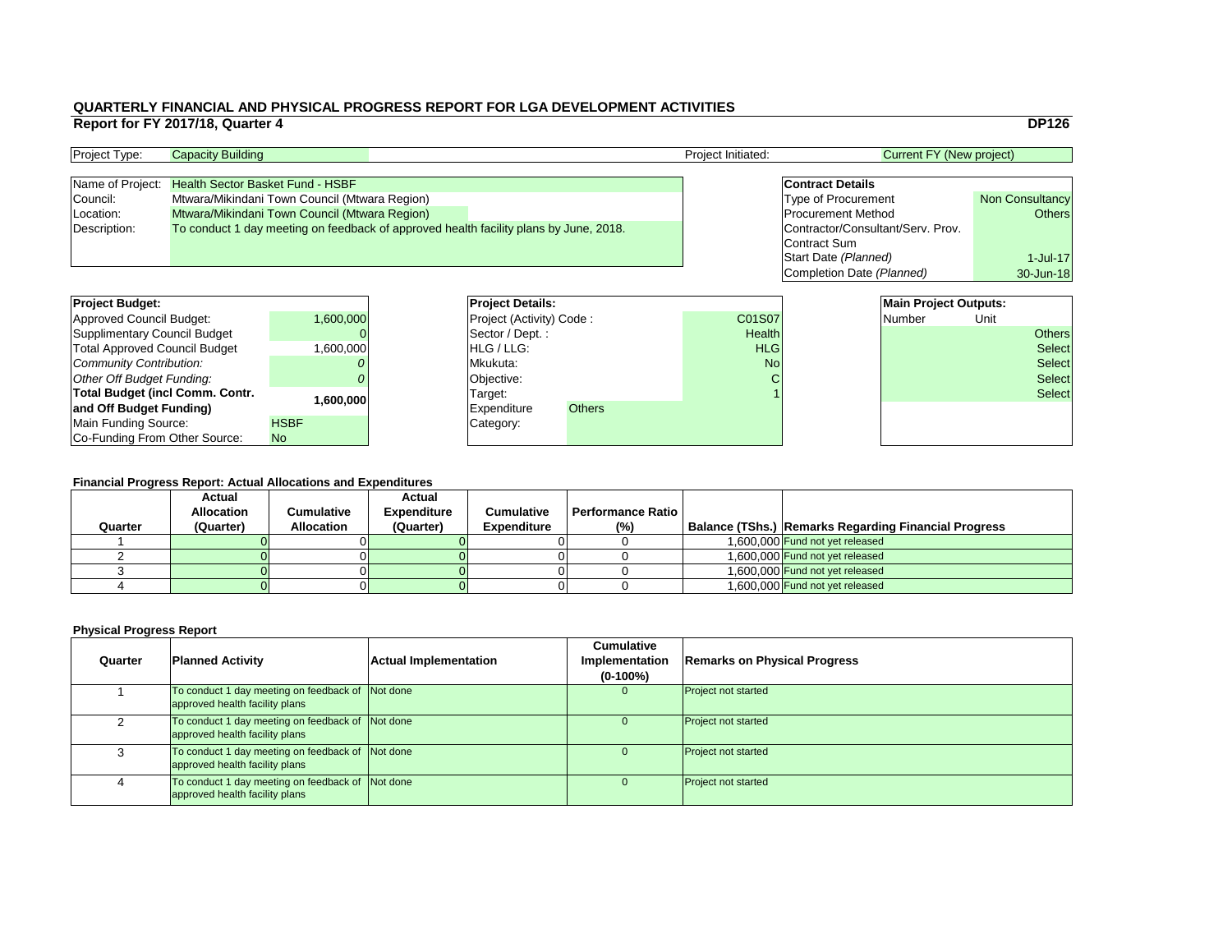|                                   | <b>DP126</b>           |
|-----------------------------------|------------------------|
| <b>Current FY (New project)</b>   |                        |
|                                   |                        |
| <b>Contract Details</b>           |                        |
| <b>Type of Procurement</b>        | <b>Non Consultancy</b> |
| <b>Procurement Method</b>         | <b>Others</b>          |
| Contractor/Consultant/Serv. Prov. |                        |
| <b>Contract Sum</b>               |                        |
| Start Date (Planned)              | $1$ -Jul-17            |
| Completion Date (Planned)         | 30-Jun-18              |
|                                   |                        |
| <b>Main Project Outputs:</b>      |                        |

| <b>Project Budget:</b>                 |             |                 | <b>Project Details:</b>           |               |               | <b>Main Project Outputs:</b> |               |               |
|----------------------------------------|-------------|-----------------|-----------------------------------|---------------|---------------|------------------------------|---------------|---------------|
| <b>Approved Council Budget:</b>        | 1,600,000   |                 | <b>Project (Activity) Code:</b>   |               | C01S07        | Number                       | Unit          |               |
| <b>Supplimentary Council Budget</b>    |             |                 | $\sqrt{\sqrt{2}}$ Sector / Dept.: |               | <b>Health</b> |                              |               | <b>Others</b> |
| <b>Total Approved Council Budget</b>   | 600,000,    | <b>HLG/LLG:</b> |                                   | <b>HLG</b>    |               |                              | <b>Select</b> |               |
| <b>Community Contribution:</b>         |             | Mkukuta:        |                                   | <b>No</b>     |               |                              | <b>Select</b> |               |
| <b>Other Off Budget Funding:</b>       |             |                 | Objective:                        |               |               |                              |               | <b>Select</b> |
| <b>Total Budget (incl Comm. Contr.</b> |             |                 | Target:                           |               |               |                              |               | <b>Select</b> |
| and Off Budget Funding)                | 1,600,000   |                 | <b>Expenditure</b>                | <b>Others</b> |               |                              |               |               |
| <b>Main Funding Source:</b>            | <b>HSBF</b> |                 | Category:                         |               |               |                              |               |               |
| Co-Funding From Other Source:          | <b>No</b>   |                 |                                   |               |               |                              |               |               |

### **QUARTERLY FINANCIAL AND PHYSICAL PROGRESS REPORT FOR LGA DEVELOPMENT ACTIVITIES Report for FY 2017/18, Quarter 4** DP126

| <b>Project Type:</b> | <b>Capacity Building</b>                                                              |  |  | <b>Project Initiated:</b> | Current FY (New project)          |                        |
|----------------------|---------------------------------------------------------------------------------------|--|--|---------------------------|-----------------------------------|------------------------|
|                      |                                                                                       |  |  |                           |                                   |                        |
|                      | Name of Project: Health Sector Basket Fund - HSBF                                     |  |  |                           | <b>Contract Details</b>           |                        |
| Council:             | Mtwara/Mikindani Town Council (Mtwara Region)                                         |  |  |                           | Type of Procurement               | <b>Non Consultancy</b> |
| Location:            | Mtwara/Mikindani Town Council (Mtwara Region)                                         |  |  |                           | <b>Procurement Method</b>         | Others                 |
| Description:         | To conduct 1 day meeting on feedback of approved health facility plans by June, 2018. |  |  |                           | Contractor/Consultant/Serv. Prov. |                        |
|                      |                                                                                       |  |  |                           | Contract Sum                      |                        |

| <b>Project Budget:</b>              |             | <b>Project Deta</b>   |
|-------------------------------------|-------------|-----------------------|
| <b>Approved Council Budget:</b>     | 1,600,000   | <b>Project (Activ</b> |
| <b>Supplimentary Council Budget</b> |             | Sector / Dep          |
| Total Approved Council Budget       | 1,600,000   | HLG / LLG:            |
| Community Contribution:             |             | Mkukuta:              |
| <b>Other Off Budget Funding:</b>    |             | Objective:            |
| Total Budget (incl Comm. Contr.     | 1,600,000   | Target:               |
| and Off Budget Funding)             |             | <b>Expenditure</b>    |
| Main Funding Source:                | <b>HSBF</b> | Category:             |
| Co-Funding From Other Source:       | <b>No</b>   |                       |

|         | <b>Actual</b>     |                   | <b>Actual</b>      |                    |                            |                                                      |
|---------|-------------------|-------------------|--------------------|--------------------|----------------------------|------------------------------------------------------|
|         | <b>Allocation</b> | Cumulative        | <b>Expenditure</b> | <b>Cumulative</b>  | <b>Performance Ratio</b> I |                                                      |
| Quarter | (Quarter)         | <b>Allocation</b> | (Quarter)          | <b>Expenditure</b> | (%)                        | Balance (TShs.) Remarks Regarding Financial Progress |
|         |                   |                   |                    |                    |                            | 1,600,000 Fund not yet released                      |
|         |                   |                   |                    |                    |                            | 1,600,000 Fund not yet released                      |
|         |                   |                   |                    |                    |                            | 1,600,000 Fund not yet released                      |
|         |                   |                   |                    |                    |                            | 1,600,000 Fund not yet released                      |

| Quarter | <b>Planned Activity</b>                                                            | <b>Actual Implementation</b> | <b>Cumulative</b><br><b>Implementation</b><br>$(0-100\%)$ | <b>Remarks on Physical Progress</b> |
|---------|------------------------------------------------------------------------------------|------------------------------|-----------------------------------------------------------|-------------------------------------|
|         | To conduct 1 day meeting on feedback of Not done<br>approved health facility plans |                              | $\overline{0}$                                            | <b>Project not started</b>          |
|         | To conduct 1 day meeting on feedback of Not done<br>approved health facility plans |                              | O                                                         | <b>Project not started</b>          |
|         | To conduct 1 day meeting on feedback of Not done<br>approved health facility plans |                              | $\Omega$                                                  | <b>Project not started</b>          |
|         | To conduct 1 day meeting on feedback of Not done<br>approved health facility plans |                              | O                                                         | <b>Project not started</b>          |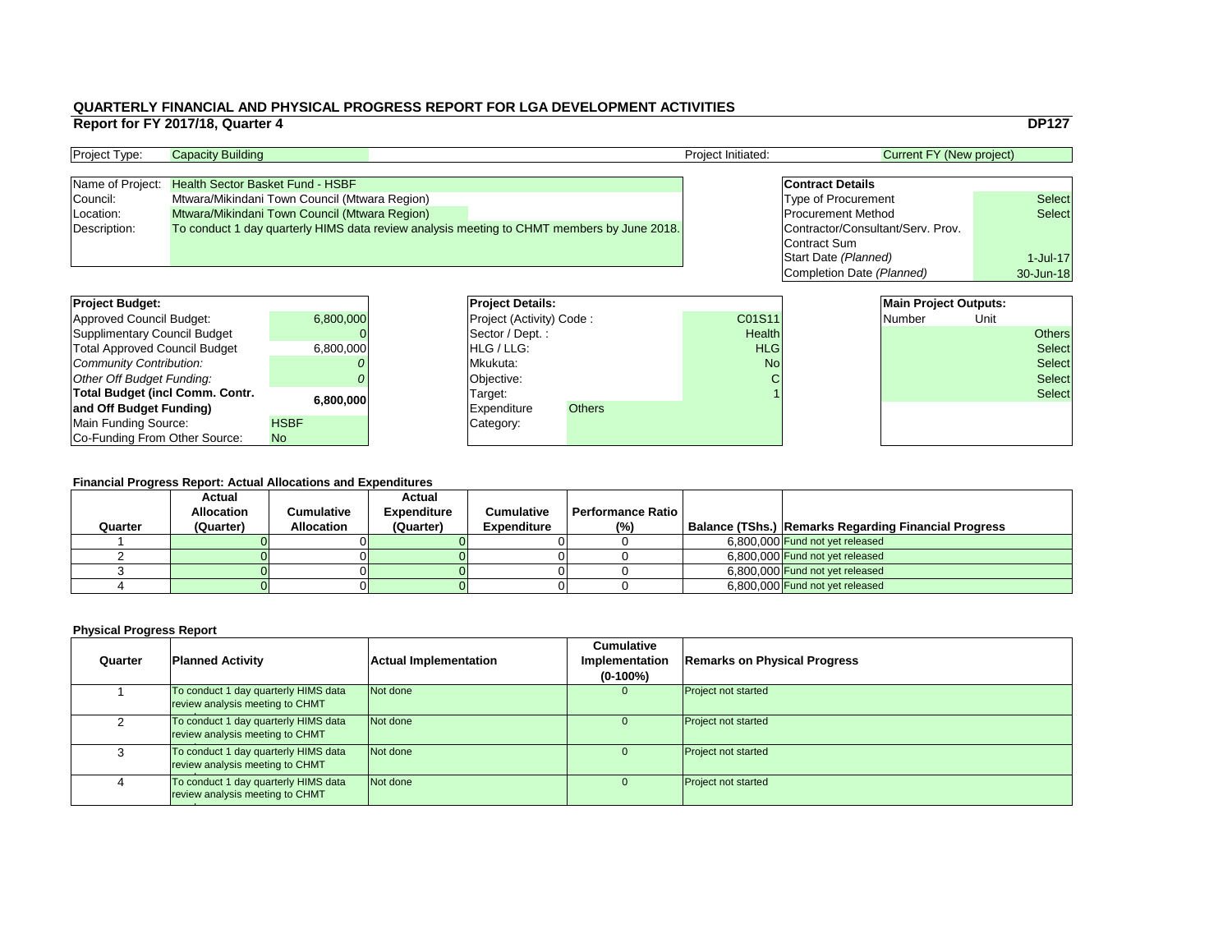|                                                                                                                                                                                                                                | <b>DP127</b>  |
|--------------------------------------------------------------------------------------------------------------------------------------------------------------------------------------------------------------------------------|---------------|
| <b>Current FY (New project)</b>                                                                                                                                                                                                |               |
|                                                                                                                                                                                                                                |               |
| <b>Contract Details</b>                                                                                                                                                                                                        |               |
| <b>Type of Procurement</b>                                                                                                                                                                                                     | <b>Select</b> |
| <b>Procurement Method</b>                                                                                                                                                                                                      | <b>Select</b> |
| Contractor/Consultant/Serv. Prov.                                                                                                                                                                                              |               |
| <b>Contract Sum</b>                                                                                                                                                                                                            |               |
| Start Date (Planned)                                                                                                                                                                                                           | $1$ -Jul-17   |
| Completion Date (Planned)                                                                                                                                                                                                      | 30-Jun-18     |
|                                                                                                                                                                                                                                |               |
| <b>Main Project Outputs:</b>                                                                                                                                                                                                   |               |
| Note and the contract of the contract of the book of the contract of the contract of the contract of the contract of the contract of the contract of the contract of the contract of the contract of the contract of the contr |               |

| <b>Project Budget:</b>                 |             | <b>Project Details:</b>           |  |               |               | <b>Main Project Outputs:</b> |               |               |
|----------------------------------------|-------------|-----------------------------------|--|---------------|---------------|------------------------------|---------------|---------------|
| <b>Approved Council Budget:</b>        | 6,800,000   | <b>Project (Activity) Code:</b>   |  |               | C01S11        | Number                       | Unit          |               |
| <b>Supplimentary Council Budget</b>    |             | $\sqrt{\sqrt{2}}$ Sector / Dept.: |  |               | <b>Health</b> |                              |               | <b>Others</b> |
| <b>Total Approved Council Budget</b>   | 6,800,000   | <b>HLG/LLG:</b>                   |  |               | <b>HLG</b>    |                              |               | <b>Select</b> |
| <b>Community Contribution:</b>         |             | Mkukuta:                          |  | <b>No</b>     |               |                              | <b>Select</b> |               |
| <b>Other Off Budget Funding:</b>       |             | Objective:                        |  |               |               |                              |               | <b>Select</b> |
| <b>Total Budget (incl Comm. Contr.</b> | 6,800,000   | Target:                           |  |               |               |                              |               | Select        |
| and Off Budget Funding)                |             | <b>Expenditure</b>                |  | <b>Others</b> |               |                              |               |               |
| <b>Main Funding Source:</b>            | <b>HSBF</b> | Category:                         |  |               |               |                              |               |               |
| Co-Funding From Other Source:          | <b>No</b>   |                                   |  |               |               |                              |               |               |

### **Physical Progress Report**

## **QUARTERLY FINANCIAL AND PHYSICAL PROGRESS REPORT FOR LGA DEVELOPMENT ACTIVITIES Report for FY 2017/18, Quarter 4**

| <b>Project Type:</b> | <b>Capacity Building</b>                                                                   | <b>Project Initiated:</b> | Current FY (New project)          |               |
|----------------------|--------------------------------------------------------------------------------------------|---------------------------|-----------------------------------|---------------|
|                      |                                                                                            |                           |                                   |               |
| Name of Project:     | <b>Health Sector Basket Fund - HSBF</b>                                                    |                           | <b>Contract Details</b>           |               |
| Council:             | Mtwara/Mikindani Town Council (Mtwara Region)                                              |                           | <b>Type of Procurement</b>        | <b>Select</b> |
| Location:            | Mtwara/Mikindani Town Council (Mtwara Region)                                              |                           | <b>Procurement Method</b>         | <b>Select</b> |
| Description:         | To conduct 1 day quarterly HIMS data review analysis meeting to CHMT members by June 2018. |                           | Contractor/Consultant/Serv. Prov. |               |
|                      |                                                                                            |                           | Contract Sum                      |               |

| <b>Project Budget:</b>               |             |           | <b>Project Deta</b>   |
|--------------------------------------|-------------|-----------|-----------------------|
| <b>Approved Council Budget:</b>      |             | 6,800,000 | <b>Project (Activ</b> |
| <b>Supplimentary Council Budget</b>  |             |           | Sector / Dep          |
| <b>Total Approved Council Budget</b> |             | 6,800,000 | HLG / LLG:            |
| Community Contribution:              |             |           | Mkukuta:              |
| Other Off Budget Funding:            |             |           | Objective:            |
| Total Budget (incl Comm. Contr.      |             | 6,800,000 | Target:               |
| and Off Budget Funding)              |             |           | <b>Expenditure</b>    |
| <b>Main Funding Source:</b>          | <b>HSBF</b> |           | Category:             |
| Co-Funding From Other Source:        | <b>No</b>   |           |                       |

|         | <b>Actual</b>     |                   | <b>Actual</b>      |                    |                            |                                                      |
|---------|-------------------|-------------------|--------------------|--------------------|----------------------------|------------------------------------------------------|
|         | <b>Allocation</b> | Cumulative        | <b>Expenditure</b> | <b>Cumulative</b>  | <b>Performance Ratio</b> I |                                                      |
| Quarter | (Quarter)         | <b>Allocation</b> | (Quarter)          | <b>Expenditure</b> | (%)                        | Balance (TShs.) Remarks Regarding Financial Progress |
|         |                   |                   |                    |                    |                            | 6,800,000 Fund not yet released                      |
|         |                   |                   |                    |                    |                            | 6,800,000 Fund not yet released                      |
|         |                   |                   |                    |                    |                            | 6,800,000 Fund not yet released                      |
|         |                   |                   |                    |                    |                            | 6,800,000 Fund not yet released                      |

| Quarter | <b>Planned Activity</b>                                                 | <b>Actual Implementation</b> | <b>Cumulative</b><br><b>Implementation</b><br>$(0-100\%)$ | <b>Remarks on Physical Progress</b> |
|---------|-------------------------------------------------------------------------|------------------------------|-----------------------------------------------------------|-------------------------------------|
|         | To conduct 1 day quarterly HIMS data<br>review analysis meeting to CHMT | Not done                     | 0                                                         | <b>Project not started</b>          |
|         | To conduct 1 day quarterly HIMS data<br>review analysis meeting to CHMT | Not done                     | O                                                         | <b>Project not started</b>          |
|         | To conduct 1 day quarterly HIMS data<br>review analysis meeting to CHMT | Not done                     |                                                           | <b>Project not started</b>          |
|         | To conduct 1 day quarterly HIMS data<br>review analysis meeting to CHMT | Not done                     | $\Omega$                                                  | <b>Project not started</b>          |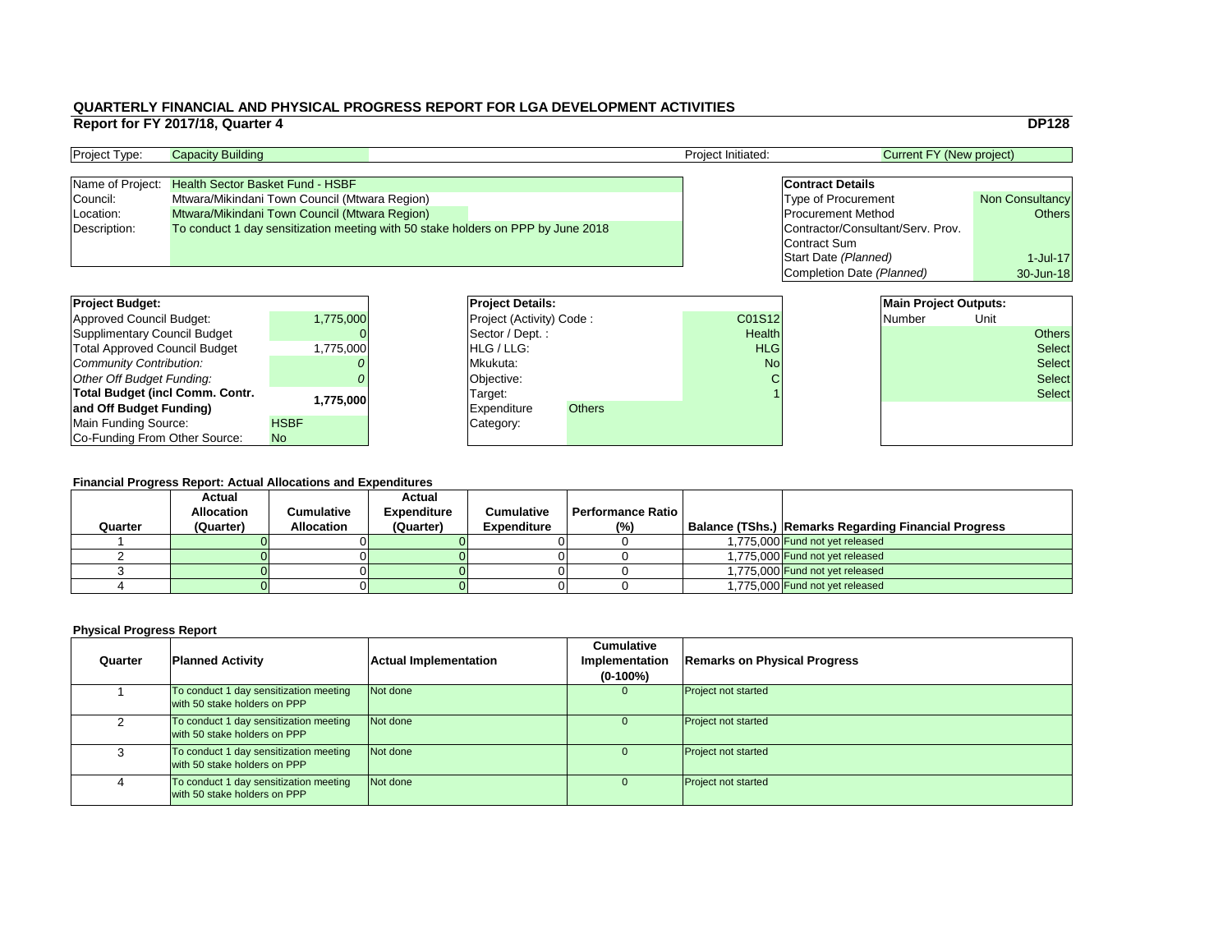|                                   | <b>DP128</b>           |
|-----------------------------------|------------------------|
| <b>Current FY (New project)</b>   |                        |
|                                   |                        |
| <b>Contract Details</b>           |                        |
| <b>Type of Procurement</b>        | <b>Non Consultancy</b> |
| <b>Procurement Method</b>         | <b>Others</b>          |
| Contractor/Consultant/Serv. Prov. |                        |
| <b>Contract Sum</b>               |                        |
| Start Date (Planned)              | $1$ -Jul-17            |
| Completion Date (Planned)         | 30-Jun-18              |
|                                   |                        |
| <b>Main Project Outputs:</b>      |                        |

| <b>Project Budget:</b>                 |             |          | <b>Project Details:</b>         |               |               |  |        | <b>Main Project Outputs:</b> |               |  |
|----------------------------------------|-------------|----------|---------------------------------|---------------|---------------|--|--------|------------------------------|---------------|--|
| <b>Approved Council Budget:</b>        | 1,775,000   |          | <b>Project (Activity) Code:</b> |               | C01S12        |  | Number | Unit                         |               |  |
| <b>Supplimentary Council Budget</b>    |             |          | Sector / Dept.:                 |               | <b>Health</b> |  |        |                              | <b>Others</b> |  |
| <b>Total Approved Council Budget</b>   | 1.775.0001  |          | <b>HLG</b> / LLG:               |               | <b>HLG</b>    |  |        |                              | <b>Select</b> |  |
| <b>Community Contribution:</b>         |             | Mkukuta: |                                 |               | <b>No</b>     |  |        |                              | <b>Select</b> |  |
| <b>Other Off Budget Funding:</b>       |             |          | Objective:                      |               |               |  |        |                              | <b>Select</b> |  |
| <b>Total Budget (incl Comm. Contr.</b> | 1,775,000   | Target:  |                                 |               |               |  |        |                              | <b>Select</b> |  |
| and Off Budget Funding)                |             |          | <b>IExpenditure</b>             | <b>Others</b> |               |  |        |                              |               |  |
| <b>Main Funding Source:</b>            | <b>HSBF</b> |          | Category:                       |               |               |  |        |                              |               |  |
| Co-Funding From Other Source:          | <b>No</b>   |          |                                 |               |               |  |        |                              |               |  |

### **QUARTERLY FINANCIAL AND PHYSICAL PROGRESS REPORT FOR LGA DEVELOPMENT ACTIVITIES Report for FY 2017/18, Quarter 4** DP128

| <b>Project Type:</b> | <b>Capacity Building</b>                                                         |  | <b>Project Initiated:</b> | Current FY (New project)          |                        |
|----------------------|----------------------------------------------------------------------------------|--|---------------------------|-----------------------------------|------------------------|
|                      |                                                                                  |  |                           |                                   |                        |
|                      | Name of Project: Health Sector Basket Fund - HSBF                                |  |                           | <b>Contract Details</b>           |                        |
| Council:             | Mtwara/Mikindani Town Council (Mtwara Region)                                    |  |                           | <b>Type of Procurement</b>        | <b>Non Consultancy</b> |
| Location:            | Mtwara/Mikindani Town Council (Mtwara Region)                                    |  |                           | <b>Procurement Method</b>         | <b>Others</b>          |
| Description:         | To conduct 1 day sensitization meeting with 50 stake holders on PPP by June 2018 |  |                           | Contractor/Consultant/Serv. Prov. |                        |
|                      |                                                                                  |  |                           | Contract Sum                      |                        |

| <b>Project Budget:</b>                 |             | <b>Project Deta</b>   |
|----------------------------------------|-------------|-----------------------|
| <b>Approved Council Budget:</b>        | 1,775,000   | <b>Project (Activ</b> |
| <b>Supplimentary Council Budget</b>    |             | Sector / Dep          |
| <b>Total Approved Council Budget</b>   | 1,775,000   | HLG / LLG:            |
| Community Contribution:                |             | Mkukuta:              |
| Other Off Budget Funding:              |             | Objective:            |
| <b>Total Budget (incl Comm. Contr.</b> | 1,775,000   | Target:               |
| and Off Budget Funding)                |             | <b>Expenditure</b>    |
| Main Funding Source:                   | <b>HSBF</b> | Category:             |
| Co-Funding From Other Source:          | <b>No</b>   |                       |

|         | <b>Actual</b>     |                   | <b>Actual</b>      |                    |                          |                                                      |
|---------|-------------------|-------------------|--------------------|--------------------|--------------------------|------------------------------------------------------|
|         | <b>Allocation</b> | Cumulative        | <b>Expenditure</b> | <b>Cumulative</b>  | <b>Performance Ratio</b> |                                                      |
| Quarter | (Quarter)         | <b>Allocation</b> | (Quarter)          | <b>Expenditure</b> | (%)                      | Balance (TShs.) Remarks Regarding Financial Progress |
|         |                   |                   |                    |                    |                          | 1.775.000 Fund not yet released                      |
|         |                   |                   |                    |                    |                          | 1.775.000 Fund not yet released                      |
|         |                   |                   |                    |                    |                          | 1.775.000 Fund not yet released                      |
|         |                   |                   |                    |                    |                          | 1.775.000 Fund not yet released                      |

| Quarter | <b>Planned Activity</b>                                                | <b>Actual Implementation</b> | <b>Cumulative</b><br><b>Implementation</b><br>$(0-100\%)$ | <b>Remarks on Physical Progress</b> |
|---------|------------------------------------------------------------------------|------------------------------|-----------------------------------------------------------|-------------------------------------|
|         | To conduct 1 day sensitization meeting<br>with 50 stake holders on PPP | Not done                     | $\overline{0}$                                            | <b>Project not started</b>          |
|         | To conduct 1 day sensitization meeting<br>with 50 stake holders on PPP | Not done                     | O                                                         | <b>Project not started</b>          |
|         | To conduct 1 day sensitization meeting<br>with 50 stake holders on PPP | Not done                     | $\cup$                                                    | <b>Project not started</b>          |
|         | To conduct 1 day sensitization meeting<br>with 50 stake holders on PPP | Not done                     | O                                                         | <b>Project not started</b>          |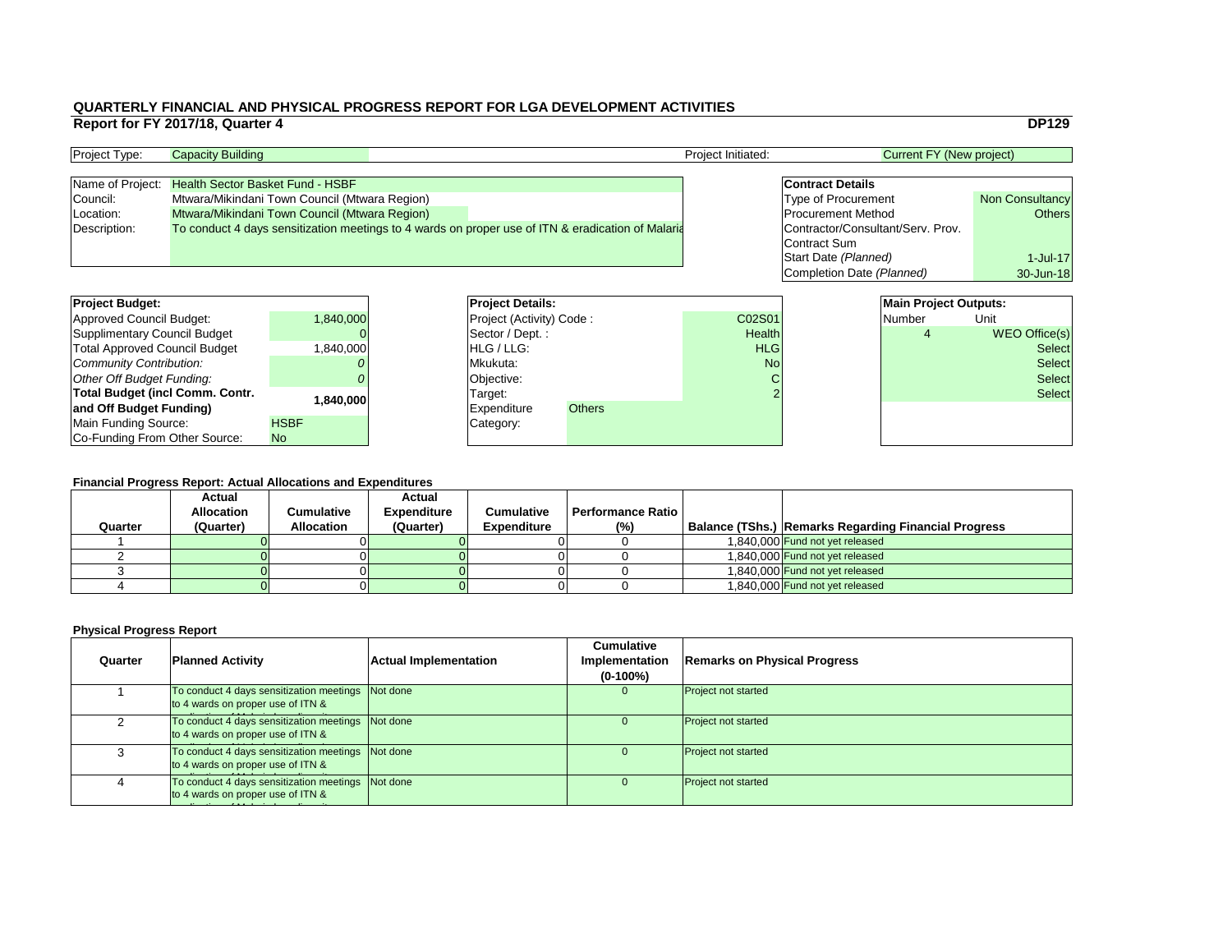|                                   | <b>DP129</b>           |
|-----------------------------------|------------------------|
| <b>Current FY (New project)</b>   |                        |
|                                   |                        |
| <b>Contract Details</b>           |                        |
| <b>Type of Procurement</b>        | <b>Non Consultancy</b> |
| <b>Procurement Method</b>         | <b>Others</b>          |
| Contractor/Consultant/Serv. Prov. |                        |
| <b>Contract Sum</b>               |                        |
| Start Date (Planned)              | $1 -$ Jul $-17$        |
| <b>Completion Date (Planned)</b>  | 30-Jun-18              |
|                                   |                        |
| <b>Main Project Outputs:</b>      |                        |
| <b>Number</b>                     | Unit                   |

| Malli Project Outputs. |                      |
|------------------------|----------------------|
| Number                 | Unit                 |
|                        | <b>WEO Office(s)</b> |
|                        | <b>Select</b>        |
|                        | <b>Select</b>        |
|                        | <b>Select</b>        |
|                        | <b>Select</b>        |
|                        |                      |
|                        |                      |
|                        |                      |

### **Financial Progress Report: Actual Allocations and Expenditures**

| <b>Project Budget:</b>                 |             | <b>Project Details:</b> |                                 |               | <b>Main Project Outputs:</b> |  |               |                      |
|----------------------------------------|-------------|-------------------------|---------------------------------|---------------|------------------------------|--|---------------|----------------------|
| <b>Approved Council Budget:</b>        | 1,840,000   |                         | <b>Project (Activity) Code:</b> |               | C02S01                       |  | Number        | Unit                 |
| <b>Supplimentary Council Budget</b>    |             |                         | Sector / Dept. :                |               | <b>Health</b>                |  |               | <b>WEO Office(s)</b> |
| <b>Total Approved Council Budget</b>   | 0.040,000   |                         | <b>HLG/LLG:</b>                 |               | <b>HLG</b>                   |  |               | <b>Select</b>        |
| <b>Community Contribution:</b>         |             |                         | Mkukuta:                        |               | <b>No</b>                    |  | <b>Select</b> |                      |
| <b>Other Off Budget Funding:</b>       |             |                         | <b>Objective:</b>               |               |                              |  |               | <b>Select</b>        |
| <b>Total Budget (incl Comm. Contr.</b> |             |                         | Target:                         |               |                              |  |               | <b>Select</b>        |
| and Off Budget Funding)                | 0.840, 000  |                         | <b>Expenditure</b>              | <b>Others</b> |                              |  |               |                      |
| <b>Main Funding Source:</b>            | <b>HSBF</b> |                         | Category:                       |               |                              |  |               |                      |
| Co-Funding From Other Source:          | No          |                         |                                 |               |                              |  |               |                      |

| <b>Project Type:</b> | <b>Capacity Building</b>                                                                          | <b>Project Initiated:</b> | <b>Current FY (New project)</b>   |                        |
|----------------------|---------------------------------------------------------------------------------------------------|---------------------------|-----------------------------------|------------------------|
|                      |                                                                                                   |                           |                                   |                        |
|                      | Name of Project: Health Sector Basket Fund - HSBF                                                 |                           | <b>Contract Details</b>           |                        |
| Council:             | Mtwara/Mikindani Town Council (Mtwara Region)                                                     |                           | <b>Type of Procurement</b>        | <b>Non Consultancy</b> |
| Location:            | Mtwara/Mikindani Town Council (Mtwara Region)                                                     |                           | <b>Procurement Method</b>         | Others                 |
| Description:         | To conduct 4 days sensitization meetings to 4 wards on proper use of ITN & eradication of Malaria |                           | Contractor/Consultant/Serv. Prov. |                        |
|                      |                                                                                                   |                           | Contract Sum                      |                        |

| <b>Project Budget:</b>                 |             | <b>Project Deta</b>   |
|----------------------------------------|-------------|-----------------------|
| <b>Approved Council Budget:</b>        | 1,840,000   | <b>Project (Activ</b> |
| <b>Supplimentary Council Budget</b>    |             | Sector / Dep          |
| <b>Total Approved Council Budget</b>   | 1,840,000   | HLG / LLG:            |
| Community Contribution:                |             | Mkukuta:              |
| Other Off Budget Funding:              |             | Objective:            |
| <b>Total Budget (incl Comm. Contr.</b> | 1,840,000   | Target:               |
| and Off Budget Funding)                |             | <b>Expenditure</b>    |
| Main Funding Source:                   | <b>HSBF</b> | Category:             |
| Co-Funding From Other Source:          | <b>No</b>   |                       |

|         | <b>Actual</b>     |                   | <b>Actual</b>      |                    |                          |                                                             |
|---------|-------------------|-------------------|--------------------|--------------------|--------------------------|-------------------------------------------------------------|
|         | <b>Allocation</b> | Cumulative        | <b>Expenditure</b> | <b>Cumulative</b>  | <b>Performance Ratio</b> |                                                             |
| Quarter | (Quarter)         | <b>Allocation</b> | (Quarter)          | <b>Expenditure</b> | (%)                      | <b>Balance (TShs.) Remarks Regarding Financial Progress</b> |
|         |                   |                   |                    |                    |                          | 1,840,000 Fund not yet released                             |
|         |                   |                   |                    |                    |                          | 1.840.000 Fund not yet released                             |
|         |                   |                   |                    |                    |                          | 1.840.000 Fund not yet released                             |
|         |                   |                   |                    |                    |                          | 1,840,000 Fund not yet released                             |

| Quarter | <b>Planned Activity</b>                                                                | <b>Actual Implementation</b> | <b>Cumulative</b><br><b>Implementation</b><br>$(0-100\%)$ | <b>Remarks on Physical Progress</b> |
|---------|----------------------------------------------------------------------------------------|------------------------------|-----------------------------------------------------------|-------------------------------------|
|         | To conduct 4 days sensitization meetings Not done<br>to 4 wards on proper use of ITN & |                              | $\Omega$                                                  | <b>Project not started</b>          |
|         | To conduct 4 days sensitization meetings Not done<br>to 4 wards on proper use of ITN & |                              | U                                                         | <b>Project not started</b>          |
|         | To conduct 4 days sensitization meetings Not done<br>to 4 wards on proper use of ITN & |                              |                                                           | <b>Project not started</b>          |
|         | To conduct 4 days sensitization meetings Not done<br>to 4 wards on proper use of ITN & |                              | $\Omega$                                                  | <b>Project not started</b>          |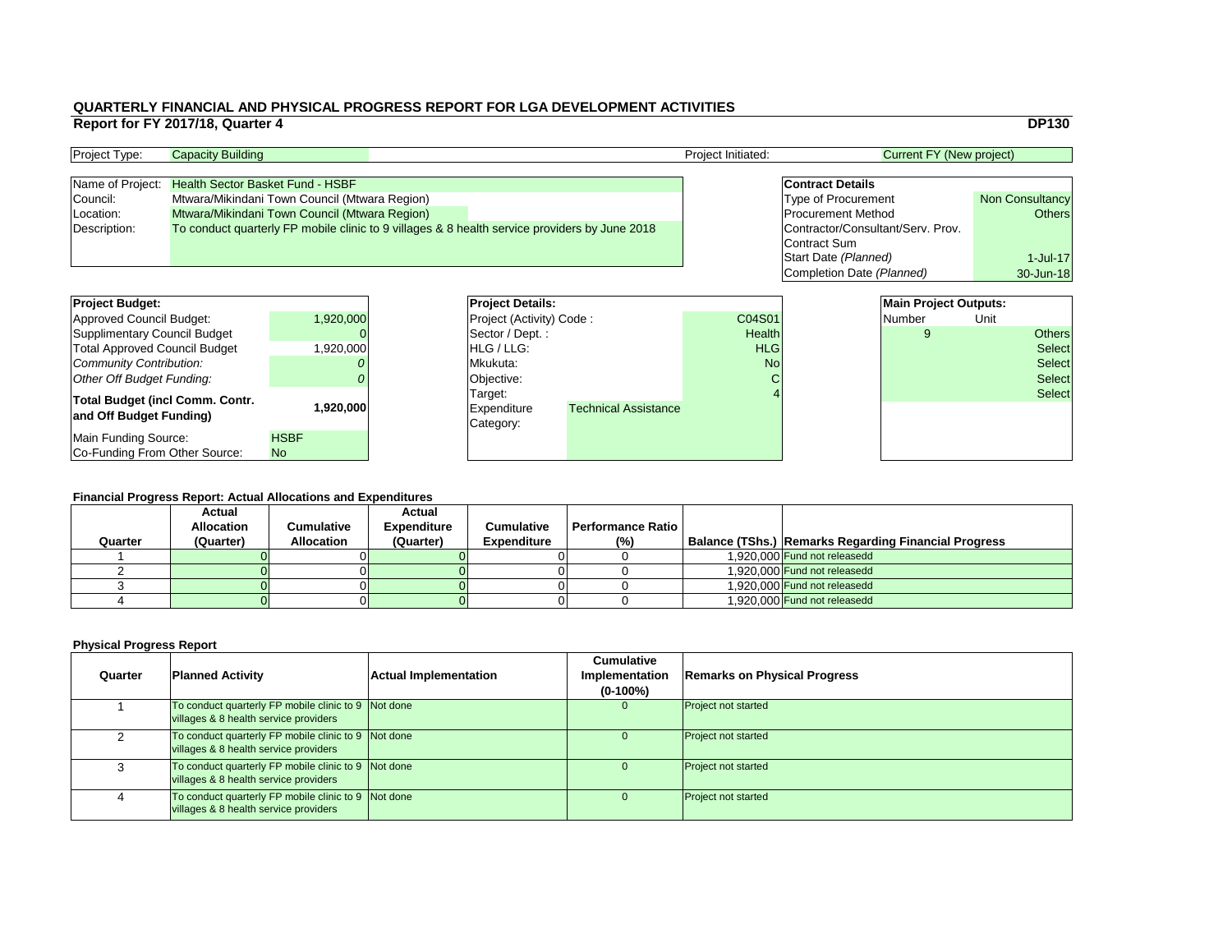|                                   | <b>DP130</b>           |  |  |  |  |  |  |  |  |
|-----------------------------------|------------------------|--|--|--|--|--|--|--|--|
| <b>Current FY (New project)</b>   |                        |  |  |  |  |  |  |  |  |
|                                   |                        |  |  |  |  |  |  |  |  |
| <b>Contract Details</b>           |                        |  |  |  |  |  |  |  |  |
| <b>Type of Procurement</b>        | <b>Non Consultancy</b> |  |  |  |  |  |  |  |  |
| <b>Procurement Method</b>         | <b>Others</b>          |  |  |  |  |  |  |  |  |
| Contractor/Consultant/Serv. Prov. |                        |  |  |  |  |  |  |  |  |
| <b>Contract Sum</b>               |                        |  |  |  |  |  |  |  |  |
| Start Date (Planned)              | $1$ -Jul-17            |  |  |  |  |  |  |  |  |
| Completion Date (Planned)         | 30-Jun-18              |  |  |  |  |  |  |  |  |
|                                   |                        |  |  |  |  |  |  |  |  |
| <b>Main Project Outputs:</b>      |                        |  |  |  |  |  |  |  |  |
| <b>Number</b>                     |                        |  |  |  |  |  |  |  |  |
|                                   |                        |  |  |  |  |  |  |  |  |

### **Financial Progress Report: Actual Allocations and Expenditures**

| <b>Project Budget:</b>                 |             | <b>Project Details:</b> |                                 |                             | <b>Main Project Outputs:</b> |  |        |      |               |
|----------------------------------------|-------------|-------------------------|---------------------------------|-----------------------------|------------------------------|--|--------|------|---------------|
| <b>Approved Council Budget:</b>        | 1,920,000   |                         | <b>Project (Activity) Code:</b> |                             | C04S01                       |  | Number | Unit |               |
| <b>Supplimentary Council Budget</b>    |             |                         | Sector / Dept.:                 |                             | Health                       |  |        |      | <b>Others</b> |
| <b>Total Approved Council Budget</b>   | 1,920,000   |                         | <b>HLG</b> / LLG:               |                             | <b>HLG</b>                   |  |        |      | <b>Select</b> |
| <b>Community Contribution:</b>         |             |                         | Mkukuta:                        |                             | <b>No</b>                    |  |        |      | <b>Select</b> |
| <b>Other Off Budget Funding:</b>       |             |                         | Objective:                      |                             |                              |  |        |      | <b>Select</b> |
| <b>Total Budget (incl Comm. Contr.</b> |             |                         | Target:                         |                             |                              |  |        |      | <b>Select</b> |
| and Off Budget Funding)                | ا000.020 1  |                         | <b>Expenditure</b><br>Category: | <b>Technical Assistance</b> |                              |  |        |      |               |
| <b>Main Funding Source:</b>            | <b>HSBF</b> |                         |                                 |                             |                              |  |        |      |               |
| Co-Funding From Other Source:          | <b>No</b>   |                         |                                 |                             |                              |  |        |      |               |

### **Physical Progress Report**

| <b>Project Type:</b> | <b>Capacity Building</b>                                                                      |  | <b>Project Initiated:</b> | Current FY (New project)          |                        |
|----------------------|-----------------------------------------------------------------------------------------------|--|---------------------------|-----------------------------------|------------------------|
|                      |                                                                                               |  |                           |                                   |                        |
|                      | Name of Project: Health Sector Basket Fund - HSBF                                             |  |                           | <b>Contract Details</b>           |                        |
| Council:             | Mtwara/Mikindani Town Council (Mtwara Region)                                                 |  |                           | <b>Type of Procurement</b>        | <b>Non Consultancy</b> |
| Location:            | Mtwara/Mikindani Town Council (Mtwara Region)                                                 |  |                           | <b>Procurement Method</b>         | Others                 |
| Description:         | To conduct quarterly FP mobile clinic to 9 villages & 8 health service providers by June 2018 |  |                           | Contractor/Consultant/Serv. Prov. |                        |
|                      |                                                                                               |  |                           | Contract Sum                      |                        |

| <b>Project Budget:</b>                                     |             | <b>Project Deta</b>                        |
|------------------------------------------------------------|-------------|--------------------------------------------|
| <b>Approved Council Budget:</b>                            | 1,920,000   | <b>Project (Activ</b>                      |
| <b>Supplimentary Council Budget</b>                        |             | Sector / Dep                               |
| <b>Total Approved Council Budget</b>                       | 1,920,000   | HLG / LLG:                                 |
| <b>Community Contribution:</b>                             |             | Mkukuta:                                   |
| <b>Other Off Budget Funding:</b>                           |             | Objective:                                 |
| Total Budget (incl Comm. Contr.<br>and Off Budget Funding) | 1,920,000   | Target:<br><b>Expenditure</b><br>Category: |
| Main Funding Source:                                       | <b>HSBF</b> |                                            |
| Co-Funding From Other Source:                              | <b>No</b>   |                                            |

| Quarter | <b>Actual</b><br><b>Allocation</b><br>(Quarter) | Cumulative<br><b>Allocation</b> | <b>Actual</b><br><b>Expenditure</b><br>(Quarter) | <b>Cumulative</b><br><b>Expenditure</b> | Performance Ratio I<br>(%) | <b>Balance (TShs.) Remarks Regarding Financial Progress</b> |
|---------|-------------------------------------------------|---------------------------------|--------------------------------------------------|-----------------------------------------|----------------------------|-------------------------------------------------------------|
|         |                                                 |                                 |                                                  |                                         |                            | 1,920,000 Fund not releasedd                                |
|         |                                                 |                                 |                                                  |                                         |                            | 1,920,000 Fund not releasedd                                |
|         |                                                 |                                 |                                                  |                                         |                            | 1,920,000 Fund not releasedd                                |
|         |                                                 |                                 |                                                  |                                         |                            | 1,920,000 Fund not releasedd                                |

| Quarter | <b>Planned Activity</b>                                                                        | <b>Actual Implementation</b> | <b>Cumulative</b><br>Implementation<br>$(0-100\%)$ | Remarks on Ph              |
|---------|------------------------------------------------------------------------------------------------|------------------------------|----------------------------------------------------|----------------------------|
|         | To conduct quarterly FP mobile clinic to 9 Not done<br>villages & 8 health service providers   |                              | 0                                                  | <b>Project not started</b> |
| ⌒       | To conduct quarterly FP mobile clinic to 9 Not done<br>villages & 8 health service providers   |                              |                                                    | <b>Project not started</b> |
| 3       | To conduct quarterly FP mobile clinic to $9$ Not done<br>villages & 8 health service providers |                              |                                                    | <b>Project not started</b> |
| 4       | To conduct quarterly FP mobile clinic to 9 Not done<br>villages & 8 health service providers   |                              | $\Omega$                                           | <b>Project not started</b> |

## **Planned Activity Remarks on Physical Progress**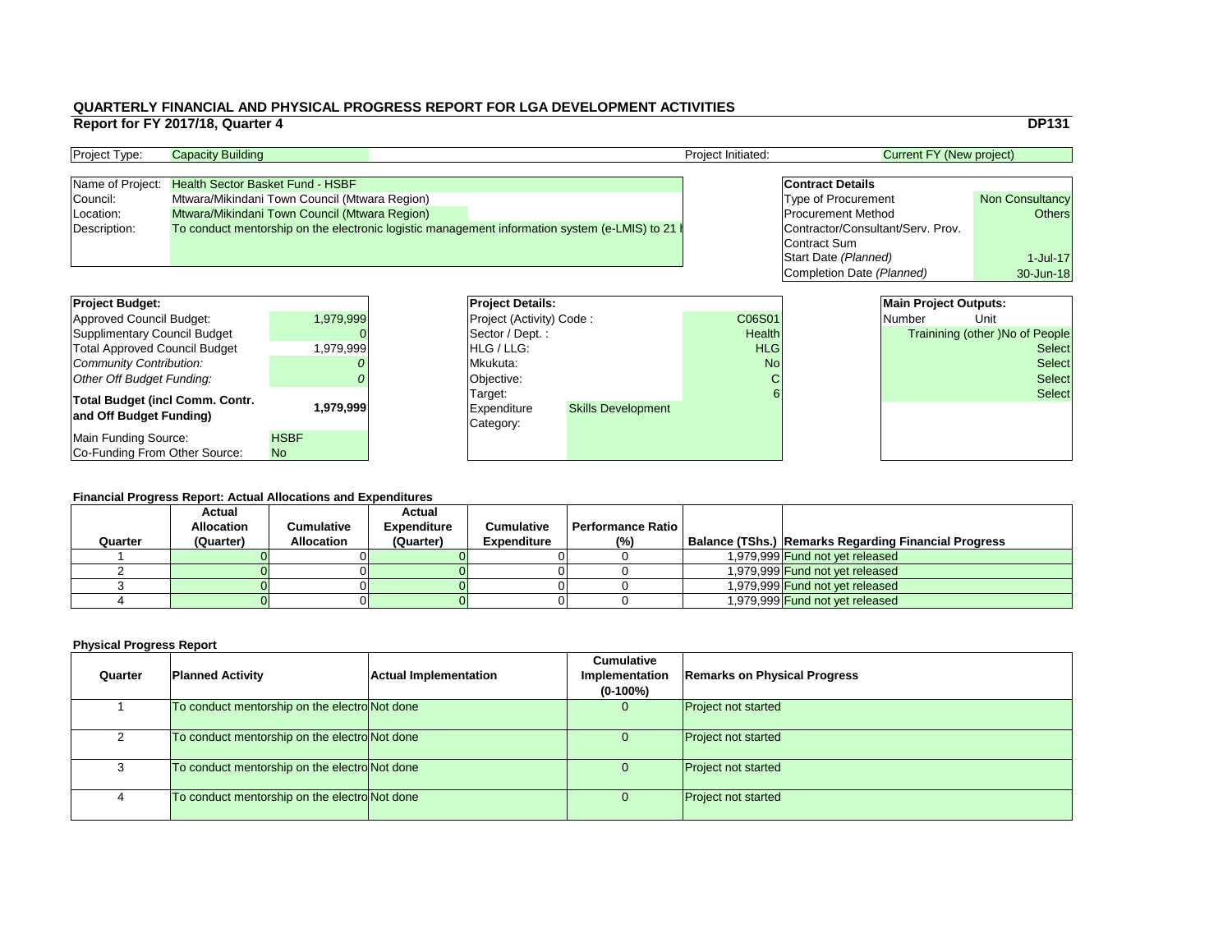### **Financial Progress Report: Actual Allocations and Expenditures**

|                                                                        | Report for FY 2017/18, Quarter 4 |                                               |                               |                                                                                                 |                      |                                   |                                 | <b>DP131</b>                    |
|------------------------------------------------------------------------|----------------------------------|-----------------------------------------------|-------------------------------|-------------------------------------------------------------------------------------------------|----------------------|-----------------------------------|---------------------------------|---------------------------------|
| Project Type:                                                          | <b>Capacity Building</b>         |                                               |                               |                                                                                                 | Project Initiated:   |                                   | <b>Current FY (New project)</b> |                                 |
| Name of Project:                                                       |                                  | <b>Health Sector Basket Fund - HSBF</b>       |                               |                                                                                                 |                      | <b>Contract Details</b>           |                                 |                                 |
| Council:                                                               |                                  | Mtwara/Mikindani Town Council (Mtwara Region) |                               |                                                                                                 |                      | <b>Type of Procurement</b>        |                                 | <b>Non Consultancy</b>          |
| Location:                                                              |                                  | Mtwara/Mikindani Town Council (Mtwara Region) |                               |                                                                                                 |                      | <b>Procurement Method</b>         |                                 | <b>Others</b>                   |
| Description:                                                           |                                  |                                               |                               | To conduct mentorship on the electronic logistic management information system (e-LMIS) to 21 h |                      | Contractor/Consultant/Serv. Prov. |                                 |                                 |
|                                                                        |                                  |                                               |                               |                                                                                                 |                      | Contract Sum                      |                                 |                                 |
|                                                                        |                                  |                                               |                               |                                                                                                 |                      | Start Date (Planned)              |                                 | $1$ -Jul-17                     |
|                                                                        |                                  |                                               |                               |                                                                                                 |                      | Completion Date (Planned)         |                                 | 30-Jun-18                       |
|                                                                        |                                  |                                               |                               |                                                                                                 |                      |                                   |                                 |                                 |
| <b>Project Budget:</b>                                                 |                                  |                                               | <b>Project Details:</b>       |                                                                                                 | C06S01               |                                   | <b>Main Project Outputs:</b>    | Unit                            |
| <b>Approved Council Budget:</b>                                        |                                  | 1,979,999                                     | Project (Activity) Code:      |                                                                                                 |                      |                                   | <b>Number</b>                   |                                 |
| <b>Supplimentary Council Budget</b>                                    |                                  |                                               | Sector / Dept.:<br>HLG / LLG: |                                                                                                 | Health<br><b>HLG</b> |                                   |                                 | Trainining (other )No of People |
| <b>Total Approved Council Budget</b><br><b>Community Contribution:</b> |                                  | 1,979,999                                     | Mkukuta:                      |                                                                                                 | <b>No</b>            |                                   |                                 | <b>Select</b><br><b>Select</b>  |
| <b>Other Off Budget Funding:</b>                                       |                                  |                                               |                               |                                                                                                 |                      |                                   |                                 | <b>Select</b>                   |
|                                                                        |                                  |                                               | Objective:                    |                                                                                                 |                      |                                   |                                 | <b>Select</b>                   |
| <b>Total Budget (incl Comm. Contr.</b>                                 |                                  | 1,979,999                                     | Target:<br><b>Expenditure</b> | <b>Skills Development</b>                                                                       |                      |                                   |                                 |                                 |
| and Off Budget Funding)                                                |                                  |                                               | Category:                     |                                                                                                 |                      |                                   |                                 |                                 |
| <b>Main Funding Source:</b>                                            |                                  | <b>HSBF</b>                                   |                               |                                                                                                 |                      |                                   |                                 |                                 |
| Co-Funding From Other Source:                                          |                                  | <b>No</b>                                     |                               |                                                                                                 |                      |                                   |                                 |                                 |

| <b>Project Type:</b> | <b>Capacity Building</b>                      |                                                                                                 | <b>Project Initiated:</b> | Current FY (New project)          |                        |
|----------------------|-----------------------------------------------|-------------------------------------------------------------------------------------------------|---------------------------|-----------------------------------|------------------------|
|                      |                                               |                                                                                                 |                           |                                   |                        |
| Name of Project:     | <b>Health Sector Basket Fund - HSBF</b>       |                                                                                                 |                           | <b>Contract Details</b>           |                        |
| Council:             | Mtwara/Mikindani Town Council (Mtwara Region) |                                                                                                 |                           | <b>Type of Procurement</b>        | <b>Non Consultancy</b> |
| Location:            | Mtwara/Mikindani Town Council (Mtwara Region) |                                                                                                 |                           | <b>Procurement Method</b>         | Others                 |
| Description:         |                                               | To conduct mentorship on the electronic logistic management information system (e-LMIS) to 21 h |                           | Contractor/Consultant/Serv. Prov. |                        |
|                      |                                               |                                                                                                 |                           | <b>Contract Sum</b>               |                        |

| <b>Project Budget:</b>                                            |                          | <b>Project Deta</b>                        |
|-------------------------------------------------------------------|--------------------------|--------------------------------------------|
| <b>Approved Council Budget:</b>                                   | 1,979,999                | <b>Project (Activ</b>                      |
| <b>Supplimentary Council Budget</b>                               |                          | Sector / Dep                               |
| <b>Total Approved Council Budget</b>                              | 1,979,999                | HLG / LLG:                                 |
| <b>Community Contribution:</b>                                    |                          | Mkukuta:                                   |
| <b>Other Off Budget Funding:</b>                                  |                          | Objective:                                 |
| <b>Total Budget (incl Comm. Contr.</b><br>and Off Budget Funding) | 1,979,999                | Target:<br><b>Expenditure</b><br>Category: |
| <b>Main Funding Source:</b><br>Co-Funding From Other Source:      | <b>HSBF</b><br><b>No</b> |                                            |

| Quarter | <b>Actual</b><br><b>Allocation</b><br>(Quarter) | Cumulative<br><b>Allocation</b> | <b>Actual</b><br><b>Expenditure</b><br>(Quarter) | <b>Cumulative</b><br><b>Expenditure</b> | <b>Performance Ratio</b><br>(%) | <b>Balance (TShs.) Remarks Regarding Financial Progress</b> |
|---------|-------------------------------------------------|---------------------------------|--------------------------------------------------|-----------------------------------------|---------------------------------|-------------------------------------------------------------|
|         |                                                 |                                 |                                                  |                                         |                                 | 1,979,999 Fund not yet released                             |
|         |                                                 |                                 |                                                  |                                         |                                 | 1,979,999 Fund not yet released                             |
|         |                                                 |                                 |                                                  |                                         |                                 | 1,979,999 Fund not yet released                             |
|         |                                                 |                                 |                                                  |                                         |                                 | 1,979,999 Fund not yet released                             |

| Quarter | <b>Planned Activity</b>                      | <b>Actual Implementation</b> | <b>Cumulative</b><br>Implementation<br>$(0-100\%)$ | <b>Remarks on Physical Progress</b> |
|---------|----------------------------------------------|------------------------------|----------------------------------------------------|-------------------------------------|
|         | To conduct mentorship on the electroNot done |                              |                                                    | <b>Project not started</b>          |
|         | To conduct mentorship on the electroNot done |                              |                                                    | <b>Project not started</b>          |
|         | To conduct mentorship on the electroNot done |                              |                                                    | <b>Project not started</b>          |
| 4       | To conduct mentorship on the electroNot done |                              |                                                    | <b>Project not started</b>          |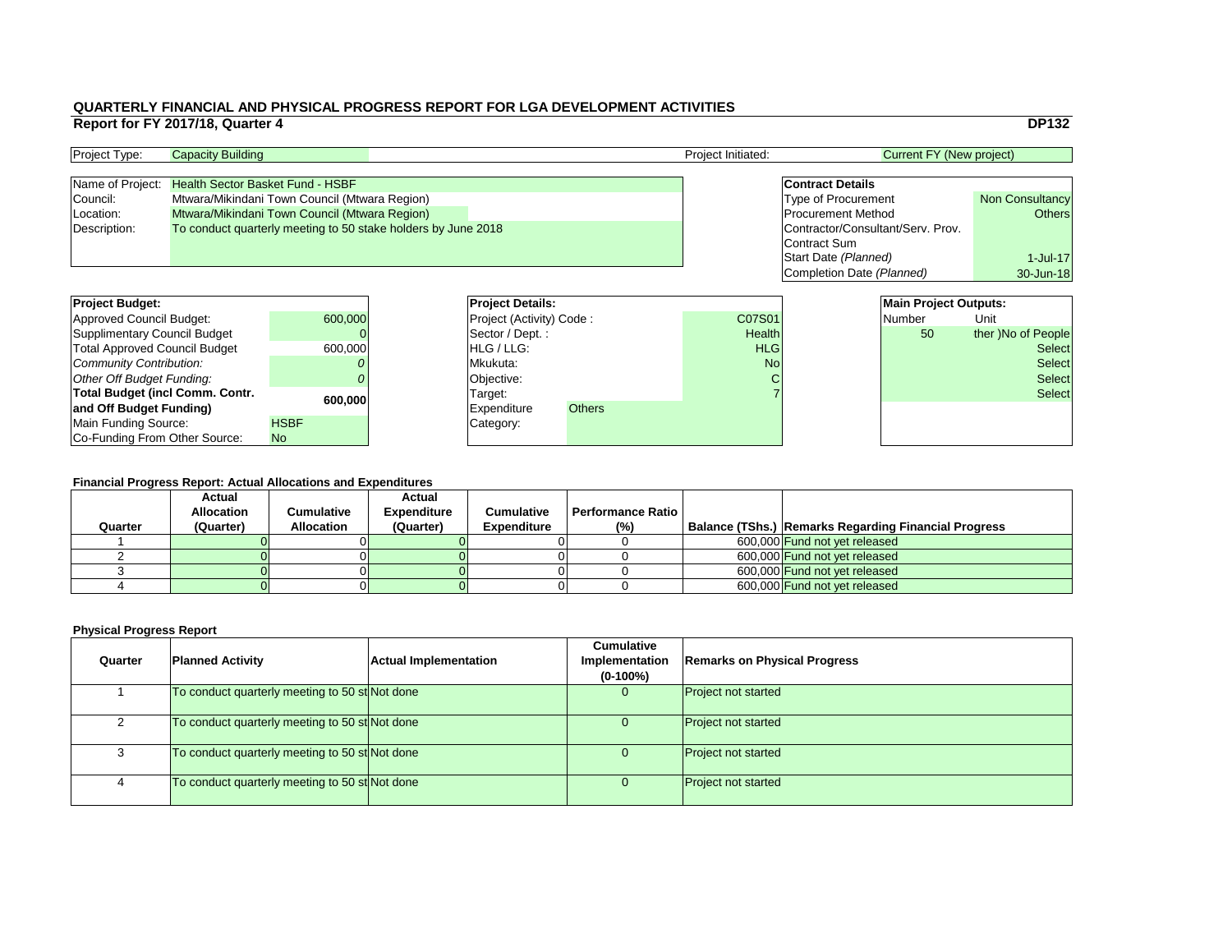|                                   | <b>DP132</b>           |
|-----------------------------------|------------------------|
| <b>Current FY (New project)</b>   |                        |
|                                   |                        |
| <b>Contract Details</b>           |                        |
| <b>Type of Procurement</b>        | <b>Non Consultancy</b> |
| <b>Procurement Method</b>         | <b>Others</b>          |
| Contractor/Consultant/Serv. Prov. |                        |
|                                   |                        |
| Start Date (Planned)              | $1$ -Jul-17            |
| Completion Date (Planned)         | 30-Jun-18              |
|                                   |                        |
| <b>Main Project Outputs:</b>      |                        |
| <b>Number</b>                     | Unit                   |
|                                   |                        |

### **Financial Progress Report: Actual Allocations and Expenditures**

| <b>Project Budget:</b>                 |             | <b>Project Details:</b>         |               |               | <b>Main Project Outputs:</b> |                    |
|----------------------------------------|-------------|---------------------------------|---------------|---------------|------------------------------|--------------------|
| <b>Approved Council Budget:</b>        | 600,000     | <b>Project (Activity) Code:</b> |               | C07S01        | <b>Number</b>                | Unit               |
| <b>Supplimentary Council Budget</b>    |             | Sector / Dept.:                 |               | <b>Health</b> | 50                           | ther )No of People |
| <b>Total Approved Council Budget</b>   | 600,000     | HLG / LLG:                      |               | <b>HLG</b>    |                              | <b>Select</b>      |
| <b>Community Contribution:</b>         |             | Mkukuta:                        |               | <b>No</b>     |                              | <b>Select</b>      |
| <b>Other Off Budget Funding:</b>       |             | Objective:                      |               |               |                              | <b>Select</b>      |
| <b>Total Budget (incl Comm. Contr.</b> |             | Target:                         |               |               |                              | <b>Select</b>      |
| and Off Budget Funding)                | 600,000     | <b>Expenditure</b>              | <b>Others</b> |               |                              |                    |
| <b>Main Funding Source:</b>            | <b>HSBF</b> | Category:                       |               |               |                              |                    |
| Co-Funding From Other Source:          | No          |                                 |               |               |                              |                    |

| <b>Project Type:</b> | <b>Capacity Building</b>                                      |  | <b>Project Initiated:</b> | Current FY (New project)          |                        |
|----------------------|---------------------------------------------------------------|--|---------------------------|-----------------------------------|------------------------|
|                      |                                                               |  |                           |                                   |                        |
| Name of Project:     | <b>Health Sector Basket Fund - HSBF</b>                       |  |                           | <b>Contract Details</b>           |                        |
| Council:             | Mtwara/Mikindani Town Council (Mtwara Region)                 |  |                           | <b>Type of Procurement</b>        | <b>Non Consultancy</b> |
| Location:            | Mtwara/Mikindani Town Council (Mtwara Region)                 |  |                           | <b>Procurement Method</b>         | Others                 |
| Description:         | To conduct quarterly meeting to 50 stake holders by June 2018 |  |                           | Contractor/Consultant/Serv. Prov. |                        |
|                      |                                                               |  |                           | Contract Sum                      |                        |

| <b>Project Budget:</b>               |             | <b>Project Deta</b>   |
|--------------------------------------|-------------|-----------------------|
| <b>Approved Council Budget:</b>      | 600,000     | <b>Project (Activ</b> |
| <b>Supplimentary Council Budget</b>  |             | Sector / Dep          |
| <b>Total Approved Council Budget</b> | 600,000     | HLG / LLG:            |
| Community Contribution:              |             | Mkukuta:              |
| Other Off Budget Funding:            |             | Objective:            |
| Total Budget (incl Comm. Contr.      | 600,000     | Target:               |
| and Off Budget Funding)              |             | <b>Expenditure</b>    |
| <b>Main Funding Source:</b>          | <b>HSBF</b> | Category:             |
| Co-Funding From Other Source:        | <b>No</b>   |                       |

| Quarter | <b>Actual</b><br><b>Allocation</b><br>(Quarter) | Cumulative<br><b>Allocation</b> | <b>Actual</b><br><b>Expenditure</b><br>(Quarter) | <b>Cumulative</b><br><b>Expenditure</b> | <b>Performance Ratio</b><br>(%) | Balance (TShs.) Remarks Regarding Financial Progress |
|---------|-------------------------------------------------|---------------------------------|--------------------------------------------------|-----------------------------------------|---------------------------------|------------------------------------------------------|
|         |                                                 |                                 |                                                  |                                         |                                 | 600,000 Fund not yet released                        |
|         |                                                 |                                 |                                                  |                                         |                                 | 600,000 Fund not yet released                        |
|         |                                                 |                                 |                                                  |                                         |                                 | 600,000 Fund not yet released                        |
|         |                                                 |                                 |                                                  |                                         |                                 | 600,000 Fund not yet released                        |

| Quarter | <b>Planned Activity</b>                        | <b>Actual Implementation</b> | <b>Cumulative</b><br>Implementation<br>$(0-100\%)$ | <b>Remarks on Physical Progress</b> |
|---------|------------------------------------------------|------------------------------|----------------------------------------------------|-------------------------------------|
|         | To conduct quarterly meeting to 50 st Not done |                              | 0                                                  | <b>Project not started</b>          |
|         | To conduct quarterly meeting to 50 st Not done |                              |                                                    | <b>Project not started</b>          |
|         | To conduct quarterly meeting to 50 st Not done |                              |                                                    | <b>Project not started</b>          |
|         | To conduct quarterly meeting to 50 st Not done |                              |                                                    | <b>Project not started</b>          |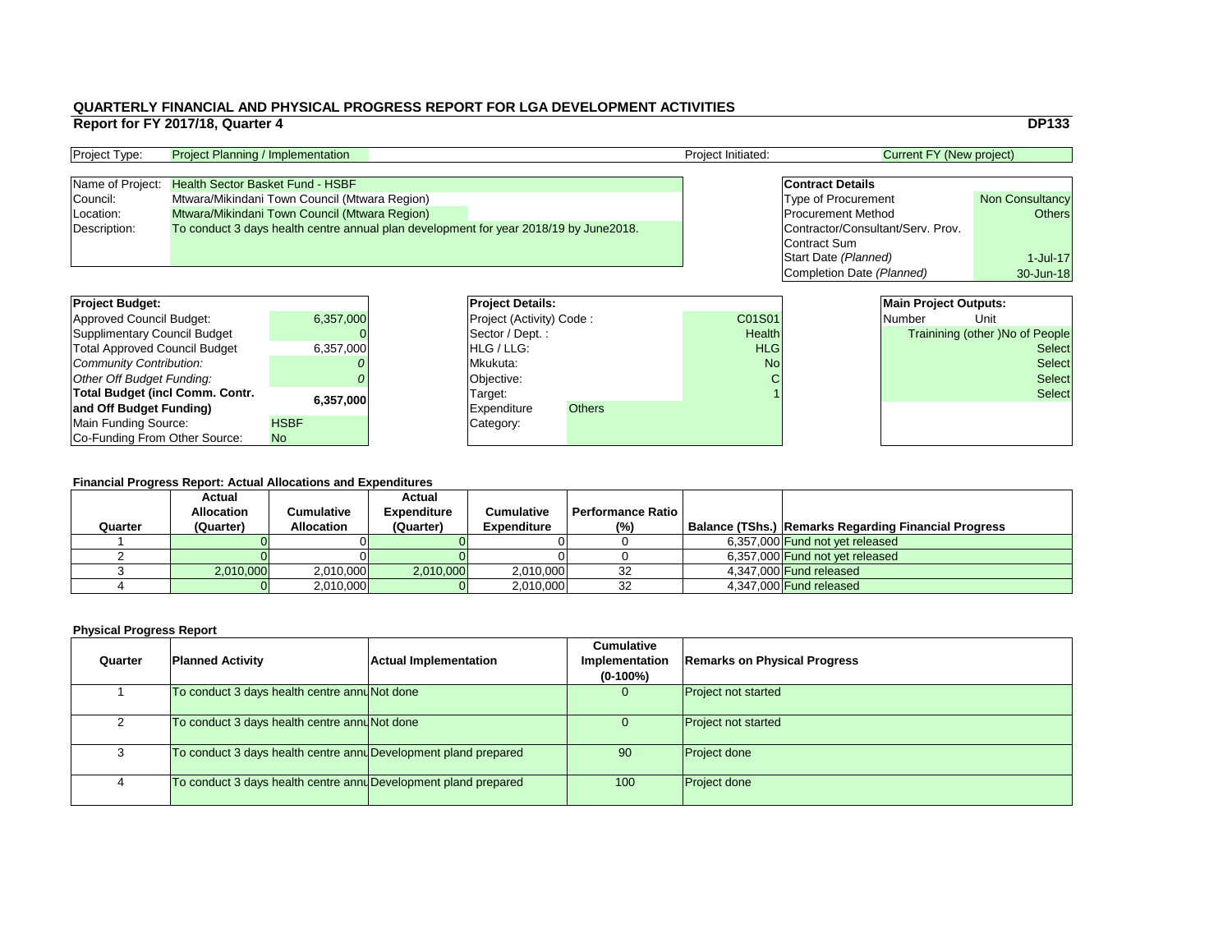|                |                                   |                                 | <b>DP133</b>                    |
|----------------|-----------------------------------|---------------------------------|---------------------------------|
|                |                                   | <b>Current FY (New project)</b> |                                 |
|                |                                   |                                 |                                 |
|                | <b>Contract Details</b>           |                                 |                                 |
|                | <b>Type of Procurement</b>        |                                 | <b>Non Consultancy</b>          |
|                | <b>Procurement Method</b>         |                                 | <b>Others</b>                   |
|                | Contractor/Consultant/Serv. Prov. |                                 |                                 |
|                | <b>Contract Sum</b>               |                                 |                                 |
|                | Start Date (Planned)              |                                 | $1$ -Jul-17                     |
|                | Completion Date (Planned)         |                                 | 30-Jun-18                       |
|                |                                   |                                 |                                 |
|                |                                   | <b>Main Project Outputs:</b>    |                                 |
| $\overline{1}$ |                                   | <b>Number</b>                   | Unit                            |
| th             |                                   |                                 | Trainining (other) No of People |
| G              |                                   |                                 | <b>Select</b>                   |
| Ιo             |                                   |                                 | Select                          |
|                |                                   |                                 |                                 |

### **Financial Progress Report: Actual Allocations and Expenditures**

| <b>Project Budget:</b>                 |             | <b>Project Details:</b>         |                    |               |               | <b>Main Project Outputs:</b> |               |                                        |
|----------------------------------------|-------------|---------------------------------|--------------------|---------------|---------------|------------------------------|---------------|----------------------------------------|
| <b>Approved Council Budget:</b>        | 6,357,000   | <b>Project (Activity) Code:</b> |                    |               | C01S01        |                              | Number        | Unit                                   |
| <b>Supplimentary Council Budget</b>    |             |                                 | Sector / Dept. :   |               | <b>Health</b> |                              |               | <b>Trainining (other )No of People</b> |
| <b>Total Approved Council Budget</b>   | 6,357,000   | <b>HLG/LLG:</b>                 |                    | <b>HLG</b>    |               |                              | <b>Select</b> |                                        |
| <b>Community Contribution:</b>         |             |                                 | Mkukuta:           |               | <b>No</b>     |                              |               | <b>Select</b>                          |
| <b>Other Off Budget Funding:</b>       |             |                                 | <b>Objective:</b>  |               |               |                              |               | <b>Select</b>                          |
| <b>Total Budget (incl Comm. Contr.</b> |             |                                 | Target:            |               |               |                              |               | <b>Select</b>                          |
| 6,357,000<br>and Off Budget Funding)   |             |                                 | <b>Expenditure</b> | <b>Others</b> |               |                              |               |                                        |
| <b>Main Funding Source:</b>            | <b>HSBF</b> |                                 | Category:          |               |               |                              |               |                                        |
| Co-Funding From Other Source:          | No          |                                 |                    |               |               |                              |               |                                        |

| <b>Project Type:</b> | <b>Project Planning / Implementation</b>                                              | <b>Project Initiated:</b> | Current FY (New project)          |                        |
|----------------------|---------------------------------------------------------------------------------------|---------------------------|-----------------------------------|------------------------|
|                      |                                                                                       |                           |                                   |                        |
|                      | Name of Project: Health Sector Basket Fund - HSBF                                     |                           | <b>Contract Details</b>           |                        |
| Council:             | Mtwara/Mikindani Town Council (Mtwara Region)                                         |                           | <b>Type of Procurement</b>        | <b>Non Consultancy</b> |
| Location:            | <b>Mtwara/Mikindani Town Council (Mtwara Region)</b>                                  |                           | <b>Procurement Method</b>         | Others                 |
| Description:         | To conduct 3 days health centre annual plan development for year 2018/19 by June2018. |                           | Contractor/Consultant/Serv. Prov. |                        |
|                      |                                                                                       |                           | Contract Sum                      |                        |

| <b>Project Budget:</b>                 |             | <b>Project Deta</b>   |
|----------------------------------------|-------------|-----------------------|
| <b>Approved Council Budget:</b>        | 6,357,000   | <b>Project (Activ</b> |
| <b>Supplimentary Council Budget</b>    |             | Sector / Dep          |
| <b>Total Approved Council Budget</b>   | 6,357,000   | HLG / LLG:            |
| Community Contribution:                |             | Mkukuta:              |
| <b>Other Off Budget Funding:</b>       |             | Objective:            |
| <b>Total Budget (incl Comm. Contr.</b> | 6,357,000   | Target:               |
| and Off Budget Funding)                |             | <b>Expenditure</b>    |
| Main Funding Source:                   | <b>HSBF</b> | Category:             |
| Co-Funding From Other Source:          | <b>No</b>   |                       |

| Quarter | <b>Planned Activity</b>                                         | <b>Actual Implementation</b> | <b>Cumulative</b><br>Implementation<br>$(0-100\%)$ | <b>Remarks on Physical Progress</b> |
|---------|-----------------------------------------------------------------|------------------------------|----------------------------------------------------|-------------------------------------|
|         | To conduct 3 days health centre annuNot done                    |                              |                                                    | <b>Project not started</b>          |
|         | To conduct 3 days health centre annunot done                    |                              | U                                                  | <b>Project not started</b>          |
|         | To conduct 3 days health centre anny Development pland prepared |                              | 90                                                 | <b>Project done</b>                 |
|         | To conduct 3 days health centre annuDevelopment pland prepared  |                              | 100                                                | <b>Project done</b>                 |

| <b>Financial Progress Report: Actual Allocations and Expenditures</b> |                   |                   |                    |                    |                          |  |                                                             |  |  |
|-----------------------------------------------------------------------|-------------------|-------------------|--------------------|--------------------|--------------------------|--|-------------------------------------------------------------|--|--|
|                                                                       | <b>Actual</b>     |                   | <b>Actual</b>      |                    |                          |  |                                                             |  |  |
|                                                                       | <b>Allocation</b> | <b>Cumulative</b> | <b>Expenditure</b> | <b>Cumulative</b>  | <b>Performance Ratio</b> |  |                                                             |  |  |
| Quarter                                                               | (Quarter)         | <b>Allocation</b> | (Quarter)          | <b>Expenditure</b> | (% )                     |  | <b>Balance (TShs.) Remarks Regarding Financial Progress</b> |  |  |
|                                                                       |                   |                   |                    |                    |                          |  | 6,357,000 Fund not yet released                             |  |  |
|                                                                       |                   |                   |                    |                    |                          |  | 6,357,000 Fund not yet released                             |  |  |
|                                                                       | 2,010,000         | 2,010,000         | 2,010,000          | 2,010,000          | 32                       |  | 4,347,000 Fund released                                     |  |  |
|                                                                       |                   | 2,010,000         |                    | 2,010,000          | 32                       |  | 4,347,000 <b>Fund released</b>                              |  |  |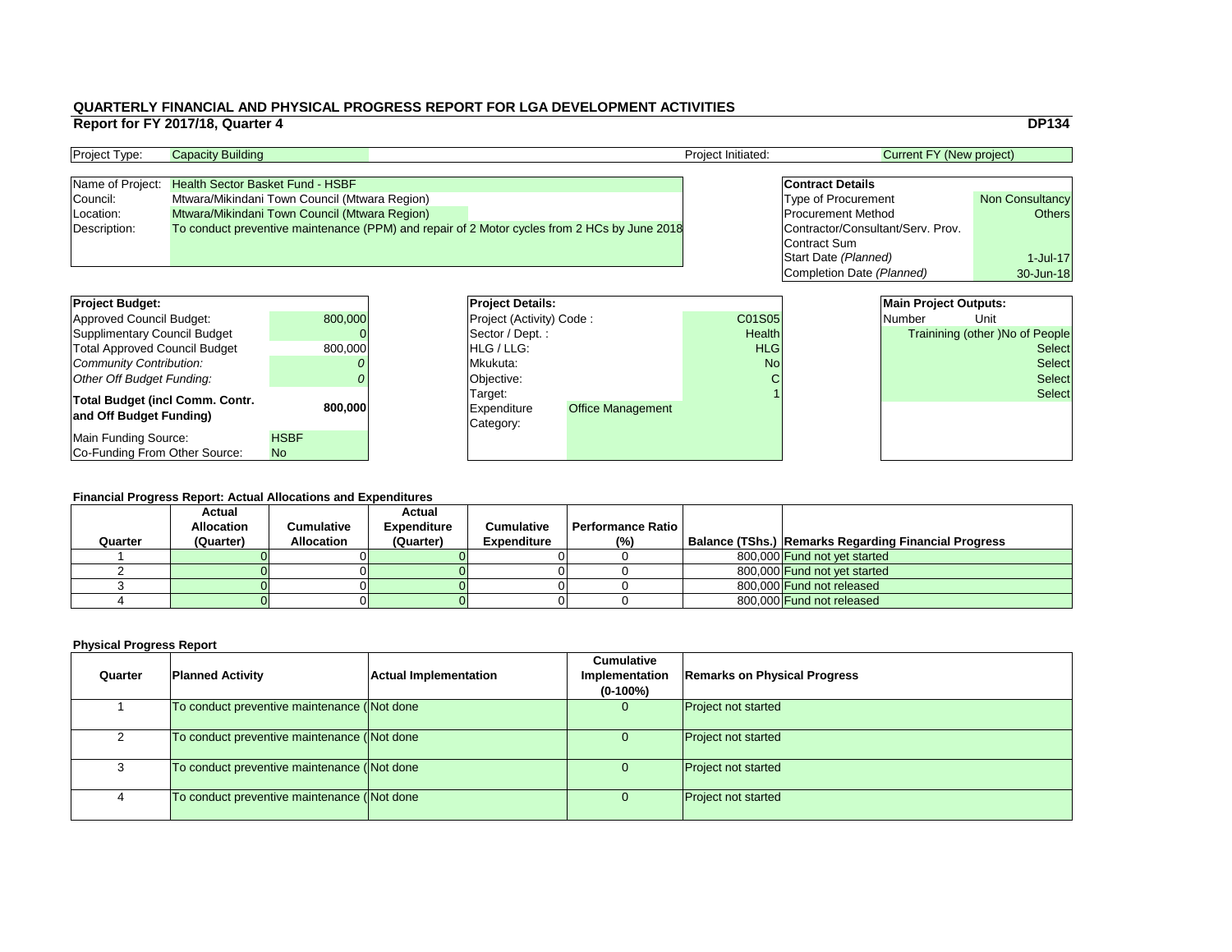#### **Financial Progress Report: Actual Allocations and Expenditures**

|                                        | Report for FY 2017/18, Quarter 4 |                                               |                          |                                                                                              |                    |                                            |                                 | <b>DP134</b>                    |
|----------------------------------------|----------------------------------|-----------------------------------------------|--------------------------|----------------------------------------------------------------------------------------------|--------------------|--------------------------------------------|---------------------------------|---------------------------------|
| Project Type:                          | <b>Capacity Building</b>         |                                               |                          |                                                                                              | Project Initiated: |                                            | <b>Current FY (New project)</b> |                                 |
| Name of Project:                       |                                  | <b>Health Sector Basket Fund - HSBF</b>       |                          |                                                                                              |                    | <b>Contract Details</b>                    |                                 |                                 |
| Council:                               |                                  | Mtwara/Mikindani Town Council (Mtwara Region) |                          |                                                                                              |                    | <b>Type of Procurement</b>                 |                                 | <b>Non Consultancy</b>          |
| Location:                              |                                  | Mtwara/Mikindani Town Council (Mtwara Region) |                          |                                                                                              |                    | <b>Procurement Method</b><br><b>Others</b> |                                 |                                 |
| Description:                           |                                  |                                               |                          | To conduct preventive maintenance (PPM) and repair of 2 Motor cycles from 2 HCs by June 2018 |                    | Contractor/Consultant/Serv. Prov.          |                                 |                                 |
|                                        |                                  |                                               |                          |                                                                                              |                    | Contract Sum                               |                                 |                                 |
|                                        |                                  |                                               |                          |                                                                                              |                    | Start Date (Planned)                       |                                 | $1$ -Jul-17                     |
|                                        |                                  |                                               |                          |                                                                                              |                    | Completion Date (Planned)                  |                                 | 30-Jun-18                       |
|                                        |                                  |                                               |                          |                                                                                              |                    |                                            |                                 |                                 |
| <b>Project Budget:</b>                 |                                  |                                               | <b>Project Details:</b>  |                                                                                              |                    |                                            | <b>Main Project Outputs:</b>    |                                 |
| <b>Approved Council Budget:</b>        |                                  | 800,000                                       | Project (Activity) Code: |                                                                                              | C01S05             |                                            | <b>Number</b>                   | Unit                            |
| <b>Supplimentary Council Budget</b>    |                                  |                                               | Sector / Dept.:          |                                                                                              | Health             |                                            |                                 | Trainining (other )No of People |
| <b>Total Approved Council Budget</b>   |                                  | 800,000                                       | HLG / LLG:               |                                                                                              | <b>HLG</b>         |                                            |                                 | <b>Select</b>                   |
| <b>Community Contribution:</b>         |                                  |                                               | Mkukuta:                 |                                                                                              | <b>No</b>          |                                            |                                 | <b>Select</b>                   |
| <b>Other Off Budget Funding:</b>       |                                  |                                               | Objective:               |                                                                                              |                    |                                            |                                 | <b>Select</b>                   |
| <b>Total Budget (incl Comm. Contr.</b> |                                  |                                               | Target:                  |                                                                                              |                    |                                            |                                 | <b>Select</b>                   |
| and Off Budget Funding)                |                                  | 800,000                                       | Expenditure              | <b>Office Management</b>                                                                     |                    |                                            |                                 |                                 |
|                                        |                                  |                                               | Category:                |                                                                                              |                    |                                            |                                 |                                 |
| <b>Main Funding Source:</b>            |                                  | <b>HSBF</b>                                   |                          |                                                                                              |                    |                                            |                                 |                                 |
| Co-Funding From Other Source:          |                                  | <b>No</b>                                     |                          |                                                                                              |                    |                                            |                                 |                                 |

| <b>Project Type:</b> | <b>Capacity Building</b>                          |                                                                                              | <b>Project Initiated:</b> | Current FY (New project)          |                        |
|----------------------|---------------------------------------------------|----------------------------------------------------------------------------------------------|---------------------------|-----------------------------------|------------------------|
|                      |                                                   |                                                                                              |                           |                                   |                        |
|                      | Name of Project: Health Sector Basket Fund - HSBF |                                                                                              |                           | <b>Contract Details</b>           |                        |
| Council:             | Mtwara/Mikindani Town Council (Mtwara Region)     |                                                                                              |                           | <b>Type of Procurement</b>        | <b>Non Consultancy</b> |
| Location:            | Mtwara/Mikindani Town Council (Mtwara Region)     |                                                                                              |                           | <b>Procurement Method</b>         | Others                 |
| Description:         |                                                   | To conduct preventive maintenance (PPM) and repair of 2 Motor cycles from 2 HCs by June 2018 |                           | Contractor/Consultant/Serv. Prov. |                        |
|                      |                                                   |                                                                                              |                           | Contract Sum                      |                        |

| <b>Project Budget:</b>                                            |             | <b>Project Deta</b>                 |
|-------------------------------------------------------------------|-------------|-------------------------------------|
| Approved Council Budget:                                          | 800,000     | <b>Project (Activ</b>               |
| <b>Supplimentary Council Budget</b>                               |             | Sector / Dep                        |
| <b>Total Approved Council Budget</b>                              | 800,000     | HLG / LLG:                          |
| <b>Community Contribution:</b>                                    |             | Mkukuta:                            |
| <b>Other Off Budget Funding:</b>                                  |             | Objective:                          |
| <b>Total Budget (incl Comm. Contr.</b><br>and Off Budget Funding) | 800,000     | Target:<br>Expenditure<br>Category: |
| Main Funding Source:                                              | <b>HSBF</b> |                                     |
| Co-Funding From Other Source:                                     | <b>No</b>   |                                     |

|         | T MANGULI TUYUGOO INGDULI. AGUUU ANUGUUUNO UNU LADGNURUUGO |                   |                    |                    |                          |                                                             |
|---------|------------------------------------------------------------|-------------------|--------------------|--------------------|--------------------------|-------------------------------------------------------------|
|         | <b>Actual</b>                                              |                   | <b>Actual</b>      |                    |                          |                                                             |
|         | <b>Allocation</b>                                          | Cumulative        | <b>Expenditure</b> | <b>Cumulative</b>  | <b>Performance Ratio</b> |                                                             |
| Quarter | (Quarter)                                                  | <b>Allocation</b> | (Quarter)          | <b>Expenditure</b> | (%)                      | <b>Balance (TShs.) Remarks Regarding Financial Progress</b> |
|         |                                                            |                   |                    |                    |                          | 800,000 Fund not yet started                                |
|         |                                                            |                   |                    |                    |                          | 800.000 Fund not yet started                                |
|         |                                                            |                   |                    |                    |                          | 800.000 Fund not released                                   |
|         |                                                            |                   |                    |                    |                          | 800,000 Fund not released                                   |

| Quarter | <b>Planned Activity</b>                     | <b>Actual Implementation</b> | <b>Cumulative</b><br>Implementation<br>$(0-100\%)$ | <b>Remarks on Physical Progress</b> |
|---------|---------------------------------------------|------------------------------|----------------------------------------------------|-------------------------------------|
|         | To conduct preventive maintenance (Not done |                              | 0                                                  | <b>Project not started</b>          |
|         | To conduct preventive maintenance (Not done |                              | O.                                                 | <b>Project not started</b>          |
|         | To conduct preventive maintenance (Not done |                              | 0                                                  | <b>Project not started</b>          |
| 4       | To conduct preventive maintenance (Not done |                              | O.                                                 | <b>Project not started</b>          |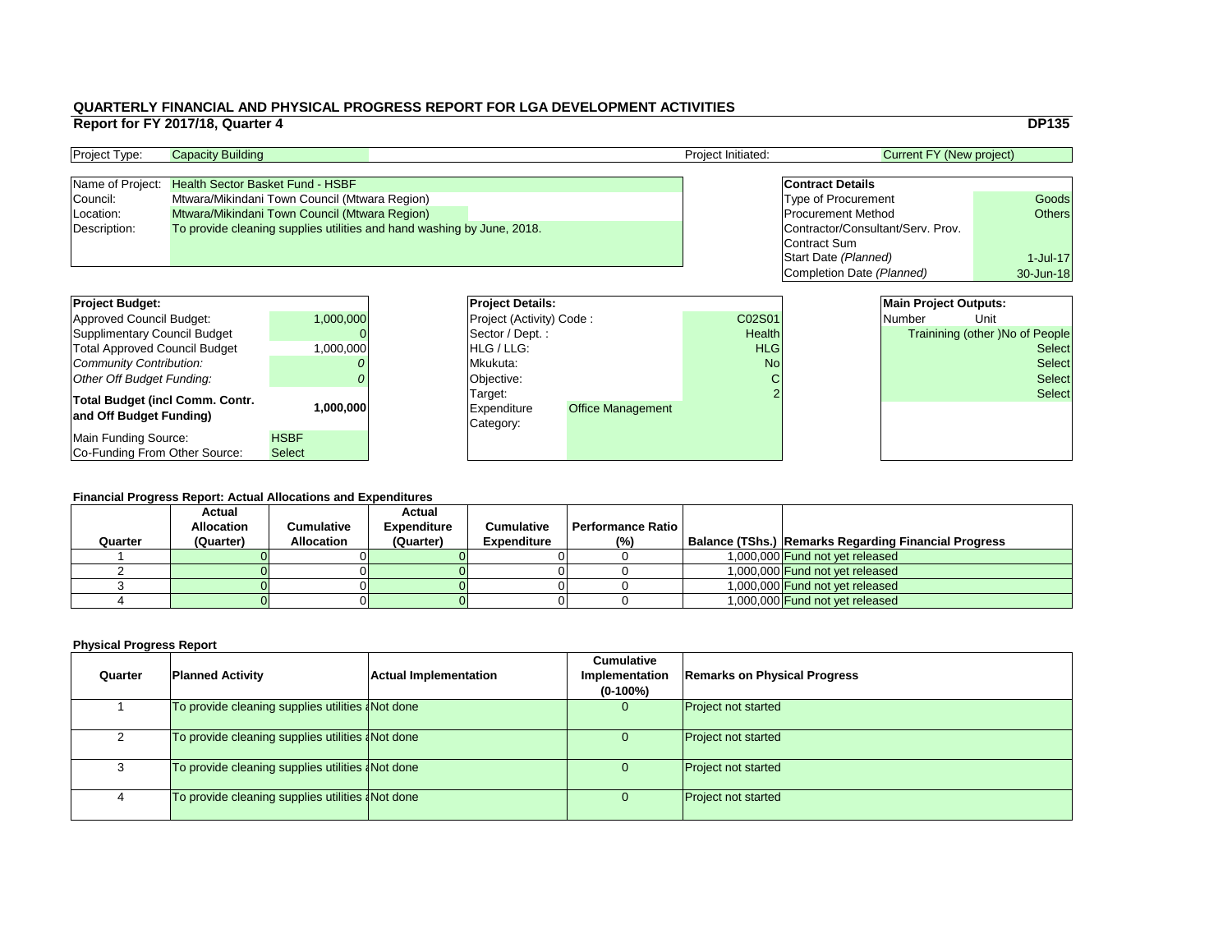#### **Financial Progress Report: Actual Allocations and Expenditures**

|                                        | Report for FY 2017/18, Quarter 4              |               |           |                                                                        |                          |                          |                    |                                            |                                 | <b>DP135</b>                    |
|----------------------------------------|-----------------------------------------------|---------------|-----------|------------------------------------------------------------------------|--------------------------|--------------------------|--------------------|--------------------------------------------|---------------------------------|---------------------------------|
| Project Type:                          | <b>Capacity Building</b>                      |               |           |                                                                        |                          |                          | Project Initiated: |                                            | <b>Current FY (New project)</b> |                                 |
| Name of Project:                       | <b>Health Sector Basket Fund - HSBF</b>       |               |           |                                                                        |                          |                          |                    | <b>Contract Details</b>                    |                                 |                                 |
| Council:                               | Mtwara/Mikindani Town Council (Mtwara Region) |               |           |                                                                        |                          |                          |                    | <b>Type of Procurement</b><br>Goods        |                                 |                                 |
| Location:                              | Mtwara/Mikindani Town Council (Mtwara Region) |               |           |                                                                        |                          |                          |                    | <b>Procurement Method</b><br><b>Others</b> |                                 |                                 |
| Description:                           |                                               |               |           | To provide cleaning supplies utilities and hand washing by June, 2018. |                          |                          |                    | Contractor/Consultant/Serv. Prov.          |                                 |                                 |
|                                        |                                               |               |           |                                                                        |                          |                          |                    | <b>Contract Sum</b>                        |                                 |                                 |
|                                        |                                               |               |           |                                                                        |                          |                          |                    | Start Date (Planned)                       |                                 | $1$ -Jul-17                     |
|                                        |                                               |               |           |                                                                        |                          |                          |                    | Completion Date (Planned)                  |                                 | 30-Jun-18                       |
|                                        |                                               |               |           |                                                                        |                          |                          |                    |                                            |                                 |                                 |
| <b>Project Budget:</b>                 |                                               |               |           |                                                                        | <b>Project Details:</b>  |                          |                    |                                            | <b>Main Project Outputs:</b>    |                                 |
| <b>Approved Council Budget:</b>        |                                               |               | 1,000,000 |                                                                        | Project (Activity) Code: |                          | C02S01             |                                            | <b>Number</b>                   | Unit                            |
| <b>Supplimentary Council Budget</b>    |                                               |               |           |                                                                        | Sector / Dept.:          |                          | Health             |                                            |                                 | Trainining (other )No of People |
| <b>Total Approved Council Budget</b>   |                                               |               | 1,000,000 |                                                                        | HLG / LLG:               |                          | <b>HLG</b>         |                                            |                                 | <b>Select</b>                   |
| <b>Community Contribution:</b>         |                                               |               |           |                                                                        | Mkukuta:                 |                          | <b>No</b>          |                                            |                                 | <b>Select</b>                   |
| <b>Other Off Budget Funding:</b>       |                                               |               |           |                                                                        | Objective:               |                          |                    |                                            |                                 | <b>Select</b>                   |
| <b>Total Budget (incl Comm. Contr.</b> |                                               |               |           |                                                                        | Target:                  |                          |                    |                                            |                                 | <b>Select</b>                   |
| and Off Budget Funding)                |                                               |               | 1,000,000 |                                                                        | <b>Expenditure</b>       | <b>Office Management</b> |                    |                                            |                                 |                                 |
|                                        |                                               |               |           |                                                                        | Category:                |                          |                    |                                            |                                 |                                 |
| <b>Main Funding Source:</b>            |                                               | <b>HSBF</b>   |           |                                                                        |                          |                          |                    |                                            |                                 |                                 |
| Co-Funding From Other Source:          |                                               | <b>Select</b> |           |                                                                        |                          |                          |                    |                                            |                                 |                                 |

| <b>Project Type:</b> | <b>Capacity Building</b>                                               |  | <b>Project Initiated:</b> | Current FY (New project)          |        |
|----------------------|------------------------------------------------------------------------|--|---------------------------|-----------------------------------|--------|
|                      |                                                                        |  |                           |                                   |        |
| Name of Project:     | <b>Health Sector Basket Fund - HSBF</b>                                |  |                           | <b>Contract Details</b>           |        |
| Council:             | Mtwara/Mikindani Town Council (Mtwara Region)                          |  |                           | <b>Type of Procurement</b>        | Goods  |
| Location:            | Mtwara/Mikindani Town Council (Mtwara Region)                          |  |                           | <b>Procurement Method</b>         | Others |
| Description:         | To provide cleaning supplies utilities and hand washing by June, 2018. |  |                           | Contractor/Consultant/Serv. Prov. |        |
|                      |                                                                        |  |                           | Contract Sum                      |        |

| <b>Project Budget:</b>                                            |               | <b>Project Deta</b>                        |
|-------------------------------------------------------------------|---------------|--------------------------------------------|
| <b>Approved Council Budget:</b>                                   | 1,000,000     | <b>Project (Activ</b>                      |
| <b>Supplimentary Council Budget</b>                               |               | Sector / Dep                               |
| <b>Total Approved Council Budget</b>                              | 1,000,000     | HLG / LLG:                                 |
| <b>Community Contribution:</b>                                    |               | Mkukuta:                                   |
| <b>Other Off Budget Funding:</b>                                  | U             | Objective:                                 |
| <b>Total Budget (incl Comm. Contr.</b><br>and Off Budget Funding) | 1,000,000     | Target:<br><b>Expenditure</b><br>Category: |
| <b>Main Funding Source:</b>                                       | <b>HSBF</b>   |                                            |
| Co-Funding From Other Source:                                     | <b>Select</b> |                                            |

| Quarter | <b>Actual</b><br><b>Allocation</b><br>(Quarter) | Cumulative<br><b>Allocation</b> | <b>Actual</b><br><b>Expenditure</b><br>(Quarter) | <b>Cumulative</b><br><b>Expenditure</b> | <b>Performance Ratio</b> I<br>(%) | Balance (TShs.) Remarks Regarding Financial Progress |
|---------|-------------------------------------------------|---------------------------------|--------------------------------------------------|-----------------------------------------|-----------------------------------|------------------------------------------------------|
|         |                                                 |                                 |                                                  |                                         |                                   | 1,000,000 Fund not yet released                      |
|         |                                                 |                                 |                                                  |                                         |                                   | 1,000,000 Fund not yet released                      |
|         |                                                 |                                 |                                                  |                                         |                                   | 1,000,000 Fund not yet released                      |
|         |                                                 |                                 |                                                  |                                         |                                   | 1,000,000 Fund not yet released                      |

| Quarter | <b>Planned Activity</b>                                  | <b>Actual Implementation</b> | <b>Cumulative</b><br>Implementation<br>$(0-100\%)$ | <b>Remarks on Physical Progress</b> |
|---------|----------------------------------------------------------|------------------------------|----------------------------------------------------|-------------------------------------|
|         | To provide cleaning supplies utilities <i>A</i> Not done |                              | 0                                                  | <b>Project not started</b>          |
|         | To provide cleaning supplies utilities <i>Not done</i>   |                              | U.                                                 | <b>Project not started</b>          |
|         | To provide cleaning supplies utilities <i>Not done</i>   |                              | 0                                                  | <b>Project not started</b>          |
| 4       | To provide cleaning supplies utilities <i>Not done</i>   |                              | U.                                                 | <b>Project not started</b>          |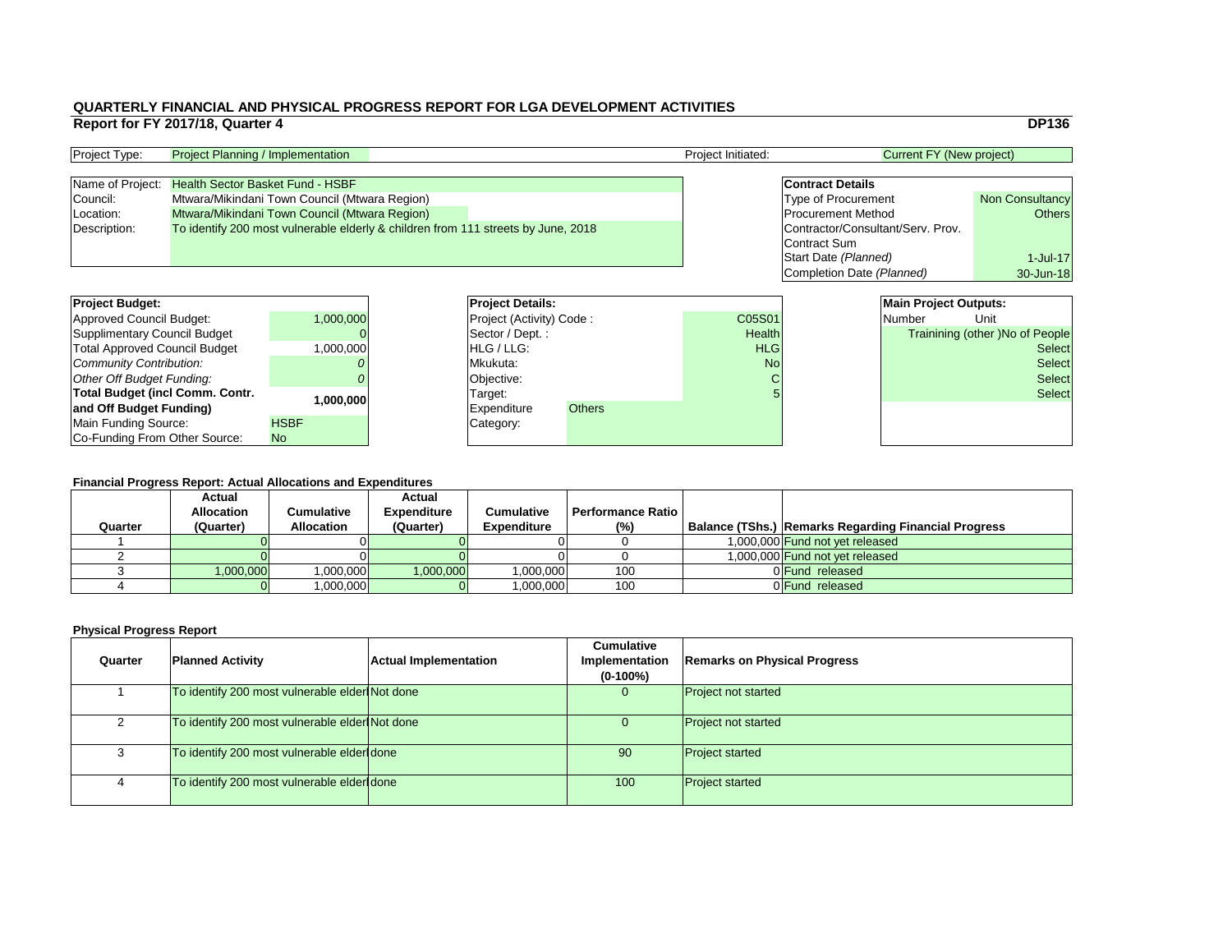#### **Financial Progress Report: Actual Allocations and Expenditures**

|                                        | Report for FY 2017/18, Quarter 4                                                  |                                               |                                               |                          |               |                                   |                              |                                 | <b>DP136</b>                           |
|----------------------------------------|-----------------------------------------------------------------------------------|-----------------------------------------------|-----------------------------------------------|--------------------------|---------------|-----------------------------------|------------------------------|---------------------------------|----------------------------------------|
| Project Type:                          | <b>Project Planning / Implementation</b>                                          |                                               |                                               |                          |               | Project Initiated:                |                              | <b>Current FY (New project)</b> |                                        |
| Name of Project:                       | <b>Health Sector Basket Fund - HSBF</b>                                           |                                               |                                               |                          |               |                                   | <b>Contract Details</b>      |                                 |                                        |
| Council:                               |                                                                                   |                                               | Mtwara/Mikindani Town Council (Mtwara Region) |                          |               |                                   | <b>Type of Procurement</b>   |                                 | <b>Non Consultancy</b>                 |
| Location:                              |                                                                                   | Mtwara/Mikindani Town Council (Mtwara Region) |                                               |                          |               |                                   | <b>Procurement Method</b>    |                                 | <b>Others</b>                          |
| Description:                           | To identify 200 most vulnerable elderly & children from 111 streets by June, 2018 |                                               |                                               |                          |               | Contractor/Consultant/Serv. Prov. |                              |                                 |                                        |
|                                        |                                                                                   |                                               |                                               |                          |               |                                   | Contract Sum                 |                                 |                                        |
|                                        |                                                                                   |                                               |                                               |                          |               |                                   | Start Date (Planned)         |                                 | 1-Jul-17                               |
|                                        |                                                                                   |                                               |                                               |                          |               |                                   | Completion Date (Planned)    |                                 | 30-Jun-18                              |
|                                        |                                                                                   |                                               |                                               |                          |               |                                   |                              |                                 |                                        |
| <b>Project Budget:</b>                 |                                                                                   |                                               |                                               | <b>Project Details:</b>  |               |                                   | <b>Main Project Outputs:</b> |                                 |                                        |
| <b>Approved Council Budget:</b>        |                                                                                   | 1,000,000                                     |                                               | Project (Activity) Code: |               | C05S01                            |                              | <b>Number</b>                   | Unit                                   |
| <b>Supplimentary Council Budget</b>    |                                                                                   |                                               |                                               | Sector / Dept.:          |               | <b>Health</b>                     |                              |                                 | <b>Trainining (other )No of People</b> |
| <b>Total Approved Council Budget</b>   |                                                                                   | 1,000,000                                     |                                               | HLG / LLG:               |               | <b>HLG</b>                        |                              |                                 | <b>Select</b>                          |
| <b>Community Contribution:</b>         |                                                                                   |                                               |                                               | Mkukuta:                 |               | <b>No</b>                         |                              |                                 | <b>Select</b>                          |
| <b>Other Off Budget Funding:</b>       |                                                                                   |                                               |                                               | Objective:               |               |                                   |                              |                                 | <b>Select</b>                          |
| <b>Total Budget (incl Comm. Contr.</b> |                                                                                   |                                               | Target:                                       |                          |               |                                   |                              | <b>Select</b>                   |                                        |
| and Off Budget Funding)                |                                                                                   | 1,000,000                                     |                                               | <b>Expenditure</b>       | <b>Others</b> |                                   |                              |                                 |                                        |
| <b>Main Funding Source:</b>            |                                                                                   | <b>HSBF</b>                                   |                                               | Category:                |               |                                   |                              |                                 |                                        |
| Co-Funding From Other Source:          |                                                                                   | No                                            |                                               |                          |               |                                   |                              |                                 |                                        |

| <b>Project Type:</b> | <b>Project Planning / Implementation</b>                                          | <b>Project Initiated:</b> | Current FY (New project)          |                        |
|----------------------|-----------------------------------------------------------------------------------|---------------------------|-----------------------------------|------------------------|
|                      |                                                                                   |                           |                                   |                        |
|                      | Name of Project: Health Sector Basket Fund - HSBF                                 |                           | <b>Contract Details</b>           |                        |
| Council:             | Mtwara/Mikindani Town Council (Mtwara Region)                                     |                           | <b>Type of Procurement</b>        | <b>Non Consultancy</b> |
| Location:            | Mtwara/Mikindani Town Council (Mtwara Region)                                     |                           | <b>Procurement Method</b>         | Others                 |
| Description:         | To identify 200 most vulnerable elderly & children from 111 streets by June, 2018 |                           | Contractor/Consultant/Serv. Prov. |                        |
|                      |                                                                                   |                           | Contract Sum                      |                        |

| <b>Project Budget:</b>                 |             | <b>Project Deta</b>   |
|----------------------------------------|-------------|-----------------------|
| <b>Approved Council Budget:</b>        | 1,000,000   | <b>Project (Activ</b> |
| <b>Supplimentary Council Budget</b>    |             | Sector / Dep          |
| <b>Total Approved Council Budget</b>   | 1,000,000   | HLG / LLG:            |
| Community Contribution:                |             | Mkukuta:              |
| Other Off Budget Funding:              |             | Objective:            |
| <b>Total Budget (incl Comm. Contr.</b> | 1,000,000   | Target:               |
| and Off Budget Funding)                |             | <b>Expenditure</b>    |
| Main Funding Source:                   | <b>HSBF</b> | Category:             |
| Co-Funding From Other Source:          | <b>No</b>   |                       |

| Quarter | <b>Planned Activity</b>                        | <b>Actual Implementation</b> | <b>Cumulative</b><br>Implementation<br>$(0-100\%)$ | <b>Remarks on Physical Progress</b> |
|---------|------------------------------------------------|------------------------------|----------------------------------------------------|-------------------------------------|
|         | To identify 200 most vulnerable elder Not done |                              |                                                    | <b>Project not started</b>          |
|         | To identify 200 most vulnerable elder Not done |                              |                                                    | <b>Project not started</b>          |
|         | To identify 200 most vulnerable elder done     |                              | 90                                                 | <b>Project started</b>              |
|         | To identify 200 most vulnerable elder done     |                              | 100                                                | <b>Project started</b>              |

| i mancial i Togless Report. Actual Allocations and Experientines |                   |                   |                    |                    |                   |  |                                                             |  |  |  |
|------------------------------------------------------------------|-------------------|-------------------|--------------------|--------------------|-------------------|--|-------------------------------------------------------------|--|--|--|
|                                                                  | <b>Actual</b>     |                   | <b>Actual</b>      |                    |                   |  |                                                             |  |  |  |
|                                                                  | <b>Allocation</b> | Cumulative        | <b>Expenditure</b> | <b>Cumulative</b>  | Performance Ratio |  |                                                             |  |  |  |
| Quarter                                                          | (Quarter)         | <b>Allocation</b> | (Quarter)          | <b>Expenditure</b> | $(\%)$            |  | <b>Balance (TShs.) Remarks Regarding Financial Progress</b> |  |  |  |
|                                                                  |                   |                   |                    |                    |                   |  | 1,000,000 Fund not yet released                             |  |  |  |
|                                                                  |                   |                   |                    |                    |                   |  | 1,000,000 Fund not yet released                             |  |  |  |
|                                                                  | 1,000,000         | 000,000           | 1,000,000          | 000,000,           | 100               |  | 0 Fund released                                             |  |  |  |
|                                                                  |                   | ,000,000          |                    | 000,000            | 100               |  | 0 Fund released                                             |  |  |  |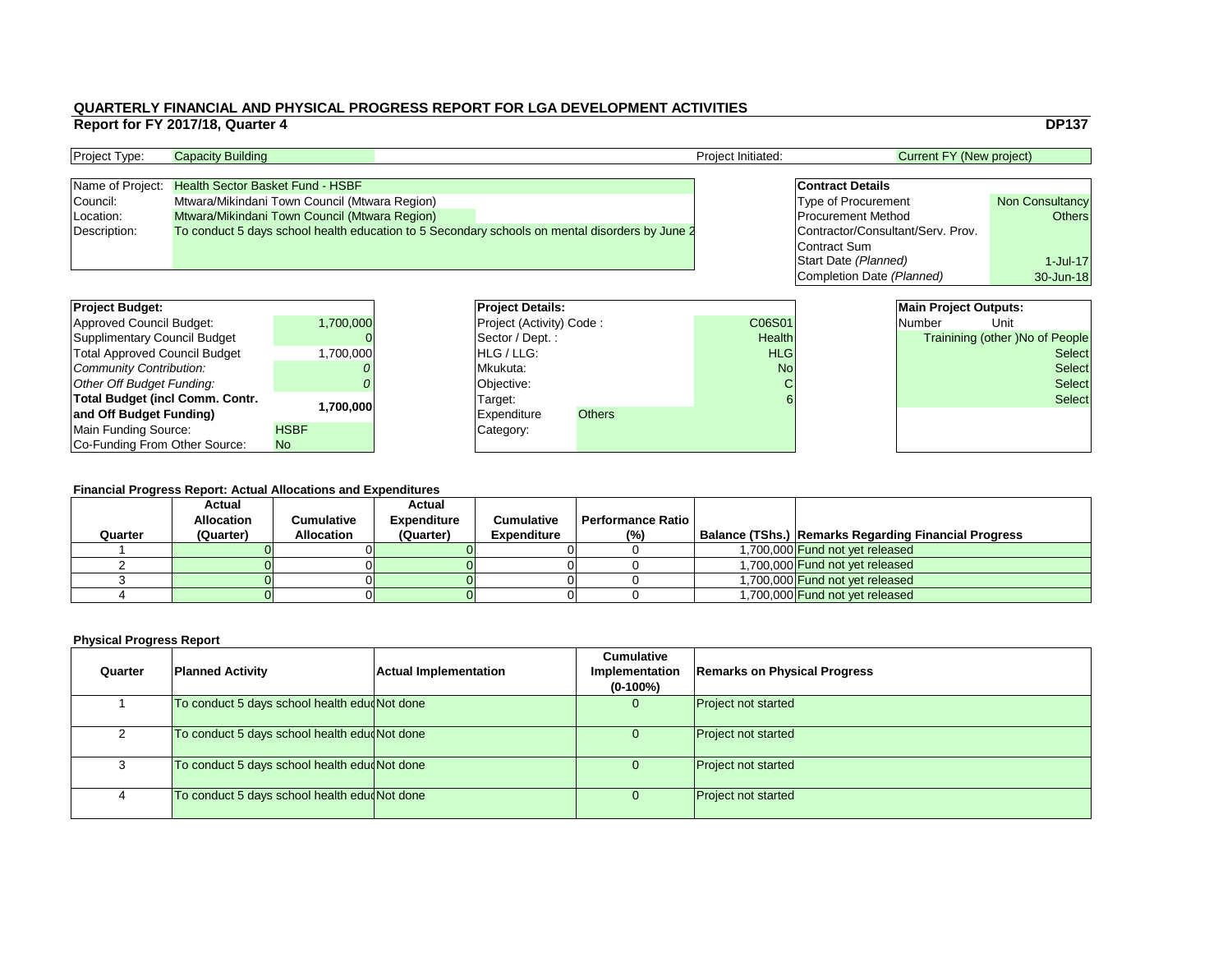| <b>Current FY (New project)</b>   |                        |  |  |  |  |  |  |  |
|-----------------------------------|------------------------|--|--|--|--|--|--|--|
| <b>Contract Details</b>           |                        |  |  |  |  |  |  |  |
| Type of Procurement               | <b>Non Consultancy</b> |  |  |  |  |  |  |  |
| <b>Procurement Method</b>         | <b>Others</b>          |  |  |  |  |  |  |  |
| Contractor/Consultant/Serv. Prov. |                        |  |  |  |  |  |  |  |
| <b>Contract Sum</b>               |                        |  |  |  |  |  |  |  |
| <b>Start Date (Planned)</b>       | $1 -$ Jul $-17$        |  |  |  |  |  |  |  |
| Completion Date (Planned)         | 30-Jun-18              |  |  |  |  |  |  |  |

# **Financial Progress Report: Actual Allocations and Expenditures**

| <b>Project Budget:</b>                 |             |          | <b>Project Details:</b>         |               |               |               | <b>Main Project Outputs:</b> |                                        |
|----------------------------------------|-------------|----------|---------------------------------|---------------|---------------|---------------|------------------------------|----------------------------------------|
| <b>Approved Council Budget:</b>        | 1,700,000   |          | <b>Project (Activity) Code:</b> |               | C06S01        |               | <b>Number</b>                | Unit                                   |
| <b>Supplimentary Council Budget</b>    |             |          | Sector / Dept. :                |               | <b>Health</b> |               |                              | <b>Trainining (other )No of People</b> |
| <b>Total Approved Council Budget</b>   | ,700,000    |          | <b>HLG</b> / LLG:               |               | <b>HLG</b>    |               |                              | <b>Select</b>                          |
| <b>Community Contribution:</b>         |             | Mkukuta: |                                 | <b>No</b>     |               | <b>Select</b> |                              |                                        |
| <b>Other Off Budget Funding:</b>       |             |          | Objective:                      |               |               |               |                              | <b>Select</b>                          |
| <b>Total Budget (incl Comm. Contr.</b> |             |          | Target:                         |               |               |               |                              | <b>Select</b>                          |
| and Off Budget Funding)                | ,700,000    |          | <b>Expenditure</b>              | <b>Others</b> |               |               |                              |                                        |
| <b>Main Funding Source:</b>            | <b>HSBF</b> |          | Category:                       |               |               |               |                              |                                        |
| Co-Funding From Other Source:          | No          |          |                                 |               |               |               |                              |                                        |

| <b>Project Type:</b> | <b>Capacity Building</b>                                                                       |  | <b>Project Initiated:</b>         | Current FY (New project)   |                        |  |
|----------------------|------------------------------------------------------------------------------------------------|--|-----------------------------------|----------------------------|------------------------|--|
|                      |                                                                                                |  |                                   |                            |                        |  |
|                      | Name of Project: Health Sector Basket Fund - HSBF                                              |  |                                   | <b>Contract Details</b>    |                        |  |
| Council:             | Mtwara/Mikindani Town Council (Mtwara Region)                                                  |  |                                   | <b>Type of Procurement</b> | <b>Non Consultancy</b> |  |
| Location:            | <b>Mtwara/Mikindani Town Council (Mtwara Region)</b>                                           |  |                                   | <b>Procurement Method</b>  | <b>Others</b>          |  |
| Description:         | To conduct 5 days school health education to 5 Secondary schools on mental disorders by June 2 |  | Contractor/Consultant/Serv. Prov. |                            |                        |  |
|                      |                                                                                                |  |                                   | Contract Sum               |                        |  |

| <b>Project Budget:</b>                 |             | <b>Project Deta</b> |
|----------------------------------------|-------------|---------------------|
| Approved Council Budget:               | 1,700,000   | Project (Activ      |
| <b>Supplimentary Council Budget</b>    |             | Sector / Dep        |
| <b>Total Approved Council Budget</b>   | 1,700,000   | HLG / LLG:          |
| Community Contribution:                |             | Mkukuta:            |
| Other Off Budget Funding:              |             | Objective:          |
| <b>Total Budget (incl Comm. Contr.</b> | 1,700,000   | Target:             |
| and Off Budget Funding)                |             | <b>Expenditure</b>  |
| Main Funding Source:                   | <b>HSBF</b> | Category:           |
| Co-Funding From Other Source:          | <b>No</b>   |                     |

| Quarter | <b>Actual</b><br><b>Allocation</b><br>(Quarter) | Cumulative<br><b>Allocation</b> | <b>Actual</b><br><b>Expenditure</b><br>(Quarter) | <b>Cumulative</b><br><b>Expenditure</b> | Performance Ratio  <br>(%) | <b>Balance (TShs.) Remarks Regarding Financial Progress</b> |
|---------|-------------------------------------------------|---------------------------------|--------------------------------------------------|-----------------------------------------|----------------------------|-------------------------------------------------------------|
|         |                                                 |                                 |                                                  |                                         |                            | 1,700,000 Fund not yet released                             |
|         |                                                 |                                 |                                                  |                                         |                            | 1,700,000 Fund not yet released                             |
|         |                                                 |                                 |                                                  |                                         |                            | 1,700,000 Fund not yet released                             |
|         |                                                 |                                 |                                                  |                                         |                            | 1,700,000 Fund not yet released                             |

| Quarter | <b>Planned Activity</b>                      | <b>Actual Implementation</b> | <b>Cumulative</b><br>Implementation<br>$(0-100\%)$ | <b>Remarks on Physical Progress</b> |
|---------|----------------------------------------------|------------------------------|----------------------------------------------------|-------------------------------------|
|         | To conduct 5 days school health edu Not done |                              | 0                                                  | <b>Project not started</b>          |
|         | To conduct 5 days school health edu Not done |                              |                                                    | <b>Project not started</b>          |
|         | To conduct 5 days school health edu Not done |                              |                                                    | <b>Project not started</b>          |
|         | To conduct 5 days school health edu Not done |                              |                                                    | <b>Project not started</b>          |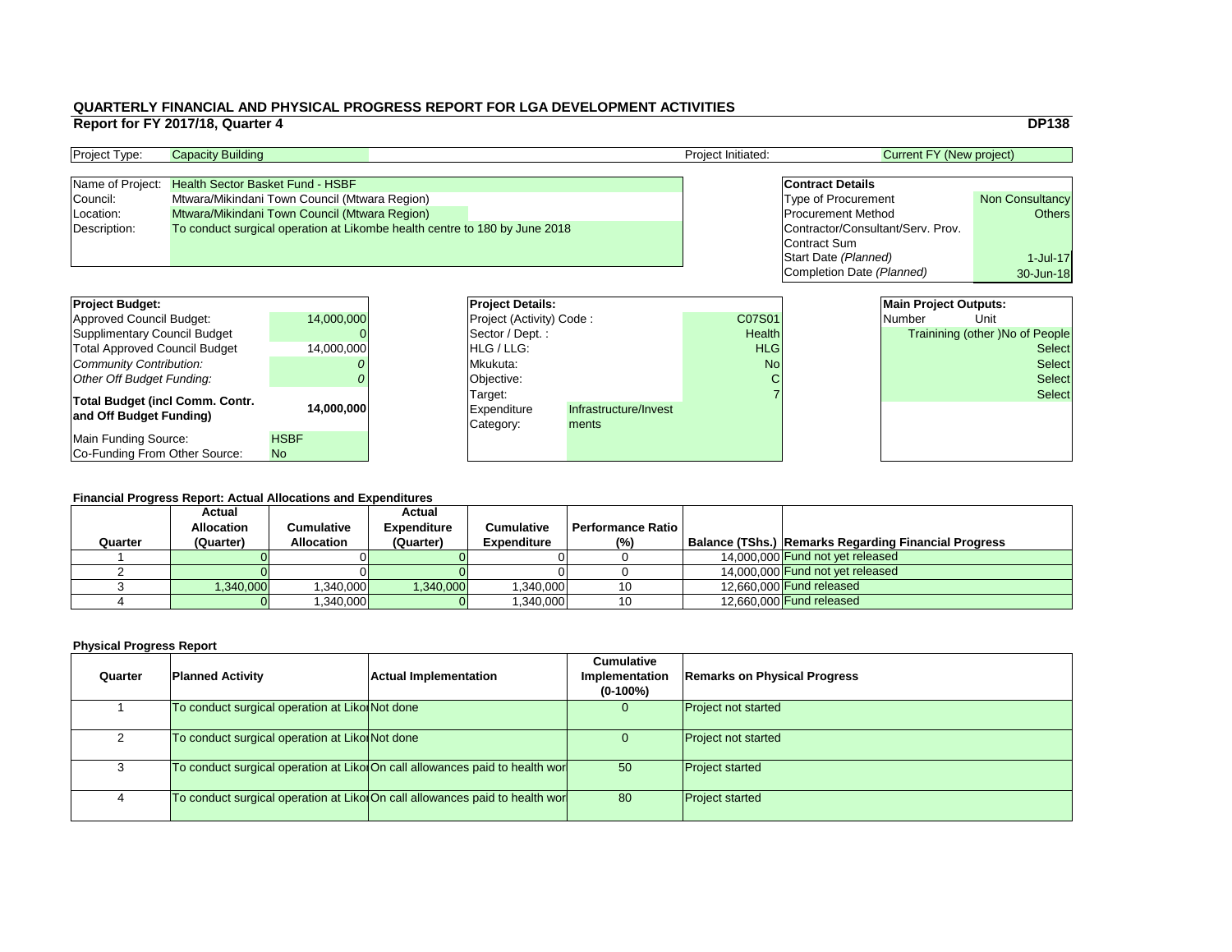|                |                                   |                                 | <b>DP138</b>                           |  |  |
|----------------|-----------------------------------|---------------------------------|----------------------------------------|--|--|
|                |                                   | <b>Current FY (New project)</b> |                                        |  |  |
|                |                                   |                                 |                                        |  |  |
|                | <b>Contract Details</b>           |                                 |                                        |  |  |
|                | <b>Type of Procurement</b>        |                                 | <b>Non Consultancy</b>                 |  |  |
|                | <b>Procurement Method</b>         |                                 | <b>Others</b>                          |  |  |
|                | Contractor/Consultant/Serv. Prov. |                                 |                                        |  |  |
|                | <b>Contract Sum</b>               |                                 |                                        |  |  |
|                | Start Date (Planned)              |                                 | 1-Jul-17                               |  |  |
|                | Completion Date (Planned)         |                                 | 30-Jun-18                              |  |  |
|                |                                   |                                 |                                        |  |  |
|                |                                   | <b>Main Project Outputs:</b>    |                                        |  |  |
| ີ)1            |                                   | <b>Number</b>                   | Unit                                   |  |  |
| Ith            |                                   |                                 | <b>Trainining (other) No of People</b> |  |  |
| $\overline{G}$ |                                   |                                 | <b>Select</b>                          |  |  |
| ۹o             |                                   |                                 | <b>Select</b>                          |  |  |
| $\mathsf{C}$   |                                   |                                 | <b>Select</b>                          |  |  |
| $\overline{7}$ |                                   |                                 | <b>Select</b>                          |  |  |
|                |                                   |                                 |                                        |  |  |
|                |                                   |                                 |                                        |  |  |

#### **Financial Progress Report: Actual Allocations and Expenditures**

| <b>Project Budget:</b>               |             | <b>Project Details:</b>         |                       |               | <b>Main Project Outputs:</b> |                                        |               |
|--------------------------------------|-------------|---------------------------------|-----------------------|---------------|------------------------------|----------------------------------------|---------------|
| Approved Council Budget:             | 14,000,000  | <b>Project (Activity) Code:</b> |                       | C07S01        | Number                       | Unit                                   |               |
| Supplimentary Council Budget         |             | Sector / Dept.:                 |                       | <b>Health</b> |                              | <b>Trainining (other )No of People</b> |               |
| <b>Total Approved Council Budget</b> | 14,000,000  | <b>HLG</b> / LLG:               |                       | <b>HLG</b>    |                              |                                        | <b>Select</b> |
| Community Contribution:              |             | Mkukuta:                        |                       | <b>No</b>     |                              |                                        | <b>Select</b> |
| Other Off Budget Funding:            |             | Objective:                      |                       |               |                              |                                        | <b>Select</b> |
| Total Budget (incl Comm. Contr.      |             | Target:                         |                       |               |                              |                                        | <b>Select</b> |
| and Off Budget Funding)              | 14,000,000  | Expenditure                     | Infrastructure/Invest |               |                              |                                        |               |
|                                      |             | Category:                       | ments                 |               |                              |                                        |               |
| Main Funding Source:                 | <b>HSBF</b> |                                 |                       |               |                              |                                        |               |
| Co-Funding From Other Source:        | <b>No</b>   |                                 |                       |               |                              |                                        |               |

| <b>Project Type:</b> | <b>Capacity Building</b>                                                   |  |                                   | <b>Project Initiated:</b> | Current FY (New project)   |                        |  |
|----------------------|----------------------------------------------------------------------------|--|-----------------------------------|---------------------------|----------------------------|------------------------|--|
|                      |                                                                            |  |                                   |                           |                            |                        |  |
|                      | Name of Project: Health Sector Basket Fund - HSBF                          |  |                                   |                           | <b>Contract Details</b>    |                        |  |
| Council:             | Mtwara/Mikindani Town Council (Mtwara Region)                              |  |                                   |                           | <b>Type of Procurement</b> | <b>Non Consultancy</b> |  |
| Location:            | Mtwara/Mikindani Town Council (Mtwara Region)                              |  |                                   |                           | <b>Procurement Method</b>  | Others                 |  |
| Description:         | To conduct surgical operation at Likombe health centre to 180 by June 2018 |  | Contractor/Consultant/Serv. Prov. |                           |                            |                        |  |
|                      |                                                                            |  |                                   |                           | Contract Sum               |                        |  |

| Quarter | <b>Actual</b><br><b>Allocation</b><br>(Quarter) | Cumulative<br><b>Allocation</b> | <b>Actual</b><br><b>Expenditure</b><br>(Quarter) | <b>Cumulative</b><br><b>Expenditure</b> | <b>Performance Ratio</b> I<br>(%) | Balance (TShs.) Remarks Regarding Financial Progress |
|---------|-------------------------------------------------|---------------------------------|--------------------------------------------------|-----------------------------------------|-----------------------------------|------------------------------------------------------|
|         |                                                 |                                 |                                                  |                                         |                                   | 14,000,000 Fund not yet released                     |
|         |                                                 |                                 |                                                  |                                         |                                   |                                                      |
|         |                                                 |                                 |                                                  |                                         |                                   | 14,000,000 Fund not yet released                     |
|         | 1,340,000                                       | 0.340,000                       | ,340,000                                         | ,340,000                                |                                   | 12,660,000 Fund released                             |
|         |                                                 | ,340,000                        |                                                  | ,340,000                                |                                   | 12,660,000 Fund released                             |

| Quarter | <b>Planned Activity</b>                        | <b>Actual Implementation</b>                                                | <b>Cumulative</b><br><b>Implementation</b><br>$(0-100\%)$ | <b>Remarks on Physical Progress</b> |
|---------|------------------------------------------------|-----------------------------------------------------------------------------|-----------------------------------------------------------|-------------------------------------|
|         | To conduct surgical operation at Liko Not done |                                                                             | $\overline{0}$                                            | <b>Project not started</b>          |
|         | To conduct surgical operation at Liko Not done |                                                                             |                                                           | <b>Project not started</b>          |
|         |                                                | To conduct surgical operation at Liko On call allowances paid to health wor | 50                                                        | <b>Project started</b>              |
|         |                                                | To conduct surgical operation at Liko On call allowances paid to health wor | 80                                                        | <b>Project started</b>              |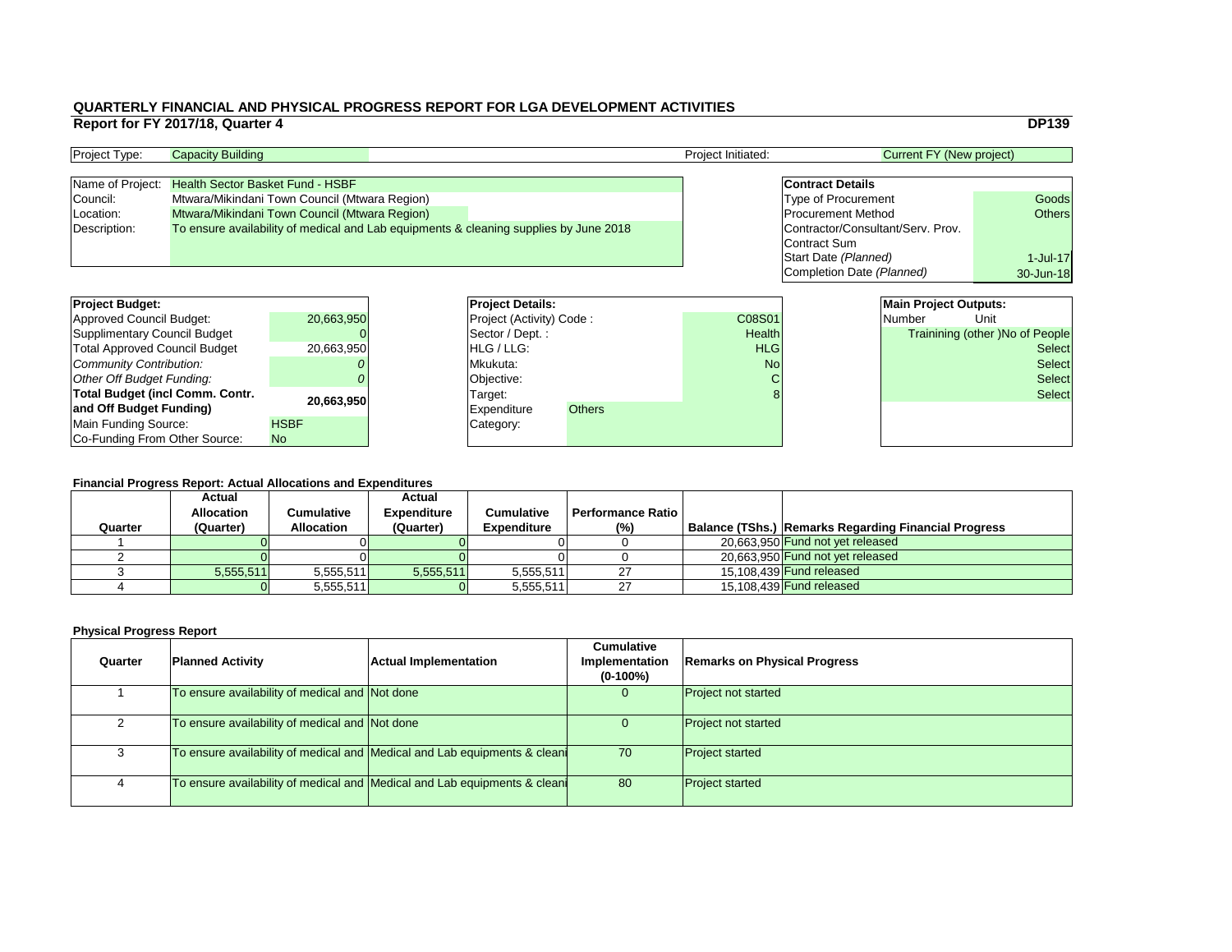|                 |                                   |                                 | <b>DP139</b>                           |
|-----------------|-----------------------------------|---------------------------------|----------------------------------------|
|                 |                                   | <b>Current FY (New project)</b> |                                        |
|                 |                                   |                                 |                                        |
|                 | <b>Contract Details</b>           |                                 |                                        |
|                 | <b>Type of Procurement</b>        |                                 | Goods                                  |
|                 | <b>Procurement Method</b>         |                                 | <b>Others</b>                          |
|                 | Contractor/Consultant/Serv. Prov. |                                 |                                        |
|                 | Contract Sum                      |                                 |                                        |
|                 | Start Date (Planned)              |                                 | $1-Jul-17$                             |
|                 | Completion Date (Planned)         |                                 | 30-Jun-18                              |
|                 |                                   |                                 |                                        |
|                 |                                   | <b>Main Project Outputs:</b>    |                                        |
| $\overline{)1}$ |                                   | <b>Number</b>                   | Unit                                   |
| th              |                                   |                                 | <b>Trainining (other) No of People</b> |
| G               |                                   |                                 | <b>Select</b>                          |
| ۹o              |                                   |                                 | <b>Select</b>                          |
| C               |                                   |                                 | Select                                 |
| $\mathsf{R}$    |                                   |                                 | اعمامی                                 |

#### **Financial Progress Report: Actual Allocations and Expenditures**

| <b>Project Budget:</b>               |             |                   | <b>Project Details:</b>             |               | <b>Main Project Outputs:</b>           |
|--------------------------------------|-------------|-------------------|-------------------------------------|---------------|----------------------------------------|
| Approved Council Budget:             | 20,663,950  |                   | <b>Project (Activity) Code:</b>     | C08S01        | Number<br>Unit                         |
| Supplimentary Council Budget         |             |                   | Sector / Dept.:                     | <b>Health</b> | <b>Trainining (other )No of People</b> |
| <b>Total Approved Council Budget</b> | 20,663,950  | <b>HLG</b> / LLG: |                                     | <b>HLG</b>    | <b>Select</b>                          |
| Community Contribution:              |             |                   | Mkukuta:                            | <b>No</b>     | <b>Select</b>                          |
| <b>Other Off Budget Funding:</b>     |             |                   | Objective:                          |               | <b>Select</b>                          |
| Total Budget (incl Comm. Contr.      | 20,663,950  |                   | Target:                             |               | <b>Select</b>                          |
| and Off Budget Funding)              |             |                   | <b>Others</b><br><b>Expenditure</b> |               |                                        |
| Main Funding Source:                 | <b>HSBF</b> |                   | Category:                           |               |                                        |
| Co-Funding From Other Source:        | <b>No</b>   |                   |                                     |               |                                        |

| <b>Project Type:</b> | <b>Capacity Building</b>                                                              |  | <b>Project Initiated:</b> | Current FY (New project)          |               |
|----------------------|---------------------------------------------------------------------------------------|--|---------------------------|-----------------------------------|---------------|
|                      |                                                                                       |  |                           |                                   |               |
|                      | Name of Project: Health Sector Basket Fund - HSBF                                     |  |                           | <b>Contract Details</b>           |               |
| Council:             | Mtwara/Mikindani Town Council (Mtwara Region)                                         |  |                           | <b>Type of Procurement</b>        | Goods         |
| Location:            | Mtwara/Mikindani Town Council (Mtwara Region)                                         |  |                           | <b>Procurement Method</b>         | <b>Others</b> |
| Description:         | To ensure availability of medical and Lab equipments & cleaning supplies by June 2018 |  |                           | Contractor/Consultant/Serv. Prov. |               |
|                      |                                                                                       |  |                           | Contract Sum                      |               |

|         | <b>Actual</b>     |                   | <b>Actual</b>      |                    |                          |  |                                                             |  |  |
|---------|-------------------|-------------------|--------------------|--------------------|--------------------------|--|-------------------------------------------------------------|--|--|
|         | <b>Allocation</b> | Cumulative        | <b>Expenditure</b> | <b>Cumulative</b>  | <b>Performance Ratio</b> |  |                                                             |  |  |
| Quarter | (Quarter)         | <b>Allocation</b> | (Quarter)          | <b>Expenditure</b> | (% )                     |  | <b>Balance (TShs.) Remarks Regarding Financial Progress</b> |  |  |
|         |                   |                   |                    |                    |                          |  | 20.663.950 Fund not yet released                            |  |  |
|         |                   |                   |                    |                    |                          |  | 20,663,950 Fund not yet released                            |  |  |
|         | 5,555,511         | 5,555,511         | 5,555,511          | 5,555,511          | ົ                        |  | 15.108.439 <b>Fund released</b>                             |  |  |
|         |                   | 5,555,511         |                    | 5,555,511          |                          |  | 15,108,439 <b>Fund released</b>                             |  |  |

| Quarter | <b>Planned Activity</b>                        | <b>Actual Implementation</b>                                             | <b>Cumulative</b><br>Implementation<br>$(0-100\%)$ | <b>Remarks on Physical Progress</b> |
|---------|------------------------------------------------|--------------------------------------------------------------------------|----------------------------------------------------|-------------------------------------|
|         | To ensure availability of medical and Not done |                                                                          |                                                    | <b>Project not started</b>          |
|         | To ensure availability of medical and Not done |                                                                          |                                                    | <b>Project not started</b>          |
|         |                                                | To ensure availability of medical and Medical and Lab equipments & clean | 70                                                 | <b>Project started</b>              |
|         |                                                | To ensure availability of medical and Medical and Lab equipments & clean | 80                                                 | <b>Project started</b>              |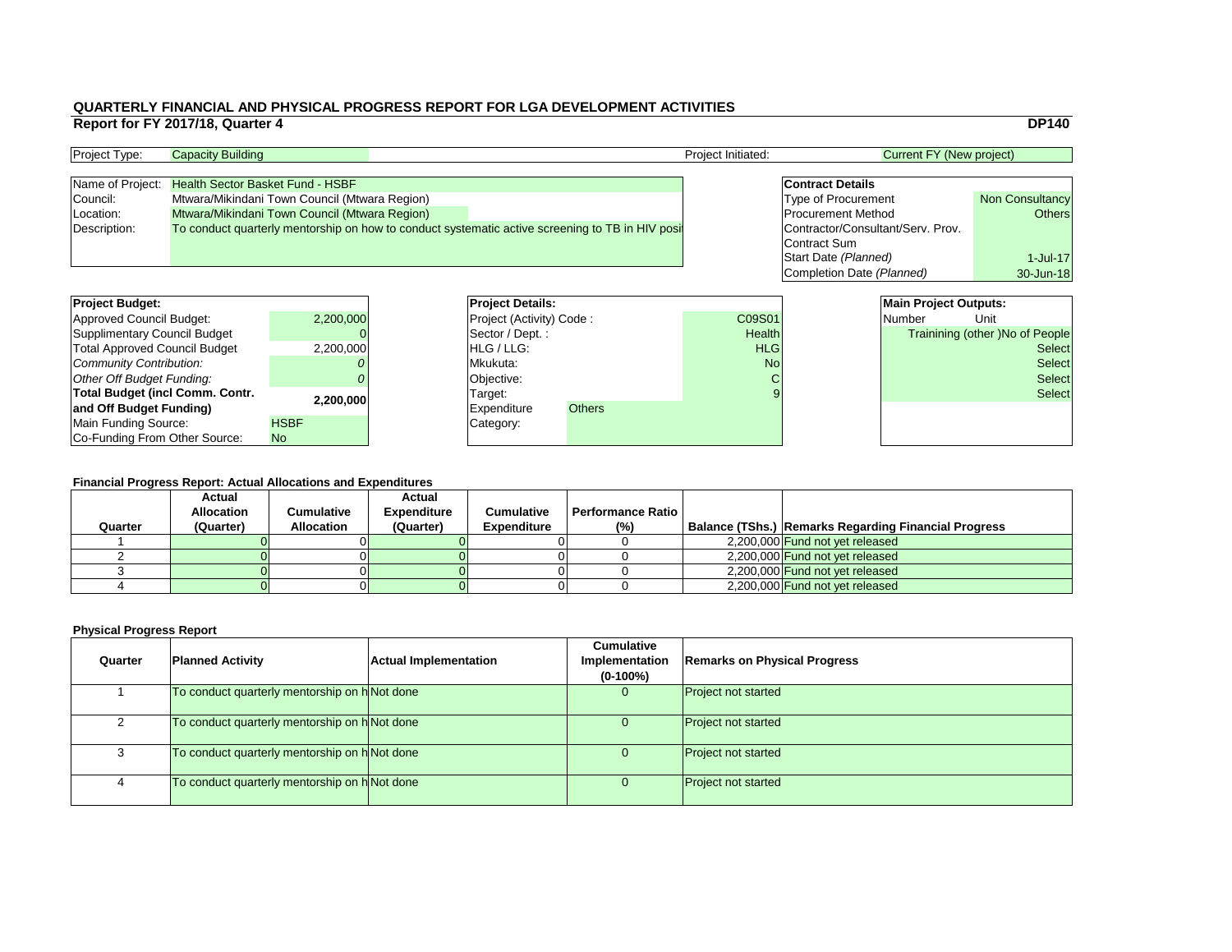|                |                                   | <b>DP140</b>                           |
|----------------|-----------------------------------|----------------------------------------|
|                |                                   | <b>Current FY (New project)</b>        |
|                |                                   |                                        |
|                | <b>Contract Details</b>           |                                        |
|                | <b>Type of Procurement</b>        | <b>Non Consultancy</b>                 |
|                | <b>Procurement Method</b>         | <b>Others</b>                          |
|                | Contractor/Consultant/Serv. Prov. |                                        |
|                | <b>Contract Sum</b>               |                                        |
|                | Start Date (Planned)              | $1$ -Jul-17                            |
|                | Completion Date (Planned)         | 30-Jun-18                              |
|                |                                   |                                        |
|                |                                   | <b>Main Project Outputs:</b>           |
| $\overline{1}$ | <b>Number</b>                     | Unit                                   |
| th             |                                   | <b>Trainining (other) No of People</b> |
| G              |                                   | Select                                 |
| $\overline{a}$ |                                   | اممامی                                 |

#### **Financial Progress Report: Actual Allocations and Expenditures**

| <b>Project Budget:</b>                 |             | <b>Project Details:</b>         |               |               | <b>Main Project Outputs:</b>          |               |
|----------------------------------------|-------------|---------------------------------|---------------|---------------|---------------------------------------|---------------|
|                                        |             |                                 |               |               |                                       |               |
| <b>Approved Council Budget:</b>        | 2,200,000   | <b>Project (Activity) Code:</b> |               | C09S01        | Number                                | Unit          |
| <b>Supplimentary Council Budget</b>    |             | Sector / Dept. :                |               | <b>Health</b> | <b>Trainining (other)No of People</b> |               |
| <b>Total Approved Council Budget</b>   | 2,200,000   | <b>HLG/LLG:</b>                 |               | <b>HLG</b>    | <b>Select</b>                         |               |
| <b>Community Contribution:</b>         |             | Mkukuta:                        |               | <b>No</b>     |                                       | <b>Select</b> |
| <b>Other Off Budget Funding:</b>       |             | Objective:                      |               |               |                                       | <b>Select</b> |
| <b>Total Budget (incl Comm. Contr.</b> | 2,200,000   | Target:                         |               |               |                                       | <b>Select</b> |
| and Off Budget Funding)                |             | Expenditure                     | <b>Others</b> |               |                                       |               |
| <b>Main Funding Source:</b>            | <b>HSBF</b> | Category:                       |               |               |                                       |               |
| Co-Funding From Other Source:          | No.         |                                 |               |               |                                       |               |

| <b>Project Type:</b> | <b>Capacity Building</b>                                                                         |  | <b>Project Initiated:</b>         | <b>Current FY (New project)</b> |                        |
|----------------------|--------------------------------------------------------------------------------------------------|--|-----------------------------------|---------------------------------|------------------------|
|                      |                                                                                                  |  |                                   |                                 |                        |
|                      | Name of Project: Health Sector Basket Fund - HSBF                                                |  |                                   | <b>Contract Details</b>         |                        |
| Council:             | Mtwara/Mikindani Town Council (Mtwara Region)                                                    |  |                                   | <b>Type of Procurement</b>      | <b>Non Consultancy</b> |
| Location:            | Mtwara/Mikindani Town Council (Mtwara Region)                                                    |  |                                   | <b>Procurement Method</b>       | Others                 |
| Description:         | To conduct quarterly mentorship on how to conduct systematic active screening to TB in HIV posit |  | Contractor/Consultant/Serv. Prov. |                                 |                        |
|                      |                                                                                                  |  |                                   | Contract Sum                    |                        |

| Quarter | <b>Planned Activity</b>                       | <b>Actual Implementation</b> | <b>Cumulative</b><br>Implementation<br>$(0-100\%)$ | <b>Remarks on Physical Progress</b> |
|---------|-----------------------------------------------|------------------------------|----------------------------------------------------|-------------------------------------|
|         | To conduct quarterly mentorship on h Not done |                              | $\overline{0}$                                     | <b>Project not started</b>          |
|         | To conduct quarterly mentorship on h Not done |                              | U                                                  | <b>Project not started</b>          |
| 3       | To conduct quarterly mentorship on h Not done |                              | $\overline{0}$                                     | <b>Project not started</b>          |
| 4       | To conduct quarterly mentorship on h Not done |                              | $\overline{0}$                                     | <b>Project not started</b>          |

| <b>Project Budget:</b>                 |             | <b>Project Deta</b>   |
|----------------------------------------|-------------|-----------------------|
| <b>Approved Council Budget:</b>        | 2,200,000   | <b>Project (Activ</b> |
| <b>Supplimentary Council Budget</b>    |             | Sector / Dep          |
| <b>Total Approved Council Budget</b>   | 2,200,000   | HLG / LLG:            |
| Community Contribution:                |             | Mkukuta:              |
| Other Off Budget Funding:              |             | Objective:            |
| <b>Total Budget (incl Comm. Contr.</b> | 2,200,000   | Target:               |
| and Off Budget Funding)                |             | <b>Expenditure</b>    |
| <b>Main Funding Source:</b>            | <b>HSBF</b> | Category:             |
| Co-Funding From Other Source:          | <b>No</b>   |                       |

|         | Financial Progress Report: Actual Allocations and Expenditures |                   |                    |                    |                          |  |                                                      |  |
|---------|----------------------------------------------------------------|-------------------|--------------------|--------------------|--------------------------|--|------------------------------------------------------|--|
|         | <b>Actual</b>                                                  |                   | <b>Actual</b>      |                    |                          |  |                                                      |  |
|         | <b>Allocation</b>                                              | Cumulative        | <b>Expenditure</b> | <b>Cumulative</b>  | <b>Performance Ratio</b> |  |                                                      |  |
| Quarter | (Quarter)                                                      | <b>Allocation</b> | (Quarter)          | <b>Expenditure</b> | $(\%)$                   |  | Balance (TShs.) Remarks Regarding Financial Progress |  |
|         |                                                                |                   |                    |                    |                          |  | 2,200,000 Fund not yet released                      |  |
|         |                                                                |                   |                    |                    |                          |  | 2,200,000 Fund not yet released                      |  |
|         |                                                                |                   |                    |                    |                          |  | 2,200,000 Fund not yet released                      |  |
|         |                                                                |                   |                    |                    |                          |  | 2,200,000 Fund not yet released                      |  |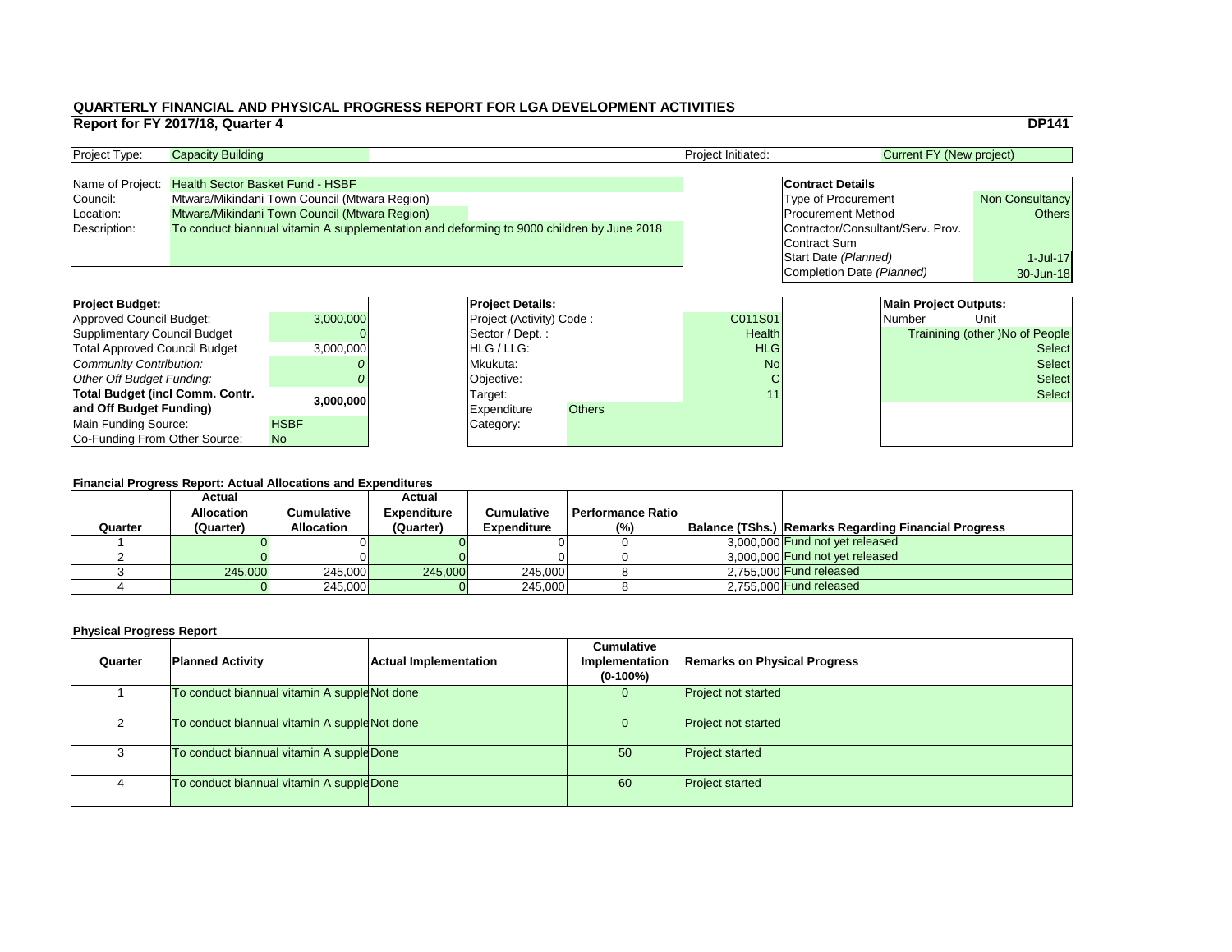#### **Financial Progress Report: Actual Allocations and Expenditures**

|                                        | Report for FY 2017/18, Quarter 4        |                                               |                          |                                                                                           |                    |                                   |                                 | <b>DP141</b>                    |
|----------------------------------------|-----------------------------------------|-----------------------------------------------|--------------------------|-------------------------------------------------------------------------------------------|--------------------|-----------------------------------|---------------------------------|---------------------------------|
| Project Type:                          | <b>Capacity Building</b>                |                                               |                          |                                                                                           | Project Initiated: |                                   | <b>Current FY (New project)</b> |                                 |
| Name of Project:                       | <b>Health Sector Basket Fund - HSBF</b> |                                               |                          |                                                                                           |                    | <b>Contract Details</b>           |                                 |                                 |
|                                        |                                         |                                               |                          |                                                                                           |                    |                                   |                                 |                                 |
| Council:                               |                                         | Mtwara/Mikindani Town Council (Mtwara Region) |                          |                                                                                           |                    | <b>Type of Procurement</b>        |                                 | <b>Non Consultancy</b>          |
| Location:                              |                                         | Mtwara/Mikindani Town Council (Mtwara Region) |                          |                                                                                           |                    | <b>Procurement Method</b>         |                                 | <b>Others</b>                   |
| Description:                           |                                         |                                               |                          | To conduct biannual vitamin A supplementation and deforming to 9000 children by June 2018 |                    | Contractor/Consultant/Serv. Prov. |                                 |                                 |
|                                        |                                         |                                               |                          |                                                                                           |                    | Contract Sum                      |                                 |                                 |
|                                        |                                         |                                               |                          |                                                                                           |                    | Start Date (Planned)              |                                 | 1-Jul-17                        |
|                                        |                                         |                                               |                          |                                                                                           |                    | Completion Date (Planned)         |                                 | 30-Jun-18                       |
| <b>Project Budget:</b>                 |                                         |                                               | <b>Project Details:</b>  |                                                                                           |                    |                                   | <b>Main Project Outputs:</b>    |                                 |
|                                        |                                         |                                               |                          |                                                                                           |                    |                                   |                                 |                                 |
| <b>Approved Council Budget:</b>        |                                         | 3,000,000                                     | Project (Activity) Code: |                                                                                           | C011S01            |                                   | <b>Number</b>                   | Unit                            |
| <b>Supplimentary Council Budget</b>    |                                         |                                               | Sector / Dept.:          |                                                                                           | Health             |                                   |                                 | Trainining (other )No of People |
| <b>Total Approved Council Budget</b>   |                                         | 3,000,000                                     | HLG / LLG:               |                                                                                           | <b>HLG</b>         |                                   |                                 | <b>Select</b>                   |
| <b>Community Contribution:</b>         |                                         |                                               | Mkukuta:                 |                                                                                           | <b>No</b>          |                                   |                                 | <b>Select</b>                   |
| <b>Other Off Budget Funding:</b>       |                                         |                                               | Objective:               |                                                                                           |                    |                                   |                                 | <b>Select</b>                   |
| <b>Total Budget (incl Comm. Contr.</b> |                                         |                                               | Target:                  |                                                                                           | 11                 |                                   |                                 | <b>Select</b>                   |
| and Off Budget Funding)                |                                         | 3,000,000                                     | <b>Expenditure</b>       | <b>Others</b>                                                                             |                    |                                   |                                 |                                 |
| <b>Main Funding Source:</b>            |                                         | <b>HSBF</b>                                   | Category:                |                                                                                           |                    |                                   |                                 |                                 |
| Co-Funding From Other Source:          |                                         | No.                                           |                          |                                                                                           |                    |                                   |                                 |                                 |

| <b>Project Type:</b> | <b>Capacity Building</b>                                                                  | <b>Project Initiated:</b> | <b>Current FY (New project)</b>   |                        |
|----------------------|-------------------------------------------------------------------------------------------|---------------------------|-----------------------------------|------------------------|
|                      |                                                                                           |                           |                                   |                        |
|                      | Name of Project: Health Sector Basket Fund - HSBF                                         |                           | <b>Contract Details</b>           |                        |
| Council:             | Mtwara/Mikindani Town Council (Mtwara Region)                                             |                           | <b>Type of Procurement</b>        | <b>Non Consultancy</b> |
| Location:            | Mtwara/Mikindani Town Council (Mtwara Region)                                             |                           | <b>Procurement Method</b>         | <b>Others</b>          |
| Description:         | To conduct biannual vitamin A supplementation and deforming to 9000 children by June 2018 |                           | Contractor/Consultant/Serv. Prov. |                        |
|                      |                                                                                           |                           | Contract Sum                      |                        |

| <b>Project Budget:</b>                 |             | <b>Project Deta</b>   |
|----------------------------------------|-------------|-----------------------|
| <b>Approved Council Budget:</b>        | 3,000,000   | <b>Project (Activ</b> |
| <b>Supplimentary Council Budget</b>    |             | Sector / Dep          |
| <b>Total Approved Council Budget</b>   | 3,000,000   | HLG / LLG:            |
| Community Contribution:                |             | Mkukuta:              |
| Other Off Budget Funding:              |             | Objective:            |
| <b>Total Budget (incl Comm. Contr.</b> | 3,000,000   | Target:               |
| and Off Budget Funding)                |             | <b>Expenditure</b>    |
| Main Funding Source:                   | <b>HSBF</b> | Category:             |
| Co-Funding From Other Source:          | <b>No</b>   |                       |

|         | <b>Actual</b><br><b>Allocation</b> | Cumulative        | <b>Actual</b><br><b>Expenditure</b> | <b>Cumulative</b>  | <b>' Performance Ratio I</b> |                                                             |
|---------|------------------------------------|-------------------|-------------------------------------|--------------------|------------------------------|-------------------------------------------------------------|
| Quarter | (Quarter)                          | <b>Allocation</b> | (Quarter)                           | <b>Expenditure</b> | (% )                         | <b>Balance (TShs.) Remarks Regarding Financial Progress</b> |
|         |                                    |                   |                                     |                    |                              | 3,000,000 Fund not yet released                             |
|         |                                    |                   |                                     |                    |                              | 3,000,000 Fund not yet released                             |
|         | 245,000                            | 245,000           | 245,000                             | 245,000            |                              | 2,755,000 Fund released                                     |
|         |                                    | 245,000           |                                     | 245,000            |                              | $2,755,000$ Fund released                                   |

| Quarter | <b>Planned Activity</b>                       | <b>Actual Implementation</b> | <b>Cumulative</b><br>Implementation<br>$(0-100\%)$ | <b>Remarks on Physical Progress</b> |
|---------|-----------------------------------------------|------------------------------|----------------------------------------------------|-------------------------------------|
|         | To conduct biannual vitamin A supple Not done |                              | O                                                  | <b>Project not started</b>          |
|         | To conduct biannual vitamin A supple Not done |                              |                                                    | <b>Project not started</b>          |
|         | To conduct biannual vitamin A supple Done     |                              | 50                                                 | <b>Project started</b>              |
|         | To conduct biannual vitamin A suppleDone      |                              | 60                                                 | <b>Project started</b>              |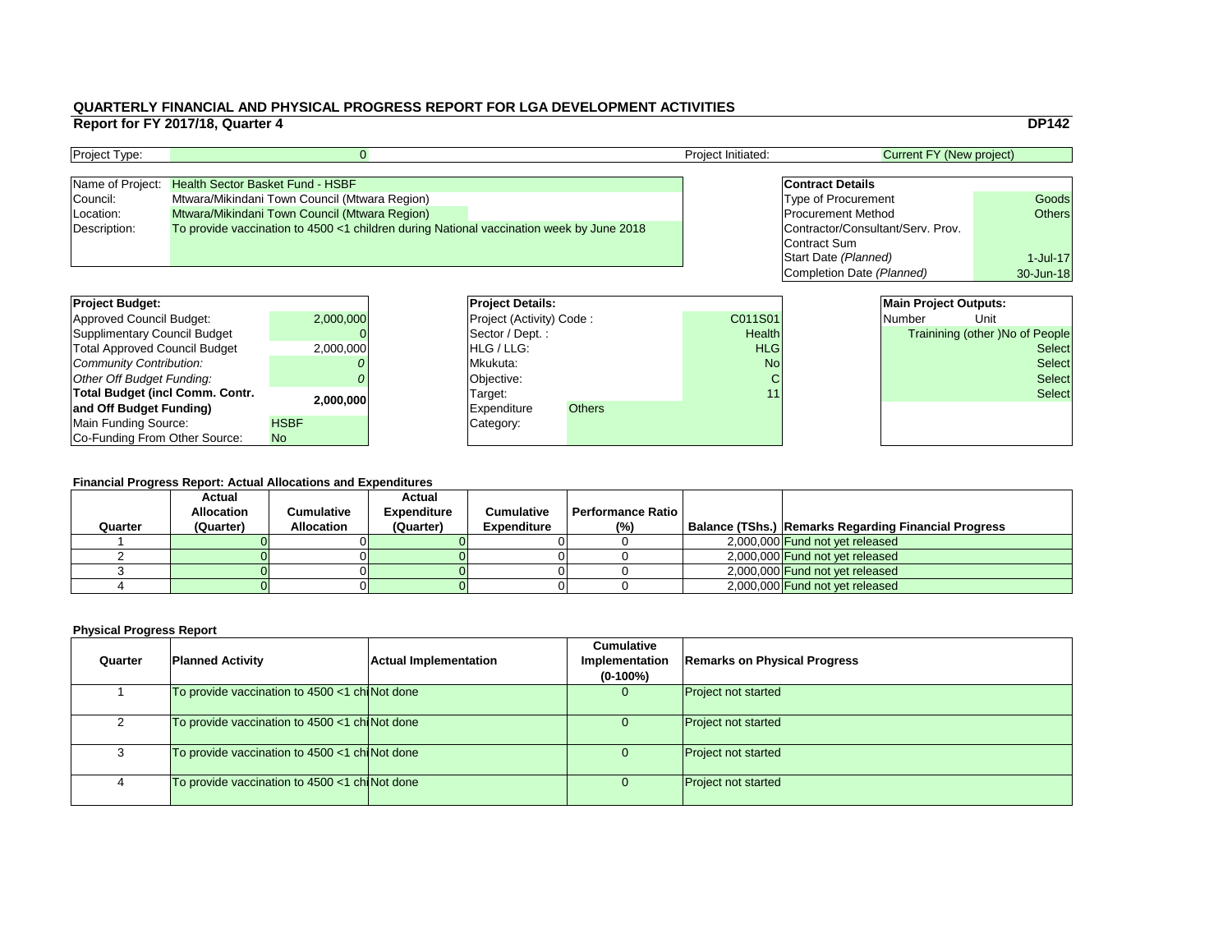#### **Financial Progress Report: Actual Allocations and Expenditures**

|                                        | Report for FY 2017/18, Quarter 4 |                                                                                          |                          | WUNNIENEI I INNNUNE AND I III UIUNE I NUUNEUU NEI UNI I UN EUN DEVEEUI MENI AVIIVIIIEU |                    |                                   |                                 | <b>DP142</b>                    |
|----------------------------------------|----------------------------------|------------------------------------------------------------------------------------------|--------------------------|----------------------------------------------------------------------------------------|--------------------|-----------------------------------|---------------------------------|---------------------------------|
|                                        |                                  |                                                                                          |                          |                                                                                        |                    |                                   |                                 |                                 |
| Project Type:                          |                                  |                                                                                          |                          |                                                                                        | Project Initiated: |                                   | <b>Current FY (New project)</b> |                                 |
| Name of Project:                       |                                  | <b>Health Sector Basket Fund - HSBF</b>                                                  |                          |                                                                                        |                    | <b>Contract Details</b>           |                                 |                                 |
| Council:                               |                                  | Mtwara/Mikindani Town Council (Mtwara Region)                                            |                          |                                                                                        |                    | <b>Type of Procurement</b>        |                                 | Goods                           |
| Location:                              |                                  | Mtwara/Mikindani Town Council (Mtwara Region)                                            |                          |                                                                                        |                    | <b>Procurement Method</b>         |                                 | <b>Others</b>                   |
| Description:                           |                                  | To provide vaccination to 4500 <1 children during National vaccination week by June 2018 |                          |                                                                                        |                    | Contractor/Consultant/Serv. Prov. |                                 |                                 |
|                                        |                                  |                                                                                          |                          |                                                                                        |                    | Contract Sum                      |                                 |                                 |
|                                        |                                  |                                                                                          |                          |                                                                                        |                    | Start Date (Planned)              |                                 | $1$ -Jul-17                     |
|                                        |                                  |                                                                                          |                          |                                                                                        |                    | Completion Date (Planned)         |                                 | 30-Jun-18                       |
|                                        |                                  |                                                                                          |                          |                                                                                        |                    |                                   |                                 |                                 |
| <b>Project Budget:</b>                 |                                  |                                                                                          | <b>Project Details:</b>  |                                                                                        |                    |                                   | <b>Main Project Outputs:</b>    |                                 |
| <b>Approved Council Budget:</b>        |                                  | 2,000,000                                                                                | Project (Activity) Code: |                                                                                        | C011S01            |                                   | <b>Number</b>                   | Unit                            |
| <b>Supplimentary Council Budget</b>    |                                  |                                                                                          | Sector / Dept.:          |                                                                                        | Health             |                                   |                                 | Trainining (other )No of People |
| <b>Total Approved Council Budget</b>   |                                  | 2,000,000                                                                                | HLG / LLG:               |                                                                                        | <b>HLG</b>         |                                   |                                 | <b>Select</b>                   |
| <b>Community Contribution:</b>         |                                  |                                                                                          | Mkukuta:                 |                                                                                        | <b>No</b>          |                                   |                                 | <b>Select</b>                   |
| <b>Other Off Budget Funding:</b>       |                                  |                                                                                          | Objective:               |                                                                                        |                    |                                   |                                 | <b>Select</b>                   |
| <b>Total Budget (incl Comm. Contr.</b> |                                  |                                                                                          | Target:                  |                                                                                        | 11                 |                                   |                                 | <b>Select</b>                   |
| and Off Budget Funding)                |                                  | 2,000,000                                                                                | <b>Expenditure</b>       | <b>Others</b>                                                                          |                    |                                   |                                 |                                 |
| <b>Main Funding Source:</b>            |                                  | <b>HSBF</b>                                                                              | Category:                |                                                                                        |                    |                                   |                                 |                                 |
| Co-Funding From Other Source:          |                                  | No.                                                                                      |                          |                                                                                        |                    |                                   |                                 |                                 |

| <b>Project Type:</b> |                                                                                          | <b>Project Initiated:</b> | <b>Current FY (New project)</b>   |               |
|----------------------|------------------------------------------------------------------------------------------|---------------------------|-----------------------------------|---------------|
| Name of Project:     | <b>Health Sector Basket Fund - HSBF</b>                                                  |                           | <b>Contract Details</b>           |               |
| Council:             | Mtwara/Mikindani Town Council (Mtwara Region)                                            |                           | Type of Procurement               | Goods         |
| Location:            | Mtwara/Mikindani Town Council (Mtwara Region)                                            |                           | <b>Procurement Method</b>         | <b>Others</b> |
| Description:         | To provide vaccination to 4500 <1 children during National vaccination week by June 2018 |                           | Contractor/Consultant/Serv. Prov. |               |
|                      |                                                                                          |                           | Contract Sum                      |               |

| <b>Project Budget:</b>                 |             | <b>Project Deta</b>   |
|----------------------------------------|-------------|-----------------------|
| <b>Approved Council Budget:</b>        | 2,000,000   | <b>Project (Activ</b> |
| <b>Supplimentary Council Budget</b>    |             | Sector / Dep          |
| <b>Total Approved Council Budget</b>   | 2,000,000   | HLG / LLG:            |
| Community Contribution:                |             | Mkukuta:              |
| Other Off Budget Funding:              |             | Objective:            |
| <b>Total Budget (incl Comm. Contr.</b> | 2,000,000   | Target:               |
| and Off Budget Funding)                |             | <b>Expenditure</b>    |
| Main Funding Source:                   | <b>HSBF</b> | Category:             |
| Co-Funding From Other Source:          | <b>No</b>   |                       |

|         | ו וועווטומו ו וטקוטסט ולטטור. הטגעמו הווטטמוטווט מווט באטטווטונטו ט |                   |                    |                    |                          |  |                                                      |
|---------|---------------------------------------------------------------------|-------------------|--------------------|--------------------|--------------------------|--|------------------------------------------------------|
|         | <b>Actual</b>                                                       |                   | <b>Actual</b>      |                    |                          |  |                                                      |
|         | <b>Allocation</b>                                                   | Cumulative        | <b>Expenditure</b> | <b>Cumulative</b>  | <b>Performance Ratio</b> |  |                                                      |
| Quarter | (Quarter)                                                           | <b>Allocation</b> | (Quarter)          | <b>Expenditure</b> | (%)                      |  | Balance (TShs.) Remarks Regarding Financial Progress |
|         |                                                                     |                   |                    |                    |                          |  | 2,000,000 Fund not yet released                      |
|         |                                                                     |                   |                    |                    |                          |  | 2,000,000 Fund not yet released                      |
|         |                                                                     |                   |                    |                    |                          |  | 2,000,000 Fund not yet released                      |
|         |                                                                     |                   |                    |                    |                          |  | 2,000,000 Fund not yet released                      |

| Quarter | <b>Planned Activity</b>                       | <b>Actual Implementation</b> | <b>Cumulative</b><br><b>Implementation</b><br>$(0-100\%)$ | <b>Remarks on Physical Progress</b> |
|---------|-----------------------------------------------|------------------------------|-----------------------------------------------------------|-------------------------------------|
|         | To provide vaccination to 4500 <1 chiNot done |                              | 0                                                         | <b>Project not started</b>          |
|         | To provide vaccination to 4500 <1 chiNot done |                              |                                                           | <b>Project not started</b>          |
|         | To provide vaccination to 4500 <1 chiNot done |                              |                                                           | <b>Project not started</b>          |
|         | To provide vaccination to 4500 <1 chiNot done |                              |                                                           | <b>Project not started</b>          |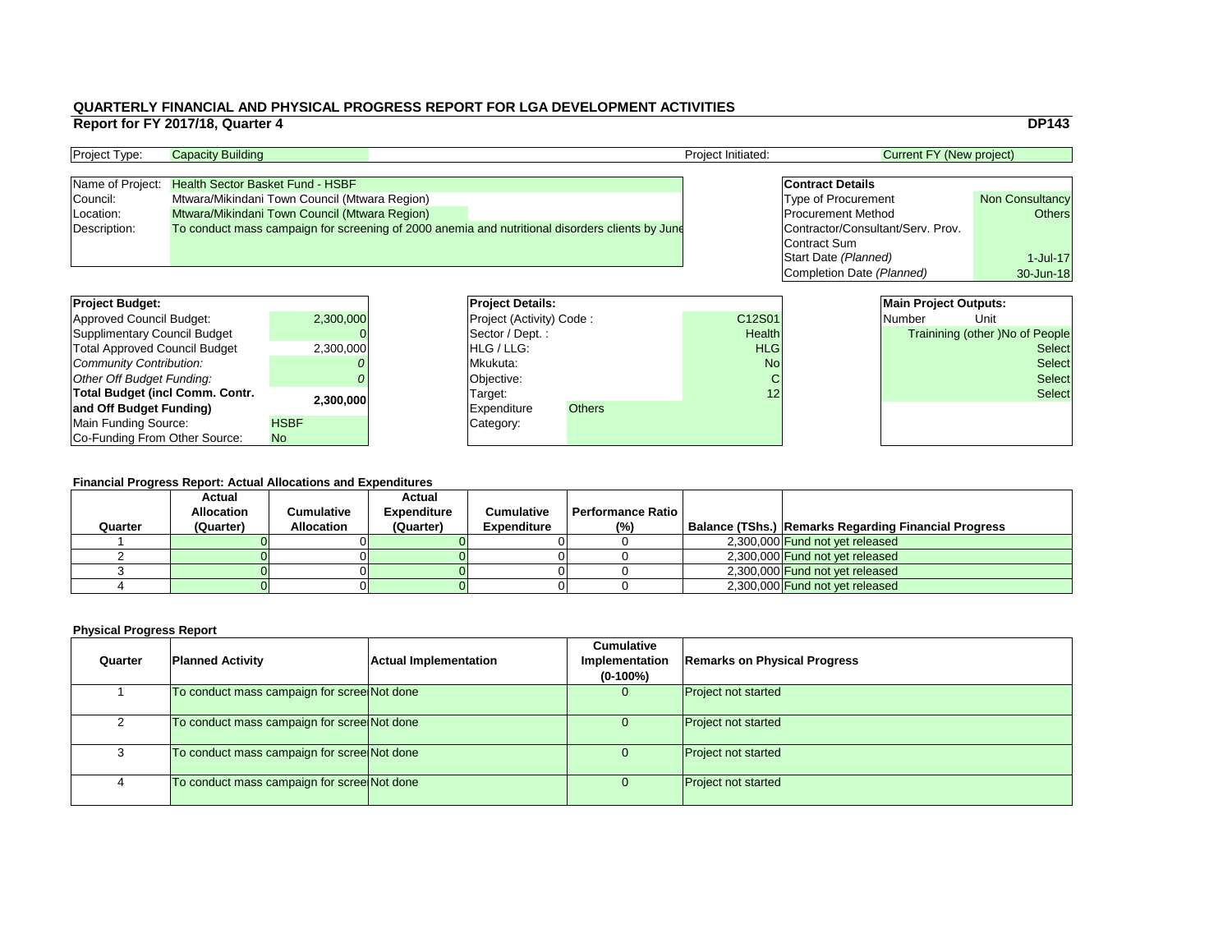|                |                                   |                                 | <b>DP143</b>                    |
|----------------|-----------------------------------|---------------------------------|---------------------------------|
|                |                                   | <b>Current FY (New project)</b> |                                 |
|                |                                   |                                 |                                 |
|                | <b>Contract Details</b>           |                                 |                                 |
|                | <b>Type of Procurement</b>        |                                 | <b>Non Consultancy</b>          |
|                | <b>Procurement Method</b>         |                                 | <b>Others</b>                   |
|                | Contractor/Consultant/Serv. Prov. |                                 |                                 |
|                | <b>Contract Sum</b>               |                                 |                                 |
|                | Start Date (Planned)              |                                 | $1-Jul-17$                      |
|                | Completion Date (Planned)         |                                 | 30-Jun-18                       |
|                |                                   |                                 |                                 |
|                |                                   | <b>Main Project Outputs:</b>    |                                 |
| $\overline{1}$ |                                   | Number                          | Unit                            |
| th             |                                   |                                 | Trainining (other) No of People |
| G              |                                   |                                 | <b>Select</b>                   |
| lo             |                                   |                                 | Select                          |

#### **Financial Progress Report: Actual Allocations and Expenditures**

| <b>Project Budget:</b>                 |             | <b>Project Details:</b>         |               |               | <b>Main Project Outputs:</b> |                                 |               |
|----------------------------------------|-------------|---------------------------------|---------------|---------------|------------------------------|---------------------------------|---------------|
| <b>Approved Council Budget:</b>        | 2,300,000   | <b>Project (Activity) Code:</b> |               | C12S01        |                              | <b>Number</b>                   | Unit          |
| <b>Supplimentary Council Budget</b>    |             | Sector / Dept. :                |               | <b>Health</b> |                              | Trainining (other )No of People |               |
| <b>Total Approved Council Budget</b>   | 2,300,000   | <b>HLG/LLG:</b>                 |               | <b>HLG</b>    |                              |                                 | <b>Select</b> |
| <b>Community Contribution:</b>         |             | Mkukuta:                        |               | <b>No</b>     |                              | <b>Select</b>                   |               |
| <b>Other Off Budget Funding:</b>       |             | Objective:                      |               |               |                              |                                 | <b>Select</b> |
| <b>Total Budget (incl Comm. Contr.</b> |             | Target:                         |               | 12            |                              |                                 | <b>Select</b> |
| and Off Budget Funding)                | 2,300,000   | <b>Expenditure</b>              | <b>Others</b> |               |                              |                                 |               |
| <b>Main Funding Source:</b>            | <b>HSBF</b> | Category:                       |               |               |                              |                                 |               |
| Co-Funding From Other Source:          | No.         |                                 |               |               |                              |                                 |               |

#### **Physical Progress Report**

# **QUARTERLY FINANCIAL AND PHYSICAL PROGRESS REPORT FOR LGA DEVELOPMENT ACTIVITIES Report for FY 2017/18, Quarter 4** DP143

| <b>Project Type:</b> | <b>Capacity Building</b><br><b>Project Initiated:</b>                                           |  |  | <b>Current FY (New project)</b>   |                        |
|----------------------|-------------------------------------------------------------------------------------------------|--|--|-----------------------------------|------------------------|
|                      |                                                                                                 |  |  |                                   |                        |
|                      | Name of Project: Health Sector Basket Fund - HSBF                                               |  |  | <b>Contract Details</b>           |                        |
| Council:             | Mtwara/Mikindani Town Council (Mtwara Region)                                                   |  |  | <b>Type of Procurement</b>        | <b>Non Consultancy</b> |
| Location:            | <b>Mtwara/Mikindani Town Council (Mtwara Region)</b>                                            |  |  | <b>Procurement Method</b>         | Others                 |
| Description:         | To conduct mass campaign for screening of 2000 anemia and nutritional disorders clients by June |  |  | Contractor/Consultant/Serv. Prov. |                        |
|                      |                                                                                                 |  |  | Contract Sum                      |                        |

| Quarter | <b>Planned Activity</b>                     | <b>Actual Implementation</b> | <b>Cumulative</b><br>Implementation<br>$(0-100\%)$ | <b>Remarks on Physical Progress</b> |
|---------|---------------------------------------------|------------------------------|----------------------------------------------------|-------------------------------------|
|         | To conduct mass campaign for scree Not done |                              |                                                    | <b>Project not started</b>          |
|         | To conduct mass campaign for scree Not done |                              | U                                                  | <b>Project not started</b>          |
|         | To conduct mass campaign for scree Not done |                              |                                                    | <b>Project not started</b>          |
|         | To conduct mass campaign for scree Not done |                              | Ü                                                  | <b>Project not started</b>          |

| <b>Project Budget:</b>                 |             | <b>Project Deta</b>   |
|----------------------------------------|-------------|-----------------------|
| <b>Approved Council Budget:</b>        | 2,300,000   | <b>Project (Activ</b> |
| <b>Supplimentary Council Budget</b>    |             | Sector / Dep          |
| <b>Total Approved Council Budget</b>   | 2,300,000   | HLG / LLG:            |
| Community Contribution:                |             | Mkukuta:              |
| Other Off Budget Funding:              |             | Objective:            |
| <b>Total Budget (incl Comm. Contr.</b> | 2,300,000   | Target:               |
| and Off Budget Funding)                |             | <b>Expenditure</b>    |
| <b>Main Funding Source:</b>            | <b>HSBF</b> | Category:             |
| Co-Funding From Other Source:          | <b>No</b>   |                       |

|         | <b>Financial Progress Report: Actual Allocations and Expenditures</b> |                   |                    |                    |                          |  |                                                             |  |  |  |
|---------|-----------------------------------------------------------------------|-------------------|--------------------|--------------------|--------------------------|--|-------------------------------------------------------------|--|--|--|
|         | <b>Actual</b>                                                         |                   | <b>Actual</b>      |                    |                          |  |                                                             |  |  |  |
|         | <b>Allocation</b>                                                     | Cumulative        | <b>Expenditure</b> | <b>Cumulative</b>  | <b>Performance Ratio</b> |  |                                                             |  |  |  |
| Quarter | (Quarter)                                                             | <b>Allocation</b> | (Quarter)          | <b>Expenditure</b> | $(\%)$                   |  | <b>Balance (TShs.) Remarks Regarding Financial Progress</b> |  |  |  |
|         |                                                                       |                   |                    |                    |                          |  | 2,300,000 Fund not yet released                             |  |  |  |
|         |                                                                       |                   |                    |                    |                          |  | 2,300,000 Fund not yet released                             |  |  |  |
|         |                                                                       |                   |                    |                    |                          |  | 2,300,000 Fund not yet released                             |  |  |  |
|         |                                                                       |                   |                    |                    |                          |  | 2,300,000 Fund not yet released                             |  |  |  |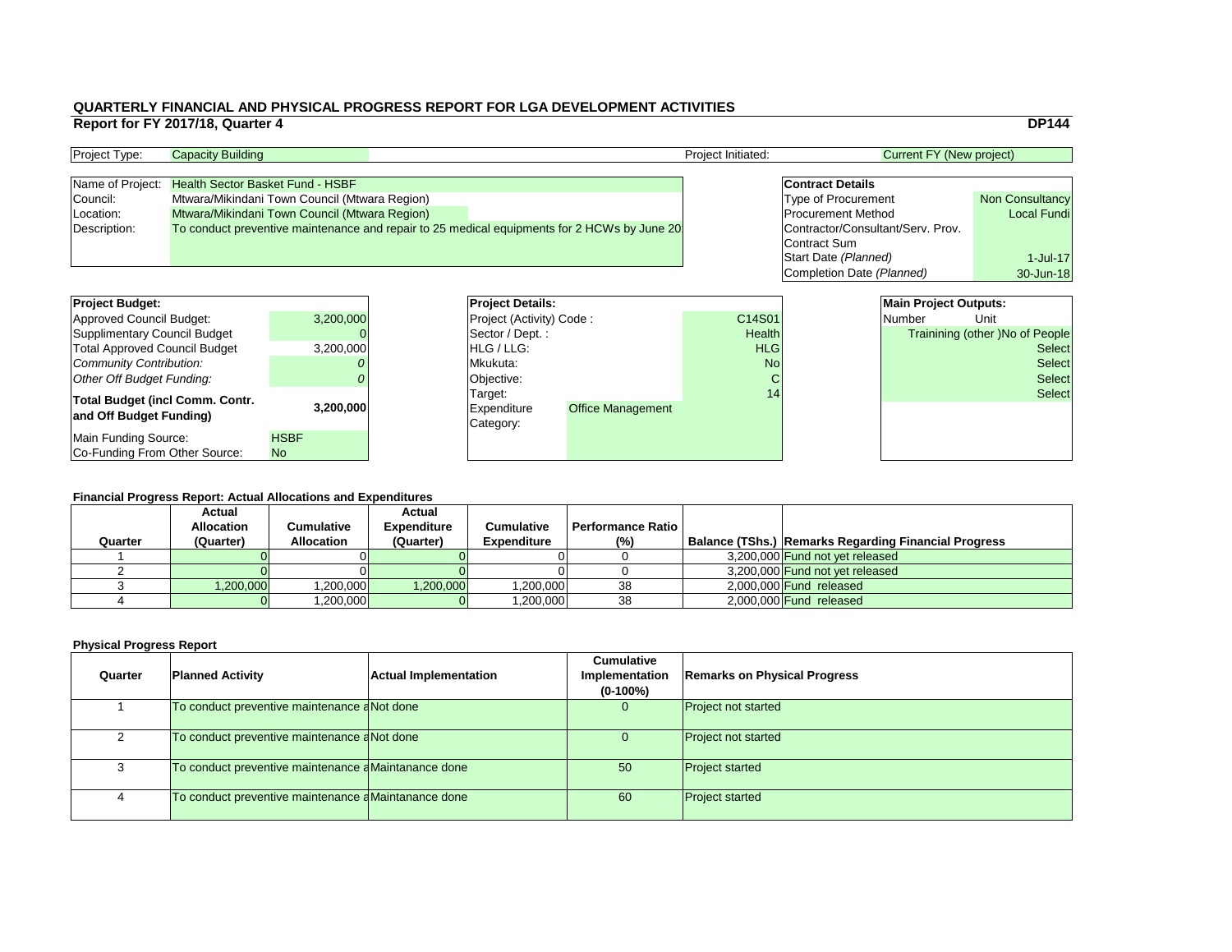#### **Financial Progress Report: Actual Allocations and Expenditures**

|                                                                                                                                                                                      | Report for FY 2017/18, Quarter 4 |                                                                                                                                           |                                                                                     |                                                                                             |                                   |                                                                                                                                                |                                               | <b>DP144</b>                                                                       |
|--------------------------------------------------------------------------------------------------------------------------------------------------------------------------------------|----------------------------------|-------------------------------------------------------------------------------------------------------------------------------------------|-------------------------------------------------------------------------------------|---------------------------------------------------------------------------------------------|-----------------------------------|------------------------------------------------------------------------------------------------------------------------------------------------|-----------------------------------------------|------------------------------------------------------------------------------------|
| Project Type:                                                                                                                                                                        | <b>Capacity Building</b>         |                                                                                                                                           |                                                                                     |                                                                                             | Project Initiated:                |                                                                                                                                                | <b>Current FY (New project)</b>               |                                                                                    |
| Name of Project:<br>Council:<br>Location:<br>Description:                                                                                                                            |                                  | <b>Health Sector Basket Fund - HSBF</b><br>Mtwara/Mikindani Town Council (Mtwara Region)<br>Mtwara/Mikindani Town Council (Mtwara Region) |                                                                                     | To conduct preventive maintenance and repair to 25 medical equipments for 2 HCWs by June 20 |                                   | <b>Contract Details</b><br><b>Type of Procurement</b><br><b>Procurement Method</b><br>Contractor/Consultant/Serv. Prov.<br><b>Contract Sum</b> |                                               | <b>Non Consultancy</b><br><b>Local Fundi</b>                                       |
|                                                                                                                                                                                      |                                  |                                                                                                                                           |                                                                                     |                                                                                             |                                   | Start Date (Planned)<br>Completion Date (Planned)                                                                                              |                                               | $1$ -Jul-17<br>30-Jun-18                                                           |
| <b>Project Budget:</b>                                                                                                                                                               |                                  |                                                                                                                                           | <b>Project Details:</b>                                                             |                                                                                             | C14S01                            |                                                                                                                                                | <b>Main Project Outputs:</b><br><b>Number</b> | Unit                                                                               |
| <b>Approved Council Budget:</b><br><b>Supplimentary Council Budget</b><br><b>Total Approved Council Budget</b><br><b>Community Contribution:</b><br><b>Other Off Budget Funding:</b> |                                  | 3,200,000<br>3,200,000                                                                                                                    | Project (Activity) Code:<br>Sector / Dept.:<br>HLG / LLG:<br>Mkukuta:<br>Objective: |                                                                                             | Health<br><b>HLG</b><br><b>No</b> |                                                                                                                                                |                                               | Trainining (other )No of People<br><b>Select</b><br><b>Select</b><br><b>Select</b> |
| <b>Total Budget (incl Comm. Contr.</b><br>and Off Budget Funding)<br><b>Main Funding Source:</b>                                                                                     |                                  | 3,200,000<br><b>HSBF</b>                                                                                                                  | Target:<br>Expenditure<br>Category:                                                 | <b>Office Management</b>                                                                    | 14                                |                                                                                                                                                |                                               | <b>Select</b>                                                                      |
| Co-Funding From Other Source:                                                                                                                                                        |                                  | No                                                                                                                                        |                                                                                     |                                                                                             |                                   |                                                                                                                                                |                                               |                                                                                    |

| <b>Project Type:</b> | <b>Capacity Building</b>                      |  | <b>Project Initiated:</b>                                                                   | Current FY (New project) |                                   |                        |
|----------------------|-----------------------------------------------|--|---------------------------------------------------------------------------------------------|--------------------------|-----------------------------------|------------------------|
|                      |                                               |  |                                                                                             |                          |                                   |                        |
| Name of Project:     | <b>Health Sector Basket Fund - HSBF</b>       |  |                                                                                             |                          | <b>Contract Details</b>           |                        |
| Council:             | Mtwara/Mikindani Town Council (Mtwara Region) |  |                                                                                             |                          | <b>Type of Procurement</b>        | <b>Non Consultancy</b> |
| Location:            | Mtwara/Mikindani Town Council (Mtwara Region) |  |                                                                                             |                          | <b>Procurement Method</b>         | <b>Local Fundi</b>     |
| Description:         |                                               |  | To conduct preventive maintenance and repair to 25 medical equipments for 2 HCWs by June 20 |                          | Contractor/Consultant/Serv. Prov. |                        |
|                      |                                               |  |                                                                                             |                          | Contract Sum                      |                        |

| <b>Project Budget:</b>                                     |             | <b>Project Deta</b>                        |
|------------------------------------------------------------|-------------|--------------------------------------------|
| <b>Approved Council Budget:</b>                            | 3,200,000   | <b>Project (Activ</b>                      |
| <b>Supplimentary Council Budget</b>                        |             | Sector / Dep                               |
| <b>Total Approved Council Budget</b>                       | 3,200,000   | HLG / LLG:                                 |
| <b>Community Contribution:</b>                             |             | Mkukuta:                                   |
| <b>Other Off Budget Funding:</b>                           |             | Objective:                                 |
| Total Budget (incl Comm. Contr.<br>and Off Budget Funding) | 3,200,000   | Target:<br><b>Expenditure</b><br>Category: |
| Main Funding Source:                                       | <b>HSBF</b> |                                            |
| Co-Funding From Other Source:                              | <b>No</b>   |                                            |

| Quarter | <b>Actual</b><br><b>Allocation</b><br>(Quarter) | Cumulative<br><b>Allocation</b> | <b>Actual</b><br><b>Expenditure</b><br>(Quarter) | <b>Cumulative</b><br><b>Expenditure</b> | <b>Performance Ratio I</b><br>(%) | Balance (TShs.) Remarks Regarding Financial Progress |
|---------|-------------------------------------------------|---------------------------------|--------------------------------------------------|-----------------------------------------|-----------------------------------|------------------------------------------------------|
|         |                                                 |                                 |                                                  |                                         |                                   | 3,200,000 Fund not yet released                      |
|         |                                                 |                                 |                                                  |                                         |                                   | 3,200,000 Fund not yet released                      |
|         | 1,200,000                                       | ,200,000                        | 1,200,000                                        | 1,200,000                               | 38                                | 2,000,000 Fund released                              |
|         |                                                 | ,200,000                        |                                                  | 200,000,                                | 38                                | 2,000,000 Fund released                              |

| Quarter | <b>Planned Activity</b>                             | <b>Actual Implementation</b> | <b>Cumulative</b><br>Implementation<br>$(0-100\%)$ | <b>Remarks on Physical Progress</b> |
|---------|-----------------------------------------------------|------------------------------|----------------------------------------------------|-------------------------------------|
|         | To conduct preventive maintenance aNot done         |                              | $\overline{0}$                                     | <b>Project not started</b>          |
|         | To conduct preventive maintenance aNot done         |                              |                                                    | <b>Project not started</b>          |
|         | To conduct preventive maintenance dMaintanance done |                              | 50                                                 | <b>Project started</b>              |
|         | To conduct preventive maintenance dMaintanance done |                              | 60                                                 | <b>Project started</b>              |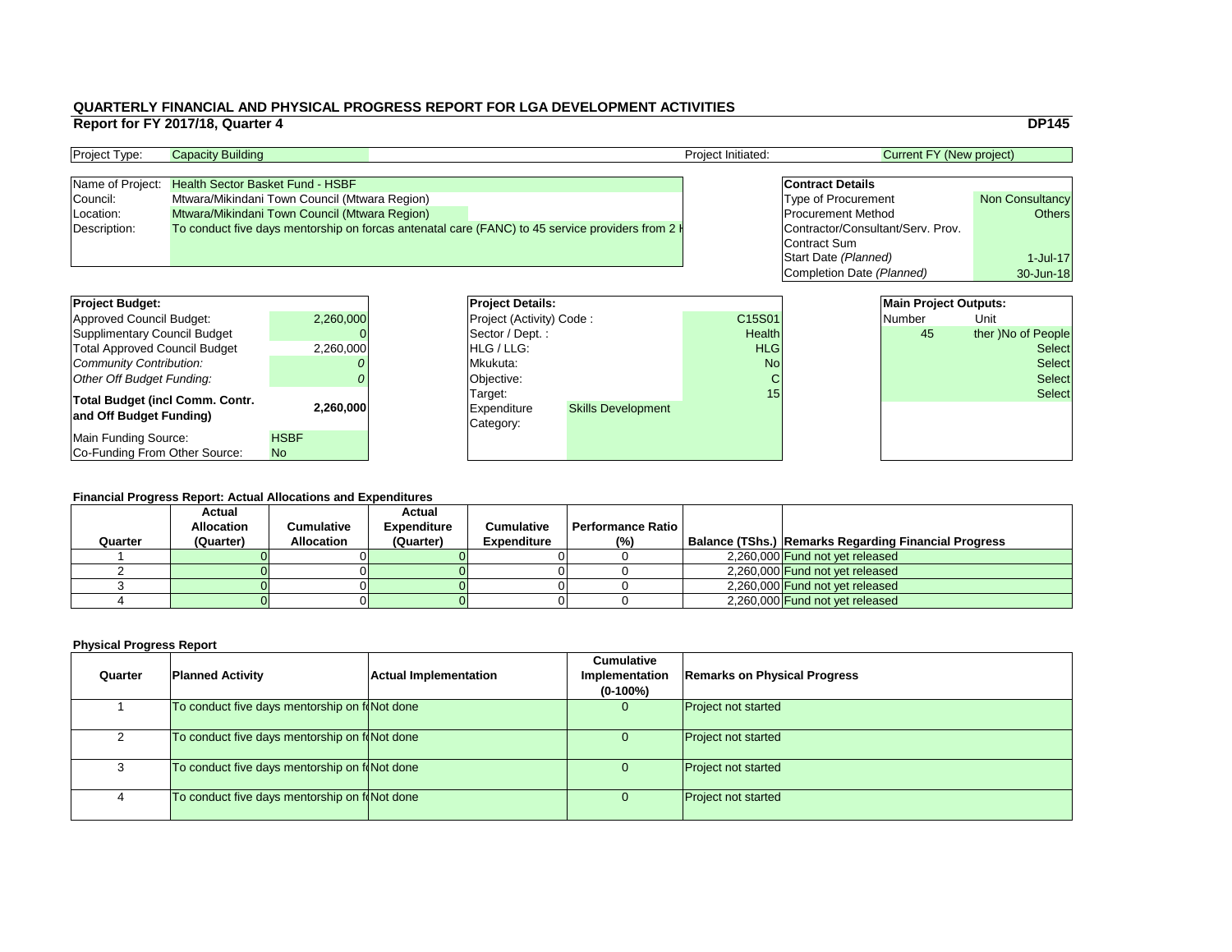|                 |                                   |                                 | <b>DP145</b>           |
|-----------------|-----------------------------------|---------------------------------|------------------------|
|                 |                                   | <b>Current FY (New project)</b> |                        |
|                 |                                   |                                 |                        |
|                 | <b>Contract Details</b>           |                                 |                        |
|                 | <b>Type of Procurement</b>        |                                 | <b>Non Consultancy</b> |
|                 | <b>Procurement Method</b>         |                                 | <b>Others</b>          |
|                 | Contractor/Consultant/Serv. Prov. |                                 |                        |
|                 | <b>Contract Sum</b>               |                                 |                        |
|                 | Start Date (Planned)              |                                 | $1$ -Jul-17            |
|                 | Completion Date (Planned)         |                                 | 30-Jun-18              |
|                 |                                   |                                 |                        |
|                 |                                   | <b>Main Project Outputs:</b>    |                        |
| $\overline{)1}$ |                                   | <b>Number</b>                   | Unit                   |
| th              |                                   | 45                              | ther )No of People     |
| G               |                                   |                                 | <b>Select</b>          |
| п.              |                                   |                                 | $\sim$ -1 - -1         |

#### **Financial Progress Report: Actual Allocations and Expenditures**

| <b>Project Budget:</b>                                            |                    | <b>Project Details:</b>                    | <b>Main Project Outputs:</b> |               |  |               |                    |
|-------------------------------------------------------------------|--------------------|--------------------------------------------|------------------------------|---------------|--|---------------|--------------------|
| <b>Approved Council Budget:</b>                                   | 2,260,000          |                                            | Project (Activity) Code:     |               |  | <b>Number</b> | Unit               |
| <b>Supplimentary Council Budget</b>                               |                    | Sector / Dept.:                            |                              | <b>Health</b> |  | 45            | ther )No of People |
| <b>Total Approved Council Budget</b>                              | 2,260,000          | HLG / LLG:                                 |                              | <b>HLG</b>    |  |               | <b>Select</b>      |
| <b>Community Contribution:</b>                                    |                    | lMkukuta:                                  |                              | <b>No</b>     |  | <b>Select</b> |                    |
| <b>Other Off Budget Funding:</b>                                  |                    | Objective:                                 |                              |               |  |               | <b>Select</b>      |
| <b>Total Budget (incl Comm. Contr.</b><br>and Off Budget Funding) | 2,260,000          | Target:<br><b>Expenditure</b><br>Category: | <b>Skills Development</b>    | 15            |  |               | <b>Select</b>      |
| <b>Main Funding Source:</b><br>Co-Funding From Other Source:      | <b>HSBF</b><br>No. |                                            |                              |               |  |               |                    |

| <b>Project Type:</b> | <b>Capacity Building</b>                                                                                   | <b>Project Initiated:</b> | <b>Current FY (New project)</b>   |                        |
|----------------------|------------------------------------------------------------------------------------------------------------|---------------------------|-----------------------------------|------------------------|
|                      |                                                                                                            |                           |                                   |                        |
| Name of Project:     | <b>Health Sector Basket Fund - HSBF</b>                                                                    |                           | <b>Contract Details</b>           |                        |
| Council:             | Mtwara/Mikindani Town Council (Mtwara Region)                                                              |                           | <b>Type of Procurement</b>        | <b>Non Consultancy</b> |
| (Location:           | Mtwara/Mikindani Town Council (Mtwara Region)                                                              |                           | <b>Procurement Method</b>         | Others                 |
| Description:         | To conduct five days mentorship on forcas antenatal care (FANC) to 45 service providers from 2 $\parallel$ |                           | Contractor/Consultant/Serv. Prov. |                        |
|                      |                                                                                                            |                           | Contract Sum                      |                        |

| <b>Project Budget:</b>                                            |             | <b>Project Deta</b>                        |
|-------------------------------------------------------------------|-------------|--------------------------------------------|
| <b>Approved Council Budget:</b>                                   | 2,260,000   | <b>Project (Activ</b>                      |
| <b>Supplimentary Council Budget</b>                               |             | Sector / Dep                               |
| <b>Total Approved Council Budget</b>                              | 2,260,000   | HLG / LLG:                                 |
| <b>Community Contribution:</b>                                    |             | Mkukuta:                                   |
| <b>Other Off Budget Funding:</b>                                  |             | Objective:                                 |
| <b>Total Budget (incl Comm. Contr.</b><br>and Off Budget Funding) | 2,260,000   | Target:<br><b>Expenditure</b><br>Category: |
| <b>Main Funding Source:</b>                                       | <b>HSBF</b> |                                            |
| Co-Funding From Other Source:                                     | <b>No</b>   |                                            |

|         | <b>Financial Progress Report: Actual Allocations and Expenditures</b> |                   |                    |                    |                          |  |                                                             |  |  |  |  |
|---------|-----------------------------------------------------------------------|-------------------|--------------------|--------------------|--------------------------|--|-------------------------------------------------------------|--|--|--|--|
|         | <b>Actual</b>                                                         |                   | <b>Actual</b>      |                    |                          |  |                                                             |  |  |  |  |
|         | <b>Allocation</b>                                                     | Cumulative        | <b>Expenditure</b> | <b>Cumulative</b>  | <b>Performance Ratio</b> |  |                                                             |  |  |  |  |
| Quarter | (Quarter)                                                             | <b>Allocation</b> | (Quarter)          | <b>Expenditure</b> | (%)                      |  | <b>Balance (TShs.) Remarks Regarding Financial Progress</b> |  |  |  |  |
|         |                                                                       |                   |                    |                    |                          |  | 2,260,000 Fund not yet released                             |  |  |  |  |
|         |                                                                       |                   |                    |                    |                          |  | 2,260,000 Fund not yet released                             |  |  |  |  |
|         |                                                                       |                   |                    |                    |                          |  | 2,260,000 Fund not yet released                             |  |  |  |  |
|         |                                                                       |                   |                    |                    |                          |  | 2,260,000 Fund not yet released                             |  |  |  |  |

| Quarter | <b>Planned Activity</b>                        | <b>Actual Implementation</b> | <b>Cumulative</b><br>Implementation<br>$(0-100\%)$ | <b>Remarks on Physical Progress</b> |
|---------|------------------------------------------------|------------------------------|----------------------------------------------------|-------------------------------------|
|         | To conduct five days mentorship on follot done |                              | 0                                                  | <b>Project not started</b>          |
|         | To conduct five days mentorship on foNot done  |                              | U.                                                 | <b>Project not started</b>          |
|         | To conduct five days mentorship on foNot done  |                              | 0                                                  | <b>Project not started</b>          |
| 4       | To conduct five days mentorship on follot done |                              | 0                                                  | <b>Project not started</b>          |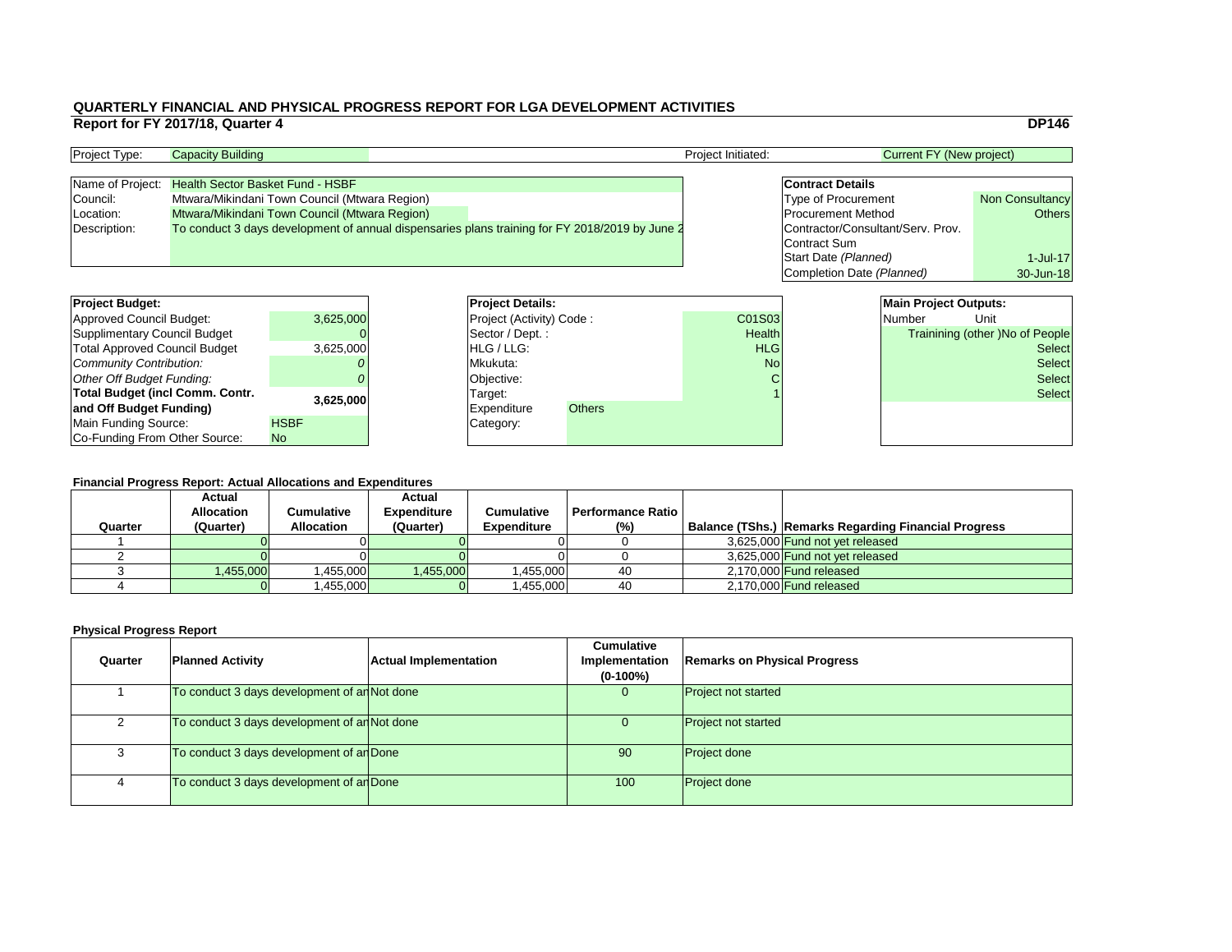|                |                                   |                                 | <b>DP146</b>                           |
|----------------|-----------------------------------|---------------------------------|----------------------------------------|
|                |                                   | <b>Current FY (New project)</b> |                                        |
|                |                                   |                                 |                                        |
|                | <b>Contract Details</b>           |                                 |                                        |
|                | <b>Type of Procurement</b>        |                                 | <b>Non Consultancy</b>                 |
|                | <b>Procurement Method</b>         |                                 | <b>Others</b>                          |
|                | Contractor/Consultant/Serv. Prov. |                                 |                                        |
|                | <b>Contract Sum</b>               |                                 |                                        |
|                | Start Date (Planned)              |                                 | $1$ -Jul-17                            |
|                | Completion Date (Planned)         |                                 | 30-Jun-18                              |
|                |                                   |                                 |                                        |
|                |                                   | <b>Main Project Outputs:</b>    |                                        |
| 13             |                                   | <b>Number</b>                   | Unit                                   |
| th             |                                   |                                 | <b>Trainining (other) No of People</b> |
| G              |                                   |                                 | <b>Select</b>                          |
| $\overline{a}$ |                                   |                                 | Select                                 |

#### **Financial Progress Report: Actual Allocations and Expenditures**

| <b>Project Budget:</b>                 |             | <b>Project Details:</b>         |               |               | <b>Main Project Outputs:</b> |                                        |               |
|----------------------------------------|-------------|---------------------------------|---------------|---------------|------------------------------|----------------------------------------|---------------|
| <b>Approved Council Budget:</b>        | 3,625,000   | <b>Project (Activity) Code:</b> |               | <b>C01S03</b> |                              | <b>Number</b>                          | Unit          |
| <b>Supplimentary Council Budget</b>    |             | Sector / Dept. :                |               | <b>Health</b> |                              | <b>Trainining (other )No of People</b> |               |
| <b>Total Approved Council Budget</b>   | 3,625,000   | <b>HLG/LLG:</b>                 |               | <b>HLG</b>    |                              |                                        | <b>Select</b> |
| <b>Community Contribution:</b>         |             | Mkukuta:                        |               | <b>No</b>     |                              | <b>Select</b>                          |               |
| <b>Other Off Budget Funding:</b>       |             | Objective:                      |               |               |                              |                                        | <b>Select</b> |
| <b>Total Budget (incl Comm. Contr.</b> |             | Target:                         |               |               |                              |                                        | <b>Select</b> |
| and Off Budget Funding)                | 3,625,000   | <b>Expenditure</b>              | <b>Others</b> |               |                              |                                        |               |
| <b>Main Funding Source:</b>            | <b>HSBF</b> | Category:                       |               |               |                              |                                        |               |
| Co-Funding From Other Source:          | No.         |                                 |               |               |                              |                                        |               |

| <b>Project Type:</b> | <b>Capacity Building</b>                                                                       | <b>Project Initiated:</b> | <b>Current FY (New project)</b>   |                        |
|----------------------|------------------------------------------------------------------------------------------------|---------------------------|-----------------------------------|------------------------|
|                      |                                                                                                |                           |                                   |                        |
|                      | Name of Project: Health Sector Basket Fund - HSBF                                              |                           | <b>Contract Details</b>           |                        |
| Council:             | Mtwara/Mikindani Town Council (Mtwara Region)                                                  |                           | <b>Type of Procurement</b>        | <b>Non Consultancy</b> |
| Location:            | Mtwara/Mikindani Town Council (Mtwara Region)                                                  |                           | <b>Procurement Method</b>         | Others                 |
| Description:         | To conduct 3 days development of annual dispensaries plans training for FY 2018/2019 by June 2 |                           | Contractor/Consultant/Serv. Prov. |                        |
|                      |                                                                                                |                           | Contract Sum                      |                        |

| <b>Project Budget:</b>               |             |            | <b>Project Deta</b>   |
|--------------------------------------|-------------|------------|-----------------------|
| <b>Approved Council Budget:</b>      | 3,625,000   |            | <b>Project (Activ</b> |
| <b>Supplimentary Council Budget</b>  |             |            | Sector / Dep          |
| <b>Total Approved Council Budget</b> | 3,625,000   |            | HLG / LLG:            |
| Community Contribution:              |             | Mkukuta:   |                       |
| Other Off Budget Funding:            |             | Objective: |                       |
| Total Budget (incl Comm. Contr.      | 3,625,000   | Target:    |                       |
| and Off Budget Funding)              |             |            | <b>Expenditure</b>    |
| <b>Main Funding Source:</b>          | <b>HSBF</b> | Category:  |                       |
| Co-Funding From Other Source:        | <b>No</b>   |            |                       |

| <b>Quarter</b> | <b>Planned Activity</b>                            | <b>Actual Implementation</b> | <b>Cumulative</b><br>Implementation<br>$(0-100\%)$ | <b>Remarks on Physical Progress</b> |
|----------------|----------------------------------------------------|------------------------------|----------------------------------------------------|-------------------------------------|
|                | To conduct 3 days development of an Not done       |                              |                                                    | <b>Project not started</b>          |
|                | To conduct 3 days development of $\alpha$ Not done |                              |                                                    | <b>Project not started</b>          |
|                | To conduct 3 days development of an Done           |                              | 90 <sup>°</sup>                                    | <b>Project done</b>                 |
|                | To conduct 3 days development of an Done           |                              | 100                                                | <b>Project done</b>                 |

|         | <b>Financial Progress Report: Actual Allocations and Expenditures</b> |                   |                    |                    |                          |  |                                                             |  |  |  |  |
|---------|-----------------------------------------------------------------------|-------------------|--------------------|--------------------|--------------------------|--|-------------------------------------------------------------|--|--|--|--|
|         | <b>Actual</b>                                                         |                   | <b>Actual</b>      |                    |                          |  |                                                             |  |  |  |  |
|         | <b>Allocation</b>                                                     | <b>Cumulative</b> | <b>Expenditure</b> | <b>Cumulative</b>  | <b>Performance Ratio</b> |  |                                                             |  |  |  |  |
| Quarter | (Quarter)                                                             | <b>Allocation</b> | (Quarter)          | <b>Expenditure</b> | (%)                      |  | <b>Balance (TShs.) Remarks Regarding Financial Progress</b> |  |  |  |  |
|         |                                                                       |                   |                    |                    |                          |  | 3,625,000 Fund not yet released                             |  |  |  |  |
|         |                                                                       |                   |                    |                    |                          |  | 3,625,000 Fund not yet released                             |  |  |  |  |
|         | ,455,000                                                              | ,455,000          | 1,455,000          | 1,455,000          | 40                       |  | $2,170,000$ Fund released                                   |  |  |  |  |
|         |                                                                       | ,455,000          |                    | ,455,000           | 40                       |  | 2,170,000 Fund released                                     |  |  |  |  |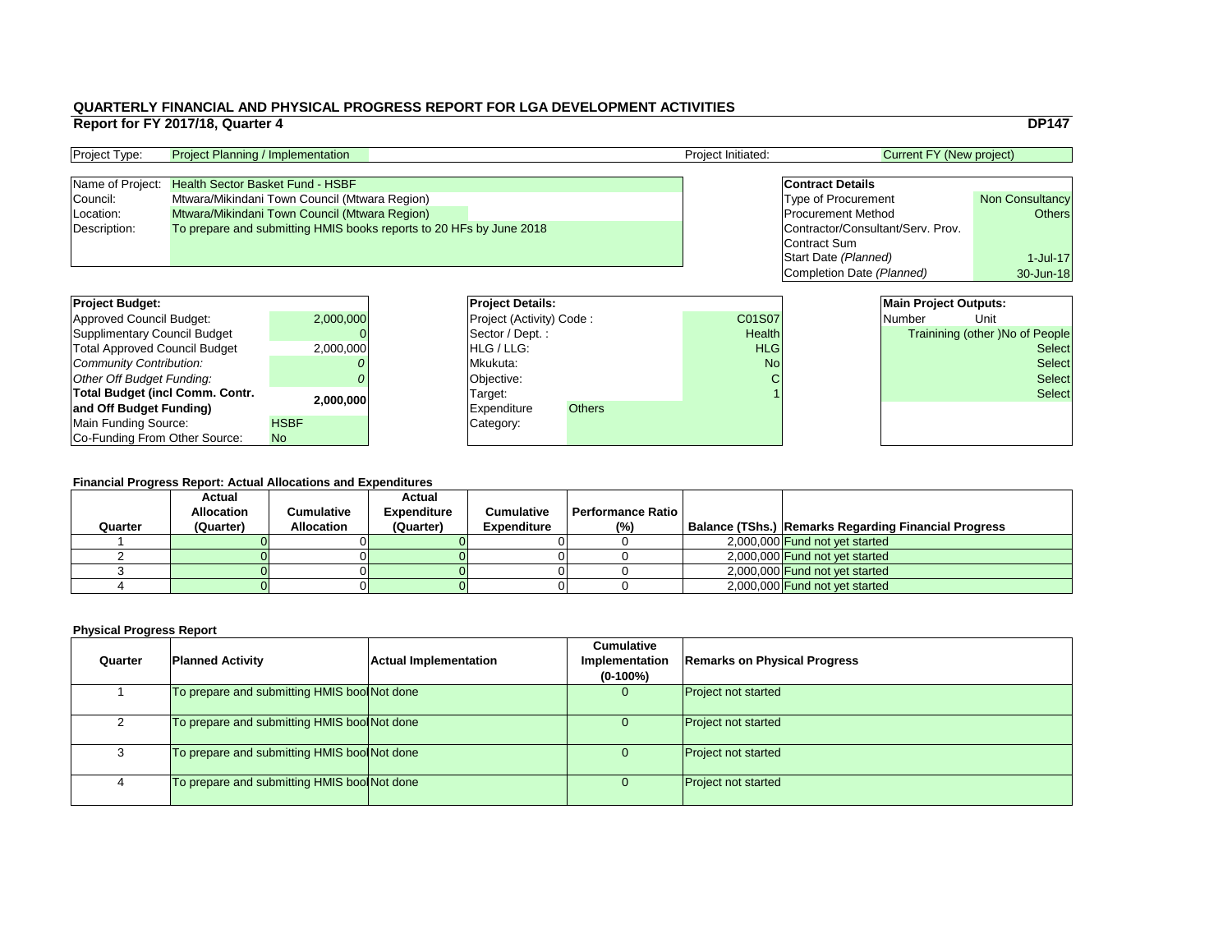|      |                                   |                                 | <b>DP147</b>                           |
|------|-----------------------------------|---------------------------------|----------------------------------------|
|      |                                   | <b>Current FY (New project)</b> |                                        |
|      |                                   |                                 |                                        |
|      | <b>Contract Details</b>           |                                 |                                        |
|      | <b>Type of Procurement</b>        |                                 | <b>Non Consultancy</b>                 |
|      | <b>Procurement Method</b>         |                                 | <b>Others</b>                          |
|      | Contractor/Consultant/Serv. Prov. |                                 |                                        |
|      | <b>Contract Sum</b>               |                                 |                                        |
|      | Start Date (Planned)              |                                 | $1$ -Jul-17                            |
|      | Completion Date (Planned)         |                                 | 30-Jun-18                              |
|      |                                   |                                 |                                        |
|      |                                   | <b>Main Project Outputs:</b>    |                                        |
| .07  |                                   | <b>Number</b>                   | Unit                                   |
| alth |                                   |                                 | <b>Trainining (other) No of People</b> |
| LG   |                                   |                                 | <b>Select</b>                          |
| No   |                                   |                                 | Select                                 |
|      |                                   |                                 |                                        |

#### **Financial Progress Report: Actual Allocations and Expenditures**

| <b>Project Budget:</b>                 |             | <b>Project Details:</b>         |               |               | <b>Main Project Outputs:</b> |                                        |               |
|----------------------------------------|-------------|---------------------------------|---------------|---------------|------------------------------|----------------------------------------|---------------|
| <b>Approved Council Budget:</b>        | 2,000,000   | <b>Project (Activity) Code:</b> |               | <b>C01S07</b> |                              | Number                                 | Unit          |
| <b>Supplimentary Council Budget</b>    |             | Sector / Dept. :                |               | <b>Health</b> |                              | <b>Trainining (other )No of People</b> |               |
| <b>Total Approved Council Budget</b>   | 2,000,000   | HLG / LLG:                      |               | <b>HLG</b>    |                              |                                        | <b>Select</b> |
| <b>Community Contribution:</b>         |             | Mkukuta:                        |               | <b>No</b>     |                              |                                        | <b>Select</b> |
| <b>Other Off Budget Funding:</b>       |             | Objective:                      |               |               |                              |                                        | <b>Select</b> |
| <b>Total Budget (incl Comm. Contr.</b> |             | Target:                         |               |               |                              |                                        | <b>Select</b> |
| and Off Budget Funding)                | 2,000,000   | <b>Expenditure</b>              | <b>Others</b> |               |                              |                                        |               |
| <b>Main Funding Source:</b>            | <b>HSBF</b> | Category:                       |               |               |                              |                                        |               |
| Co-Funding From Other Source:          | No.         |                                 |               |               |                              |                                        |               |

# **QUARTERLY FINANCIAL AND PHYSICAL PROGRESS REPORT FOR LGA DEVELOPMENT ACTIVITIES Report for FY 2017/18, Quarter 4** DP147

| <b>Project Type:</b> | <b>Project Planning / Implementation</b>                            |  | <b>Project Initiated:</b> |                                   | Current FY (New project) |  |
|----------------------|---------------------------------------------------------------------|--|---------------------------|-----------------------------------|--------------------------|--|
|                      |                                                                     |  |                           |                                   |                          |  |
|                      | Name of Project: Health Sector Basket Fund - HSBF                   |  |                           | <b>Contract Details</b>           |                          |  |
| Council:             | Mtwara/Mikindani Town Council (Mtwara Region)                       |  |                           | <b>Type of Procurement</b>        | <b>Non Consultancy</b>   |  |
| Location:            | Mtwara/Mikindani Town Council (Mtwara Region)                       |  |                           | <b>Procurement Method</b>         | Others                   |  |
| Description:         | To prepare and submitting HMIS books reports to 20 HFs by June 2018 |  |                           | Contractor/Consultant/Serv. Prov. |                          |  |
|                      |                                                                     |  |                           | Contract Sum                      |                          |  |

| <b>Project Budget:</b>               |             | <b>Project Deta</b>   |
|--------------------------------------|-------------|-----------------------|
| <b>Approved Council Budget:</b>      | 2,000,000   | <b>Project (Activ</b> |
| <b>Supplimentary Council Budget</b>  |             | Sector / Dep          |
| <b>Total Approved Council Budget</b> | 2,000,000   | HLG / LLG:            |
| Community Contribution:              |             | Mkukuta:              |
| Other Off Budget Funding:            |             | Objective:            |
| Total Budget (incl Comm. Contr.      | 2,000,000   | Target:               |
| and Off Budget Funding)              |             | Expenditure           |
| Main Funding Source:                 | <b>HSBF</b> | Category:             |
| Co-Funding From Other Source:        | <b>No</b>   |                       |

| Quarter | <b>Planned Activity</b>                      | <b>Actual Implementation</b> | <b>Cumulative</b><br>Implementation<br>$(0-100\%)$ | <b>Remarks on Physical Progress</b> |
|---------|----------------------------------------------|------------------------------|----------------------------------------------------|-------------------------------------|
|         | To prepare and submitting HMIS bool Not done |                              | O.                                                 | <b>Project not started</b>          |
|         | To prepare and submitting HMIS bool Not done |                              |                                                    | <b>Project not started</b>          |
|         | To prepare and submitting HMIS bool Not done |                              | U                                                  | <b>Project not started</b>          |
|         | To prepare and submitting HMIS bool Not done |                              | U                                                  | <b>Project not started</b>          |

|         | <b>Financial Progress Report: Actual Allocations and Expenditures</b> |                   |                    |                    |                          |  |                                                             |  |  |  |  |
|---------|-----------------------------------------------------------------------|-------------------|--------------------|--------------------|--------------------------|--|-------------------------------------------------------------|--|--|--|--|
|         | <b>Actual</b>                                                         |                   | <b>Actual</b>      |                    |                          |  |                                                             |  |  |  |  |
|         | <b>Allocation</b>                                                     | Cumulative        | <b>Expenditure</b> | <b>Cumulative</b>  | <b>Performance Ratio</b> |  |                                                             |  |  |  |  |
| Quarter | (Quarter)                                                             | <b>Allocation</b> | (Quarter)          | <b>Expenditure</b> | (% )                     |  | <b>Balance (TShs.) Remarks Regarding Financial Progress</b> |  |  |  |  |
|         |                                                                       |                   |                    |                    |                          |  | 2,000,000 Fund not yet started                              |  |  |  |  |
|         |                                                                       |                   |                    |                    |                          |  | 2,000,000 Fund not yet started                              |  |  |  |  |
|         |                                                                       |                   |                    |                    |                          |  | 2,000,000 Fund not yet started                              |  |  |  |  |
|         |                                                                       |                   |                    |                    |                          |  | 2,000,000 Fund not yet started                              |  |  |  |  |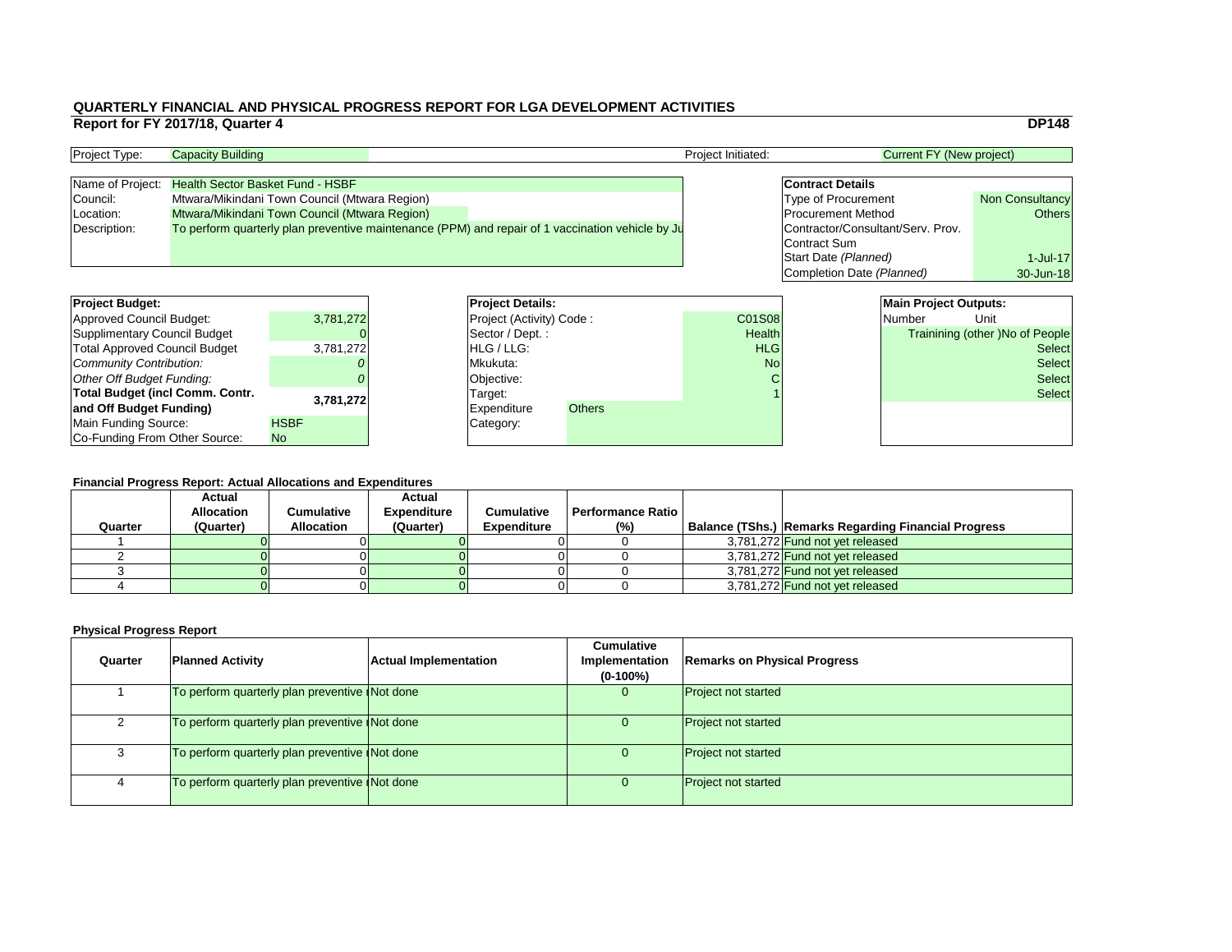|                                   |                                 | <b>DP148</b>                    |  |  |
|-----------------------------------|---------------------------------|---------------------------------|--|--|
|                                   | <b>Current FY (New project)</b> |                                 |  |  |
|                                   |                                 |                                 |  |  |
| <b>Contract Details</b>           |                                 |                                 |  |  |
| <b>Type of Procurement</b>        |                                 | <b>Non Consultancy</b>          |  |  |
|                                   | <b>Procurement Method</b>       |                                 |  |  |
| Contractor/Consultant/Serv. Prov. |                                 |                                 |  |  |
| <b>Contract Sum</b>               |                                 |                                 |  |  |
| Start Date (Planned)              |                                 | $1$ -Jul-17                     |  |  |
| Completion Date (Planned)         |                                 | 30-Jun-18                       |  |  |
|                                   |                                 |                                 |  |  |
|                                   | <b>Main Project Outputs:</b>    |                                 |  |  |
| $\overline{8}$                    | <b>Number</b>                   | Unit                            |  |  |
| :h                                |                                 | Trainining (other) No of People |  |  |
|                                   |                                 |                                 |  |  |

#### **Financial Progress Report: Actual Allocations and Expenditures**

| <b>Project Budget:</b>                 |             | <b>Project Details:</b>         |               |               | <b>Main Project Outputs:</b> |                                        |               |
|----------------------------------------|-------------|---------------------------------|---------------|---------------|------------------------------|----------------------------------------|---------------|
| <b>Approved Council Budget:</b>        | 3,781,272   | <b>Project (Activity) Code:</b> |               | <b>C01S08</b> |                              | Number                                 | Unit          |
| <b>Supplimentary Council Budget</b>    |             | Sector / Dept. :                |               | <b>Health</b> |                              | <b>Trainining (other )No of People</b> |               |
| <b>Total Approved Council Budget</b>   | 3,781,272   | <b>HLG</b> / LLG:               |               | <b>HLG</b>    |                              |                                        | <b>Select</b> |
| <b>Community Contribution:</b>         |             | Mkukuta:                        |               | <b>No</b>     |                              | <b>Select</b>                          |               |
| <b>Other Off Budget Funding:</b>       |             | Objective:                      |               |               |                              |                                        | <b>Select</b> |
| <b>Total Budget (incl Comm. Contr.</b> |             | Target:                         |               |               |                              |                                        | <b>Select</b> |
| and Off Budget Funding)                | 3,781,272   | <b>Expenditure</b>              | <b>Others</b> |               |                              |                                        |               |
| <b>Main Funding Source:</b>            | <b>HSBF</b> | Category:                       |               |               |                              |                                        |               |
| Co-Funding From Other Source:          | No.         |                                 |               |               |                              |                                        |               |

| <b>Project Type:</b> | <b>Project Initiated:</b><br><b>Capacity Building</b>                                            |  |  |                                   | <b>Current FY (New project)</b> |  |
|----------------------|--------------------------------------------------------------------------------------------------|--|--|-----------------------------------|---------------------------------|--|
|                      |                                                                                                  |  |  |                                   |                                 |  |
|                      | Name of Project: Health Sector Basket Fund - HSBF                                                |  |  | <b>Contract Details</b>           |                                 |  |
| Council:             | Mtwara/Mikindani Town Council (Mtwara Region)                                                    |  |  | <b>Type of Procurement</b>        | <b>Non Consultancy</b>          |  |
| Location:            | Mtwara/Mikindani Town Council (Mtwara Region)                                                    |  |  | <b>Procurement Method</b>         | Others                          |  |
| Description:         | To perform quarterly plan preventive maintenance (PPM) and repair of 1 vaccination vehicle by Ju |  |  | Contractor/Consultant/Serv. Prov. |                                 |  |
|                      |                                                                                                  |  |  | Contract Sum                      |                                 |  |

| Quarter | <b>Planned Activity</b>                       | <b>Actual Implementation</b> | <b>Cumulative</b><br>Implementation<br>$(0-100\%)$ | <b>Remarks on Physical Progress</b> |
|---------|-----------------------------------------------|------------------------------|----------------------------------------------------|-------------------------------------|
|         | To perform quarterly plan preventive Not done |                              | O                                                  | <b>Project not started</b>          |
|         | To perform quarterly plan preventive Not done |                              | $\overline{0}$                                     | <b>Project not started</b>          |
| 3       | To perform quarterly plan preventive Not done |                              | $\overline{0}$                                     | <b>Project not started</b>          |
|         | To perform quarterly plan preventive Not done |                              | U                                                  | <b>Project not started</b>          |

| <b>Project Budget:</b>                 |             | <b>Project Deta</b>   |
|----------------------------------------|-------------|-----------------------|
| <b>Approved Council Budget:</b>        | 3,781,272   | <b>Project (Activ</b> |
| <b>Supplimentary Council Budget</b>    |             | Sector / Dep          |
| <b>Total Approved Council Budget</b>   | 3,781,272   | HLG / LLG:            |
| Community Contribution:                |             | Mkukuta:              |
| Other Off Budget Funding:              |             | Objective:            |
| <b>Total Budget (incl Comm. Contr.</b> | 3,781,272   | Target:               |
| and Off Budget Funding)                |             | Expenditure           |
| Main Funding Source:                   | <b>HSBF</b> | Category:             |
| Co-Funding From Other Source:          | <b>No</b>   |                       |

| <b>Financial Progress Report: Actual Allocations and Expenditures</b> |                                    |                   |                                     |                    |                            |  |                                                             |  |  |
|-----------------------------------------------------------------------|------------------------------------|-------------------|-------------------------------------|--------------------|----------------------------|--|-------------------------------------------------------------|--|--|
|                                                                       | <b>Actual</b><br><b>Allocation</b> | <b>Cumulative</b> | <b>Actual</b><br><b>Expenditure</b> | <b>Cumulative</b>  | <b>Performance Ratio I</b> |  |                                                             |  |  |
| Quarter                                                               | (Quarter)                          | <b>Allocation</b> | (Quarter)                           | <b>Expenditure</b> | $(\%)$                     |  | <b>Balance (TShs.) Remarks Regarding Financial Progress</b> |  |  |
|                                                                       |                                    |                   |                                     |                    |                            |  | 3,781,272 Fund not yet released                             |  |  |
|                                                                       |                                    |                   |                                     |                    |                            |  | 3,781,272 Fund not yet released                             |  |  |
|                                                                       |                                    |                   |                                     |                    |                            |  | 3,781,272 Fund not yet released                             |  |  |
|                                                                       |                                    |                   |                                     |                    |                            |  | 3,781,272 Fund not yet released                             |  |  |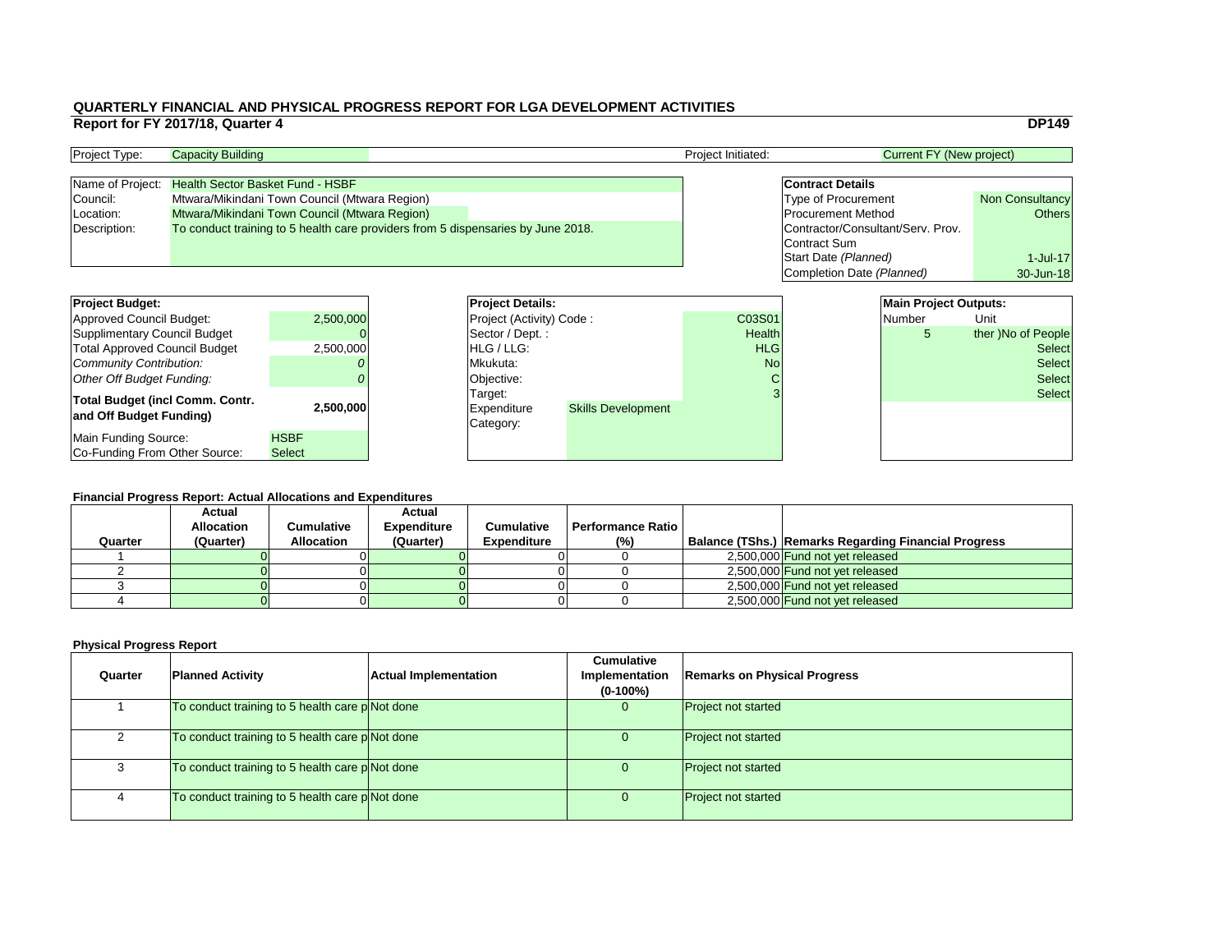|    |                                   |                                 | <b>DP149</b>           |
|----|-----------------------------------|---------------------------------|------------------------|
|    |                                   | <b>Current FY (New project)</b> |                        |
|    |                                   |                                 |                        |
|    | <b>Contract Details</b>           |                                 |                        |
|    | <b>Type of Procurement</b>        |                                 | <b>Non Consultancy</b> |
|    | <b>Procurement Method</b>         | <b>Others</b>                   |                        |
|    | Contractor/Consultant/Serv. Prov. |                                 |                        |
|    | <b>Contract Sum</b>               |                                 |                        |
|    | Start Date (Planned)              |                                 | $1$ -Jul-17            |
|    | Completion Date (Planned)         |                                 | 30-Jun-18              |
|    |                                   |                                 |                        |
|    |                                   | <b>Main Project Outputs:</b>    |                        |
| )1 |                                   | <b>Number</b>                   | Unit                   |
| th |                                   | 5                               | ther )No of People     |
| G  |                                   |                                 | Selectl                |

#### **Financial Progress Report: Actual Allocations and Expenditures**

| <b>Project Budget:</b>                 |               | <b>Project Details:</b>  | <b>Main Project Outputs:</b> |               |  |               |                    |
|----------------------------------------|---------------|--------------------------|------------------------------|---------------|--|---------------|--------------------|
| <b>Approved Council Budget:</b>        | 2,500,000     | Project (Activity) Code: |                              | C03S01        |  | <b>Number</b> | Unit               |
| <b>Supplimentary Council Budget</b>    |               | Sector / Dept.:          |                              | <b>Health</b> |  | 5             | ther )No of People |
| <b>Total Approved Council Budget</b>   | 2,500,000     | HLG / LLG:               |                              | <b>HLG</b>    |  |               | <b>Select</b>      |
| <b>Community Contribution:</b>         |               | Mkukuta:                 |                              |               |  |               | <b>Select</b>      |
| <b>Other Off Budget Funding:</b>       |               | Objective:               |                              |               |  |               | <b>Select</b>      |
| <b>Total Budget (incl Comm. Contr.</b> |               | Target:                  |                              |               |  |               | <b>Select</b>      |
| and Off Budget Funding)                | 2,500,000     | <b>Expenditure</b>       | <b>Skills Development</b>    |               |  |               |                    |
|                                        |               | Category:                |                              |               |  |               |                    |
| <b>Main Funding Source:</b>            | <b>HSBF</b>   |                          |                              |               |  |               |                    |
| Co-Funding From Other Source:          | <b>Select</b> |                          |                              |               |  |               |                    |

| <b>Project Type:</b> | <b>Capacity Building</b>                                                         |  | <b>Project Initiated:</b> | Current FY (New project)          |                        |
|----------------------|----------------------------------------------------------------------------------|--|---------------------------|-----------------------------------|------------------------|
|                      |                                                                                  |  |                           |                                   |                        |
|                      | Name of Project: Health Sector Basket Fund - HSBF                                |  |                           | <b>Contract Details</b>           |                        |
| Council:             | Mtwara/Mikindani Town Council (Mtwara Region)                                    |  |                           | <b>Type of Procurement</b>        | <b>Non Consultancy</b> |
| Location:            | Mtwara/Mikindani Town Council (Mtwara Region)                                    |  |                           | <b>Procurement Method</b>         | Others                 |
| Description:         | To conduct training to 5 health care providers from 5 dispensaries by June 2018. |  |                           | Contractor/Consultant/Serv. Prov. |                        |
|                      |                                                                                  |  |                           | Contract Sum                      |                        |

| <b>Project Budget:</b><br><b>Approved Council Budget:</b><br><b>Supplimentary Council Budget</b><br><b>Total Approved Council Budget</b> | 2,500,000<br>2,500,000       | <b>Project Deta</b><br><b>Project (Activ</b><br>Sector / Dep<br>HLG / LLG: |
|------------------------------------------------------------------------------------------------------------------------------------------|------------------------------|----------------------------------------------------------------------------|
| <b>Community Contribution:</b><br><b>Other Off Budget Funding:</b><br><b>Total Budget (incl Comm. Contr.</b>                             | 2,500,000                    | Mkukuta:<br>Objective:<br>Target:<br><b>Expenditure</b>                    |
| and Off Budget Funding)<br>Main Funding Source:<br>Co-Funding From Other Source:                                                         | <b>HSBF</b><br><b>Select</b> | Category:                                                                  |

| <b>Financial Progress Report: Actual Allocations and Expenditures</b> |                                    |                   |                                     |                    |                   |  |                                                        |  |  |
|-----------------------------------------------------------------------|------------------------------------|-------------------|-------------------------------------|--------------------|-------------------|--|--------------------------------------------------------|--|--|
|                                                                       | <b>Actual</b><br><b>Allocation</b> | <b>Cumulative</b> | <b>Actual</b><br><b>Expenditure</b> | <b>Cumulative</b>  | Performance Ratio |  |                                                        |  |  |
| Quarter                                                               | (Quarter)                          | <b>Allocation</b> | (Quarter)                           | <b>Expenditure</b> | (%)               |  | Balance (TShs.)   Remarks Regarding Financial Progress |  |  |
|                                                                       |                                    |                   |                                     |                    |                   |  | 2,500,000 Fund not yet released                        |  |  |
|                                                                       |                                    |                   |                                     |                    |                   |  | 2,500,000 Fund not yet released                        |  |  |
|                                                                       |                                    |                   |                                     |                    |                   |  | 2,500,000 Fund not yet released                        |  |  |
|                                                                       |                                    |                   |                                     |                    |                   |  | 2,500,000 Fund not yet released                        |  |  |

| Quarter | <b>Planned Activity</b>                        | <b>Actual Implementation</b> | <b>Cumulative</b><br>Implementation<br>$(0-100\%)$ | <b>Remarks on Physical Progress</b> |
|---------|------------------------------------------------|------------------------------|----------------------------------------------------|-------------------------------------|
|         | To conduct training to 5 health care pNot done |                              | U                                                  | <b>Project not started</b>          |
|         | To conduct training to 5 health care pNot done |                              | U                                                  | <b>Project not started</b>          |
|         | To conduct training to 5 health care pNot done |                              |                                                    | <b>Project not started</b>          |
| 4       | To conduct training to 5 health care pNot done |                              | U                                                  | <b>Project not started</b>          |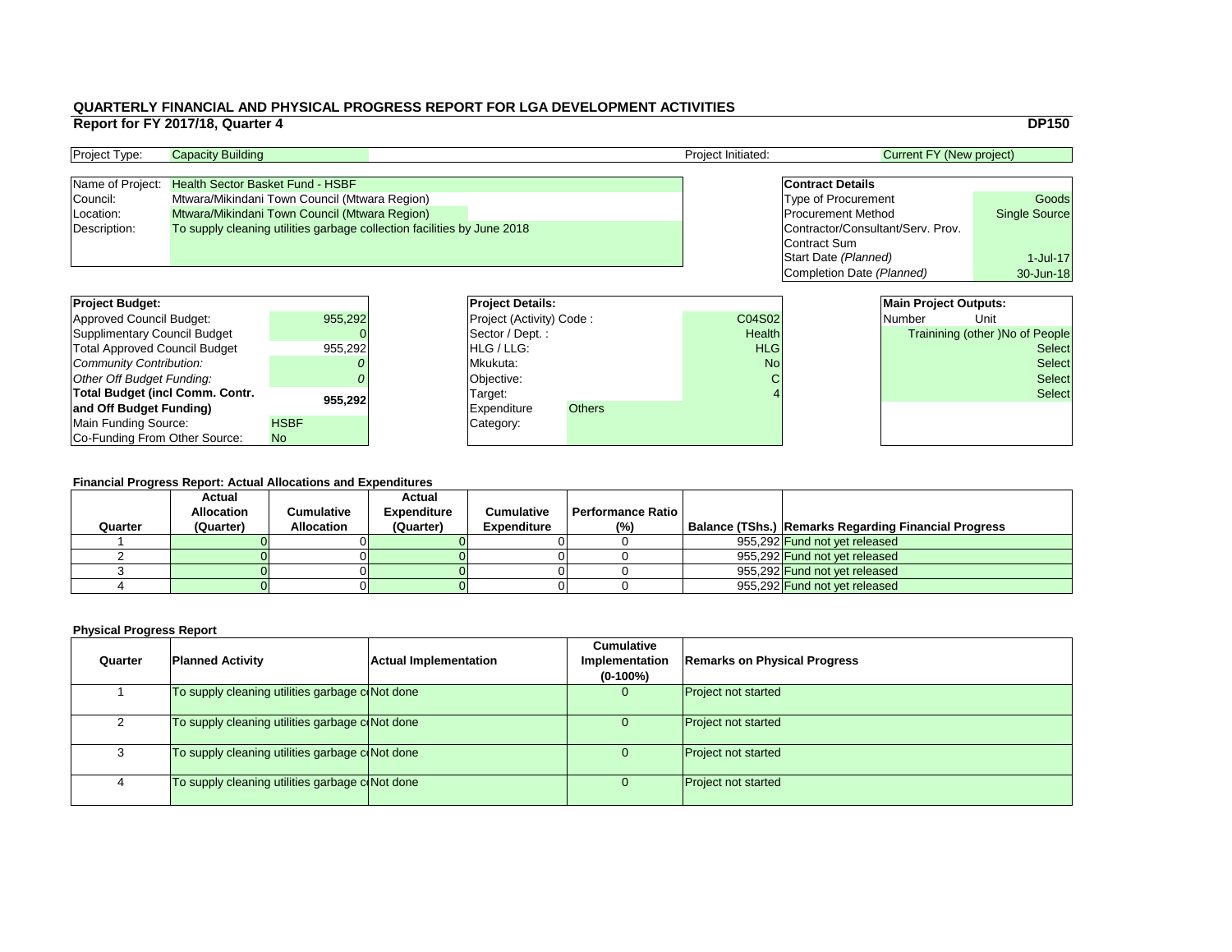#### **Financial Progress Report: Actual Allocations and Expenditures**

|                                        | Report for FY 2017/18, Quarter 4        |                                                                         |                          |               |                    |                                   |                                 | <b>DP150</b>                           |
|----------------------------------------|-----------------------------------------|-------------------------------------------------------------------------|--------------------------|---------------|--------------------|-----------------------------------|---------------------------------|----------------------------------------|
| Project Type:                          | <b>Capacity Building</b>                |                                                                         |                          |               | Project Initiated: |                                   | <b>Current FY (New project)</b> |                                        |
| Name of Project:                       | <b>Health Sector Basket Fund - HSBF</b> |                                                                         |                          |               |                    | <b>Contract Details</b>           |                                 |                                        |
| Council:                               |                                         | Mtwara/Mikindani Town Council (Mtwara Region)                           |                          |               |                    | <b>Type of Procurement</b>        |                                 | Goods                                  |
| Location:                              |                                         | Mtwara/Mikindani Town Council (Mtwara Region)                           |                          |               |                    | <b>Procurement Method</b>         |                                 | <b>Single Source</b>                   |
| Description:                           |                                         | To supply cleaning utilities garbage collection facilities by June 2018 |                          |               |                    | Contractor/Consultant/Serv. Prov. |                                 |                                        |
|                                        |                                         |                                                                         |                          |               |                    | Contract Sum                      |                                 |                                        |
|                                        |                                         |                                                                         |                          |               |                    | Start Date (Planned)              |                                 | 1-Jul-17                               |
|                                        |                                         |                                                                         |                          |               |                    | Completion Date (Planned)         |                                 | 30-Jun-18                              |
|                                        |                                         |                                                                         |                          |               |                    |                                   |                                 |                                        |
| <b>Project Budget:</b>                 |                                         |                                                                         | <b>Project Details:</b>  |               |                    |                                   | <b>Main Project Outputs:</b>    |                                        |
| <b>Approved Council Budget:</b>        |                                         | 955,292                                                                 | Project (Activity) Code: |               | C04S02             |                                   | <b>Number</b>                   | Unit                                   |
| <b>Supplimentary Council Budget</b>    |                                         |                                                                         | Sector / Dept.:          |               | <b>Health</b>      |                                   |                                 | <b>Trainining (other )No of People</b> |
| <b>Total Approved Council Budget</b>   |                                         | 955,292                                                                 | HLG / LLG:               |               | <b>HLG</b>         |                                   |                                 | <b>Select</b>                          |
| <b>Community Contribution:</b>         |                                         |                                                                         | Mkukuta:                 |               | <b>No</b>          |                                   |                                 | <b>Select</b>                          |
| <b>Other Off Budget Funding:</b>       |                                         |                                                                         | Objective:               |               |                    |                                   |                                 | <b>Select</b>                          |
| <b>Total Budget (incl Comm. Contr.</b> |                                         |                                                                         | Target:                  |               |                    |                                   |                                 | <b>Select</b>                          |
| and Off Budget Funding)                |                                         | 955,292                                                                 | <b>Expenditure</b>       | <b>Others</b> |                    |                                   |                                 |                                        |
| <b>Main Funding Source:</b>            |                                         | <b>HSBF</b>                                                             | Category:                |               |                    |                                   |                                 |                                        |
| Co-Funding From Other Source:          |                                         | No.                                                                     |                          |               |                    |                                   |                                 |                                        |

| <b>Project Type:</b> | <b>Capacity Building</b>                                                |  | <b>Project Initiated:</b> | Current FY (New project)          |                      |  |
|----------------------|-------------------------------------------------------------------------|--|---------------------------|-----------------------------------|----------------------|--|
|                      |                                                                         |  |                           |                                   |                      |  |
|                      | Name of Project: Health Sector Basket Fund - HSBF                       |  |                           | <b>Contract Details</b>           |                      |  |
| Council:             | Mtwara/Mikindani Town Council (Mtwara Region)                           |  |                           | <b>Type of Procurement</b>        | Goods                |  |
| Location:            | Mtwara/Mikindani Town Council (Mtwara Region)                           |  |                           | <b>Procurement Method</b>         | <b>Single Source</b> |  |
| Description:         | To supply cleaning utilities garbage collection facilities by June 2018 |  |                           | Contractor/Consultant/Serv. Prov. |                      |  |
|                      |                                                                         |  |                           | Contract Sum                      |                      |  |

| Quarter | <b>Planned Activity</b>                         | <b>Actual Implementation</b> | <b>Cumulative</b><br>Implementation<br>$(0-100\%)$ | <b>Remarks on Physical Progress</b> |
|---------|-------------------------------------------------|------------------------------|----------------------------------------------------|-------------------------------------|
|         | To supply cleaning utilities garbage c(Not done |                              | U                                                  | <b>Project not started</b>          |
|         | To supply cleaning utilities garbage coNot done |                              | $\overline{0}$                                     | <b>Project not started</b>          |
| 3       | To supply cleaning utilities garbage coNot done |                              | U                                                  | <b>Project not started</b>          |
|         | To supply cleaning utilities garbage coNot done |                              |                                                    | <b>Project not started</b>          |

| <b>Project Budget:</b>                 |             | <b>Project Deta</b>   |
|----------------------------------------|-------------|-----------------------|
| <b>Approved Council Budget:</b>        | 955,292     | <b>Project (Activ</b> |
| <b>Supplimentary Council Budget</b>    |             | Sector / Dep          |
| <b>Total Approved Council Budget</b>   | 955,292     | HLG / LLG:            |
| Community Contribution:                |             | Mkukuta:              |
| Other Off Budget Funding:              |             | Objective:            |
| <b>Total Budget (incl Comm. Contr.</b> | 955,292     | Target:               |
| and Off Budget Funding)                |             | <b>Expenditure</b>    |
| <b>Main Funding Source:</b>            | <b>HSBF</b> | Category:             |
| Co-Funding From Other Source:          | <b>No</b>   |                       |

|         | Financial Progress Report: Actual Allocations and Expenditures |                   |                    |                    |                          |  |                                                             |  |  |  |  |
|---------|----------------------------------------------------------------|-------------------|--------------------|--------------------|--------------------------|--|-------------------------------------------------------------|--|--|--|--|
|         | <b>Actual</b>                                                  |                   | <b>Actual</b>      |                    |                          |  |                                                             |  |  |  |  |
|         | <b>Allocation</b>                                              | Cumulative        | <b>Expenditure</b> | <b>Cumulative</b>  | <b>Performance Ratio</b> |  |                                                             |  |  |  |  |
| Quarter | (Quarter)                                                      | <b>Allocation</b> | (Quarter)          | <b>Expenditure</b> | (%)                      |  | <b>Balance (TShs.) Remarks Regarding Financial Progress</b> |  |  |  |  |
|         |                                                                |                   |                    |                    |                          |  | 955,292 Fund not yet released                               |  |  |  |  |
|         |                                                                |                   |                    |                    |                          |  | 955,292 Fund not yet released                               |  |  |  |  |
|         |                                                                |                   |                    |                    |                          |  | 955,292 Fund not yet released                               |  |  |  |  |
|         |                                                                |                   |                    |                    |                          |  | 955,292 Fund not yet released                               |  |  |  |  |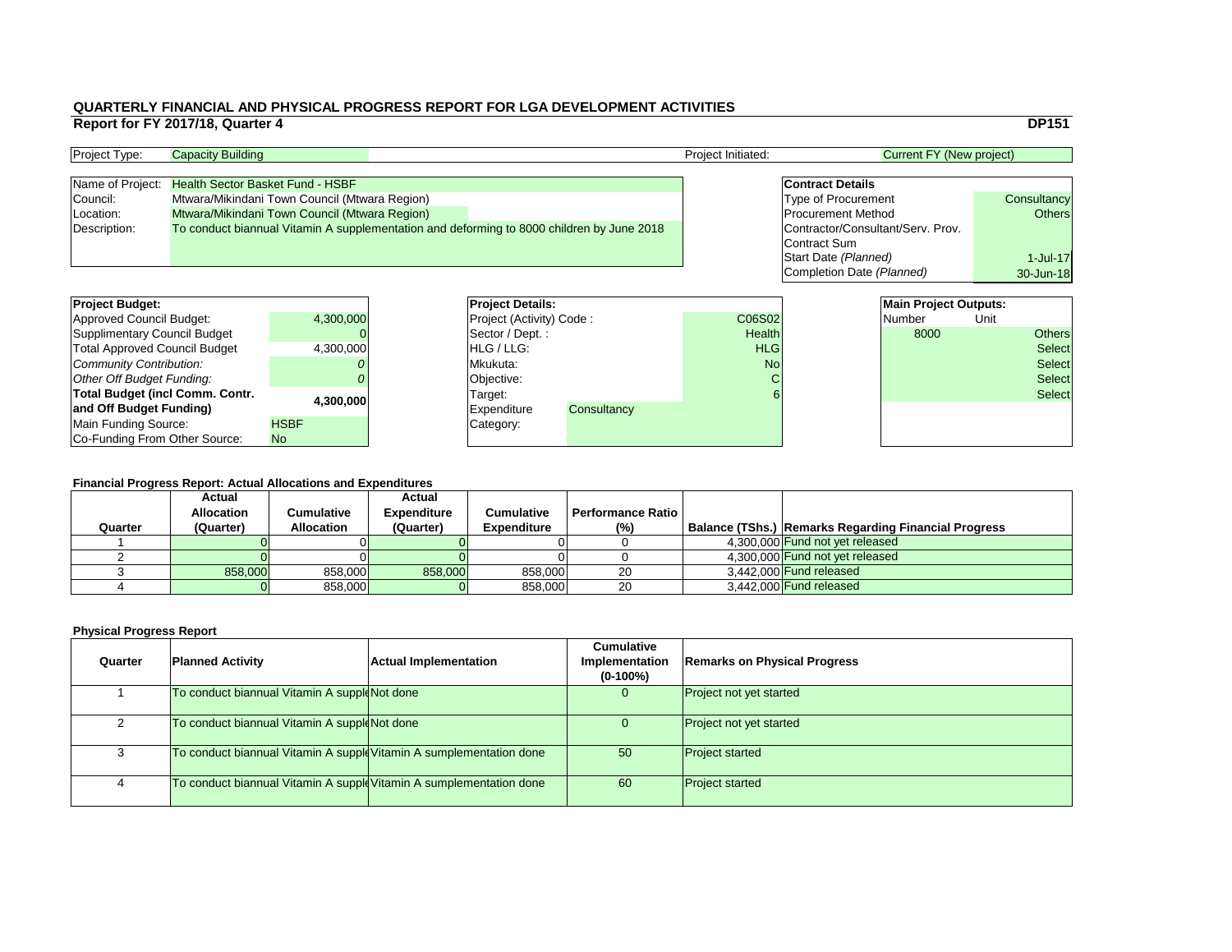|                |                                   |                                 | <b>DP151</b>  |
|----------------|-----------------------------------|---------------------------------|---------------|
|                |                                   | <b>Current FY (New project)</b> |               |
|                |                                   |                                 |               |
|                | <b>Contract Details</b>           |                                 |               |
|                | <b>Type of Procurement</b>        |                                 | Consultancy   |
|                | <b>Procurement Method</b>         |                                 | <b>Others</b> |
|                | Contractor/Consultant/Serv. Prov. |                                 |               |
|                | <b>Contract Sum</b>               |                                 |               |
|                | Start Date (Planned)              |                                 | $1$ -Jul-17   |
|                | Completion Date (Planned)         |                                 | 30-Jun-18     |
|                |                                   |                                 |               |
|                |                                   | <b>Main Project Outputs:</b>    |               |
| $\overline{2}$ |                                   | <b>Number</b>                   | Unit          |
| th             |                                   | 8000                            | Others        |
| G              |                                   |                                 | Select        |

# **Financial Progress Report: Actual Allocations and Expenditures**

| <b>Project Budget:</b>                                                |             | <b>Project Details:</b>         |             |                 | <b>Main Project Outputs:</b> |               |      |               |
|-----------------------------------------------------------------------|-------------|---------------------------------|-------------|-----------------|------------------------------|---------------|------|---------------|
| <b>Approved Council Budget:</b>                                       | 4,300,000   | <b>Project (Activity) Code:</b> |             | <b>C06S02</b>   |                              | <b>Number</b> | Unit |               |
| <b>Supplimentary Council Budget</b>                                   |             | Sector / Dept.:                 |             | <b>Health</b>   |                              | 8000          |      | <b>Others</b> |
| <b>Total Approved Council Budget</b>                                  | 4,300,000   | <b>IHLG/LLG:</b>                |             | <b>HLG</b>      |                              |               |      | <b>Select</b> |
| <b>Community Contribution:</b>                                        |             | Mkukuta:                        |             | No <sub>l</sub> |                              |               |      | <b>Select</b> |
| <b>Other Off Budget Funding:</b>                                      |             | Objective:                      |             |                 |                              |               |      | <b>Select</b> |
| <b>Total Budget (incl Comm. Contr.</b>                                |             | Target:                         |             |                 |                              |               |      | <b>Select</b> |
| and Off Budget Funding)                                               | 4,300,000   | <b>Expenditure</b>              | Consultancy |                 |                              |               |      |               |
| <b>Main Funding Source:</b>                                           | <b>HSBF</b> | Category:                       |             |                 |                              |               |      |               |
| Co-Funding From Other Source:                                         | <b>No</b>   |                                 |             |                 |                              |               |      |               |
|                                                                       |             |                                 |             |                 |                              |               |      |               |
|                                                                       |             |                                 |             |                 |                              |               |      |               |
| <b>Financial Progress Report: Actual Allocations and Expenditures</b> |             |                                 |             |                 |                              |               |      |               |

| <b>Project Type:</b> | <b>Capacity Building</b>                                                                  | <b>Project Initiated:</b> | <b>Current FY (New project)</b>   |               |
|----------------------|-------------------------------------------------------------------------------------------|---------------------------|-----------------------------------|---------------|
|                      |                                                                                           |                           |                                   |               |
| Name of Project:     | <b>Health Sector Basket Fund - HSBF</b>                                                   |                           | <b>Contract Details</b>           |               |
| Council:             | Mtwara/Mikindani Town Council (Mtwara Region)                                             |                           | <b>Type of Procurement</b>        | Consultancy   |
| Location:            | Mtwara/Mikindani Town Council (Mtwara Region)                                             |                           | <b>Procurement Method</b>         | <b>Others</b> |
| Description:         | To conduct biannual Vitamin A supplementation and deforming to 8000 children by June 2018 |                           | Contractor/Consultant/Serv. Prov. |               |
|                      |                                                                                           |                           | Contract Sum                      |               |

| <b>Project Budget:</b>                 |             | <b>Project Deta</b>   |
|----------------------------------------|-------------|-----------------------|
| <b>Approved Council Budget:</b>        | 4,300,000   | <b>Project (Activ</b> |
| <b>Supplimentary Council Budget</b>    |             | Sector / Dep          |
| <b>Total Approved Council Budget</b>   | 4,300,000   | HLG / LLG:            |
| <b>Community Contribution:</b>         |             | Mkukuta:              |
| Other Off Budget Funding:              |             | Objective:            |
| <b>Total Budget (incl Comm. Contr.</b> | 4,300,000   | Target:               |
| and Off Budget Funding)                |             | <b>Expenditure</b>    |
| Main Funding Source:                   | <b>HSBF</b> | Category:             |
| Co-Funding From Other Source:          | <b>No</b>   |                       |

|         | <b>Actual</b>     |                   | <b>Actual</b>      |                    |                            |                                                             |
|---------|-------------------|-------------------|--------------------|--------------------|----------------------------|-------------------------------------------------------------|
|         | <b>Allocation</b> | Cumulative        | <b>Expenditure</b> | <b>Cumulative</b>  | <b>Performance Ratio I</b> |                                                             |
| Quarter | (Quarter)         | <b>Allocation</b> | (Quarter)          | <b>Expenditure</b> | (%)                        | <b>Balance (TShs.) Remarks Regarding Financial Progress</b> |
|         |                   |                   |                    |                    |                            | 4,300,000 Fund not yet released                             |
|         |                   |                   |                    |                    |                            | 4.300.000 Fund not yet released                             |
|         | 858,000           | 858,000           | 858,000            | 858,000            | 20                         | $3,442,000$ Fund released                                   |
|         |                   | 858,000           |                    | 858,000            | 20                         | $3,442,000$ Fund released                                   |

| Quarter | <b>Planned Activity</b>                                             | <b>Actual Implementation</b> | <b>Cumulative</b><br>Implementation<br>$(0-100\%)$ | <b>Remarks on Physical Progress</b> |
|---------|---------------------------------------------------------------------|------------------------------|----------------------------------------------------|-------------------------------------|
|         | To conduct biannual Vitamin A supple Not done                       |                              | 0                                                  | <b>Project not yet started</b>      |
|         | To conduct biannual Vitamin A supple Not done                       |                              | U.                                                 | <b>Project not yet started</b>      |
|         | To conduct biannual Vitamin A supple Vitamin A sumplementation done |                              | 50                                                 | <b>Project started</b>              |
|         | To conduct biannual Vitamin A supple Vitamin A sumplementation done |                              | 60                                                 | <b>Project started</b>              |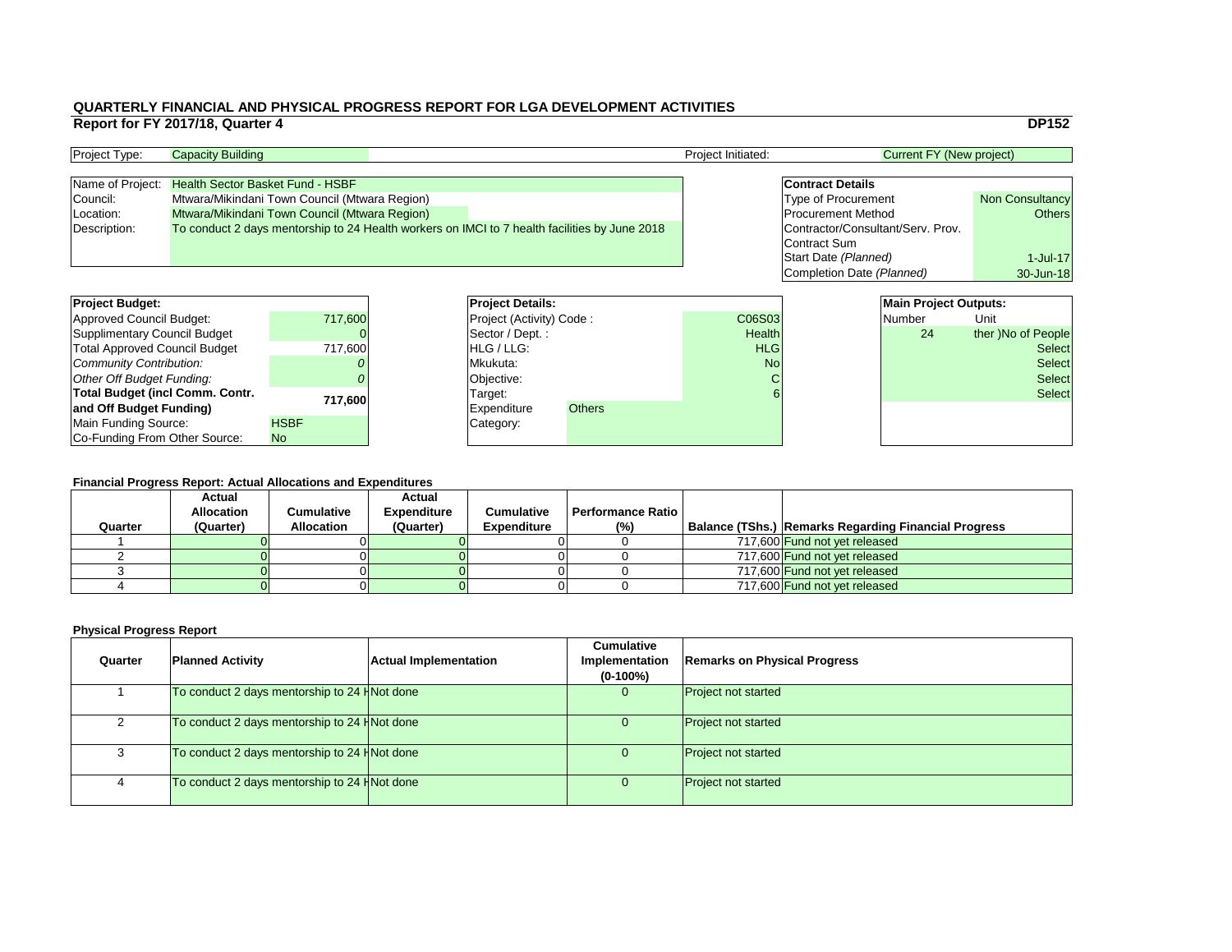|     |                                   |                                 | <b>DP152</b>           |
|-----|-----------------------------------|---------------------------------|------------------------|
|     |                                   | <b>Current FY (New project)</b> |                        |
|     |                                   |                                 |                        |
|     | <b>Contract Details</b>           |                                 |                        |
|     | <b>Type of Procurement</b>        |                                 | <b>Non Consultancy</b> |
|     | <b>Procurement Method</b>         |                                 | <b>Others</b>          |
|     | Contractor/Consultant/Serv. Prov. |                                 |                        |
|     | <b>Contract Sum</b>               |                                 |                        |
|     | Start Date (Planned)              |                                 | 1-Jul-17               |
|     | Completion Date (Planned)         | 30-Jun-18                       |                        |
|     |                                   |                                 |                        |
|     |                                   | <b>Main Project Outputs:</b>    |                        |
| )3  |                                   | Number                          | Unit                   |
| ٤L. |                                   | ⌒⊿                              | thor \No of Doople     |

# **Financial Progress Report: Actual Allocations and Expenditures**

| <b>Project Budget:</b>                 |             | <b>Project Details:</b>         |               |               |  | <b>Main Project Outputs:</b> |                    |
|----------------------------------------|-------------|---------------------------------|---------------|---------------|--|------------------------------|--------------------|
| <b>Approved Council Budget:</b>        | 717,600     | <b>Project (Activity) Code:</b> |               | C06S03        |  | <b>Number</b>                | Unit               |
| <b>Supplimentary Council Budget</b>    |             | Sector / Dept.:                 |               | <b>Health</b> |  | 24                           | ther )No of People |
| <b>Total Approved Council Budget</b>   | 717,600     | HLG / LLG:                      |               | <b>HLG</b>    |  |                              | <b>Select</b>      |
| <b>Community Contribution:</b>         |             | Mkukuta:                        |               | <b>No</b>     |  | <b>Select</b>                |                    |
| <b>Other Off Budget Funding:</b>       |             | Objective:                      |               | C             |  |                              | <b>Select</b>      |
| <b>Total Budget (incl Comm. Contr.</b> |             | Target:                         |               |               |  |                              | <b>Select</b>      |
| and Off Budget Funding)                | 717,600     | <b>Expenditure</b>              | <b>Others</b> |               |  |                              |                    |
| <b>Main Funding Source:</b>            | <b>HSBF</b> | Category:                       |               |               |  |                              |                    |
| Co-Funding From Other Source:          | <b>No</b>   |                                 |               |               |  |                              |                    |

# **QUARTERLY FINANCIAL AND PHYSICAL PROGRESS REPORT FOR LGA DEVELOPMENT ACTIVITIES Report for FY 2017/18, Quarter 4** DP152

| <b>Project Type:</b> | <b>Capacity Building</b>                                                                      | <b>Project Initiated:</b> | <b>Current FY (New project)</b>   |                        |
|----------------------|-----------------------------------------------------------------------------------------------|---------------------------|-----------------------------------|------------------------|
|                      |                                                                                               |                           |                                   |                        |
| Name of Project:     | <b>Health Sector Basket Fund - HSBF</b>                                                       |                           | <b>Contract Details</b>           |                        |
| Council:             | Mtwara/Mikindani Town Council (Mtwara Region)                                                 |                           | <b>Type of Procurement</b>        | <b>Non Consultancy</b> |
| Location:            | <b>Mtwara/Mikindani Town Council (Mtwara Region)</b>                                          |                           | <b>Procurement Method</b>         | Others                 |
| Description:         | To conduct 2 days mentorship to 24 Health workers on IMCI to 7 health facilities by June 2018 |                           | Contractor/Consultant/Serv. Prov. |                        |
|                      |                                                                                               |                           | Contract Sum                      |                        |

| <b>Project Budget:</b>                 |             | <b>Project Deta</b>   |  |
|----------------------------------------|-------------|-----------------------|--|
| Approved Council Budget:               | 717,600     | <b>Project (Activ</b> |  |
| <b>Supplimentary Council Budget</b>    |             | Sector / Dep          |  |
| <b>Total Approved Council Budget</b>   | 717,600     | HLG / LLG:            |  |
| <b>Community Contribution:</b>         |             | Mkukuta:              |  |
| Other Off Budget Funding:              |             | Objective:            |  |
| <b>Total Budget (incl Comm. Contr.</b> | 717,600     | Target:               |  |
| and Off Budget Funding)                |             | Expenditure           |  |
| Main Funding Source:                   | <b>HSBF</b> | Category:             |  |
| Co-Funding From Other Source:          | <b>No</b>   |                       |  |

| Quarter | <b>Actual</b><br><b>Allocation</b><br>(Quarter) | <b>Cumulative</b><br><b>Allocation</b> | <b>Actual</b><br><b>Expenditure</b><br>(Quarter) | <b>Cumulative</b><br><b>Expenditure</b> | <b>Performance Ratio</b><br>(%) | <b>Balance (TShs.) Remarks Regarding Financial Progress</b> |
|---------|-------------------------------------------------|----------------------------------------|--------------------------------------------------|-----------------------------------------|---------------------------------|-------------------------------------------------------------|
|         |                                                 |                                        |                                                  |                                         |                                 | 717,600 Fund not yet released                               |
|         |                                                 |                                        |                                                  |                                         |                                 | 717,600 Fund not yet released                               |
|         |                                                 |                                        |                                                  |                                         |                                 | 717,600 Fund not yet released                               |
|         |                                                 |                                        |                                                  |                                         |                                 | 717,600 Fund not yet released                               |

| Quarter | <b>Planned Activity</b>                         | <b>Actual Implementation</b> | <b>Cumulative</b><br>Implementation<br>$(0-100\%)$ | <b>Remarks on Physical Progress</b> |
|---------|-------------------------------------------------|------------------------------|----------------------------------------------------|-------------------------------------|
|         | To conduct 2 days mentorship to 24 $H$ Not done |                              | 0                                                  | <b>Project not started</b>          |
|         | To conduct 2 days mentorship to 24 HNot done    |                              | U.                                                 | <b>Project not started</b>          |
|         | To conduct 2 days mentorship to 24 $H$ Not done |                              | 0                                                  | <b>Project not started</b>          |
|         | To conduct 2 days mentorship to 24 HNot done    |                              | 0                                                  | <b>Project not started</b>          |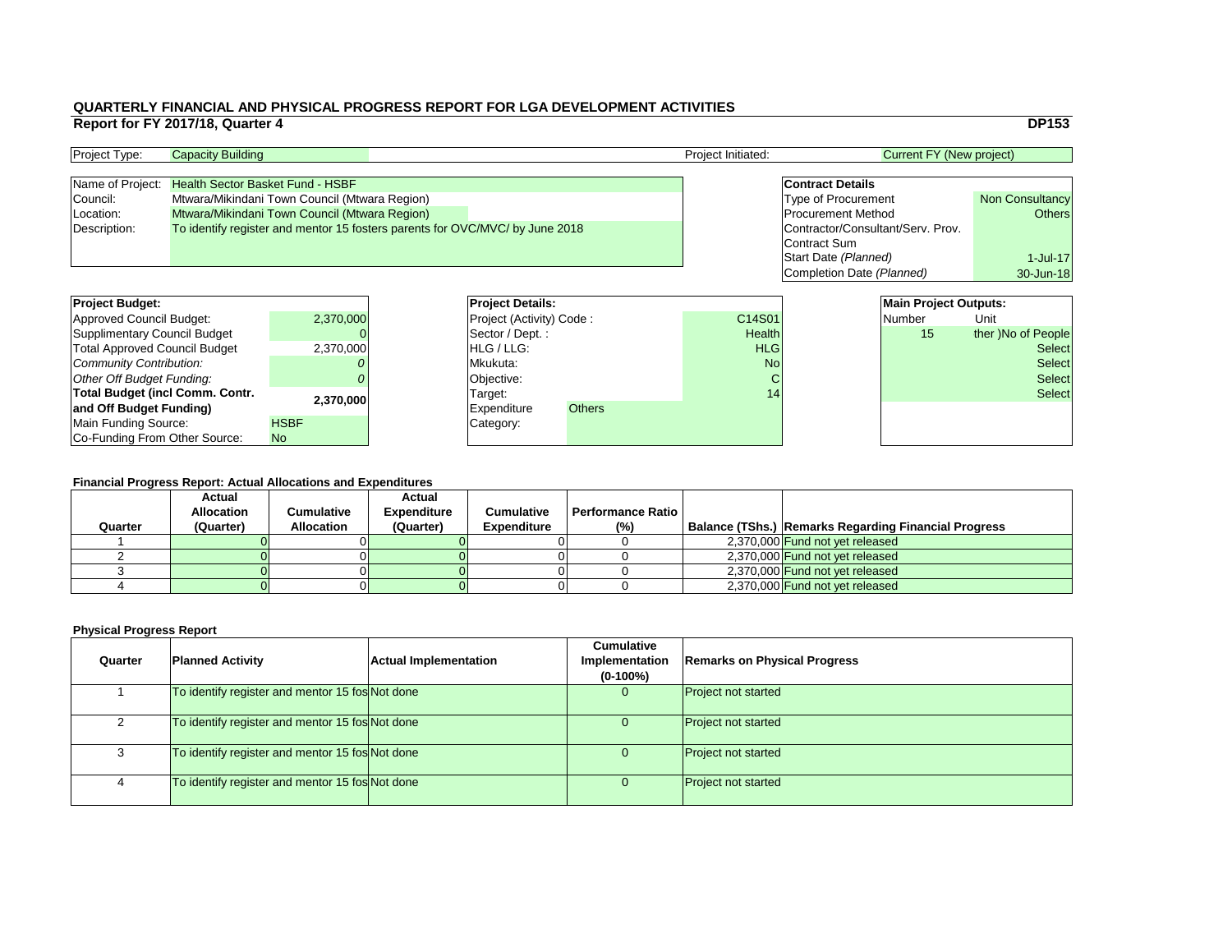|                                   | <b>DP153</b>           |  |  |  |  |  |  |  |  |
|-----------------------------------|------------------------|--|--|--|--|--|--|--|--|
| <b>Current FY (New project)</b>   |                        |  |  |  |  |  |  |  |  |
|                                   |                        |  |  |  |  |  |  |  |  |
| <b>Contract Details</b>           |                        |  |  |  |  |  |  |  |  |
| <b>Type of Procurement</b>        | <b>Non Consultancy</b> |  |  |  |  |  |  |  |  |
| <b>Procurement Method</b>         | <b>Others</b>          |  |  |  |  |  |  |  |  |
| Contractor/Consultant/Serv. Prov. |                        |  |  |  |  |  |  |  |  |
| <b>Contract Sum</b>               |                        |  |  |  |  |  |  |  |  |
| Start Date (Planned)              | $1$ -Jul-17            |  |  |  |  |  |  |  |  |
| Completion Date (Planned)         | 30-Jun-18              |  |  |  |  |  |  |  |  |
|                                   |                        |  |  |  |  |  |  |  |  |
| <b>Main Project Outputs:</b>      |                        |  |  |  |  |  |  |  |  |
| <b>Number</b>                     | Unit                   |  |  |  |  |  |  |  |  |
|                                   |                        |  |  |  |  |  |  |  |  |

#### **Financial Progress Report: Actual Allocations and Expenditures**

| <b>Project Budget:</b>                 |             |          | <b>Project Details:</b>         | <b>Main Project Outputs:</b> |               |               |               |                    |
|----------------------------------------|-------------|----------|---------------------------------|------------------------------|---------------|---------------|---------------|--------------------|
| <b>Approved Council Budget:</b>        | 2,370,000   |          | <b>Project (Activity) Code:</b> |                              | C14S01        |               | <b>Number</b> | Unit               |
| <b>Supplimentary Council Budget</b>    |             |          | Sector / Dept.:                 |                              | <b>Health</b> |               | 15            | ther )No of People |
| <b>Total Approved Council Budget</b>   | 2,370,000   |          | <b>HLG/LLG:</b>                 |                              | <b>HLG</b>    |               |               | <b>Select</b>      |
| <b>Community Contribution:</b>         |             | Mkukuta: |                                 | <b>No</b>                    |               | <b>Select</b> |               |                    |
| <b>Other Off Budget Funding:</b>       |             |          | Objective:                      |                              | C             |               |               | <b>Select</b>      |
| <b>Total Budget (incl Comm. Contr.</b> |             |          | Target:                         |                              | 14            |               |               | <b>Select</b>      |
| and Off Budget Funding)                | 2,370,000   |          | <b>Expenditure</b>              | <b>Others</b>                |               |               |               |                    |
| <b>Main Funding Source:</b>            | <b>HSBF</b> |          | Category:                       |                              |               |               |               |                    |
| Co-Funding From Other Source:          | No          |          |                                 |                              |               |               |               |                    |

| <b>Project Type:</b> | <b>Capacity Building</b>                                                     |  | <b>Project Initiated:</b> | Current FY (New project)          |                        |
|----------------------|------------------------------------------------------------------------------|--|---------------------------|-----------------------------------|------------------------|
|                      |                                                                              |  |                           |                                   |                        |
|                      | Name of Project: Health Sector Basket Fund - HSBF                            |  |                           | <b>Contract Details</b>           |                        |
| Council:             | Mtwara/Mikindani Town Council (Mtwara Region)                                |  |                           | <b>Type of Procurement</b>        | <b>Non Consultancy</b> |
| Location:            | Mtwara/Mikindani Town Council (Mtwara Region)                                |  |                           | <b>Procurement Method</b>         | <b>Others</b>          |
| Description:         | To identify register and mentor 15 fosters parents for OVC/MVC/ by June 2018 |  |                           | Contractor/Consultant/Serv. Prov. |                        |
|                      |                                                                              |  |                           | Contract Sum                      |                        |

| <b>Quarter</b> | <b>Planned Activity</b>                         | <b>Actual Implementation</b> | <b>Cumulative</b><br>Implementation<br>$(0-100\%)$ | <b>Remarks on Physical Progress</b> |
|----------------|-------------------------------------------------|------------------------------|----------------------------------------------------|-------------------------------------|
|                | To identify register and mentor 15 fos Not done |                              |                                                    | <b>Project not started</b>          |
|                | To identify register and mentor 15 fos Not done |                              | U                                                  | <b>Project not started</b>          |
| 3              | To identify register and mentor 15 fos Not done |                              | U                                                  | <b>Project not started</b>          |
|                | To identify register and mentor 15 fos Not done |                              |                                                    | <b>Project not started</b>          |

| <b>Project Budget:</b>                 |             | <b>Project Deta</b>   |
|----------------------------------------|-------------|-----------------------|
| <b>Approved Council Budget:</b>        | 2,370,000   | <b>Project (Activ</b> |
| <b>Supplimentary Council Budget</b>    |             | Sector / Dep          |
| <b>Total Approved Council Budget</b>   | 2,370,000   | HLG / LLG:            |
| Community Contribution:                |             | Mkukuta:              |
| Other Off Budget Funding:              |             | Objective:            |
| <b>Total Budget (incl Comm. Contr.</b> | 2,370,000   | Target:               |
| and Off Budget Funding)                |             | <b>Expenditure</b>    |
| Main Funding Source:                   | <b>HSBF</b> | Category:             |
| Co-Funding From Other Source:          | <b>No</b>   |                       |

| Quarter | <b>Actual</b><br><b>Allocation</b><br>(Quarter) | Cumulative<br><b>Allocation</b> | <b>Actual</b><br><b>Expenditure</b><br>(Quarter) | <b>Cumulative</b><br><b>Expenditure</b> | <b>Performance Ratio</b><br>$(\%)$ | <b>Balance (TShs.) Remarks Regarding Financial Progress</b> |
|---------|-------------------------------------------------|---------------------------------|--------------------------------------------------|-----------------------------------------|------------------------------------|-------------------------------------------------------------|
|         |                                                 |                                 |                                                  |                                         |                                    | 2,370,000 Fund not yet released                             |
|         |                                                 |                                 |                                                  |                                         |                                    | 2,370,000 Fund not yet released                             |
|         |                                                 |                                 |                                                  |                                         |                                    | 2,370,000 Fund not yet released                             |
|         |                                                 |                                 |                                                  |                                         |                                    | 2,370,000 Fund not yet released                             |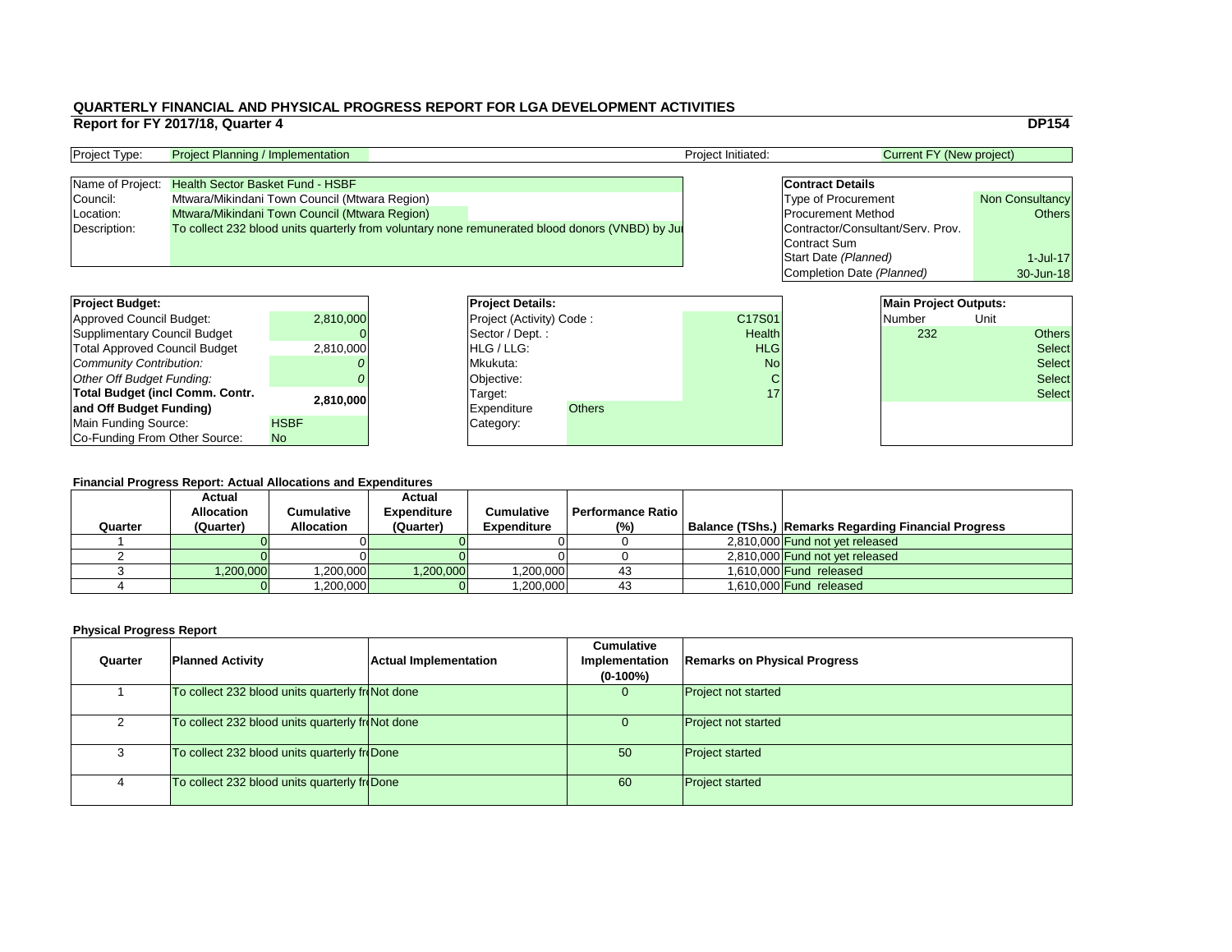|                         |                                   | <b>DP154</b>           |
|-------------------------|-----------------------------------|------------------------|
|                         | <b>Current FY (New project)</b>   |                        |
|                         |                                   |                        |
| <b>Contract Details</b> |                                   |                        |
|                         | <b>Type of Procurement</b>        | <b>Non Consultancy</b> |
|                         | <b>Procurement Method</b>         | <b>Others</b>          |
|                         | Contractor/Consultant/Serv. Prov. |                        |
| <b>Contract Sum</b>     |                                   |                        |
|                         | Start Date (Planned)              | $1$ -Jul-17            |
|                         | Completion Date (Planned)         | 30-Jun-18              |
|                         |                                   |                        |
|                         | <b>Main Project Outputs:</b>      |                        |
|                         | <b>Number</b>                     | Unit                   |

## **Financial Progress Report: Actual Allocations and Expenditures**

| <b>Project Budget:</b>                 |             | <b>Project Details:</b>              |               |               | <b>Main Project Outputs:</b> |      |               |
|----------------------------------------|-------------|--------------------------------------|---------------|---------------|------------------------------|------|---------------|
| <b>Approved Council Budget:</b>        | 2,810,000   | <b>Project (Activity) Code:</b>      |               | C17S01        | Number                       | Unit |               |
| <b>Supplimentary Council Budget</b>    |             | $\sqrt{\text{Sector}/\text{Dept}}$ : |               | <b>Health</b> | 232                          |      | <b>Others</b> |
| <b>Total Approved Council Budget</b>   | 2,810,000   | <b>HLG/LLG:</b>                      |               | <b>HLG</b>    |                              |      | <b>Select</b> |
| <b>Community Contribution:</b>         |             | Mkukuta:                             |               | <b>No</b>     |                              |      | <b>Select</b> |
| <b>Other Off Budget Funding:</b>       |             | Objective:                           |               |               |                              |      | <b>Select</b> |
| <b>Total Budget (incl Comm. Contr.</b> |             | Target:                              |               | 17            |                              |      | <b>Select</b> |
| and Off Budget Funding)                | 2,810,000   | <b>Expenditure</b>                   | <b>Others</b> |               |                              |      |               |
| <b>Main Funding Source:</b>            | <b>HSBF</b> | Category:                            |               |               |                              |      |               |
| Co-Funding From Other Source:          | <b>No</b>   |                                      |               |               |                              |      |               |

| <b>Project Type:</b> | <b>Project Planning / Implementation</b>                                                        | <b>Project Initiated:</b> | Current FY (New project)          |                        |
|----------------------|-------------------------------------------------------------------------------------------------|---------------------------|-----------------------------------|------------------------|
|                      |                                                                                                 |                           |                                   |                        |
| Name of Project:     | <b>Health Sector Basket Fund - HSBF</b>                                                         |                           | <b>Contract Details</b>           |                        |
| Council:             | Mtwara/Mikindani Town Council (Mtwara Region)                                                   |                           | <b>Type of Procurement</b>        | <b>Non Consultancy</b> |
| Location:            | Mtwara/Mikindani Town Council (Mtwara Region)                                                   |                           | <b>Procurement Method</b>         | <b>Others</b>          |
| Description:         | To collect 232 blood units quarterly from voluntary none remunerated blood donors (VNBD) by Jul |                           | Contractor/Consultant/Serv. Prov. |                        |
|                      |                                                                                                 |                           | Contract Sum                      |                        |

| Quarter | <b>Planned Activity</b>                          | <b>Actual Implementation</b> | <b>Cumulative</b><br>Implementation<br>$(0-100\%)$ | <b>Remarks on Physical Progress</b> |
|---------|--------------------------------------------------|------------------------------|----------------------------------------------------|-------------------------------------|
|         | To collect 232 blood units quarterly froNot done |                              | U                                                  | <b>Project not started</b>          |
|         | To collect 232 blood units quarterly froNot done |                              | $\overline{0}$                                     | <b>Project not started</b>          |
|         | To collect 232 blood units quarterly froDone     |                              | 50                                                 | <b>Project started</b>              |
|         | To collect 232 blood units quarterly froDone     |                              | 60                                                 | <b>Project started</b>              |

| <b>Project Budget:</b>                 |             | <b>Project Deta</b>   |
|----------------------------------------|-------------|-----------------------|
| <b>Approved Council Budget:</b>        | 2,810,000   | <b>Project (Activ</b> |
| <b>Supplimentary Council Budget</b>    |             | Sector / Dep          |
| <b>Total Approved Council Budget</b>   | 2,810,000   | HLG / LLG:            |
| Community Contribution:                |             | Mkukuta:              |
| Other Off Budget Funding:              |             | Objective:            |
| <b>Total Budget (incl Comm. Contr.</b> | 2,810,000   | Target:               |
| and Off Budget Funding)                |             | <b>Expenditure</b>    |
| <b>Main Funding Source:</b>            | <b>HSBF</b> | Category:             |
| Co-Funding From Other Source:          | <b>No</b>   |                       |

| Quarter | <b>Actual</b><br><b>Allocation</b><br>(Quarter) | Cumulative<br><b>Allocation</b> | <b>Actual</b><br><b>Expenditure</b><br>(Quarter) | <b>Cumulative</b><br><b>Expenditure</b> | <b>Performance Ratio</b> I<br>(% ) | Balance (TShs.) Remarks Regarding Financial Progress |
|---------|-------------------------------------------------|---------------------------------|--------------------------------------------------|-----------------------------------------|------------------------------------|------------------------------------------------------|
|         |                                                 |                                 |                                                  |                                         |                                    | 2,810,000 Fund not yet released                      |
|         |                                                 |                                 |                                                  |                                         |                                    | 2,810,000 Fund not yet released                      |
|         | 1,200,000                                       | ,200,000                        | ,200,000                                         | ,200,000                                | 43                                 | 1,610,000 Fund released                              |
|         |                                                 | ,200,000                        |                                                  | ,200,000                                | 43                                 | 1,610,000 <b>Fund released</b>                       |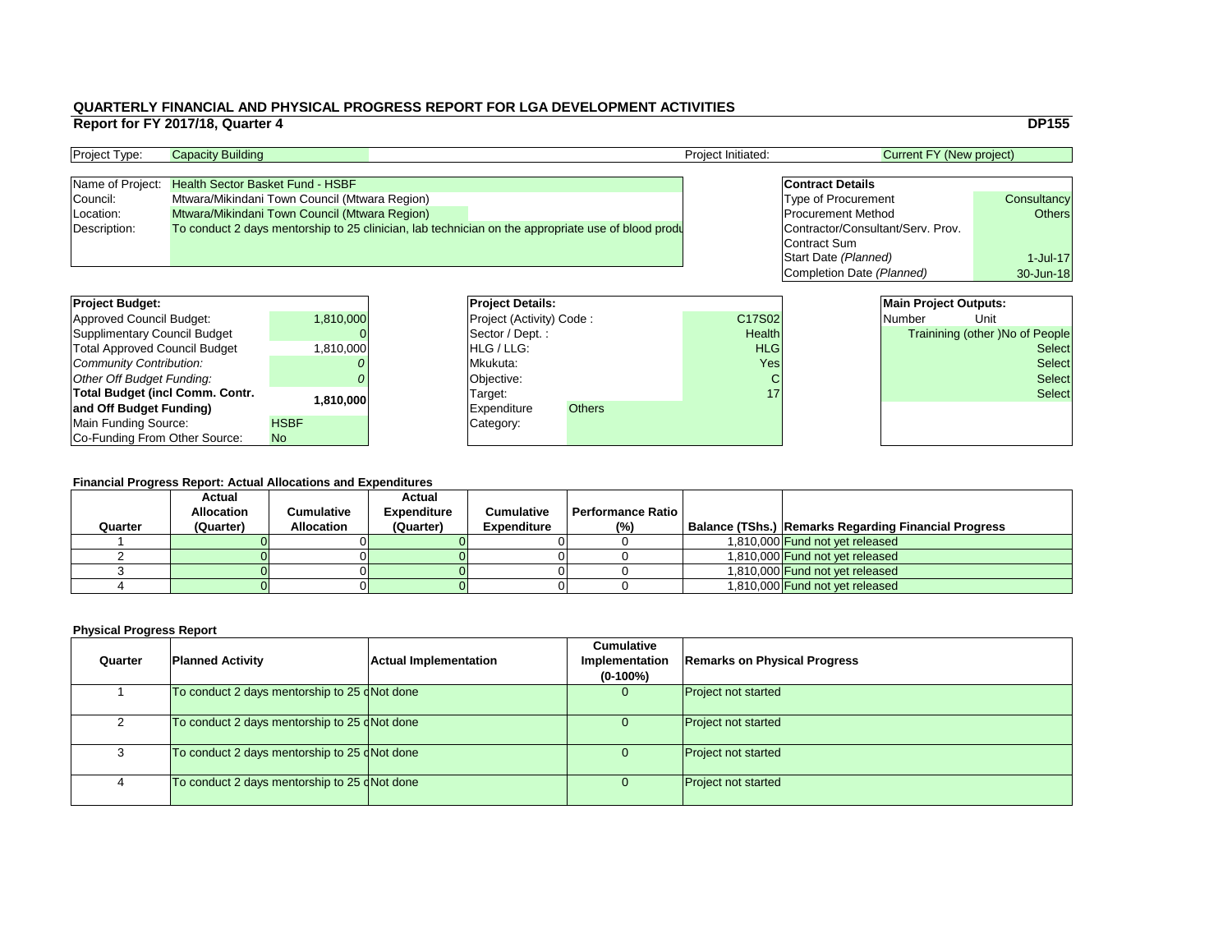#### **Financial Progress Report: Actual Allocations and Expenditures**

|                                        | Report for FY 2017/18, Quarter 4        |                                               |                          |                                                                                                    |                    |                                   |                                 | <b>DP155</b>                           |
|----------------------------------------|-----------------------------------------|-----------------------------------------------|--------------------------|----------------------------------------------------------------------------------------------------|--------------------|-----------------------------------|---------------------------------|----------------------------------------|
| Project Type:                          | <b>Capacity Building</b>                |                                               |                          |                                                                                                    | Project Initiated: |                                   | <b>Current FY (New project)</b> |                                        |
| Name of Project:                       | <b>Health Sector Basket Fund - HSBF</b> |                                               |                          |                                                                                                    |                    | <b>Contract Details</b>           |                                 |                                        |
| Council:                               |                                         | Mtwara/Mikindani Town Council (Mtwara Region) |                          |                                                                                                    |                    | <b>Type of Procurement</b>        |                                 | Consultancy                            |
| Location:                              |                                         | Mtwara/Mikindani Town Council (Mtwara Region) |                          |                                                                                                    |                    | <b>Procurement Method</b>         |                                 | <b>Others</b>                          |
| Description:                           |                                         |                                               |                          | To conduct 2 days mentorship to 25 clinician, lab technician on the appropriate use of blood produ |                    | Contractor/Consultant/Serv. Prov. |                                 |                                        |
|                                        |                                         |                                               |                          |                                                                                                    |                    | <b>IContract Sum</b>              |                                 |                                        |
|                                        |                                         |                                               |                          |                                                                                                    |                    | Start Date (Planned)              |                                 | $1$ -Jul-17                            |
|                                        |                                         |                                               |                          |                                                                                                    |                    | Completion Date (Planned)         |                                 | 30-Jun-18                              |
|                                        |                                         |                                               |                          |                                                                                                    |                    |                                   |                                 |                                        |
| <b>Project Budget:</b>                 |                                         |                                               | <b>Project Details:</b>  |                                                                                                    |                    |                                   | <b>Main Project Outputs:</b>    |                                        |
| <b>Approved Council Budget:</b>        |                                         | 1,810,000                                     | Project (Activity) Code: |                                                                                                    | C17S02             |                                   | <b>Number</b>                   | Unit                                   |
| <b>Supplimentary Council Budget</b>    |                                         |                                               | Sector / Dept.:          |                                                                                                    | Health             |                                   |                                 | <b>Trainining (other )No of People</b> |
| <b>Total Approved Council Budget</b>   |                                         | 1,810,000                                     | HLG / LLG:               |                                                                                                    | <b>HLG</b>         |                                   |                                 | <b>Select</b>                          |
| <b>Community Contribution:</b>         |                                         |                                               | Mkukuta:                 |                                                                                                    | Yes                |                                   |                                 | <b>Select</b>                          |
| <b>Other Off Budget Funding:</b>       |                                         |                                               | Objective:               |                                                                                                    |                    |                                   |                                 | <b>Select</b>                          |
| <b>Total Budget (incl Comm. Contr.</b> |                                         | 1,810,000                                     | Target:                  |                                                                                                    | 17                 |                                   |                                 | <b>Select</b>                          |
| and Off Budget Funding)                |                                         |                                               | <b>Expenditure</b>       | <b>Others</b>                                                                                      |                    |                                   |                                 |                                        |
| <b>Main Funding Source:</b>            |                                         | <b>HSBF</b>                                   | Category:                |                                                                                                    |                    |                                   |                                 |                                        |
| Co-Funding From Other Source:          |                                         | No                                            |                          |                                                                                                    |                    |                                   |                                 |                                        |

| <b>Project Type:</b> | <b>Capacity Building</b>                                                                           |  | Project Initiated: | <b>Current FY (New project)</b>   |               |
|----------------------|----------------------------------------------------------------------------------------------------|--|--------------------|-----------------------------------|---------------|
|                      |                                                                                                    |  |                    |                                   |               |
| Name of Project:     | <b>Health Sector Basket Fund - HSBF</b>                                                            |  |                    | <b>Contract Details</b>           |               |
| Council:             | Mtwara/Mikindani Town Council (Mtwara Region)                                                      |  |                    | <b>Type of Procurement</b>        | Consultancy   |
| Location:            | <b>Mtwara/Mikindani Town Council (Mtwara Region)</b>                                               |  |                    | <b>Procurement Method</b>         | <b>Others</b> |
| Description:         | To conduct 2 days mentorship to 25 clinician, lab technician on the appropriate use of blood produ |  |                    | Contractor/Consultant/Serv. Prov. |               |
|                      |                                                                                                    |  |                    | Contract Sum                      |               |

| <b>Project Budget:</b>                 |             | <b>Project Deta</b>   |
|----------------------------------------|-------------|-----------------------|
| <b>Approved Council Budget:</b>        | 1,810,000   | <b>Project (Activ</b> |
| <b>Supplimentary Council Budget</b>    |             | Sector / Dep          |
| <b>Total Approved Council Budget</b>   | 1,810,000   | HLG / LLG:            |
| Community Contribution:                |             | Mkukuta:              |
| Other Off Budget Funding:              |             | Objective:            |
| <b>Total Budget (incl Comm. Contr.</b> | 1,810,000   | Target:               |
| and Off Budget Funding)                |             | Expenditure           |
| Main Funding Source:                   | <b>HSBF</b> | Category:             |
| Co-Funding From Other Source:          | <b>No</b>   |                       |

| Quarter | <b>Actual</b><br><b>Allocation</b><br>(Quarter) | Cumulative<br><b>Allocation</b> | <b>Actual</b><br><b>Expenditure</b><br>(Quarter) | <b>Cumulative</b><br><b>Expenditure</b> | <b>Performance Ratio I</b><br>(%) | <b>Balance (TShs.) Remarks Regarding Financial Progress</b> |
|---------|-------------------------------------------------|---------------------------------|--------------------------------------------------|-----------------------------------------|-----------------------------------|-------------------------------------------------------------|
|         |                                                 |                                 |                                                  |                                         |                                   | 1,810,000 Fund not yet released                             |
|         |                                                 |                                 |                                                  |                                         |                                   | 1,810,000 Fund not yet released                             |
|         |                                                 |                                 |                                                  |                                         |                                   | 1,810,000 Fund not yet released                             |
|         |                                                 |                                 |                                                  |                                         |                                   | 1,810,000 Fund not yet released                             |

| Quarter | <b>Planned Activity</b>                      | <b>Actual Implementation</b> | <b>Cumulative</b><br>Implementation<br>$(0-100\%)$ | <b>Remarks on Physical Progress</b> |
|---------|----------------------------------------------|------------------------------|----------------------------------------------------|-------------------------------------|
|         | To conduct 2 days mentorship to 25 dNot done |                              |                                                    | <b>Project not started</b>          |
|         | To conduct 2 days mentorship to 25 dNot done |                              |                                                    | <b>Project not started</b>          |
|         | To conduct 2 days mentorship to 25 dNot done |                              |                                                    | <b>Project not started</b>          |
|         | To conduct 2 days mentorship to 25 dNot done |                              |                                                    | <b>Project not started</b>          |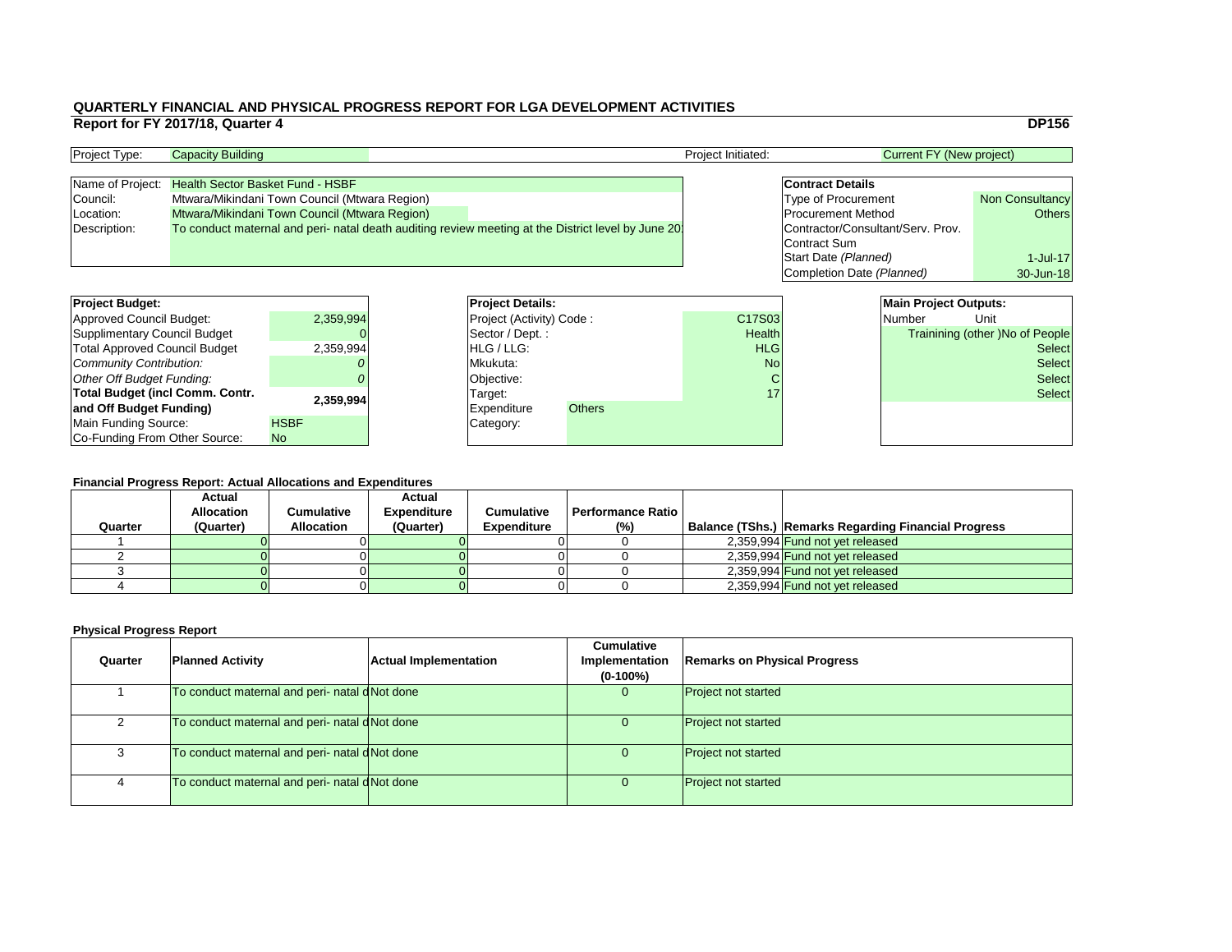#### **Financial Progress Report: Actual Allocations and Expenditures**

|                                        | Report for FY 2017/18, Quarter 4        |                                               |                          |                                                                                                    |                    |                                   |                                 | <b>DP156</b>                           |
|----------------------------------------|-----------------------------------------|-----------------------------------------------|--------------------------|----------------------------------------------------------------------------------------------------|--------------------|-----------------------------------|---------------------------------|----------------------------------------|
| Project Type:                          | <b>Capacity Building</b>                |                                               |                          |                                                                                                    | Project Initiated: |                                   | <b>Current FY (New project)</b> |                                        |
| Name of Project:                       | <b>Health Sector Basket Fund - HSBF</b> |                                               |                          |                                                                                                    |                    | <b>Contract Details</b>           |                                 |                                        |
| Council:                               |                                         | Mtwara/Mikindani Town Council (Mtwara Region) |                          |                                                                                                    |                    | <b>Type of Procurement</b>        |                                 | <b>Non Consultancy</b>                 |
| Location:                              |                                         | Mtwara/Mikindani Town Council (Mtwara Region) |                          |                                                                                                    |                    | <b>Procurement Method</b>         |                                 | <b>Others</b>                          |
| Description:                           |                                         |                                               |                          | To conduct maternal and peri- natal death auditing review meeting at the District level by June 20 |                    | Contractor/Consultant/Serv. Prov. |                                 |                                        |
|                                        |                                         |                                               |                          |                                                                                                    |                    | Contract Sum                      |                                 |                                        |
|                                        |                                         |                                               |                          |                                                                                                    |                    | Start Date (Planned)              |                                 | $1$ -Jul-17                            |
|                                        |                                         |                                               |                          |                                                                                                    |                    | Completion Date (Planned)         |                                 | 30-Jun-18                              |
|                                        |                                         |                                               |                          |                                                                                                    |                    |                                   |                                 |                                        |
| <b>Project Budget:</b>                 |                                         |                                               | <b>Project Details:</b>  |                                                                                                    |                    |                                   | <b>Main Project Outputs:</b>    |                                        |
| <b>Approved Council Budget:</b>        |                                         | 2,359,994                                     | Project (Activity) Code: |                                                                                                    | C17S03             |                                   | <b>Number</b>                   | Unit                                   |
| <b>Supplimentary Council Budget</b>    |                                         |                                               | Sector / Dept.:          |                                                                                                    | Health             |                                   |                                 | <b>Trainining (other )No of People</b> |
| <b>Total Approved Council Budget</b>   |                                         | 2,359,994                                     | HLG / LLG:               |                                                                                                    | <b>HLG</b>         |                                   |                                 | <b>Select</b>                          |
| <b>Community Contribution:</b>         |                                         |                                               | Mkukuta:                 |                                                                                                    | <b>No</b>          |                                   |                                 | <b>Select</b>                          |
| <b>Other Off Budget Funding:</b>       |                                         |                                               | Objective:               |                                                                                                    |                    |                                   |                                 | <b>Select</b>                          |
| <b>Total Budget (incl Comm. Contr.</b> |                                         |                                               | Target:                  |                                                                                                    | 17                 |                                   |                                 | <b>Select</b>                          |
| and Off Budget Funding)                |                                         | 2,359,994                                     | <b>Expenditure</b>       | <b>Others</b>                                                                                      |                    |                                   |                                 |                                        |
| <b>Main Funding Source:</b>            |                                         | <b>HSBF</b>                                   | Category:                |                                                                                                    |                    |                                   |                                 |                                        |
| Co-Funding From Other Source:          |                                         | No                                            |                          |                                                                                                    |                    |                                   |                                 |                                        |

| <b>Project Type:</b> | <b>Capacity Building</b>                                                                           | <b>Project Initiated:</b> | <b>Current FY (New project)</b>   |                        |
|----------------------|----------------------------------------------------------------------------------------------------|---------------------------|-----------------------------------|------------------------|
|                      |                                                                                                    |                           |                                   |                        |
|                      | Name of Project: Health Sector Basket Fund - HSBF                                                  |                           | <b>Contract Details</b>           |                        |
| Council:             | Mtwara/Mikindani Town Council (Mtwara Region)                                                      |                           | <b>Type of Procurement</b>        | <b>Non Consultancy</b> |
| Location:            | Mtwara/Mikindani Town Council (Mtwara Region)                                                      |                           | <b>Procurement Method</b>         | Others                 |
| Description:         | To conduct maternal and peri- natal death auditing review meeting at the District level by June 20 |                           | Contractor/Consultant/Serv. Prov. |                        |
|                      |                                                                                                    |                           | Contract Sum                      |                        |

| Quarter | <b>Planned Activity</b>                       | <b>Actual Implementation</b> | <b>Cumulative</b><br>Implementation<br>$(0-100\%)$ | <b>Remarks on Physical Progress</b> |
|---------|-----------------------------------------------|------------------------------|----------------------------------------------------|-------------------------------------|
|         | To conduct maternal and peri- natal dNot done |                              |                                                    | <b>Project not started</b>          |
|         | To conduct maternal and peri- natal dNot done |                              |                                                    | <b>Project not started</b>          |
|         | To conduct maternal and peri- natal dNot done |                              |                                                    | <b>Project not started</b>          |
|         | To conduct maternal and peri- natal dNot done |                              |                                                    | <b>Project not started</b>          |

| <b>Project Budget:</b>                 |             | <b>Project Deta</b>   |
|----------------------------------------|-------------|-----------------------|
| <b>Approved Council Budget:</b>        | 2,359,994   | <b>Project (Activ</b> |
| <b>Supplimentary Council Budget</b>    |             | Sector / Dep          |
| <b>Total Approved Council Budget</b>   | 2,359,994   | HLG / LLG:            |
| Community Contribution:                |             | Mkukuta:              |
| Other Off Budget Funding:              |             | Objective:            |
| <b>Total Budget (incl Comm. Contr.</b> | 2,359,994   | Target:               |
| and Off Budget Funding)                |             | <b>Expenditure</b>    |
| <b>Main Funding Source:</b>            | <b>HSBF</b> | Category:             |
| Co-Funding From Other Source:          | <b>No</b>   |                       |

|         | T Mancial TTOGLESS REPORT. ACLUAT ANOCALIONS AND LAPENDIUM EST |                   |                    |                    |                            |  |                                                             |  |  |  |
|---------|----------------------------------------------------------------|-------------------|--------------------|--------------------|----------------------------|--|-------------------------------------------------------------|--|--|--|
|         | <b>Actual</b>                                                  |                   | <b>Actual</b>      |                    |                            |  |                                                             |  |  |  |
|         | <b>Allocation</b>                                              | Cumulative        | <b>Expenditure</b> | <b>Cumulative</b>  | <b>Performance Ratio I</b> |  |                                                             |  |  |  |
| Quarter | (Quarter)                                                      | <b>Allocation</b> | (Quarter)          | <b>Expenditure</b> | (% )                       |  | <b>Balance (TShs.) Remarks Regarding Financial Progress</b> |  |  |  |
|         |                                                                |                   |                    |                    |                            |  | 2,359,994 Fund not yet released                             |  |  |  |
|         |                                                                |                   |                    |                    |                            |  | 2,359,994 Fund not yet released                             |  |  |  |
|         |                                                                |                   |                    |                    |                            |  | 2,359,994 Fund not yet released                             |  |  |  |
|         |                                                                |                   |                    |                    |                            |  | 2,359,994 Fund not yet released                             |  |  |  |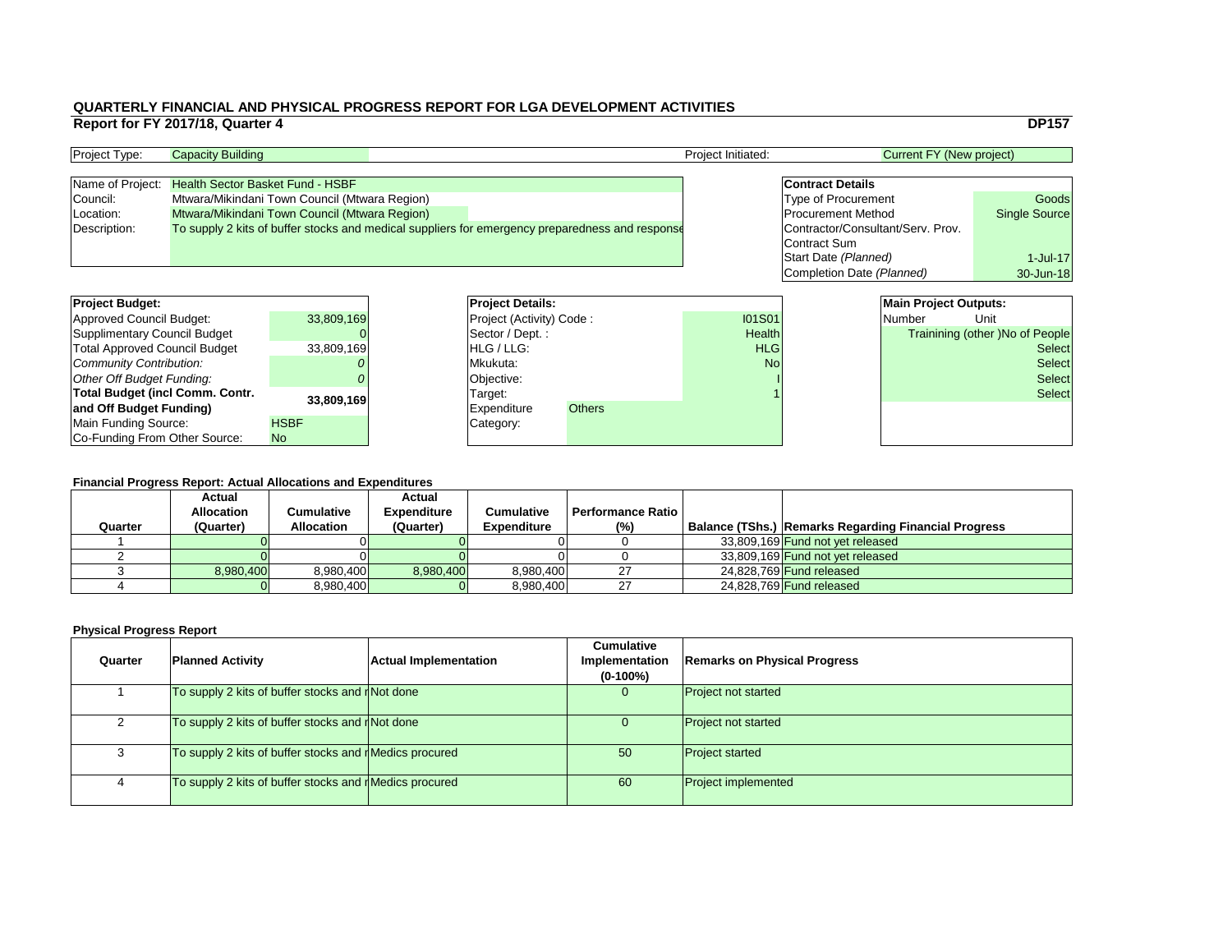#### **Financial Progress Report: Actual Allocations and Expenditures**

|                                        | Report for FY 2017/18, Quarter 4        |                                               |                          |                                                                                                 |                    |                                   |                                 | <b>DP157</b>                    |
|----------------------------------------|-----------------------------------------|-----------------------------------------------|--------------------------|-------------------------------------------------------------------------------------------------|--------------------|-----------------------------------|---------------------------------|---------------------------------|
| Project Type:                          | <b>Capacity Building</b>                |                                               |                          |                                                                                                 | Project Initiated: |                                   | <b>Current FY (New project)</b> |                                 |
| Name of Project:                       | <b>Health Sector Basket Fund - HSBF</b> |                                               |                          |                                                                                                 |                    | <b>Contract Details</b>           |                                 |                                 |
| Council:                               |                                         | Mtwara/Mikindani Town Council (Mtwara Region) |                          |                                                                                                 |                    | <b>Type of Procurement</b>        |                                 | Goods                           |
| Location:                              |                                         | Mtwara/Mikindani Town Council (Mtwara Region) |                          |                                                                                                 |                    | <b>Procurement Method</b>         |                                 | <b>Single Source</b>            |
| Description:                           |                                         |                                               |                          | To supply 2 kits of buffer stocks and medical suppliers for emergency preparedness and response |                    | Contractor/Consultant/Serv. Prov. |                                 |                                 |
|                                        |                                         |                                               |                          |                                                                                                 |                    | <b>Contract Sum</b>               |                                 |                                 |
|                                        |                                         |                                               |                          |                                                                                                 |                    | Start Date (Planned)              |                                 | $1$ -Jul-17                     |
|                                        |                                         |                                               |                          |                                                                                                 |                    | Completion Date (Planned)         |                                 | 30-Jun-18                       |
|                                        |                                         |                                               |                          |                                                                                                 |                    |                                   |                                 |                                 |
| <b>Project Budget:</b>                 |                                         |                                               | <b>Project Details:</b>  |                                                                                                 |                    |                                   | <b>Main Project Outputs:</b>    |                                 |
| <b>Approved Council Budget:</b>        |                                         | 33,809,169                                    | Project (Activity) Code: |                                                                                                 | <b>I01S01</b>      |                                   | <b>Number</b>                   | Unit                            |
| <b>Supplimentary Council Budget</b>    |                                         |                                               | Sector / Dept.:          |                                                                                                 | Health             |                                   |                                 | Trainining (other )No of People |
| <b>Total Approved Council Budget</b>   |                                         | 33,809,169                                    | HLG / LLG:               |                                                                                                 | <b>HLG</b>         |                                   |                                 | <b>Select</b>                   |
| <b>Community Contribution:</b>         |                                         |                                               | Mkukuta:                 |                                                                                                 | <b>No</b>          |                                   |                                 | <b>Select</b>                   |
| <b>Other Off Budget Funding:</b>       |                                         |                                               | Objective:               |                                                                                                 |                    |                                   |                                 | <b>Select</b>                   |
| <b>Total Budget (incl Comm. Contr.</b> |                                         |                                               | Target:                  |                                                                                                 |                    |                                   |                                 | <b>Select</b>                   |
| and Off Budget Funding)                |                                         | 33,809,169                                    | <b>Expenditure</b>       | <b>Others</b>                                                                                   |                    |                                   |                                 |                                 |
| <b>Main Funding Source:</b>            |                                         | <b>HSBF</b>                                   | Category:                |                                                                                                 |                    |                                   |                                 |                                 |
| Co-Funding From Other Source:          |                                         | No.                                           |                          |                                                                                                 |                    |                                   |                                 |                                 |

| <b>Project Type:</b> | <b>Capacity Building</b>                                                                        | <b>Project Initiated:</b> | Current FY (New project)          |                      |
|----------------------|-------------------------------------------------------------------------------------------------|---------------------------|-----------------------------------|----------------------|
|                      |                                                                                                 |                           |                                   |                      |
| Name of Project:     | <b>Health Sector Basket Fund - HSBF</b>                                                         |                           | <b>Contract Details</b>           |                      |
| Council:             | Mtwara/Mikindani Town Council (Mtwara Region)                                                   |                           | <b>Type of Procurement</b>        | Goods                |
| (Location:           | Mtwara/Mikindani Town Council (Mtwara Region)                                                   |                           | <b>Procurement Method</b>         | <b>Single Source</b> |
| Description:         | To supply 2 kits of buffer stocks and medical suppliers for emergency preparedness and response |                           | Contractor/Consultant/Serv. Prov. |                      |
|                      |                                                                                                 |                           | Contract Sum                      |                      |

| Quarter | <b>Planned Activity</b>                                      | <b>Actual Implementation</b> | <b>Cumulative</b><br>Implementation<br>$(0-100\%)$ | <b>Remarks on Physical Progress</b> |
|---------|--------------------------------------------------------------|------------------------------|----------------------------------------------------|-------------------------------------|
|         | To supply 2 kits of buffer stocks and $\frac{1}{1}$ Not done |                              |                                                    | <b>Project not started</b>          |
|         | To supply 2 kits of buffer stocks and r Not done             |                              |                                                    | <b>Project not started</b>          |
|         | To supply 2 kits of buffer stocks and rMedics procured       |                              | 50                                                 | <b>Project started</b>              |
| 4       | To supply 2 kits of buffer stocks and rMedics procured       |                              | 60                                                 | <b>Project implemented</b>          |

| <b>Project Budget:</b>                 |             | <b>Project Deta</b>   |
|----------------------------------------|-------------|-----------------------|
| <b>Approved Council Budget:</b>        | 33,809,169  | <b>Project (Activ</b> |
| <b>Supplimentary Council Budget</b>    |             | Sector / Dep          |
| <b>Total Approved Council Budget</b>   | 33,809,169  | HLG / LLG:            |
| Community Contribution:                |             | Mkukuta:              |
| Other Off Budget Funding:              |             | Objective:            |
| <b>Total Budget (incl Comm. Contr.</b> | 33,809,169  | Target:               |
| and Off Budget Funding)                |             | <b>Expenditure</b>    |
| Main Funding Source:                   | <b>HSBF</b> | Category:             |
| Co-Funding From Other Source:          | <b>No</b>   |                       |

| i mandai i Togress Report. Aduar Anodatons and Expenditures |                   |                   |                    |                    |                   |  |                                                             |  |
|-------------------------------------------------------------|-------------------|-------------------|--------------------|--------------------|-------------------|--|-------------------------------------------------------------|--|
|                                                             | <b>Actual</b>     |                   | <b>Actual</b>      |                    |                   |  |                                                             |  |
|                                                             | <b>Allocation</b> | Cumulative        | <b>Expenditure</b> | <b>Cumulative</b>  | Performance Ratio |  |                                                             |  |
| Quarter                                                     | (Quarter)         | <b>Allocation</b> | (Quarter)          | <b>Expenditure</b> | (% )              |  | <b>Balance (TShs.) Remarks Regarding Financial Progress</b> |  |
|                                                             |                   |                   |                    |                    |                   |  | 33,809,169 Fund not yet released                            |  |
|                                                             |                   |                   |                    |                    |                   |  | 33,809,169 Fund not yet released                            |  |
|                                                             | 8,980,400         | 8,980,400         | 8,980,400          | 8,980,400          | ົດ                |  | 24,828,769 <b>Fund released</b>                             |  |
|                                                             |                   | 8,980,400         |                    | 8,980,400          | רח                |  | 24,828,769 Fund released                                    |  |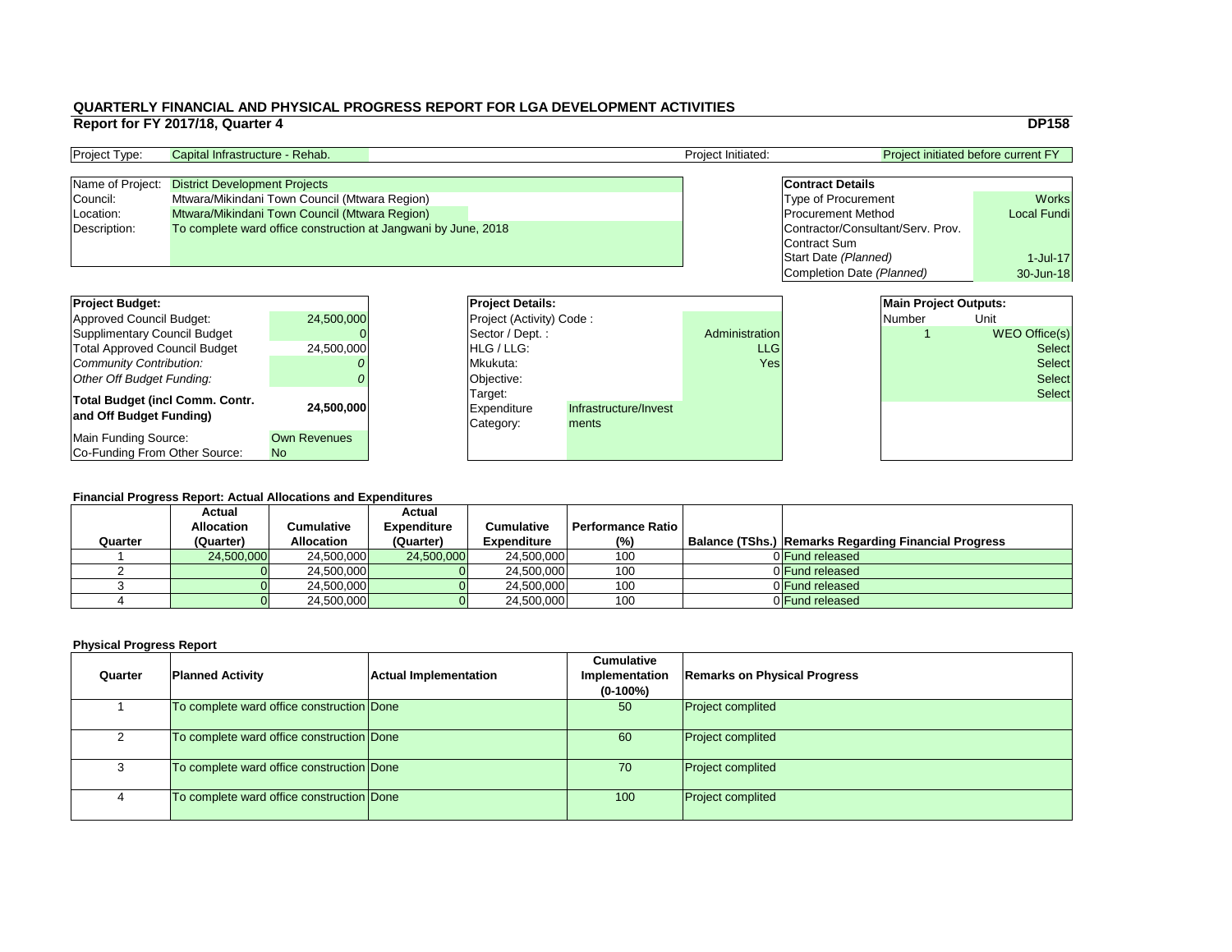| <b>Project Details:</b>  |                       |                       | <b>Main Project Outputs:</b> |               |
|--------------------------|-----------------------|-----------------------|------------------------------|---------------|
| Project (Activity) Code: |                       |                       | Number                       | Unit          |
| Sector / Dept.:          |                       | <b>Administration</b> | 1                            | WEO Office(s) |
| HLG / LLG:               |                       | <b>LLG</b>            |                              | <b>Select</b> |
| Mkukuta:                 |                       | Yes                   |                              | <b>Select</b> |
| Objective:               |                       |                       |                              | <b>Select</b> |
| Target:                  |                       |                       |                              | <b>Select</b> |
| <b>Expenditure</b>       | Infrastructure/Invest |                       |                              |               |
| Category:                | ments                 |                       |                              |               |
|                          |                       |                       |                              |               |
|                          |                       |                       |                              |               |

#### **Financial Progress Report: Actual Allocations and Expenditures**

| <b>Project Budget:</b>                 |                     | <b>Project Details:</b>         |                       |                | <b>Main Project Outputs:</b> |        |                      |
|----------------------------------------|---------------------|---------------------------------|-----------------------|----------------|------------------------------|--------|----------------------|
| Approved Council Budget:               | 24,500,000          | <b>Project (Activity) Code:</b> |                       |                |                              | Number | Unit                 |
| Supplimentary Council Budget           |                     | Sector / Dept.:                 |                       | Administration |                              |        | <b>WEO Office(s)</b> |
| <b>Total Approved Council Budget</b>   | 24,500,000          | <b>HLG</b> / LLG:               |                       | <b>LLG</b>     |                              |        | <b>Select</b>        |
| Community Contribution:                |                     | Mkukuta:                        |                       | Yes            |                              |        | <b>Select</b>        |
| Other Off Budget Funding:              |                     | Objective:                      |                       |                |                              |        | <b>Select</b>        |
| <b>Total Budget (incl Comm. Contr.</b> |                     | Target:                         |                       |                |                              |        | <b>Select</b>        |
| and Off Budget Funding)                | 24,500,000          | <b>Expenditure</b>              | Infrastructure/Invest |                |                              |        |                      |
|                                        |                     | Category:                       | ments                 |                |                              |        |                      |
| Main Funding Source:                   | <b>Own Revenues</b> |                                 |                       |                |                              |        |                      |
| Co-Funding From Other Source:          | <b>No</b>           |                                 |                       |                |                              |        |                      |

| <b>Project Type:</b> | Capital Infrastructure - Rehab.                                | <b>Project Initiated:</b> | <b>Project initiated before current FY</b> |                    |  |
|----------------------|----------------------------------------------------------------|---------------------------|--------------------------------------------|--------------------|--|
|                      | Name of Project: District Development Projects                 |                           | <b>Contract Details</b>                    |                    |  |
| Council:             | Mtwara/Mikindani Town Council (Mtwara Region)                  |                           | <b>Type of Procurement</b>                 | <b>Works</b>       |  |
| Location:            | Mtwara/Mikindani Town Council (Mtwara Region)                  |                           | <b>Procurement Method</b>                  | <b>Local Fundi</b> |  |
| Description:         | To complete ward office construction at Jangwani by June, 2018 |                           | Contractor/Consultant/Serv. Prov.          |                    |  |
|                      |                                                                |                           | Contract Sum                               |                    |  |
|                      |                                                                |                           | Start Date (Planned)                       | 1-Jul-17           |  |
|                      |                                                                |                           | Completion Date (Planned)                  | 30-Jun-18          |  |

|         | <b>Actual</b>     |                   | <b>Actual</b>      |                    |                          |                                                             |
|---------|-------------------|-------------------|--------------------|--------------------|--------------------------|-------------------------------------------------------------|
|         | <b>Allocation</b> | Cumulative        | <b>Expenditure</b> | <b>Cumulative</b>  | <b>Performance Ratio</b> |                                                             |
| Quarter | (Quarter)         | <b>Allocation</b> | (Quarter)          | <b>Expenditure</b> | (%)                      | <b>Balance (TShs.) Remarks Regarding Financial Progress</b> |
|         | 24,500,000        | 24,500,000        | 24,500,000         | 24,500,000         | 100                      | 0 Fund released                                             |
|         |                   | 24,500,000        |                    | 24,500,000         | 100                      | 0 Fund released                                             |
|         |                   | 24,500,000        |                    | 24,500,000         | 100                      | 0 Fund released                                             |
|         |                   | 24,500,000        |                    | 24,500,000         | 100                      | 0 Fund released                                             |

| Quarter | <b>Planned Activity</b>                   | <b>Actual Implementation</b> | <b>Cumulative</b><br>Implementation<br>$(0-100\%)$ | <b>Remarks on Physical Progress</b> |
|---------|-------------------------------------------|------------------------------|----------------------------------------------------|-------------------------------------|
|         | To complete ward office construction Done |                              | 50                                                 | <b>Project complited</b>            |
|         | To complete ward office construction Done |                              | 60                                                 | <b>Project complited</b>            |
| 3       | To complete ward office construction Done |                              | 70                                                 | <b>Project complited</b>            |
| 4       | To complete ward office construction Done |                              | 100                                                | <b>Project complited</b>            |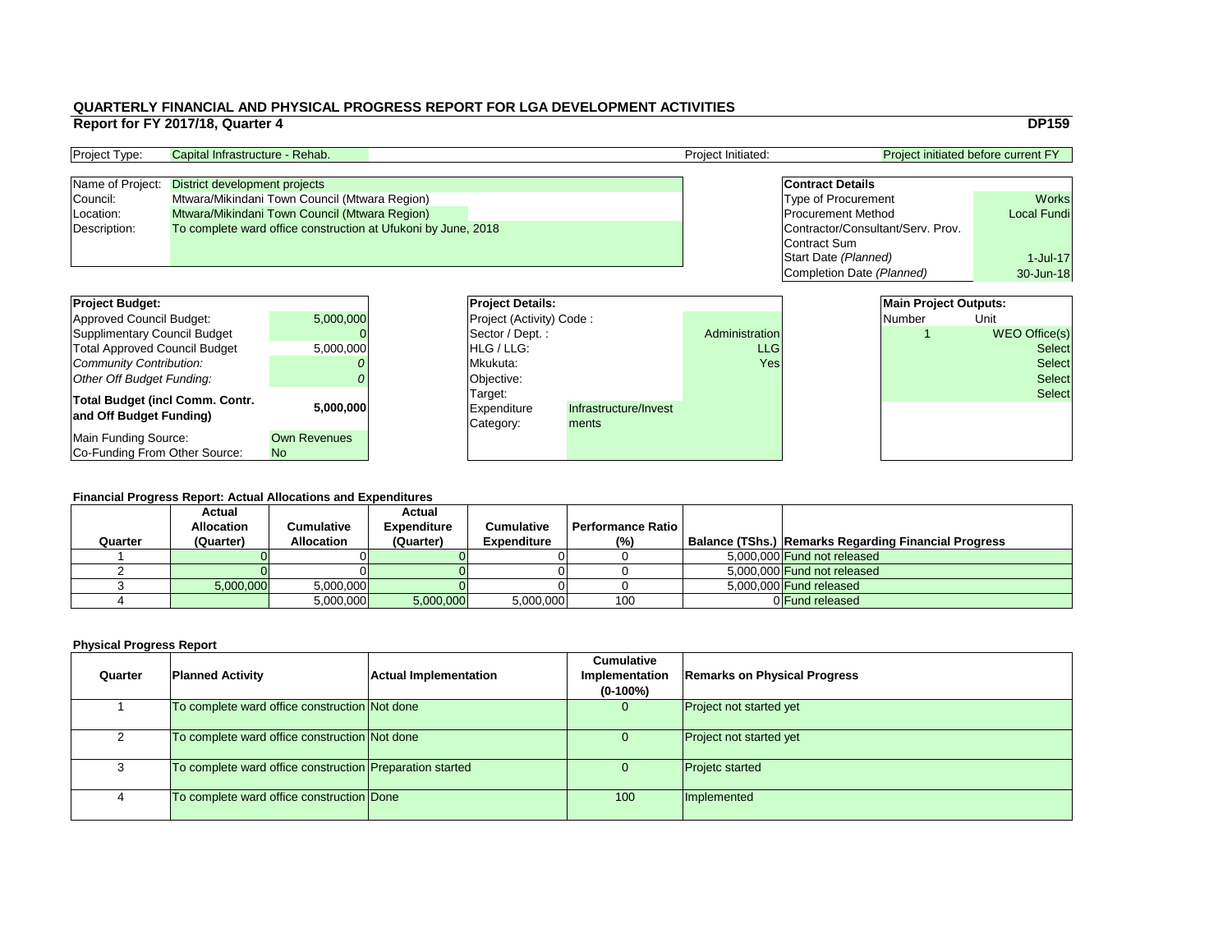| Project Type:    | Capital Infrastructure - Rehab.                               | <b>Project Initiated:</b> | <b>Project initiated before current FY</b> |                    |  |
|------------------|---------------------------------------------------------------|---------------------------|--------------------------------------------|--------------------|--|
| Name of Project: | District development projects                                 |                           | <b>Contract Details</b>                    |                    |  |
| Council:         | Mtwara/Mikindani Town Council (Mtwara Region)                 |                           | <b>Type of Procurement</b>                 | <b>Works</b>       |  |
| Location:        | Mtwara/Mikindani Town Council (Mtwara Region)                 |                           | <b>Procurement Method</b>                  | <b>Local Fundi</b> |  |
| Description:     | To complete ward office construction at Ufukoni by June, 2018 |                           | Contractor/Consultant/Serv. Prov.          |                    |  |
|                  |                                                               |                           | Contract Sum                               |                    |  |
|                  |                                                               |                           | Start Date (Planned)                       | $1$ -Jul-17        |  |
|                  |                                                               |                           | Completion Date (Planned)                  | 30-Jun-18          |  |

# **Financial Progress Report: Actual Allocations and Expenditures**

| <b>Project Budget:</b>                 |                     |  | <b>Project Details:</b>         |                       |                | <b>Main Project Outputs:</b> |               |
|----------------------------------------|---------------------|--|---------------------------------|-----------------------|----------------|------------------------------|---------------|
| <b>Approved Council Budget:</b>        | 5,000,000           |  | <b>Project (Activity) Code:</b> |                       |                | Number                       | Unit          |
| <b>Supplimentary Council Budget</b>    |                     |  | Sector / Dept.:                 |                       | Administration |                              | WEO Office(s) |
| <b>Total Approved Council Budget</b>   | 5,000,000           |  | <b>HLG</b> / LLG:               |                       | <b>LLG</b>     |                              | Select        |
| <b>Community Contribution:</b>         |                     |  | Mkukuta:                        |                       | Yes            |                              | Select        |
| <b>Other Off Budget Funding:</b>       |                     |  | Objective:                      |                       |                |                              | <b>Select</b> |
| <b>Total Budget (incl Comm. Contr.</b> |                     |  | Target:                         |                       |                |                              | <b>Select</b> |
| and Off Budget Funding)                | 5,000,000           |  | Expenditure                     | Infrastructure/Invest |                |                              |               |
|                                        |                     |  | Category:                       | ments                 |                |                              |               |
| <b>Main Funding Source:</b>            | <b>Own Revenues</b> |  |                                 |                       |                |                              |               |
| Co-Funding From Other Source:          | N <sub>o</sub>      |  |                                 |                       |                |                              |               |

| <b>Project Budget:</b>                                     |                     | <b>Project Deta</b>                        |
|------------------------------------------------------------|---------------------|--------------------------------------------|
| <b>Approved Council Budget:</b>                            | 5,000,000           | <b>Project (Activ</b>                      |
| <b>Supplimentary Council Budget</b>                        |                     | Sector / Dep                               |
| <b>Total Approved Council Budget</b>                       | 5,000,000           | HLG / LLG:                                 |
| Community Contribution:                                    |                     | Mkukuta:                                   |
| <b>Other Off Budget Funding:</b>                           |                     | Objective:                                 |
| Total Budget (incl Comm. Contr.<br>and Off Budget Funding) | 5,000,000           | Target:<br><b>Expenditure</b><br>Category: |
| <b>Main Funding Source:</b>                                | <b>Own Revenues</b> |                                            |
| Co-Funding From Other Source:                              | <b>No</b>           |                                            |

|         | <b>Actual</b><br><b>Allocation</b> | Cumulative        | <b>Actual</b><br><b>Expenditure</b> | <b>Cumulative</b>  | <b>Performance Ratio</b> |                                                             |
|---------|------------------------------------|-------------------|-------------------------------------|--------------------|--------------------------|-------------------------------------------------------------|
| Quarter | (Quarter)                          | <b>Allocation</b> | (Quarter)                           | <b>Expenditure</b> | (%)                      | <b>Balance (TShs.) Remarks Regarding Financial Progress</b> |
|         |                                    |                   |                                     |                    |                          | 5,000,000 Fund not released                                 |
|         |                                    |                   |                                     |                    |                          | 5,000,000 Fund not released                                 |
|         | 5,000,000                          | 5,000,000         |                                     |                    |                          | 5,000,000 Fund released                                     |
|         |                                    | 5,000,000         | 5,000,000                           | 5,000,000          | 100                      | 0 Fund released                                             |

| Quarter | <b>Planned Activity</b>                                  | <b>Actual Implementation</b> | <b>Cumulative</b><br>Implementation<br>$(0-100\%)$ | <b>Remarks on Physical Progress</b> |
|---------|----------------------------------------------------------|------------------------------|----------------------------------------------------|-------------------------------------|
|         | To complete ward office construction Not done            |                              | $\mathbf{0}$                                       | <b>Project not started yet</b>      |
|         | To complete ward office construction Not done            |                              |                                                    | <b>Project not started yet</b>      |
|         | To complete ward office construction Preparation started |                              | U                                                  | <b>Projetc started</b>              |
|         | To complete ward office construction Done                |                              | 100                                                | Implemented                         |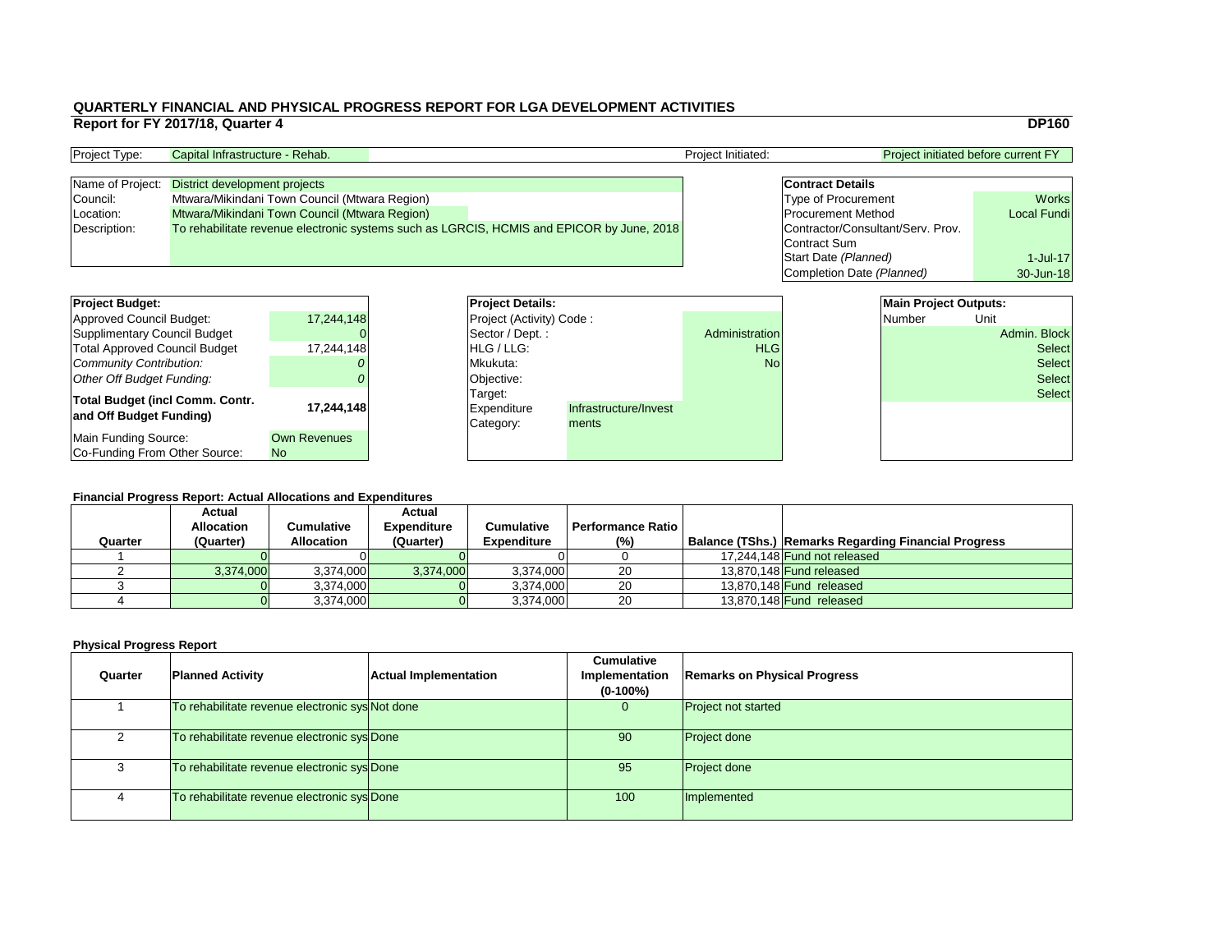| <b>Project initiated before current FY</b> |                    |  |  |  |  |  |  |
|--------------------------------------------|--------------------|--|--|--|--|--|--|
|                                            |                    |  |  |  |  |  |  |
| <b>Contract Details</b>                    |                    |  |  |  |  |  |  |
| <b>Type of Procurement</b>                 | <b>Works</b>       |  |  |  |  |  |  |
| <b>Procurement Method</b>                  | <b>Local Fundi</b> |  |  |  |  |  |  |
| Contractor/Consultant/Serv. Prov.          |                    |  |  |  |  |  |  |
| <b>Contract Sum</b>                        |                    |  |  |  |  |  |  |
| Start Date (Planned)                       | $1$ -Jul-17        |  |  |  |  |  |  |
| Completion Date (Planned)                  | 30-Jun-18          |  |  |  |  |  |  |

#### **Financial Progress Report: Actual Allocations and Expenditures**

| <b>Project Budget:</b>                 |                     | <b>Project Details:</b>         |                       |                |  | <b>Main Project Outputs:</b> |               |
|----------------------------------------|---------------------|---------------------------------|-----------------------|----------------|--|------------------------------|---------------|
| <b>Approved Council Budget:</b>        | 17,244,148          | <b>Project (Activity) Code:</b> |                       |                |  | <b>Number</b>                | Unit          |
| <b>Supplimentary Council Budget</b>    |                     | Sector / Dept.:                 |                       | Administration |  |                              | Admin. Block  |
| <b>Total Approved Council Budget</b>   | 17,244,148          | <b>HLG</b> / LLG:               |                       | <b>HLG</b>     |  |                              | <b>Select</b> |
| <b>Community Contribution:</b>         |                     | Mkukuta:                        |                       | <b>No</b>      |  |                              | <b>Select</b> |
| <b>Other Off Budget Funding:</b>       |                     | Objective:                      |                       |                |  |                              | <b>Select</b> |
| <b>Total Budget (incl Comm. Contr.</b> |                     | Target:                         |                       |                |  |                              | <b>Select</b> |
| and Off Budget Funding)                | 17,244,148          | <b>Expenditure</b>              | Infrastructure/Invest |                |  |                              |               |
|                                        |                     | Category:                       | ments                 |                |  |                              |               |
| <b>Main Funding Source:</b>            | <b>Own Revenues</b> |                                 |                       |                |  |                              |               |
| Co-Funding From Other Source:          | N <sub>o</sub>      |                                 |                       |                |  |                              |               |

| <b>Project Type:</b> | Capital Infrastructure - Rehab.                |  |                                                                                           | <b>Project Initiated:</b> |                                   | <b>Project initiated before current FY</b> |  |
|----------------------|------------------------------------------------|--|-------------------------------------------------------------------------------------------|---------------------------|-----------------------------------|--------------------------------------------|--|
|                      |                                                |  |                                                                                           |                           |                                   |                                            |  |
|                      | Name of Project: District development projects |  |                                                                                           |                           | <b>Contract Details</b>           |                                            |  |
| Council:             | Mtwara/Mikindani Town Council (Mtwara Region)  |  |                                                                                           |                           | <b>Type of Procurement</b>        | <b>Works</b>                               |  |
| Location:            | Mtwara/Mikindani Town Council (Mtwara Region)  |  |                                                                                           |                           | <b>Procurement Method</b>         | <b>Local Fundi</b>                         |  |
| Description:         |                                                |  | To rehabilitate revenue electronic systems such as LGRCIS, HCMIS and EPICOR by June, 2018 |                           | Contractor/Consultant/Serv. Prov. |                                            |  |
|                      |                                                |  |                                                                                           |                           | Contract Sum                      |                                            |  |

| <b>Project Budget:</b>                                            |                                  | <b>Project Deta</b>                 |
|-------------------------------------------------------------------|----------------------------------|-------------------------------------|
| <b>Approved Council Budget:</b>                                   | 17,244,148                       | <b>Project (Activ</b>               |
| <b>Supplimentary Council Budget</b>                               |                                  | Sector / Dep                        |
| <b>Total Approved Council Budget</b>                              | 17,244,148                       | HLG / LLG:                          |
| <b>Community Contribution:</b>                                    |                                  | Mkukuta:                            |
| <b>Other Off Budget Funding:</b>                                  |                                  | Objective:                          |
| <b>Total Budget (incl Comm. Contr.</b><br>and Off Budget Funding) | 17,244,148                       | Target:<br>Expenditure<br>Category: |
| <b>Main Funding Source:</b><br>Co-Funding From Other Source:      | <b>Own Revenues</b><br><b>No</b> |                                     |

|         | <b>Actual</b><br><b>Allocation</b> | <b>Cumulative</b> | <b>Actual</b><br><b>Expenditure</b> | <b>Cumulative</b>  | <b>Performance Ratio</b> I |                                                             |
|---------|------------------------------------|-------------------|-------------------------------------|--------------------|----------------------------|-------------------------------------------------------------|
| Quarter | (Quarter)                          | <b>Allocation</b> | (Quarter)                           | <b>Expenditure</b> | $(\%)$                     | <b>Balance (TShs.) Remarks Regarding Financial Progress</b> |
|         |                                    |                   |                                     |                    |                            | 17,244,148 Fund not released                                |
|         | 3,374,000                          | 3,374,000         | 3,374,000                           | 3,374,000          | 20                         | 13,870,148 <b>Fund released</b>                             |
|         |                                    | 3,374,000         |                                     | 3,374,000          | 20                         | 13,870,148 Fund released                                    |
|         |                                    | 3,374,000         |                                     | 3,374,000          | 20                         | 13,870,148 <b>Fund released</b>                             |

| Quarter | <b>Planned Activity</b>                         | <b>Actual Implementation</b> | <b>Cumulative</b><br><b>Implementation</b><br>$(0-100\%)$ | <b>Remarks on Physical Progress</b> |
|---------|-------------------------------------------------|------------------------------|-----------------------------------------------------------|-------------------------------------|
|         | To rehabilitate revenue electronic sys Not done |                              | $\overline{0}$                                            | <b>Project not started</b>          |
|         | To rehabilitate revenue electronic sys Done     |                              | 90                                                        | <b>Project done</b>                 |
|         | To rehabilitate revenue electronic sys Done     |                              | 95                                                        | <b>Project done</b>                 |
|         | To rehabilitate revenue electronic sys Done     |                              | 100                                                       | Implemented                         |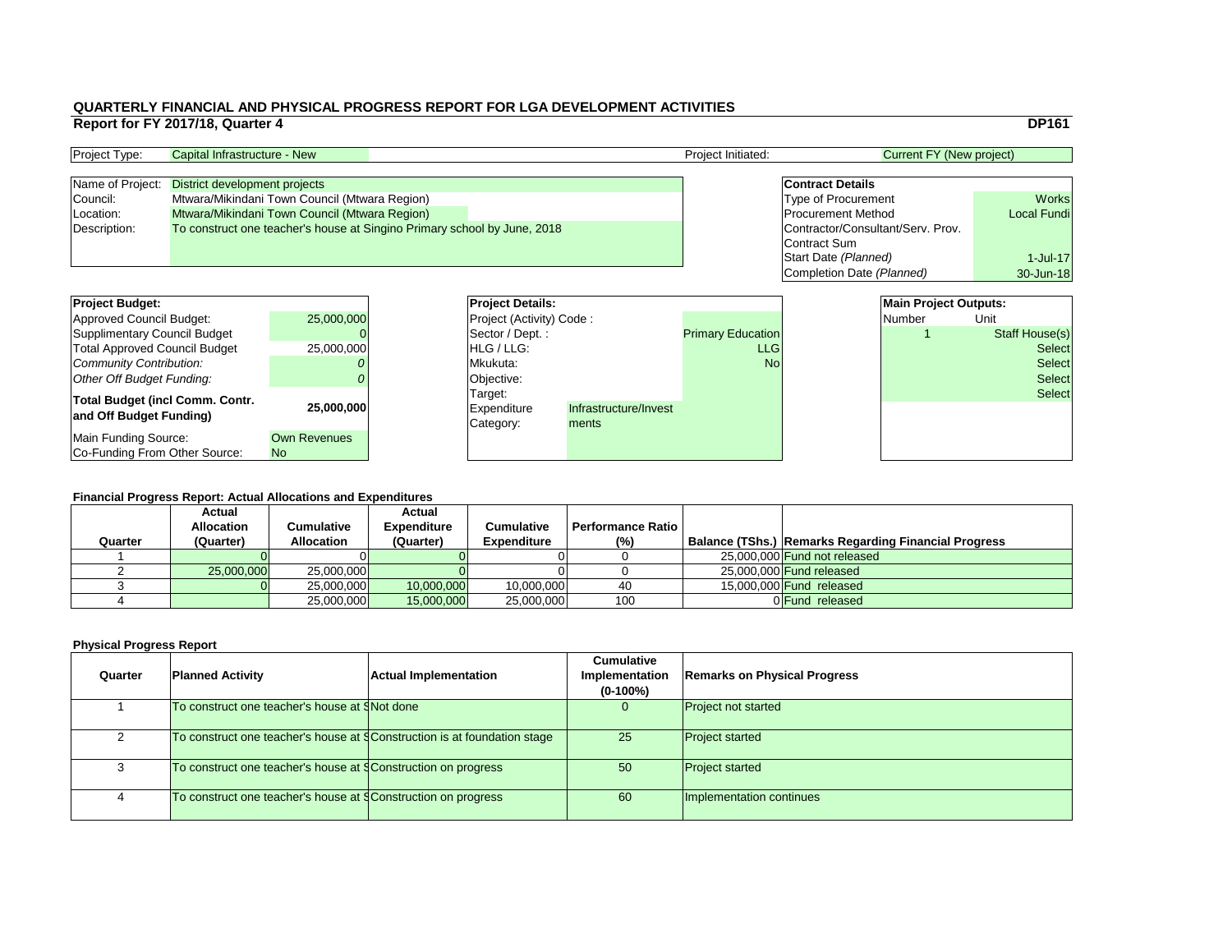|                                        | Report for FY 2017/18, Quarter 4    |                                                                          |                          |                       |                          |                                   |                                 | <b>DP161</b>          |
|----------------------------------------|-------------------------------------|--------------------------------------------------------------------------|--------------------------|-----------------------|--------------------------|-----------------------------------|---------------------------------|-----------------------|
| Project Type:                          | <b>Capital Infrastructure - New</b> |                                                                          |                          |                       | Project Initiated:       |                                   | <b>Current FY (New project)</b> |                       |
| Name of Project:                       | District development projects       |                                                                          |                          |                       |                          | <b>Contract Details</b>           |                                 |                       |
| Council:                               |                                     | Mtwara/Mikindani Town Council (Mtwara Region)                            |                          |                       |                          | <b>Type of Procurement</b>        |                                 | <b>Works</b>          |
| Location:                              |                                     | Mtwara/Mikindani Town Council (Mtwara Region)                            |                          |                       |                          | <b>Procurement Method</b>         |                                 | <b>Local Fundi</b>    |
| Description:                           |                                     | To construct one teacher's house at Singino Primary school by June, 2018 |                          |                       |                          | Contractor/Consultant/Serv. Prov. |                                 |                       |
|                                        |                                     |                                                                          |                          |                       |                          | <b>Contract Sum</b>               |                                 |                       |
|                                        |                                     |                                                                          |                          |                       |                          | Start Date (Planned)              |                                 | $1$ -Jul-17           |
|                                        |                                     |                                                                          |                          |                       |                          | Completion Date (Planned)         |                                 | 30-Jun-18             |
|                                        |                                     |                                                                          |                          |                       |                          |                                   |                                 |                       |
| <b>Project Budget:</b>                 |                                     |                                                                          | <b>Project Details:</b>  |                       |                          |                                   | <b>Main Project Outputs:</b>    |                       |
| <b>Approved Council Budget:</b>        |                                     | 25,000,000                                                               | Project (Activity) Code: |                       |                          |                                   | <b>Number</b>                   | Unit                  |
| <b>Supplimentary Council Budget</b>    |                                     |                                                                          | Sector / Dept.:          |                       | <b>Primary Education</b> |                                   |                                 | <b>Staff House(s)</b> |
| <b>Total Approved Council Budget</b>   |                                     | 25,000,000                                                               | HLG / LLG:               |                       | <b>LLG</b>               |                                   |                                 | <b>Select</b>         |
| <b>Community Contribution:</b>         |                                     |                                                                          | Mkukuta:                 |                       | <b>No</b>                |                                   |                                 | <b>Select</b>         |
| <b>Other Off Budget Funding:</b>       |                                     | Objective:                                                               |                          |                       |                          |                                   | <b>Select</b>                   |                       |
| <b>Total Budget (incl Comm. Contr.</b> |                                     |                                                                          | Target:                  |                       |                          |                                   |                                 | <b>Select</b>         |
| and Off Budget Funding)                |                                     | 25,000,000                                                               | <b>Expenditure</b>       | Infrastructure/Invest |                          |                                   |                                 |                       |
|                                        |                                     |                                                                          | Category:                | ments                 |                          |                                   |                                 |                       |
| <b>Main Funding Source:</b>            |                                     | <b>Own Revenues</b>                                                      |                          |                       |                          |                                   |                                 |                       |
| Co-Funding From Other Source:          |                                     | No                                                                       |                          |                       |                          |                                   |                                 |                       |

#### **Financial Progress Report: Actual Allocations and Expenditures**

| <b>Project Type:</b> | Capital Infrastructure - New                                             |  | <b>Project Initiated:</b> | Current FY (New project)          |                    |
|----------------------|--------------------------------------------------------------------------|--|---------------------------|-----------------------------------|--------------------|
|                      |                                                                          |  |                           |                                   |                    |
| Name of Project:     | District development projects                                            |  |                           | <b>Contract Details</b>           |                    |
| Council:             | Mtwara/Mikindani Town Council (Mtwara Region)                            |  |                           | <b>Type of Procurement</b>        | <b>Works</b>       |
| Location:            | Mtwara/Mikindani Town Council (Mtwara Region)                            |  |                           | <b>Procurement Method</b>         | <b>Local Fundi</b> |
| Description:         | To construct one teacher's house at Singino Primary school by June, 2018 |  |                           | Contractor/Consultant/Serv. Prov. |                    |
|                      |                                                                          |  |                           | Contract Sum                      |                    |

| <b>Project Budget:</b>                                     |                     | <b>Project Deta</b>                        |
|------------------------------------------------------------|---------------------|--------------------------------------------|
| Approved Council Budget:                                   | 25,000,000          | <b>Project (Activ</b>                      |
| <b>Supplimentary Council Budget</b>                        |                     | Sector / Dep                               |
| <b>Total Approved Council Budget</b>                       | 25,000,000          | HLG / LLG:                                 |
| <b>Community Contribution:</b>                             |                     | Mkukuta:                                   |
| <b>Other Off Budget Funding:</b>                           |                     | Objective:                                 |
| Total Budget (incl Comm. Contr.<br>and Off Budget Funding) | 25,000,000          | Target:<br><b>Expenditure</b><br>Category: |
| Main Funding Source:                                       | <b>Own Revenues</b> |                                            |
| Co-Funding From Other Source:                              | <b>No</b>           |                                            |

|         | <u>i manoiai i rogress rieport. Autau Aliovations and Experientin es</u> |                   |                    |                    |                          |  |                                                             |  |  |  |
|---------|--------------------------------------------------------------------------|-------------------|--------------------|--------------------|--------------------------|--|-------------------------------------------------------------|--|--|--|
|         | <b>Actual</b>                                                            |                   | <b>Actual</b>      |                    |                          |  |                                                             |  |  |  |
|         | <b>Allocation</b>                                                        | Cumulative        | <b>Expenditure</b> | <b>Cumulative</b>  | <b>Performance Ratio</b> |  |                                                             |  |  |  |
| Quarter | (Quarter)                                                                | <b>Allocation</b> | (Quarter)          | <b>Expenditure</b> | $(\%)$                   |  | <b>Balance (TShs.) Remarks Regarding Financial Progress</b> |  |  |  |
|         |                                                                          |                   |                    |                    |                          |  | 25,000,000 Fund not released                                |  |  |  |
|         | 25,000,000                                                               | 25,000,000        |                    |                    |                          |  | 25,000,000 Fund released                                    |  |  |  |
|         |                                                                          | 25,000,000        | 10,000,000         | 10,000,000         | 40                       |  | 15,000,000 Fund released                                    |  |  |  |
|         |                                                                          | 25,000,000        | 15,000,000         | 25,000,000         | 100                      |  | 0 Fund released                                             |  |  |  |

| Quarter | <b>Planned Activity</b>                                                  | <b>Actual Implementation</b> | <b>Cumulative</b><br><b>Implementation</b><br>$(0-100\%)$ | <b>Remarks on Physical Progress</b> |
|---------|--------------------------------------------------------------------------|------------------------------|-----------------------------------------------------------|-------------------------------------|
|         | To construct one teacher's house at SNot done                            |                              | $\overline{0}$                                            | <b>Project not started</b>          |
|         | To construct one teacher's house at §Construction is at foundation stage |                              | 25                                                        | <b>Project started</b>              |
|         | To construct one teacher's house at §Construction on progress            |                              | 50                                                        | <b>Project started</b>              |
|         | To construct one teacher's house at §Construction on progress            |                              | 60                                                        | Implementation continues            |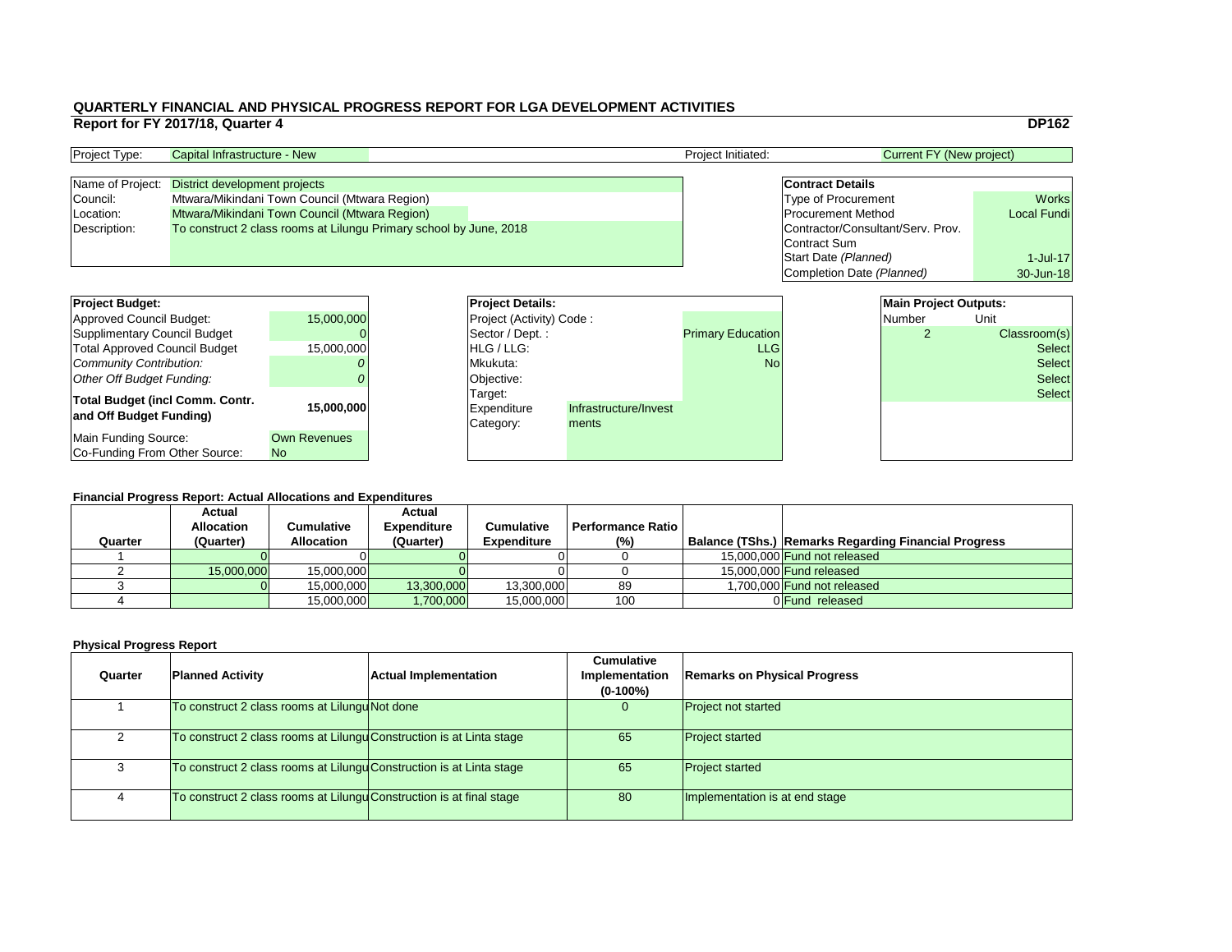|    |                                   |                                 | <b>DP162</b>       |
|----|-----------------------------------|---------------------------------|--------------------|
|    |                                   | <b>Current FY (New project)</b> |                    |
|    |                                   |                                 |                    |
|    | <b>Contract Details</b>           |                                 |                    |
|    | <b>Type of Procurement</b>        |                                 | <b>Works</b>       |
|    | <b>Procurement Method</b>         |                                 | <b>Local Fundi</b> |
|    | Contractor/Consultant/Serv. Prov. |                                 |                    |
|    | Contract Sum                      |                                 |                    |
|    | Start Date (Planned)              |                                 | 1-Jul-17           |
|    | Completion Date (Planned)         |                                 | 30-Jun-18          |
|    |                                   |                                 |                    |
|    |                                   | <b>Main Project Outputs:</b>    |                    |
|    |                                   | <b>Number</b>                   | Unit               |
| ρn |                                   | 2                               | Classroom(s)       |
| G  |                                   |                                 | <b>Select</b>      |
| ١o |                                   |                                 | Select             |

#### **Financial Progress Report: Actual Allocations and Expenditures**

| <b>Project Budget:</b>                 | <b>Project Details:</b> |                                 |                       | <b>Main Project Outputs:</b> |        |               |
|----------------------------------------|-------------------------|---------------------------------|-----------------------|------------------------------|--------|---------------|
| Approved Council Budget:               | 15,000,000              | <b>Project (Activity) Code:</b> |                       |                              | Number | Unit          |
| Supplimentary Council Budget           |                         | Sector / Dept.:                 |                       | <b>Primary Education</b>     |        | Classroom(s)  |
| <b>Total Approved Council Budget</b>   | 15,000,000              | HLG / LLG:                      |                       | <b>LLG</b>                   |        | <b>Select</b> |
| Community Contribution:                |                         | Mkukuta:                        |                       | <b>No</b>                    |        | <b>Select</b> |
| Other Off Budget Funding:              |                         | Objective:                      |                       |                              |        | <b>Select</b> |
| <b>Total Budget (incl Comm. Contr.</b> |                         | Target:                         |                       |                              |        | <b>Select</b> |
| and Off Budget Funding)                | 15,000,000              | <b>Expenditure</b>              | Infrastructure/Invest |                              |        |               |
|                                        |                         | Category:                       | ments                 |                              |        |               |
| Main Funding Source:                   | <b>Own Revenues</b>     |                                 |                       |                              |        |               |
| Co-Funding From Other Source:          | <b>No</b>               |                                 |                       |                              |        |               |

| <b>Project Type:</b> | Capital Infrastructure - New                                       | <b>Project Initiated:</b> | Current FY (New project)          |                    |
|----------------------|--------------------------------------------------------------------|---------------------------|-----------------------------------|--------------------|
|                      |                                                                    |                           |                                   |                    |
|                      | Name of Project: District development projects                     |                           | <b>Contract Details</b>           |                    |
| Council:             | Mtwara/Mikindani Town Council (Mtwara Region)                      |                           | <b>Type of Procurement</b>        | <b>Works</b>       |
| Location:            | <b>Mtwara/Mikindani Town Council (Mtwara Region)</b>               |                           | <b>Procurement Method</b>         | <b>Local Fundi</b> |
| Description:         | To construct 2 class rooms at Lilungu Primary school by June, 2018 |                           | Contractor/Consultant/Serv. Prov. |                    |
|                      |                                                                    |                           | Contract Sum                      |                    |

| <b>Project Details:</b>  |                       |                          | <b>Main Project Outputs:</b> |               |
|--------------------------|-----------------------|--------------------------|------------------------------|---------------|
| Project (Activity) Code: |                       |                          | Number                       | Unit          |
| Sector / Dept.:          |                       | <b>Primary Education</b> | 2                            | Classroom(s)  |
| HLG/LLG:                 |                       | <b>LLG</b>               |                              | <b>Select</b> |
| Mkukuta:                 |                       | No <sub>1</sub>          |                              | <b>Select</b> |
| Objective:               |                       |                          |                              | <b>Select</b> |
| Target:                  |                       |                          |                              | <b>Select</b> |
| Expenditure              | Infrastructure/Invest |                          |                              |               |
| Category:                | ments                 |                          |                              |               |
|                          |                       |                          |                              |               |
|                          |                       |                          |                              |               |

| <b>Financial Progress Report: Actual Allocations and Expenditures</b> |                                    |                   |                                     |                    |                          |  |                                                             |
|-----------------------------------------------------------------------|------------------------------------|-------------------|-------------------------------------|--------------------|--------------------------|--|-------------------------------------------------------------|
|                                                                       | <b>Actual</b><br><b>Allocation</b> | Cumulative        | <b>Actual</b><br><b>Expenditure</b> | <b>Cumulative</b>  | <b>Performance Ratio</b> |  |                                                             |
| Quarter                                                               | (Quarter)                          | <b>Allocation</b> | (Quarter)                           | <b>Expenditure</b> | (%)                      |  | <b>Balance (TShs.) Remarks Regarding Financial Progress</b> |
|                                                                       |                                    |                   |                                     |                    |                          |  |                                                             |
|                                                                       |                                    |                   |                                     |                    |                          |  | 15,000,000 Fund not released                                |
|                                                                       | 15,000,000                         | 15,000,000        |                                     |                    |                          |  | 15,000,000 <b>Fund released</b>                             |
|                                                                       |                                    | 15,000,000        | 13,300,000                          | 13,300,000         | 89                       |  | 1,700,000 Fund not released                                 |
|                                                                       |                                    | 15,000,000        | <b>1,700,000</b>                    | 15,000,000         | 100                      |  | 0 <b>Fund</b> released                                      |

| Quarter | <b>Planned Activity</b>                                              | <b>Actual Implementation</b> | <b>Cumulative</b><br><b>Implementation</b><br>$(0-100\%)$ | <b>Remarks on Physical Progress</b> |
|---------|----------------------------------------------------------------------|------------------------------|-----------------------------------------------------------|-------------------------------------|
|         | To construct 2 class rooms at Lilungu Not done                       |                              | $\overline{0}$                                            | <b>Project not started</b>          |
|         | To construct 2 class rooms at Lilungu Construction is at Linta stage |                              | 65                                                        | <b>Project started</b>              |
|         | To construct 2 class rooms at Lilungu Construction is at Linta stage |                              | 65                                                        | <b>Project started</b>              |
| 4       | To construct 2 class rooms at Lilungu Construction is at final stage |                              | 80                                                        | Implementation is at end stage      |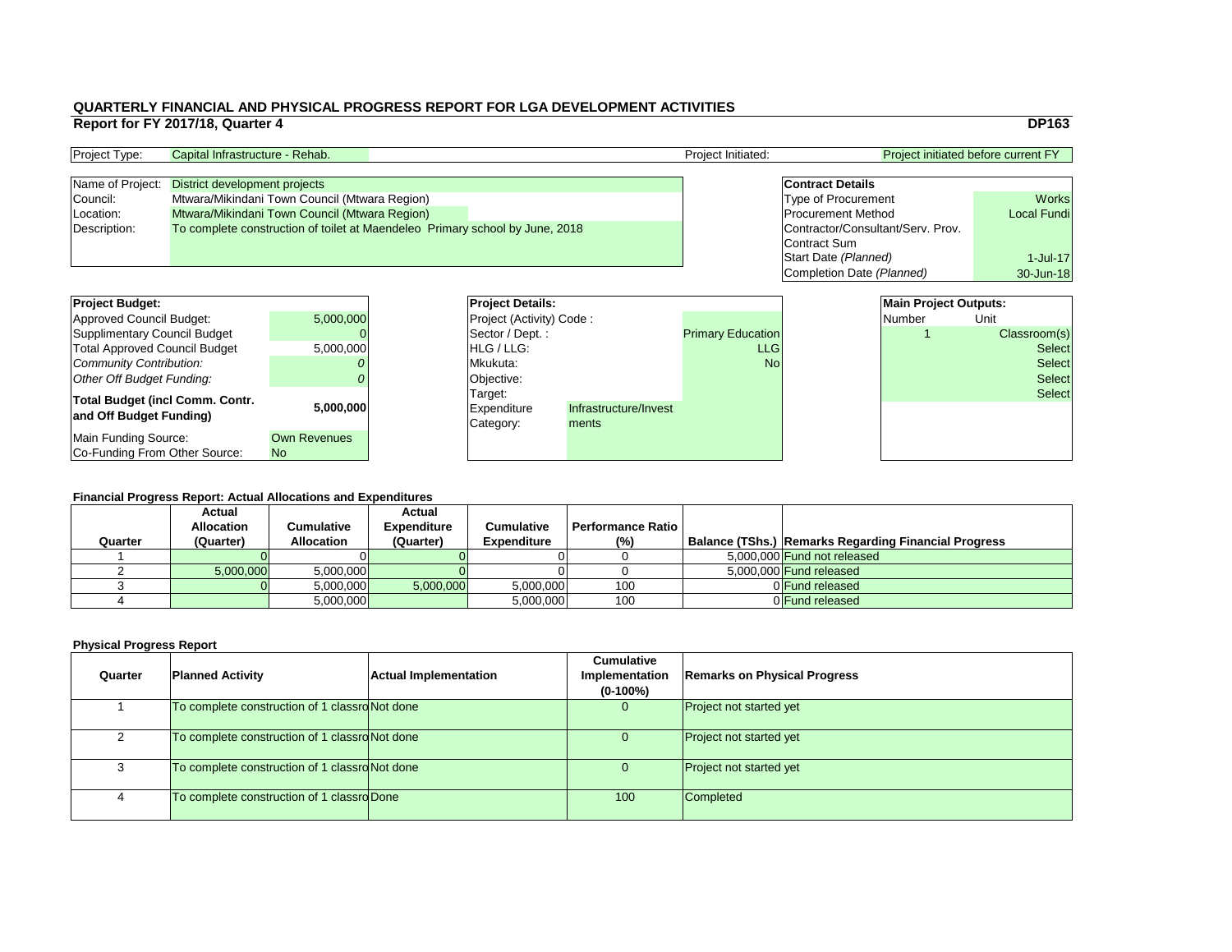|                                            | <b>DP163</b>       |
|--------------------------------------------|--------------------|
| <b>Project initiated before current FY</b> |                    |
|                                            |                    |
| <b>Contract Details</b>                    |                    |
| Type of Procurement                        | <b>Works</b>       |
| <b>Procurement Method</b>                  | <b>Local Fundi</b> |
| Contractor/Consultant/Serv. Prov.          |                    |
| Contract Sum                               |                    |
| Start Date (Planned)                       | $1$ -Jul-17        |
| Completion Date (Planned)                  | 30-Jun-18          |
|                                            |                    |
| Main Draiget Quinuite                      |                    |

| <b>Main Project Outputs:</b> |               |
|------------------------------|---------------|
| <b>Number</b>                | Unit          |
|                              | Classroom(s)  |
|                              | <b>Select</b> |
|                              | <b>Select</b> |
|                              | Select        |
|                              | <b>Select</b> |
|                              |               |
|                              |               |
|                              |               |
|                              |               |

#### **Financial Progress Report: Actual Allocations and Expenditures**

| <b>Project Budget:</b>                                            |                                       | <b>Project Details:</b>             |                                |                          | <b>Main Project Outputs:</b> |               |
|-------------------------------------------------------------------|---------------------------------------|-------------------------------------|--------------------------------|--------------------------|------------------------------|---------------|
| Approved Council Budget:                                          | 5,000,000                             | <b>Project (Activity) Code:</b>     |                                |                          | Number                       | Unit          |
| Supplimentary Council Budget                                      |                                       | Sector / Dept. :                    |                                | <b>Primary Education</b> |                              | Classroom(s)  |
| Total Approved Council Budget                                     | 5,000,000                             | HLG / LLG:                          |                                | <b>LLG</b>               |                              | <b>Select</b> |
| Community Contribution:                                           |                                       | Mkukuta:                            |                                | <b>No</b>                |                              | <b>Select</b> |
| Other Off Budget Funding:                                         |                                       | Objective:                          |                                |                          |                              | <b>Select</b> |
| <b>Total Budget (incl Comm. Contr.</b><br>and Off Budget Funding) | 5,000,000                             | Target:<br>Expenditure<br>Category: | Infrastructure/Invest<br>ments |                          |                              | <b>Select</b> |
| Main Funding Source:<br>Co-Funding From Other Source:             | <b>Own Revenues</b><br>N <sub>o</sub> |                                     |                                |                          |                              |               |

| <b>Project Type:</b> | Capital Infrastructure - Rehab.                                              |  | <b>Project Initiated:</b> | <b>Project initiated before current FY</b> |                    |
|----------------------|------------------------------------------------------------------------------|--|---------------------------|--------------------------------------------|--------------------|
|                      |                                                                              |  |                           |                                            |                    |
|                      | Name of Project: District development projects                               |  |                           | <b>Contract Details</b>                    |                    |
| Council:             | Mtwara/Mikindani Town Council (Mtwara Region)                                |  |                           | <b>Type of Procurement</b>                 | <b>Works</b>       |
| Location:            | Mtwara/Mikindani Town Council (Mtwara Region)                                |  |                           | <b>Procurement Method</b>                  | <b>Local Fundi</b> |
| Description:         | To complete construction of toilet at Maendeleo Primary school by June, 2018 |  |                           | Contractor/Consultant/Serv. Prov.          |                    |
|                      |                                                                              |  |                           | Contract Sum                               |                    |

| <b>Project Details:</b>  |                       |                          |
|--------------------------|-----------------------|--------------------------|
| Project (Activity) Code: |                       |                          |
| Sector / Dept.:          |                       | <b>Primary Education</b> |
| HLG / LLG:               |                       | <b>LLG</b>               |
| Mkukuta:                 |                       | No <sub>l</sub>          |
| Objective:               |                       |                          |
| Target:                  |                       |                          |
| Expenditure              | Infrastructure/Invest |                          |
| Category:                | ments                 |                          |
|                          |                       |                          |

|         | <b>Actual</b><br><b>Allocation</b> | Cumulative        | <b>Actual</b><br><b>Expenditure</b> | <b>Cumulative</b>  | <b>Performance Ratio I</b> |                                                      |
|---------|------------------------------------|-------------------|-------------------------------------|--------------------|----------------------------|------------------------------------------------------|
| Quarter | (Quarter)                          | <b>Allocation</b> | (Quarter)                           | <b>Expenditure</b> | $(\% )$                    | Balance (TShs.) Remarks Regarding Financial Progress |
|         |                                    |                   |                                     |                    |                            | 5,000,000 Fund not released                          |
|         | 5,000,000                          | 5,000,000         |                                     |                    |                            | 5,000,000 Fund released                              |
|         |                                    | 5,000,000         | 5,000,000                           | 5,000,000          | 100                        | 0 Fund released                                      |
|         |                                    | 5,000,000         |                                     | 5,000,000          | 100                        | 0 Fund released                                      |

| Quarter | <b>Planned Activity</b>                        | <b>Actual Implementation</b> | <b>Cumulative</b><br><b>Implementation</b><br>$(0-100\%)$ | <b>Remarks on Physical Progress</b> |
|---------|------------------------------------------------|------------------------------|-----------------------------------------------------------|-------------------------------------|
|         | To complete construction of 1 classro Not done |                              |                                                           | <b>Project not started yet</b>      |
|         | To complete construction of 1 classro Not done |                              |                                                           | <b>Project not started yet</b>      |
|         | To complete construction of 1 classro Not done |                              |                                                           | <b>Project not started yet</b>      |
|         | To complete construction of 1 classro Done     |                              | 100                                                       | <b>Completed</b>                    |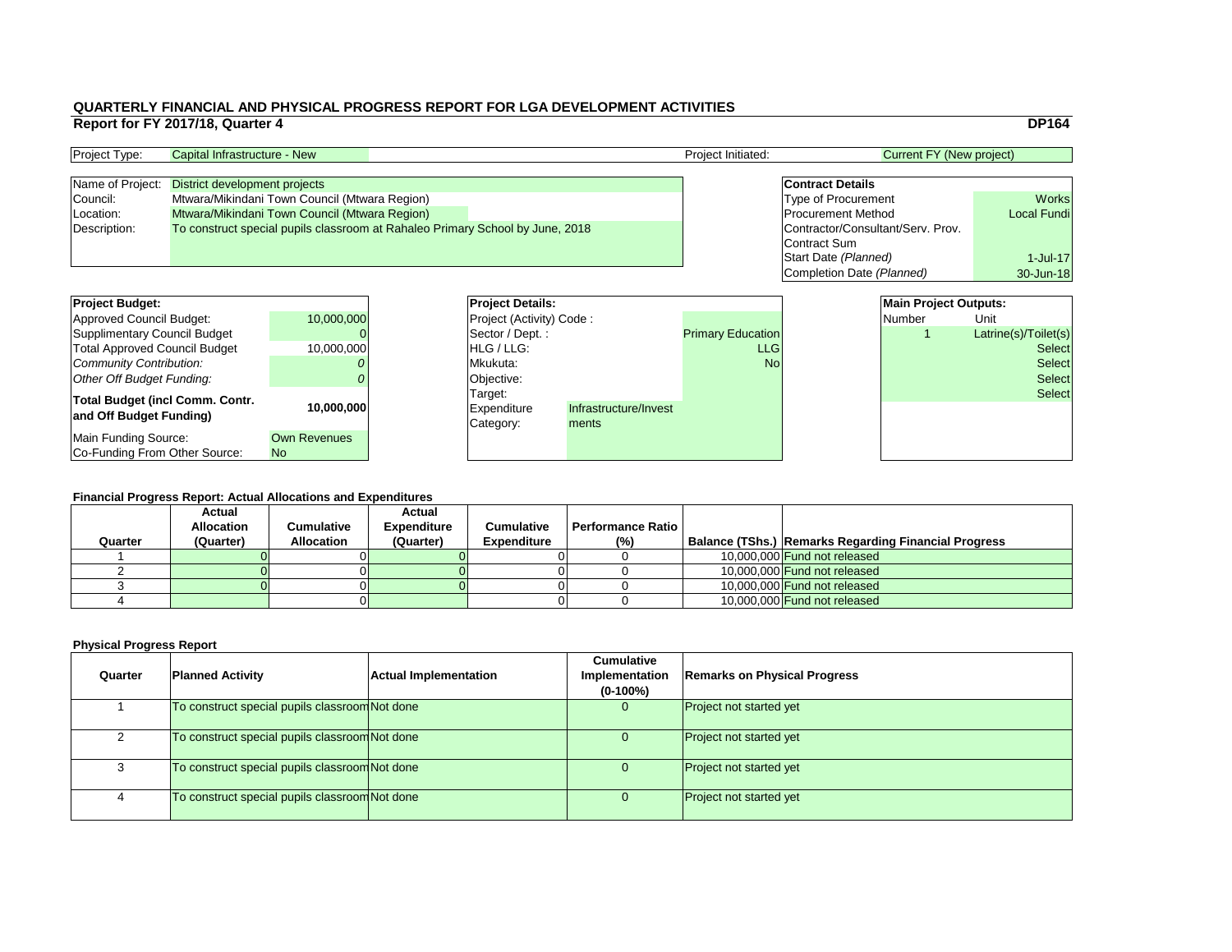|    |                                   |                                 | <b>DP164</b>         |
|----|-----------------------------------|---------------------------------|----------------------|
|    |                                   | <b>Current FY (New project)</b> |                      |
|    |                                   |                                 |                      |
|    | <b>Contract Details</b>           |                                 |                      |
|    | <b>Type of Procurement</b>        |                                 | <b>Works</b>         |
|    | <b>Procurement Method</b>         |                                 | <b>Local Fundi</b>   |
|    | Contractor/Consultant/Serv. Prov. |                                 |                      |
|    | <b>Contract Sum</b>               |                                 |                      |
|    | Start Date (Planned)              |                                 | $1$ -Jul-17          |
|    | Completion Date (Planned)         |                                 | 30-Jun-18            |
|    |                                   |                                 |                      |
|    |                                   | <b>Main Project Outputs:</b>    |                      |
|    |                                   | <b>Number</b>                   | Unit                 |
| າກ |                                   |                                 | Latrine(s)/Toilet(s) |
| G  |                                   |                                 | Select               |
|    |                                   |                                 | <b>. .</b> .         |

#### **Financial Progress Report: Actual Allocations and Expenditures**

| <b>Project Budget:</b>                 |                     |          | <b>Project Details:</b>         |                       |                          | <b>Main Project Outputs:</b> |               |                      |
|----------------------------------------|---------------------|----------|---------------------------------|-----------------------|--------------------------|------------------------------|---------------|----------------------|
| Approved Council Budget:               | 10,000,000          |          | <b>Project (Activity) Code:</b> |                       |                          |                              | Number        | Unit                 |
| Supplimentary Council Budget           |                     |          | Sector / Dept.:                 |                       | <b>Primary Education</b> |                              |               | Latrine(s)/Toilet(s) |
| <b>Total Approved Council Budget</b>   | 10,000,000          |          | <b>IHLG/LLG:</b>                |                       | <b>LLG</b>               |                              |               | <b>Select</b>        |
| Community Contribution:                |                     | Mkukuta: |                                 | <b>No</b>             |                          |                              | <b>Select</b> |                      |
| Other Off Budget Funding:              |                     |          | Objective:                      |                       |                          |                              |               | <b>Select</b>        |
| <b>Total Budget (incl Comm. Contr.</b> |                     |          | Target:                         |                       |                          |                              |               | <b>Select</b>        |
| and Off Budget Funding)                | 10,000,000          |          | Expenditure                     | Infrastructure/Invest |                          |                              |               |                      |
|                                        |                     |          | Category:                       | ments                 |                          |                              |               |                      |
| Main Funding Source:                   | <b>Own Revenues</b> |          |                                 |                       |                          |                              |               |                      |
| Co-Funding From Other Source:          | <b>No</b>           |          |                                 |                       |                          |                              |               |                      |

| <b>Project Type:</b> | Capital Infrastructure - New                                                  |  | <b>Project Initiated:</b> | Current FY (New project)          |                    |  |
|----------------------|-------------------------------------------------------------------------------|--|---------------------------|-----------------------------------|--------------------|--|
|                      |                                                                               |  |                           |                                   |                    |  |
| Name of Project:     | District development projects                                                 |  |                           | <b>Contract Details</b>           |                    |  |
| Council:             | Mtwara/Mikindani Town Council (Mtwara Region)                                 |  |                           | <b>Type of Procurement</b>        | <b>Works</b>       |  |
| Location:            | Mtwara/Mikindani Town Council (Mtwara Region)                                 |  |                           | <b>Procurement Method</b>         | <b>Local Fundi</b> |  |
| Description:         | To construct special pupils classroom at Rahaleo Primary School by June, 2018 |  |                           | Contractor/Consultant/Serv. Prov. |                    |  |
|                      |                                                                               |  |                           | Contract Sum                      |                    |  |

| <b>Project Details:</b>         |                       |                          | <b>Main Project Outputs:</b> |                      |
|---------------------------------|-----------------------|--------------------------|------------------------------|----------------------|
| <b>Project (Activity) Code:</b> |                       |                          | Number                       | Unit                 |
| Sector / Dept.:                 |                       | <b>Primary Education</b> |                              | Latrine(s)/Toilet(s) |
| <b>HLG</b> / LLG:               |                       | <b>LLG</b>               |                              | <b>Select</b>        |
| Mkukuta:                        |                       | <b>No</b>                |                              | <b>Select</b>        |
| Objective:                      |                       |                          |                              | <b>Select</b>        |
| Target:                         |                       |                          |                              | <b>Select</b>        |
| Expenditure                     | Infrastructure/Invest |                          |                              |                      |
| Category:                       | ments                 |                          |                              |                      |
|                                 |                       |                          |                              |                      |
|                                 |                       |                          |                              |                      |

|         | Financial Progress Report: Actual Allocations and Expenditures |                   |                    |                    |                            |  |                                                             |  |  |  |  |
|---------|----------------------------------------------------------------|-------------------|--------------------|--------------------|----------------------------|--|-------------------------------------------------------------|--|--|--|--|
|         | <b>Actual</b>                                                  |                   | <b>Actual</b>      |                    |                            |  |                                                             |  |  |  |  |
|         | <b>Allocation</b>                                              | Cumulative        | <b>Expenditure</b> | <b>Cumulative</b>  | <b>Performance Ratio I</b> |  |                                                             |  |  |  |  |
| Quarter | (Quarter)                                                      | <b>Allocation</b> | (Quarter)          | <b>Expenditure</b> | $(\%)$                     |  | <b>Balance (TShs.) Remarks Regarding Financial Progress</b> |  |  |  |  |
|         |                                                                |                   |                    |                    |                            |  | 10,000,000 Fund not released                                |  |  |  |  |
|         |                                                                |                   |                    |                    |                            |  | 10,000,000 Fund not released                                |  |  |  |  |
|         |                                                                |                   |                    |                    |                            |  | 10,000,000 Fund not released                                |  |  |  |  |
|         |                                                                |                   |                    |                    |                            |  | 10,000,000 Fund not released                                |  |  |  |  |

| Quarter | <b>Planned Activity</b>                        | <b>Actual Implementation</b> | <b>Cumulative</b><br>Implementation<br>$(0-100\%)$ | <b>Remarks on Physical Progress</b> |
|---------|------------------------------------------------|------------------------------|----------------------------------------------------|-------------------------------------|
|         | To construct special pupils classroom Not done |                              | 0                                                  | <b>Project not started yet</b>      |
|         | To construct special pupils classroom Not done |                              | 0                                                  | <b>Project not started yet</b>      |
|         | To construct special pupils classroom Not done |                              | Ő                                                  | <b>Project not started yet</b>      |
| 4       | To construct special pupils classroom Not done |                              | U.                                                 | <b>Project not started yet</b>      |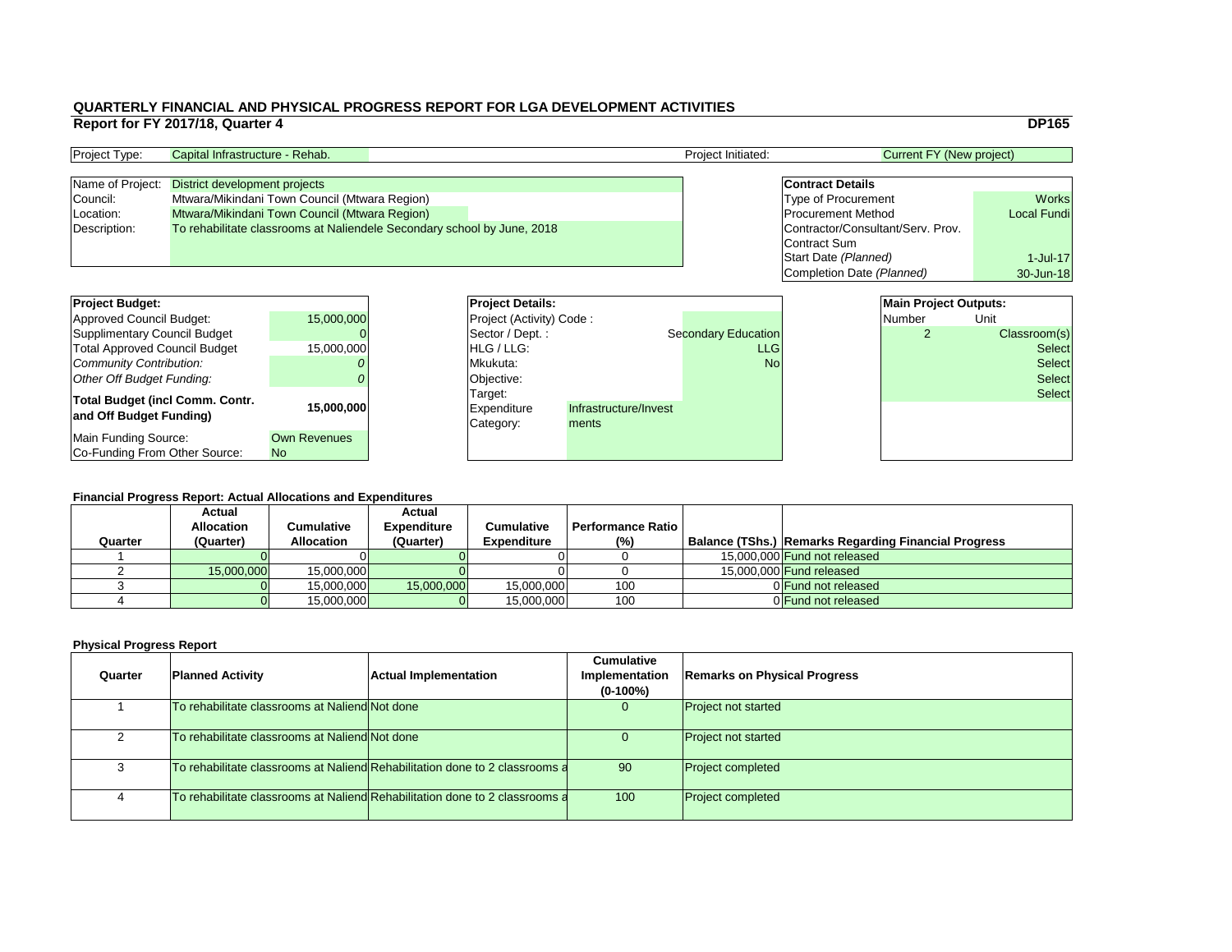|     |                                   |                                 | <b>DP165</b>       |
|-----|-----------------------------------|---------------------------------|--------------------|
|     |                                   | <b>Current FY (New project)</b> |                    |
|     |                                   |                                 |                    |
|     | <b>Contract Details</b>           |                                 |                    |
|     | <b>Type of Procurement</b>        |                                 | <b>Works</b>       |
|     | <b>Procurement Method</b>         |                                 | <b>Local Fundi</b> |
|     | Contractor/Consultant/Serv. Prov. |                                 |                    |
|     | <b>Contract Sum</b>               |                                 |                    |
|     | Start Date (Planned)              |                                 | 1-Jul-17           |
|     | Completion Date (Planned)         |                                 | 30-Jun-18          |
|     |                                   |                                 |                    |
|     |                                   | <b>Main Project Outputs:</b>    |                    |
|     |                                   | <b>Number</b>                   | Unit               |
| ion |                                   | 2                               | Classroom(s)       |
| LG  |                                   |                                 | Select             |
|     |                                   |                                 |                    |

#### **Financial Progress Report: Actual Allocations and Expenditures**

| <b>Project Budget:</b>                                            |                                       | <b>Project Details:</b> |                                            |                                | <b>Main Project Outputs:</b> |        |               |
|-------------------------------------------------------------------|---------------------------------------|-------------------------|--------------------------------------------|--------------------------------|------------------------------|--------|---------------|
| Approved Council Budget:                                          | 15,000,000                            |                         | <b>Project (Activity) Code:</b>            |                                |                              | Number | Unit          |
| Supplimentary Council Budget                                      |                                       |                         | Sector / Dept.:                            |                                | <b>Secondary Education</b>   |        | Classroom(s)  |
| <b>Total Approved Council Budget</b>                              | 15,000,000                            |                         | <b>IHLG/LLG:</b>                           |                                | <b>LLG</b>                   |        | <b>Select</b> |
| Community Contribution:                                           |                                       |                         | Mkukuta:                                   |                                | <b>No</b>                    |        | <b>Select</b> |
| Other Off Budget Funding:                                         |                                       |                         | Objective:                                 |                                |                              |        | <b>Select</b> |
| <b>Total Budget (incl Comm. Contr.</b><br>and Off Budget Funding) | 15,000,000                            |                         | Target:<br><b>Expenditure</b><br>Category: | Infrastructure/Invest<br>ments |                              |        | <b>Select</b> |
| Main Funding Source:<br>Co-Funding From Other Source:             | <b>Own Revenues</b><br>N <sub>o</sub> |                         |                                            |                                |                              |        |               |

| <b>Project Type:</b> | Capital Infrastructure - Rehab.                                         |  | <b>Project Initiated:</b> | Current FY (New project) |                                   |                    |
|----------------------|-------------------------------------------------------------------------|--|---------------------------|--------------------------|-----------------------------------|--------------------|
|                      |                                                                         |  |                           |                          |                                   |                    |
|                      | Name of Project: District development projects                          |  |                           |                          | <b>Contract Details</b>           |                    |
| Council:             | Mtwara/Mikindani Town Council (Mtwara Region)                           |  |                           |                          | <b>Type of Procurement</b>        | <b>Works</b>       |
| Location:            | Mtwara/Mikindani Town Council (Mtwara Region)                           |  |                           |                          | <b>Procurement Method</b>         | <b>Local Fundi</b> |
| Description:         | To rehabilitate classrooms at Naliendele Secondary school by June, 2018 |  |                           |                          | Contractor/Consultant/Serv. Prov. |                    |
|                      |                                                                         |  |                           |                          | Contract Sum                      |                    |

| <b>Project Details:</b>         |                       |                            | <b>Main Project Outputs:</b> |               |
|---------------------------------|-----------------------|----------------------------|------------------------------|---------------|
| <b>Project (Activity) Code:</b> |                       |                            | Number                       | Unit          |
| Sector / Dept.:                 |                       | <b>Secondary Education</b> | $\overline{2}$               | Classroom(s)  |
| <b>HLG</b> / LLG:               |                       | <b>LLG</b>                 |                              | <b>Select</b> |
| Mkukuta:                        |                       | <b>No</b>                  |                              | <b>Select</b> |
| Objective:                      |                       |                            |                              | <b>Select</b> |
| Target:                         |                       |                            |                              | <b>Select</b> |
| Expenditure                     | Infrastructure/Invest |                            |                              |               |
| Category:                       | ments                 |                            |                              |               |
|                                 |                       |                            |                              |               |
|                                 |                       |                            |                              |               |

|         | <b>Financial Progress Report: Actual Allocations and Expenditures</b> |                   |                    |                    |                          |  |                                                             |  |  |  |
|---------|-----------------------------------------------------------------------|-------------------|--------------------|--------------------|--------------------------|--|-------------------------------------------------------------|--|--|--|
|         | <b>Actual</b>                                                         |                   | <b>Actual</b>      |                    |                          |  |                                                             |  |  |  |
|         | <b>Allocation</b>                                                     | Cumulative        | <b>Expenditure</b> | <b>Cumulative</b>  | <b>Performance Ratio</b> |  |                                                             |  |  |  |
| Quarter | (Quarter)                                                             | <b>Allocation</b> | (Quarter)          | <b>Expenditure</b> | (%)                      |  | <b>Balance (TShs.) Remarks Regarding Financial Progress</b> |  |  |  |
|         |                                                                       |                   |                    |                    |                          |  | 15,000,000 Fund not released                                |  |  |  |
|         | 15,000,000                                                            | 15,000,000        |                    |                    |                          |  | 15,000,000 Fund released                                    |  |  |  |
|         |                                                                       | 15,000,000        | 15,000,000         | 15,000,000         | 100                      |  | OF Und not released                                         |  |  |  |
|         |                                                                       | 15,000,000        |                    | 15,000,000         | 100                      |  | 0 Fund not released                                         |  |  |  |

| Quarter | <b>Planned Activity</b>                        | <b>Actual Implementation</b>                                                | <b>Cumulative</b><br><b>Implementation</b><br>$(0-100\%)$ | <b>Remarks on Physical Progress</b> |
|---------|------------------------------------------------|-----------------------------------------------------------------------------|-----------------------------------------------------------|-------------------------------------|
|         | To rehabilitate classrooms at Naliend Not done |                                                                             | 0                                                         | <b>Project not started</b>          |
|         | To rehabilitate classrooms at Naliend Not done |                                                                             | U                                                         | <b>Project not started</b>          |
|         |                                                | To rehabilitate classrooms at Naliend Rehabilitation done to 2 classrooms a | 90                                                        | <b>Project completed</b>            |
|         |                                                | To rehabilitate classrooms at Naliend Rehabilitation done to 2 classrooms a | 100                                                       | <b>Project completed</b>            |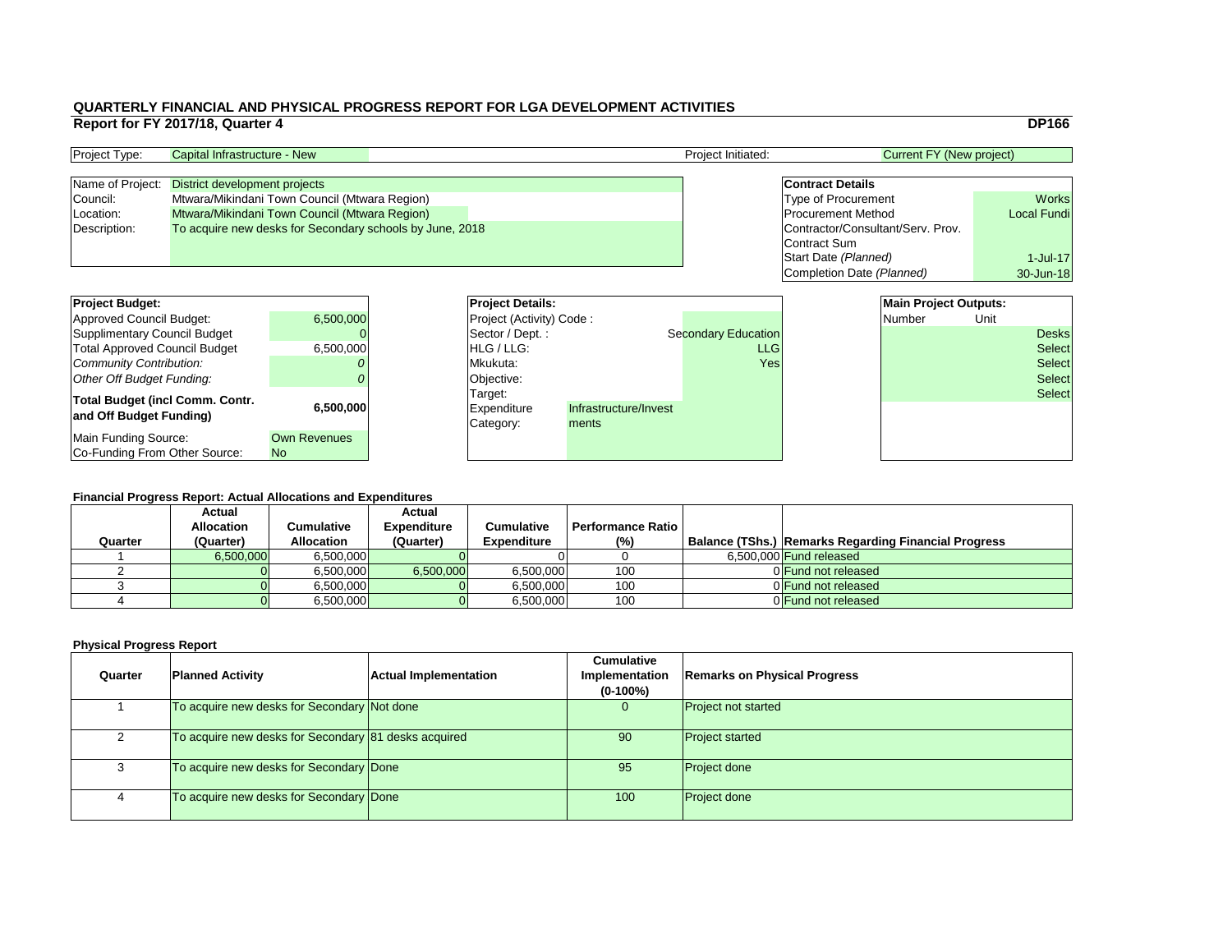|   |                                   | <b>DP166</b>       |
|---|-----------------------------------|--------------------|
|   | <b>Current FY (New project)</b>   |                    |
|   |                                   |                    |
|   | <b>Contract Details</b>           |                    |
|   | <b>Type of Procurement</b>        | <b>Works</b>       |
|   | <b>Procurement Method</b>         | <b>Local Fundi</b> |
|   | Contractor/Consultant/Serv. Prov. |                    |
|   | <b>Contract Sum</b>               |                    |
|   | Start Date (Planned)              | $1$ -Jul-17        |
|   | Completion Date (Planned)         | 30-Jun-18          |
|   |                                   |                    |
|   | <b>Main Project Outputs:</b>      |                    |
|   | <b>Number</b>                     | Unit               |
| m |                                   | esks               |

| <b>Number</b> | UNIt |               |
|---------------|------|---------------|
|               |      | <b>Desks</b>  |
|               |      | <b>Select</b> |
|               |      | <b>Select</b> |
|               |      | <b>Select</b> |
|               |      | <b>Select</b> |
|               |      |               |
|               |      |               |
|               |      |               |
|               |      |               |
|               |      |               |

#### **Financial Progress Report: Actual Allocations and Expenditures**

| <b>Project Budget:</b>                                            |                                  | <b>Project Details:</b>                    |                                | <b>Main Project Outputs:</b> |        |      |               |
|-------------------------------------------------------------------|----------------------------------|--------------------------------------------|--------------------------------|------------------------------|--------|------|---------------|
| Approved Council Budget:                                          | 6,500,000                        | <b>Project (Activity) Code:</b>            |                                |                              | Number | Unit |               |
| Supplimentary Council Budget                                      |                                  | Sector / Dept.:                            |                                | <b>Secondary Education</b>   |        |      | <b>Desks</b>  |
| <b>Total Approved Council Budget</b>                              | 6,500,000                        | <b>IHLG/LLG:</b>                           |                                | <b>LLG</b>                   |        |      | <b>Select</b> |
| Community Contribution:                                           |                                  | Mkukuta:                                   |                                | Yes                          |        |      | <b>Select</b> |
| Other Off Budget Funding:                                         |                                  | Objective:                                 |                                |                              |        |      | <b>Select</b> |
| <b>Total Budget (incl Comm. Contr.</b><br>and Off Budget Funding) | 6,500,000                        | Target:<br><b>Expenditure</b><br>Category: | Infrastructure/Invest<br>ments |                              |        |      | <b>Select</b> |
| Main Funding Source:<br>Co-Funding From Other Source:             | <b>Own Revenues</b><br><b>No</b> |                                            |                                |                              |        |      |               |

| <b>Project Type:</b> | Capital Infrastructure - New                             | <b>Project Initiated:</b> | Current FY (New project)          |                    |  |
|----------------------|----------------------------------------------------------|---------------------------|-----------------------------------|--------------------|--|
|                      |                                                          |                           |                                   |                    |  |
|                      | Name of Project: District development projects           |                           | <b>Contract Details</b>           |                    |  |
| Council:             | Mtwara/Mikindani Town Council (Mtwara Region)            |                           | <b>Type of Procurement</b>        | <b>Works</b>       |  |
| Location:            | Mtwara/Mikindani Town Council (Mtwara Region)            |                           | <b>Procurement Method</b>         | <b>Local Fundi</b> |  |
| Description:         | To acquire new desks for Secondary schools by June, 2018 |                           | Contractor/Consultant/Serv. Prov. |                    |  |
|                      |                                                          |                           | Contract Sum                      |                    |  |

| <b>Project Details:</b>  |                       |                            |
|--------------------------|-----------------------|----------------------------|
| Project (Activity) Code: |                       |                            |
| Sector / Dept.:          |                       | <b>Secondary Education</b> |
| HLG / LLG:               |                       | <b>LLG</b>                 |
| Mkukuta:                 |                       | Yesl                       |
| Objective:               |                       |                            |
| Target:                  |                       |                            |
| <b>Expenditure</b>       | Infrastructure/Invest |                            |
| Category:                | ments                 |                            |
|                          |                       |                            |
|                          |                       |                            |

|         | <b>Actual</b>     |                   | <b>Actual</b>      |                    |                          |                                                             |
|---------|-------------------|-------------------|--------------------|--------------------|--------------------------|-------------------------------------------------------------|
|         | <b>Allocation</b> | Cumulative        | <b>Expenditure</b> | <b>Cumulative</b>  | <b>Performance Ratio</b> |                                                             |
| Quarter | (Quarter)         | <b>Allocation</b> | (Quarter)          | <b>Expenditure</b> | (%)                      | <b>Balance (TShs.) Remarks Regarding Financial Progress</b> |
|         | 6,500,000         | 6,500,000         |                    |                    |                          | 6,500,000 <b>Fund released</b>                              |
|         |                   | 6,500,000         | 6,500,000          | 6,500,000          | 100                      | 0 Fund not released                                         |
|         |                   | 6,500,000         |                    | 6,500,000          | 100                      | 0 Fund not released                                         |
|         |                   | 6,500,000         |                    | 6,500,000          | 100                      | 0 Fund not released                                         |
|         |                   |                   |                    |                    |                          |                                                             |

| Quarter | <b>Planned Activity</b>                              | <b>Actual Implementation</b> | <b>Cumulative</b><br><b>Implementation</b><br>$(0-100\%)$ | <b>Remarks on Physical Progress</b> |
|---------|------------------------------------------------------|------------------------------|-----------------------------------------------------------|-------------------------------------|
|         | To acquire new desks for Secondary Not done          |                              | $\overline{0}$                                            | <b>Project not started</b>          |
|         | To acquire new desks for Secondary 81 desks acquired |                              | 90                                                        | <b>Project started</b>              |
|         | To acquire new desks for Secondary Done              |                              | 95                                                        | <b>Project done</b>                 |
|         | To acquire new desks for Secondary Done              |                              | 100                                                       | <b>Project done</b>                 |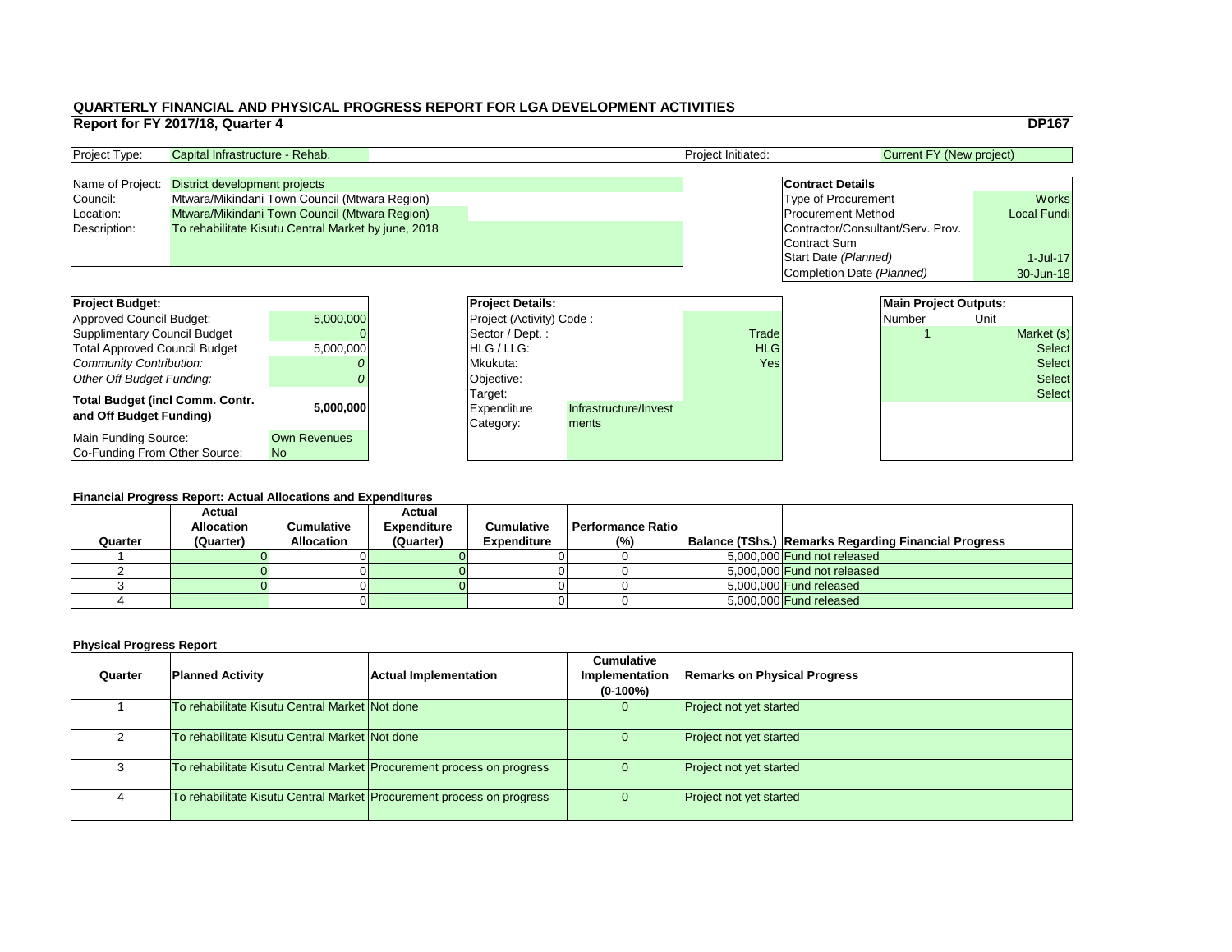|    |                                   |                                 |      | <b>DP167</b>       |
|----|-----------------------------------|---------------------------------|------|--------------------|
|    |                                   | <b>Current FY (New project)</b> |      |                    |
|    |                                   |                                 |      |                    |
|    | <b>Contract Details</b>           |                                 |      |                    |
|    | <b>Type of Procurement</b>        |                                 |      | <b>Works</b>       |
|    | <b>Procurement Method</b>         |                                 |      | <b>Local Fundi</b> |
|    | Contractor/Consultant/Serv. Prov. |                                 |      |                    |
|    | <b>Contract Sum</b>               |                                 |      |                    |
|    | Start Date (Planned)              |                                 |      | 1-Jul-17           |
|    | Completion Date (Planned)         |                                 |      | 30-Jun-18          |
|    |                                   |                                 |      |                    |
|    |                                   | <b>Main Project Outputs:</b>    |      |                    |
|    |                                   | <b>Number</b>                   | Unit |                    |
| łe |                                   |                                 |      | Market (s)         |
| G  |                                   |                                 |      | <b>Select</b>      |
|    |                                   |                                 |      |                    |

#### **Financial Progress Report: Actual Allocations and Expenditures**

| <b>Project Budget:</b>                                     |                     | <b>Project Details:</b> |                                                                       |  |              |  | <b>Main Project Outputs:</b> |      |               |
|------------------------------------------------------------|---------------------|-------------------------|-----------------------------------------------------------------------|--|--------------|--|------------------------------|------|---------------|
| Approved Council Budget:                                   | 5,000,000           |                         | <b>Project (Activity) Code:</b>                                       |  |              |  | Number                       | Unit |               |
| Supplimentary Council Budget                               |                     |                         | Sector / Dept.:                                                       |  | <b>Trade</b> |  |                              |      | Market (s)    |
| <b>Total Approved Council Budget</b>                       | 5,000,000           |                         | <b>IHLG/LLG:</b>                                                      |  | <b>HLG</b>   |  |                              |      | <b>Select</b> |
| <b>Community Contribution:</b>                             |                     |                         | Mkukuta:                                                              |  | Yes          |  |                              |      | <b>Select</b> |
| <b>Other Off Budget Funding:</b>                           |                     |                         | Objective:                                                            |  |              |  |                              |      | <b>Select</b> |
| Total Budget (incl Comm. Contr.<br>and Off Budget Funding) | 5,000,000           |                         | Target:<br>Infrastructure/Invest<br>Expenditure<br>Category:<br>ments |  |              |  |                              |      | <b>Select</b> |
| Main Funding Source:                                       | <b>Own Revenues</b> |                         |                                                                       |  |              |  |                              |      |               |
| <b>Co-Funding From Other Source:</b>                       | <b>No</b>           |                         |                                                                       |  |              |  |                              |      |               |

| <b>Project Type:</b> | <b>Project Initiated:</b><br>Capital Infrastructure - Rehab. |  | Current FY (New project)          |                    |
|----------------------|--------------------------------------------------------------|--|-----------------------------------|--------------------|
|                      |                                                              |  |                                   |                    |
|                      | Name of Project: District development projects               |  | <b>Contract Details</b>           |                    |
| Council:             | Mtwara/Mikindani Town Council (Mtwara Region)                |  | <b>Type of Procurement</b>        | <b>Works</b>       |
| Location:            | Mtwara/Mikindani Town Council (Mtwara Region)                |  | <b>Procurement Method</b>         | <b>Local Fundi</b> |
| Description:         | To rehabilitate Kisutu Central Market by june, 2018          |  | Contractor/Consultant/Serv. Prov. |                    |
|                      |                                                              |  | Contract Sum                      |                    |
|                      |                                                              |  |                                   |                    |

| <b>Project Details:</b>  |                       |            | <b>Main Project Outputs:</b> |      |               |
|--------------------------|-----------------------|------------|------------------------------|------|---------------|
| Project (Activity) Code: |                       |            | Number                       | Unit |               |
| Sector / Dept.:          |                       | Trade      | $\blacksquare$               |      | Market (s)    |
| HLG / LLG:               |                       | <b>HLG</b> |                              |      | <b>Select</b> |
| Mkukuta:                 |                       | Yes        |                              |      | <b>Select</b> |
| Objective:               |                       |            |                              |      | <b>Select</b> |
| Target:                  |                       |            |                              |      | <b>Select</b> |
| <b>Expenditure</b>       | Infrastructure/Invest |            |                              |      |               |
| Category:                | ments                 |            |                              |      |               |
|                          |                       |            |                              |      |               |
|                          |                       |            |                              |      |               |

|         | <b>Financial Progress Report: Actual Allocations and Expenditures</b> |                   |                    |                    |                          |  |                                                      |  |  |
|---------|-----------------------------------------------------------------------|-------------------|--------------------|--------------------|--------------------------|--|------------------------------------------------------|--|--|
|         | <b>Actual</b>                                                         |                   | <b>Actual</b>      |                    |                          |  |                                                      |  |  |
|         | <b>Allocation</b>                                                     | Cumulative        | <b>Expenditure</b> | <b>Cumulative</b>  | <b>Performance Ratio</b> |  |                                                      |  |  |
| Quarter | (Quarter)                                                             | <b>Allocation</b> | (Quarter)          | <b>Expenditure</b> | (%)                      |  | Balance (TShs.) Remarks Regarding Financial Progress |  |  |
|         |                                                                       |                   |                    |                    |                          |  | 5,000,000 Fund not released                          |  |  |
|         |                                                                       |                   |                    |                    |                          |  | 5,000,000 Fund not released                          |  |  |
|         |                                                                       |                   |                    |                    |                          |  | 5,000,000 <b>Fund released</b>                       |  |  |
|         |                                                                       |                   |                    |                    |                          |  | 5,000,000 Fund released                              |  |  |

| Quarter | <b>Planned Activity</b>                                               | <b>Actual Implementation</b> | <b>Cumulative</b><br><b>Implementation</b><br>$(0-100\%)$ | <b>Remarks on Physical Progress</b> |
|---------|-----------------------------------------------------------------------|------------------------------|-----------------------------------------------------------|-------------------------------------|
|         | To rehabilitate Kisutu Central Market Not done                        |                              | 0                                                         | <b>Project not yet started</b>      |
|         | To rehabilitate Kisutu Central Market Not done                        |                              | 0                                                         | <b>Project not yet started</b>      |
|         | To rehabilitate Kisutu Central Market Procurement process on progress |                              |                                                           | <b>Project not yet started</b>      |
|         | To rehabilitate Kisutu Central Market Procurement process on progress |                              | 0                                                         | <b>Project not yet started</b>      |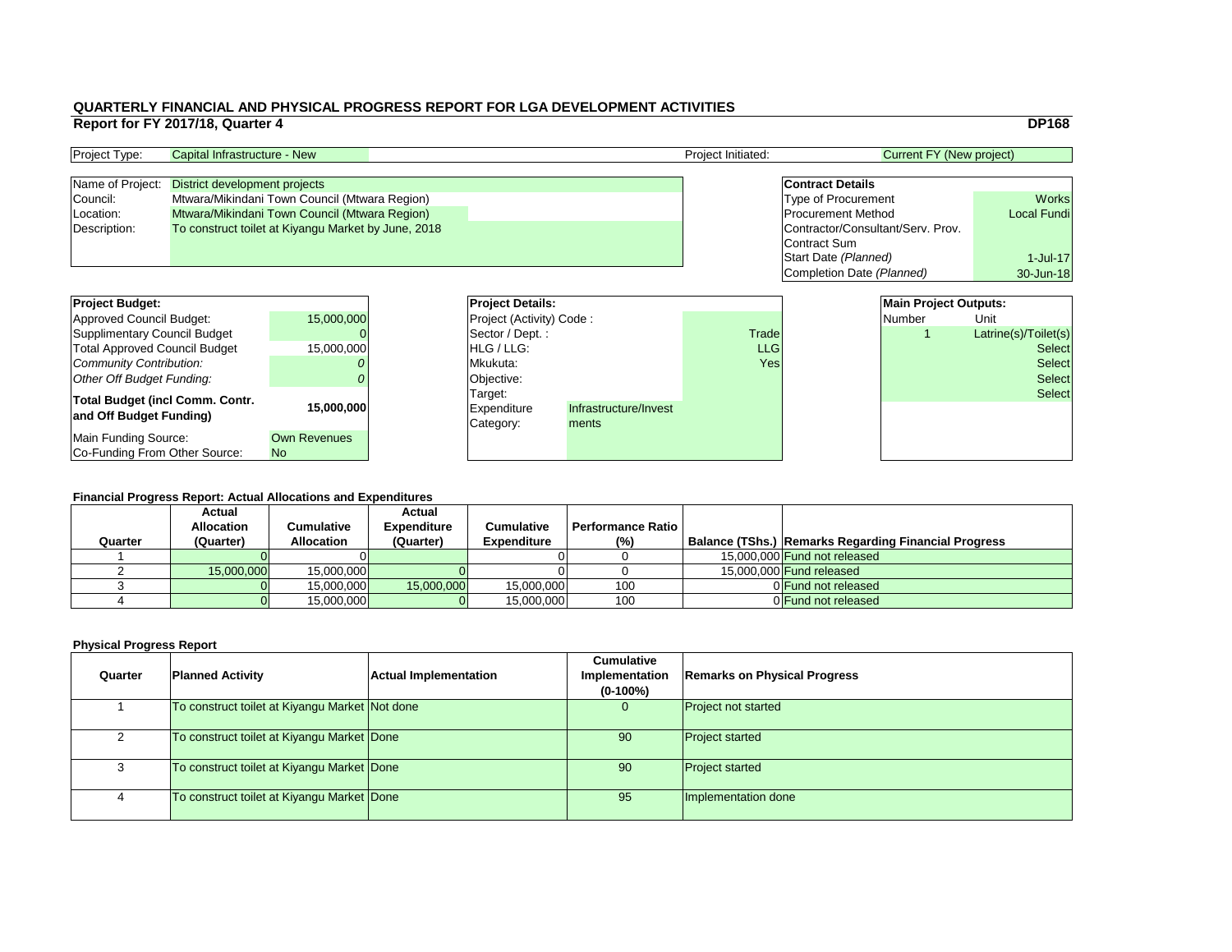|    |                                   | <b>DP168</b>         |
|----|-----------------------------------|----------------------|
|    | <b>Current FY (New project)</b>   |                      |
|    |                                   |                      |
|    | <b>Contract Details</b>           |                      |
|    | <b>Type of Procurement</b>        | <b>Works</b>         |
|    | <b>Procurement Method</b>         | <b>Local Fundi</b>   |
|    | Contractor/Consultant/Serv. Prov. |                      |
|    | Contract Sum                      |                      |
|    | Start Date (Planned)              | 1-Jul-17             |
|    | Completion Date (Planned)         | 30-Jun-18            |
|    |                                   |                      |
|    | <b>Main Project Outputs:</b>      |                      |
|    | <b>Number</b>                     | Unit                 |
| de |                                   | Latrine(s)/Toilet(s) |
| G  |                                   | <b>Select</b>        |

#### **Financial Progress Report: Actual Allocations and Expenditures**

| <b>Project Budget:</b>                                            |                                  | <b>Project Details:</b>                    |                                |              | <b>Main Project Outputs:</b> |               |                      |
|-------------------------------------------------------------------|----------------------------------|--------------------------------------------|--------------------------------|--------------|------------------------------|---------------|----------------------|
| Approved Council Budget:                                          | 15,000,000                       | Project (Activity) Code:                   |                                |              |                              | <b>Number</b> | Unit                 |
| Supplimentary Council Budget                                      |                                  | Sector / Dept.:                            |                                | <b>Trade</b> |                              |               | Latrine(s)/Toilet(s) |
| <b>Total Approved Council Budget</b>                              | 15,000,000                       | HLG / LLG:                                 |                                | <b>LLG</b>   |                              |               | <b>Select</b>        |
| Community Contribution:                                           |                                  | Mkukuta:                                   |                                | Yes          |                              | <b>Select</b> |                      |
| Other Off Budget Funding:                                         |                                  | Objective:                                 |                                |              |                              |               | <b>Select</b>        |
| <b>Total Budget (incl Comm. Contr.</b><br>and Off Budget Funding) | 15,000,000                       | Target:<br><b>Expenditure</b><br>Category: | Infrastructure/Invest<br>ments |              |                              |               | <b>Select</b>        |
| Main Funding Source:<br>Co-Funding From Other Source:             | <b>Own Revenues</b><br><b>No</b> |                                            |                                |              |                              |               |                      |

| <b>Project Type:</b> | Capital Infrastructure - New                        | <b>Project Initiated:</b> | Current FY (New project)          |                    |
|----------------------|-----------------------------------------------------|---------------------------|-----------------------------------|--------------------|
|                      |                                                     |                           |                                   |                    |
| Name of Project:     | District development projects                       |                           | <b>Contract Details</b>           |                    |
| Council:             | Mtwara/Mikindani Town Council (Mtwara Region)       |                           | <b>Type of Procurement</b>        | <b>Works</b>       |
| Location:            | Mtwara/Mikindani Town Council (Mtwara Region)       |                           | <b>Procurement Method</b>         | <b>Local Fundi</b> |
| Description:         | To construct toilet at Kiyangu Market by June, 2018 |                           | Contractor/Consultant/Serv. Prov. |                    |
|                      |                                                     |                           | Contract Sum                      |                    |
|                      |                                                     |                           |                                   |                    |

| <b>Financial Progress Report: Actual Allocations and Expenditures</b> |                                    |                   |                    |                    |                          |  |                                                             |  |  |
|-----------------------------------------------------------------------|------------------------------------|-------------------|--------------------|--------------------|--------------------------|--|-------------------------------------------------------------|--|--|
|                                                                       | <b>Actual</b><br><b>Allocation</b> |                   | <b>Actual</b>      | <b>Cumulative</b>  | <b>Performance Ratio</b> |  |                                                             |  |  |
|                                                                       |                                    | Cumulative        | <b>Expenditure</b> |                    |                          |  |                                                             |  |  |
| Quarter                                                               | (Quarter)                          | <b>Allocation</b> | (Quarter)          | <b>Expenditure</b> | (%)                      |  | <b>Balance (TShs.) Remarks Regarding Financial Progress</b> |  |  |
|                                                                       |                                    |                   |                    |                    |                          |  | 15,000,000 Fund not released                                |  |  |
|                                                                       | 15,000,000                         | 15,000,000        |                    |                    |                          |  | 15,000,000 <b>Fund released</b>                             |  |  |
|                                                                       |                                    | 15,000,000        | 15,000,000         | 15,000,000         | 100                      |  | 0 Fund not released                                         |  |  |
|                                                                       |                                    | 15,000,000        |                    | 15,000,000         | 100                      |  | 0 Fund not released                                         |  |  |

| Quarter | <b>Planned Activity</b>                        | <b>Actual Implementation</b> | <b>Cumulative</b><br>Implementation<br>$(0-100\%)$ | <b>Remarks on Physical Progress</b> |
|---------|------------------------------------------------|------------------------------|----------------------------------------------------|-------------------------------------|
|         | To construct toilet at Kiyangu Market Not done |                              | $\overline{0}$                                     | <b>Project not started</b>          |
|         | To construct toilet at Kiyangu Market Done     |                              | 90                                                 | <b>Project started</b>              |
|         | To construct toilet at Kiyangu Market Done     |                              | 90                                                 | <b>Project started</b>              |
|         | To construct toilet at Kiyangu Market Done     |                              | 95                                                 | Implementation done                 |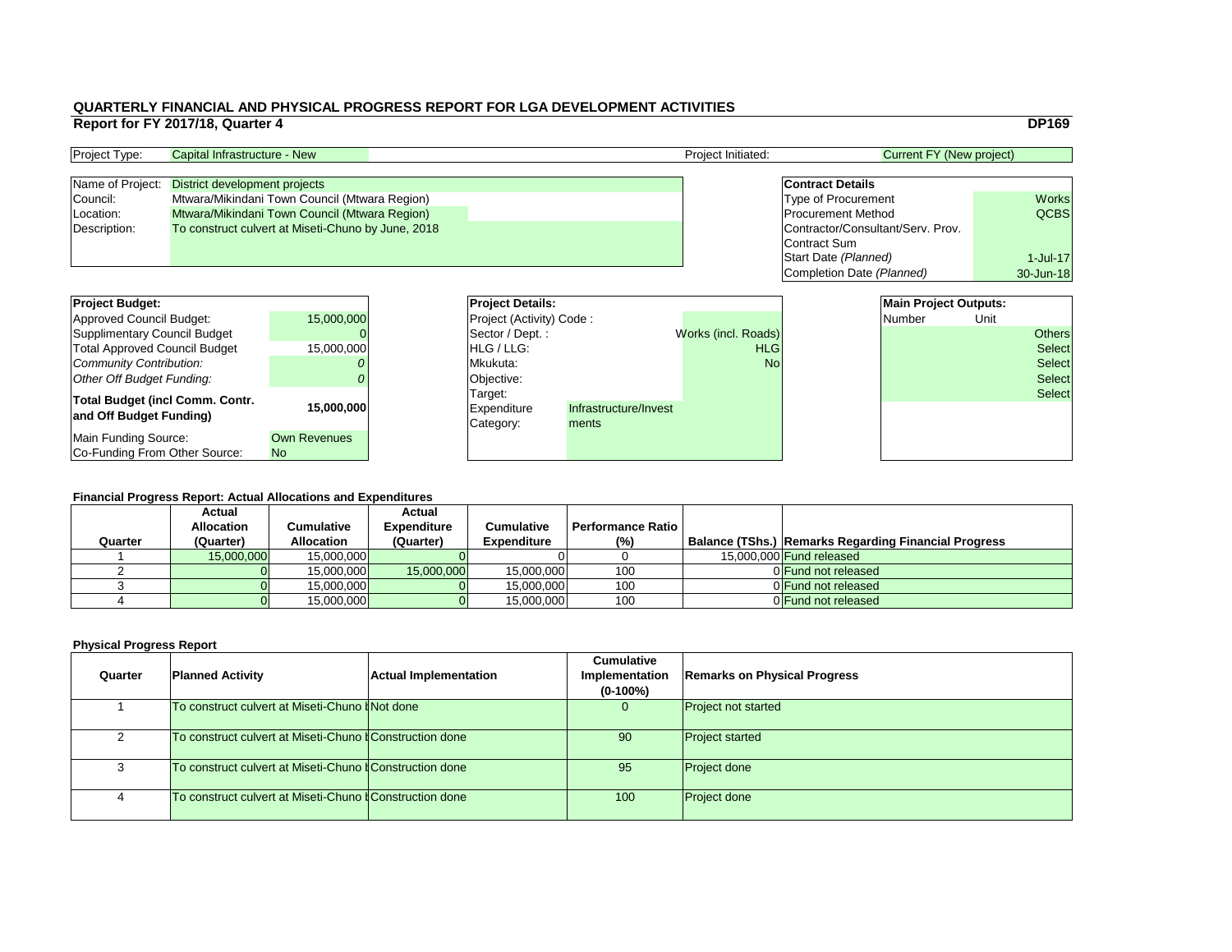|    |                                   | <b>DP169</b> |
|----|-----------------------------------|--------------|
|    | <b>Current FY (New project)</b>   |              |
|    |                                   |              |
|    | <b>Contract Details</b>           |              |
|    | <b>Type of Procurement</b>        | <b>Works</b> |
|    | <b>Procurement Method</b>         | <b>QCBS</b>  |
|    | Contractor/Consultant/Serv. Prov. |              |
|    | <b>Contract Sum</b>               |              |
|    | Start Date (Planned)              | $1$ -Jul-17  |
|    | Completion Date (Planned)         | 30-Jun-18    |
|    |                                   |              |
|    | <b>Main Project Outputs:</b>      |              |
|    | <b>Number</b>                     | Unit         |
| s) |                                   | ers          |
|    |                                   |              |

#### **Financial Progress Report: Actual Allocations and Expenditures**

| <b>Project Budget:</b>                                            |                                  | <b>Project Details:</b>                    |                                |                     | <b>Main Project Outputs:</b> |        |      |               |
|-------------------------------------------------------------------|----------------------------------|--------------------------------------------|--------------------------------|---------------------|------------------------------|--------|------|---------------|
| Approved Council Budget:                                          | 15,000,000                       | <b>Project (Activity) Code:</b>            |                                |                     |                              | Number | Unit |               |
| Supplimentary Council Budget                                      |                                  | Sector / Dept.:                            |                                | Works (incl. Roads) |                              |        |      | <b>Others</b> |
| <b>Total Approved Council Budget</b>                              | 15,000,000                       | <b>HLG</b> / LLG:                          |                                | <b>HLG</b>          |                              |        |      | <b>Select</b> |
| <b>Community Contribution:</b>                                    |                                  | Mkukuta:                                   |                                | <b>No</b>           |                              |        |      | <b>Select</b> |
| <b>Other Off Budget Funding:</b>                                  |                                  | Objective:                                 |                                |                     |                              |        |      | <b>Select</b> |
| <b>Total Budget (incl Comm. Contr.</b><br>and Off Budget Funding) | 15,000,000                       | Target:<br><b>Expenditure</b><br>Category: | Infrastructure/Invest<br>ments |                     |                              |        |      | <b>Select</b> |
| Main Funding Source:<br>Co-Funding From Other Source:             | <b>Own Revenues</b><br><b>No</b> |                                            |                                |                     |                              |        |      |               |

| <b>Project Type:</b> | Capital Infrastructure - New                       | <b>Project Initiated:</b> | <b>Current FY (New project)</b>   |              |  |
|----------------------|----------------------------------------------------|---------------------------|-----------------------------------|--------------|--|
|                      |                                                    |                           |                                   |              |  |
|                      | Name of Project: District development projects     |                           | <b>Contract Details</b>           |              |  |
| Council:             | Mtwara/Mikindani Town Council (Mtwara Region)      |                           | <b>Type of Procurement</b>        | <b>Works</b> |  |
| Location:            | Mtwara/Mikindani Town Council (Mtwara Region)      |                           | <b>Procurement Method</b>         | <b>QCBS</b>  |  |
| Description:         | To construct culvert at Miseti-Chuno by June, 2018 |                           | Contractor/Consultant/Serv. Prov. |              |  |
|                      |                                                    |                           | Contract Sum                      |              |  |
|                      |                                                    |                           |                                   |              |  |

# **Physical Progress Report**

| <b>Financial Progress Report: Actual Allocations and Expenditures</b><br><b>Actual</b><br><b>Actual</b> |                   |                   |                    |                    |                          |  |                                                             |  |  |  |
|---------------------------------------------------------------------------------------------------------|-------------------|-------------------|--------------------|--------------------|--------------------------|--|-------------------------------------------------------------|--|--|--|
|                                                                                                         | <b>Allocation</b> | Cumulative        | <b>Expenditure</b> | <b>Cumulative</b>  | <b>Performance Ratio</b> |  |                                                             |  |  |  |
|                                                                                                         |                   |                   |                    |                    |                          |  |                                                             |  |  |  |
| Quarter                                                                                                 | (Quarter)         | <b>Allocation</b> | (Quarter)          | <b>Expenditure</b> | $(\%)$                   |  | <b>Balance (TShs.) Remarks Regarding Financial Progress</b> |  |  |  |
|                                                                                                         | 15,000,000        | 15,000,000        |                    |                    |                          |  | 15,000,000 <b>Fund released</b>                             |  |  |  |
|                                                                                                         |                   | 15,000,000        | 15,000,000         | 15,000,000         | 100                      |  | 0 Fund not released                                         |  |  |  |
|                                                                                                         |                   | 15,000,000        |                    | 15,000,000         | 100                      |  | 0 Fund not released                                         |  |  |  |

| Quarter        | <b>Planned Activity</b>                                         | <b>Actual Implementation</b> | <b>Cumulative</b><br>Implementation<br>$(0-100\%)$ | <b>Remarks on Phys</b>     |
|----------------|-----------------------------------------------------------------|------------------------------|----------------------------------------------------|----------------------------|
|                | To construct culvert at Miseti-Chuno <i>ANot done</i>           |                              | U                                                  | <b>Project not started</b> |
| 2              | To construct culvert at Miseti-Chuno <b>f</b> Construction done |                              | 90                                                 | <b>Project started</b>     |
| 3              | To construct culvert at Miseti-Chuno <b>#Construction done</b>  |                              | 95                                                 | <b>Project done</b>        |
| $\overline{4}$ | To construct culvert at Miseti-Chuno <b>#Construction done</b>  |                              | 100                                                | <b>Project done</b>        |

# **Planned Activity Remarks on Physical Progress**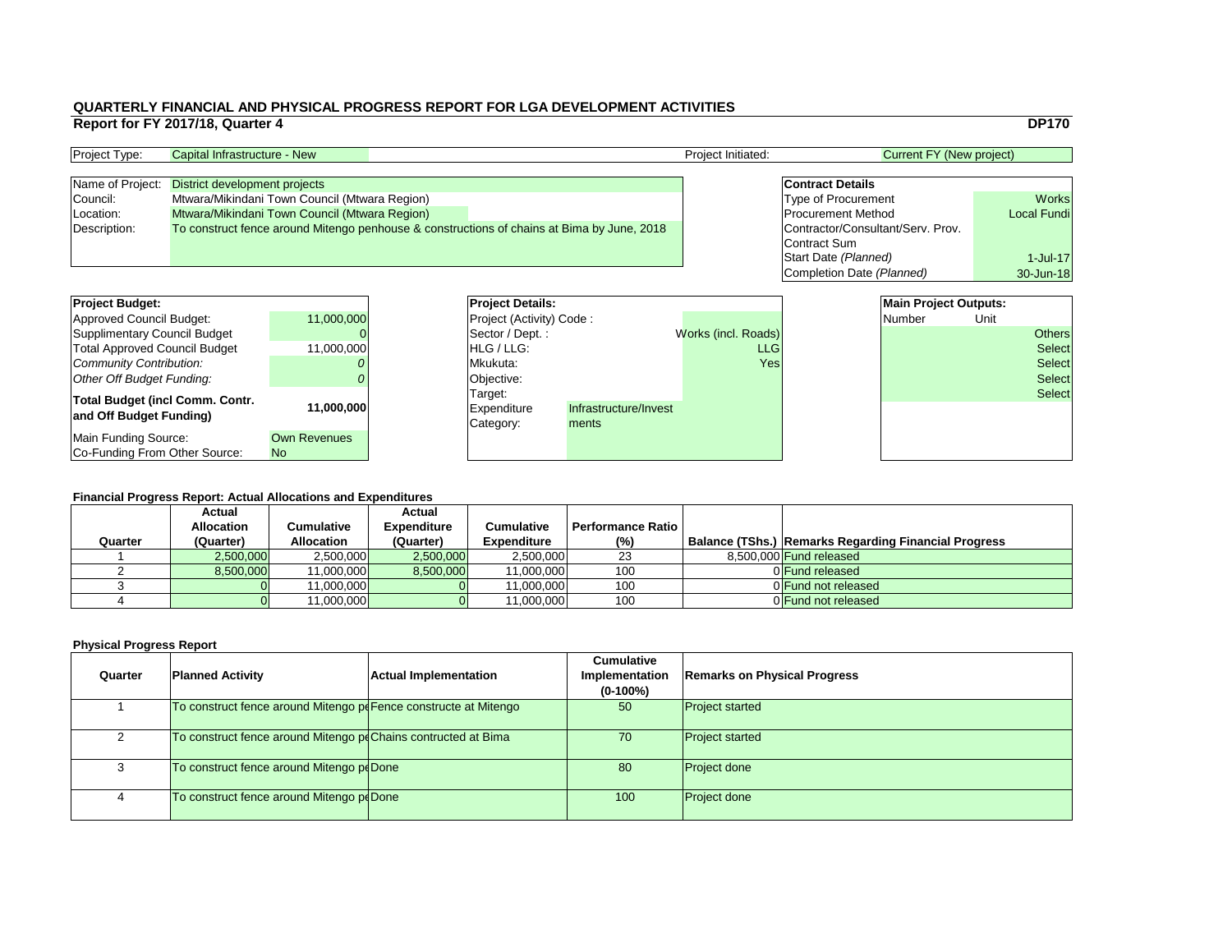|                                   | <b>DP170</b>       |
|-----------------------------------|--------------------|
| <b>Current FY (New project)</b>   |                    |
|                                   |                    |
| <b>Contract Details</b>           |                    |
| <b>Type of Procurement</b>        | <b>Works</b>       |
| <b>Procurement Method</b>         | <b>Local Fundi</b> |
| Contractor/Consultant/Serv. Prov. |                    |
| <b>Contract Sum</b>               |                    |
| Start Date (Planned)              | $1$ -Jul-17        |
| Completion Date (Planned)         | 30-Jun-18          |
|                                   |                    |
| <b>Main Project Outputs:</b>      |                    |
| Number                            | Jnit               |

#### **Financial Progress Report: Actual Allocations and Expenditures**

| <b>Project Budget:</b>                 |                     | <b>Project Details:</b>         |                       |                     | <b>Main Project Outputs:</b> |        |      |               |
|----------------------------------------|---------------------|---------------------------------|-----------------------|---------------------|------------------------------|--------|------|---------------|
| <b>Approved Council Budget:</b>        | 11,000,000          | <b>Project (Activity) Code:</b> |                       |                     |                              | Number | Unit |               |
| <b>Supplimentary Council Budget</b>    |                     | Sector / Dept. :                |                       | Works (incl. Roads) |                              |        |      | <b>Others</b> |
| <b>Total Approved Council Budget</b>   | 11,000,000          | <b>HLG/LLG:</b>                 |                       | <b>LLG</b>          |                              |        |      | Select        |
| <b>Community Contribution:</b>         |                     | Mkukuta:                        |                       | Yes                 |                              |        |      | <b>Select</b> |
| <b>Other Off Budget Funding:</b>       |                     | Objective:                      |                       |                     |                              |        |      | Select        |
| <b>Total Budget (incl Comm. Contr.</b> |                     | Target:                         |                       |                     |                              |        |      | Select        |
| and Off Budget Funding)                | 11,000,000          | Expenditure                     | Infrastructure/Invest |                     |                              |        |      |               |
|                                        |                     | Category:                       | ments                 |                     |                              |        |      |               |
| <b>Main Funding Source:</b>            | <b>Own Revenues</b> |                                 |                       |                     |                              |        |      |               |
| Co-Funding From Other Source:          | N <sub>o</sub>      |                                 |                       |                     |                              |        |      |               |

| <b>Project Type:</b> | Capital Infrastructure - New                   |  |                                                                                            | <b>Project Initiated:</b> | Current FY (New project)          |                    |  |
|----------------------|------------------------------------------------|--|--------------------------------------------------------------------------------------------|---------------------------|-----------------------------------|--------------------|--|
|                      |                                                |  |                                                                                            |                           |                                   |                    |  |
|                      | Name of Project: District development projects |  |                                                                                            |                           | <b>Contract Details</b>           |                    |  |
| Council:             | Mtwara/Mikindani Town Council (Mtwara Region)  |  |                                                                                            |                           | <b>Type of Procurement</b>        | <b>Works</b>       |  |
| Location:            | Mtwara/Mikindani Town Council (Mtwara Region)  |  |                                                                                            |                           | <b>Procurement Method</b>         | <b>Local Fundi</b> |  |
| Description:         |                                                |  | To construct fence around Mitengo penhouse & constructions of chains at Bima by June, 2018 |                           | Contractor/Consultant/Serv. Prov. |                    |  |
|                      |                                                |  |                                                                                            |                           | Contract Sum                      |                    |  |

# **Physical Progress Report**

| <b>Project Budget:</b><br><b>Approved Council Budget:</b>  | 11,000,000          | <b>Project Deta</b><br><b>Project (Activ</b> |
|------------------------------------------------------------|---------------------|----------------------------------------------|
| <b>Supplimentary Council Budget</b>                        |                     | Sector / Dep                                 |
| <b>Total Approved Council Budget</b>                       | 11,000,000          | HLG / LLG:                                   |
| <b>Community Contribution:</b>                             |                     | Mkukuta:                                     |
| Other Off Budget Funding:                                  |                     | Objective:                                   |
| Total Budget (incl Comm. Contr.<br>and Off Budget Funding) | 11,000,000          | Target:<br><b>Expenditure</b><br>Category:   |
| Main Funding Source:                                       | <b>Own Revenues</b> |                                              |
| Co-Funding From Other Source:                              | <b>No</b>           |                                              |

|         | <b>Actual</b>     |                   | <b>Actual</b>      |                    |                          |                                                             |
|---------|-------------------|-------------------|--------------------|--------------------|--------------------------|-------------------------------------------------------------|
|         | <b>Allocation</b> | Cumulative        | <b>Expenditure</b> | <b>Cumulative</b>  | <b>Performance Ratio</b> |                                                             |
| Quarter | (Quarter)         | <b>Allocation</b> | (Quarter)          | <b>Expenditure</b> | $(\%)$                   | <b>Balance (TShs.) Remarks Regarding Financial Progress</b> |
|         | 2,500,000         | 2,500,000         | 2,500,000          | 2,500,000          | 23                       | 8,500,000 <b>Fund released</b>                              |
|         | 8,500,000         | 11,000,000        | 8,500,000          | 11,000,000         | 100                      | 0 Fund released                                             |
|         |                   | 11,000,000        |                    | 11,000,000         | 100                      | 0 Fund not released                                         |
|         |                   | 11,000,000        |                    | 11,000,000         | 100                      | 0 Fund not released                                         |
|         |                   |                   |                    |                    |                          |                                                             |

| Quarter        | <b>Planned Activity</b>                                         | <b>Actual Implementation</b> | <b>Cumulative</b><br>Implementation<br>$(0-100\%)$ | <b>Remarks on Ph</b>   |
|----------------|-----------------------------------------------------------------|------------------------------|----------------------------------------------------|------------------------|
|                | To construct fence around Mitengo poFence constructe at Mitengo |                              | 50                                                 | <b>Project started</b> |
| $\overline{2}$ | To construct fence around Mitengo poChains contructed at Bima   |                              | 70                                                 | <b>Project started</b> |
| 3              | To construct fence around Mitengo poDone                        |                              | 80                                                 | <b>Project done</b>    |
| 4              | To construct fence around Mitengo poDone                        |                              | 100                                                | <b>Project done</b>    |

## **Planned Activity Remarks on Physical Progress**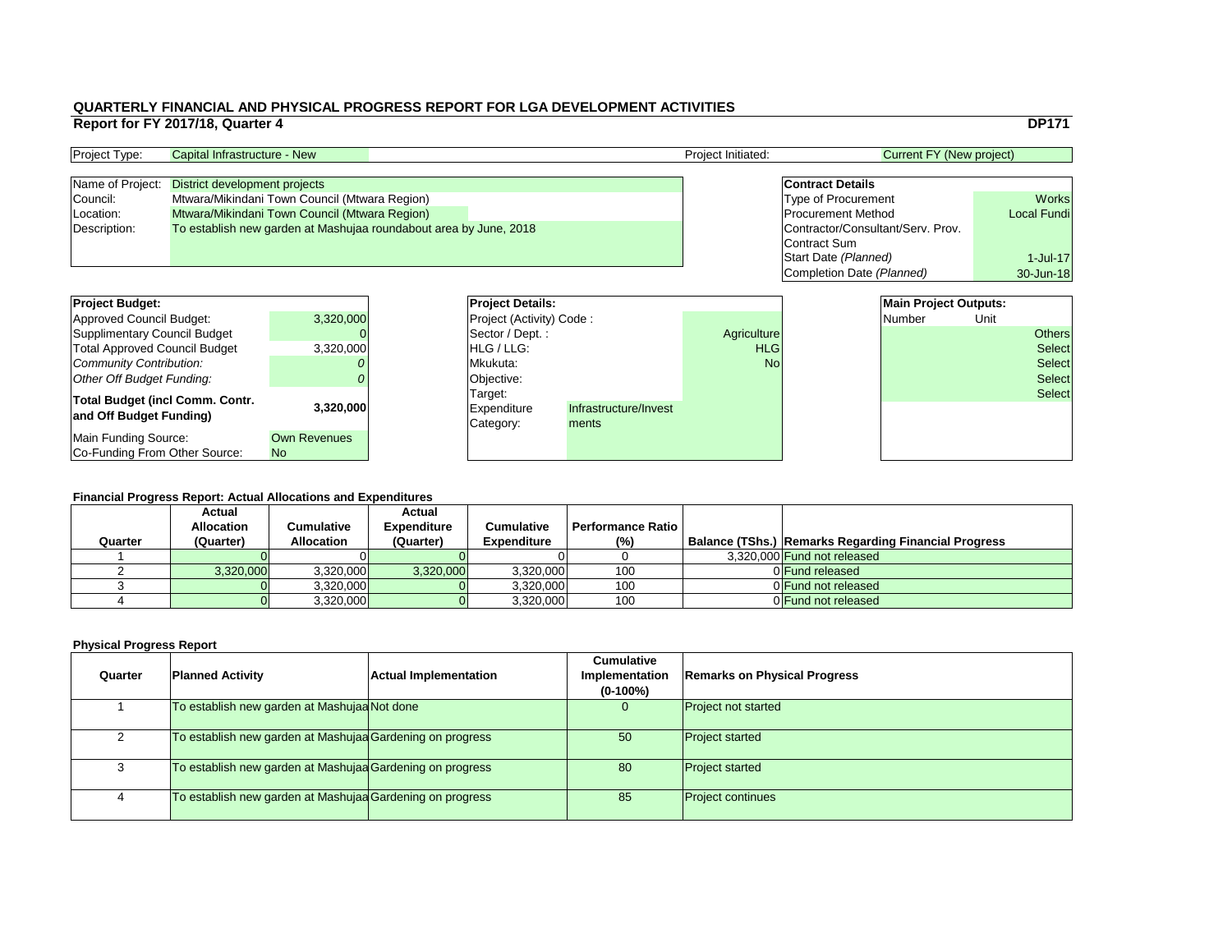|    |                                   | <b>DP171</b>       |
|----|-----------------------------------|--------------------|
|    | <b>Current FY (New project)</b>   |                    |
|    |                                   |                    |
|    | <b>Contract Details</b>           |                    |
|    | <b>Type of Procurement</b>        | <b>Works</b>       |
|    | <b>Procurement Method</b>         | <b>Local Fundi</b> |
|    | Contractor/Consultant/Serv. Prov. |                    |
|    | <b>Contract Sum</b>               |                    |
|    | Start Date (Planned)              | $1$ -Jul-17        |
|    | Completion Date (Planned)         | 30-Jun-18          |
|    |                                   |                    |
|    | <b>Main Project Outputs:</b>      |                    |
|    | <b>Number</b>                     | Unit               |
| re |                                   | Others             |
| G  |                                   | Select             |

#### **Financial Progress Report: Actual Allocations and Expenditures**

| <b>Project Budget:</b>                                            |                                  | <b>Project Details:</b> |                                                                       |  | <b>Main Project Outputs:</b> |        |      |               |
|-------------------------------------------------------------------|----------------------------------|-------------------------|-----------------------------------------------------------------------|--|------------------------------|--------|------|---------------|
| Approved Council Budget:                                          | 3,320,000                        |                         | <b>Project (Activity) Code:</b>                                       |  |                              | Number | Unit |               |
| Supplimentary Council Budget                                      |                                  |                         | Sector / Dept. :                                                      |  | Agriculture                  |        |      | <b>Others</b> |
| <b>Total Approved Council Budget</b>                              | 3,320,000                        |                         | <b>HLG/LLG:</b>                                                       |  | <b>HLG</b>                   |        |      | <b>Select</b> |
| Community Contribution:                                           |                                  |                         | Mkukuta:                                                              |  | <b>No</b>                    |        |      | <b>Select</b> |
| <b>Other Off Budget Funding:</b>                                  |                                  |                         | Objective:                                                            |  |                              |        |      | <b>Select</b> |
| <b>Total Budget (incl Comm. Contr.</b><br>and Off Budget Funding) | 3,320,000                        |                         | Target:<br>Infrastructure/Invest<br>Expenditure<br>Category:<br>ments |  |                              |        |      | <b>Select</b> |
| Main Funding Source:<br>Co-Funding From Other Source:             | <b>Own Revenues</b><br><b>No</b> |                         |                                                                       |  |                              |        |      |               |

| <b>Project Type:</b> | Capital Infrastructure - New                                      |  | <b>Project Initiated:</b> | Current FY (New project)          |                    |  |
|----------------------|-------------------------------------------------------------------|--|---------------------------|-----------------------------------|--------------------|--|
|                      |                                                                   |  |                           |                                   |                    |  |
| Name of Project:     | District development projects                                     |  |                           | <b>Contract Details</b>           |                    |  |
| Council:             | Mtwara/Mikindani Town Council (Mtwara Region)                     |  |                           | <b>Type of Procurement</b>        | <b>Works</b>       |  |
| Location:            | Mtwara/Mikindani Town Council (Mtwara Region)                     |  |                           | <b>Procurement Method</b>         | <b>Local Fundi</b> |  |
| Description:         | To establish new garden at Mashujaa roundabout area by June, 2018 |  |                           | Contractor/Consultant/Serv. Prov. |                    |  |
|                      |                                                                   |  |                           | Contract Sum                      |                    |  |

| <b>Project Details:</b>         |                       |                    | <b>Main Project Outputs:</b> |      |               |
|---------------------------------|-----------------------|--------------------|------------------------------|------|---------------|
| <b>Project (Activity) Code:</b> |                       |                    | Number                       | Unit |               |
| Sector / Dept.:                 |                       | <b>Agriculture</b> |                              |      | <b>Others</b> |
| <b>HLG</b> / LLG:               |                       | <b>HLG</b>         |                              |      | <b>Select</b> |
| Mkukuta:                        |                       | N <sub>O</sub>     |                              |      | <b>Select</b> |
| Objective:                      |                       |                    |                              |      | <b>Select</b> |
| Target:                         |                       |                    |                              |      | <b>Select</b> |
| Expenditure                     | Infrastructure/Invest |                    |                              |      |               |
| Category:                       | ments                 |                    |                              |      |               |
|                                 |                       |                    |                              |      |               |
|                                 |                       |                    |                              |      |               |

|         |                   | <b>Financial Progress Report: Actual Allocations and Expenditures</b> |                    |                    |                          |                                                             |
|---------|-------------------|-----------------------------------------------------------------------|--------------------|--------------------|--------------------------|-------------------------------------------------------------|
|         | <b>Actual</b>     |                                                                       | <b>Actual</b>      |                    |                          |                                                             |
|         | <b>Allocation</b> | Cumulative                                                            | <b>Expenditure</b> | <b>Cumulative</b>  | <b>Performance Ratio</b> |                                                             |
| Quarter | (Quarter)         | <b>Allocation</b>                                                     | (Quarter)          | <b>Expenditure</b> | (%)                      | <b>Balance (TShs.) Remarks Regarding Financial Progress</b> |
|         |                   |                                                                       |                    |                    |                          | 3,320,000 Fund not released                                 |
|         | 3,320,000         |                                                                       |                    |                    | 100                      | 0 Fund released                                             |
|         |                   | 3,320,000                                                             | 3,320,000          | 3,320,000          |                          |                                                             |
|         |                   | 3,320,000                                                             |                    | 3,320,000          | 100                      | 0 Fund not released                                         |

| Quarter | <b>Planned Activity</b>                                   | <b>Actual Implementation</b> | <b>Cumulative</b><br><b>Implementation</b><br>$(0-100\%)$ | <b>Remarks on Physical Progress</b> |
|---------|-----------------------------------------------------------|------------------------------|-----------------------------------------------------------|-------------------------------------|
|         | To establish new garden at Mashujaa Not done              |                              | $\overline{0}$                                            | <b>Project not started</b>          |
|         | To establish new garden at Mashujaa Gardening on progress |                              | 50                                                        | <b>Project started</b>              |
|         | To establish new garden at Mashujaa Gardening on progress |                              | 80                                                        | <b>Project started</b>              |
| 4       | To establish new garden at Mashujaa Gardening on progress |                              | 85                                                        | <b>Project continues</b>            |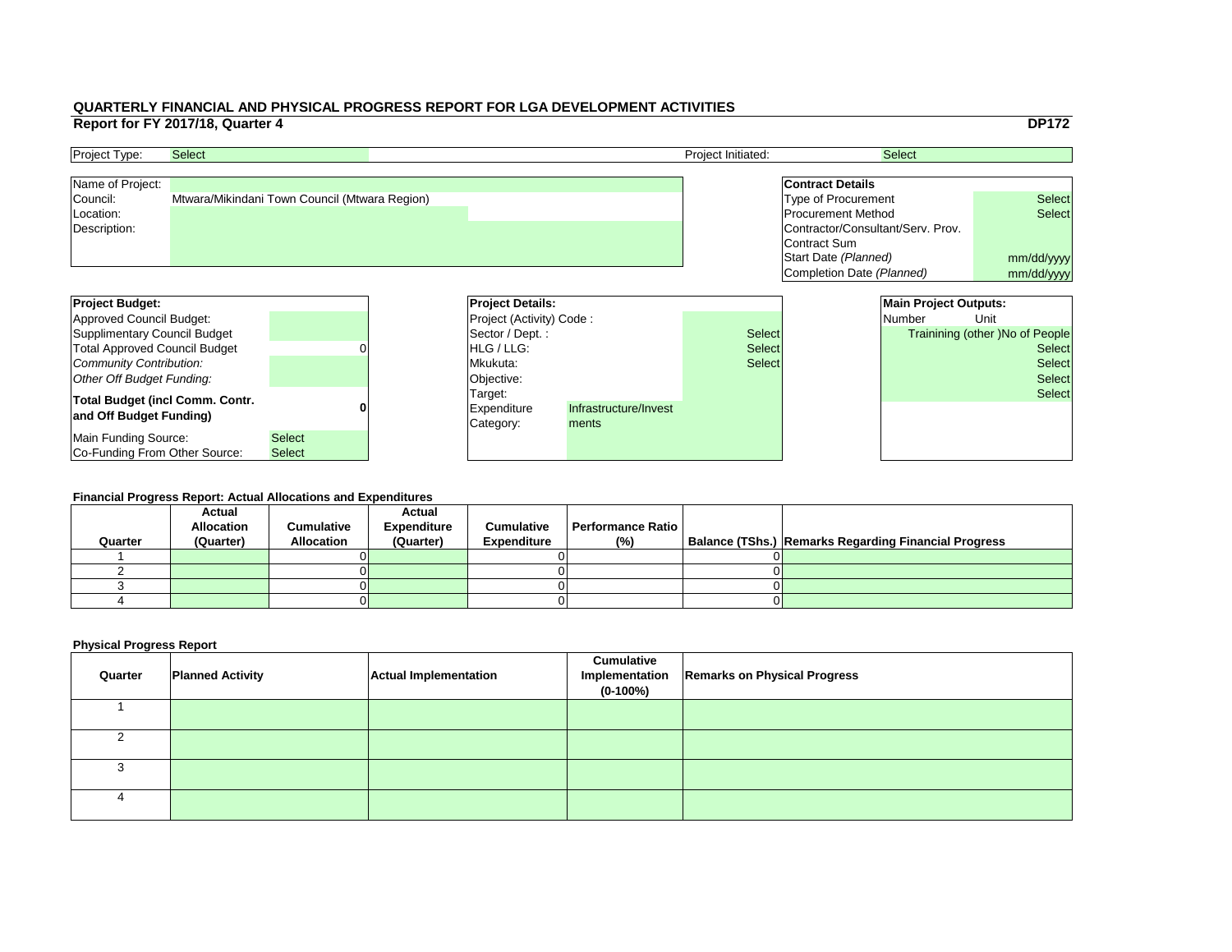|     |                                   |                              | <b>DP172</b>                           |
|-----|-----------------------------------|------------------------------|----------------------------------------|
|     |                                   | <b>Select</b>                |                                        |
|     |                                   |                              |                                        |
|     | <b>Contract Details</b>           |                              |                                        |
|     | <b>Type of Procurement</b>        |                              | <b>Select</b>                          |
|     | <b>Procurement Method</b>         |                              | <b>Select</b>                          |
|     | Contractor/Consultant/Serv. Prov. |                              |                                        |
|     | Contract Sum                      |                              |                                        |
|     | Start Date (Planned)              |                              | mm/dd/yyyy                             |
|     | Completion Date (Planned)         |                              | mm/dd/yyyy                             |
|     |                                   |                              |                                        |
|     |                                   | <b>Main Project Outputs:</b> |                                        |
|     |                                   | <b>Number</b>                | Unit                                   |
|     |                                   |                              |                                        |
| :ct |                                   |                              | <b>Trainining (other) No of People</b> |
| ct: |                                   |                              | <b>Select</b>                          |
| ct: |                                   |                              | <b>Select</b>                          |
|     |                                   |                              | <b>Select</b>                          |
|     |                                   |                              | <b>Select</b>                          |
|     |                                   |                              |                                        |
|     |                                   |                              |                                        |
|     |                                   |                              |                                        |

| <b>Project Budget:</b>                 |               | <b>Project Details:</b>         |                       |               | <b>Main Project Outputs:</b> |                                 |
|----------------------------------------|---------------|---------------------------------|-----------------------|---------------|------------------------------|---------------------------------|
| Approved Council Budget:               |               | <b>Project (Activity) Code:</b> |                       |               | <b>Number</b>                | Unit                            |
| Supplimentary Council Budget           |               | Sector / Dept. :                |                       | <b>Select</b> |                              | Trainining (other )No of People |
| <b>Total Approved Council Budget</b>   |               | <b>IHLG/LLG:</b>                |                       | <b>Select</b> |                              | <b>Select</b>                   |
| Community Contribution:                |               | Mkukuta:                        |                       | <b>Select</b> |                              | <b>Select</b>                   |
| Other Off Budget Funding:              |               | Objective:                      |                       |               |                              | <b>Select</b>                   |
| <b>Total Budget (incl Comm. Contr.</b> |               | Target:                         |                       |               |                              | <b>Select</b>                   |
| and Off Budget Funding)                |               | <b>Expenditure</b>              | Infrastructure/Invest |               |                              |                                 |
|                                        |               | Category:                       | ments                 |               |                              |                                 |
| Main Funding Source:                   | <b>Select</b> |                                 |                       |               |                              |                                 |
| Co-Funding From Other Source:          | <b>Select</b> |                                 |                       |               |                              |                                 |

| <b>Project Type:</b> | <b>Select</b>                                 | <b>Project Initiated:</b> | <b>Select</b>                     |               |
|----------------------|-----------------------------------------------|---------------------------|-----------------------------------|---------------|
| Name of Project:     |                                               |                           | <b>Contract Details</b>           |               |
| Council:             | Mtwara/Mikindani Town Council (Mtwara Region) |                           | Type of Procurement               | <b>Select</b> |
| Location:            |                                               |                           | <b>Procurement Method</b>         | <b>Select</b> |
| Description:         |                                               |                           | Contractor/Consultant/Serv. Prov. |               |
|                      |                                               |                           | Contract Sum                      |               |
|                      |                                               |                           | Start Date (Planned)              | mm/dd/ww      |

#### **Financial Progress Report: Actual Allocations and Expenditures**

| Quarter | <b>Actual</b><br><b>Allocation</b><br>(Quarter) | <b>Cumulative</b><br><b>Allocation</b> | <b>Actual</b><br><b>Expenditure</b><br>(Quarter) | <b>Cumulative</b><br><b>Expenditure</b> | <b>Performance Ratio</b><br>(%) | Balance (TShs.) Remarks Regarding Financial Progress |
|---------|-------------------------------------------------|----------------------------------------|--------------------------------------------------|-----------------------------------------|---------------------------------|------------------------------------------------------|
|         |                                                 |                                        |                                                  |                                         |                                 |                                                      |
|         |                                                 |                                        |                                                  |                                         |                                 |                                                      |
|         |                                                 |                                        |                                                  |                                         |                                 |                                                      |
|         |                                                 |                                        |                                                  |                                         |                                 |                                                      |
|         |                                                 |                                        |                                                  |                                         |                                 |                                                      |

| Quarter | <b>Planned Activity</b> | <b>Actual Implementation</b> | <b>Cumulative</b><br>Implementation<br>$(0-100%)$ | <b>Remarks on Physical Progress</b> |
|---------|-------------------------|------------------------------|---------------------------------------------------|-------------------------------------|
|         |                         |                              |                                                   |                                     |
|         |                         |                              |                                                   |                                     |
|         |                         |                              |                                                   |                                     |
|         |                         |                              |                                                   |                                     |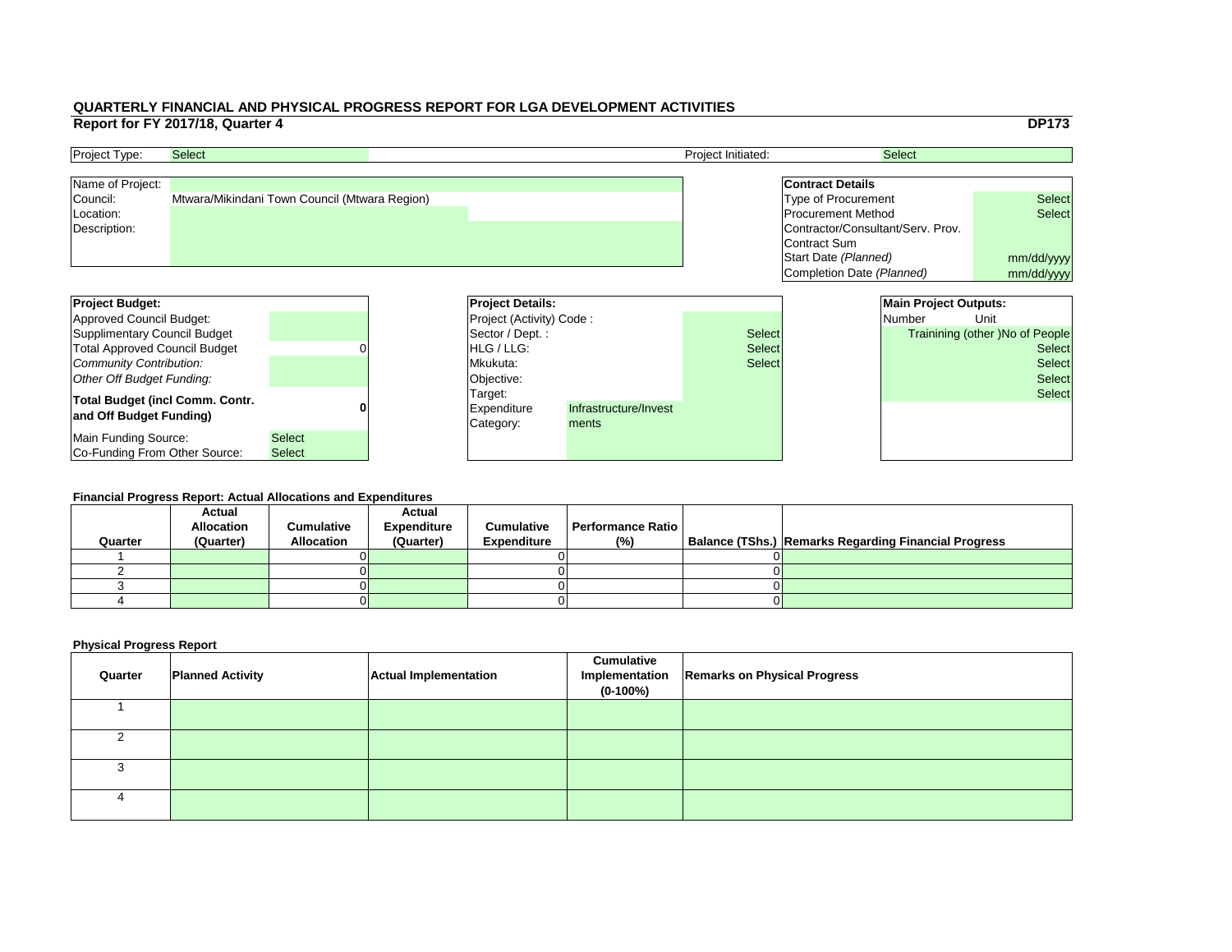|     |                                   |                              | <b>DP173</b>                           |
|-----|-----------------------------------|------------------------------|----------------------------------------|
|     |                                   | <b>Select</b>                |                                        |
|     |                                   |                              |                                        |
|     | <b>Contract Details</b>           |                              |                                        |
|     | <b>Type of Procurement</b>        |                              | <b>Select</b>                          |
|     | <b>Procurement Method</b>         |                              | <b>Select</b>                          |
|     | Contractor/Consultant/Serv. Prov. |                              |                                        |
|     | Contract Sum                      |                              |                                        |
|     | Start Date (Planned)              |                              | mm/dd/yyyy                             |
|     | Completion Date (Planned)         |                              | mm/dd/yyyy                             |
|     |                                   |                              |                                        |
|     |                                   | <b>Main Project Outputs:</b> |                                        |
|     |                                   | <b>Number</b>                | Unit                                   |
| ct: |                                   |                              | <b>Trainining (other) No of People</b> |
| ct: |                                   |                              | <b>Select</b>                          |
| ct: |                                   |                              | <b>Select</b>                          |
|     |                                   |                              | <b>Select</b>                          |
|     |                                   |                              | <b>Select</b>                          |
|     |                                   |                              |                                        |
|     |                                   |                              |                                        |
|     |                                   |                              |                                        |
|     |                                   |                              |                                        |
|     |                                   |                              |                                        |

| <b>Project Type:</b> | <b>Select</b>                                 | <b>Project Initiated:</b> | <b>Select</b>                     |               |
|----------------------|-----------------------------------------------|---------------------------|-----------------------------------|---------------|
| Name of Project:     |                                               |                           | <b>Contract Details</b>           |               |
| Council:             | Mtwara/Mikindani Town Council (Mtwara Region) |                           | Type of Procurement               | <b>Select</b> |
| Location:            |                                               |                           | <b>Procurement Method</b>         | <b>Select</b> |
| Description:         |                                               |                           | Contractor/Consultant/Serv. Prov. |               |
|                      |                                               |                           | Contract Sum                      |               |
|                      |                                               |                           | Start Date (Planned)              | mm/dd/ww      |

| <b>Project Budget:</b>                 |               | <b>Project Details:</b>         |                       |               | <b>Main Project Outputs:</b> |                                 |
|----------------------------------------|---------------|---------------------------------|-----------------------|---------------|------------------------------|---------------------------------|
| Approved Council Budget:               |               | <b>Project (Activity) Code:</b> |                       |               | <b>Number</b>                | Unit                            |
| Supplimentary Council Budget           |               | Sector / Dept. :                |                       | <b>Select</b> |                              | Trainining (other )No of People |
| <b>Total Approved Council Budget</b>   |               | <b>IHLG/LLG:</b>                |                       | <b>Select</b> |                              | <b>Select</b>                   |
| Community Contribution:                |               | Mkukuta:                        |                       | <b>Select</b> |                              | <b>Select</b>                   |
| Other Off Budget Funding:              |               | Objective:                      |                       |               |                              | <b>Select</b>                   |
| <b>Total Budget (incl Comm. Contr.</b> |               | Target:                         |                       |               |                              | <b>Select</b>                   |
| and Off Budget Funding)                |               | <b>Expenditure</b>              | Infrastructure/Invest |               |                              |                                 |
|                                        |               | Category:                       | ments                 |               |                              |                                 |
| Main Funding Source:                   | <b>Select</b> |                                 |                       |               |                              |                                 |
| Co-Funding From Other Source:          | <b>Select</b> |                                 |                       |               |                              |                                 |

#### **Financial Progress Report: Actual Allocations and Expenditures**

| Quarter | <b>Actual</b><br><b>Allocation</b><br>(Quarter) | <b>Cumulative</b><br><b>Allocation</b> | <b>Actual</b><br><b>Expenditure</b><br>(Quarter) | <b>Cumulative</b><br><b>Expenditure</b> | <b>Performance Ratio</b><br>(%) | Balance (TShs.) Remarks Regarding Financial Progress |
|---------|-------------------------------------------------|----------------------------------------|--------------------------------------------------|-----------------------------------------|---------------------------------|------------------------------------------------------|
|         |                                                 |                                        |                                                  |                                         |                                 |                                                      |
|         |                                                 |                                        |                                                  |                                         |                                 |                                                      |
|         |                                                 |                                        |                                                  |                                         |                                 |                                                      |
|         |                                                 |                                        |                                                  |                                         |                                 |                                                      |
|         |                                                 |                                        |                                                  |                                         |                                 |                                                      |

| Quarter | <b>Planned Activity</b> | <b>Actual Implementation</b> | <b>Cumulative</b><br>$(0-100%)$ | Implementation   Remarks on Physical Progress |
|---------|-------------------------|------------------------------|---------------------------------|-----------------------------------------------|
|         |                         |                              |                                 |                                               |
|         |                         |                              |                                 |                                               |
|         |                         |                              |                                 |                                               |
|         |                         |                              |                                 |                                               |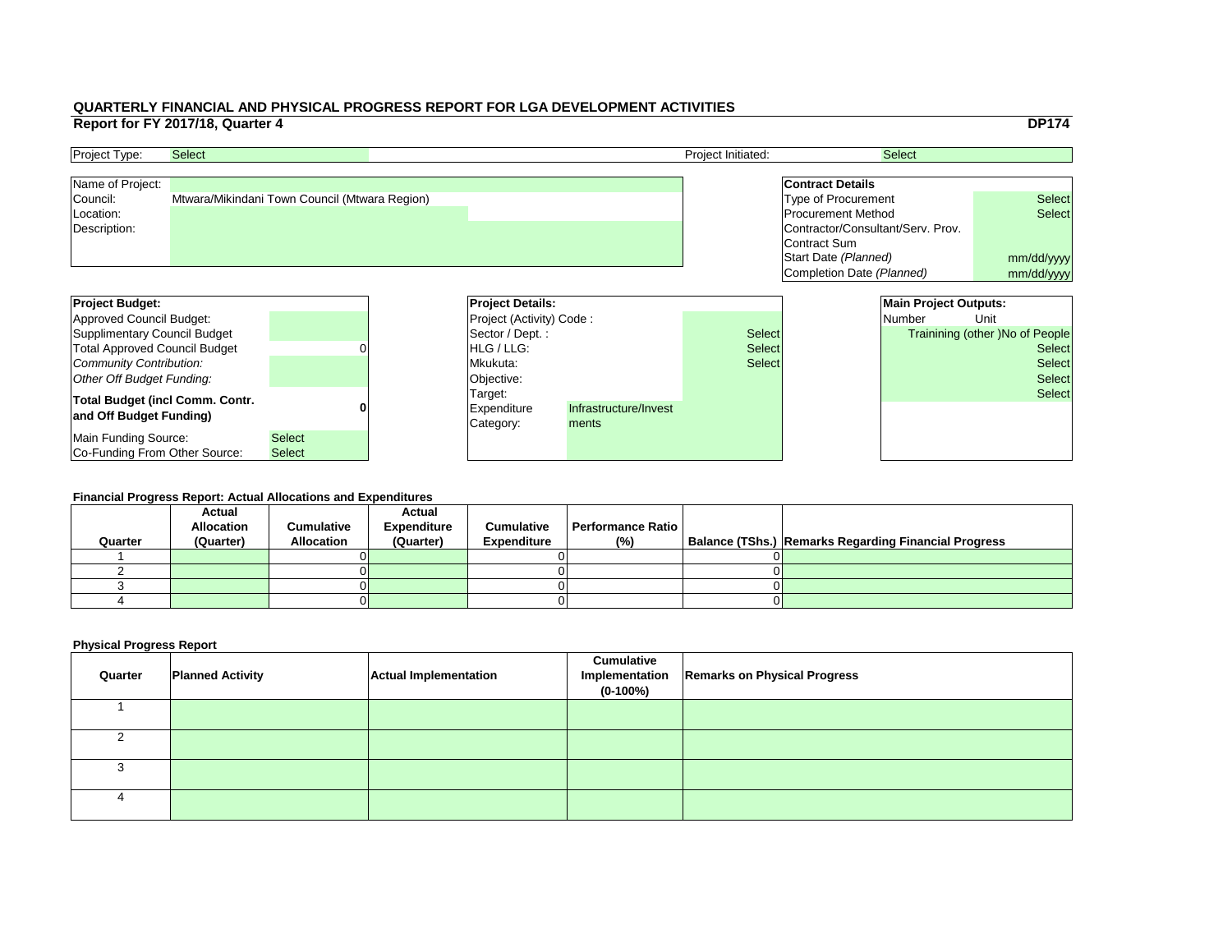|     |                                   |                              | <b>DP174</b>                           |
|-----|-----------------------------------|------------------------------|----------------------------------------|
|     |                                   | <b>Select</b>                |                                        |
|     |                                   |                              |                                        |
|     | <b>Contract Details</b>           |                              |                                        |
|     | <b>Type of Procurement</b>        |                              | <b>Select</b>                          |
|     | <b>Procurement Method</b>         |                              | <b>Select</b>                          |
|     | Contractor/Consultant/Serv. Prov. |                              |                                        |
|     | <b>Contract Sum</b>               |                              |                                        |
|     | Start Date (Planned)              |                              | mm/dd/yyyy                             |
|     | Completion Date (Planned)         |                              | mm/dd/yyyy                             |
|     |                                   |                              |                                        |
|     |                                   | <b>Main Project Outputs:</b> |                                        |
|     |                                   | <b>Number</b>                | Unit                                   |
| ct: |                                   |                              | <b>Trainining (other) No of People</b> |
| ct: |                                   |                              | <b>Select</b>                          |
| ct: |                                   |                              | <b>Select</b>                          |
|     |                                   |                              | <b>Select</b>                          |
|     |                                   |                              | <b>Select</b>                          |
|     |                                   |                              |                                        |
|     |                                   |                              |                                        |
|     |                                   |                              |                                        |
|     |                                   |                              |                                        |

| <b>Project Type:</b> | <b>Select</b>                                 | <b>Project Initiated:</b> | <b>Select</b>                     |               |
|----------------------|-----------------------------------------------|---------------------------|-----------------------------------|---------------|
| Name of Project:     |                                               |                           | <b>Contract Details</b>           |               |
| Council:             | Mtwara/Mikindani Town Council (Mtwara Region) |                           | Type of Procurement               | <b>Select</b> |
| Location:            |                                               |                           | <b>Procurement Method</b>         | <b>Select</b> |
| Description:         |                                               |                           | Contractor/Consultant/Serv. Prov. |               |
|                      |                                               |                           | Contract Sum                      |               |
|                      |                                               |                           | Start Date (Planned)              | mm/dd/ww      |

| <b>Project Budget:</b>                 |               | <b>Project Details:</b>         |                       |               | <b>Main Project Outputs:</b> |                                 |
|----------------------------------------|---------------|---------------------------------|-----------------------|---------------|------------------------------|---------------------------------|
| Approved Council Budget:               |               | <b>Project (Activity) Code:</b> |                       |               | <b>Number</b>                | Unit                            |
| Supplimentary Council Budget           |               | Sector / Dept. :                |                       | <b>Select</b> |                              | Trainining (other )No of People |
| <b>Total Approved Council Budget</b>   |               | <b>IHLG/LLG:</b>                |                       | <b>Select</b> |                              | <b>Select</b>                   |
| Community Contribution:                |               | Mkukuta:                        |                       | <b>Select</b> |                              | <b>Select</b>                   |
| Other Off Budget Funding:              |               | Objective:                      |                       |               |                              | <b>Select</b>                   |
| <b>Total Budget (incl Comm. Contr.</b> |               | Target:                         |                       |               |                              | <b>Select</b>                   |
| and Off Budget Funding)                |               | <b>Expenditure</b>              | Infrastructure/Invest |               |                              |                                 |
|                                        |               | Category:                       | ments                 |               |                              |                                 |
| Main Funding Source:                   | <b>Select</b> |                                 |                       |               |                              |                                 |
| Co-Funding From Other Source:          | <b>Select</b> |                                 |                       |               |                              |                                 |

#### **Financial Progress Report: Actual Allocations and Expenditures**

|         | <b>Actual</b><br><b>Allocation</b> | <b>Cumulative</b> | <b>Actual</b><br><b>Expenditure</b> | <b>Cumulative</b>  | Performance Ratio I |                                                             |
|---------|------------------------------------|-------------------|-------------------------------------|--------------------|---------------------|-------------------------------------------------------------|
| Quarter | (Quarter)                          | <b>Allocation</b> | (Quarter)                           | <b>Expenditure</b> | $(\% )$             | <b>Balance (TShs.) Remarks Regarding Financial Progress</b> |
|         |                                    |                   |                                     |                    |                     |                                                             |
|         |                                    |                   |                                     |                    |                     |                                                             |
|         |                                    |                   |                                     |                    |                     |                                                             |
|         |                                    |                   |                                     |                    |                     |                                                             |
|         |                                    |                   |                                     |                    |                     |                                                             |

| Quarter | <b>Planned Activity</b> | <b>Actual Implementation</b> | <b>Cumulative</b><br>$(0-100\%)$ | Implementation   Remarks on Physical Progress |
|---------|-------------------------|------------------------------|----------------------------------|-----------------------------------------------|
|         |                         |                              |                                  |                                               |
|         |                         |                              |                                  |                                               |
|         |                         |                              |                                  |                                               |
|         |                         |                              |                                  |                                               |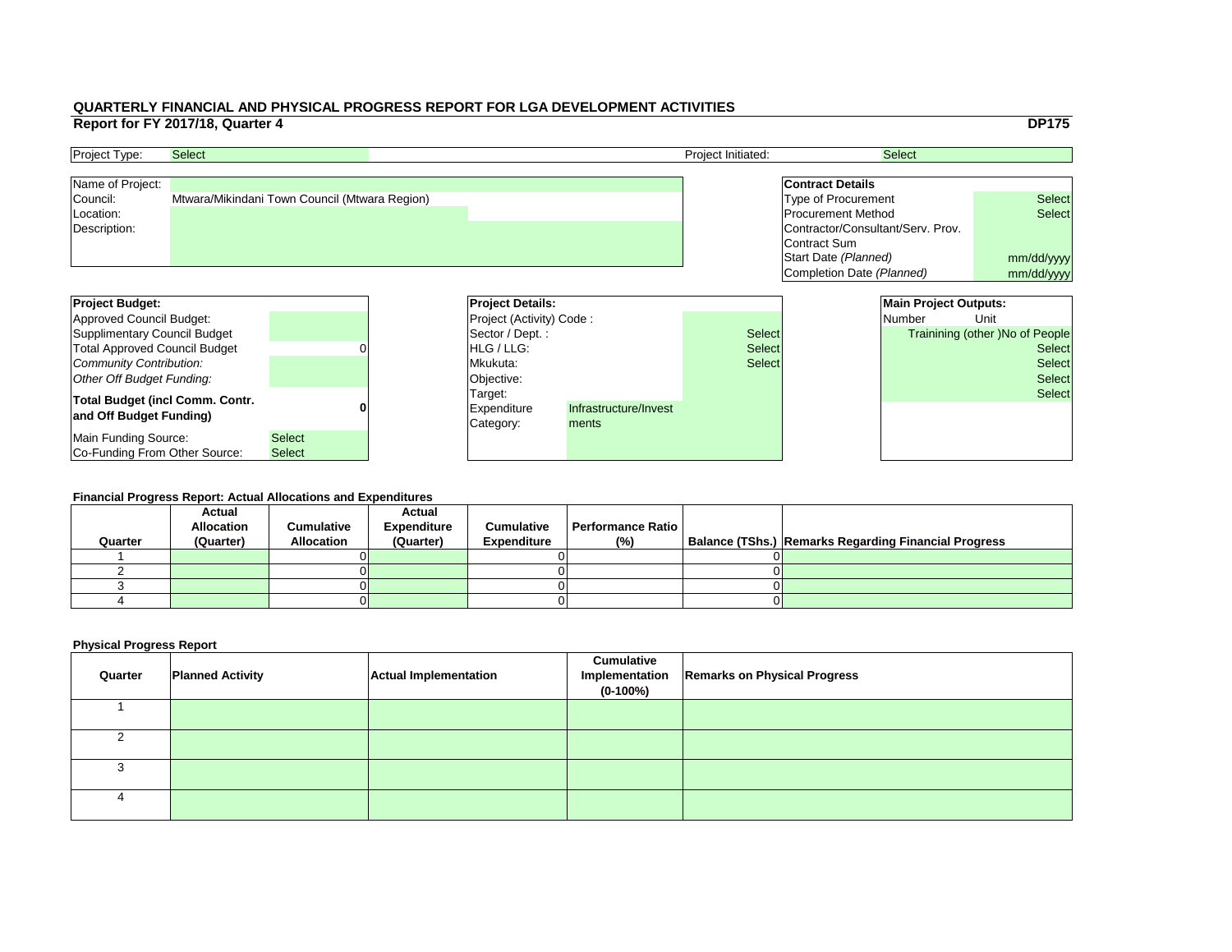|     |                                   |                              | <b>DP175</b>                           |
|-----|-----------------------------------|------------------------------|----------------------------------------|
|     |                                   | <b>Select</b>                |                                        |
|     |                                   |                              |                                        |
|     | <b>Contract Details</b>           |                              |                                        |
|     | <b>Type of Procurement</b>        |                              | <b>Select</b>                          |
|     | <b>Procurement Method</b>         |                              | <b>Select</b>                          |
|     | Contractor/Consultant/Serv. Prov. |                              |                                        |
|     | <b>Contract Sum</b>               |                              |                                        |
|     | Start Date (Planned)              | mm/dd/yyyy                   |                                        |
|     | <b>Completion Date (Planned)</b>  | mm/dd/yyyy                   |                                        |
|     |                                   |                              |                                        |
|     |                                   | <b>Main Project Outputs:</b> |                                        |
|     |                                   | Number                       | Unit                                   |
| ct: |                                   |                              | <b>Trainining (other) No of People</b> |
|     |                                   |                              | <b>Select</b>                          |
| ct: |                                   |                              |                                        |
| ct: |                                   |                              | <b>Select</b>                          |
|     |                                   |                              | <b>Select</b>                          |
|     |                                   |                              | <b>Select</b>                          |
|     |                                   |                              |                                        |
|     |                                   |                              |                                        |
|     |                                   |                              |                                        |

| <b>Project Budget:</b>                 |               | <b>Project Details:</b>         |                       |               | <b>Main Project Outputs:</b> |                                        |
|----------------------------------------|---------------|---------------------------------|-----------------------|---------------|------------------------------|----------------------------------------|
| Approved Council Budget:               |               | <b>Project (Activity) Code:</b> |                       |               | <b>Number</b>                | Unit                                   |
| Supplimentary Council Budget           |               | Sector / Dept. :                |                       | <b>Select</b> |                              | <b>Trainining (other )No of People</b> |
| <b>Total Approved Council Budget</b>   |               | <b>IHLG/LLG:</b>                |                       | <b>Select</b> |                              | <b>Select</b>                          |
| Community Contribution:                |               | Mkukuta:                        |                       | <b>Select</b> |                              | <b>Select</b>                          |
| Other Off Budget Funding:              |               | Objective:                      |                       |               |                              | <b>Select</b>                          |
| <b>Total Budget (incl Comm. Contr.</b> |               | Target:                         |                       |               |                              | <b>Select</b>                          |
| and Off Budget Funding)                |               | <b>Expenditure</b>              | Infrastructure/Invest |               |                              |                                        |
|                                        |               | Category:                       | ments                 |               |                              |                                        |
| Main Funding Source:                   | <b>Select</b> |                                 |                       |               |                              |                                        |
| <b>Co-Funding From Other Source:</b>   | <b>Select</b> |                                 |                       |               |                              |                                        |

| <b>Project Type:</b> | <b>Select</b>                                 | <b>Project Initiated:</b> | <b>Select</b>                     |               |
|----------------------|-----------------------------------------------|---------------------------|-----------------------------------|---------------|
| Name of Project:     |                                               |                           | <b>Contract Details</b>           |               |
| Council:             | Mtwara/Mikindani Town Council (Mtwara Region) |                           | Type of Procurement               | <b>Select</b> |
| Location:            |                                               |                           | <b>Procurement Method</b>         | <b>Select</b> |
| Description:         |                                               |                           | Contractor/Consultant/Serv. Prov. |               |
|                      |                                               |                           | Contract Sum                      |               |
|                      |                                               |                           | Start Date (Planned)              | mm/dd/ww      |

#### **Financial Progress Report: Actual Allocations and Expenditures**

| Quarter | <b>Actual</b><br><b>Allocation</b><br>(Quarter) | <b>Cumulative</b><br><b>Allocation</b> | <b>Actual</b><br><b>Expenditure</b><br>(Quarter) | <b>Cumulative</b><br><b>Expenditure</b> | <b>Performance Ratio</b><br>(%) | Balance (TShs.) Remarks Regarding Financial Progress |
|---------|-------------------------------------------------|----------------------------------------|--------------------------------------------------|-----------------------------------------|---------------------------------|------------------------------------------------------|
|         |                                                 |                                        |                                                  |                                         |                                 |                                                      |
|         |                                                 |                                        |                                                  |                                         |                                 |                                                      |
|         |                                                 |                                        |                                                  |                                         |                                 |                                                      |
|         |                                                 |                                        |                                                  |                                         |                                 |                                                      |
|         |                                                 |                                        |                                                  |                                         |                                 |                                                      |

| Quarter | <b>Planned Activity</b> | <b>Actual Implementation</b> | <b>Cumulative</b><br>$(0-100\%)$ | Implementation   Remarks on Physical Progress |
|---------|-------------------------|------------------------------|----------------------------------|-----------------------------------------------|
|         |                         |                              |                                  |                                               |
|         |                         |                              |                                  |                                               |
|         |                         |                              |                                  |                                               |
|         |                         |                              |                                  |                                               |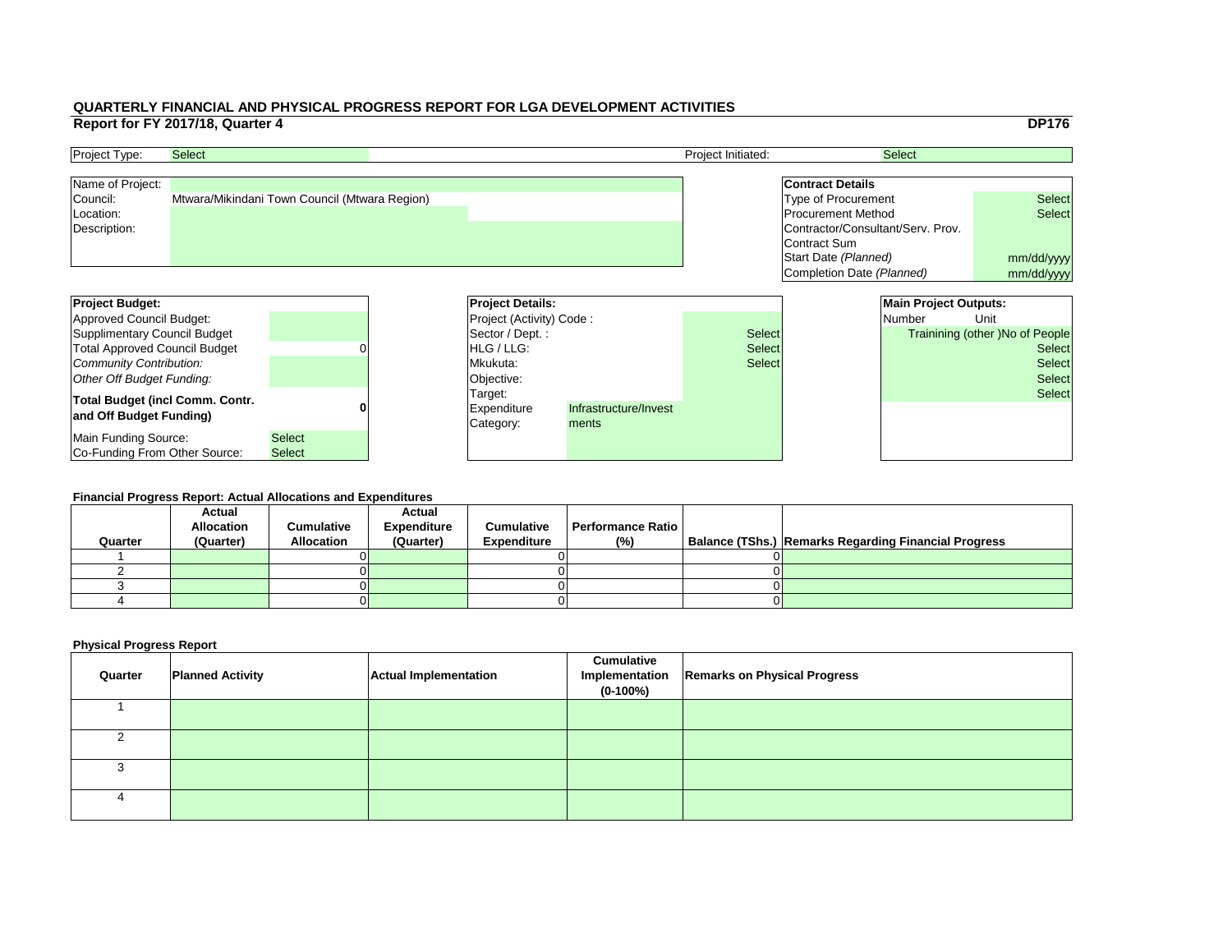|     |                                   |                              | <b>DP176</b>                           |  |
|-----|-----------------------------------|------------------------------|----------------------------------------|--|
|     |                                   | <b>Select</b>                |                                        |  |
|     |                                   |                              |                                        |  |
|     | <b>Contract Details</b>           |                              |                                        |  |
|     | <b>Type of Procurement</b>        |                              | <b>Select</b>                          |  |
|     | <b>Procurement Method</b>         |                              | <b>Select</b>                          |  |
|     | Contractor/Consultant/Serv. Prov. |                              |                                        |  |
|     | Contract Sum                      |                              |                                        |  |
|     | Start Date (Planned)              | mm/dd/yyyy                   |                                        |  |
|     | Completion Date (Planned)         |                              | mm/dd/yyyy                             |  |
|     |                                   |                              |                                        |  |
|     |                                   | <b>Main Project Outputs:</b> |                                        |  |
|     |                                   | Number                       | Unit                                   |  |
|     |                                   |                              |                                        |  |
| :ct |                                   |                              | <b>Trainining (other) No of People</b> |  |
| ct: |                                   |                              | <b>Select</b>                          |  |
| ct: |                                   |                              | <b>Select</b>                          |  |
|     |                                   |                              | <b>Select</b>                          |  |
|     |                                   |                              | <b>Select</b>                          |  |
|     |                                   |                              |                                        |  |
|     |                                   |                              |                                        |  |
|     |                                   |                              |                                        |  |

| <b>Project Budget:</b>                 |               | <b>Project Details:</b>         |                       |               | <b>Main Project Outputs:</b> |                                        |
|----------------------------------------|---------------|---------------------------------|-----------------------|---------------|------------------------------|----------------------------------------|
| Approved Council Budget:               |               | <b>Project (Activity) Code:</b> |                       |               | <b>Number</b>                | Unit                                   |
| Supplimentary Council Budget           |               | Sector / Dept. :                |                       | <b>Select</b> |                              | <b>Trainining (other )No of People</b> |
| <b>Total Approved Council Budget</b>   |               | <b>IHLG/LLG:</b>                |                       | <b>Select</b> |                              | <b>Select</b>                          |
| Community Contribution:                |               | Mkukuta:                        |                       | <b>Select</b> |                              | <b>Select</b>                          |
| Other Off Budget Funding:              |               | Objective:                      |                       |               |                              | <b>Select</b>                          |
| <b>Total Budget (incl Comm. Contr.</b> |               | Target:                         |                       |               |                              | <b>Select</b>                          |
| and Off Budget Funding)                |               | <b>Expenditure</b>              | Infrastructure/Invest |               |                              |                                        |
|                                        |               | Category:                       | ments                 |               |                              |                                        |
| Main Funding Source:                   | <b>Select</b> |                                 |                       |               |                              |                                        |
| <b>Co-Funding From Other Source:</b>   | <b>Select</b> |                                 |                       |               |                              |                                        |

| <b>Project Type:</b> | <b>Select</b>                                 | <b>Project Initiated:</b> | <b>Select</b>                     |               |
|----------------------|-----------------------------------------------|---------------------------|-----------------------------------|---------------|
| Name of Project:     |                                               |                           | <b>Contract Details</b>           |               |
| Council:             | Mtwara/Mikindani Town Council (Mtwara Region) |                           | Type of Procurement               | <b>Select</b> |
| Location:            |                                               |                           | <b>Procurement Method</b>         | <b>Select</b> |
| Description:         |                                               |                           | Contractor/Consultant/Serv. Prov. |               |
|                      |                                               |                           | Contract Sum                      |               |
|                      |                                               |                           | Start Date (Planned)              | mm/dd/ww      |

#### **Financial Progress Report: Actual Allocations and Expenditures**

| Quarter | <b>Actual</b><br><b>Allocation</b><br>(Quarter) | <b>Cumulative</b><br><b>Allocation</b> | <b>Actual</b><br><b>Expenditure</b><br>(Quarter) | <b>Cumulative</b><br><b>Expenditure</b> | <b>Performance Ratio</b><br>(%) | Balance (TShs.) Remarks Regarding Financial Progress |
|---------|-------------------------------------------------|----------------------------------------|--------------------------------------------------|-----------------------------------------|---------------------------------|------------------------------------------------------|
|         |                                                 |                                        |                                                  |                                         |                                 |                                                      |
|         |                                                 |                                        |                                                  |                                         |                                 |                                                      |
|         |                                                 |                                        |                                                  |                                         |                                 |                                                      |
|         |                                                 |                                        |                                                  |                                         |                                 |                                                      |
|         |                                                 |                                        |                                                  |                                         |                                 |                                                      |

| Quarter | <b>Planned Activity</b> | <b>Actual Implementation</b> | <b>Cumulative</b><br>Implementation<br>$(0-100\%)$ | <b>Remarks on Physical Progress</b> |
|---------|-------------------------|------------------------------|----------------------------------------------------|-------------------------------------|
|         |                         |                              |                                                    |                                     |
|         |                         |                              |                                                    |                                     |
|         |                         |                              |                                                    |                                     |
| 4       |                         |                              |                                                    |                                     |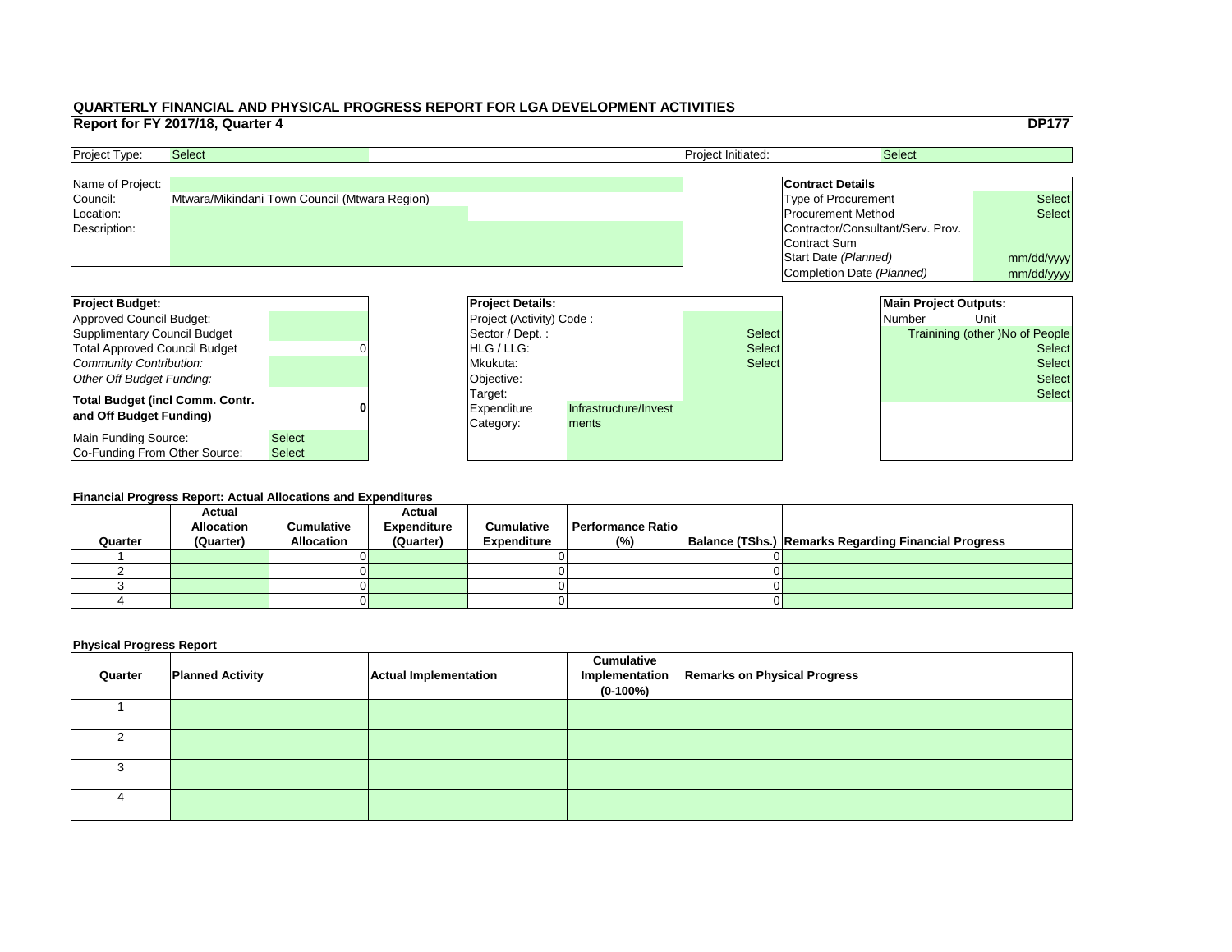|     |                                   |                              | <b>DP177</b>                           |
|-----|-----------------------------------|------------------------------|----------------------------------------|
|     | <b>Select</b>                     |                              |                                        |
|     |                                   |                              |                                        |
|     | <b>Contract Details</b>           |                              |                                        |
|     | Type of Procurement               |                              | <b>Select</b>                          |
|     | <b>Procurement Method</b>         |                              | <b>Select</b>                          |
|     | Contractor/Consultant/Serv. Prov. |                              |                                        |
|     | <b>Contract Sum</b>               |                              |                                        |
|     | Start Date (Planned)              |                              | mm/dd/yyyy                             |
|     | Completion Date (Planned)         |                              | mm/dd/yyyy                             |
|     |                                   |                              |                                        |
|     |                                   | <b>Main Project Outputs:</b> |                                        |
|     | <b>Number</b>                     |                              | Unit                                   |
|     |                                   |                              |                                        |
| ct: |                                   |                              | <b>Trainining (other) No of People</b> |
| ct: |                                   |                              | <b>Select</b>                          |
| :ct |                                   |                              | <b>Select</b>                          |
|     |                                   |                              | <b>Select</b>                          |
|     |                                   |                              | <b>Select</b>                          |
|     |                                   |                              |                                        |
|     |                                   |                              |                                        |
|     |                                   |                              |                                        |

| <b>Project Budget:</b>                 |               |  | <b>Project Details:</b>         |                       |               | <b>Main Project Outputs:</b> |                                        |
|----------------------------------------|---------------|--|---------------------------------|-----------------------|---------------|------------------------------|----------------------------------------|
| Approved Council Budget:               |               |  | <b>Project (Activity) Code:</b> |                       |               | <b>Number</b>                | Unit                                   |
| Supplimentary Council Budget           |               |  | Sector / Dept. :                |                       | <b>Select</b> |                              | <b>Trainining (other )No of People</b> |
| <b>Total Approved Council Budget</b>   |               |  | <b>IHLG/LLG:</b>                |                       | <b>Select</b> |                              | <b>Select</b>                          |
| Community Contribution:                |               |  | Mkukuta:                        |                       | <b>Select</b> |                              | <b>Select</b>                          |
| Other Off Budget Funding:              |               |  | Objective:                      |                       |               |                              | <b>Select</b>                          |
| <b>Total Budget (incl Comm. Contr.</b> |               |  | Target:                         |                       |               |                              | <b>Select</b>                          |
| and Off Budget Funding)                |               |  | <b>Expenditure</b>              | Infrastructure/Invest |               |                              |                                        |
|                                        |               |  | Category:                       | ments                 |               |                              |                                        |
| Main Funding Source:                   | <b>Select</b> |  |                                 |                       |               |                              |                                        |
| <b>Co-Funding From Other Source:</b>   | <b>Select</b> |  |                                 |                       |               |                              |                                        |

| <b>Project Type:</b> | <b>Select</b>                                 | <b>Project Initiated:</b> | <b>Select</b>                     |               |
|----------------------|-----------------------------------------------|---------------------------|-----------------------------------|---------------|
| Name of Project:     |                                               |                           | <b>Contract Details</b>           |               |
| Council:             | Mtwara/Mikindani Town Council (Mtwara Region) |                           | Type of Procurement               | <b>Select</b> |
| Location:            |                                               |                           | <b>Procurement Method</b>         | <b>Select</b> |
| Description:         |                                               |                           | Contractor/Consultant/Serv. Prov. |               |
|                      |                                               |                           | Contract Sum                      |               |
|                      |                                               |                           | Start Date (Planned)              | mm/dd/ww      |

#### **Financial Progress Report: Actual Allocations and Expenditures**

|         | <b>Actual</b><br><b>Allocation</b> | <b>Cumulative</b> | <b>Actual</b><br><b>Expenditure</b> | <b>Cumulative</b>  | Performance Ratio |  |                                                             |  |  |  |  |
|---------|------------------------------------|-------------------|-------------------------------------|--------------------|-------------------|--|-------------------------------------------------------------|--|--|--|--|
| Quarter | (Quarter)                          | <b>Allocation</b> | (Quarter)                           | <b>Expenditure</b> | (%)               |  | <b>Balance (TShs.) Remarks Regarding Financial Progress</b> |  |  |  |  |
|         |                                    |                   |                                     |                    |                   |  |                                                             |  |  |  |  |
|         |                                    |                   |                                     |                    |                   |  |                                                             |  |  |  |  |
|         |                                    |                   |                                     |                    |                   |  |                                                             |  |  |  |  |
|         |                                    |                   |                                     |                    |                   |  |                                                             |  |  |  |  |
|         |                                    |                   |                                     |                    |                   |  |                                                             |  |  |  |  |

| Quarter | <b>Planned Activity</b> | <b>Actual Implementation</b> | <b>Cumulative</b><br>Implementation<br>$(0-100%)$ | <b>Remarks on Physical Progress</b> |
|---------|-------------------------|------------------------------|---------------------------------------------------|-------------------------------------|
|         |                         |                              |                                                   |                                     |
|         |                         |                              |                                                   |                                     |
|         |                         |                              |                                                   |                                     |
|         |                         |                              |                                                   |                                     |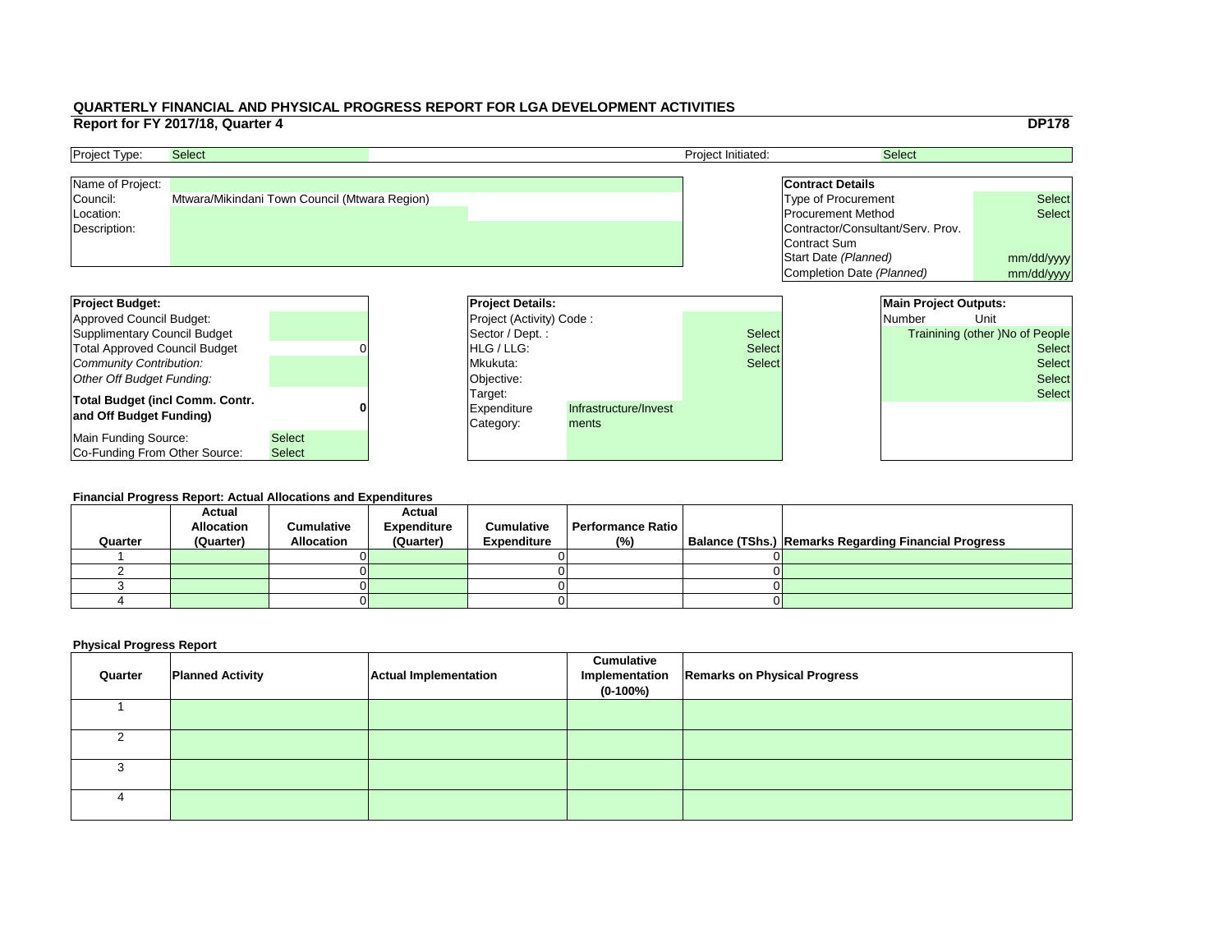|     |                                   |                              | <b>DP178</b>                           |
|-----|-----------------------------------|------------------------------|----------------------------------------|
|     |                                   | <b>Select</b>                |                                        |
|     |                                   |                              |                                        |
|     | <b>Contract Details</b>           |                              |                                        |
|     | <b>Type of Procurement</b>        |                              | <b>Select</b>                          |
|     | <b>Procurement Method</b>         |                              | <b>Select</b>                          |
|     | Contractor/Consultant/Serv. Prov. |                              |                                        |
|     | Contract Sum                      |                              |                                        |
|     | Start Date (Planned)              |                              | mm/dd/yyyy                             |
|     | Completion Date (Planned)         |                              | mm/dd/yyyy                             |
|     |                                   |                              |                                        |
|     |                                   | <b>Main Project Outputs:</b> |                                        |
|     |                                   | <b>Number</b>                | Unit                                   |
| :ct |                                   |                              | <b>Trainining (other) No of People</b> |
|     |                                   |                              | <b>Select</b>                          |
| ct: |                                   |                              |                                        |
| ct: |                                   |                              | <b>Select</b>                          |
|     |                                   |                              | <b>Select</b>                          |
|     |                                   |                              | <b>Select</b>                          |
|     |                                   |                              |                                        |
|     |                                   |                              |                                        |
|     |                                   |                              |                                        |

| <b>Project Budget:</b>                 |               |  | <b>Project Details:</b>         |                       |               | <b>Main Project Outputs:</b> |                                        |
|----------------------------------------|---------------|--|---------------------------------|-----------------------|---------------|------------------------------|----------------------------------------|
| Approved Council Budget:               |               |  | <b>Project (Activity) Code:</b> |                       |               | <b>Number</b>                | Unit                                   |
| Supplimentary Council Budget           |               |  | Sector / Dept. :                |                       | <b>Select</b> |                              | <b>Trainining (other )No of People</b> |
| <b>Total Approved Council Budget</b>   |               |  | <b>IHLG/LLG:</b>                |                       | <b>Select</b> |                              | <b>Select</b>                          |
| Community Contribution:                |               |  | Mkukuta:                        |                       | <b>Select</b> |                              | <b>Select</b>                          |
| Other Off Budget Funding:              |               |  | Objective:                      |                       |               |                              | <b>Select</b>                          |
| <b>Total Budget (incl Comm. Contr.</b> |               |  | Target:                         |                       |               |                              | <b>Select</b>                          |
| and Off Budget Funding)                |               |  | <b>Expenditure</b>              | Infrastructure/Invest |               |                              |                                        |
|                                        |               |  | Category:                       | ments                 |               |                              |                                        |
| Main Funding Source:                   | <b>Select</b> |  |                                 |                       |               |                              |                                        |
| <b>Co-Funding From Other Source:</b>   | <b>Select</b> |  |                                 |                       |               |                              |                                        |

| <b>Project Type:</b> | <b>Select</b>                                 | <b>Project Initiated:</b> | <b>Select</b>                     |               |
|----------------------|-----------------------------------------------|---------------------------|-----------------------------------|---------------|
| Name of Project:     |                                               |                           | <b>Contract Details</b>           |               |
| Council:             | Mtwara/Mikindani Town Council (Mtwara Region) |                           | Type of Procurement               | <b>Select</b> |
| Location:            |                                               |                           | <b>Procurement Method</b>         | <b>Select</b> |
| Description:         |                                               |                           | Contractor/Consultant/Serv. Prov. |               |
|                      |                                               |                           | Contract Sum                      |               |
|                      |                                               |                           | Start Date (Planned)              | mm/dd/ww      |

#### **Financial Progress Report: Actual Allocations and Expenditures**

| Quarter | <b>Actual</b><br><b>Allocation</b><br>(Quarter) | <b>Cumulative</b><br><b>Allocation</b> | <b>Actual</b><br><b>Expenditure</b><br>(Quarter) | <b>Cumulative</b><br><b>Expenditure</b> | <b>Performance Ratio</b><br>(%) | Balance (TShs.) Remarks Regarding Financial Progress |
|---------|-------------------------------------------------|----------------------------------------|--------------------------------------------------|-----------------------------------------|---------------------------------|------------------------------------------------------|
|         |                                                 |                                        |                                                  |                                         |                                 |                                                      |
|         |                                                 |                                        |                                                  |                                         |                                 |                                                      |
|         |                                                 |                                        |                                                  |                                         |                                 |                                                      |
|         |                                                 |                                        |                                                  |                                         |                                 |                                                      |
|         |                                                 |                                        |                                                  |                                         |                                 |                                                      |

| Quarter | <b>Planned Activity</b> | <b>Actual Implementation</b> | <b>Cumulative</b><br>Implementation<br>$(0-100%)$ | <b>Remarks on Physical Progress</b> |
|---------|-------------------------|------------------------------|---------------------------------------------------|-------------------------------------|
|         |                         |                              |                                                   |                                     |
|         |                         |                              |                                                   |                                     |
|         |                         |                              |                                                   |                                     |
|         |                         |                              |                                                   |                                     |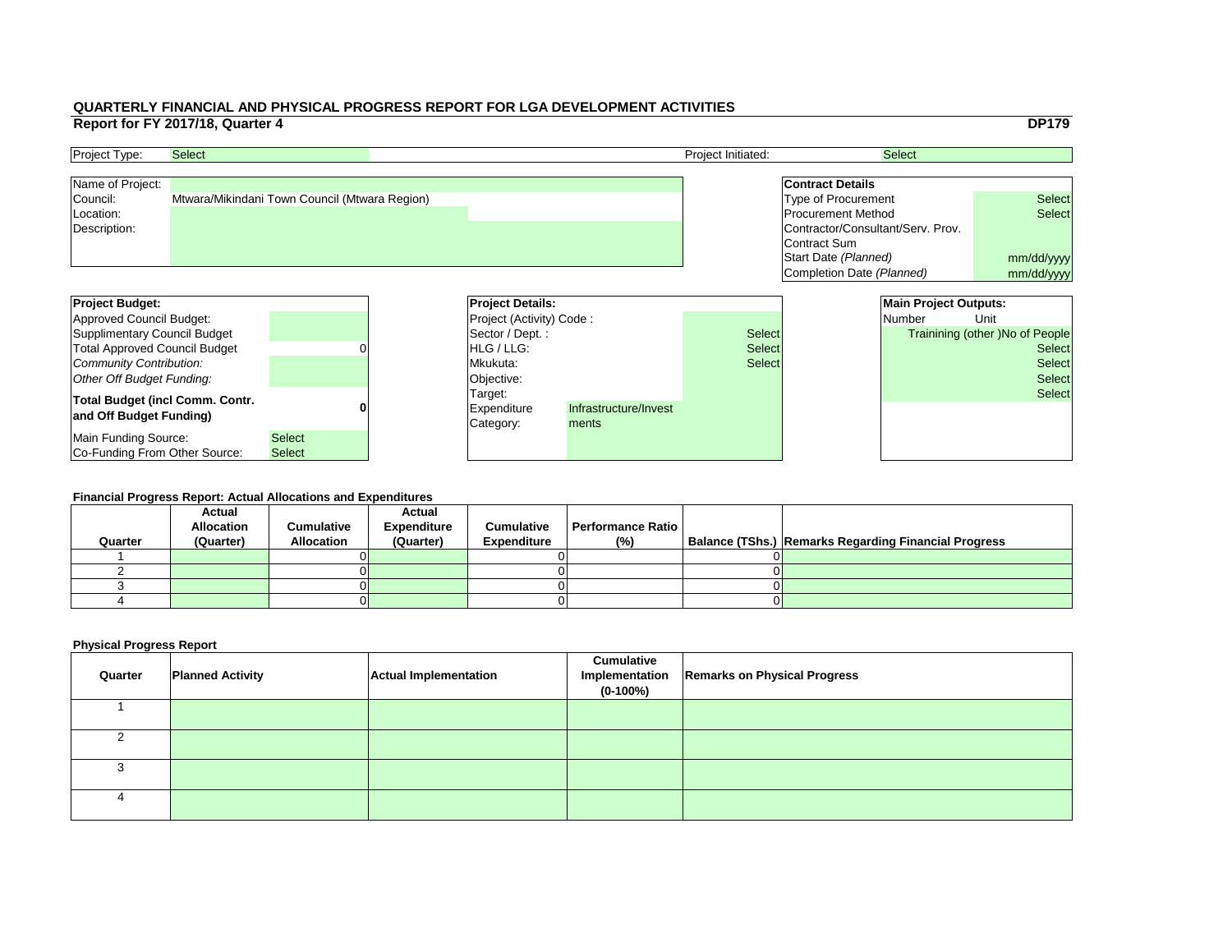|     |                                   |                              | <b>DP179</b>                          |
|-----|-----------------------------------|------------------------------|---------------------------------------|
|     |                                   | <b>Select</b>                |                                       |
|     |                                   |                              |                                       |
|     | <b>Contract Details</b>           |                              |                                       |
|     | <b>Type of Procurement</b>        |                              | <b>Select</b>                         |
|     | <b>Procurement Method</b>         |                              | <b>Select</b>                         |
|     | Contractor/Consultant/Serv. Prov. |                              |                                       |
|     | <b>Contract Sum</b>               |                              |                                       |
|     | Start Date (Planned)              |                              | mm/dd/yyyy                            |
|     | Completion Date (Planned)         |                              | mm/dd/yyyy                            |
|     |                                   |                              |                                       |
|     |                                   | <b>Main Project Outputs:</b> |                                       |
|     |                                   | <b>Number</b>                | Unit                                  |
|     |                                   |                              |                                       |
| ct: |                                   |                              | <b>Trainining (other)No of People</b> |
| ct: |                                   |                              | <b>Select</b>                         |
| ct: |                                   |                              | <b>Select</b>                         |
|     |                                   |                              | <b>Select</b>                         |
|     |                                   |                              | <b>Select</b>                         |
|     |                                   |                              |                                       |
|     |                                   |                              |                                       |
|     |                                   |                              |                                       |

| <b>Project Budget:</b>                 |               | <b>Project Details:</b>         |                       |               | <b>Main Project Outputs:</b> |               |                                        |
|----------------------------------------|---------------|---------------------------------|-----------------------|---------------|------------------------------|---------------|----------------------------------------|
| Approved Council Budget:               |               | <b>Project (Activity) Code:</b> |                       |               |                              | <b>Number</b> | Unit                                   |
| Supplimentary Council Budget           |               | Sector / Dept. :                |                       | <b>Select</b> |                              |               | <b>Trainining (other )No of People</b> |
| <b>Total Approved Council Budget</b>   |               | <b>IHLG/LLG:</b>                |                       | <b>Select</b> |                              |               | <b>Select</b>                          |
| Community Contribution:                |               | Mkukuta:                        |                       | <b>Select</b> |                              |               | <b>Select</b>                          |
| Other Off Budget Funding:              |               | Objective:                      |                       |               |                              |               | <b>Select</b>                          |
| <b>Total Budget (incl Comm. Contr.</b> |               | Target:                         |                       |               |                              |               | <b>Select</b>                          |
| and Off Budget Funding)                |               | <b>Expenditure</b>              | Infrastructure/Invest |               |                              |               |                                        |
|                                        |               | Category:                       | ments                 |               |                              |               |                                        |
| Main Funding Source:                   | <b>Select</b> |                                 |                       |               |                              |               |                                        |
| <b>Co-Funding From Other Source:</b>   | <b>Select</b> |                                 |                       |               |                              |               |                                        |

| <b>Project Type:</b> | <b>Select</b>                                 | <b>Project Initiated:</b> | <b>Select</b>                     |               |
|----------------------|-----------------------------------------------|---------------------------|-----------------------------------|---------------|
| Name of Project:     |                                               |                           | <b>Contract Details</b>           |               |
| Council:             | Mtwara/Mikindani Town Council (Mtwara Region) |                           | Type of Procurement               | <b>Select</b> |
| Location:            |                                               |                           | <b>Procurement Method</b>         | <b>Select</b> |
| Description:         |                                               |                           | Contractor/Consultant/Serv. Prov. |               |
|                      |                                               |                           | Contract Sum                      |               |
|                      |                                               |                           | Start Date (Planned)              | mm/dd/ww      |

#### **Financial Progress Report: Actual Allocations and Expenditures**

| Quarter | <b>Actual</b><br><b>Allocation</b><br>(Quarter) | <b>Cumulative</b><br><b>Allocation</b> | <b>Actual</b><br><b>Expenditure</b><br>(Quarter) | <b>Cumulative</b><br><b>Expenditure</b> | <b>Performance Ratio</b><br>(%) | Balance (TShs.) Remarks Regarding Financial Progress |
|---------|-------------------------------------------------|----------------------------------------|--------------------------------------------------|-----------------------------------------|---------------------------------|------------------------------------------------------|
|         |                                                 |                                        |                                                  |                                         |                                 |                                                      |
|         |                                                 |                                        |                                                  |                                         |                                 |                                                      |
|         |                                                 |                                        |                                                  |                                         |                                 |                                                      |
|         |                                                 |                                        |                                                  |                                         |                                 |                                                      |
|         |                                                 |                                        |                                                  |                                         |                                 |                                                      |

| Quarter  | <b>Planned Activity</b> | <b>Actual Implementation</b> | <b>Cumulative</b><br>Implementation<br>$(0-100\%)$ | <b>Remarks on Physical Progress</b> |
|----------|-------------------------|------------------------------|----------------------------------------------------|-------------------------------------|
|          |                         |                              |                                                    |                                     |
|          |                         |                              |                                                    |                                     |
|          |                         |                              |                                                    |                                     |
| $\Delta$ |                         |                              |                                                    |                                     |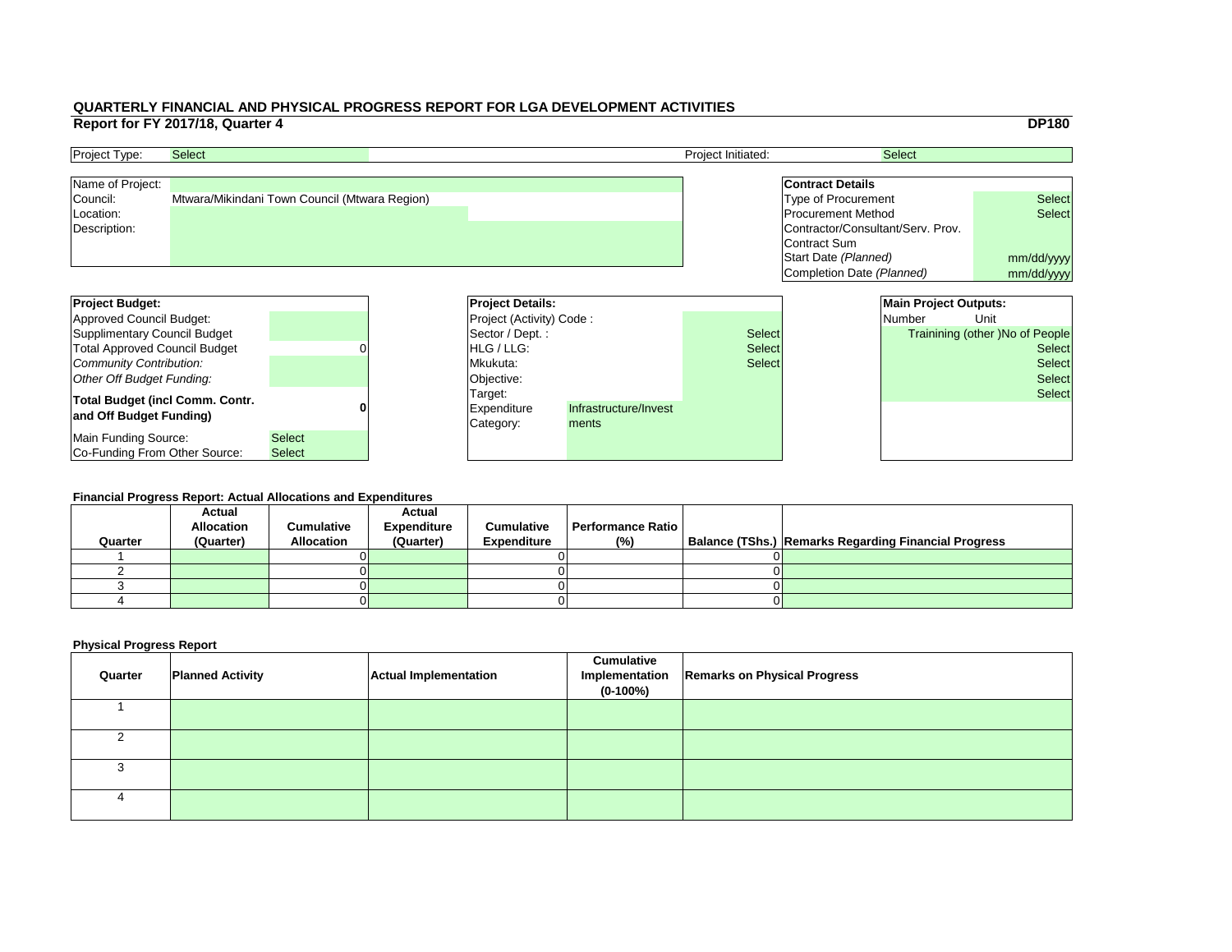|     |                                   |                              | <b>DP180</b>                           |
|-----|-----------------------------------|------------------------------|----------------------------------------|
|     |                                   | <b>Select</b>                |                                        |
|     |                                   |                              |                                        |
|     | <b>Contract Details</b>           |                              |                                        |
|     | <b>Type of Procurement</b>        |                              | <b>Select</b>                          |
|     | <b>Procurement Method</b>         |                              | <b>Select</b>                          |
|     | Contractor/Consultant/Serv. Prov. |                              |                                        |
|     | <b>Contract Sum</b>               |                              |                                        |
|     | Start Date (Planned)              |                              | mm/dd/yyyy                             |
|     | Completion Date (Planned)         |                              | mm/dd/yyyy                             |
|     |                                   |                              |                                        |
|     |                                   | <b>Main Project Outputs:</b> |                                        |
|     |                                   | <b>Number</b>                | Unit                                   |
| ct: |                                   |                              | <b>Trainining (other) No of People</b> |
| ct: |                                   |                              | <b>Select</b>                          |
|     |                                   |                              |                                        |
| ct: |                                   |                              | <b>Select</b>                          |
|     |                                   |                              | <b>Select</b>                          |
|     |                                   |                              | <b>Select</b>                          |
|     |                                   |                              |                                        |
|     |                                   |                              |                                        |
|     |                                   |                              |                                        |

| <b>Project Budget:</b>                                            |                                | <b>Project Details:</b>                    |                                |               | <b>Main Project Outputs:</b> |                                        |
|-------------------------------------------------------------------|--------------------------------|--------------------------------------------|--------------------------------|---------------|------------------------------|----------------------------------------|
| Approved Council Budget:                                          |                                | <b>Project (Activity) Code:</b>            |                                |               | Number                       | Unit                                   |
| Supplimentary Council Budget                                      |                                | Sector / Dept.:                            |                                | <b>Select</b> |                              | <b>Trainining (other )No of People</b> |
| <b>Total Approved Council Budget</b>                              |                                | <b>HLG</b> / LLG:                          |                                | <b>Select</b> |                              | <b>Select</b>                          |
| Community Contribution:                                           |                                | Mkukuta:                                   |                                | <b>Select</b> |                              | <b>Select</b>                          |
| Other Off Budget Funding:                                         |                                | Objective:                                 |                                |               |                              | <b>Select</b>                          |
| <b>Total Budget (incl Comm. Contr.</b><br>and Off Budget Funding) |                                | Target:<br><b>Expenditure</b><br>Category: | Infrastructure/Invest<br>ments |               |                              | <b>Select</b>                          |
| Main Funding Source:<br>Co-Funding From Other Source:             | <b>Select</b><br><b>Select</b> |                                            |                                |               |                              |                                        |

| <b>Project Type:</b> | <b>Select</b>                                 | <b>Project Initiated:</b> | <b>Select</b>                     |               |
|----------------------|-----------------------------------------------|---------------------------|-----------------------------------|---------------|
| Name of Project:     |                                               |                           | <b>Contract Details</b>           |               |
| Council:             | Mtwara/Mikindani Town Council (Mtwara Region) |                           | Type of Procurement               | <b>Select</b> |
| Location:            |                                               |                           | <b>Procurement Method</b>         | <b>Select</b> |
| Description:         |                                               |                           | Contractor/Consultant/Serv. Prov. |               |
|                      |                                               |                           | Contract Sum                      |               |
|                      |                                               |                           | Start Date (Planned)              | mm/dd/ww      |

#### **Financial Progress Report: Actual Allocations and Expenditures**

|         | <b>Actual</b>     |                   | <b>Actual</b>      |                    |                          |                                                             |
|---------|-------------------|-------------------|--------------------|--------------------|--------------------------|-------------------------------------------------------------|
|         | <b>Allocation</b> | <b>Cumulative</b> | <b>Expenditure</b> | <b>Cumulative</b>  | <b>Performance Ratio</b> |                                                             |
| Quarter | (Quarter)         | <b>Allocation</b> | (Quarter)          | <b>Expenditure</b> | (%)                      | <b>Balance (TShs.) Remarks Regarding Financial Progress</b> |
|         |                   |                   |                    |                    |                          |                                                             |
|         |                   |                   |                    |                    |                          |                                                             |
|         |                   |                   |                    |                    |                          |                                                             |
|         |                   |                   |                    |                    |                          |                                                             |
|         |                   |                   |                    |                    |                          |                                                             |

| Quarter | <b>Planned Activity</b> | <b>Actual Implementation</b> | <b>Cumulative</b><br>Implementation<br>$(0-100\%)$ | <b>Remarks on Physical Progress</b> |
|---------|-------------------------|------------------------------|----------------------------------------------------|-------------------------------------|
|         |                         |                              |                                                    |                                     |
|         |                         |                              |                                                    |                                     |
|         |                         |                              |                                                    |                                     |
|         |                         |                              |                                                    |                                     |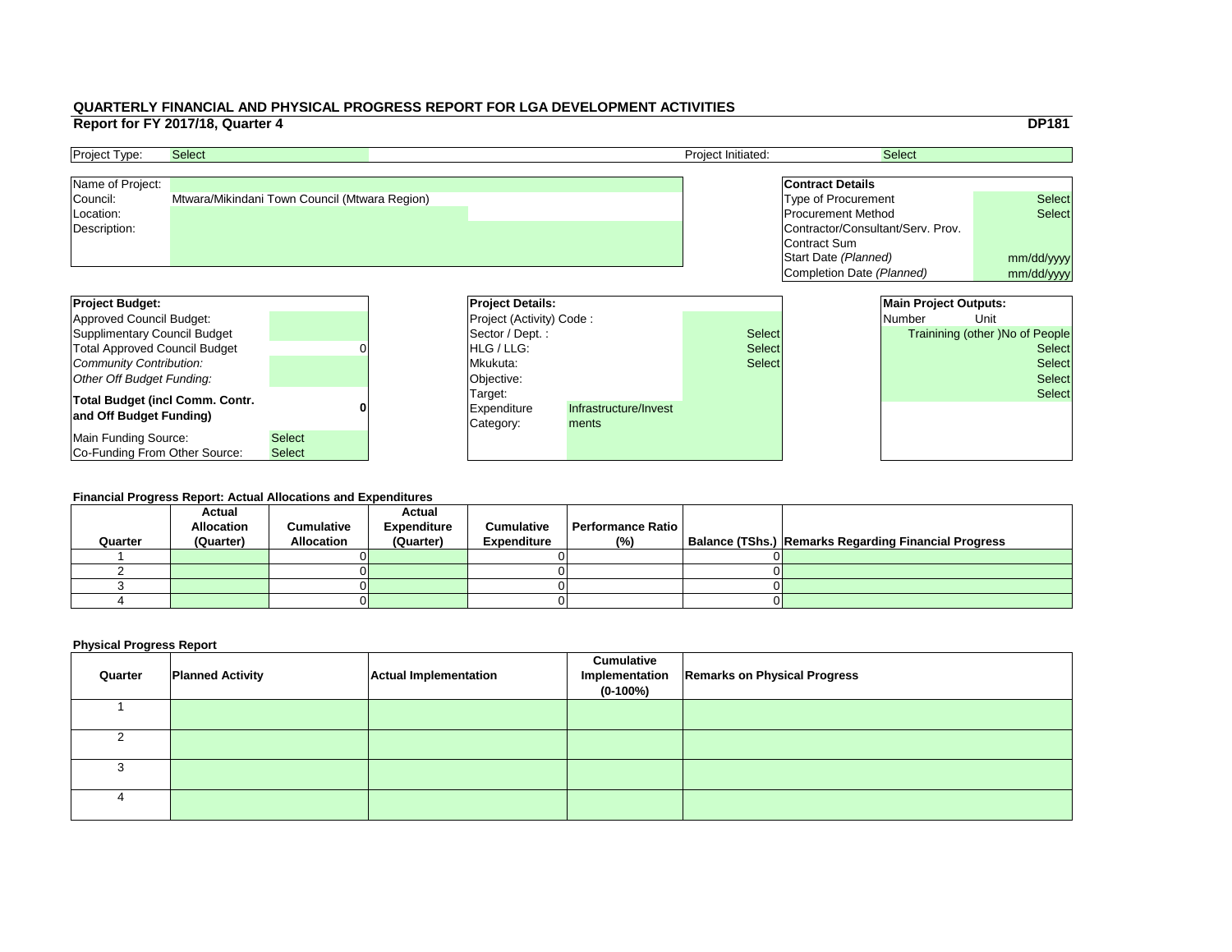|     |                                   |                              | <b>DP181</b>                    |
|-----|-----------------------------------|------------------------------|---------------------------------|
|     |                                   | <b>Select</b>                |                                 |
|     |                                   |                              |                                 |
|     | <b>Contract Details</b>           |                              |                                 |
|     | <b>Type of Procurement</b>        |                              | <b>Select</b>                   |
|     | <b>Procurement Method</b>         |                              | <b>Select</b>                   |
|     | Contractor/Consultant/Serv. Prov. |                              |                                 |
|     | Contract Sum                      |                              |                                 |
|     | Start Date (Planned)              |                              | mm/dd/yyyy                      |
|     | Completion Date (Planned)         |                              | mm/dd/yyyy                      |
|     |                                   |                              |                                 |
|     |                                   | <b>Main Project Outputs:</b> |                                 |
|     |                                   |                              |                                 |
|     |                                   | <b>Number</b>                | Unit                            |
| :ct |                                   |                              | Trainining (other) No of People |
| ct: |                                   |                              | <b>Select</b>                   |
| ct: |                                   |                              | <b>Select</b>                   |
|     |                                   |                              | <b>Select</b>                   |
|     |                                   |                              | <b>Select</b>                   |
|     |                                   |                              |                                 |
|     |                                   |                              |                                 |
|     |                                   |                              |                                 |

| <b>Project Budget:</b>                 |               | <b>Project Details:</b>         |                       |               | <b>Main Project Outputs:</b> |               |                                        |
|----------------------------------------|---------------|---------------------------------|-----------------------|---------------|------------------------------|---------------|----------------------------------------|
| Approved Council Budget:               |               | <b>Project (Activity) Code:</b> |                       |               |                              | <b>Number</b> | Unit                                   |
| Supplimentary Council Budget           |               | Sector / Dept. :                |                       | <b>Select</b> |                              |               | <b>Trainining (other )No of People</b> |
| <b>Total Approved Council Budget</b>   |               | <b>IHLG/LLG:</b>                |                       | <b>Select</b> |                              |               | <b>Select</b>                          |
| Community Contribution:                |               | Mkukuta:                        |                       | <b>Select</b> |                              |               | <b>Select</b>                          |
| Other Off Budget Funding:              |               | Objective:                      |                       |               |                              |               | <b>Select</b>                          |
| <b>Total Budget (incl Comm. Contr.</b> |               | Target:                         |                       |               |                              |               | <b>Select</b>                          |
| and Off Budget Funding)                |               | <b>Expenditure</b>              | Infrastructure/Invest |               |                              |               |                                        |
|                                        |               | Category:                       | ments                 |               |                              |               |                                        |
| Main Funding Source:                   | <b>Select</b> |                                 |                       |               |                              |               |                                        |
| <b>Co-Funding From Other Source:</b>   | <b>Select</b> |                                 |                       |               |                              |               |                                        |

| <b>Project Type:</b> | <b>Select</b>                                 | <b>Project Initiated:</b> | <b>Select</b>                     |               |
|----------------------|-----------------------------------------------|---------------------------|-----------------------------------|---------------|
| Name of Project:     |                                               |                           | <b>Contract Details</b>           |               |
| Council:             | Mtwara/Mikindani Town Council (Mtwara Region) |                           | Type of Procurement               | <b>Select</b> |
| Location:            |                                               |                           | <b>Procurement Method</b>         | <b>Select</b> |
| Description:         |                                               |                           | Contractor/Consultant/Serv. Prov. |               |
|                      |                                               |                           | Contract Sum                      |               |
|                      |                                               |                           | Start Date (Planned)              | mm/dd/ww      |

#### **Financial Progress Report: Actual Allocations and Expenditures**

|         | <b>Actual</b><br><b>Allocation</b> | <b>Cumulative</b> | <b>Actual</b><br><b>Expenditure</b> | <b>Cumulative</b>  | Performance Ratio I |                                                             |
|---------|------------------------------------|-------------------|-------------------------------------|--------------------|---------------------|-------------------------------------------------------------|
| Quarter | (Quarter)                          | <b>Allocation</b> | (Quarter)                           | <b>Expenditure</b> | $(\% )$             | <b>Balance (TShs.) Remarks Regarding Financial Progress</b> |
|         |                                    |                   |                                     |                    |                     |                                                             |
|         |                                    |                   |                                     |                    |                     |                                                             |
|         |                                    |                   |                                     |                    |                     |                                                             |
|         |                                    |                   |                                     |                    |                     |                                                             |
|         |                                    |                   |                                     |                    |                     |                                                             |

| Quarter | <b>Planned Activity</b> | <b>Actual Implementation</b> | <b>Cumulative</b><br>$(0-100\%)$ | Implementation   Remarks on Physical Progress |
|---------|-------------------------|------------------------------|----------------------------------|-----------------------------------------------|
|         |                         |                              |                                  |                                               |
|         |                         |                              |                                  |                                               |
|         |                         |                              |                                  |                                               |
|         |                         |                              |                                  |                                               |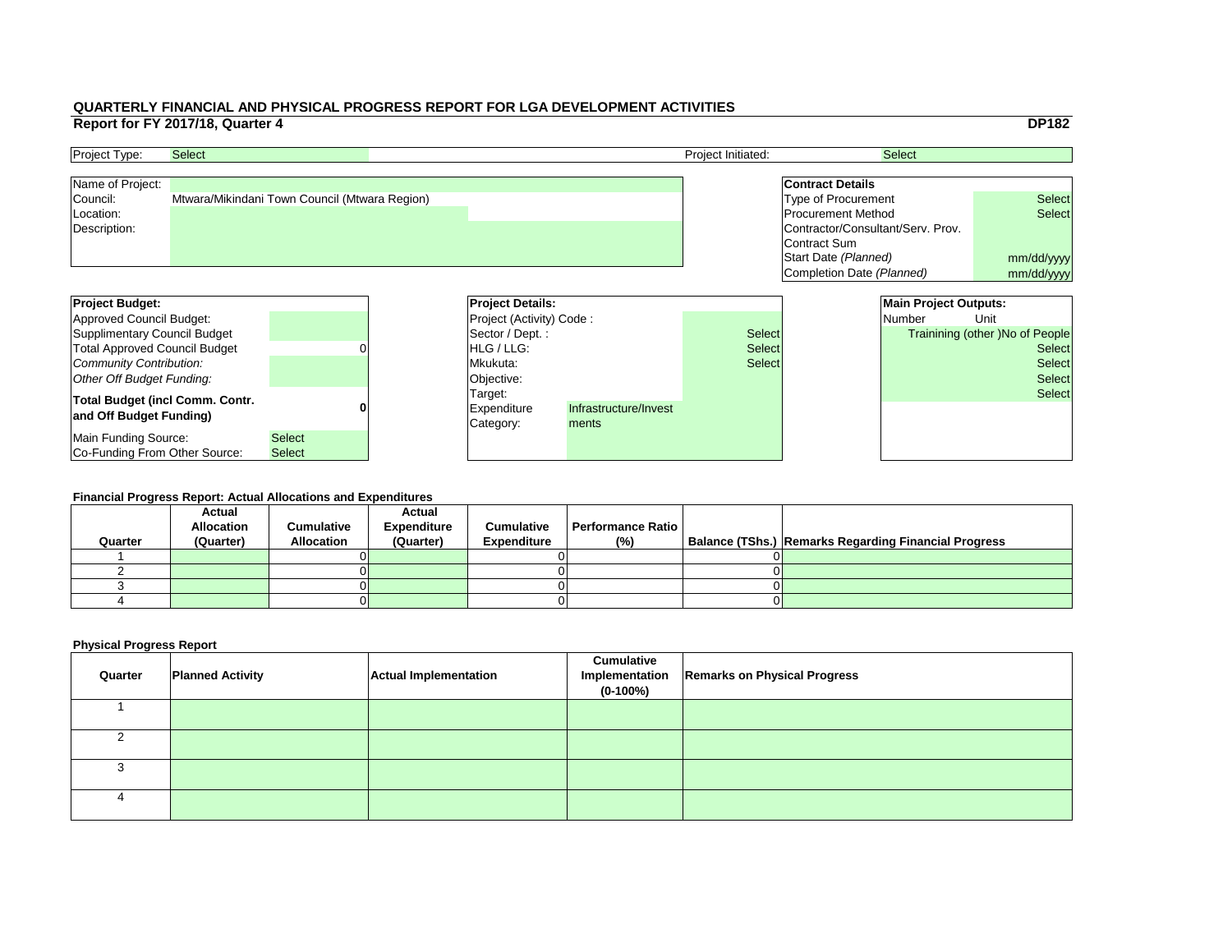|     |                                   |                              | <b>DP182</b>                           |
|-----|-----------------------------------|------------------------------|----------------------------------------|
|     |                                   |                              |                                        |
|     |                                   | <b>Select</b>                |                                        |
|     | <b>Contract Details</b>           |                              |                                        |
|     | <b>Type of Procurement</b>        |                              | <b>Select</b>                          |
|     | <b>Procurement Method</b>         |                              | <b>Select</b>                          |
|     | Contractor/Consultant/Serv. Prov. |                              |                                        |
|     | <b>Contract Sum</b>               |                              |                                        |
|     | Start Date (Planned)              |                              | mm/dd/yyyy                             |
|     | Completion Date (Planned)         |                              | mm/dd/yyyy                             |
|     |                                   |                              |                                        |
|     |                                   | <b>Main Project Outputs:</b> |                                        |
|     |                                   | <b>Number</b>                | Unit                                   |
| ct: |                                   |                              | <b>Trainining (other) No of People</b> |
| ct: |                                   |                              | <b>Select</b>                          |
| ct: |                                   |                              | <b>Select</b>                          |
|     |                                   |                              | <b>Select</b>                          |
|     |                                   |                              | <b>Select</b>                          |
|     |                                   |                              |                                        |
|     |                                   |                              |                                        |
|     |                                   |                              |                                        |
|     |                                   |                              |                                        |

| <b>Project Type:</b> | <b>Select</b>                                 | <b>Project Initiated:</b> | <b>Select</b>                     |               |
|----------------------|-----------------------------------------------|---------------------------|-----------------------------------|---------------|
| Name of Project:     |                                               |                           | <b>Contract Details</b>           |               |
| Council:             | Mtwara/Mikindani Town Council (Mtwara Region) |                           | Type of Procurement               | <b>Select</b> |
| Location:            |                                               |                           | <b>Procurement Method</b>         | <b>Select</b> |
| Description:         |                                               |                           | Contractor/Consultant/Serv. Prov. |               |
|                      |                                               |                           | Contract Sum                      |               |
|                      |                                               |                           | Start Date (Planned)              | mm/dd/ww      |

| <b>Project Budget:</b>                 |               |  | <b>Project Details:</b>         |                       |               | <b>Main Project Outputs:</b> |                                 |
|----------------------------------------|---------------|--|---------------------------------|-----------------------|---------------|------------------------------|---------------------------------|
| Approved Council Budget:               |               |  | <b>Project (Activity) Code:</b> |                       |               | <b>Number</b>                | Unit                            |
| Supplimentary Council Budget           |               |  | Sector / Dept. :                |                       | <b>Select</b> |                              | Trainining (other )No of People |
| <b>Total Approved Council Budget</b>   |               |  | <b>IHLG/LLG:</b>                |                       | <b>Select</b> |                              | <b>Select</b>                   |
| Community Contribution:                |               |  | Mkukuta:                        |                       | <b>Select</b> |                              | <b>Select</b>                   |
| Other Off Budget Funding:              |               |  | Objective:                      |                       |               |                              | <b>Select</b>                   |
| <b>Total Budget (incl Comm. Contr.</b> |               |  | Target:                         |                       |               |                              | <b>Select</b>                   |
| and Off Budget Funding)                |               |  | <b>Expenditure</b>              | Infrastructure/Invest |               |                              |                                 |
|                                        |               |  | Category:                       | ments                 |               |                              |                                 |
| Main Funding Source:                   | <b>Select</b> |  |                                 |                       |               |                              |                                 |
| Co-Funding From Other Source:          | <b>Select</b> |  |                                 |                       |               |                              |                                 |

#### **Financial Progress Report: Actual Allocations and Expenditures**

| Quarter | <b>Actual</b><br><b>Allocation</b><br>(Quarter) | <b>Cumulative</b><br><b>Allocation</b> | <b>Actual</b><br><b>Expenditure</b><br>(Quarter) | <b>Cumulative</b><br><b>Expenditure</b> | <b>Performance Ratio</b><br>(%) | Balance (TShs.) Remarks Regarding Financial Progress |
|---------|-------------------------------------------------|----------------------------------------|--------------------------------------------------|-----------------------------------------|---------------------------------|------------------------------------------------------|
|         |                                                 |                                        |                                                  |                                         |                                 |                                                      |
|         |                                                 |                                        |                                                  |                                         |                                 |                                                      |
|         |                                                 |                                        |                                                  |                                         |                                 |                                                      |
|         |                                                 |                                        |                                                  |                                         |                                 |                                                      |
|         |                                                 |                                        |                                                  |                                         |                                 |                                                      |

| Quarter | <b>Planned Activity</b> | <b>Actual Implementation</b> | <b>Cumulative</b><br>$(0-100\%)$ | Implementation   Remarks on Physical Progress |
|---------|-------------------------|------------------------------|----------------------------------|-----------------------------------------------|
|         |                         |                              |                                  |                                               |
|         |                         |                              |                                  |                                               |
|         |                         |                              |                                  |                                               |
|         |                         |                              |                                  |                                               |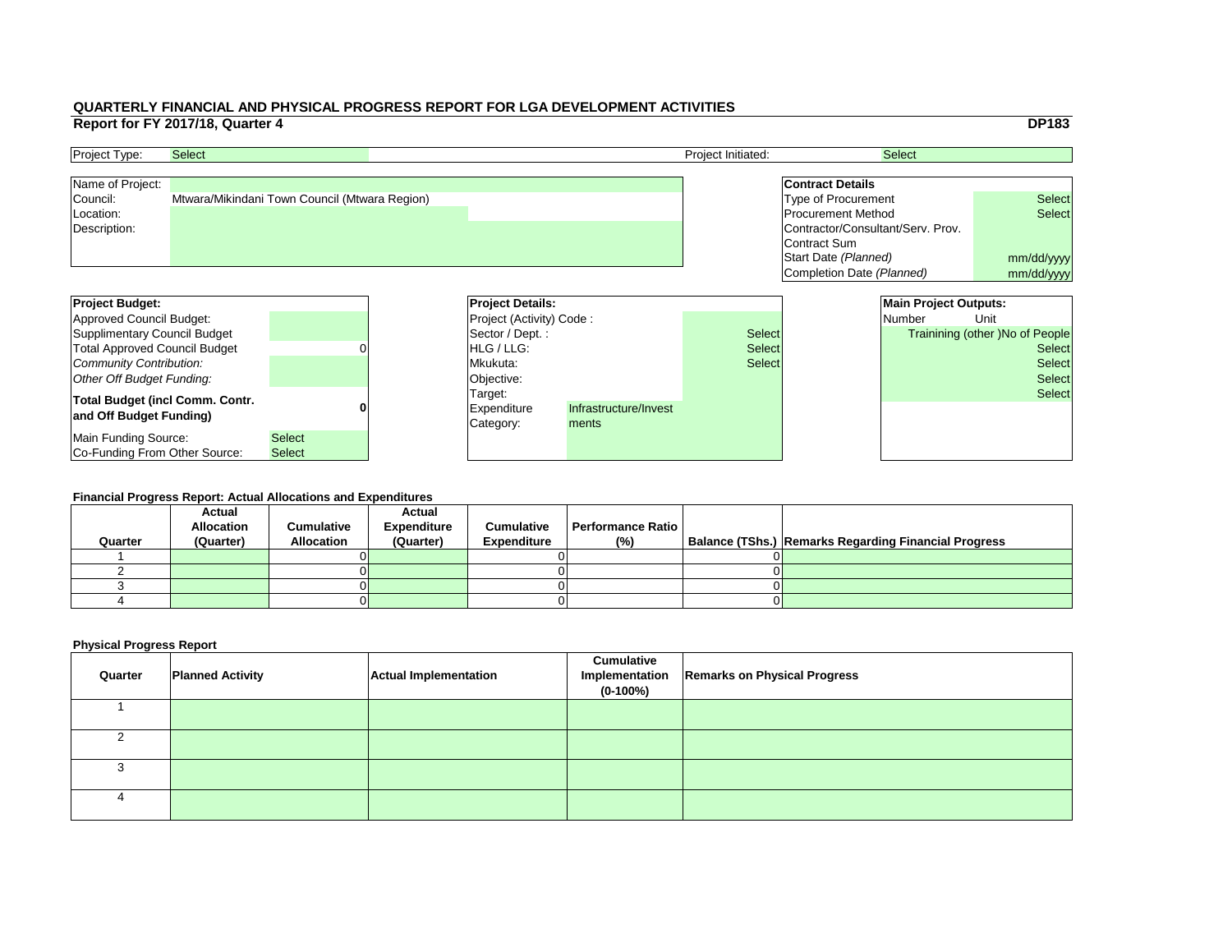|     |                                   |                              | <b>DP183</b>                           |
|-----|-----------------------------------|------------------------------|----------------------------------------|
|     |                                   | <b>Select</b>                |                                        |
|     |                                   |                              |                                        |
|     | <b>Contract Details</b>           |                              |                                        |
|     | <b>Type of Procurement</b>        |                              | <b>Select</b>                          |
|     | <b>Procurement Method</b>         |                              | <b>Select</b>                          |
|     | Contractor/Consultant/Serv. Prov. |                              |                                        |
|     | <b>Contract Sum</b>               |                              |                                        |
|     | Start Date (Planned)              |                              | mm/dd/yyyy                             |
|     | Completion Date (Planned)         |                              | mm/dd/yyyy                             |
|     |                                   |                              |                                        |
|     |                                   | <b>Main Project Outputs:</b> |                                        |
|     |                                   | <b>Number</b>                | Unit                                   |
| ct: |                                   |                              | <b>Trainining (other) No of People</b> |
| ct: |                                   |                              | <b>Select</b>                          |
| ct: |                                   |                              | <b>Select</b>                          |
|     |                                   |                              | <b>Select</b>                          |
|     |                                   |                              | <b>Select</b>                          |
|     |                                   |                              |                                        |
|     |                                   |                              |                                        |
|     |                                   |                              |                                        |
|     |                                   |                              |                                        |

| <b>Project Type:</b> | <b>Select</b>                                 | <b>Project Initiated:</b> | <b>Select</b>                     |               |
|----------------------|-----------------------------------------------|---------------------------|-----------------------------------|---------------|
| Name of Project:     |                                               |                           | <b>Contract Details</b>           |               |
| Council:             | Mtwara/Mikindani Town Council (Mtwara Region) |                           | Type of Procurement               | <b>Select</b> |
| Location:            |                                               |                           | <b>Procurement Method</b>         | <b>Select</b> |
| Description:         |                                               |                           | Contractor/Consultant/Serv. Prov. |               |
|                      |                                               |                           | Contract Sum                      |               |
|                      |                                               |                           | Start Date (Planned)              | mm/dd/ww      |

| <b>Project Budget:</b>                 |               |  | <b>Project Details:</b>         |                       |               | <b>Main Project Outputs:</b> |                                 |
|----------------------------------------|---------------|--|---------------------------------|-----------------------|---------------|------------------------------|---------------------------------|
| Approved Council Budget:               |               |  | <b>Project (Activity) Code:</b> |                       |               | <b>Number</b>                | Unit                            |
| Supplimentary Council Budget           |               |  | Sector / Dept. :                |                       | <b>Select</b> |                              | Trainining (other )No of People |
| <b>Total Approved Council Budget</b>   |               |  | <b>IHLG/LLG:</b>                |                       | <b>Select</b> |                              | <b>Select</b>                   |
| Community Contribution:                |               |  | Mkukuta:                        |                       | <b>Select</b> |                              | <b>Select</b>                   |
| Other Off Budget Funding:              |               |  | Objective:                      |                       |               |                              | <b>Select</b>                   |
| <b>Total Budget (incl Comm. Contr.</b> |               |  | Target:                         |                       |               |                              | <b>Select</b>                   |
| and Off Budget Funding)                |               |  | <b>Expenditure</b>              | Infrastructure/Invest |               |                              |                                 |
|                                        |               |  | Category:                       | ments                 |               |                              |                                 |
| Main Funding Source:                   | <b>Select</b> |  |                                 |                       |               |                              |                                 |
| Co-Funding From Other Source:          | <b>Select</b> |  |                                 |                       |               |                              |                                 |

#### **Financial Progress Report: Actual Allocations and Expenditures**

| Quarter | <b>Actual</b><br><b>Allocation</b><br>(Quarter) | <b>Cumulative</b><br><b>Allocation</b> | <b>Actual</b><br><b>Expenditure</b><br>(Quarter) | <b>Cumulative</b><br><b>Expenditure</b> | <b>Performance Ratio</b><br>(%) | Balance (TShs.) Remarks Regarding Financial Progress |
|---------|-------------------------------------------------|----------------------------------------|--------------------------------------------------|-----------------------------------------|---------------------------------|------------------------------------------------------|
|         |                                                 |                                        |                                                  |                                         |                                 |                                                      |
|         |                                                 |                                        |                                                  |                                         |                                 |                                                      |
|         |                                                 |                                        |                                                  |                                         |                                 |                                                      |
|         |                                                 |                                        |                                                  |                                         |                                 |                                                      |
|         |                                                 |                                        |                                                  |                                         |                                 |                                                      |

| Quarter | <b>Planned Activity</b> | <b>Actual Implementation</b> | <b>Cumulative</b><br>$(0-100%)$ | Implementation   Remarks on Physical Progress |
|---------|-------------------------|------------------------------|---------------------------------|-----------------------------------------------|
|         |                         |                              |                                 |                                               |
|         |                         |                              |                                 |                                               |
|         |                         |                              |                                 |                                               |
|         |                         |                              |                                 |                                               |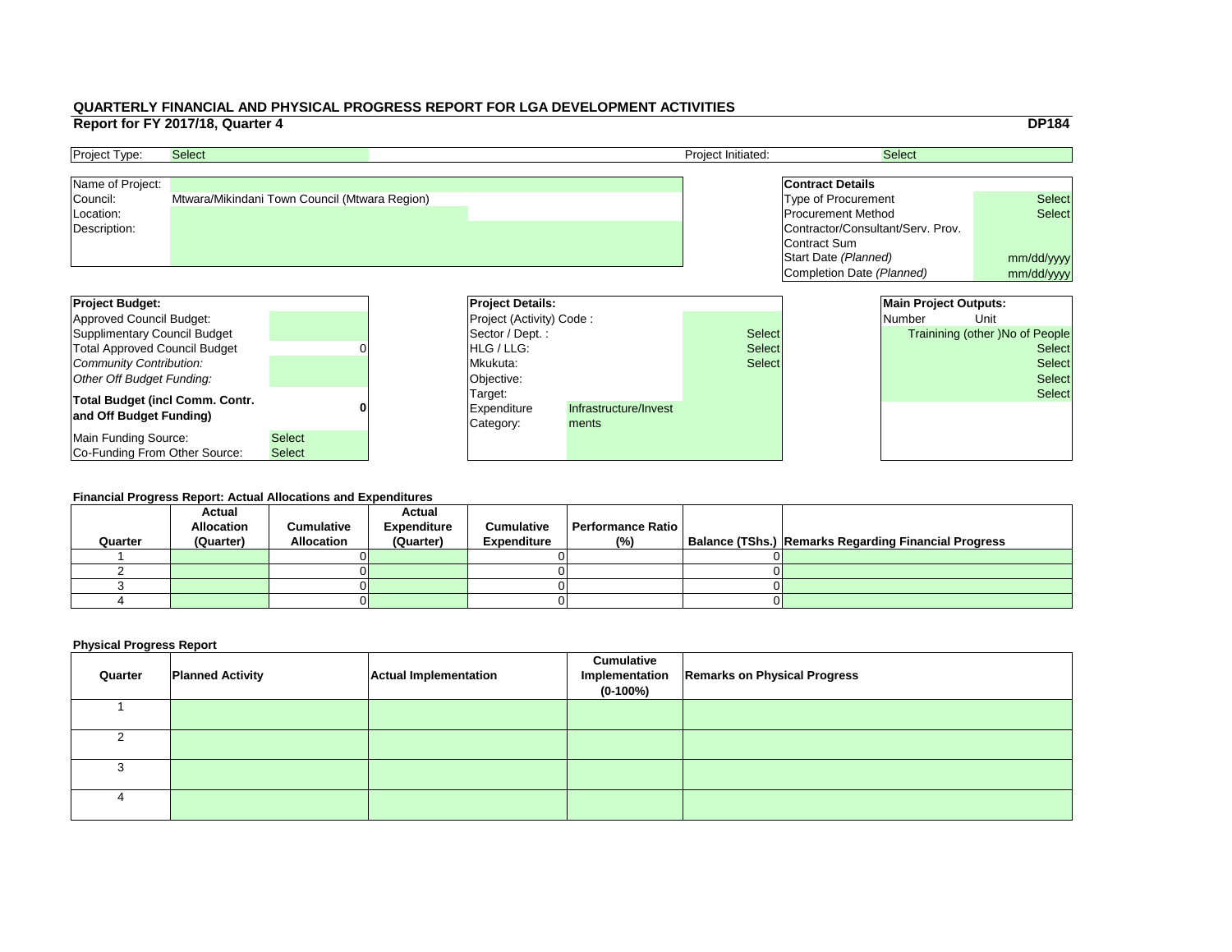|     |                                   |                              | <b>DP184</b>                           |  |  |
|-----|-----------------------------------|------------------------------|----------------------------------------|--|--|
|     |                                   | <b>Select</b>                |                                        |  |  |
|     |                                   |                              |                                        |  |  |
|     | <b>Contract Details</b>           |                              |                                        |  |  |
|     | <b>Type of Procurement</b>        |                              | <b>Select</b>                          |  |  |
|     | <b>Procurement Method</b>         |                              | <b>Select</b>                          |  |  |
|     | Contractor/Consultant/Serv. Prov. |                              |                                        |  |  |
|     | Contract Sum                      |                              |                                        |  |  |
|     | Start Date (Planned)              |                              | mm/dd/yyyy                             |  |  |
|     | Completion Date (Planned)         |                              | mm/dd/yyyy                             |  |  |
|     |                                   |                              |                                        |  |  |
|     |                                   | <b>Main Project Outputs:</b> |                                        |  |  |
|     |                                   | <b>Number</b>                | Unit                                   |  |  |
|     |                                   |                              |                                        |  |  |
| :ct |                                   |                              | <b>Trainining (other) No of People</b> |  |  |
| ct: |                                   |                              | <b>Select</b>                          |  |  |
| ct: |                                   |                              | <b>Select</b>                          |  |  |
|     |                                   |                              | <b>Select</b>                          |  |  |
|     |                                   |                              | <b>Select</b>                          |  |  |
|     |                                   |                              |                                        |  |  |
|     |                                   |                              |                                        |  |  |
|     |                                   |                              |                                        |  |  |

| <b>Project Budget:</b>                 |               | <b>Project Details:</b>         |                       |               |  | <b>Main Project Outputs:</b> |                                        |
|----------------------------------------|---------------|---------------------------------|-----------------------|---------------|--|------------------------------|----------------------------------------|
| Approved Council Budget:               |               | <b>Project (Activity) Code:</b> |                       |               |  | <b>Number</b>                | Unit                                   |
| Supplimentary Council Budget           |               | Sector / Dept. :                |                       | <b>Select</b> |  |                              | <b>Trainining (other )No of People</b> |
| <b>Total Approved Council Budget</b>   |               | <b>IHLG/LLG:</b>                |                       | <b>Select</b> |  |                              | <b>Select</b>                          |
| Community Contribution:                |               | Mkukuta:                        |                       | <b>Select</b> |  |                              | <b>Select</b>                          |
| Other Off Budget Funding:              |               | Objective:                      |                       |               |  |                              | <b>Select</b>                          |
| <b>Total Budget (incl Comm. Contr.</b> |               | Target:                         |                       |               |  |                              | <b>Select</b>                          |
| and Off Budget Funding)                |               | <b>Expenditure</b>              | Infrastructure/Invest |               |  |                              |                                        |
|                                        |               | Category:                       | ments                 |               |  |                              |                                        |
| Main Funding Source:                   | <b>Select</b> |                                 |                       |               |  |                              |                                        |
| <b>Co-Funding From Other Source:</b>   | <b>Select</b> |                                 |                       |               |  |                              |                                        |

| <b>Project Type:</b> | <b>Select</b>                                 | <b>Project Initiated:</b> | <b>Select</b>                     |               |
|----------------------|-----------------------------------------------|---------------------------|-----------------------------------|---------------|
| Name of Project:     |                                               |                           | <b>Contract Details</b>           |               |
| Council:             | Mtwara/Mikindani Town Council (Mtwara Region) |                           | Type of Procurement               | <b>Select</b> |
| Location:            |                                               |                           | <b>Procurement Method</b>         | <b>Select</b> |
| Description:         |                                               |                           | Contractor/Consultant/Serv. Prov. |               |
|                      |                                               |                           | Contract Sum                      |               |
|                      |                                               |                           | Start Date (Planned)              | mm/dd/ww      |

#### **Financial Progress Report: Actual Allocations and Expenditures**

| Quarter | <b>Actual</b><br><b>Allocation</b><br>(Quarter) | <b>Cumulative</b><br><b>Allocation</b> | <b>Actual</b><br><b>Expenditure</b><br>(Quarter) | <b>Cumulative</b><br><b>Expenditure</b> | <b>Performance Ratio</b><br>(%) | Balance (TShs.) Remarks Regarding Financial Progress |
|---------|-------------------------------------------------|----------------------------------------|--------------------------------------------------|-----------------------------------------|---------------------------------|------------------------------------------------------|
|         |                                                 |                                        |                                                  |                                         |                                 |                                                      |
|         |                                                 |                                        |                                                  |                                         |                                 |                                                      |
|         |                                                 |                                        |                                                  |                                         |                                 |                                                      |
|         |                                                 |                                        |                                                  |                                         |                                 |                                                      |
|         |                                                 |                                        |                                                  |                                         |                                 |                                                      |

| Quarter | <b>Planned Activity</b> | <b>Actual Implementation</b> | <b>Cumulative</b><br>$(0-100%)$ | Implementation   Remarks on Physical Progress |
|---------|-------------------------|------------------------------|---------------------------------|-----------------------------------------------|
|         |                         |                              |                                 |                                               |
|         |                         |                              |                                 |                                               |
|         |                         |                              |                                 |                                               |
|         |                         |                              |                                 |                                               |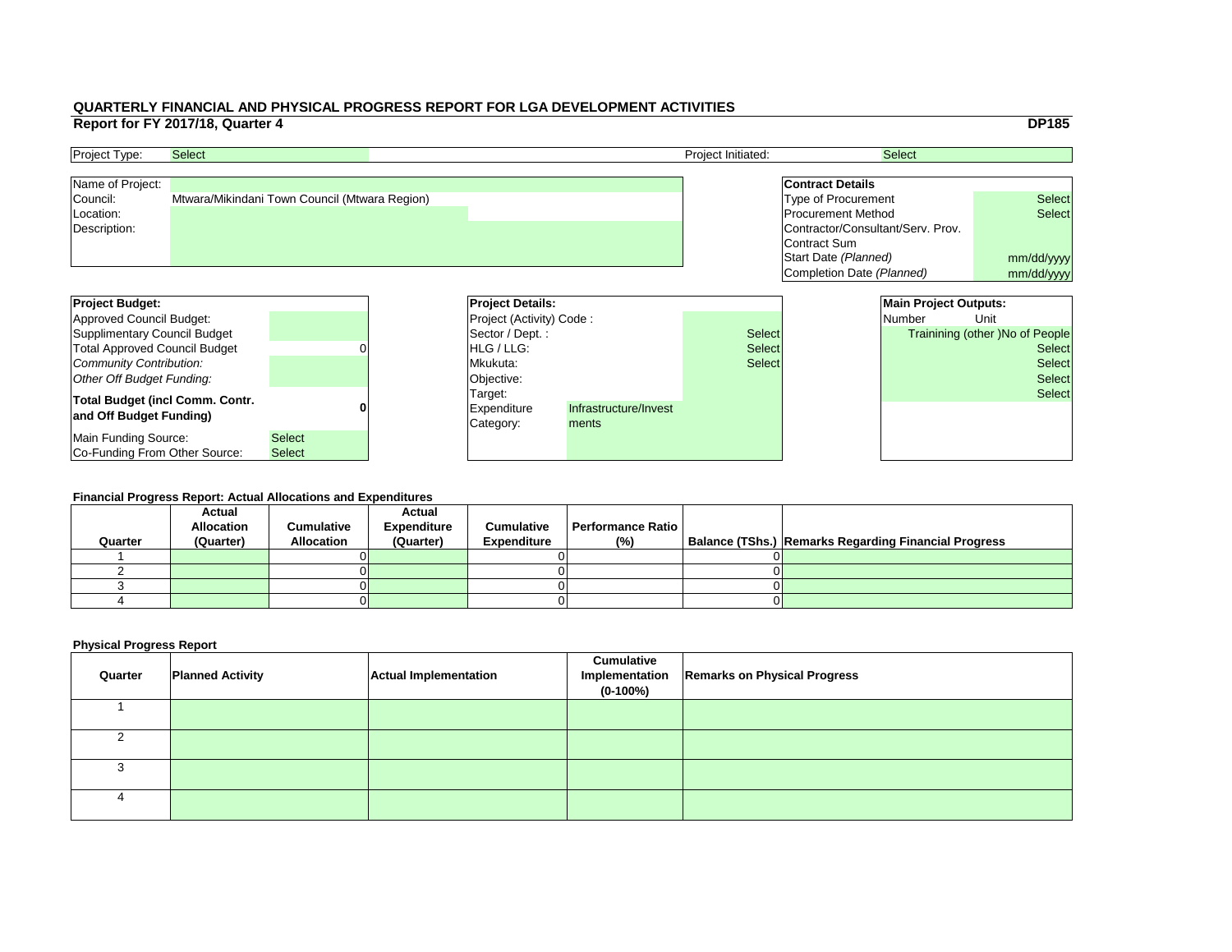|     |                                   |                              | <b>DP185</b>                           |  |
|-----|-----------------------------------|------------------------------|----------------------------------------|--|
|     |                                   | <b>Select</b>                |                                        |  |
|     |                                   |                              |                                        |  |
|     | <b>Contract Details</b>           |                              |                                        |  |
|     | <b>Type of Procurement</b>        |                              | <b>Select</b>                          |  |
|     | <b>Procurement Method</b>         |                              | <b>Select</b>                          |  |
|     | Contractor/Consultant/Serv. Prov. |                              |                                        |  |
|     | <b>Contract Sum</b>               |                              |                                        |  |
|     | Start Date (Planned)              |                              | mm/dd/yyyy                             |  |
|     | Completion Date (Planned)         |                              | mm/dd/yyyy                             |  |
|     |                                   |                              |                                        |  |
|     |                                   | <b>Main Project Outputs:</b> |                                        |  |
|     |                                   | <b>Number</b>                | Unit                                   |  |
| ct: |                                   |                              | <b>Trainining (other )No of People</b> |  |
| ct: |                                   |                              | <b>Select</b>                          |  |
| ct: |                                   |                              | <b>Select</b>                          |  |
|     |                                   |                              | <b>Select</b>                          |  |
|     |                                   |                              |                                        |  |
|     |                                   |                              | <b>Select</b>                          |  |
|     |                                   |                              |                                        |  |
|     |                                   |                              |                                        |  |
|     |                                   |                              |                                        |  |

| <b>Project Budget:</b>                                            |               | <b>Project Details:</b>                                               |  |               |  | <b>Main Project Outputs:</b> |                                        |
|-------------------------------------------------------------------|---------------|-----------------------------------------------------------------------|--|---------------|--|------------------------------|----------------------------------------|
| Approved Council Budget:                                          |               | <b>Project (Activity) Code:</b>                                       |  |               |  | <b>Number</b>                | Unit                                   |
| Supplimentary Council Budget                                      |               | Sector / Dept.:                                                       |  | <b>Select</b> |  |                              | <b>Trainining (other )No of People</b> |
| <b>Total Approved Council Budget</b>                              |               | <b>HLG</b> / LLG:                                                     |  | <b>Select</b> |  |                              | <b>Select</b>                          |
| Community Contribution:                                           |               | Mkukuta:                                                              |  | <b>Select</b> |  |                              | <b>Select</b>                          |
| Other Off Budget Funding:                                         |               | Objective:                                                            |  |               |  |                              | <b>Select</b>                          |
| <b>Total Budget (incl Comm. Contr.</b><br>and Off Budget Funding) |               | Target:<br>Infrastructure/Invest<br>Expenditure<br>Category:<br>ments |  |               |  |                              | <b>Select</b>                          |
| Main Funding Source:                                              | <b>Select</b> |                                                                       |  |               |  |                              |                                        |
| Co-Funding From Other Source:                                     | <b>Select</b> |                                                                       |  |               |  |                              |                                        |

| <b>Project Type:</b> | <b>Select</b>                                 | <b>Project Initiated:</b> | <b>Select</b>                     |               |
|----------------------|-----------------------------------------------|---------------------------|-----------------------------------|---------------|
| Name of Project:     |                                               |                           | <b>Contract Details</b>           |               |
| Council:             | Mtwara/Mikindani Town Council (Mtwara Region) |                           | Type of Procurement               | <b>Select</b> |
| Location:            |                                               |                           | <b>Procurement Method</b>         | <b>Select</b> |
| Description:         |                                               |                           | Contractor/Consultant/Serv. Prov. |               |
|                      |                                               |                           | Contract Sum                      |               |
|                      |                                               |                           | Start Date (Planned)              | mm/dd/ww      |

#### **Financial Progress Report: Actual Allocations and Expenditures**

| Quarter | <b>Actual</b><br><b>Allocation</b><br>(Quarter) | <b>Cumulative</b><br><b>Allocation</b> | <b>Actual</b><br><b>Expenditure</b><br>(Quarter) | <b>Cumulative</b><br><b>Expenditure</b> | <b>Performance Ratio</b><br>(%) | Balance (TShs.) Remarks Regarding Financial Progress |
|---------|-------------------------------------------------|----------------------------------------|--------------------------------------------------|-----------------------------------------|---------------------------------|------------------------------------------------------|
|         |                                                 |                                        |                                                  |                                         |                                 |                                                      |
|         |                                                 |                                        |                                                  |                                         |                                 |                                                      |
|         |                                                 |                                        |                                                  |                                         |                                 |                                                      |
|         |                                                 |                                        |                                                  |                                         |                                 |                                                      |
|         |                                                 |                                        |                                                  |                                         |                                 |                                                      |

| Quarter | <b>Planned Activity</b> | <b>Actual Implementation</b> | <b>Cumulative</b><br>$(0-100%)$ | Implementation   Remarks on Physical Progress |
|---------|-------------------------|------------------------------|---------------------------------|-----------------------------------------------|
|         |                         |                              |                                 |                                               |
|         |                         |                              |                                 |                                               |
|         |                         |                              |                                 |                                               |
|         |                         |                              |                                 |                                               |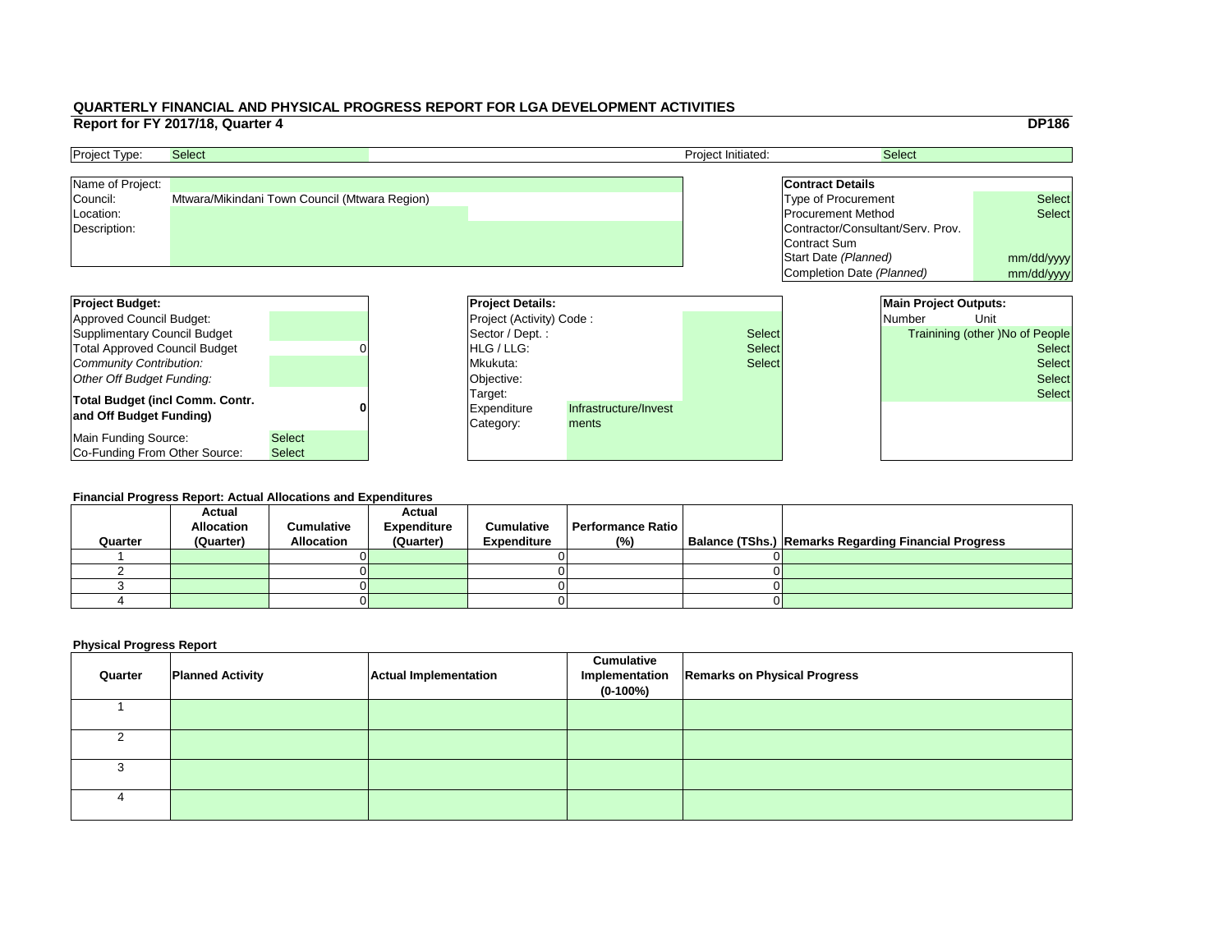|     |                                   |                              | <b>DP186</b>                    |
|-----|-----------------------------------|------------------------------|---------------------------------|
|     |                                   | <b>Select</b>                |                                 |
|     |                                   |                              |                                 |
|     | <b>Contract Details</b>           |                              |                                 |
|     | <b>Type of Procurement</b>        |                              | <b>Select</b>                   |
|     | <b>Procurement Method</b>         |                              | <b>Select</b>                   |
|     | Contractor/Consultant/Serv. Prov. |                              |                                 |
|     | <b>Contract Sum</b>               |                              |                                 |
|     | Start Date (Planned)              |                              | mm/dd/yyyy                      |
|     | Completion Date (Planned)         |                              | mm/dd/yyyy                      |
|     |                                   |                              |                                 |
|     |                                   | <b>Main Project Outputs:</b> |                                 |
|     |                                   | <b>Number</b>                | Unit                            |
| ct: |                                   |                              | Trainining (other) No of People |
|     |                                   |                              | <b>Select</b>                   |
| ct: |                                   |                              |                                 |
| :ct |                                   |                              | <b>Select</b>                   |
|     |                                   |                              | <b>Select</b>                   |
|     |                                   |                              | <b>Select</b>                   |
|     |                                   |                              |                                 |
|     |                                   |                              |                                 |
|     |                                   |                              |                                 |

| <b>Project Budget:</b>                                            |                                | <b>Project Details:</b>                                                      |  |               |  | <b>Main Project Outputs:</b> |                                        |  |
|-------------------------------------------------------------------|--------------------------------|------------------------------------------------------------------------------|--|---------------|--|------------------------------|----------------------------------------|--|
| Approved Council Budget:                                          |                                | <b>Project (Activity) Code:</b>                                              |  |               |  | Number                       | Unit                                   |  |
| Supplimentary Council Budget                                      |                                | Sector / Dept.:                                                              |  | <b>Select</b> |  |                              | <b>Trainining (other )No of People</b> |  |
| <b>Total Approved Council Budget</b>                              |                                | <b>HLG</b> / LLG:                                                            |  | <b>Select</b> |  | <b>Select</b>                |                                        |  |
| Community Contribution:                                           |                                | Mkukuta:                                                                     |  | <b>Select</b> |  |                              | <b>Select</b>                          |  |
| Other Off Budget Funding:                                         |                                | Objective:                                                                   |  |               |  |                              | <b>Select</b>                          |  |
| <b>Total Budget (incl Comm. Contr.</b><br>and Off Budget Funding) |                                | Target:<br>Infrastructure/Invest<br><b>Expenditure</b><br>Category:<br>ments |  |               |  |                              | <b>Select</b>                          |  |
| Main Funding Source:<br>Co-Funding From Other Source:             | <b>Select</b><br><b>Select</b> |                                                                              |  |               |  |                              |                                        |  |

| <b>Project Type:</b> | <b>Select</b>                                 | <b>Project Initiated:</b> | <b>Select</b>                     |               |
|----------------------|-----------------------------------------------|---------------------------|-----------------------------------|---------------|
| Name of Project:     |                                               |                           | <b>Contract Details</b>           |               |
| Council:             | Mtwara/Mikindani Town Council (Mtwara Region) |                           | Type of Procurement               | <b>Select</b> |
| Location:            |                                               |                           | <b>Procurement Method</b>         | <b>Select</b> |
| Description:         |                                               |                           | Contractor/Consultant/Serv. Prov. |               |
|                      |                                               |                           | Contract Sum                      |               |
|                      |                                               |                           | Start Date (Planned)              | mm/dd/ww      |

#### **Financial Progress Report: Actual Allocations and Expenditures**

|         | <b>Actual</b>     |                   | <b>Actual</b>      |                    |                          |                                                             |
|---------|-------------------|-------------------|--------------------|--------------------|--------------------------|-------------------------------------------------------------|
|         | <b>Allocation</b> | <b>Cumulative</b> | <b>Expenditure</b> | <b>Cumulative</b>  | <b>Performance Ratio</b> |                                                             |
| Quarter | (Quarter)         | <b>Allocation</b> | (Quarter)          | <b>Expenditure</b> | (%)                      | <b>Balance (TShs.) Remarks Regarding Financial Progress</b> |
|         |                   |                   |                    |                    |                          |                                                             |
|         |                   |                   |                    |                    |                          |                                                             |
|         |                   |                   |                    |                    |                          |                                                             |
|         |                   |                   |                    |                    |                          |                                                             |
|         |                   |                   |                    |                    |                          |                                                             |

| Quarter | <b>Planned Activity</b> | <b>Actual Implementation</b> | <b>Cumulative</b><br>$(0-100%)$ | Implementation   Remarks on Physical Progress |
|---------|-------------------------|------------------------------|---------------------------------|-----------------------------------------------|
|         |                         |                              |                                 |                                               |
|         |                         |                              |                                 |                                               |
|         |                         |                              |                                 |                                               |
|         |                         |                              |                                 |                                               |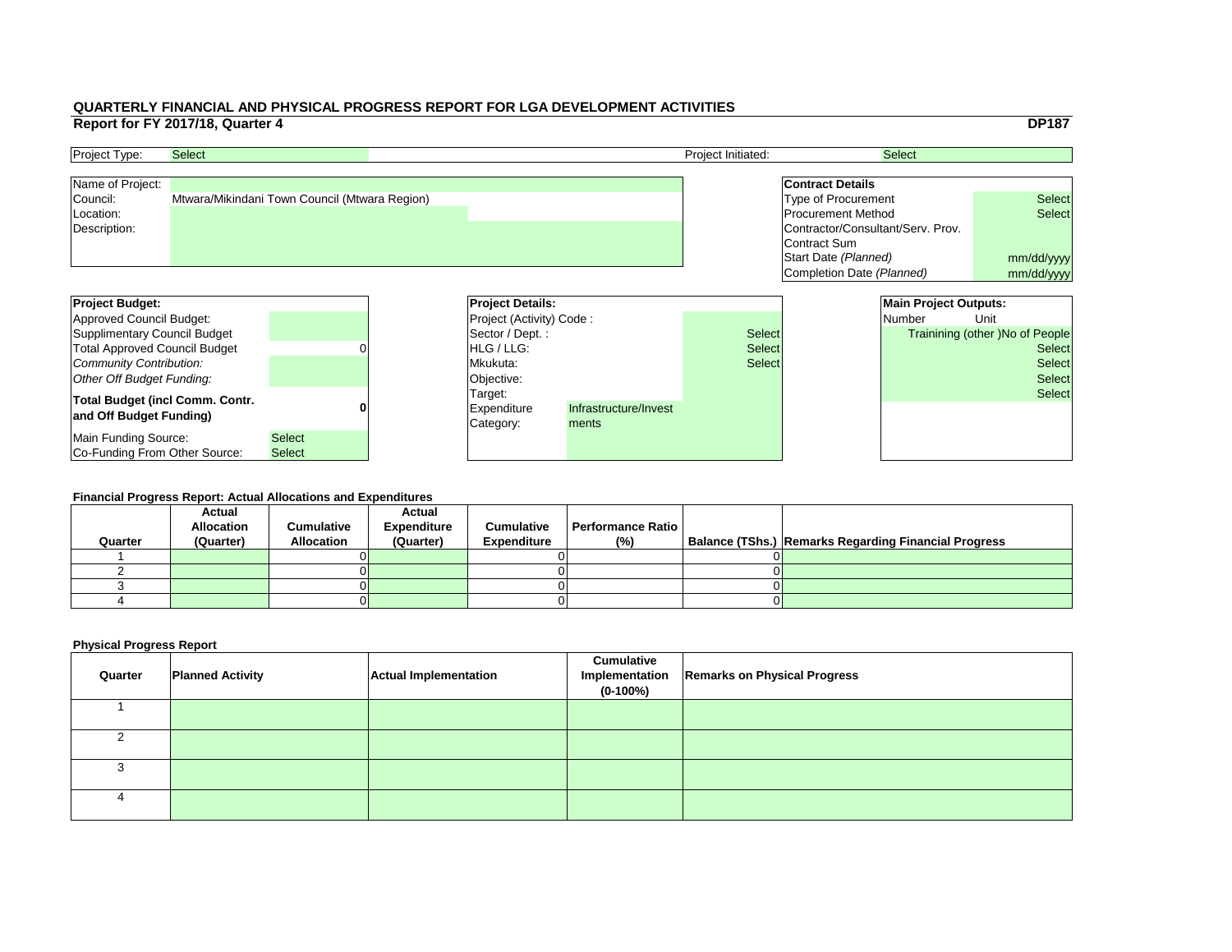|     |                                   |                              | <b>DP187</b>                           |
|-----|-----------------------------------|------------------------------|----------------------------------------|
|     |                                   | <b>Select</b>                |                                        |
|     |                                   |                              |                                        |
|     | <b>Contract Details</b>           |                              |                                        |
|     | <b>Type of Procurement</b>        |                              | <b>Select</b>                          |
|     | <b>Procurement Method</b>         |                              | <b>Select</b>                          |
|     | Contractor/Consultant/Serv. Prov. |                              |                                        |
|     | <b>Contract Sum</b>               |                              |                                        |
|     | Start Date (Planned)              |                              | mm/dd/yyyy                             |
|     | Completion Date (Planned)         |                              | mm/dd/yyyy                             |
|     |                                   |                              |                                        |
|     |                                   | <b>Main Project Outputs:</b> |                                        |
|     |                                   | <b>Number</b>                | Unit                                   |
| :ct |                                   |                              | <b>Trainining (other) No of People</b> |
| ct: |                                   |                              | <b>Select</b>                          |
|     |                                   |                              | <b>Select</b>                          |
| ct: |                                   |                              |                                        |
|     |                                   |                              | <b>Select</b>                          |
|     |                                   |                              | <b>Select</b>                          |
|     |                                   |                              |                                        |
|     |                                   |                              |                                        |
|     |                                   |                              |                                        |

| <b>Project Budget:</b>                 |               |  | <b>Project Details:</b>         |                       |               | <b>Main Project Outputs:</b> |                                        |
|----------------------------------------|---------------|--|---------------------------------|-----------------------|---------------|------------------------------|----------------------------------------|
| Approved Council Budget:               |               |  | <b>Project (Activity) Code:</b> |                       |               | <b>Number</b>                | Unit                                   |
| Supplimentary Council Budget           |               |  | Sector / Dept. :                |                       | <b>Select</b> |                              | <b>Trainining (other )No of People</b> |
| <b>Total Approved Council Budget</b>   |               |  | <b>IHLG/LLG:</b>                |                       | <b>Select</b> |                              | <b>Select</b>                          |
| Community Contribution:                |               |  | Mkukuta:                        |                       | <b>Select</b> |                              | <b>Select</b>                          |
| Other Off Budget Funding:              |               |  | Objective:                      |                       |               |                              | <b>Select</b>                          |
| <b>Total Budget (incl Comm. Contr.</b> |               |  | Target:                         |                       |               |                              | <b>Select</b>                          |
| and Off Budget Funding)                |               |  | <b>Expenditure</b>              | Infrastructure/Invest |               |                              |                                        |
|                                        |               |  | Category:                       | ments                 |               |                              |                                        |
| Main Funding Source:                   | <b>Select</b> |  |                                 |                       |               |                              |                                        |
| <b>Co-Funding From Other Source:</b>   | <b>Select</b> |  |                                 |                       |               |                              |                                        |

| <b>Project Type:</b> | <b>Select</b>                                 | <b>Project Initiated:</b> | <b>Select</b>                     |               |
|----------------------|-----------------------------------------------|---------------------------|-----------------------------------|---------------|
| Name of Project:     |                                               |                           | <b>Contract Details</b>           |               |
| Council:             | Mtwara/Mikindani Town Council (Mtwara Region) |                           | Type of Procurement               | <b>Select</b> |
| Location:            |                                               |                           | <b>Procurement Method</b>         | <b>Select</b> |
| Description:         |                                               |                           | Contractor/Consultant/Serv. Prov. |               |
|                      |                                               |                           | Contract Sum                      |               |
|                      |                                               |                           | Start Date (Planned)              | mm/dd/ww      |

#### **Financial Progress Report: Actual Allocations and Expenditures**

| Quarter | <b>Actual</b><br><b>Allocation</b><br>(Quarter) | <b>Cumulative</b><br><b>Allocation</b> | <b>Actual</b><br><b>Expenditure</b><br>(Quarter) | <b>Cumulative</b><br><b>Expenditure</b> | <b>Performance Ratio</b><br>(%) | Balance (TShs.) Remarks Regarding Financial Progress |
|---------|-------------------------------------------------|----------------------------------------|--------------------------------------------------|-----------------------------------------|---------------------------------|------------------------------------------------------|
|         |                                                 |                                        |                                                  |                                         |                                 |                                                      |
|         |                                                 |                                        |                                                  |                                         |                                 |                                                      |
|         |                                                 |                                        |                                                  |                                         |                                 |                                                      |
|         |                                                 |                                        |                                                  |                                         |                                 |                                                      |
|         |                                                 |                                        |                                                  |                                         |                                 |                                                      |

| Quarter | <b>Planned Activity</b> | <b>Actual Implementation</b> | <b>Cumulative</b><br>$(0-100%)$ | Implementation   Remarks on Physical Progress |
|---------|-------------------------|------------------------------|---------------------------------|-----------------------------------------------|
|         |                         |                              |                                 |                                               |
|         |                         |                              |                                 |                                               |
|         |                         |                              |                                 |                                               |
|         |                         |                              |                                 |                                               |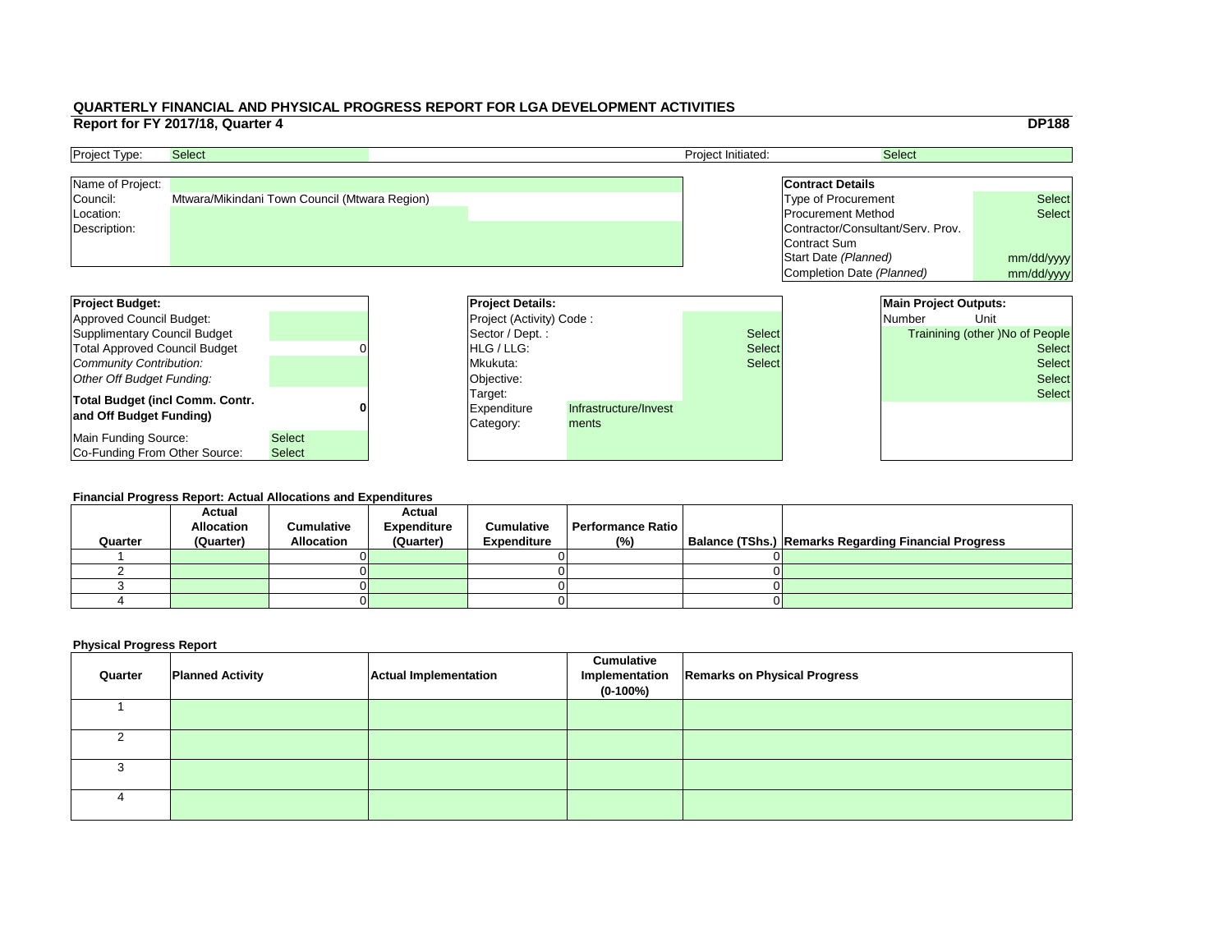|     |                                   |                              | <b>DP188</b>                    |
|-----|-----------------------------------|------------------------------|---------------------------------|
|     |                                   | <b>Select</b>                |                                 |
|     |                                   |                              |                                 |
|     | <b>Contract Details</b>           |                              |                                 |
|     | <b>Type of Procurement</b>        |                              | <b>Select</b>                   |
|     | <b>Procurement Method</b>         |                              | <b>Select</b>                   |
|     | Contractor/Consultant/Serv. Prov. |                              |                                 |
|     | <b>Contract Sum</b>               |                              |                                 |
|     | Start Date (Planned)              |                              | mm/dd/yyyy                      |
|     | Completion Date (Planned)         |                              | mm/dd/yyyy                      |
|     |                                   |                              |                                 |
|     |                                   |                              |                                 |
|     |                                   | <b>Main Project Outputs:</b> |                                 |
|     |                                   | <b>Number</b>                | Unit                            |
| ct: |                                   |                              | Trainining (other) No of People |
| ct: |                                   |                              | <b>Select</b>                   |
| :ct |                                   |                              | <b>Select</b>                   |
|     |                                   |                              | <b>Select</b>                   |
|     |                                   |                              | <b>Select</b>                   |
|     |                                   |                              |                                 |
|     |                                   |                              |                                 |
|     |                                   |                              |                                 |
|     |                                   |                              |                                 |

| <b>Project Budget:</b>                                            | <b>Project Details:</b> |  |                                     |                                |               | <b>Main Project Outputs:</b> |                                        |
|-------------------------------------------------------------------|-------------------------|--|-------------------------------------|--------------------------------|---------------|------------------------------|----------------------------------------|
| Approved Council Budget:                                          |                         |  | <b>Project (Activity) Code:</b>     |                                |               | <b>Number</b>                | Unit                                   |
| Supplimentary Council Budget                                      |                         |  | Sector / Dept.:                     |                                | <b>Select</b> |                              | <b>Trainining (other )No of People</b> |
| <b>Total Approved Council Budget</b>                              |                         |  | <b>HLG</b> / LLG:                   |                                | <b>Select</b> |                              | <b>Select</b>                          |
| Community Contribution:                                           |                         |  | Mkukuta:                            |                                | <b>Select</b> |                              | <b>Select</b>                          |
| Other Off Budget Funding:                                         |                         |  | Objective:                          |                                |               |                              | <b>Select</b>                          |
| <b>Total Budget (incl Comm. Contr.</b><br>and Off Budget Funding) |                         |  | Target:<br>Expenditure<br>Category: | Infrastructure/Invest<br>ments |               |                              | <b>Select</b>                          |
| Main Funding Source:                                              | <b>Select</b>           |  |                                     |                                |               |                              |                                        |
| Co-Funding From Other Source:                                     | <b>Select</b>           |  |                                     |                                |               |                              |                                        |

| <b>Project Type:</b> | <b>Select</b>                                 | <b>Project Initiated:</b> | <b>Select</b>                     |               |
|----------------------|-----------------------------------------------|---------------------------|-----------------------------------|---------------|
| Name of Project:     |                                               |                           | <b>Contract Details</b>           |               |
| Council:             | Mtwara/Mikindani Town Council (Mtwara Region) |                           | Type of Procurement               | <b>Select</b> |
| Location:            |                                               |                           | <b>Procurement Method</b>         | <b>Select</b> |
| Description:         |                                               |                           | Contractor/Consultant/Serv. Prov. |               |
|                      |                                               |                           | Contract Sum                      |               |
|                      |                                               |                           | Start Date (Planned)              | mm/dd/ww      |

#### **Financial Progress Report: Actual Allocations and Expenditures**

|         | <b>Actual</b>     |                   | <b>Actual</b>      |                    |                          |                                                             |
|---------|-------------------|-------------------|--------------------|--------------------|--------------------------|-------------------------------------------------------------|
|         | <b>Allocation</b> | <b>Cumulative</b> | <b>Expenditure</b> | <b>Cumulative</b>  | <b>Performance Ratio</b> |                                                             |
| Quarter | (Quarter)         | <b>Allocation</b> | (Quarter)          | <b>Expenditure</b> | (%)                      | <b>Balance (TShs.) Remarks Regarding Financial Progress</b> |
|         |                   |                   |                    |                    |                          |                                                             |
|         |                   |                   |                    |                    |                          |                                                             |
|         |                   |                   |                    |                    |                          |                                                             |
|         |                   |                   |                    |                    |                          |                                                             |
|         |                   |                   |                    |                    |                          |                                                             |

| Quarter | <b>Planned Activity</b> | <b>Actual Implementation</b> | <b>Cumulative</b><br>Implementation<br>$(0-100%)$ | <b>Remarks on Physical Progress</b> |
|---------|-------------------------|------------------------------|---------------------------------------------------|-------------------------------------|
|         |                         |                              |                                                   |                                     |
|         |                         |                              |                                                   |                                     |
|         |                         |                              |                                                   |                                     |
|         |                         |                              |                                                   |                                     |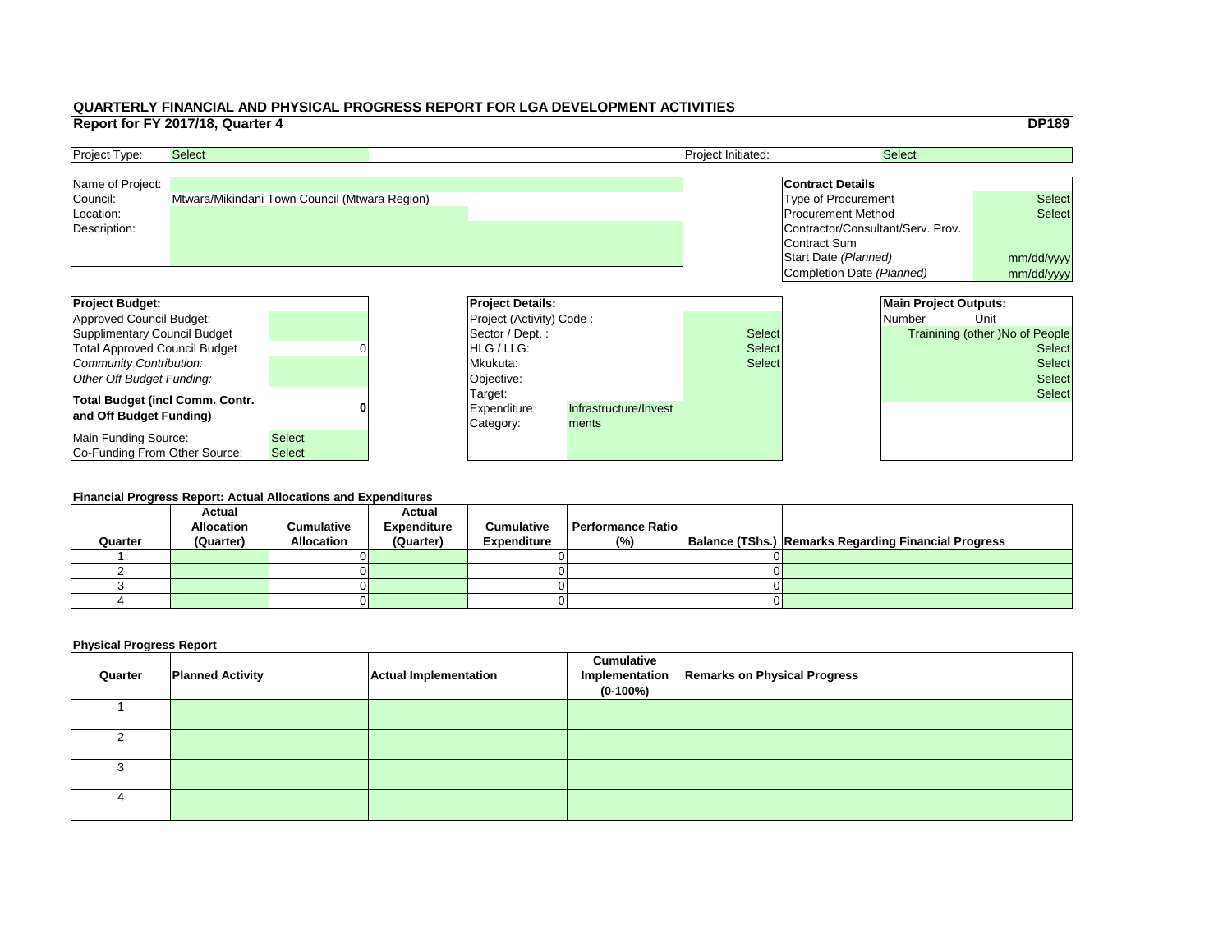|                         |                     | <b>DP189</b>                                                                                                                                                                                       |
|-------------------------|---------------------|----------------------------------------------------------------------------------------------------------------------------------------------------------------------------------------------------|
|                         | <b>Select</b>       |                                                                                                                                                                                                    |
|                         |                     |                                                                                                                                                                                                    |
| <b>Contract Details</b> |                     |                                                                                                                                                                                                    |
|                         |                     | <b>Select</b>                                                                                                                                                                                      |
|                         |                     | <b>Select</b>                                                                                                                                                                                      |
|                         |                     |                                                                                                                                                                                                    |
|                         |                     |                                                                                                                                                                                                    |
|                         |                     | mm/dd/yyyy                                                                                                                                                                                         |
|                         |                     | mm/dd/yyyy                                                                                                                                                                                         |
|                         |                     |                                                                                                                                                                                                    |
|                         |                     |                                                                                                                                                                                                    |
|                         |                     |                                                                                                                                                                                                    |
|                         |                     | Unit                                                                                                                                                                                               |
|                         |                     | Trainining (other) No of People                                                                                                                                                                    |
|                         |                     | <b>Select</b>                                                                                                                                                                                      |
|                         |                     | <b>Select</b>                                                                                                                                                                                      |
|                         |                     | <b>Select</b>                                                                                                                                                                                      |
|                         |                     | <b>Select</b>                                                                                                                                                                                      |
|                         |                     |                                                                                                                                                                                                    |
|                         |                     |                                                                                                                                                                                                    |
|                         |                     |                                                                                                                                                                                                    |
|                         | <b>Contract Sum</b> | <b>Type of Procurement</b><br><b>Procurement Method</b><br>Contractor/Consultant/Serv. Prov.<br>Start Date (Planned)<br>Completion Date (Planned)<br><b>Main Project Outputs:</b><br><b>Number</b> |

| <b>Project Budget:</b>                                            |               |  | <b>Project Details:</b>             |                                |               | <b>Main Project Outputs:</b> |                                        |
|-------------------------------------------------------------------|---------------|--|-------------------------------------|--------------------------------|---------------|------------------------------|----------------------------------------|
| Approved Council Budget:                                          |               |  | <b>Project (Activity) Code:</b>     |                                |               | <b>Number</b>                | Unit                                   |
| Supplimentary Council Budget                                      |               |  | Sector / Dept.:                     |                                | <b>Select</b> |                              | <b>Trainining (other )No of People</b> |
| <b>Total Approved Council Budget</b>                              |               |  | <b>HLG</b> / LLG:                   |                                | <b>Select</b> |                              | <b>Select</b>                          |
| Community Contribution:                                           |               |  | Mkukuta:                            |                                | <b>Select</b> |                              | <b>Select</b>                          |
| Other Off Budget Funding:                                         |               |  | Objective:                          |                                |               |                              | <b>Select</b>                          |
| <b>Total Budget (incl Comm. Contr.</b><br>and Off Budget Funding) |               |  | Target:<br>Expenditure<br>Category: | Infrastructure/Invest<br>ments |               |                              | <b>Select</b>                          |
| Main Funding Source:                                              | <b>Select</b> |  |                                     |                                |               |                              |                                        |
| Co-Funding From Other Source:                                     | <b>Select</b> |  |                                     |                                |               |                              |                                        |

| <b>Project Type:</b> | <b>Select</b>                                 | <b>Project Initiated:</b> | <b>Select</b>                     |               |
|----------------------|-----------------------------------------------|---------------------------|-----------------------------------|---------------|
| Name of Project:     |                                               |                           | <b>Contract Details</b>           |               |
| Council:             | Mtwara/Mikindani Town Council (Mtwara Region) |                           | Type of Procurement               | <b>Select</b> |
| Location:            |                                               |                           | <b>Procurement Method</b>         | <b>Select</b> |
| Description:         |                                               |                           | Contractor/Consultant/Serv. Prov. |               |
|                      |                                               |                           | Contract Sum                      |               |
|                      |                                               |                           | Start Date (Planned)              | mm/dd/ww      |

#### **Financial Progress Report: Actual Allocations and Expenditures**

|         | <b>Actual</b>     |                   | <b>Actual</b>      |                    |                          |                                                             |
|---------|-------------------|-------------------|--------------------|--------------------|--------------------------|-------------------------------------------------------------|
|         | <b>Allocation</b> | <b>Cumulative</b> | <b>Expenditure</b> | <b>Cumulative</b>  | <b>Performance Ratio</b> |                                                             |
| Quarter | (Quarter)         | <b>Allocation</b> | (Quarter)          | <b>Expenditure</b> | (%)                      | <b>Balance (TShs.) Remarks Regarding Financial Progress</b> |
|         |                   |                   |                    |                    |                          |                                                             |
|         |                   |                   |                    |                    |                          |                                                             |
|         |                   |                   |                    |                    |                          |                                                             |
|         |                   |                   |                    |                    |                          |                                                             |
|         |                   |                   |                    |                    |                          |                                                             |

| Quarter | <b>Planned Activity</b> | <b>Actual Implementation</b> | <b>Cumulative</b><br>Implementation<br>$(0-100%)$ | <b>Remarks on Physical Progress</b> |
|---------|-------------------------|------------------------------|---------------------------------------------------|-------------------------------------|
|         |                         |                              |                                                   |                                     |
|         |                         |                              |                                                   |                                     |
|         |                         |                              |                                                   |                                     |
|         |                         |                              |                                                   |                                     |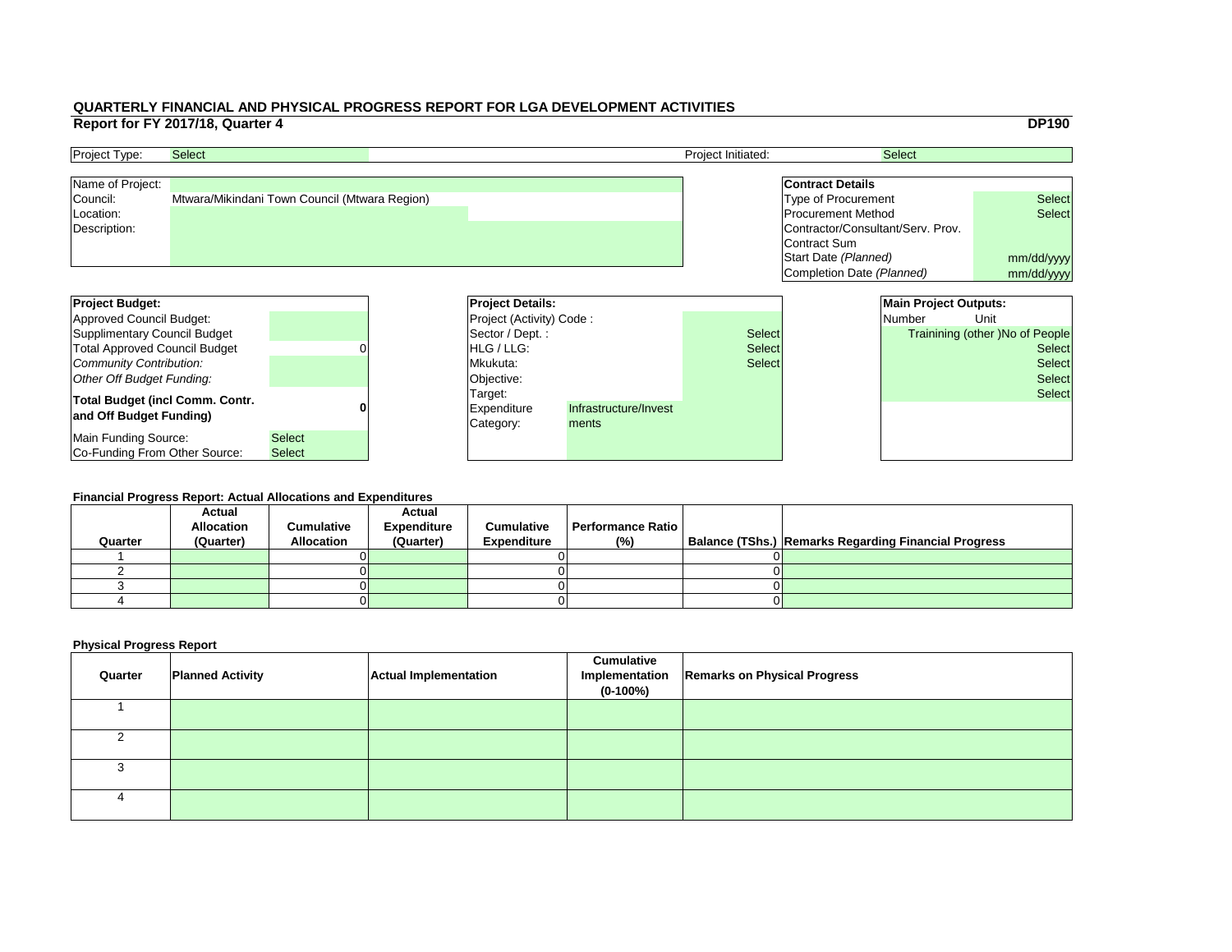|     |                                   | <b>DP190</b>                    |  |
|-----|-----------------------------------|---------------------------------|--|
|     | <b>Select</b>                     |                                 |  |
|     |                                   |                                 |  |
|     | <b>Contract Details</b>           |                                 |  |
|     | <b>Type of Procurement</b>        | <b>Select</b>                   |  |
|     | <b>Procurement Method</b>         | <b>Select</b>                   |  |
|     | Contractor/Consultant/Serv. Prov. |                                 |  |
|     | <b>Contract Sum</b>               |                                 |  |
|     | Start Date (Planned)              | mm/dd/yyyy                      |  |
|     | Completion Date (Planned)         | mm/dd/yyyy                      |  |
|     |                                   |                                 |  |
|     | <b>Main Project Outputs:</b>      |                                 |  |
|     | <b>Number</b>                     | Unit                            |  |
| ct: |                                   | Trainining (other) No of People |  |
| ct: |                                   | <b>Select</b>                   |  |
| :ct |                                   | <b>Select</b>                   |  |
|     |                                   | <b>Select</b>                   |  |
|     |                                   |                                 |  |
|     |                                   | <b>Select</b>                   |  |
|     |                                   |                                 |  |
|     |                                   |                                 |  |
|     |                                   |                                 |  |

| <b>Project Budget:</b>                                            |                                |          | <b>Project Details:</b>                    |                                |               | <b>Main Project Outputs:</b> |                                        |
|-------------------------------------------------------------------|--------------------------------|----------|--------------------------------------------|--------------------------------|---------------|------------------------------|----------------------------------------|
| Approved Council Budget:                                          |                                |          | <b>Project (Activity) Code:</b>            |                                |               | Number                       | Unit                                   |
| Supplimentary Council Budget                                      |                                |          | Sector / Dept.:                            |                                | <b>Select</b> |                              | <b>Trainining (other )No of People</b> |
| <b>Total Approved Council Budget</b>                              |                                |          | <b>HLG</b> / LLG:                          |                                | <b>Select</b> |                              | <b>Select</b>                          |
| Community Contribution:                                           |                                | Mkukuta: |                                            | <b>Select</b>                  |               | <b>Select</b>                |                                        |
| Other Off Budget Funding:                                         |                                |          | Objective:                                 |                                |               |                              | <b>Select</b>                          |
| <b>Total Budget (incl Comm. Contr.</b><br>and Off Budget Funding) |                                |          | Target:<br><b>Expenditure</b><br>Category: | Infrastructure/Invest<br>ments |               |                              | <b>Select</b>                          |
| Main Funding Source:<br>Co-Funding From Other Source:             | <b>Select</b><br><b>Select</b> |          |                                            |                                |               |                              |                                        |

| <b>Project Type:</b> | <b>Select</b>                                 | <b>Project Initiated:</b> | <b>Select</b>                     |               |
|----------------------|-----------------------------------------------|---------------------------|-----------------------------------|---------------|
| Name of Project:     |                                               |                           | <b>Contract Details</b>           |               |
| Council:             | Mtwara/Mikindani Town Council (Mtwara Region) |                           | Type of Procurement               | <b>Select</b> |
| Location:            |                                               |                           | <b>Procurement Method</b>         | <b>Select</b> |
| Description:         |                                               |                           | Contractor/Consultant/Serv. Prov. |               |
|                      |                                               |                           | Contract Sum                      |               |
|                      |                                               |                           | Start Date (Planned)              | mm/dd/ww      |

#### **Financial Progress Report: Actual Allocations and Expenditures**

|         | <b>Actual</b>     |                   | <b>Actual</b>      |                    |                   |  |                                                             |  |  |
|---------|-------------------|-------------------|--------------------|--------------------|-------------------|--|-------------------------------------------------------------|--|--|
|         | <b>Allocation</b> | <b>Cumulative</b> | <b>Expenditure</b> | <b>Cumulative</b>  | Performance Ratio |  |                                                             |  |  |
| Quarter | (Quarter)         | <b>Allocation</b> | (Quarter)          | <b>Expenditure</b> | (%)               |  | <b>Balance (TShs.) Remarks Regarding Financial Progress</b> |  |  |
|         |                   |                   |                    |                    |                   |  |                                                             |  |  |
|         |                   |                   |                    |                    |                   |  |                                                             |  |  |
|         |                   |                   |                    |                    |                   |  |                                                             |  |  |
|         |                   |                   |                    |                    |                   |  |                                                             |  |  |
|         |                   |                   |                    |                    |                   |  |                                                             |  |  |

| Quarter | <b>Planned Activity</b> | <b>Actual Implementation</b> | <b>Cumulative</b><br>$(0-100%)$ | Implementation   Remarks on Physical Progress |
|---------|-------------------------|------------------------------|---------------------------------|-----------------------------------------------|
|         |                         |                              |                                 |                                               |
|         |                         |                              |                                 |                                               |
|         |                         |                              |                                 |                                               |
|         |                         |                              |                                 |                                               |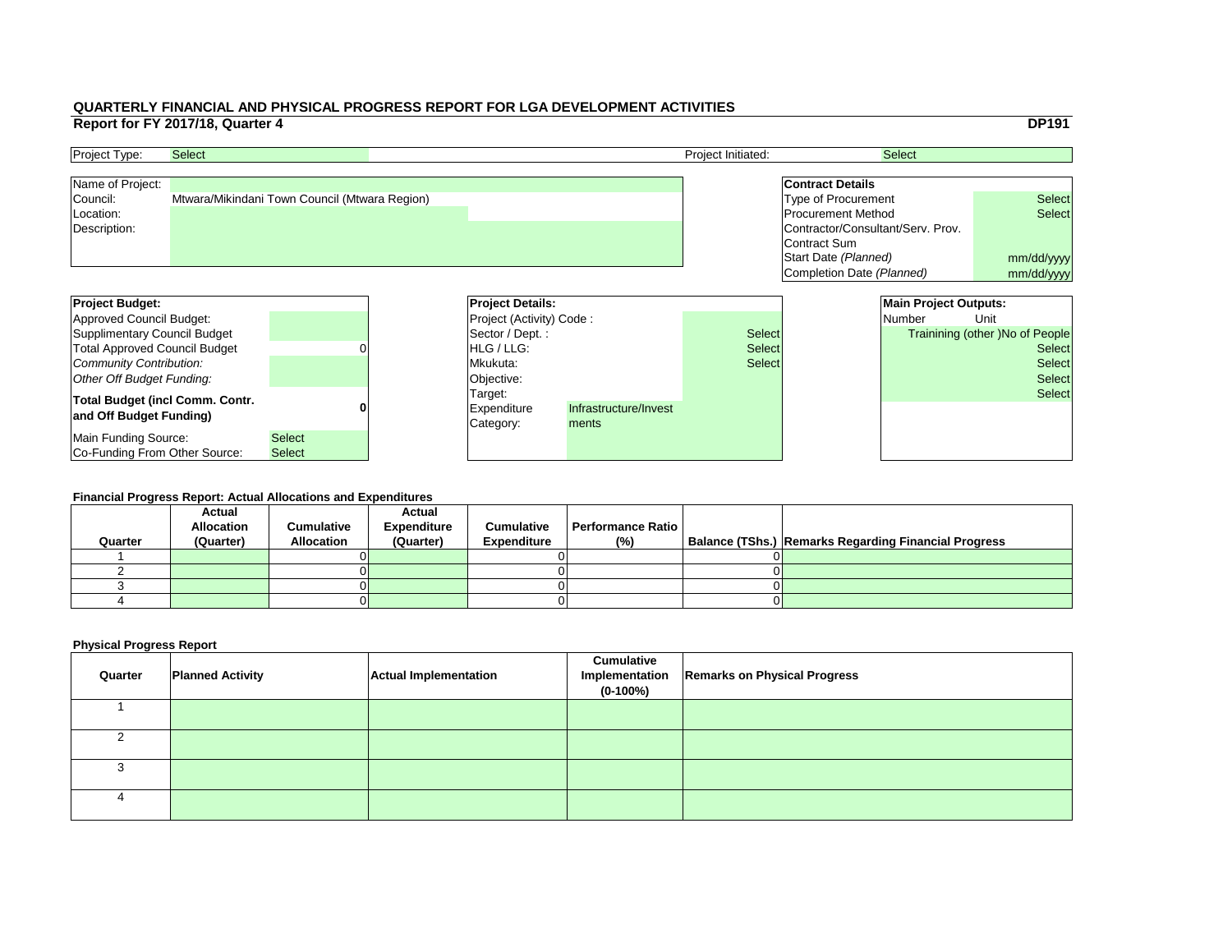|     |                                   |                              | <b>DP191</b>                           |
|-----|-----------------------------------|------------------------------|----------------------------------------|
|     |                                   | <b>Select</b>                |                                        |
|     |                                   |                              |                                        |
|     | <b>Contract Details</b>           |                              |                                        |
|     | <b>Type of Procurement</b>        |                              | <b>Select</b>                          |
|     | <b>Procurement Method</b>         |                              | <b>Select</b>                          |
|     | Contractor/Consultant/Serv. Prov. |                              |                                        |
|     | Contract Sum                      |                              |                                        |
|     | Start Date (Planned)              |                              | mm/dd/yyyy                             |
|     | Completion Date (Planned)         |                              | mm/dd/yyyy                             |
|     |                                   |                              |                                        |
|     |                                   | <b>Main Project Outputs:</b> |                                        |
|     |                                   |                              |                                        |
|     |                                   | <b>Number</b>                | Unit                                   |
| :ct |                                   |                              | <b>Trainining (other) No of People</b> |
| ct: |                                   |                              | <b>Select</b>                          |
| ct: |                                   |                              | <b>Select</b>                          |
|     |                                   |                              | <b>Select</b>                          |
|     |                                   |                              | <b>Select</b>                          |
|     |                                   |                              |                                        |
|     |                                   |                              |                                        |
|     |                                   |                              |                                        |

| <b>Project Budget:</b>                                            |               | <b>Project Details:</b>             |                                |               |  | <b>Main Project Outputs:</b> |                                        |
|-------------------------------------------------------------------|---------------|-------------------------------------|--------------------------------|---------------|--|------------------------------|----------------------------------------|
| Approved Council Budget:                                          |               | <b>Project (Activity) Code:</b>     |                                |               |  | <b>Number</b>                | Unit                                   |
| Supplimentary Council Budget                                      |               | Sector / Dept.:                     |                                | <b>Select</b> |  |                              | <b>Trainining (other )No of People</b> |
| <b>Total Approved Council Budget</b>                              |               | <b>HLG</b> / LLG:                   |                                | <b>Select</b> |  |                              | <b>Select</b>                          |
| Community Contribution:                                           |               | Mkukuta:                            |                                | <b>Select</b> |  |                              | <b>Select</b>                          |
| Other Off Budget Funding:                                         |               | Objective:                          |                                |               |  |                              | <b>Select</b>                          |
| <b>Total Budget (incl Comm. Contr.</b><br>and Off Budget Funding) |               | Target:<br>Expenditure<br>Category: | Infrastructure/Invest<br>ments |               |  |                              | <b>Select</b>                          |
| Main Funding Source:                                              | <b>Select</b> |                                     |                                |               |  |                              |                                        |
| Co-Funding From Other Source:                                     | <b>Select</b> |                                     |                                |               |  |                              |                                        |

| <b>Project Type:</b> | <b>Select</b>                                 | <b>Project Initiated:</b> | <b>Select</b>                     |               |
|----------------------|-----------------------------------------------|---------------------------|-----------------------------------|---------------|
| Name of Project:     |                                               |                           | <b>Contract Details</b>           |               |
| Council:             | Mtwara/Mikindani Town Council (Mtwara Region) |                           | Type of Procurement               | <b>Select</b> |
| Location:            |                                               |                           | <b>Procurement Method</b>         | <b>Select</b> |
| Description:         |                                               |                           | Contractor/Consultant/Serv. Prov. |               |
|                      |                                               |                           | Contract Sum                      |               |
|                      |                                               |                           | Start Date (Planned)              | mm/dd/ww      |

#### **Financial Progress Report: Actual Allocations and Expenditures**

| Quarter | <b>Actual</b><br><b>Allocation</b><br>(Quarter) | <b>Cumulative</b><br><b>Allocation</b> | <b>Actual</b><br><b>Expenditure</b><br>(Quarter) | <b>Cumulative</b><br><b>Expenditure</b> | <b>Performance Ratio</b><br>(%) | Balance (TShs.) Remarks Regarding Financial Progress |
|---------|-------------------------------------------------|----------------------------------------|--------------------------------------------------|-----------------------------------------|---------------------------------|------------------------------------------------------|
|         |                                                 |                                        |                                                  |                                         |                                 |                                                      |
|         |                                                 |                                        |                                                  |                                         |                                 |                                                      |
|         |                                                 |                                        |                                                  |                                         |                                 |                                                      |
|         |                                                 |                                        |                                                  |                                         |                                 |                                                      |
|         |                                                 |                                        |                                                  |                                         |                                 |                                                      |

| Quarter | <b>Planned Activity</b> | <b>Actual Implementation</b> | <b>Cumulative</b><br>$(0-100%)$ | Implementation   Remarks on Physical Progress |
|---------|-------------------------|------------------------------|---------------------------------|-----------------------------------------------|
|         |                         |                              |                                 |                                               |
|         |                         |                              |                                 |                                               |
|         |                         |                              |                                 |                                               |
|         |                         |                              |                                 |                                               |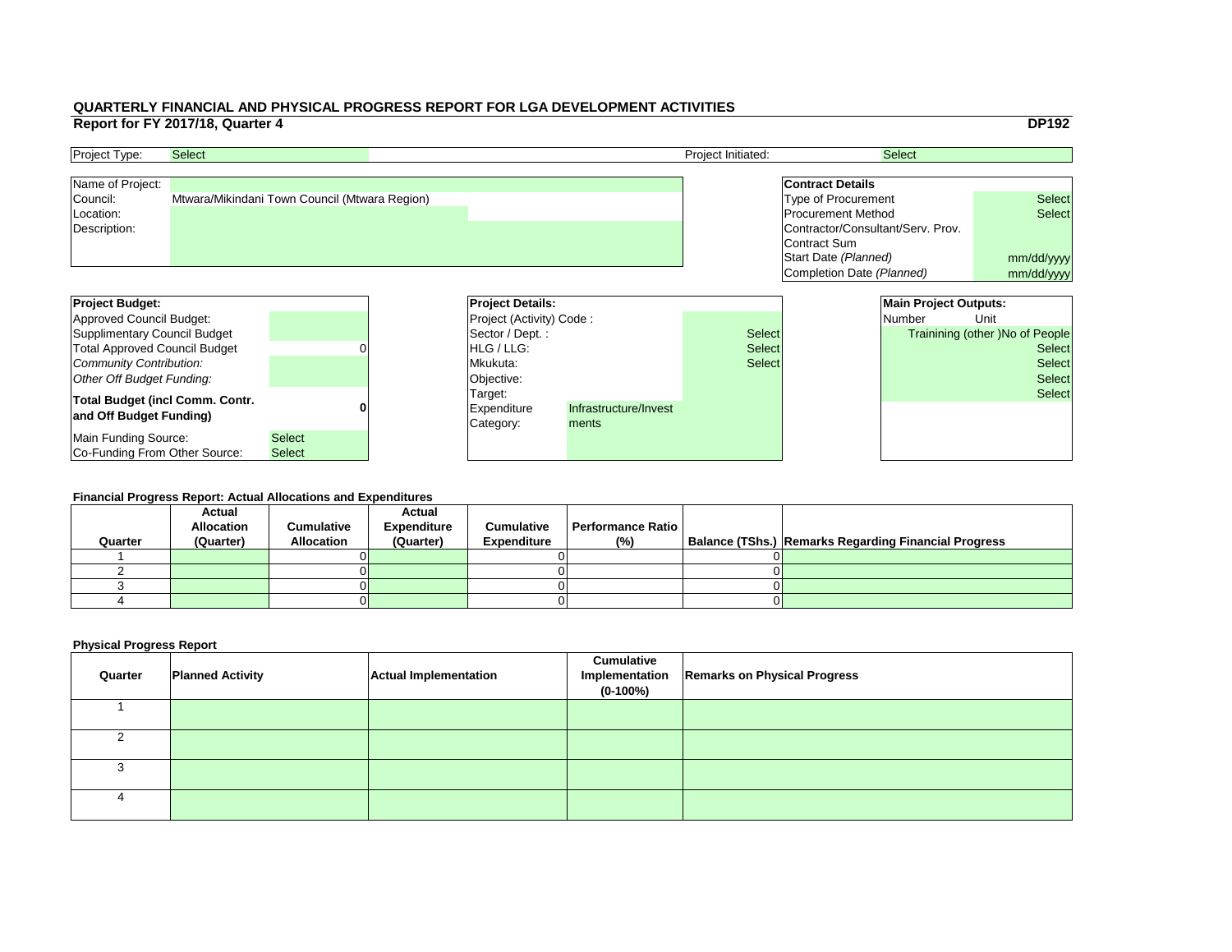|     |                                   |                              | <b>DP192</b>                           |  |
|-----|-----------------------------------|------------------------------|----------------------------------------|--|
|     |                                   | <b>Select</b>                |                                        |  |
|     |                                   |                              |                                        |  |
|     | <b>Contract Details</b>           |                              |                                        |  |
|     | <b>Type of Procurement</b>        |                              | <b>Select</b>                          |  |
|     | <b>Procurement Method</b>         |                              | <b>Select</b>                          |  |
|     | Contractor/Consultant/Serv. Prov. |                              |                                        |  |
|     | <b>Contract Sum</b>               |                              |                                        |  |
|     | Start Date (Planned)              | mm/dd/yyyy                   |                                        |  |
|     | Completion Date (Planned)         |                              | mm/dd/yyyy                             |  |
|     |                                   |                              |                                        |  |
|     |                                   | <b>Main Project Outputs:</b> |                                        |  |
|     |                                   | <b>Number</b>                | Unit                                   |  |
| :ct |                                   |                              | <b>Trainining (other) No of People</b> |  |
| ct: |                                   |                              | <b>Select</b>                          |  |
| ct: |                                   |                              | <b>Select</b>                          |  |
|     |                                   |                              |                                        |  |
|     |                                   |                              | <b>Select</b>                          |  |
|     |                                   |                              | <b>Select</b>                          |  |
|     |                                   |                              |                                        |  |
|     |                                   |                              |                                        |  |
|     |                                   |                              |                                        |  |

| <b>Project Budget:</b>                 |               | <b>Project Details:</b>         |                       |               |  | <b>Main Project Outputs:</b> |                                        |
|----------------------------------------|---------------|---------------------------------|-----------------------|---------------|--|------------------------------|----------------------------------------|
| Approved Council Budget:               |               | <b>Project (Activity) Code:</b> |                       |               |  | <b>Number</b>                | Unit                                   |
| Supplimentary Council Budget           |               | Sector / Dept. :                |                       | <b>Select</b> |  |                              | <b>Trainining (other )No of People</b> |
| <b>Total Approved Council Budget</b>   |               | <b>IHLG/LLG:</b>                |                       | <b>Select</b> |  |                              | <b>Select</b>                          |
| Community Contribution:                |               | Mkukuta:                        |                       | <b>Select</b> |  |                              | <b>Select</b>                          |
| Other Off Budget Funding:              |               | Objective:                      |                       |               |  |                              | <b>Select</b>                          |
| <b>Total Budget (incl Comm. Contr.</b> |               | Target:                         |                       |               |  |                              | <b>Select</b>                          |
| and Off Budget Funding)                |               | <b>Expenditure</b>              | Infrastructure/Invest |               |  |                              |                                        |
|                                        |               | Category:                       | ments                 |               |  |                              |                                        |
| Main Funding Source:                   | <b>Select</b> |                                 |                       |               |  |                              |                                        |
| <b>Co-Funding From Other Source:</b>   | <b>Select</b> |                                 |                       |               |  |                              |                                        |

| <b>Project Type:</b> | <b>Select</b>                                 | <b>Project Initiated:</b> | <b>Select</b>                     |               |
|----------------------|-----------------------------------------------|---------------------------|-----------------------------------|---------------|
| Name of Project:     |                                               |                           | <b>Contract Details</b>           |               |
| Council:             | Mtwara/Mikindani Town Council (Mtwara Region) |                           | Type of Procurement               | <b>Select</b> |
| Location:            |                                               |                           | <b>Procurement Method</b>         | <b>Select</b> |
| Description:         |                                               |                           | Contractor/Consultant/Serv. Prov. |               |
|                      |                                               |                           | Contract Sum                      |               |
|                      |                                               |                           | Start Date (Planned)              | mm/dd/ww      |

#### **Financial Progress Report: Actual Allocations and Expenditures**

| Quarter | <b>Actual</b><br><b>Allocation</b><br>(Quarter) | <b>Cumulative</b><br><b>Allocation</b> | <b>Actual</b><br><b>Expenditure</b><br>(Quarter) | <b>Cumulative</b><br><b>Expenditure</b> | <b>Performance Ratio</b><br>(%) | Balance (TShs.) Remarks Regarding Financial Progress |
|---------|-------------------------------------------------|----------------------------------------|--------------------------------------------------|-----------------------------------------|---------------------------------|------------------------------------------------------|
|         |                                                 |                                        |                                                  |                                         |                                 |                                                      |
|         |                                                 |                                        |                                                  |                                         |                                 |                                                      |
|         |                                                 |                                        |                                                  |                                         |                                 |                                                      |
|         |                                                 |                                        |                                                  |                                         |                                 |                                                      |
|         |                                                 |                                        |                                                  |                                         |                                 |                                                      |

| Quarter | <b>Planned Activity</b> | <b>Actual Implementation</b> | <b>Cumulative</b><br>$(0-100\%)$ | Implementation   Remarks on Physical Progress |
|---------|-------------------------|------------------------------|----------------------------------|-----------------------------------------------|
|         |                         |                              |                                  |                                               |
|         |                         |                              |                                  |                                               |
|         |                         |                              |                                  |                                               |
|         |                         |                              |                                  |                                               |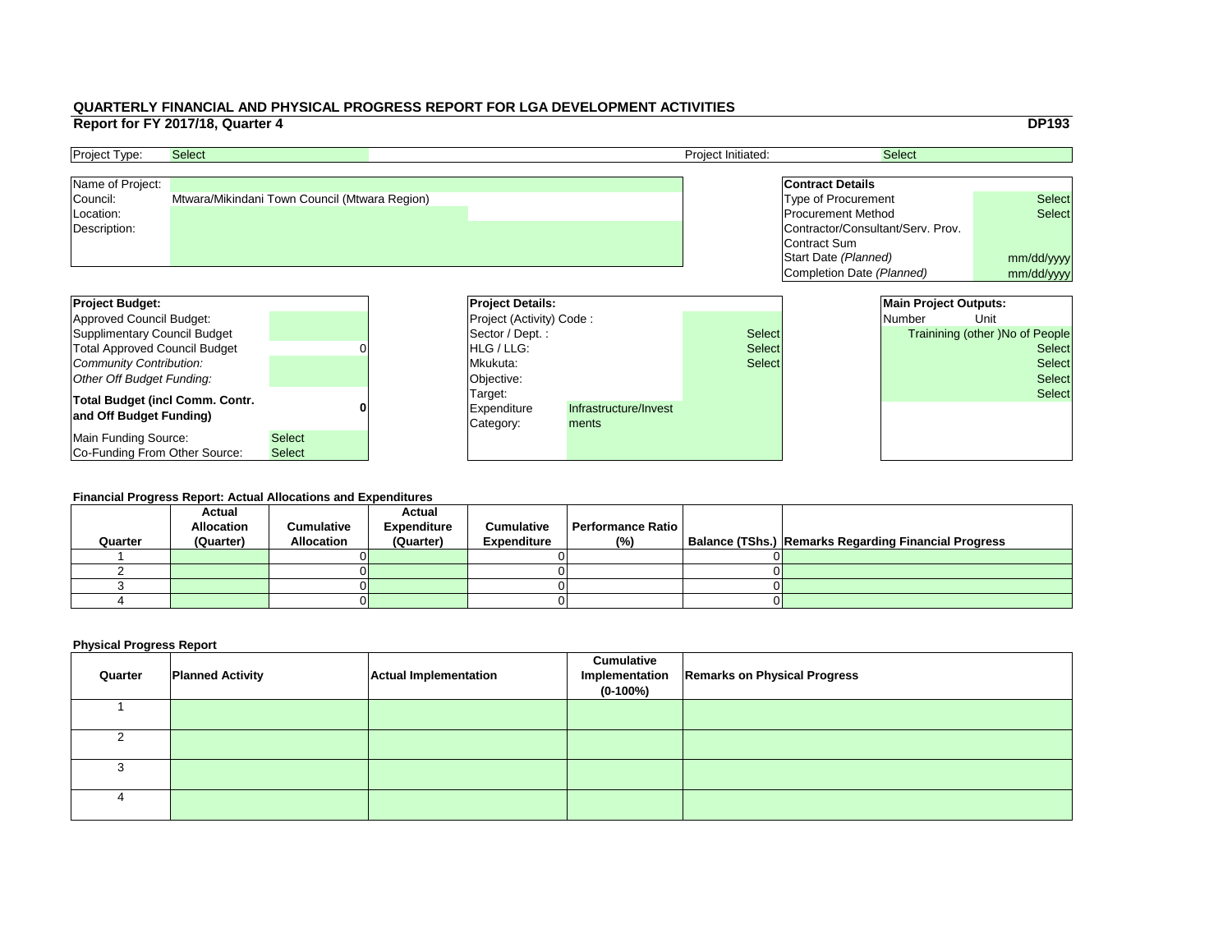|                     |                         | <b>DP193</b>                                                                                                                                                                                       |
|---------------------|-------------------------|----------------------------------------------------------------------------------------------------------------------------------------------------------------------------------------------------|
|                     |                         |                                                                                                                                                                                                    |
|                     |                         |                                                                                                                                                                                                    |
|                     |                         |                                                                                                                                                                                                    |
|                     |                         |                                                                                                                                                                                                    |
|                     |                         | <b>Select</b>                                                                                                                                                                                      |
|                     |                         | <b>Select</b>                                                                                                                                                                                      |
|                     |                         |                                                                                                                                                                                                    |
| <b>Contract Sum</b> |                         |                                                                                                                                                                                                    |
|                     |                         | mm/dd/yyyy                                                                                                                                                                                         |
|                     |                         | mm/dd/yyyy                                                                                                                                                                                         |
|                     |                         |                                                                                                                                                                                                    |
|                     |                         |                                                                                                                                                                                                    |
|                     | <b>Number</b>           | Unit                                                                                                                                                                                               |
|                     |                         | <b>Trainining (other) No of People</b>                                                                                                                                                             |
|                     |                         | <b>Select</b>                                                                                                                                                                                      |
|                     |                         | <b>Select</b>                                                                                                                                                                                      |
|                     |                         | <b>Select</b>                                                                                                                                                                                      |
|                     |                         |                                                                                                                                                                                                    |
|                     |                         | <b>Select</b>                                                                                                                                                                                      |
|                     |                         |                                                                                                                                                                                                    |
|                     |                         |                                                                                                                                                                                                    |
|                     |                         |                                                                                                                                                                                                    |
|                     |                         |                                                                                                                                                                                                    |
|                     | <b>Contract Details</b> | <b>Select</b><br><b>Type of Procurement</b><br><b>Procurement Method</b><br>Contractor/Consultant/Serv. Prov.<br>Start Date (Planned)<br>Completion Date (Planned)<br><b>Main Project Outputs:</b> |

| <b>Project Type:</b> | <b>Select</b>                                 | <b>Project Initiated:</b> | <b>Select</b>                     |               |
|----------------------|-----------------------------------------------|---------------------------|-----------------------------------|---------------|
| Name of Project:     |                                               |                           | <b>Contract Details</b>           |               |
| Council:             | Mtwara/Mikindani Town Council (Mtwara Region) |                           | Type of Procurement               | <b>Select</b> |
| Location:            |                                               |                           | <b>Procurement Method</b>         | <b>Select</b> |
| Description:         |                                               |                           | Contractor/Consultant/Serv. Prov. |               |
|                      |                                               |                           | Contract Sum                      |               |
|                      |                                               |                           | Start Date (Planned)              | mm/dd/ww      |

| <b>Project Budget:</b>                 |               | <b>Project Details:</b>         |                       |               |  | <b>Main Project Outputs:</b> |                                 |
|----------------------------------------|---------------|---------------------------------|-----------------------|---------------|--|------------------------------|---------------------------------|
| Approved Council Budget:               |               | <b>Project (Activity) Code:</b> |                       |               |  | <b>Number</b>                | Unit                            |
| Supplimentary Council Budget           |               | Sector / Dept. :                |                       | <b>Select</b> |  |                              | Trainining (other )No of People |
| <b>Total Approved Council Budget</b>   |               | <b>IHLG/LLG:</b>                |                       | <b>Select</b> |  |                              | <b>Select</b>                   |
| Community Contribution:                |               | Mkukuta:                        |                       | <b>Select</b> |  |                              | <b>Select</b>                   |
| Other Off Budget Funding:              |               | Objective:                      |                       |               |  |                              | <b>Select</b>                   |
| <b>Total Budget (incl Comm. Contr.</b> |               | Target:                         |                       |               |  |                              | <b>Select</b>                   |
| and Off Budget Funding)                |               | <b>Expenditure</b>              | Infrastructure/Invest |               |  |                              |                                 |
|                                        |               | Category:                       | ments                 |               |  |                              |                                 |
| Main Funding Source:                   | <b>Select</b> |                                 |                       |               |  |                              |                                 |
| Co-Funding From Other Source:          | <b>Select</b> |                                 |                       |               |  |                              |                                 |

#### **Financial Progress Report: Actual Allocations and Expenditures**

| Quarter | <b>Actual</b><br><b>Allocation</b><br>(Quarter) | <b>Cumulative</b><br><b>Allocation</b> | <b>Actual</b><br><b>Expenditure</b><br>(Quarter) | <b>Cumulative</b><br><b>Expenditure</b> | <b>Performance Ratio</b><br>(%) | Balance (TShs.) Remarks Regarding Financial Progress |
|---------|-------------------------------------------------|----------------------------------------|--------------------------------------------------|-----------------------------------------|---------------------------------|------------------------------------------------------|
|         |                                                 |                                        |                                                  |                                         |                                 |                                                      |
|         |                                                 |                                        |                                                  |                                         |                                 |                                                      |
|         |                                                 |                                        |                                                  |                                         |                                 |                                                      |
|         |                                                 |                                        |                                                  |                                         |                                 |                                                      |
|         |                                                 |                                        |                                                  |                                         |                                 |                                                      |

| Quarter | <b>Planned Activity</b> | <b>Actual Implementation</b> | <b>Cumulative</b><br>$(0-100\%)$ | Implementation   Remarks on Physical Progress |
|---------|-------------------------|------------------------------|----------------------------------|-----------------------------------------------|
|         |                         |                              |                                  |                                               |
|         |                         |                              |                                  |                                               |
|         |                         |                              |                                  |                                               |
|         |                         |                              |                                  |                                               |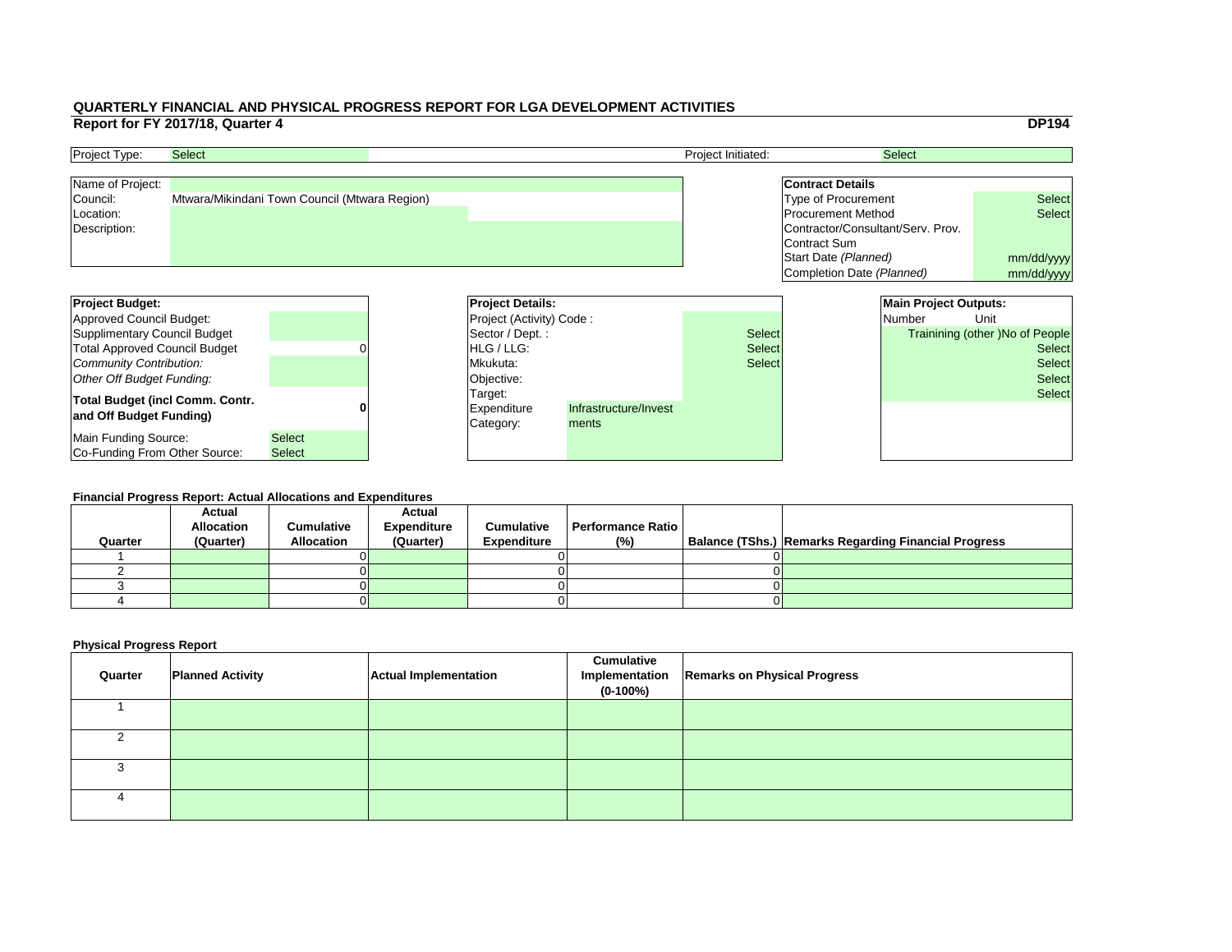|     |                                   |                              | <b>DP194</b>                           |
|-----|-----------------------------------|------------------------------|----------------------------------------|
|     |                                   | <b>Select</b>                |                                        |
|     |                                   |                              |                                        |
|     | <b>Contract Details</b>           |                              |                                        |
|     | <b>Type of Procurement</b>        |                              | <b>Select</b>                          |
|     | <b>Procurement Method</b>         |                              | <b>Select</b>                          |
|     | Contractor/Consultant/Serv. Prov. |                              |                                        |
|     | Contract Sum                      |                              |                                        |
|     | Start Date (Planned)              |                              | mm/dd/yyyy                             |
|     | Completion Date (Planned)         |                              | mm/dd/yyyy                             |
|     |                                   |                              |                                        |
|     |                                   | <b>Main Project Outputs:</b> |                                        |
|     |                                   | Number                       | Unit                                   |
|     |                                   |                              |                                        |
| :ct |                                   |                              | <b>Trainining (other) No of People</b> |
| ct: |                                   |                              | <b>Select</b>                          |
| ct: |                                   |                              | <b>Select</b>                          |
|     |                                   |                              | <b>Select</b>                          |
|     |                                   |                              | <b>Select</b>                          |
|     |                                   |                              |                                        |
|     |                                   |                              |                                        |
|     |                                   |                              |                                        |

| <b>Project Budget:</b>                 |               | <b>Project Details:</b>         |                       |               | <b>Main Project Outputs:</b> |                                        |
|----------------------------------------|---------------|---------------------------------|-----------------------|---------------|------------------------------|----------------------------------------|
| Approved Council Budget:               |               | <b>Project (Activity) Code:</b> |                       |               | <b>Number</b>                | Unit                                   |
| Supplimentary Council Budget           |               | Sector / Dept. :                |                       | <b>Select</b> |                              | <b>Trainining (other )No of People</b> |
| <b>Total Approved Council Budget</b>   |               | <b>IHLG/LLG:</b>                |                       | <b>Select</b> |                              | <b>Select</b>                          |
| Community Contribution:                |               | Mkukuta:                        |                       | <b>Select</b> |                              | <b>Select</b>                          |
| Other Off Budget Funding:              |               | Objective:                      |                       |               |                              | <b>Select</b>                          |
| <b>Total Budget (incl Comm. Contr.</b> |               | Target:                         |                       |               |                              | <b>Select</b>                          |
| and Off Budget Funding)                |               | <b>Expenditure</b>              | Infrastructure/Invest |               |                              |                                        |
|                                        |               | Category:                       | ments                 |               |                              |                                        |
| Main Funding Source:                   | <b>Select</b> |                                 |                       |               |                              |                                        |
| <b>Co-Funding From Other Source:</b>   | <b>Select</b> |                                 |                       |               |                              |                                        |

| <b>Project Type:</b> | <b>Select</b>                                 | <b>Project Initiated:</b> | <b>Select</b>                     |               |
|----------------------|-----------------------------------------------|---------------------------|-----------------------------------|---------------|
| Name of Project:     |                                               |                           | <b>Contract Details</b>           |               |
| Council:             | Mtwara/Mikindani Town Council (Mtwara Region) |                           | Type of Procurement               | <b>Select</b> |
| Location:            |                                               |                           | <b>Procurement Method</b>         | <b>Select</b> |
| Description:         |                                               |                           | Contractor/Consultant/Serv. Prov. |               |
|                      |                                               |                           | Contract Sum                      |               |
|                      |                                               |                           | Start Date (Planned)              | mm/dd/ww      |

#### **Financial Progress Report: Actual Allocations and Expenditures**

| Quarter | <b>Actual</b><br><b>Allocation</b><br>(Quarter) | <b>Cumulative</b><br><b>Allocation</b> | <b>Actual</b><br><b>Expenditure</b><br>(Quarter) | <b>Cumulative</b><br><b>Expenditure</b> | <b>Performance Ratio</b><br>(%) | Balance (TShs.) Remarks Regarding Financial Progress |
|---------|-------------------------------------------------|----------------------------------------|--------------------------------------------------|-----------------------------------------|---------------------------------|------------------------------------------------------|
|         |                                                 |                                        |                                                  |                                         |                                 |                                                      |
|         |                                                 |                                        |                                                  |                                         |                                 |                                                      |
|         |                                                 |                                        |                                                  |                                         |                                 |                                                      |
|         |                                                 |                                        |                                                  |                                         |                                 |                                                      |
|         |                                                 |                                        |                                                  |                                         |                                 |                                                      |

| Quarter | <b>Planned Activity</b> | <b>Actual Implementation</b> | <b>Cumulative</b><br>Implementation<br>$(0-100%)$ | <b>Remarks on Physical Progress</b> |
|---------|-------------------------|------------------------------|---------------------------------------------------|-------------------------------------|
|         |                         |                              |                                                   |                                     |
|         |                         |                              |                                                   |                                     |
|         |                         |                              |                                                   |                                     |
|         |                         |                              |                                                   |                                     |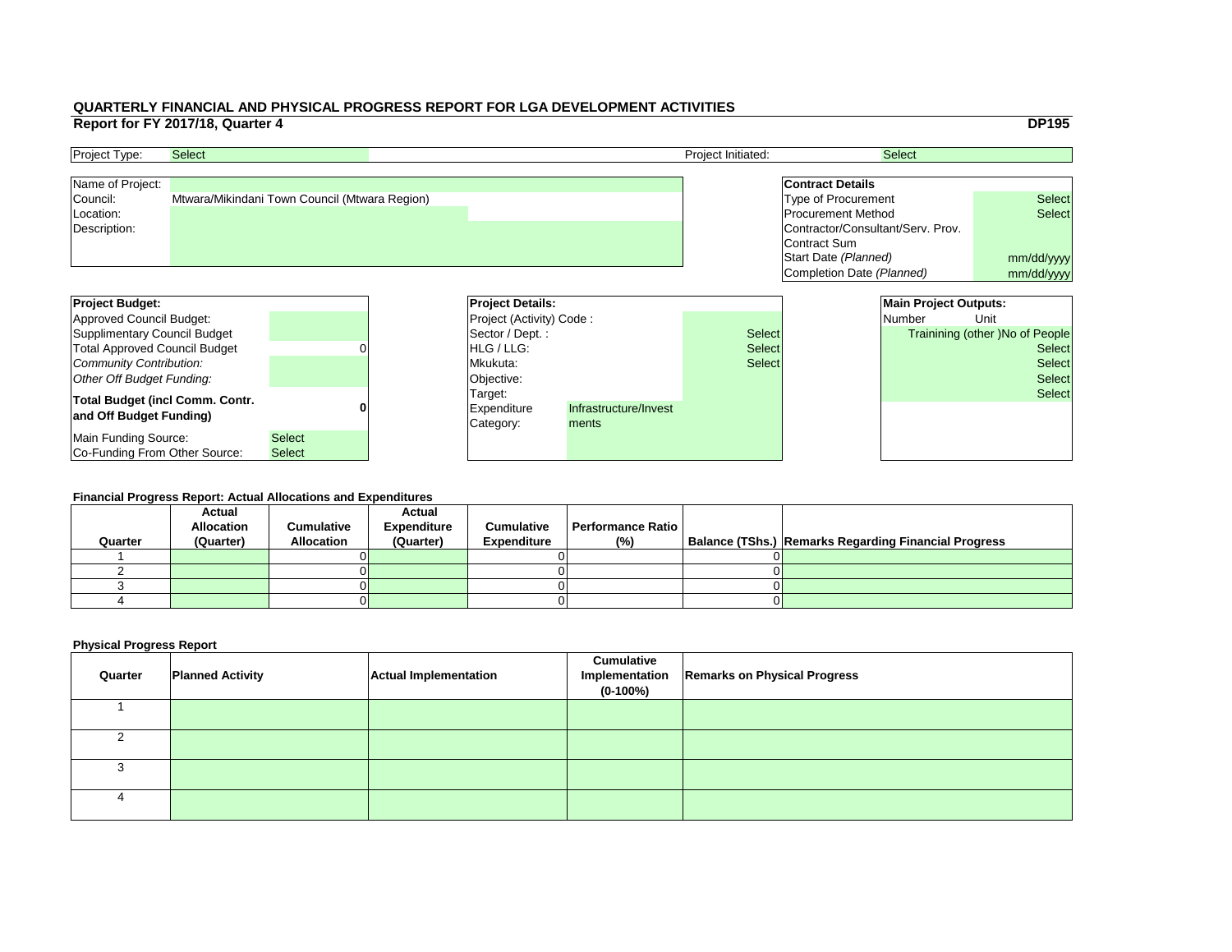|     |                                   |                              | <b>DP195</b>                    |
|-----|-----------------------------------|------------------------------|---------------------------------|
|     |                                   | <b>Select</b>                |                                 |
|     |                                   |                              |                                 |
|     | <b>Contract Details</b>           |                              |                                 |
|     | <b>Type of Procurement</b>        |                              | <b>Select</b>                   |
|     | <b>Procurement Method</b>         |                              | <b>Select</b>                   |
|     | Contractor/Consultant/Serv. Prov. |                              |                                 |
|     | <b>Contract Sum</b>               |                              |                                 |
|     | Start Date (Planned)              |                              | mm/dd/yyyy                      |
|     | Completion Date (Planned)         |                              | mm/dd/yyyy                      |
|     |                                   |                              |                                 |
|     |                                   | <b>Main Project Outputs:</b> |                                 |
|     |                                   | <b>Number</b>                | Unit                            |
|     |                                   |                              |                                 |
| :ct |                                   |                              | Trainining (other) No of People |
| ct: |                                   |                              | <b>Select</b>                   |
| ct: |                                   |                              | <b>Select</b>                   |
|     |                                   |                              | <b>Select</b>                   |
|     |                                   |                              | <b>Select</b>                   |
|     |                                   |                              |                                 |
|     |                                   |                              |                                 |
|     |                                   |                              |                                 |

| <b>Project Budget:</b>                                            |               |  | <b>Project Details:</b>             |                                |               | <b>Main Project Outputs:</b> |                                        |
|-------------------------------------------------------------------|---------------|--|-------------------------------------|--------------------------------|---------------|------------------------------|----------------------------------------|
| Approved Council Budget:                                          |               |  | <b>Project (Activity) Code:</b>     |                                |               | <b>Number</b>                | Unit                                   |
| Supplimentary Council Budget                                      |               |  | Sector / Dept.:                     |                                | <b>Select</b> |                              | <b>Trainining (other )No of People</b> |
| <b>Total Approved Council Budget</b>                              |               |  | <b>HLG</b> / LLG:                   |                                | <b>Select</b> |                              | <b>Select</b>                          |
| Community Contribution:                                           |               |  | Mkukuta:                            |                                | <b>Select</b> |                              | <b>Select</b>                          |
| Other Off Budget Funding:                                         |               |  | Objective:                          |                                |               |                              | <b>Select</b>                          |
| <b>Total Budget (incl Comm. Contr.</b><br>and Off Budget Funding) |               |  | Target:<br>Expenditure<br>Category: | Infrastructure/Invest<br>ments |               |                              | <b>Select</b>                          |
| Main Funding Source:                                              | <b>Select</b> |  |                                     |                                |               |                              |                                        |
| Co-Funding From Other Source:                                     | <b>Select</b> |  |                                     |                                |               |                              |                                        |

| <b>Project Type:</b> | <b>Select</b>                                 | <b>Project Initiated:</b> | <b>Select</b>                     |               |
|----------------------|-----------------------------------------------|---------------------------|-----------------------------------|---------------|
| Name of Project:     |                                               |                           | <b>Contract Details</b>           |               |
| Council:             | Mtwara/Mikindani Town Council (Mtwara Region) |                           | Type of Procurement               | <b>Select</b> |
| Location:            |                                               |                           | <b>Procurement Method</b>         | <b>Select</b> |
| Description:         |                                               |                           | Contractor/Consultant/Serv. Prov. |               |
|                      |                                               |                           | Contract Sum                      |               |
|                      |                                               |                           | Start Date (Planned)              | mm/dd/ww      |

#### **Financial Progress Report: Actual Allocations and Expenditures**

|         | <b>Actual</b>     |                   | <b>Actual</b>      |                    |                          |                                                             |
|---------|-------------------|-------------------|--------------------|--------------------|--------------------------|-------------------------------------------------------------|
|         | <b>Allocation</b> | <b>Cumulative</b> | <b>Expenditure</b> | <b>Cumulative</b>  | <b>Performance Ratio</b> |                                                             |
| Quarter | (Quarter)         | <b>Allocation</b> | (Quarter)          | <b>Expenditure</b> | (%)                      | <b>Balance (TShs.) Remarks Regarding Financial Progress</b> |
|         |                   |                   |                    |                    |                          |                                                             |
|         |                   |                   |                    |                    |                          |                                                             |
|         |                   |                   |                    |                    |                          |                                                             |
|         |                   |                   |                    |                    |                          |                                                             |
|         |                   |                   |                    |                    |                          |                                                             |

| Quarter | <b>Planned Activity</b> | <b>Actual Implementation</b> | <b>Cumulative</b><br>$(0-100%)$ | Implementation   Remarks on Physical Progress |
|---------|-------------------------|------------------------------|---------------------------------|-----------------------------------------------|
|         |                         |                              |                                 |                                               |
|         |                         |                              |                                 |                                               |
|         |                         |                              |                                 |                                               |
|         |                         |                              |                                 |                                               |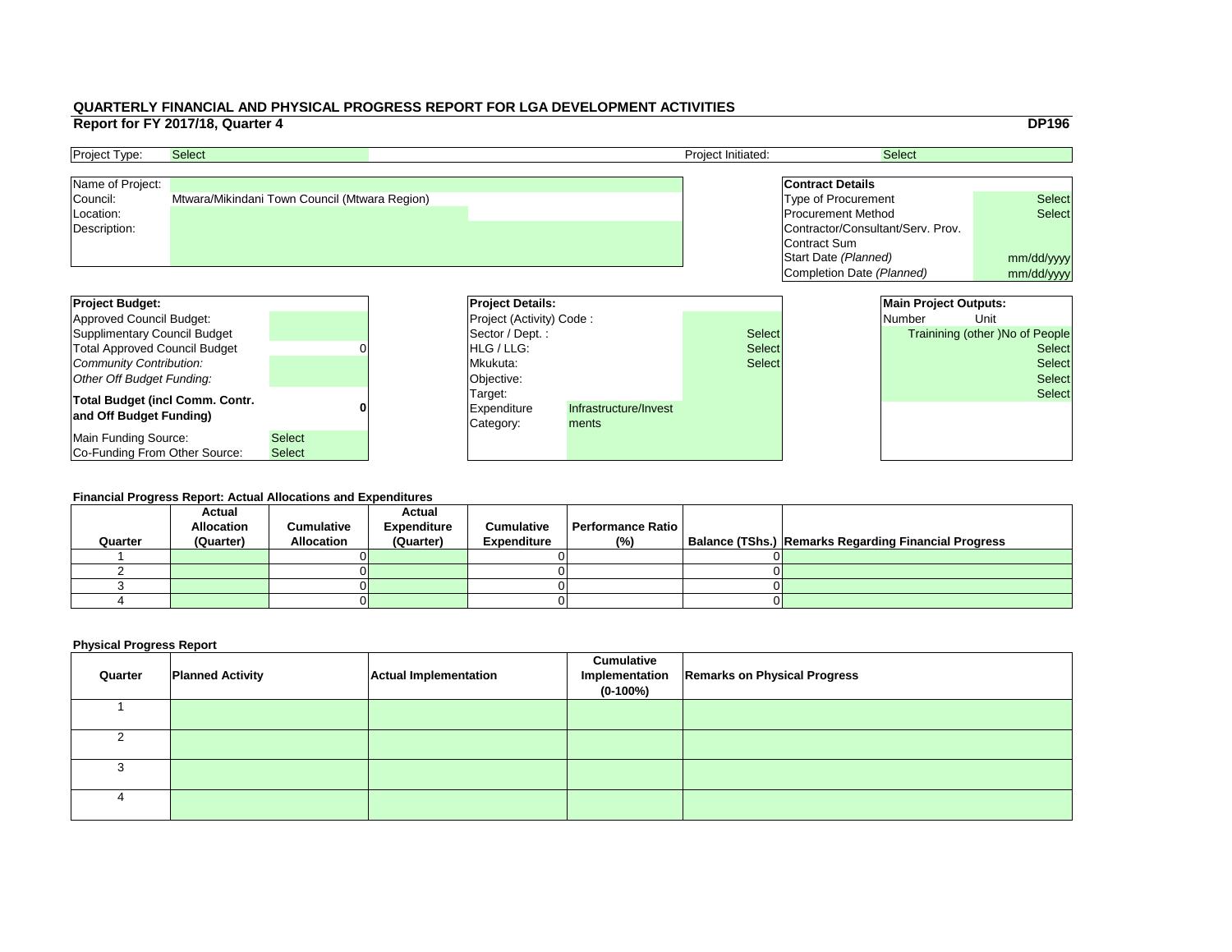|     |                                   |                              | <b>DP196</b>                    |  |  |
|-----|-----------------------------------|------------------------------|---------------------------------|--|--|
|     |                                   | <b>Select</b>                |                                 |  |  |
|     |                                   |                              |                                 |  |  |
|     | <b>Contract Details</b>           |                              |                                 |  |  |
|     | <b>Type of Procurement</b>        |                              | <b>Select</b>                   |  |  |
|     | <b>Procurement Method</b>         |                              | <b>Select</b>                   |  |  |
|     | Contractor/Consultant/Serv. Prov. |                              |                                 |  |  |
|     | <b>Contract Sum</b>               |                              |                                 |  |  |
|     | Start Date (Planned)              |                              | mm/dd/yyyy                      |  |  |
|     | Completion Date (Planned)         |                              | mm/dd/yyyy                      |  |  |
|     |                                   |                              |                                 |  |  |
|     |                                   | <b>Main Project Outputs:</b> |                                 |  |  |
|     |                                   | <b>Number</b>                | Unit                            |  |  |
|     |                                   |                              | Trainining (other) No of People |  |  |
| ct: |                                   |                              |                                 |  |  |
| ct: |                                   |                              | <b>Select</b>                   |  |  |
| :ct |                                   |                              | <b>Select</b>                   |  |  |
|     |                                   |                              | <b>Select</b>                   |  |  |
|     |                                   |                              | <b>Select</b>                   |  |  |
|     |                                   |                              |                                 |  |  |
|     |                                   |                              |                                 |  |  |
|     |                                   |                              |                                 |  |  |

| <b>Project Budget:</b>                                            |               | <b>Project Details:</b>             |                                |               | <b>Main Project Outputs:</b> |                                        |
|-------------------------------------------------------------------|---------------|-------------------------------------|--------------------------------|---------------|------------------------------|----------------------------------------|
| Approved Council Budget:                                          |               | <b>Project (Activity) Code:</b>     |                                |               | <b>Number</b>                | Unit                                   |
| Supplimentary Council Budget                                      |               | Sector / Dept.:                     |                                | <b>Select</b> |                              | <b>Trainining (other )No of People</b> |
| <b>Total Approved Council Budget</b>                              |               | <b>HLG</b> / LLG:                   |                                | <b>Select</b> | <b>Select</b>                |                                        |
| Community Contribution:                                           |               | Mkukuta:                            |                                | <b>Select</b> |                              | <b>Select</b>                          |
| Other Off Budget Funding:                                         |               | Objective:                          |                                |               |                              | <b>Select</b>                          |
| <b>Total Budget (incl Comm. Contr.</b><br>and Off Budget Funding) |               | Target:<br>Expenditure<br>Category: | Infrastructure/Invest<br>ments |               |                              | <b>Select</b>                          |
| Main Funding Source:                                              | <b>Select</b> |                                     |                                |               |                              |                                        |
| Co-Funding From Other Source:                                     | <b>Select</b> |                                     |                                |               |                              |                                        |

| <b>Project Type:</b> | <b>Select</b>                                 | <b>Project Initiated:</b> | <b>Select</b>                     |               |
|----------------------|-----------------------------------------------|---------------------------|-----------------------------------|---------------|
| Name of Project:     |                                               |                           | <b>Contract Details</b>           |               |
| Council:             | Mtwara/Mikindani Town Council (Mtwara Region) |                           | Type of Procurement               | <b>Select</b> |
| Location:            |                                               |                           | <b>Procurement Method</b>         | <b>Select</b> |
| Description:         |                                               |                           | Contractor/Consultant/Serv. Prov. |               |
|                      |                                               |                           | Contract Sum                      |               |
|                      |                                               |                           | Start Date (Planned)              | mm/dd/ww      |

#### **Financial Progress Report: Actual Allocations and Expenditures**

|         | <b>Actual</b>     |                   | <b>Actual</b>      |                    |                          |                                                             |
|---------|-------------------|-------------------|--------------------|--------------------|--------------------------|-------------------------------------------------------------|
|         | <b>Allocation</b> | <b>Cumulative</b> | <b>Expenditure</b> | <b>Cumulative</b>  | <b>Performance Ratio</b> |                                                             |
| Quarter | (Quarter)         | <b>Allocation</b> | (Quarter)          | <b>Expenditure</b> | (%)                      | <b>Balance (TShs.) Remarks Regarding Financial Progress</b> |
|         |                   |                   |                    |                    |                          |                                                             |
|         |                   |                   |                    |                    |                          |                                                             |
|         |                   |                   |                    |                    |                          |                                                             |
|         |                   |                   |                    |                    |                          |                                                             |
|         |                   |                   |                    |                    |                          |                                                             |

| Quarter | <b>Planned Activity</b> | <b>Actual Implementation</b> | <b>Cumulative</b><br>$(0-100%)$ | Implementation   Remarks on Physical Progress |
|---------|-------------------------|------------------------------|---------------------------------|-----------------------------------------------|
|         |                         |                              |                                 |                                               |
|         |                         |                              |                                 |                                               |
|         |                         |                              |                                 |                                               |
|         |                         |                              |                                 |                                               |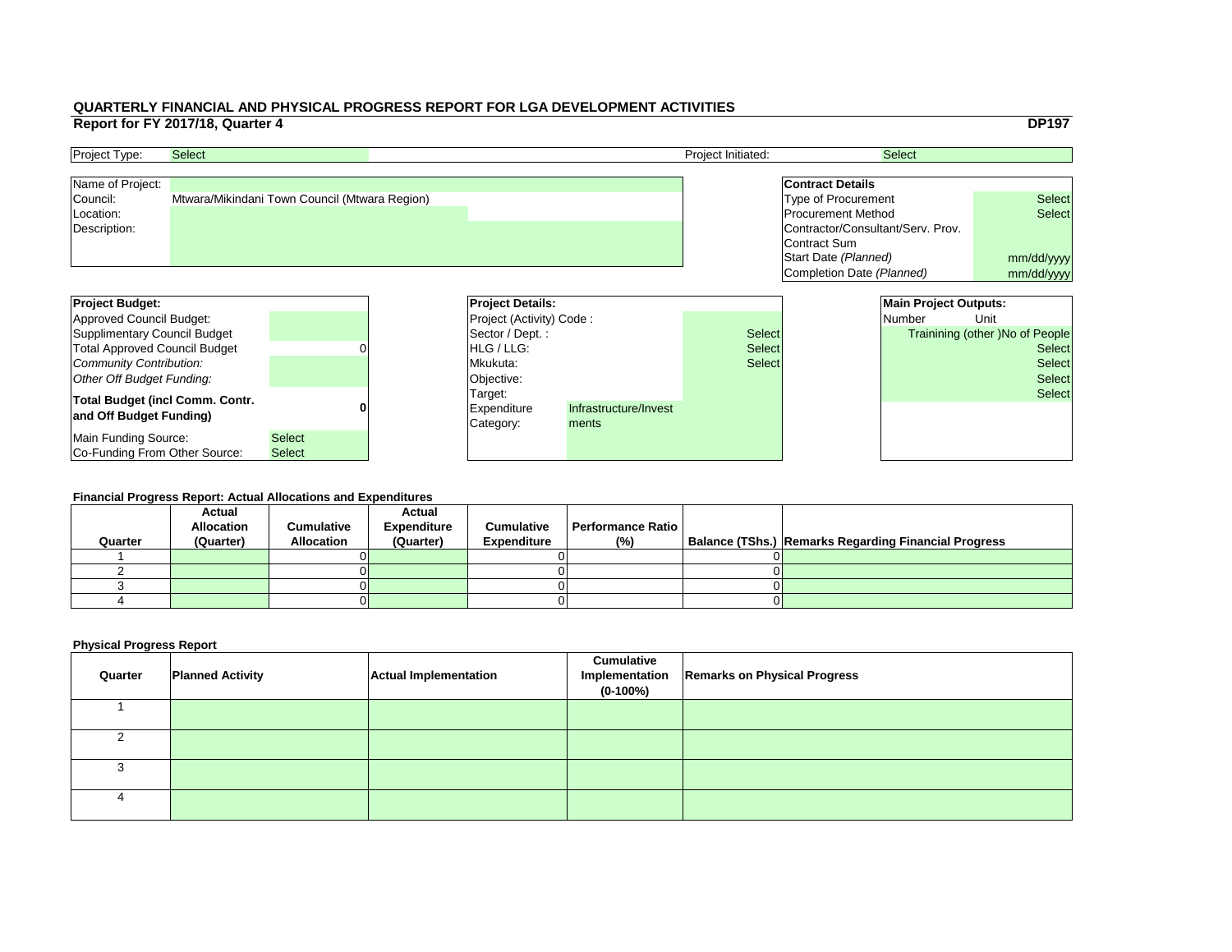|     |                                   |                              | <b>DP197</b>                           |  |  |
|-----|-----------------------------------|------------------------------|----------------------------------------|--|--|
|     |                                   | <b>Select</b>                |                                        |  |  |
|     |                                   |                              |                                        |  |  |
|     | <b>Contract Details</b>           |                              |                                        |  |  |
|     | <b>Type of Procurement</b>        |                              | <b>Select</b>                          |  |  |
|     | <b>Procurement Method</b>         |                              | <b>Select</b>                          |  |  |
|     | Contractor/Consultant/Serv. Prov. |                              |                                        |  |  |
|     | Contract Sum                      |                              |                                        |  |  |
|     | Start Date (Planned)              |                              | mm/dd/yyyy                             |  |  |
|     | Completion Date (Planned)         |                              | mm/dd/yyyy                             |  |  |
|     |                                   |                              |                                        |  |  |
|     |                                   | <b>Main Project Outputs:</b> |                                        |  |  |
|     |                                   | <b>Number</b>                | Unit                                   |  |  |
|     |                                   |                              |                                        |  |  |
| :ct |                                   |                              | <b>Trainining (other) No of People</b> |  |  |
| ct: |                                   |                              | <b>Select</b>                          |  |  |
| :ct |                                   |                              | <b>Select</b>                          |  |  |
|     |                                   |                              | <b>Select</b>                          |  |  |
|     |                                   |                              | <b>Select</b>                          |  |  |
|     |                                   |                              |                                        |  |  |
|     |                                   |                              |                                        |  |  |
|     |                                   |                              |                                        |  |  |

| <b>Project Budget:</b>                 |               | <b>Project Details:</b>         |                       |               |  | <b>Main Project Outputs:</b> |                                        |
|----------------------------------------|---------------|---------------------------------|-----------------------|---------------|--|------------------------------|----------------------------------------|
| Approved Council Budget:               |               | <b>Project (Activity) Code:</b> |                       |               |  | <b>Number</b>                | Unit                                   |
| Supplimentary Council Budget           |               | Sector / Dept. :                |                       | <b>Select</b> |  |                              | <b>Trainining (other )No of People</b> |
| <b>Total Approved Council Budget</b>   |               | <b>IHLG/LLG:</b>                |                       | <b>Select</b> |  | <b>Select</b>                |                                        |
| Community Contribution:                |               | Mkukuta:                        |                       | <b>Select</b> |  |                              | <b>Select</b>                          |
| Other Off Budget Funding:              |               | Objective:                      |                       |               |  |                              | <b>Select</b>                          |
| <b>Total Budget (incl Comm. Contr.</b> |               | Target:                         |                       |               |  |                              | <b>Select</b>                          |
| and Off Budget Funding)                |               | <b>Expenditure</b>              | Infrastructure/Invest |               |  |                              |                                        |
|                                        |               | Category:                       | ments                 |               |  |                              |                                        |
| Main Funding Source:                   | <b>Select</b> |                                 |                       |               |  |                              |                                        |
| <b>Co-Funding From Other Source:</b>   | <b>Select</b> |                                 |                       |               |  |                              |                                        |

| <b>Project Type:</b> | <b>Select</b>                                 | <b>Project Initiated:</b> | <b>Select</b>                     |               |
|----------------------|-----------------------------------------------|---------------------------|-----------------------------------|---------------|
| Name of Project:     |                                               |                           | <b>Contract Details</b>           |               |
| Council:             | Mtwara/Mikindani Town Council (Mtwara Region) |                           | Type of Procurement               | <b>Select</b> |
| Location:            |                                               |                           | <b>Procurement Method</b>         | <b>Select</b> |
| Description:         |                                               |                           | Contractor/Consultant/Serv. Prov. |               |
|                      |                                               |                           | Contract Sum                      |               |
|                      |                                               |                           | Start Date (Planned)              | mm/dd/ww      |

#### **Financial Progress Report: Actual Allocations and Expenditures**

| Quarter | <b>Actual</b><br><b>Allocation</b><br>(Quarter) | <b>Cumulative</b><br><b>Allocation</b> | <b>Actual</b><br><b>Expenditure</b><br>(Quarter) | <b>Cumulative</b><br><b>Expenditure</b> | <b>Performance Ratio</b><br>(%) | Balance (TShs.) Remarks Regarding Financial Progress |
|---------|-------------------------------------------------|----------------------------------------|--------------------------------------------------|-----------------------------------------|---------------------------------|------------------------------------------------------|
|         |                                                 |                                        |                                                  |                                         |                                 |                                                      |
|         |                                                 |                                        |                                                  |                                         |                                 |                                                      |
|         |                                                 |                                        |                                                  |                                         |                                 |                                                      |
|         |                                                 |                                        |                                                  |                                         |                                 |                                                      |
|         |                                                 |                                        |                                                  |                                         |                                 |                                                      |

| Quarter | <b>Planned Activity</b> | <b>Actual Implementation</b> | <b>Cumulative</b><br>Implementation<br>$(0-100\%)$ | <b>Remarks on Physical Progress</b> |
|---------|-------------------------|------------------------------|----------------------------------------------------|-------------------------------------|
|         |                         |                              |                                                    |                                     |
|         |                         |                              |                                                    |                                     |
|         |                         |                              |                                                    |                                     |
| 4       |                         |                              |                                                    |                                     |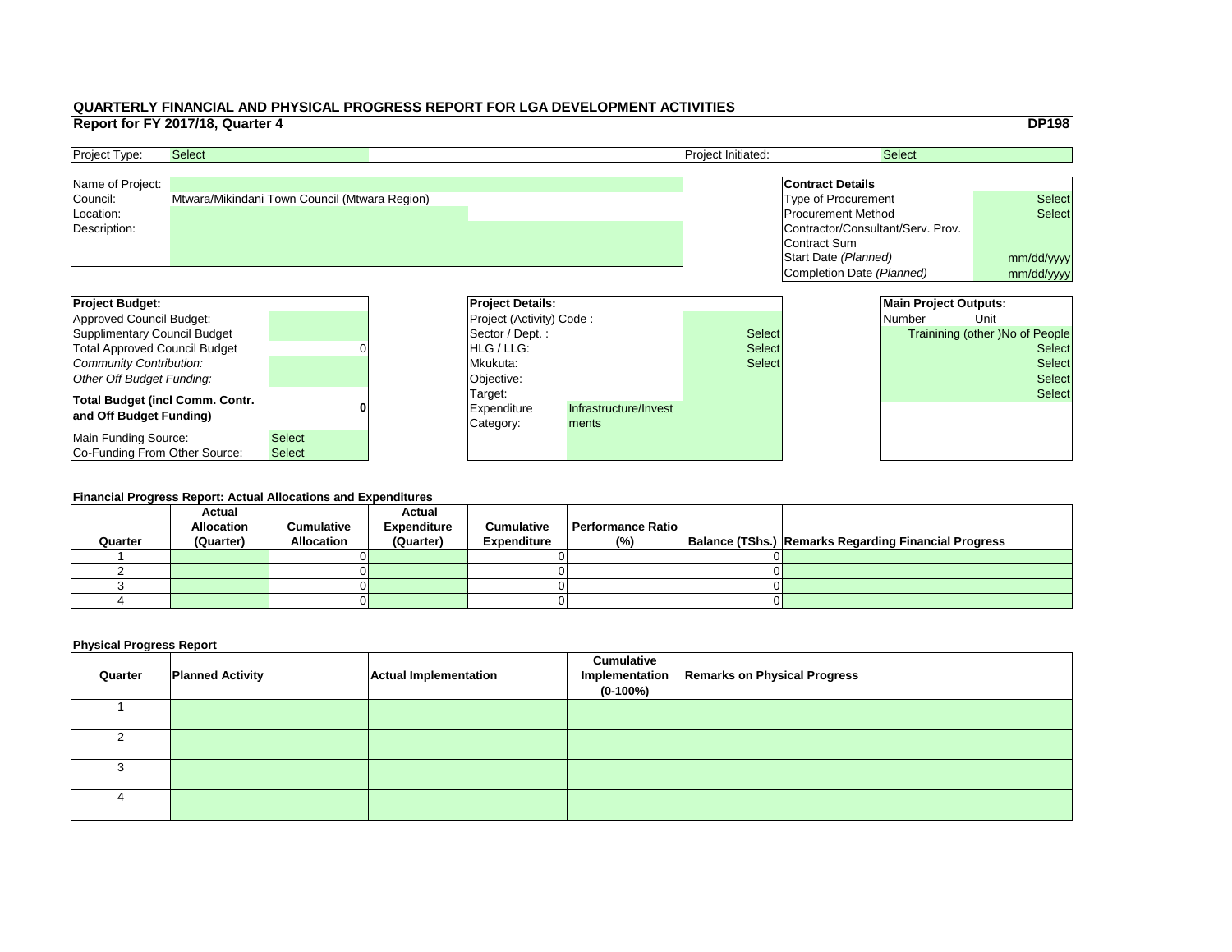|     |                                   |                              | <b>DP198</b>                           |  |  |
|-----|-----------------------------------|------------------------------|----------------------------------------|--|--|
|     |                                   | <b>Select</b>                |                                        |  |  |
|     |                                   |                              |                                        |  |  |
|     | <b>Contract Details</b>           |                              |                                        |  |  |
|     | <b>Type of Procurement</b>        |                              | <b>Select</b>                          |  |  |
|     | <b>Procurement Method</b>         |                              | <b>Select</b>                          |  |  |
|     | Contractor/Consultant/Serv. Prov. |                              |                                        |  |  |
|     | <b>Contract Sum</b>               |                              |                                        |  |  |
|     | Start Date (Planned)              |                              | mm/dd/yyyy                             |  |  |
|     | Completion Date (Planned)         |                              | mm/dd/yyyy                             |  |  |
|     |                                   |                              |                                        |  |  |
|     |                                   | <b>Main Project Outputs:</b> |                                        |  |  |
|     |                                   | <b>Number</b>                | Unit                                   |  |  |
| ct: |                                   |                              | <b>Trainining (other )No of People</b> |  |  |
| ct: |                                   |                              | <b>Select</b>                          |  |  |
| ct: |                                   |                              | <b>Select</b>                          |  |  |
|     |                                   |                              |                                        |  |  |
|     |                                   |                              | <b>Select</b>                          |  |  |
|     |                                   |                              | <b>Select</b>                          |  |  |
|     |                                   |                              |                                        |  |  |
|     |                                   |                              |                                        |  |  |
|     |                                   |                              |                                        |  |  |

| <b>Project Budget:</b>                                            |               | <b>Project Details:</b>             |                                |               | <b>Main Project Outputs:</b> |                                        |
|-------------------------------------------------------------------|---------------|-------------------------------------|--------------------------------|---------------|------------------------------|----------------------------------------|
| Approved Council Budget:                                          |               | <b>Project (Activity) Code:</b>     |                                |               | <b>Number</b>                | Unit                                   |
| Supplimentary Council Budget                                      |               | Sector / Dept.:                     |                                | <b>Select</b> |                              | <b>Trainining (other )No of People</b> |
| <b>Total Approved Council Budget</b>                              |               | <b>HLG</b> / LLG:                   |                                | <b>Select</b> | <b>Select</b>                |                                        |
| Community Contribution:                                           |               | Mkukuta:                            |                                | <b>Select</b> |                              | <b>Select</b>                          |
| Other Off Budget Funding:                                         |               | Objective:                          |                                |               |                              | <b>Select</b>                          |
| <b>Total Budget (incl Comm. Contr.</b><br>and Off Budget Funding) |               | Target:<br>Expenditure<br>Category: | Infrastructure/Invest<br>ments |               |                              | <b>Select</b>                          |
| Main Funding Source:                                              | <b>Select</b> |                                     |                                |               |                              |                                        |
| Co-Funding From Other Source:                                     | <b>Select</b> |                                     |                                |               |                              |                                        |

| <b>Project Type:</b> | <b>Select</b>                                 | <b>Project Initiated:</b> | <b>Select</b>                     |               |
|----------------------|-----------------------------------------------|---------------------------|-----------------------------------|---------------|
| Name of Project:     |                                               |                           | <b>Contract Details</b>           |               |
| Council:             | Mtwara/Mikindani Town Council (Mtwara Region) |                           | Type of Procurement               | <b>Select</b> |
| Location:            |                                               |                           | <b>Procurement Method</b>         | <b>Select</b> |
| Description:         |                                               |                           | Contractor/Consultant/Serv. Prov. |               |
|                      |                                               |                           | Contract Sum                      |               |
|                      |                                               |                           | Start Date (Planned)              | mm/dd/ww      |

#### **Financial Progress Report: Actual Allocations and Expenditures**

|         | <b>Actual</b>     |                   | <b>Actual</b>      |                    |                          |                                                             |
|---------|-------------------|-------------------|--------------------|--------------------|--------------------------|-------------------------------------------------------------|
|         | <b>Allocation</b> | <b>Cumulative</b> | <b>Expenditure</b> | <b>Cumulative</b>  | <b>Performance Ratio</b> |                                                             |
| Quarter | (Quarter)         | <b>Allocation</b> | (Quarter)          | <b>Expenditure</b> | (%)                      | <b>Balance (TShs.) Remarks Regarding Financial Progress</b> |
|         |                   |                   |                    |                    |                          |                                                             |
|         |                   |                   |                    |                    |                          |                                                             |
|         |                   |                   |                    |                    |                          |                                                             |
|         |                   |                   |                    |                    |                          |                                                             |
|         |                   |                   |                    |                    |                          |                                                             |

| Quarter | <b>Planned Activity</b> | <b>Actual Implementation</b> | <b>Cumulative</b><br>Implementation<br>$(0-100%)$ | <b>Remarks on Physical Progress</b> |
|---------|-------------------------|------------------------------|---------------------------------------------------|-------------------------------------|
|         |                         |                              |                                                   |                                     |
|         |                         |                              |                                                   |                                     |
|         |                         |                              |                                                   |                                     |
|         |                         |                              |                                                   |                                     |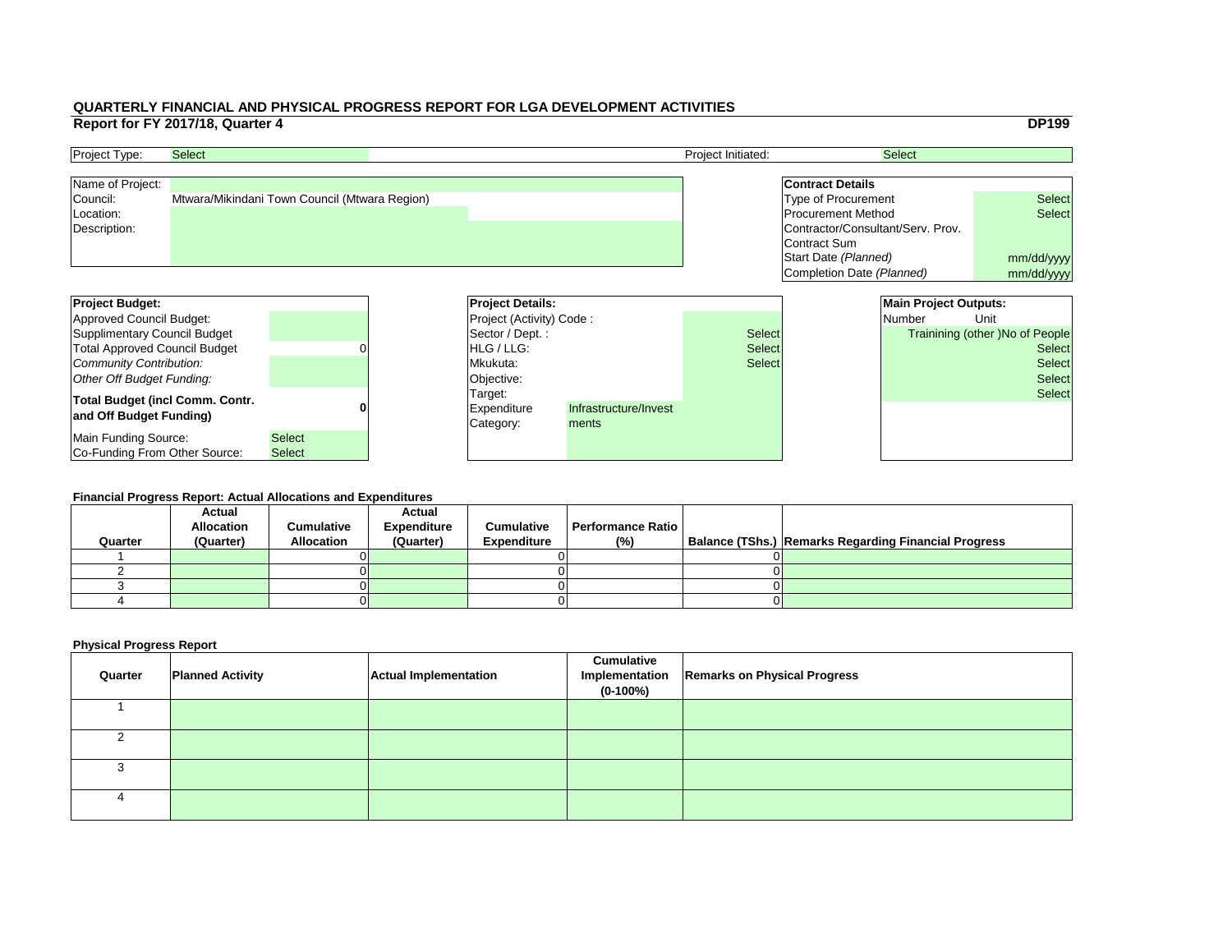|     |                                   |                              | <b>DP199</b>                           |
|-----|-----------------------------------|------------------------------|----------------------------------------|
|     |                                   | <b>Select</b>                |                                        |
|     |                                   |                              |                                        |
|     | <b>Contract Details</b>           |                              |                                        |
|     | <b>Type of Procurement</b>        |                              | <b>Select</b>                          |
|     | <b>Procurement Method</b>         |                              | <b>Select</b>                          |
|     | Contractor/Consultant/Serv. Prov. |                              |                                        |
|     | <b>Contract Sum</b>               |                              |                                        |
|     | Start Date (Planned)              | mm/dd/yyyy                   |                                        |
|     | Completion Date (Planned)         |                              | mm/dd/yyyy                             |
|     |                                   |                              |                                        |
|     |                                   | <b>Main Project Outputs:</b> |                                        |
|     |                                   | <b>Number</b>                | Unit                                   |
| ct: |                                   |                              | <b>Trainining (other) No of People</b> |
| ct: |                                   |                              | <b>Select</b>                          |
| ct: |                                   |                              | <b>Select</b>                          |
|     |                                   |                              | <b>Select</b>                          |
|     |                                   |                              | <b>Select</b>                          |
|     |                                   |                              |                                        |
|     |                                   |                              |                                        |
|     |                                   |                              |                                        |
|     |                                   |                              |                                        |

| <b>Project Budget:</b>                                            |                                | <b>Project Details:</b>                    |                                |               | <b>Main Project Outputs:</b> |                                        |
|-------------------------------------------------------------------|--------------------------------|--------------------------------------------|--------------------------------|---------------|------------------------------|----------------------------------------|
| Approved Council Budget:                                          |                                | <b>Project (Activity) Code:</b>            |                                |               | Number                       | Unit                                   |
| Supplimentary Council Budget                                      |                                | Sector / Dept.:                            |                                | <b>Select</b> |                              | <b>Trainining (other )No of People</b> |
| <b>Total Approved Council Budget</b>                              |                                | <b>HLG</b> / LLG:                          |                                | <b>Select</b> |                              | <b>Select</b>                          |
| Community Contribution:                                           |                                | Mkukuta:                                   |                                | <b>Select</b> |                              | <b>Select</b>                          |
| Other Off Budget Funding:                                         |                                | Objective:                                 |                                |               |                              | <b>Select</b>                          |
| <b>Total Budget (incl Comm. Contr.</b><br>and Off Budget Funding) |                                | Target:<br><b>Expenditure</b><br>Category: | Infrastructure/Invest<br>ments |               |                              | <b>Select</b>                          |
| Main Funding Source:<br>Co-Funding From Other Source:             | <b>Select</b><br><b>Select</b> |                                            |                                |               |                              |                                        |

| <b>Project Type:</b> | <b>Select</b>                                 | <b>Project Initiated:</b> | <b>Select</b>                     |               |
|----------------------|-----------------------------------------------|---------------------------|-----------------------------------|---------------|
| Name of Project:     |                                               |                           | <b>Contract Details</b>           |               |
| Council:             | Mtwara/Mikindani Town Council (Mtwara Region) |                           | Type of Procurement               | <b>Select</b> |
| Location:            |                                               |                           | <b>Procurement Method</b>         | <b>Select</b> |
| Description:         |                                               |                           | Contractor/Consultant/Serv. Prov. |               |
|                      |                                               |                           | Contract Sum                      |               |
|                      |                                               |                           | Start Date (Planned)              | mm/dd/ww      |

#### **Financial Progress Report: Actual Allocations and Expenditures**

|         | <b>Actual</b>     |                   | <b>Actual</b>      |                    |                   |                                                             |
|---------|-------------------|-------------------|--------------------|--------------------|-------------------|-------------------------------------------------------------|
|         | <b>Allocation</b> | <b>Cumulative</b> | <b>Expenditure</b> | <b>Cumulative</b>  | Performance Ratio |                                                             |
| Quarter | (Quarter)         | <b>Allocation</b> | (Quarter)          | <b>Expenditure</b> | (%)               | <b>Balance (TShs.) Remarks Regarding Financial Progress</b> |
|         |                   |                   |                    |                    |                   |                                                             |
|         |                   |                   |                    |                    |                   |                                                             |
|         |                   |                   |                    |                    |                   |                                                             |
|         |                   |                   |                    |                    |                   |                                                             |
|         |                   |                   |                    |                    |                   |                                                             |

| Quarter | <b>Planned Activity</b> | <b>Actual Implementation</b> | <b>Cumulative</b><br>$(0-100%)$ | Implementation   Remarks on Physical Progress |
|---------|-------------------------|------------------------------|---------------------------------|-----------------------------------------------|
|         |                         |                              |                                 |                                               |
|         |                         |                              |                                 |                                               |
|         |                         |                              |                                 |                                               |
|         |                         |                              |                                 |                                               |